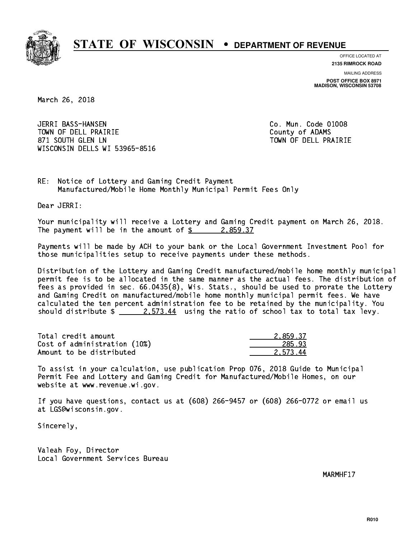

**OFFICE LOCATED AT**

**2135 RIMROCK ROAD**

**MAILING ADDRESS POST OFFICE BOX 8971 MADISON, WISCONSIN 53708**

March 26, 2018

 JERRI BASS-HANSEN Co. Mun. Code 01008 TOWN OF DELL PRAIRIE County of ADAMS 871 SOUTH GLEN LN TOWN OF DELL PRAIRIE WISCONSIN DELLS WI 53965-8516

RE: Notice of Lottery and Gaming Credit Payment Manufactured/Mobile Home Monthly Municipal Permit Fees Only

Dear JERRI:

 Your municipality will receive a Lottery and Gaming Credit payment on March 26, 2018. The payment will be in the amount of  $\frac{2}{3}$  2,859.37

 Payments will be made by ACH to your bank or the Local Government Investment Pool for those municipalities setup to receive payments under these methods.

 Distribution of the Lottery and Gaming Credit manufactured/mobile home monthly municipal permit fee is to be allocated in the same manner as the actual fees. The distribution of fees as provided in sec. 66.0435(8), Wis. Stats., should be used to prorate the Lottery and Gaming Credit on manufactured/mobile home monthly municipal permit fees. We have calculated the ten percent administration fee to be retained by the municipality. You should distribute  $\frac{2.573.44}{2.573.44}$  using the ratio of school tax to total tax levy.

| Total credit amount          | 2.859.37 |
|------------------------------|----------|
| Cost of administration (10%) | 285.93   |
| Amount to be distributed     | 2.573.44 |

 To assist in your calculation, use publication Prop 076, 2018 Guide to Municipal Permit Fee and Lottery and Gaming Credit for Manufactured/Mobile Homes, on our website at www.revenue.wi.gov.

 If you have questions, contact us at (608) 266-9457 or (608) 266-0772 or email us at LGS@wisconsin.gov.

Sincerely,

 Valeah Foy, Director Local Government Services Bureau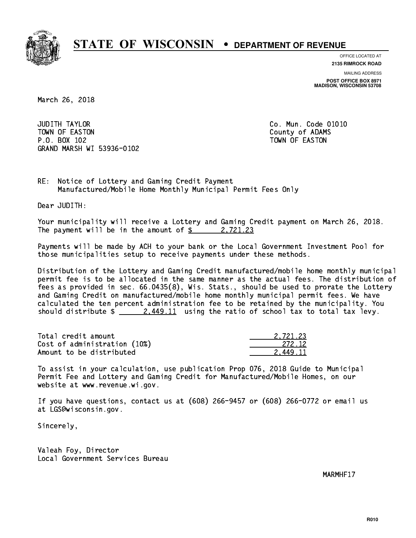

**OFFICE LOCATED AT**

**2135 RIMROCK ROAD**

**MAILING ADDRESS POST OFFICE BOX 8971 MADISON, WISCONSIN 53708**

March 26, 2018

**JUDITH TAYLOR** TOWN OF EASTON COUNTY OF ALCOHOL COUNTY OF ADAMS P.O. BOX 102 TOWN OF EASTON GRAND MARSH WI 53936-0102

Co. Mun. Code 01010

 $,721.23$ 

RE: Notice of Lottery and Gaming Credit Payment Manufactured/Mobile Home Monthly Municipal Permit Fees Only

Dear JUDITH:

 Your municipality will receive a Lottery and Gaming Credit payment on March 26, 2018. The payment will be in the amount of  $\frac{2}{3}$  2,721.23

 Payments will be made by ACH to your bank or the Local Government Investment Pool for those municipalities setup to receive payments under these methods.

 Distribution of the Lottery and Gaming Credit manufactured/mobile home monthly municipal permit fee is to be allocated in the same manner as the actual fees. The distribution of fees as provided in sec. 66.0435(8), Wis. Stats., should be used to prorate the Lottery and Gaming Credit on manufactured/mobile home monthly municipal permit fees. We have calculated the ten percent administration fee to be retained by the municipality. You should distribute  $\frac{2.449.11}{2.449.11}$  using the ratio of school tax to total tax levy.

| Total credit amount          | 2.721.23 |
|------------------------------|----------|
| Cost of administration (10%) | 272.12   |
| Amount to be distributed     | 2.449.11 |

 To assist in your calculation, use publication Prop 076, 2018 Guide to Municipal Permit Fee and Lottery and Gaming Credit for Manufactured/Mobile Homes, on our website at www.revenue.wi.gov.

 If you have questions, contact us at (608) 266-9457 or (608) 266-0772 or email us at LGS@wisconsin.gov.

Sincerely,

 Valeah Foy, Director Local Government Services Bureau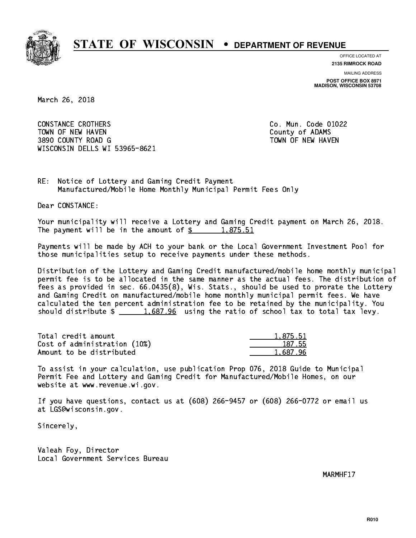

**OFFICE LOCATED AT 2135 RIMROCK ROAD**

**MAILING ADDRESS POST OFFICE BOX 8971 MADISON, WISCONSIN 53708**

March 26, 2018

 CONSTANCE CROTHERS Co. Mun. Code 01022 TOWN OF NEW HAVEN **COUNTY OF A SERVICE COULD A** COUNTY OF ADAMS 3890 COUNTY ROAD G TOWN OF NEW HAVEN WISCONSIN DELLS WI 53965-8621

RE: Notice of Lottery and Gaming Credit Payment Manufactured/Mobile Home Monthly Municipal Permit Fees Only

Dear CONSTANCE:

 Your municipality will receive a Lottery and Gaming Credit payment on March 26, 2018. The payment will be in the amount of  $\frac{2}{3}$  1,875.51

 Payments will be made by ACH to your bank or the Local Government Investment Pool for those municipalities setup to receive payments under these methods.

 Distribution of the Lottery and Gaming Credit manufactured/mobile home monthly municipal permit fee is to be allocated in the same manner as the actual fees. The distribution of fees as provided in sec. 66.0435(8), Wis. Stats., should be used to prorate the Lottery and Gaming Credit on manufactured/mobile home monthly municipal permit fees. We have calculated the ten percent administration fee to be retained by the municipality. You should distribute  $\frac{1.687.96}{1.687.96}$  using the ratio of school tax to total tax levy.

| Total credit amount          | 1.875.51 |
|------------------------------|----------|
| Cost of administration (10%) | 187.55   |
| Amount to be distributed     | 1.687.96 |

 To assist in your calculation, use publication Prop 076, 2018 Guide to Municipal Permit Fee and Lottery and Gaming Credit for Manufactured/Mobile Homes, on our website at www.revenue.wi.gov.

 If you have questions, contact us at (608) 266-9457 or (608) 266-0772 or email us at LGS@wisconsin.gov.

Sincerely,

 Valeah Foy, Director Local Government Services Bureau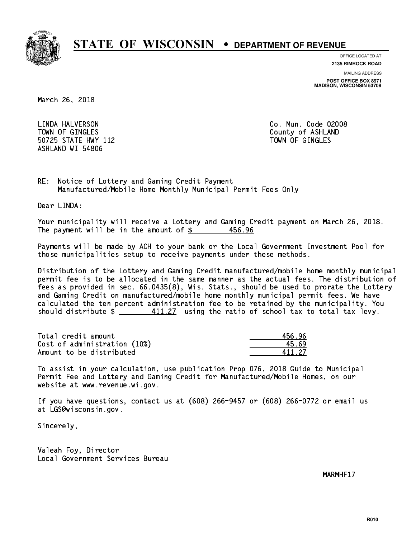

**OFFICE LOCATED AT**

**2135 RIMROCK ROAD**

**MAILING ADDRESS**

**POST OFFICE BOX 8971 MADISON, WISCONSIN 53708**

March 26, 2018

 LINDA HALVERSON Co. Mun. Code 02008 TOWN OF GINGLES County of ASHLAND 50725 STATE HWY 112 TOWN OF GINGLES ASHLAND WI 54806

RE: Notice of Lottery and Gaming Credit Payment Manufactured/Mobile Home Monthly Municipal Permit Fees Only

Dear LINDA:

 Your municipality will receive a Lottery and Gaming Credit payment on March 26, 2018. The payment will be in the amount of  $\frac{25}{5}$ 456.96

 Payments will be made by ACH to your bank or the Local Government Investment Pool for those municipalities setup to receive payments under these methods.

 Distribution of the Lottery and Gaming Credit manufactured/mobile home monthly municipal permit fee is to be allocated in the same manner as the actual fees. The distribution of fees as provided in sec. 66.0435(8), Wis. Stats., should be used to prorate the Lottery and Gaming Credit on manufactured/mobile home monthly municipal permit fees. We have calculated the ten percent administration fee to be retained by the municipality. You should distribute  $\frac{411.27}{2}$  using the ratio of school tax to total tax levy.

Total credit amount Cost of administration (10%) Amount to be distributed

| i 96  |
|-------|
| - 69  |
| 11 27 |

 To assist in your calculation, use publication Prop 076, 2018 Guide to Municipal Permit Fee and Lottery and Gaming Credit for Manufactured/Mobile Homes, on our website at www.revenue.wi.gov.

 If you have questions, contact us at (608) 266-9457 or (608) 266-0772 or email us at LGS@wisconsin.gov.

Sincerely,

 Valeah Foy, Director Local Government Services Bureau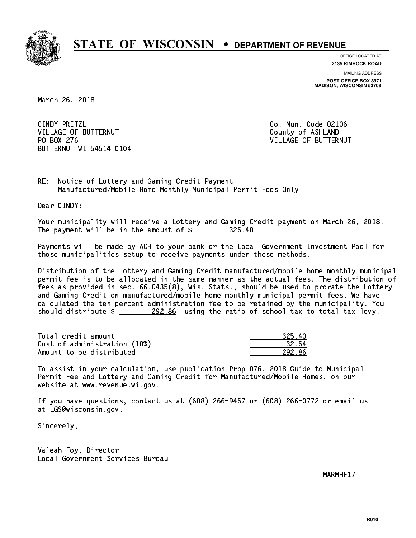

**OFFICE LOCATED AT**

**2135 RIMROCK ROAD**

**MAILING ADDRESS POST OFFICE BOX 8971 MADISON, WISCONSIN 53708**

March 26, 2018

CINDY PRITZL VILLAGE OF BUTTERNUT COUNTY OF ASHLAND PO BOX 276 BUTTERNUT WI 54514-0104

Co. Mun. Code 02106 VILLAGE OF BUTTERNUT

RE: Notice of Lottery and Gaming Credit Payment Manufactured/Mobile Home Monthly Municipal Permit Fees Only

Dear CINDY:

 Your municipality will receive a Lottery and Gaming Credit payment on March 26, 2018. The payment will be in the amount of  $\frac{25}{10}$  325.40

 Payments will be made by ACH to your bank or the Local Government Investment Pool for those municipalities setup to receive payments under these methods.

 Distribution of the Lottery and Gaming Credit manufactured/mobile home monthly municipal permit fee is to be allocated in the same manner as the actual fees. The distribution of fees as provided in sec. 66.0435(8), Wis. Stats., should be used to prorate the Lottery and Gaming Credit on manufactured/mobile home monthly municipal permit fees. We have calculated the ten percent administration fee to be retained by the municipality. You should distribute  $\frac{292.86}{2}$  using the ratio of school tax to total tax levy.

Total credit amount Cost of administration (10%) Amount to be distributed

| יז.<br>マント |
|------------|
| 32.54      |
| 12 86      |

 To assist in your calculation, use publication Prop 076, 2018 Guide to Municipal Permit Fee and Lottery and Gaming Credit for Manufactured/Mobile Homes, on our website at www.revenue.wi.gov.

 If you have questions, contact us at (608) 266-9457 or (608) 266-0772 or email us at LGS@wisconsin.gov.

Sincerely,

 Valeah Foy, Director Local Government Services Bureau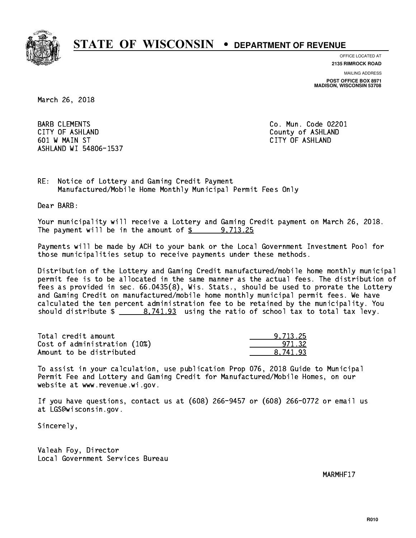

**OFFICE LOCATED AT**

**2135 RIMROCK ROAD**

**MAILING ADDRESS**

**POST OFFICE BOX 8971 MADISON, WISCONSIN 53708**

March 26, 2018

**BARB CLEMENTS**  CITY OF ASHLAND County of ASHLAND 601 W MAIN ST CITY OF ASHLAND ASHLAND WI 54806-1537

Co. Mun. Code 02201

RE: Notice of Lottery and Gaming Credit Payment Manufactured/Mobile Home Monthly Municipal Permit Fees Only

Dear BARB:

 Your municipality will receive a Lottery and Gaming Credit payment on March 26, 2018. The payment will be in the amount of  $\frac{2}{3}$  9,713.25

 Payments will be made by ACH to your bank or the Local Government Investment Pool for those municipalities setup to receive payments under these methods.

 Distribution of the Lottery and Gaming Credit manufactured/mobile home monthly municipal permit fee is to be allocated in the same manner as the actual fees. The distribution of fees as provided in sec. 66.0435(8), Wis. Stats., should be used to prorate the Lottery and Gaming Credit on manufactured/mobile home monthly municipal permit fees. We have calculated the ten percent administration fee to be retained by the municipality. You should distribute  $\frac{2}{1.93}$  using the ratio of school tax to total tax levy.

| Total credit amount          | 9.713.25 |
|------------------------------|----------|
| Cost of administration (10%) | 971.32   |
| Amount to be distributed     | 8.741.93 |

 To assist in your calculation, use publication Prop 076, 2018 Guide to Municipal Permit Fee and Lottery and Gaming Credit for Manufactured/Mobile Homes, on our website at www.revenue.wi.gov.

 If you have questions, contact us at (608) 266-9457 or (608) 266-0772 or email us at LGS@wisconsin.gov.

Sincerely,

 Valeah Foy, Director Local Government Services Bureau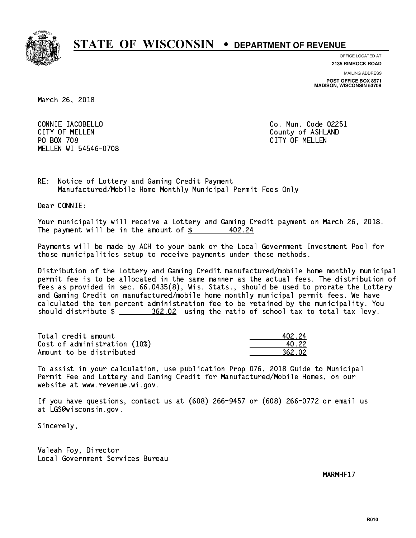

**OFFICE LOCATED AT**

**2135 RIMROCK ROAD**

**MAILING ADDRESS**

**POST OFFICE BOX 8971 MADISON, WISCONSIN 53708**

March 26, 2018

 CONNIE IACOBELLO Co. Mun. Code 02251 CITY OF MELLEN COUNTY OF ASHLAND PO BOX 708 CITY OF MELLEN MELLEN WI 54546-0708

RE: Notice of Lottery and Gaming Credit Payment Manufactured/Mobile Home Monthly Municipal Permit Fees Only

Dear CONNIE:

 Your municipality will receive a Lottery and Gaming Credit payment on March 26, 2018. The payment will be in the amount of  $\frac{2}{3}$ 402.24

 Payments will be made by ACH to your bank or the Local Government Investment Pool for those municipalities setup to receive payments under these methods.

 Distribution of the Lottery and Gaming Credit manufactured/mobile home monthly municipal permit fee is to be allocated in the same manner as the actual fees. The distribution of fees as provided in sec. 66.0435(8), Wis. Stats., should be used to prorate the Lottery and Gaming Credit on manufactured/mobile home monthly municipal permit fees. We have calculated the ten percent administration fee to be retained by the municipality. You should distribute  $\frac{2}{2}$   $\frac{362.02}{2}$  using the ratio of school tax to total tax levy.

Total credit amount Cost of administration (10%) Amount to be distributed

| 12.24  |
|--------|
| 1.22   |
| 162.02 |

 To assist in your calculation, use publication Prop 076, 2018 Guide to Municipal Permit Fee and Lottery and Gaming Credit for Manufactured/Mobile Homes, on our website at www.revenue.wi.gov.

 If you have questions, contact us at (608) 266-9457 or (608) 266-0772 or email us at LGS@wisconsin.gov.

Sincerely,

 Valeah Foy, Director Local Government Services Bureau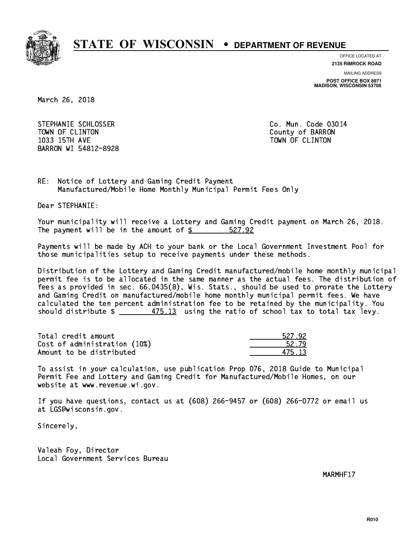

**OFFICE LOCATED AT**

**2135 RIMROCK ROAD**

**MAILING ADDRESS POST OFFICE BOX 8971 MADISON, WISCONSIN 53708**

March 26, 2018

STEPHANIE SCHLOSSER CO. Mun. Code 03014 TOWN OF CLINTON County of BARRON 1033 15TH AVE TOWN OF CLINTON BARRON WI 54812-8928

RE: Notice of Lottery and Gaming Credit Payment Manufactured/Mobile Home Monthly Municipal Permit Fees Only

Dear STEPHANIE:

 Your municipality will receive a Lottery and Gaming Credit payment on March 26, 2018. The payment will be in the amount of \$ 527.92 \_\_\_\_\_\_\_\_\_\_\_\_\_\_\_\_

 Payments will be made by ACH to your bank or the Local Government Investment Pool for those municipalities setup to receive payments under these methods.

 Distribution of the Lottery and Gaming Credit manufactured/mobile home monthly municipal permit fee is to be allocated in the same manner as the actual fees. The distribution of fees as provided in sec. 66.0435(8), Wis. Stats., should be used to prorate the Lottery and Gaming Credit on manufactured/mobile home monthly municipal permit fees. We have calculated the ten percent administration fee to be retained by the municipality. You should distribute  $\frac{2}{1}$   $\frac{475.13}{13}$  using the ratio of school tax to total tax levy.

Total credit amount Cost of administration (10%) Amount to be distributed

| <b>127 -</b><br>42. |
|---------------------|
| 52. ZY              |
| - १२                |

 To assist in your calculation, use publication Prop 076, 2018 Guide to Municipal Permit Fee and Lottery and Gaming Credit for Manufactured/Mobile Homes, on our website at www.revenue.wi.gov.

 If you have questions, contact us at (608) 266-9457 or (608) 266-0772 or email us at LGS@wisconsin.gov.

Sincerely,

 Valeah Foy, Director Local Government Services Bureau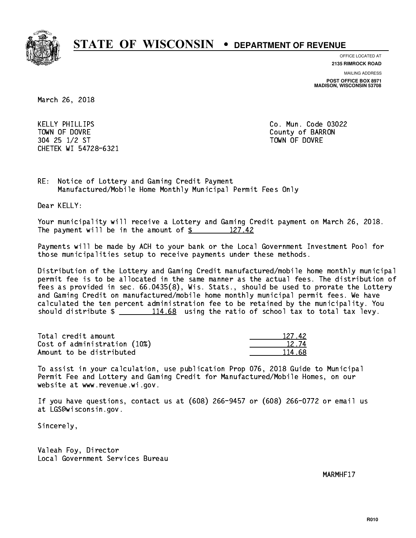

**OFFICE LOCATED AT 2135 RIMROCK ROAD**

**MAILING ADDRESS**

**POST OFFICE BOX 8971 MADISON, WISCONSIN 53708**

March 26, 2018

 KELLY PHILLIPS Co. Mun. Code 03022 TOWN OF DOVRE County of BARRON 304 25 1/2 ST TOWN OF DOVRE CHETEK WI 54728-6321

RE: Notice of Lottery and Gaming Credit Payment Manufactured/Mobile Home Monthly Municipal Permit Fees Only

Dear KELLY:

 Your municipality will receive a Lottery and Gaming Credit payment on March 26, 2018. The payment will be in the amount of  $\frac{2}{3}$  127.42

 Payments will be made by ACH to your bank or the Local Government Investment Pool for those municipalities setup to receive payments under these methods.

 Distribution of the Lottery and Gaming Credit manufactured/mobile home monthly municipal permit fee is to be allocated in the same manner as the actual fees. The distribution of fees as provided in sec. 66.0435(8), Wis. Stats., should be used to prorate the Lottery and Gaming Credit on manufactured/mobile home monthly municipal permit fees. We have calculated the ten percent administration fee to be retained by the municipality. You should distribute  $\frac{114.68}{114.68}$  using the ratio of school tax to total tax levy.

Total credit amount Cost of administration (10%) Amount to be distributed

| 12.<br>・ツフー |
|-------------|
| 1274        |
| .ν<br>וו    |

 To assist in your calculation, use publication Prop 076, 2018 Guide to Municipal Permit Fee and Lottery and Gaming Credit for Manufactured/Mobile Homes, on our website at www.revenue.wi.gov.

 If you have questions, contact us at (608) 266-9457 or (608) 266-0772 or email us at LGS@wisconsin.gov.

Sincerely,

 Valeah Foy, Director Local Government Services Bureau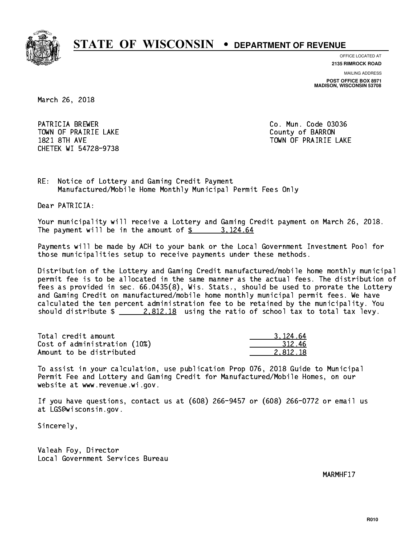

**OFFICE LOCATED AT**

**2135 RIMROCK ROAD**

**MAILING ADDRESS**

**POST OFFICE BOX 8971 MADISON, WISCONSIN 53708**

March 26, 2018

PATRICIA BREWER **Co. Mun. Code 03036** TOWN OF PRAIRIE LAKE **COUNTY OF SALES IN TOWAL COUNTY OF BARRON** CHETEK WI 54728-9738

1821 8TH AVE TOWN OF PRAIRIE LAKE

RE: Notice of Lottery and Gaming Credit Payment Manufactured/Mobile Home Monthly Municipal Permit Fees Only

Dear PATRICIA:

 Your municipality will receive a Lottery and Gaming Credit payment on March 26, 2018. The payment will be in the amount of  $\frac{2}{3}$  3,124.64

 Payments will be made by ACH to your bank or the Local Government Investment Pool for those municipalities setup to receive payments under these methods.

 Distribution of the Lottery and Gaming Credit manufactured/mobile home monthly municipal permit fee is to be allocated in the same manner as the actual fees. The distribution of fees as provided in sec. 66.0435(8), Wis. Stats., should be used to prorate the Lottery and Gaming Credit on manufactured/mobile home monthly municipal permit fees. We have calculated the ten percent administration fee to be retained by the municipality. You should distribute  $\frac{2.812.18}{ }$  using the ratio of school tax to total tax levy.

| Total credit amount          | 3.124.64 |
|------------------------------|----------|
| Cost of administration (10%) | -312.46  |
| Amount to be distributed     | 2.812.18 |

 To assist in your calculation, use publication Prop 076, 2018 Guide to Municipal Permit Fee and Lottery and Gaming Credit for Manufactured/Mobile Homes, on our website at www.revenue.wi.gov.

 If you have questions, contact us at (608) 266-9457 or (608) 266-0772 or email us at LGS@wisconsin.gov.

Sincerely,

 Valeah Foy, Director Local Government Services Bureau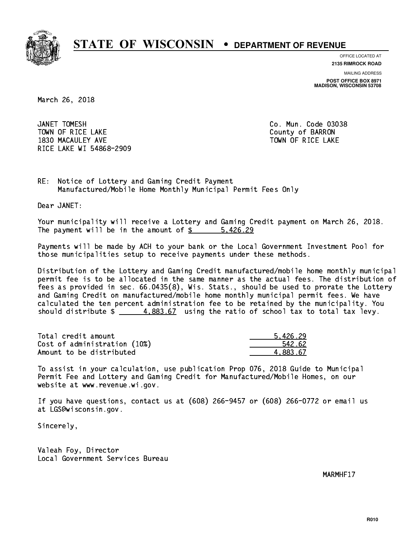

**OFFICE LOCATED AT**

**2135 RIMROCK ROAD**

**MAILING ADDRESS POST OFFICE BOX 8971 MADISON, WISCONSIN 53708**

March 26, 2018

JANET TOMESH TOWN OF RICE LAKE **THE COUNTY OF BARRON** 1830 MACAULEY AVE **TOWN OF RICE LAKE** RICE LAKE WI 54868-2909

Co. Mun. Code 03038

RE: Notice of Lottery and Gaming Credit Payment Manufactured/Mobile Home Monthly Municipal Permit Fees Only

Dear JANET:

 Your municipality will receive a Lottery and Gaming Credit payment on March 26, 2018. The payment will be in the amount of \$ 5,426.29 \_\_\_\_\_\_\_\_\_\_\_\_\_\_\_\_

 Payments will be made by ACH to your bank or the Local Government Investment Pool for those municipalities setup to receive payments under these methods.

 Distribution of the Lottery and Gaming Credit manufactured/mobile home monthly municipal permit fee is to be allocated in the same manner as the actual fees. The distribution of fees as provided in sec. 66.0435(8), Wis. Stats., should be used to prorate the Lottery and Gaming Credit on manufactured/mobile home monthly municipal permit fees. We have calculated the ten percent administration fee to be retained by the municipality. You should distribute  $\frac{4.883.67}{4.883.67}$  using the ratio of school tax to total tax levy.

| Total credit amount          | 5.426.29 |
|------------------------------|----------|
| Cost of administration (10%) | 542.62   |
| Amount to be distributed     | 4.883.67 |

 To assist in your calculation, use publication Prop 076, 2018 Guide to Municipal Permit Fee and Lottery and Gaming Credit for Manufactured/Mobile Homes, on our website at www.revenue.wi.gov.

 If you have questions, contact us at (608) 266-9457 or (608) 266-0772 or email us at LGS@wisconsin.gov.

Sincerely,

 Valeah Foy, Director Local Government Services Bureau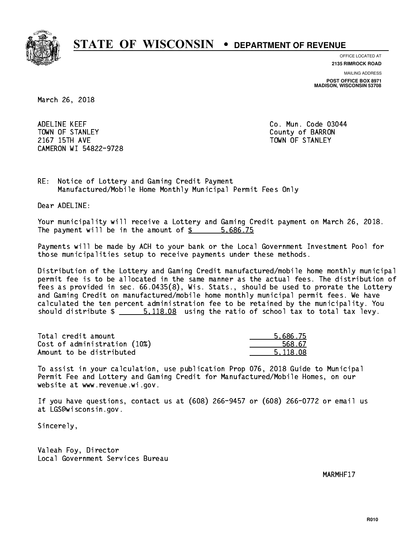

**OFFICE LOCATED AT**

**2135 RIMROCK ROAD**

**MAILING ADDRESS POST OFFICE BOX 8971 MADISON, WISCONSIN 53708**

March 26, 2018

 ADELINE KEEF Co. Mun. Code 03044 TOWN OF STANLEY COUNTY COUNTY OF BARRON 2167 15TH AVE TOWN OF STANLEY CAMERON WI 54822-9728

RE: Notice of Lottery and Gaming Credit Payment Manufactured/Mobile Home Monthly Municipal Permit Fees Only

Dear ADELINE:

 Your municipality will receive a Lottery and Gaming Credit payment on March 26, 2018. The payment will be in the amount of \$ 5,686.75 \_\_\_\_\_\_\_\_\_\_\_\_\_\_\_\_

 Payments will be made by ACH to your bank or the Local Government Investment Pool for those municipalities setup to receive payments under these methods.

 Distribution of the Lottery and Gaming Credit manufactured/mobile home monthly municipal permit fee is to be allocated in the same manner as the actual fees. The distribution of fees as provided in sec. 66.0435(8), Wis. Stats., should be used to prorate the Lottery and Gaming Credit on manufactured/mobile home monthly municipal permit fees. We have calculated the ten percent administration fee to be retained by the municipality. You should distribute  $\frac{2}{1}$   $\frac{5,118.08}{2}$  using the ratio of school tax to total tax levy.

| Total credit amount          | 5.686.75 |
|------------------------------|----------|
| Cost of administration (10%) | 568.67   |
| Amount to be distributed     | 5.118.08 |

 To assist in your calculation, use publication Prop 076, 2018 Guide to Municipal Permit Fee and Lottery and Gaming Credit for Manufactured/Mobile Homes, on our website at www.revenue.wi.gov.

 If you have questions, contact us at (608) 266-9457 or (608) 266-0772 or email us at LGS@wisconsin.gov.

Sincerely,

 Valeah Foy, Director Local Government Services Bureau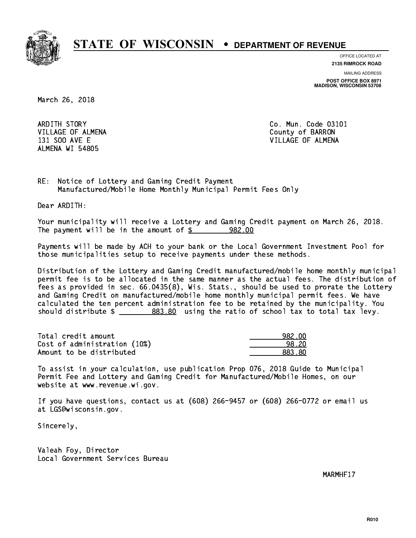

**OFFICE LOCATED AT**

**2135 RIMROCK ROAD**

**MAILING ADDRESS POST OFFICE BOX 8971 MADISON, WISCONSIN 53708**

March 26, 2018

 ARDITH STORY Co. Mun. Code 03101 VILLAGE OF ALMENA County of BARRON ALMENA WI 54805

131 SOO AVE E VILLAGE OF ALMENA

RE: Notice of Lottery and Gaming Credit Payment Manufactured/Mobile Home Monthly Municipal Permit Fees Only

Dear ARDITH:

 Your municipality will receive a Lottery and Gaming Credit payment on March 26, 2018. The payment will be in the amount of  $\frac{2}{3}$  982.00

 Payments will be made by ACH to your bank or the Local Government Investment Pool for those municipalities setup to receive payments under these methods.

 Distribution of the Lottery and Gaming Credit manufactured/mobile home monthly municipal permit fee is to be allocated in the same manner as the actual fees. The distribution of fees as provided in sec. 66.0435(8), Wis. Stats., should be used to prorate the Lottery and Gaming Credit on manufactured/mobile home monthly municipal permit fees. We have calculated the ten percent administration fee to be retained by the municipality. You should distribute  $\frac{2083.80}{1000}$  using the ratio of school tax to total tax levy.

| Total credit amount          | 982.00 |
|------------------------------|--------|
| Cost of administration (10%) | 98.20  |
| Amount to be distributed     | 883.80 |

 To assist in your calculation, use publication Prop 076, 2018 Guide to Municipal Permit Fee and Lottery and Gaming Credit for Manufactured/Mobile Homes, on our website at www.revenue.wi.gov.

 If you have questions, contact us at (608) 266-9457 or (608) 266-0772 or email us at LGS@wisconsin.gov.

Sincerely,

 Valeah Foy, Director Local Government Services Bureau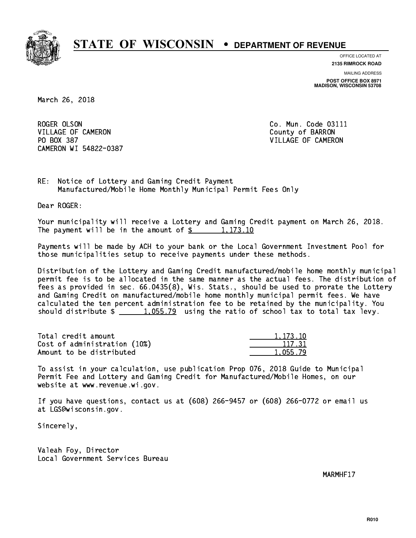

**OFFICE LOCATED AT**

**2135 RIMROCK ROAD**

**MAILING ADDRESS POST OFFICE BOX 8971 MADISON, WISCONSIN 53708**

March 26, 2018

ROGER OLSON VILLAGE OF CAMERON COUNTY OF BARRON PO BOX 387 VILLAGE OF CAMERON CAMERON WI 54822-0387

Co. Mun. Code 03111

RE: Notice of Lottery and Gaming Credit Payment Manufactured/Mobile Home Monthly Municipal Permit Fees Only

Dear ROGER:

 Your municipality will receive a Lottery and Gaming Credit payment on March 26, 2018. The payment will be in the amount of  $\frac{2}{3}$  1,173.10

 Payments will be made by ACH to your bank or the Local Government Investment Pool for those municipalities setup to receive payments under these methods.

 Distribution of the Lottery and Gaming Credit manufactured/mobile home monthly municipal permit fee is to be allocated in the same manner as the actual fees. The distribution of fees as provided in sec. 66.0435(8), Wis. Stats., should be used to prorate the Lottery and Gaming Credit on manufactured/mobile home monthly municipal permit fees. We have calculated the ten percent administration fee to be retained by the municipality. You should distribute  $\frac{1.055.79}{1.055.79}$  using the ratio of school tax to total tax levy.

| Total credit amount          | 1.173.10 |
|------------------------------|----------|
| Cost of administration (10%) | 117.31   |
| Amount to be distributed     | 1,055.79 |

 To assist in your calculation, use publication Prop 076, 2018 Guide to Municipal Permit Fee and Lottery and Gaming Credit for Manufactured/Mobile Homes, on our website at www.revenue.wi.gov.

 If you have questions, contact us at (608) 266-9457 or (608) 266-0772 or email us at LGS@wisconsin.gov.

Sincerely,

 Valeah Foy, Director Local Government Services Bureau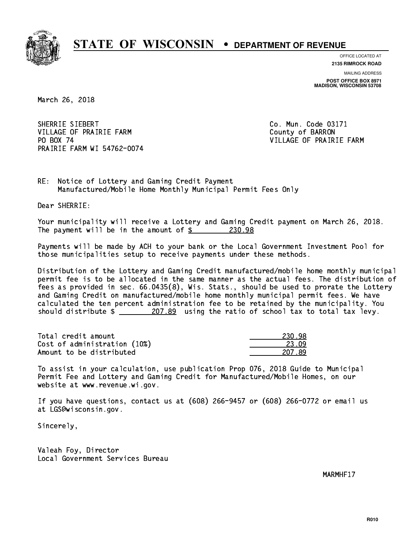

**OFFICE LOCATED AT**

**2135 RIMROCK ROAD**

**MAILING ADDRESS POST OFFICE BOX 8971 MADISON, WISCONSIN 53708**

March 26, 2018

SHERRIE SIEBERT Co. Mun. Code 03171 VILLAGE OF PRAIRIE FARM COUNTY OF BARRON PO BOX 74 PRAIRIE FARM WI 54762-0074

VILLAGE OF PRAIRIE FARM

RE: Notice of Lottery and Gaming Credit Payment Manufactured/Mobile Home Monthly Municipal Permit Fees Only

Dear SHERRIE:

 Your municipality will receive a Lottery and Gaming Credit payment on March 26, 2018. The payment will be in the amount of  $$ 230.98$ 

 Payments will be made by ACH to your bank or the Local Government Investment Pool for those municipalities setup to receive payments under these methods.

 Distribution of the Lottery and Gaming Credit manufactured/mobile home monthly municipal permit fee is to be allocated in the same manner as the actual fees. The distribution of fees as provided in sec. 66.0435(8), Wis. Stats., should be used to prorate the Lottery and Gaming Credit on manufactured/mobile home monthly municipal permit fees. We have calculated the ten percent administration fee to be retained by the municipality. You should distribute  $\frac{207.89}{207.89}$  using the ratio of school tax to total tax levy.

Total credit amount Cost of administration (10%) Amount to be distributed

| 18.<br>- 7 -                 |
|------------------------------|
| 19<br>23. O                  |
| чy<br>$1/\lambda$<br>.,<br>ſ |

 To assist in your calculation, use publication Prop 076, 2018 Guide to Municipal Permit Fee and Lottery and Gaming Credit for Manufactured/Mobile Homes, on our website at www.revenue.wi.gov.

 If you have questions, contact us at (608) 266-9457 or (608) 266-0772 or email us at LGS@wisconsin.gov.

Sincerely,

 Valeah Foy, Director Local Government Services Bureau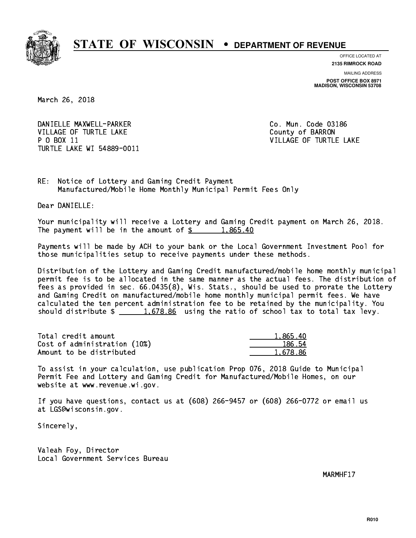

**OFFICE LOCATED AT**

**2135 RIMROCK ROAD**

**MAILING ADDRESS POST OFFICE BOX 8971 MADISON, WISCONSIN 53708**

March 26, 2018

DANIELLE MAXWELL-PARKER CO. Mun. Code 03186 VILLAGE OF TURTLE LAKE County of BARRON P O BOX 11 VILLAGE OF TURTLE LAKE TURTLE LAKE WI 54889-0011

RE: Notice of Lottery and Gaming Credit Payment Manufactured/Mobile Home Monthly Municipal Permit Fees Only

Dear DANIELLE:

 Your municipality will receive a Lottery and Gaming Credit payment on March 26, 2018. The payment will be in the amount of  $\frac{2}{3}$  1,865.40

 Payments will be made by ACH to your bank or the Local Government Investment Pool for those municipalities setup to receive payments under these methods.

 Distribution of the Lottery and Gaming Credit manufactured/mobile home monthly municipal permit fee is to be allocated in the same manner as the actual fees. The distribution of fees as provided in sec. 66.0435(8), Wis. Stats., should be used to prorate the Lottery and Gaming Credit on manufactured/mobile home monthly municipal permit fees. We have calculated the ten percent administration fee to be retained by the municipality. You should distribute  $\frac{1.678.86}{1.678.86}$  using the ratio of school tax to total tax levy.

| Total credit amount          | 1,865.40 |
|------------------------------|----------|
| Cost of administration (10%) | 186.54   |
| Amount to be distributed     | 1.678.86 |

 To assist in your calculation, use publication Prop 076, 2018 Guide to Municipal Permit Fee and Lottery and Gaming Credit for Manufactured/Mobile Homes, on our website at www.revenue.wi.gov.

 If you have questions, contact us at (608) 266-9457 or (608) 266-0772 or email us at LGS@wisconsin.gov.

Sincerely,

 Valeah Foy, Director Local Government Services Bureau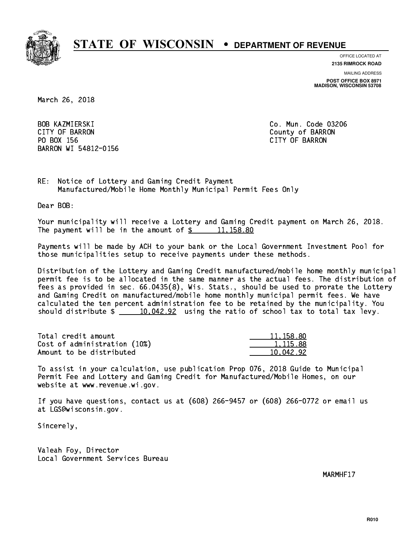

**OFFICE LOCATED AT**

**2135 RIMROCK ROAD**

**MAILING ADDRESS**

**POST OFFICE BOX 8971 MADISON, WISCONSIN 53708**

March 26, 2018

 BOB KAZMIERSKI Co. Mun. Code 03206 CITY OF BARRON County of BARRON PO BOX 156 CITY OF BARRON BARRON WI 54812-0156

RE: Notice of Lottery and Gaming Credit Payment Manufactured/Mobile Home Monthly Municipal Permit Fees Only

Dear BOB:

 Your municipality will receive a Lottery and Gaming Credit payment on March 26, 2018. The payment will be in the amount of  $\frac{2}{3}$  11,158.80

 Payments will be made by ACH to your bank or the Local Government Investment Pool for those municipalities setup to receive payments under these methods.

 Distribution of the Lottery and Gaming Credit manufactured/mobile home monthly municipal permit fee is to be allocated in the same manner as the actual fees. The distribution of fees as provided in sec. 66.0435(8), Wis. Stats., should be used to prorate the Lottery and Gaming Credit on manufactured/mobile home monthly municipal permit fees. We have calculated the ten percent administration fee to be retained by the municipality. You should distribute  $\frac{10,042.92}{10,042.92}$  using the ratio of school tax to total tax levy.

| Total credit amount          | 11,158.80 |
|------------------------------|-----------|
| Cost of administration (10%) | 1.115.88  |
| Amount to be distributed     | 10.042.92 |

 To assist in your calculation, use publication Prop 076, 2018 Guide to Municipal Permit Fee and Lottery and Gaming Credit for Manufactured/Mobile Homes, on our website at www.revenue.wi.gov.

 If you have questions, contact us at (608) 266-9457 or (608) 266-0772 or email us at LGS@wisconsin.gov.

Sincerely,

 Valeah Foy, Director Local Government Services Bureau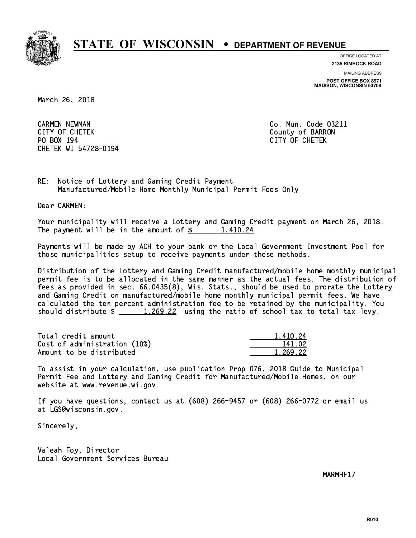

**OFFICE LOCATED AT**

**2135 RIMROCK ROAD**

**MAILING ADDRESS POST OFFICE BOX 8971 MADISON, WISCONSIN 53708**

March 26, 2018

 CARMEN NEWMAN Co. Mun. Code 03211 CITY OF CHETEK County of BARRON PO BOX 194 CITY OF CHETEK CHETEK WI 54728-0194

RE: Notice of Lottery and Gaming Credit Payment Manufactured/Mobile Home Monthly Municipal Permit Fees Only

Dear CARMEN:

 Your municipality will receive a Lottery and Gaming Credit payment on March 26, 2018. The payment will be in the amount of  $\frac{2}{1,410.24}$ 

 Payments will be made by ACH to your bank or the Local Government Investment Pool for those municipalities setup to receive payments under these methods.

 Distribution of the Lottery and Gaming Credit manufactured/mobile home monthly municipal permit fee is to be allocated in the same manner as the actual fees. The distribution of fees as provided in sec. 66.0435(8), Wis. Stats., should be used to prorate the Lottery and Gaming Credit on manufactured/mobile home monthly municipal permit fees. We have calculated the ten percent administration fee to be retained by the municipality. You should distribute  $\frac{1,269.22}{1,269.22}$  using the ratio of school tax to total tax levy.

| Total credit amount          | 1.410.24 |
|------------------------------|----------|
| Cost of administration (10%) | 141.02   |
| Amount to be distributed     | 1.269.22 |

 To assist in your calculation, use publication Prop 076, 2018 Guide to Municipal Permit Fee and Lottery and Gaming Credit for Manufactured/Mobile Homes, on our website at www.revenue.wi.gov.

 If you have questions, contact us at (608) 266-9457 or (608) 266-0772 or email us at LGS@wisconsin.gov.

Sincerely,

 Valeah Foy, Director Local Government Services Bureau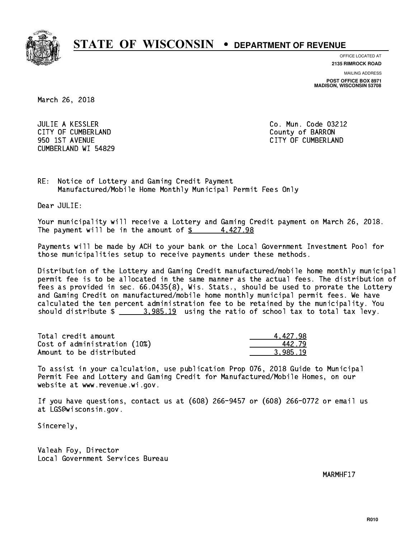

**OFFICE LOCATED AT**

**MAILING ADDRESS 2135 RIMROCK ROAD**

**POST OFFICE BOX 8971 MADISON, WISCONSIN 53708**

March 26, 2018

 JULIE A KESSLER Co. Mun. Code 03212 CITY OF CUMBERLAND COUNTY COUNTY OF BARRON 950 1ST AVENUE CITY OF CUMBERLAND CUMBERLAND WI 54829

RE: Notice of Lottery and Gaming Credit Payment Manufactured/Mobile Home Monthly Municipal Permit Fees Only

Dear JULIE:

 Your municipality will receive a Lottery and Gaming Credit payment on March 26, 2018. The payment will be in the amount of  $\frac{2}{3}$  4,427.98

 Payments will be made by ACH to your bank or the Local Government Investment Pool for those municipalities setup to receive payments under these methods.

 Distribution of the Lottery and Gaming Credit manufactured/mobile home monthly municipal permit fee is to be allocated in the same manner as the actual fees. The distribution of fees as provided in sec. 66.0435(8), Wis. Stats., should be used to prorate the Lottery and Gaming Credit on manufactured/mobile home monthly municipal permit fees. We have calculated the ten percent administration fee to be retained by the municipality. You should distribute  $\frac{2}{2}$   $\frac{3.985.19}{2}$  using the ratio of school tax to total tax levy.

| Total credit amount          | 4.427.98 |
|------------------------------|----------|
| Cost of administration (10%) | 442.79   |
| Amount to be distributed     | 3.985.19 |

 To assist in your calculation, use publication Prop 076, 2018 Guide to Municipal Permit Fee and Lottery and Gaming Credit for Manufactured/Mobile Homes, on our website at www.revenue.wi.gov.

 If you have questions, contact us at (608) 266-9457 or (608) 266-0772 or email us at LGS@wisconsin.gov.

Sincerely,

 Valeah Foy, Director Local Government Services Bureau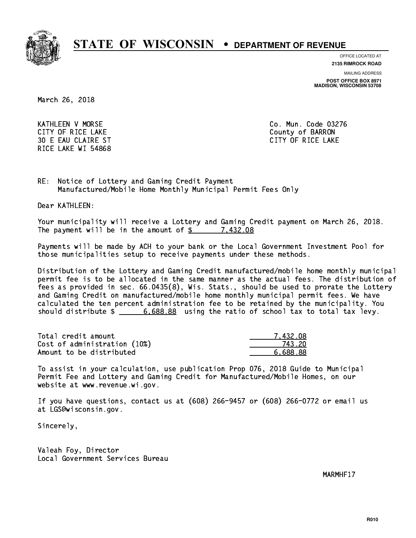

**OFFICE LOCATED AT**

**2135 RIMROCK ROAD**

**MAILING ADDRESS**

**POST OFFICE BOX 8971 MADISON, WISCONSIN 53708**

March 26, 2018

 KATHLEEN V MORSE Co. Mun. Code 03276 CITY OF RICE LAKE **COUNTY OF RICE LAKE**  30 E EAU CLAIRE ST CITY OF RICE LAKE RICE LAKE WI 54868

RE: Notice of Lottery and Gaming Credit Payment Manufactured/Mobile Home Monthly Municipal Permit Fees Only

Dear KATHLEEN:

 Your municipality will receive a Lottery and Gaming Credit payment on March 26, 2018. The payment will be in the amount of  $\frac{2}{3}$  7,432.08

 Payments will be made by ACH to your bank or the Local Government Investment Pool for those municipalities setup to receive payments under these methods.

 Distribution of the Lottery and Gaming Credit manufactured/mobile home monthly municipal permit fee is to be allocated in the same manner as the actual fees. The distribution of fees as provided in sec. 66.0435(8), Wis. Stats., should be used to prorate the Lottery and Gaming Credit on manufactured/mobile home monthly municipal permit fees. We have calculated the ten percent administration fee to be retained by the municipality. You should distribute  $\frac{2}{1}$   $\frac{6,688.88}{6.688.88}$  using the ratio of school tax to total tax levy.

| Total credit amount          | 7.432.08 |
|------------------------------|----------|
| Cost of administration (10%) | 743.20   |
| Amount to be distributed     | 6.688.88 |

 To assist in your calculation, use publication Prop 076, 2018 Guide to Municipal Permit Fee and Lottery and Gaming Credit for Manufactured/Mobile Homes, on our website at www.revenue.wi.gov.

 If you have questions, contact us at (608) 266-9457 or (608) 266-0772 or email us at LGS@wisconsin.gov.

Sincerely,

 Valeah Foy, Director Local Government Services Bureau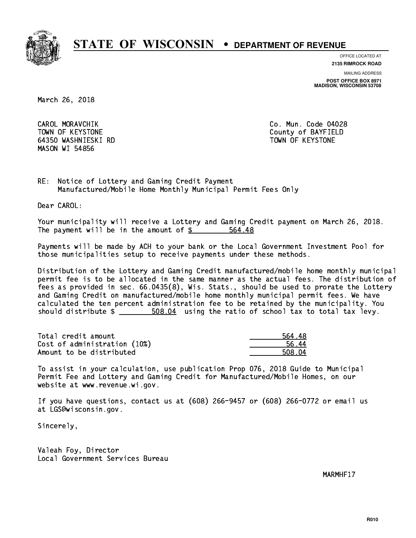

**OFFICE LOCATED AT**

**2135 RIMROCK ROAD**

**MAILING ADDRESS**

**POST OFFICE BOX 8971 MADISON, WISCONSIN 53708**

March 26, 2018

CAROL MORAVCHIK TOWN OF KEYSTONE COUNTY OF BAYFIELD 64350 WASHNIESKI RD TOWN OF KEYSTONE MASON WI 54856

Co. Mun. Code 04028

RE: Notice of Lottery and Gaming Credit Payment Manufactured/Mobile Home Monthly Municipal Permit Fees Only

Dear CAROL:

 Your municipality will receive a Lottery and Gaming Credit payment on March 26, 2018. The payment will be in the amount of \$ 564.48 \_\_\_\_\_\_\_\_\_\_\_\_\_\_\_\_

 Payments will be made by ACH to your bank or the Local Government Investment Pool for those municipalities setup to receive payments under these methods.

 Distribution of the Lottery and Gaming Credit manufactured/mobile home monthly municipal permit fee is to be allocated in the same manner as the actual fees. The distribution of fees as provided in sec. 66.0435(8), Wis. Stats., should be used to prorate the Lottery and Gaming Credit on manufactured/mobile home monthly municipal permit fees. We have calculated the ten percent administration fee to be retained by the municipality. You should distribute  $\frac{2}{1}$   $\frac{508.04}{1000}$  using the ratio of school tax to total tax levy.

Total credit amount and the set of the set of the set of the set of the set of the set of the set of the set o Cost of administration (10%) 56.44 \_\_\_\_\_\_\_\_\_\_\_\_\_\_ Amount to be distributed **508.04** 

 To assist in your calculation, use publication Prop 076, 2018 Guide to Municipal Permit Fee and Lottery and Gaming Credit for Manufactured/Mobile Homes, on our website at www.revenue.wi.gov.

 If you have questions, contact us at (608) 266-9457 or (608) 266-0772 or email us at LGS@wisconsin.gov.

Sincerely,

 Valeah Foy, Director Local Government Services Bureau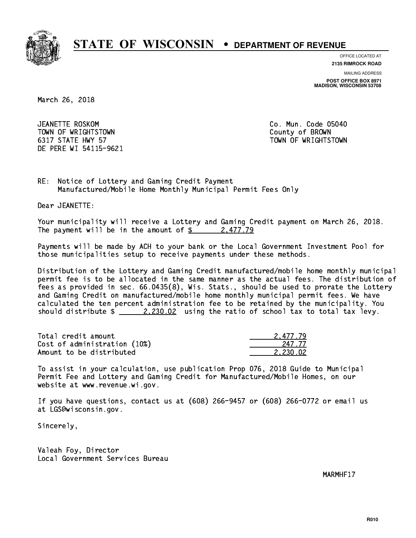

**OFFICE LOCATED AT**

**2135 RIMROCK ROAD**

**MAILING ADDRESS**

**POST OFFICE BOX 8971 MADISON, WISCONSIN 53708**

March 26, 2018

JEANETTE ROSKOM TOWN OF WRIGHTSTOWN County of BROWN 6317 STATE HWY 57 TOWN OF WRIGHTSTOWN DE PERE WI 54115-9621

Co. Mun. Code 05040

RE: Notice of Lottery and Gaming Credit Payment Manufactured/Mobile Home Monthly Municipal Permit Fees Only

Dear JEANETTE:

 Your municipality will receive a Lottery and Gaming Credit payment on March 26, 2018. The payment will be in the amount of  $\frac{2477.79}{240}$ 

 Payments will be made by ACH to your bank or the Local Government Investment Pool for those municipalities setup to receive payments under these methods.

 Distribution of the Lottery and Gaming Credit manufactured/mobile home monthly municipal permit fee is to be allocated in the same manner as the actual fees. The distribution of fees as provided in sec. 66.0435(8), Wis. Stats., should be used to prorate the Lottery and Gaming Credit on manufactured/mobile home monthly municipal permit fees. We have calculated the ten percent administration fee to be retained by the municipality. You should distribute  $\frac{2.230.02}{2.230.02}$  using the ratio of school tax to total tax levy.

| Total credit amount          | 2.477.79 |
|------------------------------|----------|
| Cost of administration (10%) | 247.77   |
| Amount to be distributed     | 2.230.02 |

 To assist in your calculation, use publication Prop 076, 2018 Guide to Municipal Permit Fee and Lottery and Gaming Credit for Manufactured/Mobile Homes, on our website at www.revenue.wi.gov.

 If you have questions, contact us at (608) 266-9457 or (608) 266-0772 or email us at LGS@wisconsin.gov.

Sincerely,

 Valeah Foy, Director Local Government Services Bureau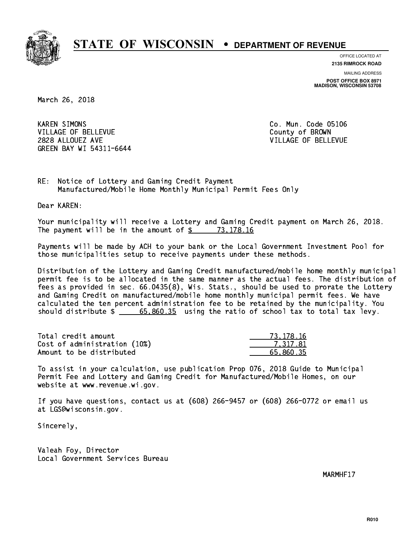

**OFFICE LOCATED AT**

**2135 RIMROCK ROAD**

**MAILING ADDRESS POST OFFICE BOX 8971 MADISON, WISCONSIN 53708**

March 26, 2018

**KAREN SIMONS** VILLAGE OF BELLEVUE COUNTY OF BROWN 2828 ALLOUEZ AVE VILLAGE OF BELLEVUE GREEN BAY WI 54311-6644

Co. Mun. Code 05106

RE: Notice of Lottery and Gaming Credit Payment Manufactured/Mobile Home Monthly Municipal Permit Fees Only

Dear KAREN:

 Your municipality will receive a Lottery and Gaming Credit payment on March 26, 2018. The payment will be in the amount of  $\frac{2}{3}$  73,178.16

 Payments will be made by ACH to your bank or the Local Government Investment Pool for those municipalities setup to receive payments under these methods.

 Distribution of the Lottery and Gaming Credit manufactured/mobile home monthly municipal permit fee is to be allocated in the same manner as the actual fees. The distribution of fees as provided in sec. 66.0435(8), Wis. Stats., should be used to prorate the Lottery and Gaming Credit on manufactured/mobile home monthly municipal permit fees. We have calculated the ten percent administration fee to be retained by the municipality. You should distribute  $\frac{2}{1}$   $\frac{65,860.35}{2}$  using the ratio of school tax to total tax levy.

| Total credit amount          | 73.178.16 |
|------------------------------|-----------|
| Cost of administration (10%) | 7.317.81  |
| Amount to be distributed     | 65.860.35 |

 To assist in your calculation, use publication Prop 076, 2018 Guide to Municipal Permit Fee and Lottery and Gaming Credit for Manufactured/Mobile Homes, on our website at www.revenue.wi.gov.

 If you have questions, contact us at (608) 266-9457 or (608) 266-0772 or email us at LGS@wisconsin.gov.

Sincerely,

 Valeah Foy, Director Local Government Services Bureau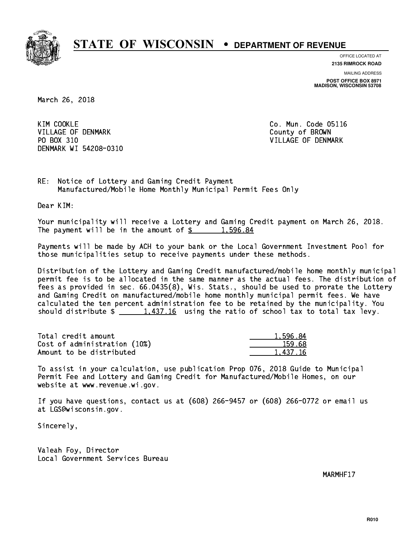

**OFFICE LOCATED AT**

**2135 RIMROCK ROAD**

**MAILING ADDRESS POST OFFICE BOX 8971 MADISON, WISCONSIN 53708**

March 26, 2018

KIM COOKLE VILLAGE OF DENMARK COUNTY OF BROWN PO BOX 310 VILLAGE OF DENMARK DENMARK WI 54208-0310

Co. Mun. Code 05116

RE: Notice of Lottery and Gaming Credit Payment Manufactured/Mobile Home Monthly Municipal Permit Fees Only

Dear KIM:

 Your municipality will receive a Lottery and Gaming Credit payment on March 26, 2018. The payment will be in the amount of  $\frac{2}{3}$  1,596.84

 Payments will be made by ACH to your bank or the Local Government Investment Pool for those municipalities setup to receive payments under these methods.

 Distribution of the Lottery and Gaming Credit manufactured/mobile home monthly municipal permit fee is to be allocated in the same manner as the actual fees. The distribution of fees as provided in sec. 66.0435(8), Wis. Stats., should be used to prorate the Lottery and Gaming Credit on manufactured/mobile home monthly municipal permit fees. We have calculated the ten percent administration fee to be retained by the municipality. You should distribute  $\frac{1,437.16}{1,437.16}$  using the ratio of school tax to total tax levy.

| Total credit amount          | 1.596.84 |
|------------------------------|----------|
| Cost of administration (10%) | 159.68   |
| Amount to be distributed     | 1.437.16 |

 To assist in your calculation, use publication Prop 076, 2018 Guide to Municipal Permit Fee and Lottery and Gaming Credit for Manufactured/Mobile Homes, on our website at www.revenue.wi.gov.

 If you have questions, contact us at (608) 266-9457 or (608) 266-0772 or email us at LGS@wisconsin.gov.

Sincerely,

 Valeah Foy, Director Local Government Services Bureau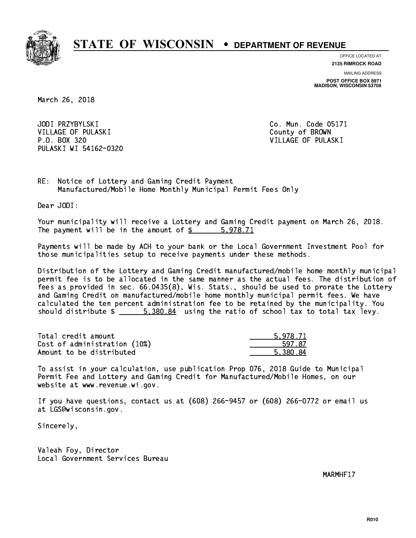

**OFFICE LOCATED AT**

**2135 RIMROCK ROAD**

**MAILING ADDRESS POST OFFICE BOX 8971 MADISON, WISCONSIN 53708**

March 26, 2018

JODI PRZYBYLSKI VILLAGE OF PULASKI COUNTY OF BROWN P.O. BOX 320 VILLAGE OF PULASKI PULASKI WI 54162-0320

Co. Mun. Code 05171

RE: Notice of Lottery and Gaming Credit Payment Manufactured/Mobile Home Monthly Municipal Permit Fees Only

Dear JODI:

 Your municipality will receive a Lottery and Gaming Credit payment on March 26, 2018. The payment will be in the amount of \$ 5,978.71 \_\_\_\_\_\_\_\_\_\_\_\_\_\_\_\_

 Payments will be made by ACH to your bank or the Local Government Investment Pool for those municipalities setup to receive payments under these methods.

 Distribution of the Lottery and Gaming Credit manufactured/mobile home monthly municipal permit fee is to be allocated in the same manner as the actual fees. The distribution of fees as provided in sec. 66.0435(8), Wis. Stats., should be used to prorate the Lottery and Gaming Credit on manufactured/mobile home monthly municipal permit fees. We have calculated the ten percent administration fee to be retained by the municipality. You should distribute  $\frac{2}{1}$   $\frac{5,380.84}{2}$  using the ratio of school tax to total tax levy.

| Total credit amount          | 5.978.71 |
|------------------------------|----------|
| Cost of administration (10%) | 597.87   |
| Amount to be distributed     | 5.380.84 |

 To assist in your calculation, use publication Prop 076, 2018 Guide to Municipal Permit Fee and Lottery and Gaming Credit for Manufactured/Mobile Homes, on our website at www.revenue.wi.gov.

 If you have questions, contact us at (608) 266-9457 or (608) 266-0772 or email us at LGS@wisconsin.gov.

Sincerely,

 Valeah Foy, Director Local Government Services Bureau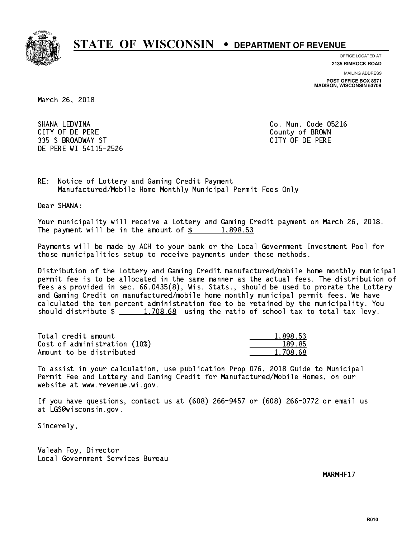

**OFFICE LOCATED AT**

**MAILING ADDRESS 2135 RIMROCK ROAD**

**POST OFFICE BOX 8971 MADISON, WISCONSIN 53708**

March 26, 2018

 SHANA LEDVINA Co. Mun. Code 05216 CITY OF DE PERE County of BROWN 335 S BROADWAY ST CITY OF DE PERE DE PERE WI 54115-2526

RE: Notice of Lottery and Gaming Credit Payment Manufactured/Mobile Home Monthly Municipal Permit Fees Only

Dear SHANA:

 Your municipality will receive a Lottery and Gaming Credit payment on March 26, 2018. The payment will be in the amount of  $\frac{2}{3}$  1,898.53

 Payments will be made by ACH to your bank or the Local Government Investment Pool for those municipalities setup to receive payments under these methods.

 Distribution of the Lottery and Gaming Credit manufactured/mobile home monthly municipal permit fee is to be allocated in the same manner as the actual fees. The distribution of fees as provided in sec. 66.0435(8), Wis. Stats., should be used to prorate the Lottery and Gaming Credit on manufactured/mobile home monthly municipal permit fees. We have calculated the ten percent administration fee to be retained by the municipality. You should distribute  $\frac{2}{1,708.68}$  using the ratio of school tax to total tax levy.

| Total credit amount          | 1,898.53 |
|------------------------------|----------|
| Cost of administration (10%) | 189.85   |
| Amount to be distributed     | 1,708.68 |

 To assist in your calculation, use publication Prop 076, 2018 Guide to Municipal Permit Fee and Lottery and Gaming Credit for Manufactured/Mobile Homes, on our website at www.revenue.wi.gov.

 If you have questions, contact us at (608) 266-9457 or (608) 266-0772 or email us at LGS@wisconsin.gov.

Sincerely,

 Valeah Foy, Director Local Government Services Bureau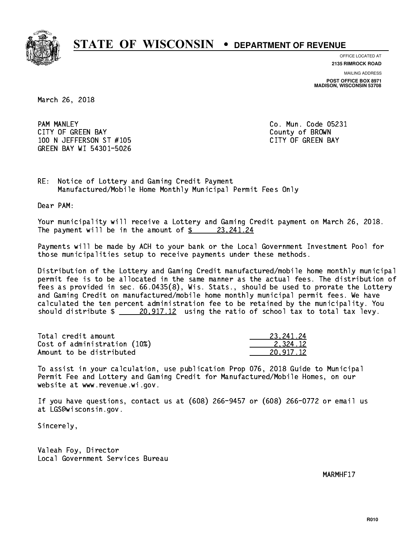

**OFFICE LOCATED AT**

**MAILING ADDRESS 2135 RIMROCK ROAD**

**POST OFFICE BOX 8971 MADISON, WISCONSIN 53708**

March 26, 2018

**PAM MANLEY** CITY OF GREEN BAY **COUNTY COULD A** COUNTY OF BROWN 100 N JEFFERSON ST #105 CONTROL CONTROLLER TO A SAME CAPACITY OF GREEN BAY GREEN BAY WI 54301-5026

Co. Mun. Code 05231

RE: Notice of Lottery and Gaming Credit Payment Manufactured/Mobile Home Monthly Municipal Permit Fees Only

Dear PAM:

 Your municipality will receive a Lottery and Gaming Credit payment on March 26, 2018. The payment will be in the amount of  $\frac{23,241.24}{24}$ 

 Payments will be made by ACH to your bank or the Local Government Investment Pool for those municipalities setup to receive payments under these methods.

 Distribution of the Lottery and Gaming Credit manufactured/mobile home monthly municipal permit fee is to be allocated in the same manner as the actual fees. The distribution of fees as provided in sec. 66.0435(8), Wis. Stats., should be used to prorate the Lottery and Gaming Credit on manufactured/mobile home monthly municipal permit fees. We have calculated the ten percent administration fee to be retained by the municipality. You should distribute  $\frac{20,917.12}{20,917.12}$  using the ratio of school tax to total tax levy.

| Total credit amount          | 23.241.24 |
|------------------------------|-----------|
| Cost of administration (10%) | 2.324.12  |
| Amount to be distributed     | 20.917.12 |

 To assist in your calculation, use publication Prop 076, 2018 Guide to Municipal Permit Fee and Lottery and Gaming Credit for Manufactured/Mobile Homes, on our website at www.revenue.wi.gov.

 If you have questions, contact us at (608) 266-9457 or (608) 266-0772 or email us at LGS@wisconsin.gov.

Sincerely,

 Valeah Foy, Director Local Government Services Bureau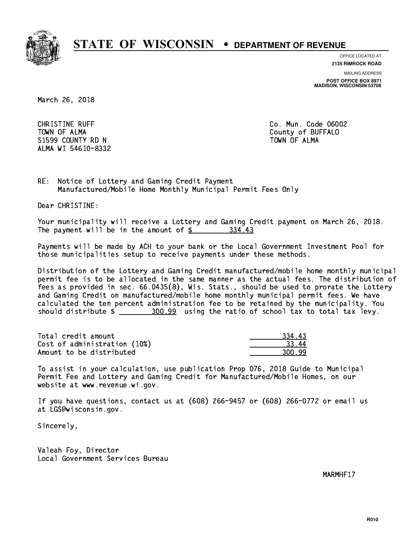

**OFFICE LOCATED AT**

**2135 RIMROCK ROAD**

**MAILING ADDRESS**

**POST OFFICE BOX 8971 MADISON, WISCONSIN 53708**

March 26, 2018

**CHRISTINE RUFF**  TOWN OF ALMA County of BUFFALO S1599 COUNTY RD N ALMA WI 54610-8332

Co. Mun. Code 06002 TOWN OF ALMA

RE: Notice of Lottery and Gaming Credit Payment Manufactured/Mobile Home Monthly Municipal Permit Fees Only

Dear CHRISTINE:

 Your municipality will receive a Lottery and Gaming Credit payment on March 26, 2018. The payment will be in the amount of \$ 334.43 \_\_\_\_\_\_\_\_\_\_\_\_\_\_\_\_

 Payments will be made by ACH to your bank or the Local Government Investment Pool for those municipalities setup to receive payments under these methods.

 Distribution of the Lottery and Gaming Credit manufactured/mobile home monthly municipal permit fee is to be allocated in the same manner as the actual fees. The distribution of fees as provided in sec. 66.0435(8), Wis. Stats., should be used to prorate the Lottery and Gaming Credit on manufactured/mobile home monthly municipal permit fees. We have calculated the ten percent administration fee to be retained by the municipality. You should distribute  $\frac{200.99}{2}$  using the ratio of school tax to total tax levy.

Total credit amount 334.43 Cost of administration (10%) 33.44 \_\_\_\_\_\_\_\_\_\_\_\_\_\_ Amount to be distributed 300.99

 To assist in your calculation, use publication Prop 076, 2018 Guide to Municipal Permit Fee and Lottery and Gaming Credit for Manufactured/Mobile Homes, on our website at www.revenue.wi.gov.

 If you have questions, contact us at (608) 266-9457 or (608) 266-0772 or email us at LGS@wisconsin.gov.

Sincerely,

 Valeah Foy, Director Local Government Services Bureau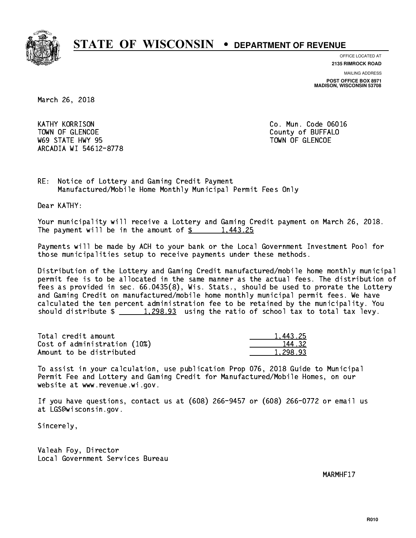

**OFFICE LOCATED AT**

**2135 RIMROCK ROAD**

**MAILING ADDRESS POST OFFICE BOX 8971 MADISON, WISCONSIN 53708**

March 26, 2018

**KATHY KORRISON** TOWN OF GLENCOE COUNTY OF BUFFALO where the state  $\sim$  state  $\sim$  state  $\sim$  state  $\sim$  state  $\sim$  state  $\sim$ ARCADIA WI 54612-8778

Co. Mun. Code 06016

RE: Notice of Lottery and Gaming Credit Payment Manufactured/Mobile Home Monthly Municipal Permit Fees Only

Dear KATHY:

 Your municipality will receive a Lottery and Gaming Credit payment on March 26, 2018. The payment will be in the amount of  $\frac{2}{3}$  1,443.25

 Payments will be made by ACH to your bank or the Local Government Investment Pool for those municipalities setup to receive payments under these methods.

 Distribution of the Lottery and Gaming Credit manufactured/mobile home monthly municipal permit fee is to be allocated in the same manner as the actual fees. The distribution of fees as provided in sec. 66.0435(8), Wis. Stats., should be used to prorate the Lottery and Gaming Credit on manufactured/mobile home monthly municipal permit fees. We have calculated the ten percent administration fee to be retained by the municipality. You should distribute  $\frac{1,298.93}{1,298.93}$  using the ratio of school tax to total tax levy.

| Total credit amount          | 1.443.25 |
|------------------------------|----------|
| Cost of administration (10%) | 144.32   |
| Amount to be distributed     | 1,298.93 |

 To assist in your calculation, use publication Prop 076, 2018 Guide to Municipal Permit Fee and Lottery and Gaming Credit for Manufactured/Mobile Homes, on our website at www.revenue.wi.gov.

 If you have questions, contact us at (608) 266-9457 or (608) 266-0772 or email us at LGS@wisconsin.gov.

Sincerely,

 Valeah Foy, Director Local Government Services Bureau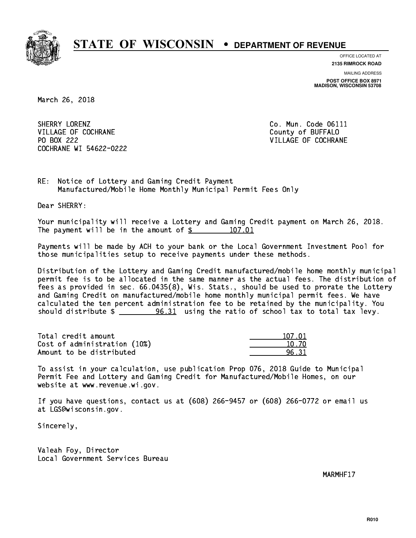

**OFFICE LOCATED AT**

**2135 RIMROCK ROAD**

**MAILING ADDRESS POST OFFICE BOX 8971 MADISON, WISCONSIN 53708**

March 26, 2018

SHERRY LORENZ VILLAGE OF COCHRANE COUNTY OF BUFFALO PO BOX 222 COCHRANE WI 54622-0222

Co. Mun. Code 06111 VILLAGE OF COCHRANE

RE: Notice of Lottery and Gaming Credit Payment Manufactured/Mobile Home Monthly Municipal Permit Fees Only

Dear SHERRY:

 Your municipality will receive a Lottery and Gaming Credit payment on March 26, 2018. The payment will be in the amount of \$ 107.01 \_\_\_\_\_\_\_\_\_\_\_\_\_\_\_\_

 Payments will be made by ACH to your bank or the Local Government Investment Pool for those municipalities setup to receive payments under these methods.

 Distribution of the Lottery and Gaming Credit manufactured/mobile home monthly municipal permit fee is to be allocated in the same manner as the actual fees. The distribution of fees as provided in sec. 66.0435(8), Wis. Stats., should be used to prorate the Lottery and Gaming Credit on manufactured/mobile home monthly municipal permit fees. We have calculated the ten percent administration fee to be retained by the municipality. You should distribute  $\frac{1}{2}$   $\frac{96.31}{2}$  using the ratio of school tax to total tax levy.

Total credit amount Cost of administration (10%) Amount to be distributed

| 17.01 |
|-------|
| N 70  |
| २ २ १ |

 To assist in your calculation, use publication Prop 076, 2018 Guide to Municipal Permit Fee and Lottery and Gaming Credit for Manufactured/Mobile Homes, on our website at www.revenue.wi.gov.

 If you have questions, contact us at (608) 266-9457 or (608) 266-0772 or email us at LGS@wisconsin.gov.

Sincerely,

 Valeah Foy, Director Local Government Services Bureau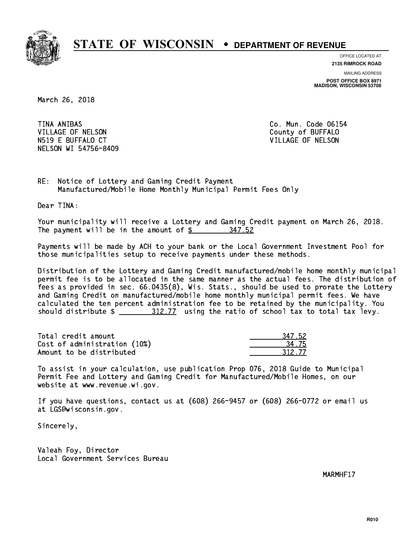

**OFFICE LOCATED AT 2135 RIMROCK ROAD**

**MAILING ADDRESS**

**POST OFFICE BOX 8971 MADISON, WISCONSIN 53708**

March 26, 2018

TINA ANIBAS VILLAGE OF NELSON N519 E BUFFALO CT VILLAGE OF NELSON NELSON WI 54756-8409

Co. Mun. Code 06154 County of BUFFALO

RE: Notice of Lottery and Gaming Credit Payment Manufactured/Mobile Home Monthly Municipal Permit Fees Only

Dear TINA:

 Your municipality will receive a Lottery and Gaming Credit payment on March 26, 2018. The payment will be in the amount of \$ 347.52 \_\_\_\_\_\_\_\_\_\_\_\_\_\_\_\_

 Payments will be made by ACH to your bank or the Local Government Investment Pool for those municipalities setup to receive payments under these methods.

 Distribution of the Lottery and Gaming Credit manufactured/mobile home monthly municipal permit fee is to be allocated in the same manner as the actual fees. The distribution of fees as provided in sec. 66.0435(8), Wis. Stats., should be used to prorate the Lottery and Gaming Credit on manufactured/mobile home monthly municipal permit fees. We have calculated the ten percent administration fee to be retained by the municipality. You should distribute  $\frac{2 \frac{312.77}{2}}{2 \frac{312.77}{2}}$  using the ratio of school tax to total tax levy.

| Total credit amount          | 347.52 |
|------------------------------|--------|
| Cost of administration (10%) | 34.75  |
| Amount to be distributed     | 312.77 |

| -52    |
|--------|
| 75     |
| 312.77 |

 To assist in your calculation, use publication Prop 076, 2018 Guide to Municipal Permit Fee and Lottery and Gaming Credit for Manufactured/Mobile Homes, on our website at www.revenue.wi.gov.

 If you have questions, contact us at (608) 266-9457 or (608) 266-0772 or email us at LGS@wisconsin.gov.

Sincerely,

 Valeah Foy, Director Local Government Services Bureau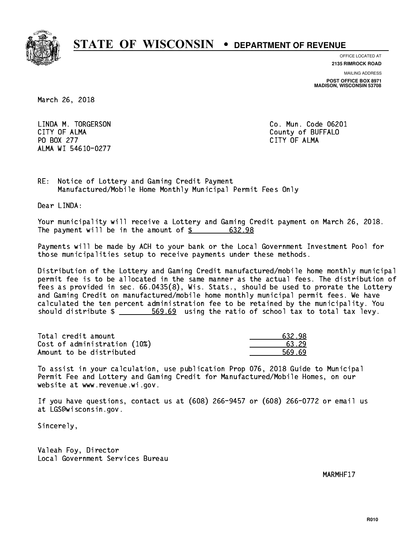

**OFFICE LOCATED AT 2135 RIMROCK ROAD**

**MAILING ADDRESS**

**POST OFFICE BOX 8971 MADISON, WISCONSIN 53708**

March 26, 2018

 LINDA M. TORGERSON Co. Mun. Code 06201 CITY OF ALMA County of BUFFALO PO BOX 277 CITY OF ALMA ALMA WI 54610-0277

RE: Notice of Lottery and Gaming Credit Payment Manufactured/Mobile Home Monthly Municipal Permit Fees Only

Dear LINDA:

 Your municipality will receive a Lottery and Gaming Credit payment on March 26, 2018. The payment will be in the amount of  $\frac{2}{3}$  632.98

 Payments will be made by ACH to your bank or the Local Government Investment Pool for those municipalities setup to receive payments under these methods.

 Distribution of the Lottery and Gaming Credit manufactured/mobile home monthly municipal permit fee is to be allocated in the same manner as the actual fees. The distribution of fees as provided in sec. 66.0435(8), Wis. Stats., should be used to prorate the Lottery and Gaming Credit on manufactured/mobile home monthly municipal permit fees. We have calculated the ten percent administration fee to be retained by the municipality. You should distribute  $\frac{2}{1}$   $\frac{569.69}{69}$  using the ratio of school tax to total tax levy.

| Total credit amount          | 632.98 |
|------------------------------|--------|
| Cost of administration (10%) | 63.29  |
| Amount to be distributed     | 569.69 |

 To assist in your calculation, use publication Prop 076, 2018 Guide to Municipal Permit Fee and Lottery and Gaming Credit for Manufactured/Mobile Homes, on our website at www.revenue.wi.gov.

 If you have questions, contact us at (608) 266-9457 or (608) 266-0772 or email us at LGS@wisconsin.gov.

Sincerely,

 Valeah Foy, Director Local Government Services Bureau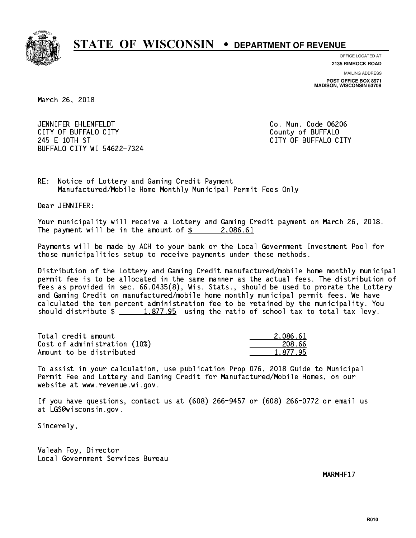

**OFFICE LOCATED AT**

**2135 RIMROCK ROAD**

**MAILING ADDRESS POST OFFICE BOX 8971 MADISON, WISCONSIN 53708**

March 26, 2018

 JENNIFER EHLENFELDT Co. Mun. Code 06206 CITY OF BUFFALO CITY **COULD ACCOUNT COULD COULD COULD** COUNTY COUNTY 245 E 10TH ST CITY OF BUFFALO CITY BUFFALO CITY WI 54622-7324

RE: Notice of Lottery and Gaming Credit Payment Manufactured/Mobile Home Monthly Municipal Permit Fees Only

Dear JENNIFER:

 Your municipality will receive a Lottery and Gaming Credit payment on March 26, 2018. The payment will be in the amount of  $\frac{2}{3}$  2,086.61

 Payments will be made by ACH to your bank or the Local Government Investment Pool for those municipalities setup to receive payments under these methods.

 Distribution of the Lottery and Gaming Credit manufactured/mobile home monthly municipal permit fee is to be allocated in the same manner as the actual fees. The distribution of fees as provided in sec. 66.0435(8), Wis. Stats., should be used to prorate the Lottery and Gaming Credit on manufactured/mobile home monthly municipal permit fees. We have calculated the ten percent administration fee to be retained by the municipality. You should distribute  $\frac{1.877.95}{1.877.95}$  using the ratio of school tax to total tax levy.

| Total credit amount          | 2.086.61 |
|------------------------------|----------|
| Cost of administration (10%) | 208.66   |
| Amount to be distributed     | 1.877.95 |

 To assist in your calculation, use publication Prop 076, 2018 Guide to Municipal Permit Fee and Lottery and Gaming Credit for Manufactured/Mobile Homes, on our website at www.revenue.wi.gov.

 If you have questions, contact us at (608) 266-9457 or (608) 266-0772 or email us at LGS@wisconsin.gov.

Sincerely,

 Valeah Foy, Director Local Government Services Bureau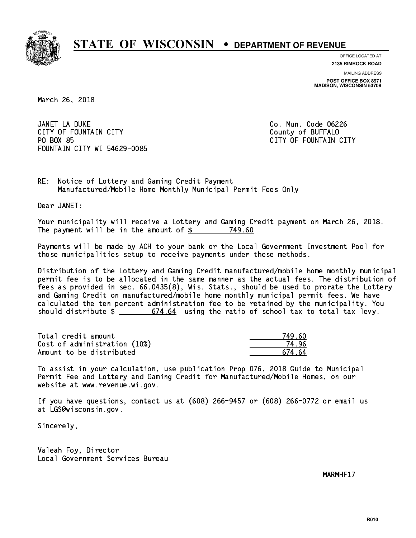

**OFFICE LOCATED AT**

**2135 RIMROCK ROAD**

**MAILING ADDRESS POST OFFICE BOX 8971 MADISON, WISCONSIN 53708**

March 26, 2018

 JANET LA DUKE Co. Mun. Code 06226 CITY OF FOUNTAIN CITY COUNTROLLED COUNTROLLED COUNTROLLED COUNTROLLED COUNTROLLED COUNTROLLED COUNTROLLED COUNTROLLED COUNTROLLED AT A COUNTROLLED COUNTROLLED AT A COUNTROLLED COUNTROLLED AT A COUNTROLLED COUNTROLLED AT A PO BOX 85 FOUNTAIN CITY WI 54629-0085

CITY OF FOUNTAIN CITY

RE: Notice of Lottery and Gaming Credit Payment Manufactured/Mobile Home Monthly Municipal Permit Fees Only

Dear JANET:

 Your municipality will receive a Lottery and Gaming Credit payment on March 26, 2018. The payment will be in the amount of \$ 749.60 \_\_\_\_\_\_\_\_\_\_\_\_\_\_\_\_

 Payments will be made by ACH to your bank or the Local Government Investment Pool for those municipalities setup to receive payments under these methods.

 Distribution of the Lottery and Gaming Credit manufactured/mobile home monthly municipal permit fee is to be allocated in the same manner as the actual fees. The distribution of fees as provided in sec. 66.0435(8), Wis. Stats., should be used to prorate the Lottery and Gaming Credit on manufactured/mobile home monthly municipal permit fees. We have calculated the ten percent administration fee to be retained by the municipality. You should distribute  $\frac{2}{1}$   $\frac{674.64}{674.64}$  using the ratio of school tax to total tax levy.

| Total credit amount          | 749 AN |
|------------------------------|--------|
| Cost of administration (10%) | 74 96  |
| Amount to be distributed     | 674 64 |

 To assist in your calculation, use publication Prop 076, 2018 Guide to Municipal Permit Fee and Lottery and Gaming Credit for Manufactured/Mobile Homes, on our website at www.revenue.wi.gov.

 If you have questions, contact us at (608) 266-9457 or (608) 266-0772 or email us at LGS@wisconsin.gov.

Sincerely,

 Valeah Foy, Director Local Government Services Bureau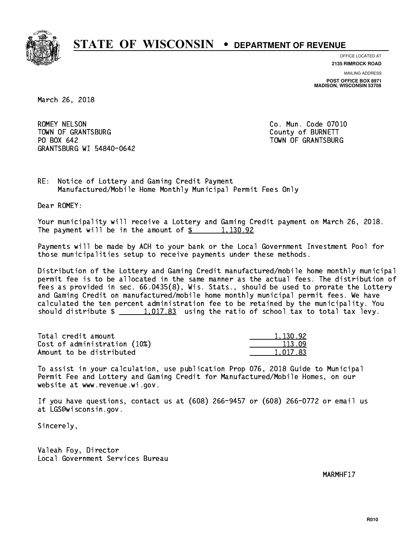

**OFFICE LOCATED AT**

**2135 RIMROCK ROAD**

**MAILING ADDRESS POST OFFICE BOX 8971 MADISON, WISCONSIN 53708**

March 26, 2018

ROMEY NELSON TOWN OF GRANTSBURG COUNTY OF BURNETT PO BOX 642 GRANTSBURG WI 54840-0642

Co. Mun. Code 07010 TOWN OF GRANTSBURG

RE: Notice of Lottery and Gaming Credit Payment Manufactured/Mobile Home Monthly Municipal Permit Fees Only

Dear ROMEY:

 Your municipality will receive a Lottery and Gaming Credit payment on March 26, 2018. The payment will be in the amount of  $\frac{2}{3}$  1,130.92

 Payments will be made by ACH to your bank or the Local Government Investment Pool for those municipalities setup to receive payments under these methods.

 Distribution of the Lottery and Gaming Credit manufactured/mobile home monthly municipal permit fee is to be allocated in the same manner as the actual fees. The distribution of fees as provided in sec. 66.0435(8), Wis. Stats., should be used to prorate the Lottery and Gaming Credit on manufactured/mobile home monthly municipal permit fees. We have calculated the ten percent administration fee to be retained by the municipality. You should distribute  $\frac{1,017.83}{1,017.83}$  using the ratio of school tax to total tax levy.

| Total credit amount          | 1,130.92 |
|------------------------------|----------|
| Cost of administration (10%) | 113.09   |
| Amount to be distributed     | 1.017.83 |

 To assist in your calculation, use publication Prop 076, 2018 Guide to Municipal Permit Fee and Lottery and Gaming Credit for Manufactured/Mobile Homes, on our website at www.revenue.wi.gov.

 If you have questions, contact us at (608) 266-9457 or (608) 266-0772 or email us at LGS@wisconsin.gov.

Sincerely,

 Valeah Foy, Director Local Government Services Bureau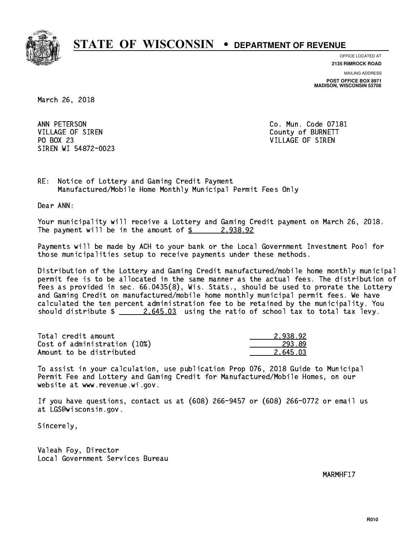

**OFFICE LOCATED AT**

**2135 RIMROCK ROAD**

**MAILING ADDRESS POST OFFICE BOX 8971 MADISON, WISCONSIN 53708**

March 26, 2018

ANN PETERSON VILLAGE OF SIREN COUNTY OF BURNETT PO BOX 23 PO BOX 23 VILLAGE OF SIREN SIREN WI 54872-0023

Co. Mun. Code 07181

RE: Notice of Lottery and Gaming Credit Payment Manufactured/Mobile Home Monthly Municipal Permit Fees Only

Dear ANN:

 Your municipality will receive a Lottery and Gaming Credit payment on March 26, 2018. The payment will be in the amount of  $\frac{2}{3}$  2,938.92

 Payments will be made by ACH to your bank or the Local Government Investment Pool for those municipalities setup to receive payments under these methods.

 Distribution of the Lottery and Gaming Credit manufactured/mobile home monthly municipal permit fee is to be allocated in the same manner as the actual fees. The distribution of fees as provided in sec. 66.0435(8), Wis. Stats., should be used to prorate the Lottery and Gaming Credit on manufactured/mobile home monthly municipal permit fees. We have calculated the ten percent administration fee to be retained by the municipality. You should distribute  $\frac{2.645.03}{2.645.03}$  using the ratio of school tax to total tax levy.

| Total credit amount          | 2.938.92 |
|------------------------------|----------|
| Cost of administration (10%) | 293.89   |
| Amount to be distributed     | 2.645.03 |

 To assist in your calculation, use publication Prop 076, 2018 Guide to Municipal Permit Fee and Lottery and Gaming Credit for Manufactured/Mobile Homes, on our website at www.revenue.wi.gov.

 If you have questions, contact us at (608) 266-9457 or (608) 266-0772 or email us at LGS@wisconsin.gov.

Sincerely,

 Valeah Foy, Director Local Government Services Bureau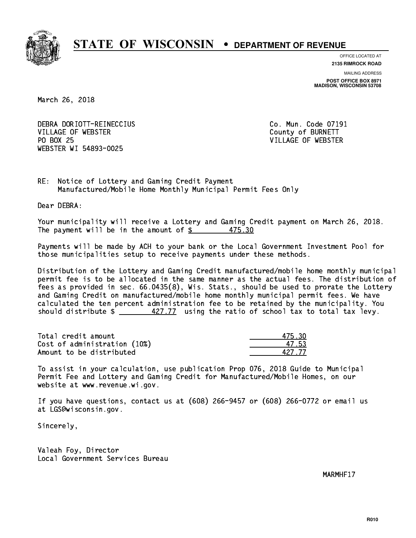

**OFFICE LOCATED AT**

**2135 RIMROCK ROAD**

**MAILING ADDRESS POST OFFICE BOX 8971 MADISON, WISCONSIN 53708**

March 26, 2018

 DEBRA DORIOTT-REINECCIUS Co. Mun. Code 07191 VILLAGE OF WEBSTER COUNTY OF BURNETT PO BOX 25 WEBSTER WI 54893-0025

VILLAGE OF WEBSTER

RE: Notice of Lottery and Gaming Credit Payment Manufactured/Mobile Home Monthly Municipal Permit Fees Only

Dear DEBRA:

 Your municipality will receive a Lottery and Gaming Credit payment on March 26, 2018. The payment will be in the amount of  $$ 475.30$ 

 Payments will be made by ACH to your bank or the Local Government Investment Pool for those municipalities setup to receive payments under these methods.

 Distribution of the Lottery and Gaming Credit manufactured/mobile home monthly municipal permit fee is to be allocated in the same manner as the actual fees. The distribution of fees as provided in sec. 66.0435(8), Wis. Stats., should be used to prorate the Lottery and Gaming Credit on manufactured/mobile home monthly municipal permit fees. We have calculated the ten percent administration fee to be retained by the municipality. You should distribute  $\frac{427.77}{2}$  using the ratio of school tax to total tax levy.

Total credit amount  $475.30$ Cost of administration (10%) 47.53 Amount to be distributed

 To assist in your calculation, use publication Prop 076, 2018 Guide to Municipal Permit Fee and Lottery and Gaming Credit for Manufactured/Mobile Homes, on our website at www.revenue.wi.gov.

 If you have questions, contact us at (608) 266-9457 or (608) 266-0772 or email us at LGS@wisconsin.gov.

Sincerely,

 Valeah Foy, Director Local Government Services Bureau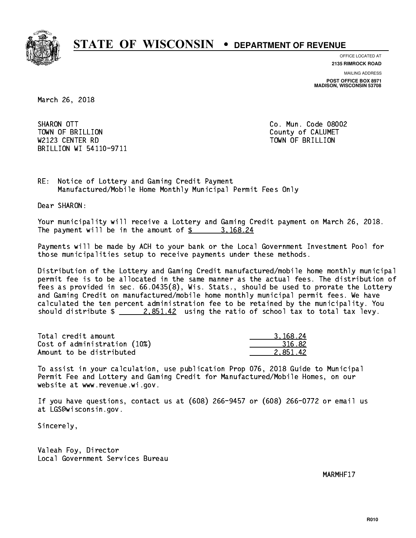

**OFFICE LOCATED AT**

**2135 RIMROCK ROAD**

**MAILING ADDRESS POST OFFICE BOX 8971 MADISON, WISCONSIN 53708**

March 26, 2018

SHARON OTT TOWN OF BRILLION County of CALUMET W2123 CENTER RD TOWN OF BRIDGE RD TOWN OF BRILLION COMMUNIST COMMUNIST COMMUNIST COMMUNIST COMMUNIST COMMUNIST COMMUNIST COMMUNIST COMMUNIST COMMUNIST COMMUNIST COMMUNIST COMMUNIST COMMUNIST COMMUNIST COMMUNIST COMMUNIST C BRILLION WI 54110-9711

Co. Mun. Code 08002

RE: Notice of Lottery and Gaming Credit Payment Manufactured/Mobile Home Monthly Municipal Permit Fees Only

Dear SHARON:

 Your municipality will receive a Lottery and Gaming Credit payment on March 26, 2018. The payment will be in the amount of  $\frac{2}{3}$  3,168.24

 Payments will be made by ACH to your bank or the Local Government Investment Pool for those municipalities setup to receive payments under these methods.

 Distribution of the Lottery and Gaming Credit manufactured/mobile home monthly municipal permit fee is to be allocated in the same manner as the actual fees. The distribution of fees as provided in sec. 66.0435(8), Wis. Stats., should be used to prorate the Lottery and Gaming Credit on manufactured/mobile home monthly municipal permit fees. We have calculated the ten percent administration fee to be retained by the municipality. You should distribute  $\frac{2.851.42}{ }$  using the ratio of school tax to total tax levy.

| Total credit amount          | 3.168.24 |
|------------------------------|----------|
| Cost of administration (10%) | 316.82   |
| Amount to be distributed     | 2.851.42 |

 To assist in your calculation, use publication Prop 076, 2018 Guide to Municipal Permit Fee and Lottery and Gaming Credit for Manufactured/Mobile Homes, on our website at www.revenue.wi.gov.

 If you have questions, contact us at (608) 266-9457 or (608) 266-0772 or email us at LGS@wisconsin.gov.

Sincerely,

 Valeah Foy, Director Local Government Services Bureau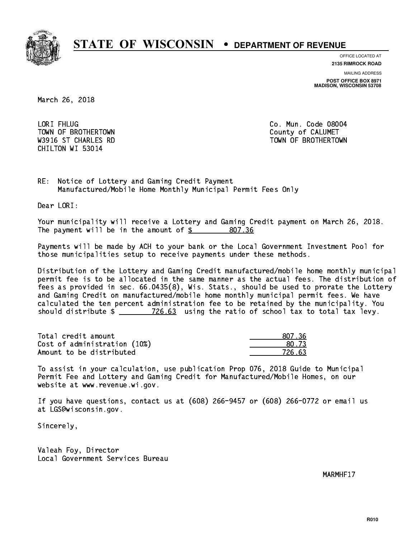

**OFFICE LOCATED AT**

**2135 RIMROCK ROAD**

**MAILING ADDRESS POST OFFICE BOX 8971 MADISON, WISCONSIN 53708**

March 26, 2018

LORI FHLUG TOWN OF BROTHERTOWN COUNTY COUNTY OF CALUMET CHILTON WI 53014

Co. Mun. Code 08004 W3916 ST CHARLES RD TOWN OF BROTHERTOWN WAS ALLOWDED AND TOWN OF BROTHERTOWN

RE: Notice of Lottery and Gaming Credit Payment Manufactured/Mobile Home Monthly Municipal Permit Fees Only

Dear LORI:

 Your municipality will receive a Lottery and Gaming Credit payment on March 26, 2018. The payment will be in the amount of  $\frac{2}{3}$  807.36

 Payments will be made by ACH to your bank or the Local Government Investment Pool for those municipalities setup to receive payments under these methods.

 Distribution of the Lottery and Gaming Credit manufactured/mobile home monthly municipal permit fee is to be allocated in the same manner as the actual fees. The distribution of fees as provided in sec. 66.0435(8), Wis. Stats., should be used to prorate the Lottery and Gaming Credit on manufactured/mobile home monthly municipal permit fees. We have calculated the ten percent administration fee to be retained by the municipality. You should distribute  $\frac{26.63}{126.63}$  using the ratio of school tax to total tax levy.

Total credit amount and the set of the set of the set of the set of the set of the set of the set of the set o  $Cost of administration (10%) \t\t\t\t\t\t\t\t\t\t\t\t\t\t\t\t\t\t\t\t\t\t\t\t 80.73$ Amount to be distributed **726.63** 

 To assist in your calculation, use publication Prop 076, 2018 Guide to Municipal Permit Fee and Lottery and Gaming Credit for Manufactured/Mobile Homes, on our website at www.revenue.wi.gov.

 If you have questions, contact us at (608) 266-9457 or (608) 266-0772 or email us at LGS@wisconsin.gov.

Sincerely,

 Valeah Foy, Director Local Government Services Bureau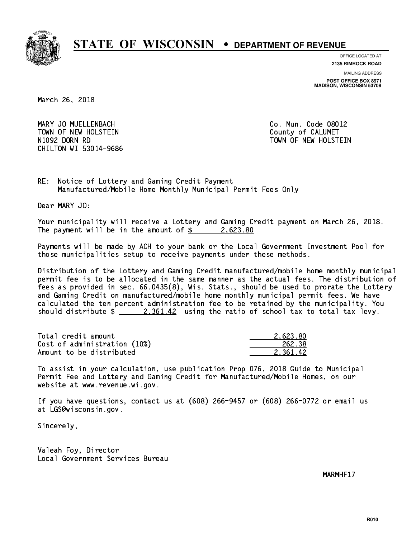

**OFFICE LOCATED AT**

**2135 RIMROCK ROAD**

**MAILING ADDRESS**

**POST OFFICE BOX 8971 MADISON, WISCONSIN 53708**

March 26, 2018

 MARY JO MUELLENBACH Co. Mun. Code 08012 TOWN OF NEW HOLSTEIN County of CALUMET N1092 DORN RD TOWN OF NEW HOLSTEIN CHILTON WI 53014-9686

RE: Notice of Lottery and Gaming Credit Payment Manufactured/Mobile Home Monthly Municipal Permit Fees Only

Dear MARY JO:

 Your municipality will receive a Lottery and Gaming Credit payment on March 26, 2018. The payment will be in the amount of  $\frac{2.623.80}{2.22333}$ 

 Payments will be made by ACH to your bank or the Local Government Investment Pool for those municipalities setup to receive payments under these methods.

 Distribution of the Lottery and Gaming Credit manufactured/mobile home monthly municipal permit fee is to be allocated in the same manner as the actual fees. The distribution of fees as provided in sec. 66.0435(8), Wis. Stats., should be used to prorate the Lottery and Gaming Credit on manufactured/mobile home monthly municipal permit fees. We have calculated the ten percent administration fee to be retained by the municipality. You should distribute  $\frac{2,361.42}{2}$  using the ratio of school tax to total tax levy.

| Total credit amount          | 2.623.80 |
|------------------------------|----------|
| Cost of administration (10%) | 262.38   |
| Amount to be distributed     | 2.361.42 |

 To assist in your calculation, use publication Prop 076, 2018 Guide to Municipal Permit Fee and Lottery and Gaming Credit for Manufactured/Mobile Homes, on our website at www.revenue.wi.gov.

 If you have questions, contact us at (608) 266-9457 or (608) 266-0772 or email us at LGS@wisconsin.gov.

Sincerely,

 Valeah Foy, Director Local Government Services Bureau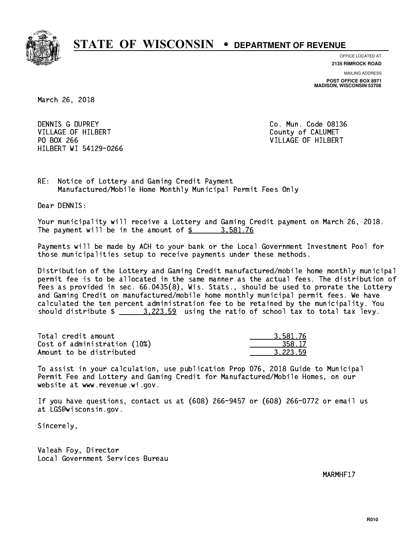

**OFFICE LOCATED AT**

**2135 RIMROCK ROAD**

**MAILING ADDRESS POST OFFICE BOX 8971 MADISON, WISCONSIN 53708**

March 26, 2018

DENNIS G DUPREY VILLAGE OF HILBERT COUNTY OF CALUMET PO BOX 266 VILLAGE OF HILBERT HILBERT WI 54129-0266

Co. Mun. Code 08136

RE: Notice of Lottery and Gaming Credit Payment Manufactured/Mobile Home Monthly Municipal Permit Fees Only

Dear DENNIS:

 Your municipality will receive a Lottery and Gaming Credit payment on March 26, 2018. The payment will be in the amount of  $\frac{2}{3}$  3,581.76

 Payments will be made by ACH to your bank or the Local Government Investment Pool for those municipalities setup to receive payments under these methods.

 Distribution of the Lottery and Gaming Credit manufactured/mobile home monthly municipal permit fee is to be allocated in the same manner as the actual fees. The distribution of fees as provided in sec. 66.0435(8), Wis. Stats., should be used to prorate the Lottery and Gaming Credit on manufactured/mobile home monthly municipal permit fees. We have calculated the ten percent administration fee to be retained by the municipality. You should distribute  $\frac{2}{2}$   $\frac{3,223.59}{2}$  using the ratio of school tax to total tax levy.

| Total credit amount          | 3.581.76 |
|------------------------------|----------|
| Cost of administration (10%) | 358.17   |
| Amount to be distributed     | 3.223.59 |

 To assist in your calculation, use publication Prop 076, 2018 Guide to Municipal Permit Fee and Lottery and Gaming Credit for Manufactured/Mobile Homes, on our website at www.revenue.wi.gov.

 If you have questions, contact us at (608) 266-9457 or (608) 266-0772 or email us at LGS@wisconsin.gov.

Sincerely,

 Valeah Foy, Director Local Government Services Bureau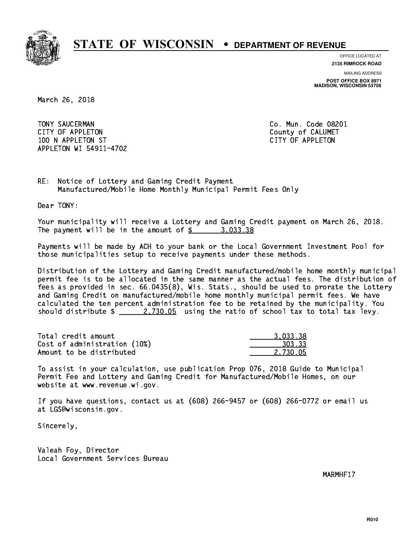

**OFFICE LOCATED AT**

**2135 RIMROCK ROAD**

**MAILING ADDRESS POST OFFICE BOX 8971 MADISON, WISCONSIN 53708**

March 26, 2018

 TONY SAUCERMAN Co. Mun. Code 08201 CITY OF APPLETON COUNTY COUNTY OF CALUMET 100 N APPLETON ST CITY OF APPLETON APPLETON WI 54911-4702

RE: Notice of Lottery and Gaming Credit Payment Manufactured/Mobile Home Monthly Municipal Permit Fees Only

Dear TONY:

 Your municipality will receive a Lottery and Gaming Credit payment on March 26, 2018. The payment will be in the amount of  $\frac{2}{3}$  3,033.38

 Payments will be made by ACH to your bank or the Local Government Investment Pool for those municipalities setup to receive payments under these methods.

 Distribution of the Lottery and Gaming Credit manufactured/mobile home monthly municipal permit fee is to be allocated in the same manner as the actual fees. The distribution of fees as provided in sec. 66.0435(8), Wis. Stats., should be used to prorate the Lottery and Gaming Credit on manufactured/mobile home monthly municipal permit fees. We have calculated the ten percent administration fee to be retained by the municipality. You should distribute  $\frac{2.730.05}{2.730.05}$  using the ratio of school tax to total tax levy.

| Total credit amount          | 3.033.38 |
|------------------------------|----------|
| Cost of administration (10%) | 303.33   |
| Amount to be distributed     | 2.730.05 |

 To assist in your calculation, use publication Prop 076, 2018 Guide to Municipal Permit Fee and Lottery and Gaming Credit for Manufactured/Mobile Homes, on our website at www.revenue.wi.gov.

 If you have questions, contact us at (608) 266-9457 or (608) 266-0772 or email us at LGS@wisconsin.gov.

Sincerely,

 Valeah Foy, Director Local Government Services Bureau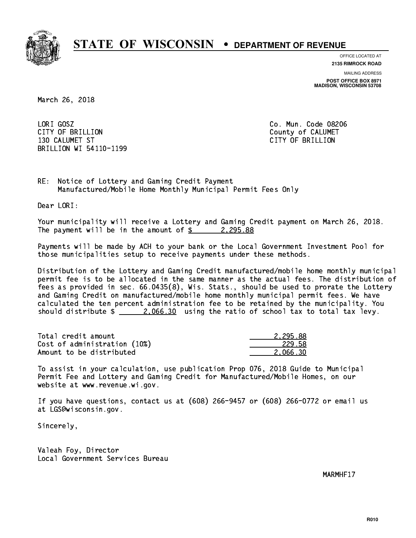

**OFFICE LOCATED AT**

**2135 RIMROCK ROAD**

**MAILING ADDRESS POST OFFICE BOX 8971 MADISON, WISCONSIN 53708**

March 26, 2018

LORI GOSZ CITY OF BRILLION County of CALUMET 130 CALUMET ST CITY OF BRIDGE ST CITY OF BRIDGE ST CITY OF BRIDGE ST CITY OF BRIDGE ST CITY OF BRIDGE ST CITY O BRILLION WI 54110-1199

Co. Mun. Code 08206

RE: Notice of Lottery and Gaming Credit Payment Manufactured/Mobile Home Monthly Municipal Permit Fees Only

Dear LORI:

 Your municipality will receive a Lottery and Gaming Credit payment on March 26, 2018. The payment will be in the amount of  $\frac{2}{3}$  2,295.88

 Payments will be made by ACH to your bank or the Local Government Investment Pool for those municipalities setup to receive payments under these methods.

 Distribution of the Lottery and Gaming Credit manufactured/mobile home monthly municipal permit fee is to be allocated in the same manner as the actual fees. The distribution of fees as provided in sec. 66.0435(8), Wis. Stats., should be used to prorate the Lottery and Gaming Credit on manufactured/mobile home monthly municipal permit fees. We have calculated the ten percent administration fee to be retained by the municipality. You should distribute  $\frac{2.066.30}{2.066.30}$  using the ratio of school tax to total tax levy.

| Total credit amount          | 2.295.88 |
|------------------------------|----------|
| Cost of administration (10%) | 229.58   |
| Amount to be distributed     | 2.066.30 |

 To assist in your calculation, use publication Prop 076, 2018 Guide to Municipal Permit Fee and Lottery and Gaming Credit for Manufactured/Mobile Homes, on our website at www.revenue.wi.gov.

 If you have questions, contact us at (608) 266-9457 or (608) 266-0772 or email us at LGS@wisconsin.gov.

Sincerely,

 Valeah Foy, Director Local Government Services Bureau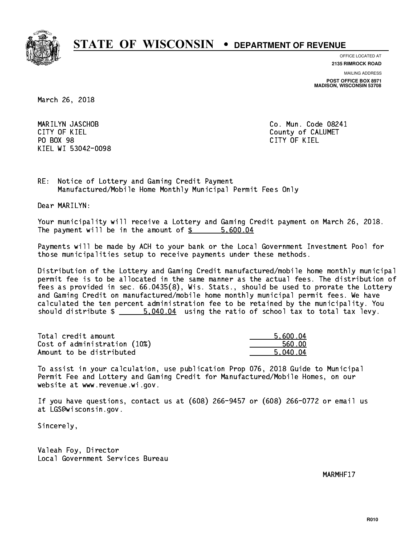

**OFFICE LOCATED AT**

**2135 RIMROCK ROAD**

**MAILING ADDRESS**

**POST OFFICE BOX 8971 MADISON, WISCONSIN 53708**

March 26, 2018

 MARILYN JASCHOB Co. Mun. Code 08241 CITY OF KIEL **COUNTY COUNTY OF CALUMET** PO BOX 98 PO BOX 98 CITY OF KIEL KIEL WI 53042-0098

CITY OF KIEL

RE: Notice of Lottery and Gaming Credit Payment Manufactured/Mobile Home Monthly Municipal Permit Fees Only

Dear MARILYN:

 Your municipality will receive a Lottery and Gaming Credit payment on March 26, 2018. The payment will be in the amount of \$ 5,600.04 \_\_\_\_\_\_\_\_\_\_\_\_\_\_\_\_

 Payments will be made by ACH to your bank or the Local Government Investment Pool for those municipalities setup to receive payments under these methods.

 Distribution of the Lottery and Gaming Credit manufactured/mobile home monthly municipal permit fee is to be allocated in the same manner as the actual fees. The distribution of fees as provided in sec. 66.0435(8), Wis. Stats., should be used to prorate the Lottery and Gaming Credit on manufactured/mobile home monthly municipal permit fees. We have calculated the ten percent administration fee to be retained by the municipality. You should distribute  $\frac{2}{1}$   $\frac{5.040.04}{1}$  using the ratio of school tax to total tax levy.

| Total credit amount          | 5.600.04 |
|------------------------------|----------|
| Cost of administration (10%) | 560.00   |
| Amount to be distributed     | 5.040.04 |

 To assist in your calculation, use publication Prop 076, 2018 Guide to Municipal Permit Fee and Lottery and Gaming Credit for Manufactured/Mobile Homes, on our website at www.revenue.wi.gov.

 If you have questions, contact us at (608) 266-9457 or (608) 266-0772 or email us at LGS@wisconsin.gov.

Sincerely,

 Valeah Foy, Director Local Government Services Bureau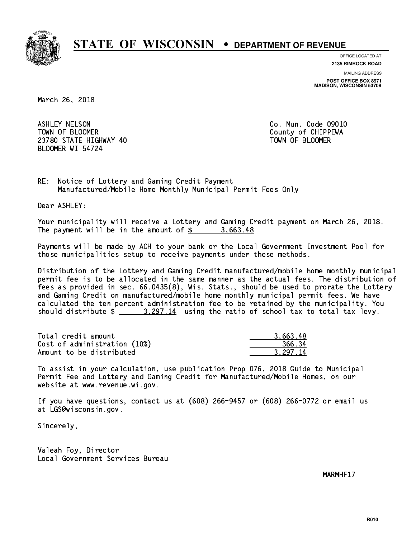

**OFFICE LOCATED AT**

**2135 RIMROCK ROAD**

**MAILING ADDRESS POST OFFICE BOX 8971 MADISON, WISCONSIN 53708**

March 26, 2018

 ASHLEY NELSON Co. Mun. Code 09010 TOWN OF BLOOMER County of CHIPPEWA 23780 STATE HIGHWAY 40 TOWN OF BLOOMER BLOOMER WI 54724

RE: Notice of Lottery and Gaming Credit Payment Manufactured/Mobile Home Monthly Municipal Permit Fees Only

Dear ASHLEY:

 Your municipality will receive a Lottery and Gaming Credit payment on March 26, 2018. The payment will be in the amount of  $\frac{2}{3}$  3,663.48

 Payments will be made by ACH to your bank or the Local Government Investment Pool for those municipalities setup to receive payments under these methods.

 Distribution of the Lottery and Gaming Credit manufactured/mobile home monthly municipal permit fee is to be allocated in the same manner as the actual fees. The distribution of fees as provided in sec. 66.0435(8), Wis. Stats., should be used to prorate the Lottery and Gaming Credit on manufactured/mobile home monthly municipal permit fees. We have calculated the ten percent administration fee to be retained by the municipality. You should distribute  $\frac{2.297.14}{2.297.14}$  using the ratio of school tax to total tax levy.

| Total credit amount          | 3.663.48 |
|------------------------------|----------|
| Cost of administration (10%) | 366.34   |
| Amount to be distributed     | 3.297.14 |

 To assist in your calculation, use publication Prop 076, 2018 Guide to Municipal Permit Fee and Lottery and Gaming Credit for Manufactured/Mobile Homes, on our website at www.revenue.wi.gov.

 If you have questions, contact us at (608) 266-9457 or (608) 266-0772 or email us at LGS@wisconsin.gov.

Sincerely,

 Valeah Foy, Director Local Government Services Bureau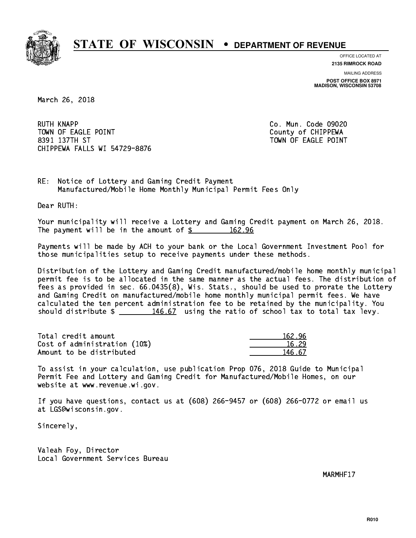

**OFFICE LOCATED AT**

**2135 RIMROCK ROAD**

**MAILING ADDRESS POST OFFICE BOX 8971 MADISON, WISCONSIN 53708**

March 26, 2018

**RUTH KNAPP** TOWN OF EAGLE POINT COUNTS AND TOWN OF CHIPPEWA 8391 137TH ST TOWN OF EAGLE POINT CHIPPEWA FALLS WI 54729-8876

Co. Mun. Code 09020

RE: Notice of Lottery and Gaming Credit Payment Manufactured/Mobile Home Monthly Municipal Permit Fees Only

Dear RUTH:

 Your municipality will receive a Lottery and Gaming Credit payment on March 26, 2018. The payment will be in the amount of  $\frac{2}{3}$  162.96

 Payments will be made by ACH to your bank or the Local Government Investment Pool for those municipalities setup to receive payments under these methods.

 Distribution of the Lottery and Gaming Credit manufactured/mobile home monthly municipal permit fee is to be allocated in the same manner as the actual fees. The distribution of fees as provided in sec. 66.0435(8), Wis. Stats., should be used to prorate the Lottery and Gaming Credit on manufactured/mobile home monthly municipal permit fees. We have calculated the ten percent administration fee to be retained by the municipality. You should distribute  $\frac{146.67}{146.67}$  using the ratio of school tax to total tax levy.

Total credit amount Cost of administration (10%) Amount to be distributed

| 162.96 |
|--------|
| 5.29   |
| 5.67   |

 To assist in your calculation, use publication Prop 076, 2018 Guide to Municipal Permit Fee and Lottery and Gaming Credit for Manufactured/Mobile Homes, on our website at www.revenue.wi.gov.

 If you have questions, contact us at (608) 266-9457 or (608) 266-0772 or email us at LGS@wisconsin.gov.

Sincerely,

 Valeah Foy, Director Local Government Services Bureau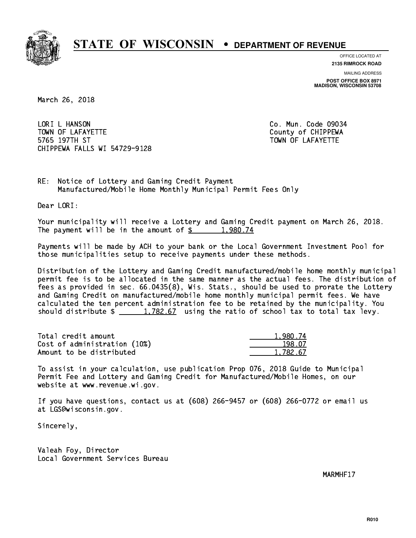

**OFFICE LOCATED AT**

**2135 RIMROCK ROAD**

**MAILING ADDRESS POST OFFICE BOX 8971 MADISON, WISCONSIN 53708**

March 26, 2018

LORI L HANSON TOWN OF LAFAYETTE TOWN OF LAFAYETTE 5765 197TH ST TOWN OF LAFAYETTE CHIPPEWA FALLS WI 54729-9128

Co. Mun. Code 09034

RE: Notice of Lottery and Gaming Credit Payment Manufactured/Mobile Home Monthly Municipal Permit Fees Only

Dear LORI:

 Your municipality will receive a Lottery and Gaming Credit payment on March 26, 2018. The payment will be in the amount of  $\frac{2}{3}$  1,980.74

 Payments will be made by ACH to your bank or the Local Government Investment Pool for those municipalities setup to receive payments under these methods.

 Distribution of the Lottery and Gaming Credit manufactured/mobile home monthly municipal permit fee is to be allocated in the same manner as the actual fees. The distribution of fees as provided in sec. 66.0435(8), Wis. Stats., should be used to prorate the Lottery and Gaming Credit on manufactured/mobile home monthly municipal permit fees. We have calculated the ten percent administration fee to be retained by the municipality. You should distribute  $\frac{1,782.67}{1,782.67}$  using the ratio of school tax to total tax levy.

| Total credit amount          | 1.980.74 |
|------------------------------|----------|
| Cost of administration (10%) | 198.07   |
| Amount to be distributed     | 1.782.67 |

 To assist in your calculation, use publication Prop 076, 2018 Guide to Municipal Permit Fee and Lottery and Gaming Credit for Manufactured/Mobile Homes, on our website at www.revenue.wi.gov.

 If you have questions, contact us at (608) 266-9457 or (608) 266-0772 or email us at LGS@wisconsin.gov.

Sincerely,

 Valeah Foy, Director Local Government Services Bureau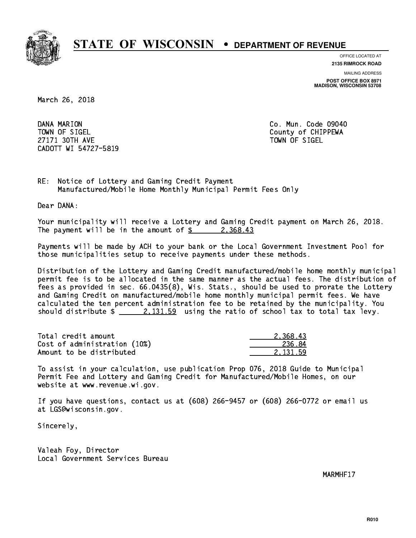

**OFFICE LOCATED AT**

**2135 RIMROCK ROAD**

**MAILING ADDRESS**

**POST OFFICE BOX 8971 MADISON, WISCONSIN 53708**

March 26, 2018

DANA MARION TOWN OF SIGEL County of CHIPPEWA 27171 30TH AVE 27171 30TH AVE CADOTT WI 54727-5819

Co. Mun. Code 09040

RE: Notice of Lottery and Gaming Credit Payment Manufactured/Mobile Home Monthly Municipal Permit Fees Only

Dear DANA:

 Your municipality will receive a Lottery and Gaming Credit payment on March 26, 2018. The payment will be in the amount of  $\frac{2}{3}$  2,368.43

 Payments will be made by ACH to your bank or the Local Government Investment Pool for those municipalities setup to receive payments under these methods.

 Distribution of the Lottery and Gaming Credit manufactured/mobile home monthly municipal permit fee is to be allocated in the same manner as the actual fees. The distribution of fees as provided in sec. 66.0435(8), Wis. Stats., should be used to prorate the Lottery and Gaming Credit on manufactured/mobile home monthly municipal permit fees. We have calculated the ten percent administration fee to be retained by the municipality. You should distribute  $\frac{2,131.59}{2}$  using the ratio of school tax to total tax levy.

| Total credit amount          | 2.368.43 |
|------------------------------|----------|
| Cost of administration (10%) | 236.84   |
| Amount to be distributed     | 2.131.59 |

 To assist in your calculation, use publication Prop 076, 2018 Guide to Municipal Permit Fee and Lottery and Gaming Credit for Manufactured/Mobile Homes, on our website at www.revenue.wi.gov.

 If you have questions, contact us at (608) 266-9457 or (608) 266-0772 or email us at LGS@wisconsin.gov.

Sincerely,

 Valeah Foy, Director Local Government Services Bureau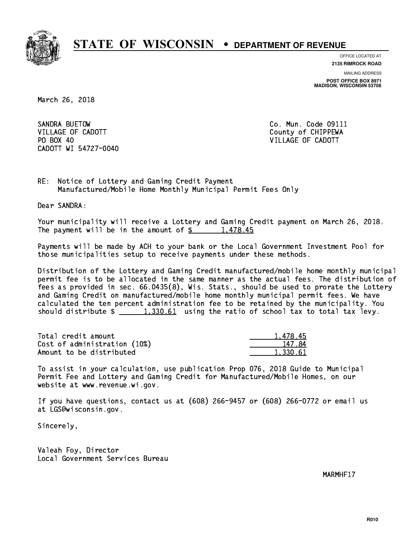

**OFFICE LOCATED AT**

**2135 RIMROCK ROAD**

**MAILING ADDRESS POST OFFICE BOX 8971 MADISON, WISCONSIN 53708**

March 26, 2018

SANDRA BUETOW VILLAGE OF CADOTT COUNTY COUNTY COUNTY OF CHIPPEWA PO BOX 40 CADOTT WI 54727-0040

Co. Mun. Code 09111 VILLAGE OF CADOTT

RE: Notice of Lottery and Gaming Credit Payment Manufactured/Mobile Home Monthly Municipal Permit Fees Only

Dear SANDRA:

 Your municipality will receive a Lottery and Gaming Credit payment on March 26, 2018. The payment will be in the amount of  $\frac{2}{3}$  1,478.45

 Payments will be made by ACH to your bank or the Local Government Investment Pool for those municipalities setup to receive payments under these methods.

 Distribution of the Lottery and Gaming Credit manufactured/mobile home monthly municipal permit fee is to be allocated in the same manner as the actual fees. The distribution of fees as provided in sec. 66.0435(8), Wis. Stats., should be used to prorate the Lottery and Gaming Credit on manufactured/mobile home monthly municipal permit fees. We have calculated the ten percent administration fee to be retained by the municipality. You should distribute  $\frac{1,330.61}{1,330.61}$  using the ratio of school tax to total tax levy.

| Total credit amount          | 1,478.45 |
|------------------------------|----------|
| Cost of administration (10%) | 147.84   |
| Amount to be distributed     | 1.330.61 |

 To assist in your calculation, use publication Prop 076, 2018 Guide to Municipal Permit Fee and Lottery and Gaming Credit for Manufactured/Mobile Homes, on our website at www.revenue.wi.gov.

 If you have questions, contact us at (608) 266-9457 or (608) 266-0772 or email us at LGS@wisconsin.gov.

Sincerely,

 Valeah Foy, Director Local Government Services Bureau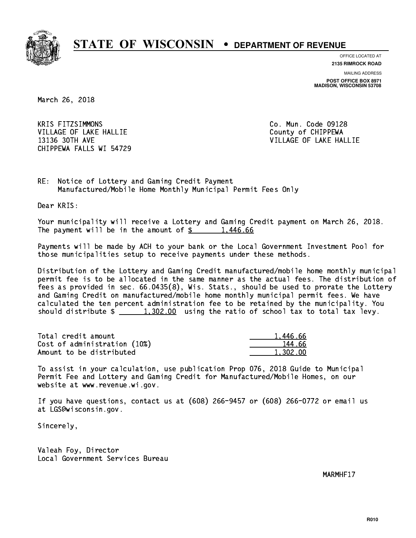

**OFFICE LOCATED AT**

**2135 RIMROCK ROAD**

**MAILING ADDRESS POST OFFICE BOX 8971 MADISON, WISCONSIN 53708**

March 26, 2018

**KRIS FITZSIMMONS** VILLAGE OF LAKE HALLIE COUNTY OF CHIPPEWA 13136 30TH AVE VILLAGE OF LAKE HALLIE CHIPPEWA FALLS WI 54729

Co. Mun. Code 09128

RE: Notice of Lottery and Gaming Credit Payment Manufactured/Mobile Home Monthly Municipal Permit Fees Only

Dear KRIS:

 Your municipality will receive a Lottery and Gaming Credit payment on March 26, 2018. The payment will be in the amount of  $\frac{2}{3}$  1,446.66

 Payments will be made by ACH to your bank or the Local Government Investment Pool for those municipalities setup to receive payments under these methods.

 Distribution of the Lottery and Gaming Credit manufactured/mobile home monthly municipal permit fee is to be allocated in the same manner as the actual fees. The distribution of fees as provided in sec. 66.0435(8), Wis. Stats., should be used to prorate the Lottery and Gaming Credit on manufactured/mobile home monthly municipal permit fees. We have calculated the ten percent administration fee to be retained by the municipality. You should distribute  $\frac{1,302.00}{1,302.00}$  using the ratio of school tax to total tax levy.

| Total credit amount          | 1.446.66 |
|------------------------------|----------|
| Cost of administration (10%) | 144.66   |
| Amount to be distributed     | 1,302.00 |

 To assist in your calculation, use publication Prop 076, 2018 Guide to Municipal Permit Fee and Lottery and Gaming Credit for Manufactured/Mobile Homes, on our website at www.revenue.wi.gov.

 If you have questions, contact us at (608) 266-9457 or (608) 266-0772 or email us at LGS@wisconsin.gov.

Sincerely,

 Valeah Foy, Director Local Government Services Bureau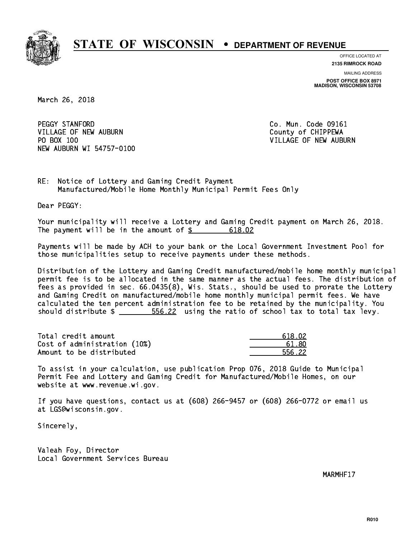

**OFFICE LOCATED AT**

**2135 RIMROCK ROAD**

**MAILING ADDRESS POST OFFICE BOX 8971 MADISON, WISCONSIN 53708**

March 26, 2018

PEGGY STANFORD VILLAGE OF NEW AUBURN COUNTY OF CHIPPEWA PO BOX 100 NEW AUBURN WI 54757-0100

Co. Mun. Code 09161 VILLAGE OF NEW AUBURN

RE: Notice of Lottery and Gaming Credit Payment Manufactured/Mobile Home Monthly Municipal Permit Fees Only

Dear PEGGY:

 Your municipality will receive a Lottery and Gaming Credit payment on March 26, 2018. The payment will be in the amount of \$ 618.02 \_\_\_\_\_\_\_\_\_\_\_\_\_\_\_\_

 Payments will be made by ACH to your bank or the Local Government Investment Pool for those municipalities setup to receive payments under these methods.

 Distribution of the Lottery and Gaming Credit manufactured/mobile home monthly municipal permit fee is to be allocated in the same manner as the actual fees. The distribution of fees as provided in sec. 66.0435(8), Wis. Stats., should be used to prorate the Lottery and Gaming Credit on manufactured/mobile home monthly municipal permit fees. We have calculated the ten percent administration fee to be retained by the municipality. You should distribute  $\frac{2}{2}$   $\frac{556.22}{2}$  using the ratio of school tax to total tax levy.

Total credit amount Cost of administration (10%) Amount to be distributed

| 1.02  |
|-------|
| ווא ו |
| 5.22  |

 To assist in your calculation, use publication Prop 076, 2018 Guide to Municipal Permit Fee and Lottery and Gaming Credit for Manufactured/Mobile Homes, on our website at www.revenue.wi.gov.

 If you have questions, contact us at (608) 266-9457 or (608) 266-0772 or email us at LGS@wisconsin.gov.

Sincerely,

 Valeah Foy, Director Local Government Services Bureau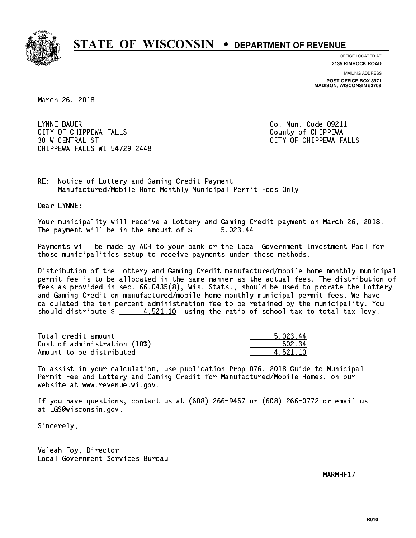

**OFFICE LOCATED AT**

**2135 RIMROCK ROAD**

**MAILING ADDRESS POST OFFICE BOX 8971 MADISON, WISCONSIN 53708**

March 26, 2018

 LYNNE BAUER Co. Mun. Code 09211 CITY OF CHIPPEWA FALLS COUNTY OF CHIPPEWA 30 W CENTRAL ST CITY OF CHIPPEWA FALLS CHIPPEWA FALLS WI 54729-2448

RE: Notice of Lottery and Gaming Credit Payment Manufactured/Mobile Home Monthly Municipal Permit Fees Only

Dear LYNNE:

 Your municipality will receive a Lottery and Gaming Credit payment on March 26, 2018. The payment will be in the amount of \$ 5,023.44 \_\_\_\_\_\_\_\_\_\_\_\_\_\_\_\_

 Payments will be made by ACH to your bank or the Local Government Investment Pool for those municipalities setup to receive payments under these methods.

 Distribution of the Lottery and Gaming Credit manufactured/mobile home monthly municipal permit fee is to be allocated in the same manner as the actual fees. The distribution of fees as provided in sec. 66.0435(8), Wis. Stats., should be used to prorate the Lottery and Gaming Credit on manufactured/mobile home monthly municipal permit fees. We have calculated the ten percent administration fee to be retained by the municipality. You should distribute  $\frac{2}{1} - \frac{4.521.10}{10}$  using the ratio of school tax to total tax levy.

| Total credit amount          | 5.023.44 |
|------------------------------|----------|
| Cost of administration (10%) | 502.34   |
| Amount to be distributed     | 4.521.10 |

 To assist in your calculation, use publication Prop 076, 2018 Guide to Municipal Permit Fee and Lottery and Gaming Credit for Manufactured/Mobile Homes, on our website at www.revenue.wi.gov.

 If you have questions, contact us at (608) 266-9457 or (608) 266-0772 or email us at LGS@wisconsin.gov.

Sincerely,

 Valeah Foy, Director Local Government Services Bureau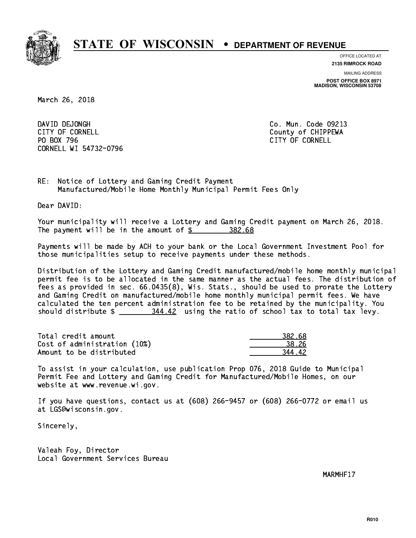

**OFFICE LOCATED AT**

**2135 RIMROCK ROAD**

**MAILING ADDRESS POST OFFICE BOX 8971 MADISON, WISCONSIN 53708**

March 26, 2018

DAVID DEJONGH CITY OF CORNELL CITY OF COUNTLE COUNTRY OF CHIPPEWA PO BOX 796 CITY OF CORNELL CORNELL WI 54732-0796

Co. Mun. Code 09213

RE: Notice of Lottery and Gaming Credit Payment Manufactured/Mobile Home Monthly Municipal Permit Fees Only

Dear DAVID:

 Your municipality will receive a Lottery and Gaming Credit payment on March 26, 2018. The payment will be in the amount of \$ 382.68 \_\_\_\_\_\_\_\_\_\_\_\_\_\_\_\_

 Payments will be made by ACH to your bank or the Local Government Investment Pool for those municipalities setup to receive payments under these methods.

 Distribution of the Lottery and Gaming Credit manufactured/mobile home monthly municipal permit fee is to be allocated in the same manner as the actual fees. The distribution of fees as provided in sec. 66.0435(8), Wis. Stats., should be used to prorate the Lottery and Gaming Credit on manufactured/mobile home monthly municipal permit fees. We have calculated the ten percent administration fee to be retained by the municipality. You should distribute  $\frac{244.42}{100}$  using the ratio of school tax to total tax levy.

| Total credit amount          | 382.68 |
|------------------------------|--------|
| Cost of administration (10%) | 38.26  |
| Amount to be distributed     | 344 A2 |

 To assist in your calculation, use publication Prop 076, 2018 Guide to Municipal Permit Fee and Lottery and Gaming Credit for Manufactured/Mobile Homes, on our website at www.revenue.wi.gov.

 If you have questions, contact us at (608) 266-9457 or (608) 266-0772 or email us at LGS@wisconsin.gov.

Sincerely,

 Valeah Foy, Director Local Government Services Bureau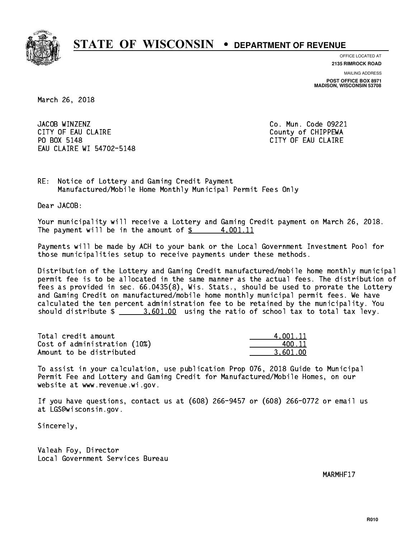

**OFFICE LOCATED AT**

**2135 RIMROCK ROAD**

**MAILING ADDRESS POST OFFICE BOX 8971 MADISON, WISCONSIN 53708**

March 26, 2018

JACOB WINZENZ CITY OF EAU CLAIRE **COUNTY COUNTY OF CHIPPEWA** PO BOX 5148 EAU CLAIRE WI 54702-5148

Co. Mun. Code 09221 CITY OF EAU CLAIRE

RE: Notice of Lottery and Gaming Credit Payment Manufactured/Mobile Home Monthly Municipal Permit Fees Only

Dear JACOB:

 Your municipality will receive a Lottery and Gaming Credit payment on March 26, 2018. The payment will be in the amount of  $\frac{2}{3}$  4,001.11

 Payments will be made by ACH to your bank or the Local Government Investment Pool for those municipalities setup to receive payments under these methods.

 Distribution of the Lottery and Gaming Credit manufactured/mobile home monthly municipal permit fee is to be allocated in the same manner as the actual fees. The distribution of fees as provided in sec. 66.0435(8), Wis. Stats., should be used to prorate the Lottery and Gaming Credit on manufactured/mobile home monthly municipal permit fees. We have calculated the ten percent administration fee to be retained by the municipality. You should distribute  $\frac{2}{2}$   $\frac{3,601.00}{2}$  using the ratio of school tax to total tax levy.

| Total credit amount          | 4.001.11 |
|------------------------------|----------|
| Cost of administration (10%) | 400.11   |
| Amount to be distributed     | 3.601.00 |

 To assist in your calculation, use publication Prop 076, 2018 Guide to Municipal Permit Fee and Lottery and Gaming Credit for Manufactured/Mobile Homes, on our website at www.revenue.wi.gov.

 If you have questions, contact us at (608) 266-9457 or (608) 266-0772 or email us at LGS@wisconsin.gov.

Sincerely,

 Valeah Foy, Director Local Government Services Bureau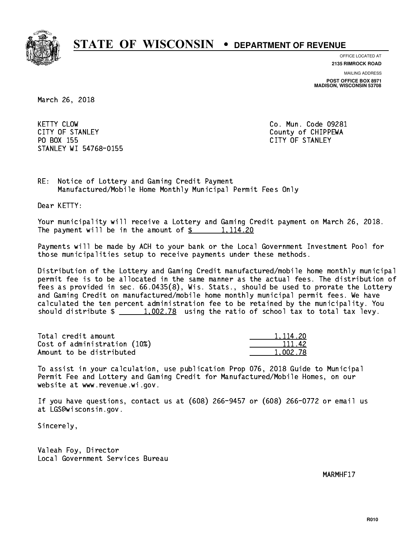

**OFFICE LOCATED AT**

**2135 RIMROCK ROAD**

**MAILING ADDRESS**

**POST OFFICE BOX 8971 MADISON, WISCONSIN 53708**

March 26, 2018

**KETTY CLOW** CITY OF STANLEY COUNTY COUNTY OF STANLEY PO BOX 155 CITY OF STANLEY STANLEY WI 54768-0155

Co. Mun. Code 09281

RE: Notice of Lottery and Gaming Credit Payment Manufactured/Mobile Home Monthly Municipal Permit Fees Only

Dear KETTY:

 Your municipality will receive a Lottery and Gaming Credit payment on March 26, 2018. The payment will be in the amount of  $\frac{2}{3}$  1,114.20

 Payments will be made by ACH to your bank or the Local Government Investment Pool for those municipalities setup to receive payments under these methods.

 Distribution of the Lottery and Gaming Credit manufactured/mobile home monthly municipal permit fee is to be allocated in the same manner as the actual fees. The distribution of fees as provided in sec. 66.0435(8), Wis. Stats., should be used to prorate the Lottery and Gaming Credit on manufactured/mobile home monthly municipal permit fees. We have calculated the ten percent administration fee to be retained by the municipality. You should distribute  $\frac{1,002.78}{1,002.78}$  using the ratio of school tax to total tax levy.

Total credit amount Cost of administration (10%) Amount to be distributed

| 1.114.20 |     |
|----------|-----|
| 111.     | -42 |
| 1.002.78 |     |

 To assist in your calculation, use publication Prop 076, 2018 Guide to Municipal Permit Fee and Lottery and Gaming Credit for Manufactured/Mobile Homes, on our website at www.revenue.wi.gov.

 If you have questions, contact us at (608) 266-9457 or (608) 266-0772 or email us at LGS@wisconsin.gov.

Sincerely,

 Valeah Foy, Director Local Government Services Bureau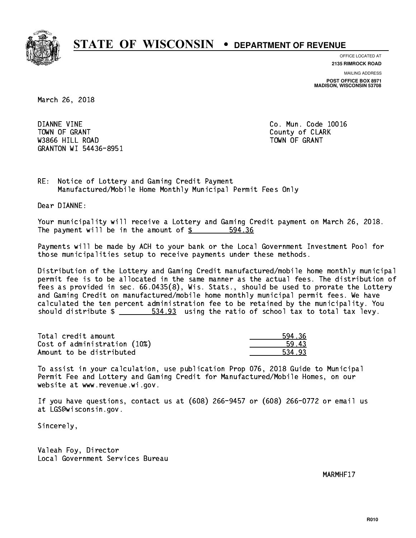

**OFFICE LOCATED AT**

**2135 RIMROCK ROAD**

**MAILING ADDRESS POST OFFICE BOX 8971 MADISON, WISCONSIN 53708**

March 26, 2018

 DIANNE VINE Co. Mun. Code 10016 Town of Grant County of Clark County of Clark County of Clark County of Clark County of Clark County of Clark was a contract of the contract of the contract of the contract of the contract of the contract of the contract of the contract of the contract of the contract of the contract of the contract of the contract of the contract GRANTON WI 54436-8951

RE: Notice of Lottery and Gaming Credit Payment Manufactured/Mobile Home Monthly Municipal Permit Fees Only

Dear DIANNE:

 Your municipality will receive a Lottery and Gaming Credit payment on March 26, 2018. The payment will be in the amount of \$ 594.36 \_\_\_\_\_\_\_\_\_\_\_\_\_\_\_\_

 Payments will be made by ACH to your bank or the Local Government Investment Pool for those municipalities setup to receive payments under these methods.

 Distribution of the Lottery and Gaming Credit manufactured/mobile home monthly municipal permit fee is to be allocated in the same manner as the actual fees. The distribution of fees as provided in sec. 66.0435(8), Wis. Stats., should be used to prorate the Lottery and Gaming Credit on manufactured/mobile home monthly municipal permit fees. We have calculated the ten percent administration fee to be retained by the municipality. You should distribute  $\frac{2}{2}$   $\frac{534.93}{2}$  using the ratio of school tax to total tax levy.

| Total credit amount          | 594.36 |
|------------------------------|--------|
| Cost of administration (10%) | 59.43  |
| Amount to be distributed     | 534.93 |

 To assist in your calculation, use publication Prop 076, 2018 Guide to Municipal Permit Fee and Lottery and Gaming Credit for Manufactured/Mobile Homes, on our website at www.revenue.wi.gov.

 If you have questions, contact us at (608) 266-9457 or (608) 266-0772 or email us at LGS@wisconsin.gov.

Sincerely,

 Valeah Foy, Director Local Government Services Bureau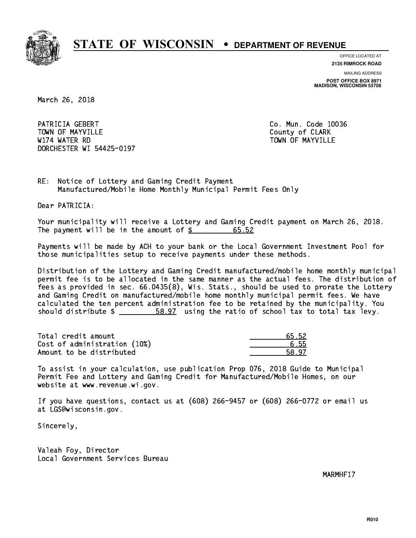

**OFFICE LOCATED AT**

**2135 RIMROCK ROAD**

**MAILING ADDRESS POST OFFICE BOX 8971 MADISON, WISCONSIN 53708**

March 26, 2018

PATRICIA GEBERT CO. Mun. Code 10036 Town of May 1988, and the County of Clark of Clark of Clark of Clark of Clark of Clark of Clark of Clark of Cl W174 WATER RD TOWN OF MAYVILLE DORCHESTER WI 54425-0197

RE: Notice of Lottery and Gaming Credit Payment Manufactured/Mobile Home Monthly Municipal Permit Fees Only

Dear PATRICIA:

 Your municipality will receive a Lottery and Gaming Credit payment on March 26, 2018. The payment will be in the amount of  $\frac{2}{3}$ 65.52

 Payments will be made by ACH to your bank or the Local Government Investment Pool for those municipalities setup to receive payments under these methods.

 Distribution of the Lottery and Gaming Credit manufactured/mobile home monthly municipal permit fee is to be allocated in the same manner as the actual fees. The distribution of fees as provided in sec. 66.0435(8), Wis. Stats., should be used to prorate the Lottery and Gaming Credit on manufactured/mobile home monthly municipal permit fees. We have calculated the ten percent administration fee to be retained by the municipality. You should distribute  $\frac{2}{1}$   $\frac{58.97}{2}$  using the ratio of school tax to total tax levy.

Total credit amount Cost of administration (10%) Amount to be distributed

| -52 |
|-----|
| 55  |
| 17  |

 To assist in your calculation, use publication Prop 076, 2018 Guide to Municipal Permit Fee and Lottery and Gaming Credit for Manufactured/Mobile Homes, on our website at www.revenue.wi.gov.

 If you have questions, contact us at (608) 266-9457 or (608) 266-0772 or email us at LGS@wisconsin.gov.

Sincerely,

 Valeah Foy, Director Local Government Services Bureau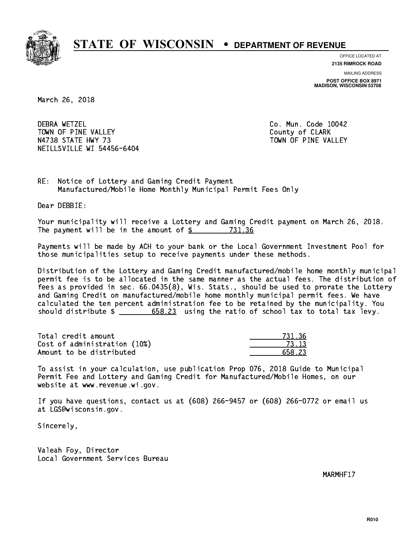

**OFFICE LOCATED AT**

**2135 RIMROCK ROAD**

**MAILING ADDRESS POST OFFICE BOX 8971 MADISON, WISCONSIN 53708**

March 26, 2018

**DEBRA WETZEL** TOWN OF PINE VALLEY **COUNTY COULD A TOWAL COULD A COULD A** COUNTY OF CLARK N4738 STATE HWY 73 TOWN OF PINE VALLEY NEILLSVILLE WI 54456-6404

Co. Mun. Code 10042

RE: Notice of Lottery and Gaming Credit Payment Manufactured/Mobile Home Monthly Municipal Permit Fees Only

Dear DEBBIE:

 Your municipality will receive a Lottery and Gaming Credit payment on March 26, 2018. The payment will be in the amount of \$ 731.36 \_\_\_\_\_\_\_\_\_\_\_\_\_\_\_\_

 Payments will be made by ACH to your bank or the Local Government Investment Pool for those municipalities setup to receive payments under these methods.

 Distribution of the Lottery and Gaming Credit manufactured/mobile home monthly municipal permit fee is to be allocated in the same manner as the actual fees. The distribution of fees as provided in sec. 66.0435(8), Wis. Stats., should be used to prorate the Lottery and Gaming Credit on manufactured/mobile home monthly municipal permit fees. We have calculated the ten percent administration fee to be retained by the municipality. You should distribute  $\frac{2}{1}$   $\frac{658.23}{2}$  using the ratio of school tax to total tax levy.

Total credit amount Cost of administration (10%) Amount to be distributed

| - 12 |
|------|
| : 23 |

 To assist in your calculation, use publication Prop 076, 2018 Guide to Municipal Permit Fee and Lottery and Gaming Credit for Manufactured/Mobile Homes, on our website at www.revenue.wi.gov.

 If you have questions, contact us at (608) 266-9457 or (608) 266-0772 or email us at LGS@wisconsin.gov.

Sincerely,

 Valeah Foy, Director Local Government Services Bureau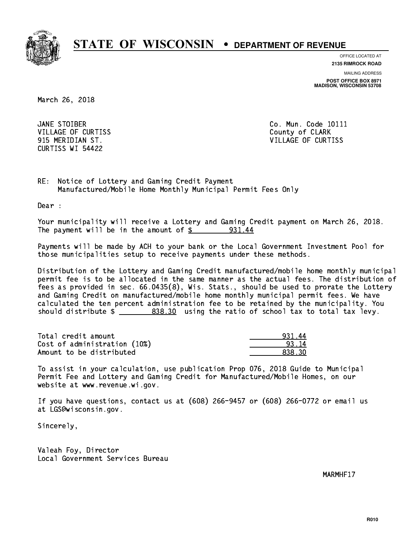

**OFFICE LOCATED AT**

**2135 RIMROCK ROAD**

**MAILING ADDRESS POST OFFICE BOX 8971 MADISON, WISCONSIN 53708**

March 26, 2018

JANE STOIBER VILLAGE OF CURTISS **County of CLARK** CURTISS WI 54422

Co. Mun. Code 10111 915 MERIDIAN ST. VILLAGE OF CURTISS

RE: Notice of Lottery and Gaming Credit Payment Manufactured/Mobile Home Monthly Municipal Permit Fees Only

Dear :

 Your municipality will receive a Lottery and Gaming Credit payment on March 26, 2018. The payment will be in the amount of  $\frac{2}{3}$  931.44

 Payments will be made by ACH to your bank or the Local Government Investment Pool for those municipalities setup to receive payments under these methods.

 Distribution of the Lottery and Gaming Credit manufactured/mobile home monthly municipal permit fee is to be allocated in the same manner as the actual fees. The distribution of fees as provided in sec. 66.0435(8), Wis. Stats., should be used to prorate the Lottery and Gaming Credit on manufactured/mobile home monthly municipal permit fees. We have calculated the ten percent administration fee to be retained by the municipality. You should distribute  $\frac{2}{2}$   $\frac{838.30}{2}$  using the ratio of school tax to total tax levy.

| Total credit amount          | 931.44 |
|------------------------------|--------|
| Cost of administration (10%) | 93.14  |
| Amount to be distributed     | 838 30 |

 To assist in your calculation, use publication Prop 076, 2018 Guide to Municipal Permit Fee and Lottery and Gaming Credit for Manufactured/Mobile Homes, on our website at www.revenue.wi.gov.

 If you have questions, contact us at (608) 266-9457 or (608) 266-0772 or email us at LGS@wisconsin.gov.

Sincerely,

 Valeah Foy, Director Local Government Services Bureau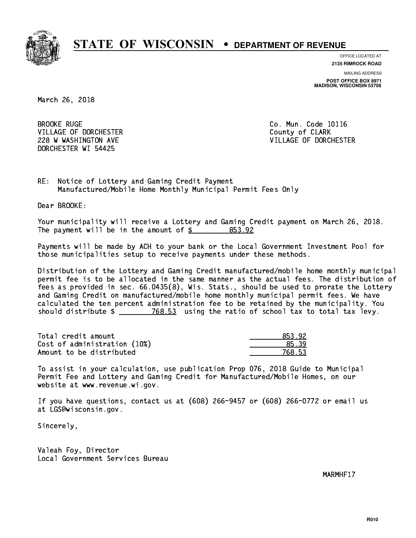

**OFFICE LOCATED AT**

**2135 RIMROCK ROAD**

**MAILING ADDRESS POST OFFICE BOX 8971 MADISON, WISCONSIN 53708**

March 26, 2018

**BROOKE RUGE** VILLAGE OF DORCHESTER **COULD ACCEPT OF CLARK** DORCHESTER WI 54425

Co. Mun. Code 10116 228 W WASHINGTON AVE **VILLAGE OF DORCHESTER** 

RE: Notice of Lottery and Gaming Credit Payment Manufactured/Mobile Home Monthly Municipal Permit Fees Only

Dear BROOKE:

 Your municipality will receive a Lottery and Gaming Credit payment on March 26, 2018. The payment will be in the amount of \$ 853.92 \_\_\_\_\_\_\_\_\_\_\_\_\_\_\_\_

 Payments will be made by ACH to your bank or the Local Government Investment Pool for those municipalities setup to receive payments under these methods.

 Distribution of the Lottery and Gaming Credit manufactured/mobile home monthly municipal permit fee is to be allocated in the same manner as the actual fees. The distribution of fees as provided in sec. 66.0435(8), Wis. Stats., should be used to prorate the Lottery and Gaming Credit on manufactured/mobile home monthly municipal permit fees. We have calculated the ten percent administration fee to be retained by the municipality. You should distribute  $\frac{2}{2}$   $\frac{768.53}{2}$  using the ratio of school tax to total tax levy.

| Total credit amount          | 853.92 |
|------------------------------|--------|
| Cost of administration (10%) | 85.39  |
| Amount to be distributed     | 768.53 |

| 92.         |
|-------------|
|             |
| २. ५२<br>7, |

 To assist in your calculation, use publication Prop 076, 2018 Guide to Municipal Permit Fee and Lottery and Gaming Credit for Manufactured/Mobile Homes, on our website at www.revenue.wi.gov.

 If you have questions, contact us at (608) 266-9457 or (608) 266-0772 or email us at LGS@wisconsin.gov.

Sincerely,

 Valeah Foy, Director Local Government Services Bureau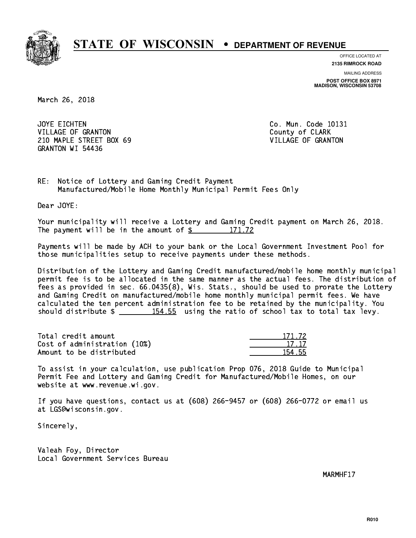

**OFFICE LOCATED AT**

**2135 RIMROCK ROAD**

**MAILING ADDRESS POST OFFICE BOX 8971 MADISON, WISCONSIN 53708**

March 26, 2018

JOYE EICHTEN VILLAGE OF GRANTON COUNTY OF CLARK 210 MAPLE STREET BOX 69 VILLAGE OF GRANTON GRANTON WI 54436

Co. Mun. Code 10131

RE: Notice of Lottery and Gaming Credit Payment Manufactured/Mobile Home Monthly Municipal Permit Fees Only

Dear JOYE:

 Your municipality will receive a Lottery and Gaming Credit payment on March 26, 2018. The payment will be in the amount of  $\frac{2}{3}$  171.72

 Payments will be made by ACH to your bank or the Local Government Investment Pool for those municipalities setup to receive payments under these methods.

 Distribution of the Lottery and Gaming Credit manufactured/mobile home monthly municipal permit fee is to be allocated in the same manner as the actual fees. The distribution of fees as provided in sec. 66.0435(8), Wis. Stats., should be used to prorate the Lottery and Gaming Credit on manufactured/mobile home monthly municipal permit fees. We have calculated the ten percent administration fee to be retained by the municipality. You should distribute  $\frac{154.55}{154.55}$  using the ratio of school tax to total tax levy.

Total credit amount Cost of administration (10%) Amount to be distributed

| 171.72 |
|--------|
| 7. 17  |
|        |

 To assist in your calculation, use publication Prop 076, 2018 Guide to Municipal Permit Fee and Lottery and Gaming Credit for Manufactured/Mobile Homes, on our website at www.revenue.wi.gov.

 If you have questions, contact us at (608) 266-9457 or (608) 266-0772 or email us at LGS@wisconsin.gov.

Sincerely,

 Valeah Foy, Director Local Government Services Bureau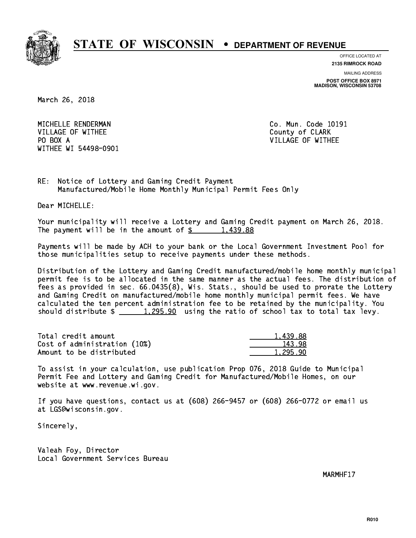

**OFFICE LOCATED AT**

**2135 RIMROCK ROAD**

**MAILING ADDRESS POST OFFICE BOX 8971 MADISON, WISCONSIN 53708**

March 26, 2018

 MICHELLE RENDERMAN Co. Mun. Code 10191 VILLAGE OF WITHEE **County of CLARK** PO BOX A WITHEE WI 54498-0901

VILLAGE OF WITHEE

RE: Notice of Lottery and Gaming Credit Payment Manufactured/Mobile Home Monthly Municipal Permit Fees Only

Dear MICHELLE:

 Your municipality will receive a Lottery and Gaming Credit payment on March 26, 2018. The payment will be in the amount of  $\frac{2}{3}$  1,439.88

 Payments will be made by ACH to your bank or the Local Government Investment Pool for those municipalities setup to receive payments under these methods.

 Distribution of the Lottery and Gaming Credit manufactured/mobile home monthly municipal permit fee is to be allocated in the same manner as the actual fees. The distribution of fees as provided in sec. 66.0435(8), Wis. Stats., should be used to prorate the Lottery and Gaming Credit on manufactured/mobile home monthly municipal permit fees. We have calculated the ten percent administration fee to be retained by the municipality. You should distribute  $\frac{1,295.90}{\sqrt{1,295.90}}$  using the ratio of school tax to total tax levy.

| Total credit amount          | 1,439.88 |
|------------------------------|----------|
| Cost of administration (10%) | 143.98   |
| Amount to be distributed     | 1.295.90 |

 To assist in your calculation, use publication Prop 076, 2018 Guide to Municipal Permit Fee and Lottery and Gaming Credit for Manufactured/Mobile Homes, on our website at www.revenue.wi.gov.

 If you have questions, contact us at (608) 266-9457 or (608) 266-0772 or email us at LGS@wisconsin.gov.

Sincerely,

 Valeah Foy, Director Local Government Services Bureau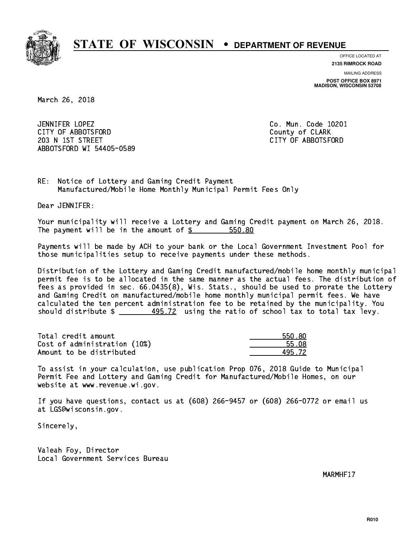

**OFFICE LOCATED AT**

**2135 RIMROCK ROAD**

**MAILING ADDRESS POST OFFICE BOX 8971 MADISON, WISCONSIN 53708**

March 26, 2018

 JENNIFER LOPEZ Co. Mun. Code 10201 CITY OF ABBOTSFORD County of CLARK 203 N 1ST STREET CITY OF ABBOTSFORD ABBOTSFORD WI 54405-0589

RE: Notice of Lottery and Gaming Credit Payment Manufactured/Mobile Home Monthly Municipal Permit Fees Only

Dear JENNIFER:

 Your municipality will receive a Lottery and Gaming Credit payment on March 26, 2018. The payment will be in the amount of  $$ 550.80$ 

 Payments will be made by ACH to your bank or the Local Government Investment Pool for those municipalities setup to receive payments under these methods.

 Distribution of the Lottery and Gaming Credit manufactured/mobile home monthly municipal permit fee is to be allocated in the same manner as the actual fees. The distribution of fees as provided in sec. 66.0435(8), Wis. Stats., should be used to prorate the Lottery and Gaming Credit on manufactured/mobile home monthly municipal permit fees. We have calculated the ten percent administration fee to be retained by the municipality. You should distribute  $\frac{495.72}{1}$  using the ratio of school tax to total tax levy.

Total credit amount the set of the set of the set of the set of the set of the set of the set of the set of the set of the set of the set of the set of the set of the set of the set of the set of the set of the set of the Cost of administration (10%) 55.08 \_\_\_\_\_\_\_\_\_\_\_\_\_\_ Amount to be distributed **495.72**  $\sim$ 

 To assist in your calculation, use publication Prop 076, 2018 Guide to Municipal Permit Fee and Lottery and Gaming Credit for Manufactured/Mobile Homes, on our website at www.revenue.wi.gov.

 If you have questions, contact us at (608) 266-9457 or (608) 266-0772 or email us at LGS@wisconsin.gov.

Sincerely,

 Valeah Foy, Director Local Government Services Bureau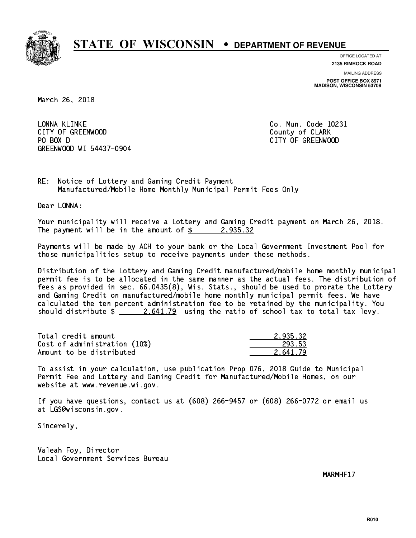

**OFFICE LOCATED AT**

**2135 RIMROCK ROAD**

**MAILING ADDRESS POST OFFICE BOX 8971 MADISON, WISCONSIN 53708**

March 26, 2018

 LONNA KLINKE Co. Mun. Code 10231 CITY OF GREENWOOD COUNTY COUNTY OF CLARK PO BOX D GREENWOOD WI 54437-0904

CITY OF GREENWOOD

RE: Notice of Lottery and Gaming Credit Payment Manufactured/Mobile Home Monthly Municipal Permit Fees Only

Dear LONNA:

 Your municipality will receive a Lottery and Gaming Credit payment on March 26, 2018. The payment will be in the amount of  $\frac{2}{3}$  2,935.32

 Payments will be made by ACH to your bank or the Local Government Investment Pool for those municipalities setup to receive payments under these methods.

 Distribution of the Lottery and Gaming Credit manufactured/mobile home monthly municipal permit fee is to be allocated in the same manner as the actual fees. The distribution of fees as provided in sec. 66.0435(8), Wis. Stats., should be used to prorate the Lottery and Gaming Credit on manufactured/mobile home monthly municipal permit fees. We have calculated the ten percent administration fee to be retained by the municipality. You should distribute  $\frac{2.641.79}{2.641.79}$  using the ratio of school tax to total tax levy.

| Total credit amount          | 2.935.32 |
|------------------------------|----------|
| Cost of administration (10%) | 293.53   |
| Amount to be distributed     | 2.641.79 |

 To assist in your calculation, use publication Prop 076, 2018 Guide to Municipal Permit Fee and Lottery and Gaming Credit for Manufactured/Mobile Homes, on our website at www.revenue.wi.gov.

 If you have questions, contact us at (608) 266-9457 or (608) 266-0772 or email us at LGS@wisconsin.gov.

Sincerely,

 Valeah Foy, Director Local Government Services Bureau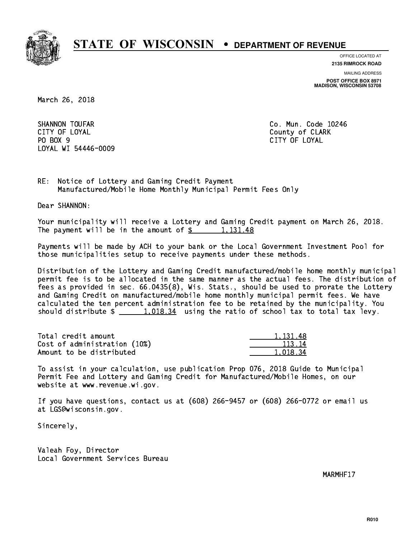

**OFFICE LOCATED AT 2135 RIMROCK ROAD**

**MAILING ADDRESS**

**POST OFFICE BOX 8971 MADISON, WISCONSIN 53708**

March 26, 2018

SHANNON TOUFAR Co. Mun. Code 10246 CITY OF LOYAL COUNTY OF LOYAL COUNTY OF COUNTY OF COUNTY OF COUNTY OF COUNTY OF COUNTY OF COUNTY OF COUNTY OF COUNTY OF COUNTY OF COUNTY OF COUNTY OF COUNTY OF COUNTY OF COUNTY OF COUNTY OF COUNTY OF COUNTY OF COUNTY OF CO PO BOX 9 PO BOX 9 CITY OF LOYAL LOYAL WI 54446-0009

CITY OF LOYAL

RE: Notice of Lottery and Gaming Credit Payment Manufactured/Mobile Home Monthly Municipal Permit Fees Only

Dear SHANNON:

 Your municipality will receive a Lottery and Gaming Credit payment on March 26, 2018. The payment will be in the amount of  $\frac{2}{3}$  1,131.48

 Payments will be made by ACH to your bank or the Local Government Investment Pool for those municipalities setup to receive payments under these methods.

 Distribution of the Lottery and Gaming Credit manufactured/mobile home monthly municipal permit fee is to be allocated in the same manner as the actual fees. The distribution of fees as provided in sec. 66.0435(8), Wis. Stats., should be used to prorate the Lottery and Gaming Credit on manufactured/mobile home monthly municipal permit fees. We have calculated the ten percent administration fee to be retained by the municipality. You should distribute  $\frac{1,018.34}{1,018.34}$  using the ratio of school tax to total tax levy.

| Total credit amount          | 1, 131, 48 |
|------------------------------|------------|
| Cost of administration (10%) | 113.14     |
| Amount to be distributed     | 1.018.34   |

 To assist in your calculation, use publication Prop 076, 2018 Guide to Municipal Permit Fee and Lottery and Gaming Credit for Manufactured/Mobile Homes, on our website at www.revenue.wi.gov.

 If you have questions, contact us at (608) 266-9457 or (608) 266-0772 or email us at LGS@wisconsin.gov.

Sincerely,

 Valeah Foy, Director Local Government Services Bureau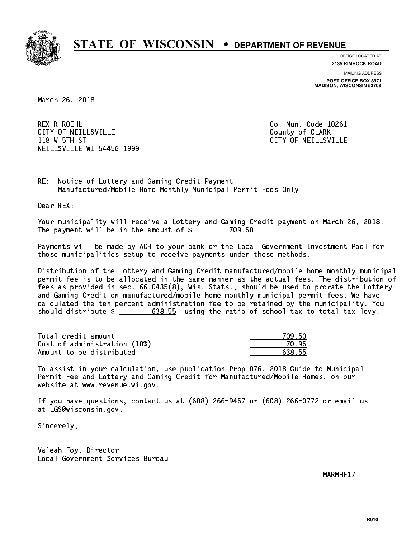

**OFFICE LOCATED AT**

**2135 RIMROCK ROAD**

**MAILING ADDRESS POST OFFICE BOX 8971 MADISON, WISCONSIN 53708**

March 26, 2018

 REX R ROEHL Co. Mun. Code 10261 CITY OF NEILLSVILLE **COUNTY COULD AND COULD COULD COULD** COUNTY OF CLARK 118 W 5TH ST CITY OF NEILLSVILLE NEILLSVILLE WI 54456-1999

RE: Notice of Lottery and Gaming Credit Payment Manufactured/Mobile Home Monthly Municipal Permit Fees Only

Dear REX:

 Your municipality will receive a Lottery and Gaming Credit payment on March 26, 2018. The payment will be in the amount of \$ 709.50 \_\_\_\_\_\_\_\_\_\_\_\_\_\_\_\_

 Payments will be made by ACH to your bank or the Local Government Investment Pool for those municipalities setup to receive payments under these methods.

 Distribution of the Lottery and Gaming Credit manufactured/mobile home monthly municipal permit fee is to be allocated in the same manner as the actual fees. The distribution of fees as provided in sec. 66.0435(8), Wis. Stats., should be used to prorate the Lottery and Gaming Credit on manufactured/mobile home monthly municipal permit fees. We have calculated the ten percent administration fee to be retained by the municipality. You should distribute  $\frac{2}{1}$   $\frac{638.55}{20}$  using the ratio of school tax to total tax levy.

| Total credit amount          | 709.50 |
|------------------------------|--------|
| Cost of administration (10%) | 70.95  |
| Amount to be distributed     | 638.55 |

| 1.50<br>7 |
|-----------|
| -7.<br>רי |
| 638.55    |

 To assist in your calculation, use publication Prop 076, 2018 Guide to Municipal Permit Fee and Lottery and Gaming Credit for Manufactured/Mobile Homes, on our website at www.revenue.wi.gov.

 If you have questions, contact us at (608) 266-9457 or (608) 266-0772 or email us at LGS@wisconsin.gov.

Sincerely,

 Valeah Foy, Director Local Government Services Bureau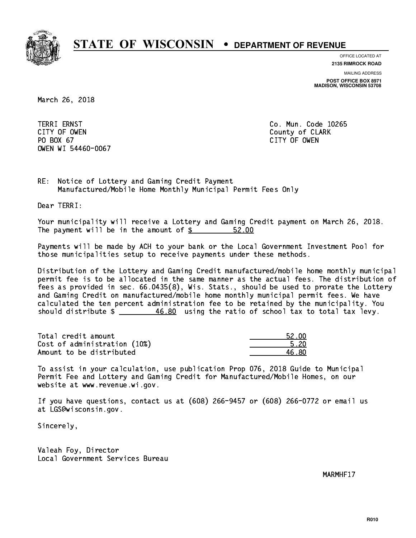

**OFFICE LOCATED AT**

**MAILING ADDRESS 2135 RIMROCK ROAD**

**POST OFFICE BOX 8971 MADISON, WISCONSIN 53708**

March 26, 2018

**TERRI ERNST**  CITY OF OWEN County of CLARK PO BOX 67 PO BOX 67 CITY OF OWEN OWEN WI 54460-0067

Co. Mun. Code 10265 CITY OF OWEN

RE: Notice of Lottery and Gaming Credit Payment Manufactured/Mobile Home Monthly Municipal Permit Fees Only

Dear TERRI:

 Your municipality will receive a Lottery and Gaming Credit payment on March 26, 2018. The payment will be in the amount of  $\frac{2}{3}$ 52.00

 Payments will be made by ACH to your bank or the Local Government Investment Pool for those municipalities setup to receive payments under these methods.

 Distribution of the Lottery and Gaming Credit manufactured/mobile home monthly municipal permit fee is to be allocated in the same manner as the actual fees. The distribution of fees as provided in sec. 66.0435(8), Wis. Stats., should be used to prorate the Lottery and Gaming Credit on manufactured/mobile home monthly municipal permit fees. We have calculated the ten percent administration fee to be retained by the municipality. You should distribute \$ 46.80 using the ratio of school tax to total tax levy. \_\_\_\_\_\_\_\_\_\_\_\_\_\_

Total credit amount Cost of administration (10%) Amount to be distributed

| 52 NN |
|-------|
| 5 2በ  |
| 5.80  |

 To assist in your calculation, use publication Prop 076, 2018 Guide to Municipal Permit Fee and Lottery and Gaming Credit for Manufactured/Mobile Homes, on our website at www.revenue.wi.gov.

 If you have questions, contact us at (608) 266-9457 or (608) 266-0772 or email us at LGS@wisconsin.gov.

Sincerely,

 Valeah Foy, Director Local Government Services Bureau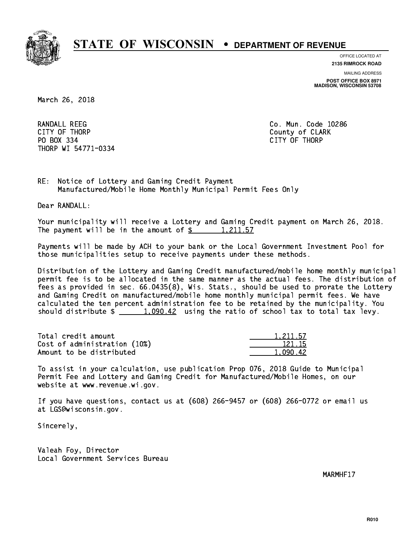

**OFFICE LOCATED AT**

**MAILING ADDRESS 2135 RIMROCK ROAD**

**POST OFFICE BOX 8971 MADISON, WISCONSIN 53708**

March 26, 2018

 RANDALL REEG Co. Mun. Code 10286 CITY OF THE CITY OF THE COUNTY OF THE COUNTY OF COUNTY OF COUNTY OF COUNTY OF COUNTY OF COUNTY OF COUNTY OF COUNTY OF COUNTY OF COUNTY OF COUNTY OF COUNTY OF COUNTY OF COUNTY OF COUNTY OF COUNTY OF COUNTY OF COUNTY OF COUN PO BOX 334 PO BOX 334 CITY OF THORP THORP WI 54771-0334

RE: Notice of Lottery and Gaming Credit Payment Manufactured/Mobile Home Monthly Municipal Permit Fees Only

Dear RANDALL:

 Your municipality will receive a Lottery and Gaming Credit payment on March 26, 2018. The payment will be in the amount of  $\frac{2}{3}$  1,211.57

 Payments will be made by ACH to your bank or the Local Government Investment Pool for those municipalities setup to receive payments under these methods.

 Distribution of the Lottery and Gaming Credit manufactured/mobile home monthly municipal permit fee is to be allocated in the same manner as the actual fees. The distribution of fees as provided in sec. 66.0435(8), Wis. Stats., should be used to prorate the Lottery and Gaming Credit on manufactured/mobile home monthly municipal permit fees. We have calculated the ten percent administration fee to be retained by the municipality. You should distribute  $\frac{1,090.42}{1,090.42}$  using the ratio of school tax to total tax levy.

| Total credit amount          | 1,211.57 |
|------------------------------|----------|
| Cost of administration (10%) | 121.15   |
| Amount to be distributed     | 1.090.42 |

| . 211.57 |
|----------|
| 121 15   |
| 42.      |

 To assist in your calculation, use publication Prop 076, 2018 Guide to Municipal Permit Fee and Lottery and Gaming Credit for Manufactured/Mobile Homes, on our website at www.revenue.wi.gov.

 If you have questions, contact us at (608) 266-9457 or (608) 266-0772 or email us at LGS@wisconsin.gov.

Sincerely,

 Valeah Foy, Director Local Government Services Bureau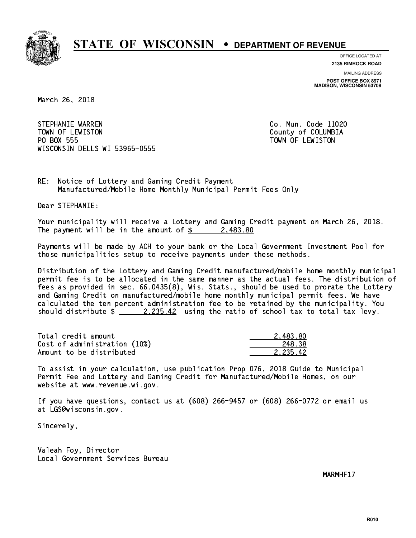

**OFFICE LOCATED AT**

**2135 RIMROCK ROAD**

**MAILING ADDRESS POST OFFICE BOX 8971 MADISON, WISCONSIN 53708**

March 26, 2018

STEPHANIE WARREN CO. Mun. Code 11020 TOWN OF LEWISTON County of COLUMBIA PO BOX 555 PO BOX 555 TOWN OF LEWISTON WISCONSIN DELLS WI 53965-0555

RE: Notice of Lottery and Gaming Credit Payment Manufactured/Mobile Home Monthly Municipal Permit Fees Only

Dear STEPHANIE:

 Your municipality will receive a Lottery and Gaming Credit payment on March 26, 2018. The payment will be in the amount of  $\frac{2483.80}{240}$ 

 Payments will be made by ACH to your bank or the Local Government Investment Pool for those municipalities setup to receive payments under these methods.

 Distribution of the Lottery and Gaming Credit manufactured/mobile home monthly municipal permit fee is to be allocated in the same manner as the actual fees. The distribution of fees as provided in sec. 66.0435(8), Wis. Stats., should be used to prorate the Lottery and Gaming Credit on manufactured/mobile home monthly municipal permit fees. We have calculated the ten percent administration fee to be retained by the municipality. You should distribute  $\frac{2.235.42}{2.235.42}$  using the ratio of school tax to total tax levy.

| Total credit amount          | 2.483.80 |
|------------------------------|----------|
| Cost of administration (10%) | 248.38   |
| Amount to be distributed     | 2.235.42 |

 To assist in your calculation, use publication Prop 076, 2018 Guide to Municipal Permit Fee and Lottery and Gaming Credit for Manufactured/Mobile Homes, on our website at www.revenue.wi.gov.

 If you have questions, contact us at (608) 266-9457 or (608) 266-0772 or email us at LGS@wisconsin.gov.

Sincerely,

 Valeah Foy, Director Local Government Services Bureau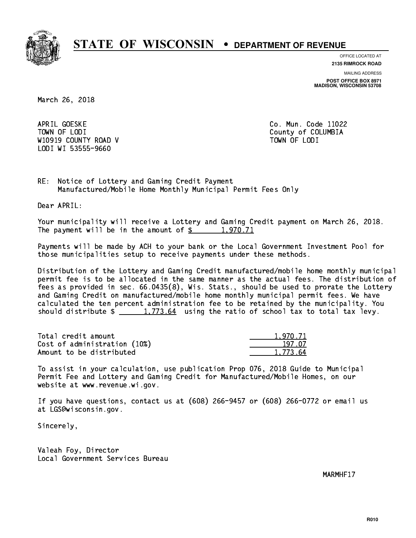

**OFFICE LOCATED AT**

**2135 RIMROCK ROAD**

**MAILING ADDRESS POST OFFICE BOX 8971 MADISON, WISCONSIN 53708**

March 26, 2018

APRIL GOESKE TOWN OF LODI County of COLUMBIA W10919 COUNTY ROAD V TOWN OF LODI LODI WI 53555-9660

Co. Mun. Code 11022

RE: Notice of Lottery and Gaming Credit Payment Manufactured/Mobile Home Monthly Municipal Permit Fees Only

Dear APRIL:

 Your municipality will receive a Lottery and Gaming Credit payment on March 26, 2018. The payment will be in the amount of  $\frac{2}{3}$  1,970.71

 Payments will be made by ACH to your bank or the Local Government Investment Pool for those municipalities setup to receive payments under these methods.

 Distribution of the Lottery and Gaming Credit manufactured/mobile home monthly municipal permit fee is to be allocated in the same manner as the actual fees. The distribution of fees as provided in sec. 66.0435(8), Wis. Stats., should be used to prorate the Lottery and Gaming Credit on manufactured/mobile home monthly municipal permit fees. We have calculated the ten percent administration fee to be retained by the municipality. You should distribute  $\frac{1,773.64}{1,773.64}$  using the ratio of school tax to total tax levy.

| Total credit amount          | 1.970.71 |
|------------------------------|----------|
| Cost of administration (10%) | 197.07   |
| Amount to be distributed     | 1.773.64 |

 To assist in your calculation, use publication Prop 076, 2018 Guide to Municipal Permit Fee and Lottery and Gaming Credit for Manufactured/Mobile Homes, on our website at www.revenue.wi.gov.

 If you have questions, contact us at (608) 266-9457 or (608) 266-0772 or email us at LGS@wisconsin.gov.

Sincerely,

 Valeah Foy, Director Local Government Services Bureau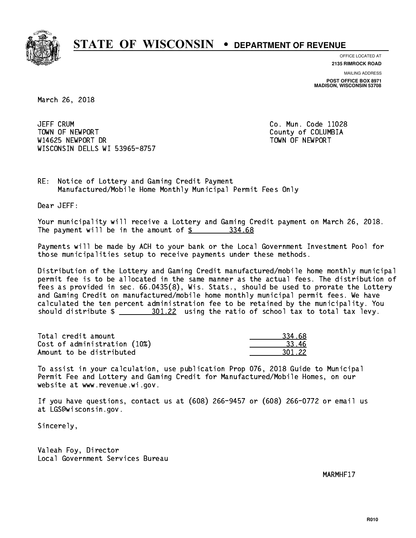

**OFFICE LOCATED AT**

**2135 RIMROCK ROAD**

**MAILING ADDRESS POST OFFICE BOX 8971 MADISON, WISCONSIN 53708**

March 26, 2018

**JEFF CRUM**  TOWN OF NEWPORT County of COLUMBIA W14625 NEWPORT DR TOWN OF NEWPORT WISCONSIN DELLS WI 53965-8757

Co. Mun. Code 11028

RE: Notice of Lottery and Gaming Credit Payment Manufactured/Mobile Home Monthly Municipal Permit Fees Only

Dear JEFF:

 Your municipality will receive a Lottery and Gaming Credit payment on March 26, 2018. The payment will be in the amount of \$ 334.68 \_\_\_\_\_\_\_\_\_\_\_\_\_\_\_\_

 Payments will be made by ACH to your bank or the Local Government Investment Pool for those municipalities setup to receive payments under these methods.

 Distribution of the Lottery and Gaming Credit manufactured/mobile home monthly municipal permit fee is to be allocated in the same manner as the actual fees. The distribution of fees as provided in sec. 66.0435(8), Wis. Stats., should be used to prorate the Lottery and Gaming Credit on manufactured/mobile home monthly municipal permit fees. We have calculated the ten percent administration fee to be retained by the municipality. You should distribute  $\frac{201.22}{1}$  using the ratio of school tax to total tax levy.

| Total credit amount          | 334.68 |
|------------------------------|--------|
| Cost of administration (10%) | -33.46 |
| Amount to be distributed     | 301.22 |

 To assist in your calculation, use publication Prop 076, 2018 Guide to Municipal Permit Fee and Lottery and Gaming Credit for Manufactured/Mobile Homes, on our website at www.revenue.wi.gov.

 If you have questions, contact us at (608) 266-9457 or (608) 266-0772 or email us at LGS@wisconsin.gov.

Sincerely,

 Valeah Foy, Director Local Government Services Bureau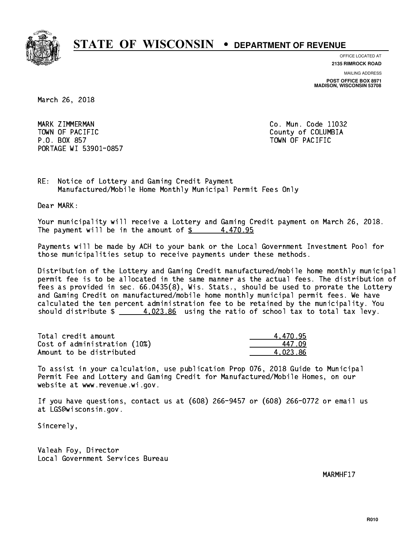

**OFFICE LOCATED AT**

**2135 RIMROCK ROAD**

**MAILING ADDRESS POST OFFICE BOX 8971 MADISON, WISCONSIN 53708**

March 26, 2018

 MARK ZIMMERMAN Co. Mun. Code 11032 TOWN OF PACIFIC **COUNTY COUNTY OF COLUMBIA**  P.O. BOX 857 TOWN OF PACIFIC PORTAGE WI 53901-0857

RE: Notice of Lottery and Gaming Credit Payment Manufactured/Mobile Home Monthly Municipal Permit Fees Only

Dear MARK:

 Your municipality will receive a Lottery and Gaming Credit payment on March 26, 2018. The payment will be in the amount of  $\frac{2}{3}$  4,470.95

 Payments will be made by ACH to your bank or the Local Government Investment Pool for those municipalities setup to receive payments under these methods.

 Distribution of the Lottery and Gaming Credit manufactured/mobile home monthly municipal permit fee is to be allocated in the same manner as the actual fees. The distribution of fees as provided in sec. 66.0435(8), Wis. Stats., should be used to prorate the Lottery and Gaming Credit on manufactured/mobile home monthly municipal permit fees. We have calculated the ten percent administration fee to be retained by the municipality. You should distribute  $\frac{4.023.86}{1.023.86}$  using the ratio of school tax to total tax levy.

| Total credit amount          | 4.470.95 |
|------------------------------|----------|
| Cost of administration (10%) | 447 N9   |
| Amount to be distributed     | 4.023.86 |

 To assist in your calculation, use publication Prop 076, 2018 Guide to Municipal Permit Fee and Lottery and Gaming Credit for Manufactured/Mobile Homes, on our website at www.revenue.wi.gov.

 If you have questions, contact us at (608) 266-9457 or (608) 266-0772 or email us at LGS@wisconsin.gov.

Sincerely,

 Valeah Foy, Director Local Government Services Bureau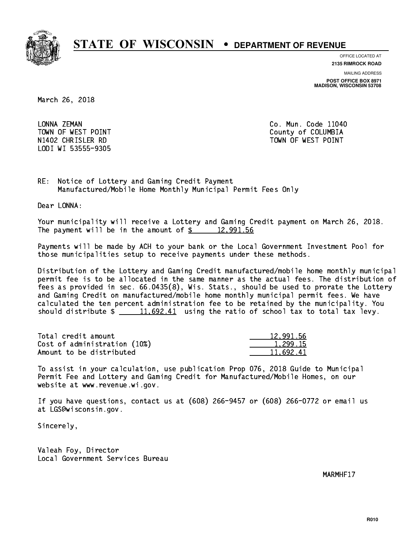

**OFFICE LOCATED AT 2135 RIMROCK ROAD**

**MAILING ADDRESS POST OFFICE BOX 8971 MADISON, WISCONSIN 53708**

March 26, 2018

 LONNA ZEMAN Co. Mun. Code 11040 LODI WI 53555-9305

 TOWN OF WEST POINT County of COLUMBIA N1402 CHRISLER RD TOWN OF WEST POINT

RE: Notice of Lottery and Gaming Credit Payment Manufactured/Mobile Home Monthly Municipal Permit Fees Only

Dear LONNA:

 Your municipality will receive a Lottery and Gaming Credit payment on March 26, 2018. The payment will be in the amount of  $\frac{2}{3}$  12,991.56

 Payments will be made by ACH to your bank or the Local Government Investment Pool for those municipalities setup to receive payments under these methods.

 Distribution of the Lottery and Gaming Credit manufactured/mobile home monthly municipal permit fee is to be allocated in the same manner as the actual fees. The distribution of fees as provided in sec. 66.0435(8), Wis. Stats., should be used to prorate the Lottery and Gaming Credit on manufactured/mobile home monthly municipal permit fees. We have calculated the ten percent administration fee to be retained by the municipality. You should distribute  $\frac{11.692.41}{2}$  using the ratio of school tax to total tax levy.

| Total credit amount          | 12,991.56 |
|------------------------------|-----------|
| Cost of administration (10%) | 1.299.15  |
| Amount to be distributed     | 11.692.41 |

 To assist in your calculation, use publication Prop 076, 2018 Guide to Municipal Permit Fee and Lottery and Gaming Credit for Manufactured/Mobile Homes, on our website at www.revenue.wi.gov.

 If you have questions, contact us at (608) 266-9457 or (608) 266-0772 or email us at LGS@wisconsin.gov.

Sincerely,

 Valeah Foy, Director Local Government Services Bureau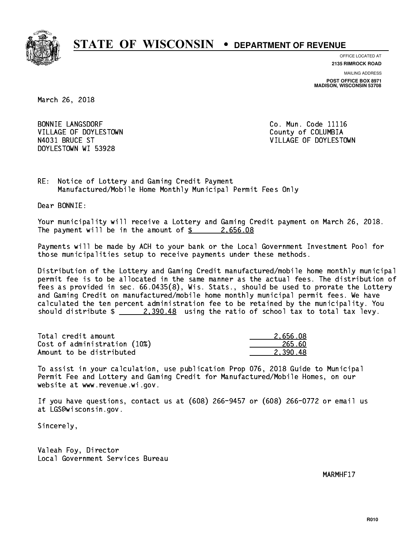

**OFFICE LOCATED AT**

**2135 RIMROCK ROAD**

**MAILING ADDRESS POST OFFICE BOX 8971 MADISON, WISCONSIN 53708**

March 26, 2018

**BONNIE LANGSDORF** VILLAGE OF DOYLESTOWN **COUNTY OF COLUMBIA** DOYLESTOWN WI 53928

Co. Mun. Code 11116 N4031 BRUCE ST VILLAGE OF DOYLESTOWN

RE: Notice of Lottery and Gaming Credit Payment Manufactured/Mobile Home Monthly Municipal Permit Fees Only

Dear BONNIE:

 Your municipality will receive a Lottery and Gaming Credit payment on March 26, 2018. The payment will be in the amount of  $\frac{2}{5}$  2,656.08

 Payments will be made by ACH to your bank or the Local Government Investment Pool for those municipalities setup to receive payments under these methods.

 Distribution of the Lottery and Gaming Credit manufactured/mobile home monthly municipal permit fee is to be allocated in the same manner as the actual fees. The distribution of fees as provided in sec. 66.0435(8), Wis. Stats., should be used to prorate the Lottery and Gaming Credit on manufactured/mobile home monthly municipal permit fees. We have calculated the ten percent administration fee to be retained by the municipality. You should distribute  $\frac{2,390.48}{2}$  using the ratio of school tax to total tax levy.

| Total credit amount          | 2.656.08 |
|------------------------------|----------|
| Cost of administration (10%) | 265.60   |
| Amount to be distributed     | 2.390.48 |

 To assist in your calculation, use publication Prop 076, 2018 Guide to Municipal Permit Fee and Lottery and Gaming Credit for Manufactured/Mobile Homes, on our website at www.revenue.wi.gov.

 If you have questions, contact us at (608) 266-9457 or (608) 266-0772 or email us at LGS@wisconsin.gov.

Sincerely,

 Valeah Foy, Director Local Government Services Bureau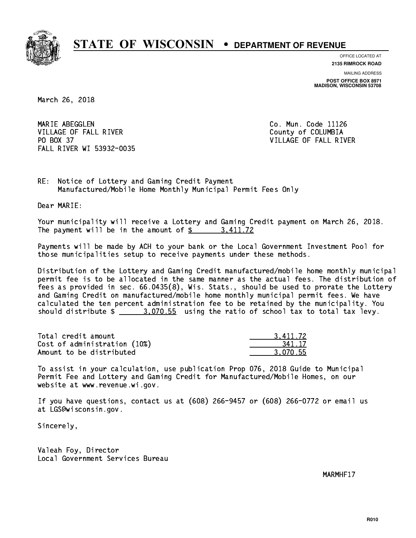

**OFFICE LOCATED AT**

**2135 RIMROCK ROAD**

**MAILING ADDRESS POST OFFICE BOX 8971 MADISON, WISCONSIN 53708**

March 26, 2018

MARIE ABEGGLEN VILLAGE OF FALL RIVER **COLLECT IN THE COLLECT OF SALE ASSESS** PO BOX 37 FALL RIVER WI 53932-0035

Co. Mun. Code 11126 VILLAGE OF FALL RIVER

RE: Notice of Lottery and Gaming Credit Payment Manufactured/Mobile Home Monthly Municipal Permit Fees Only

Dear MARIE:

 Your municipality will receive a Lottery and Gaming Credit payment on March 26, 2018. The payment will be in the amount of  $\frac{2}{3}$  3,411.72

 Payments will be made by ACH to your bank or the Local Government Investment Pool for those municipalities setup to receive payments under these methods.

 Distribution of the Lottery and Gaming Credit manufactured/mobile home monthly municipal permit fee is to be allocated in the same manner as the actual fees. The distribution of fees as provided in sec. 66.0435(8), Wis. Stats., should be used to prorate the Lottery and Gaming Credit on manufactured/mobile home monthly municipal permit fees. We have calculated the ten percent administration fee to be retained by the municipality. You should distribute  $\frac{2}{1}$   $\frac{3.070.55}{2}$  using the ratio of school tax to total tax levy.

| Total credit amount          | 3.411.72 |
|------------------------------|----------|
| Cost of administration (10%) | 341.17   |
| Amount to be distributed     | 3.070.55 |

 To assist in your calculation, use publication Prop 076, 2018 Guide to Municipal Permit Fee and Lottery and Gaming Credit for Manufactured/Mobile Homes, on our website at www.revenue.wi.gov.

 If you have questions, contact us at (608) 266-9457 or (608) 266-0772 or email us at LGS@wisconsin.gov.

Sincerely,

 Valeah Foy, Director Local Government Services Bureau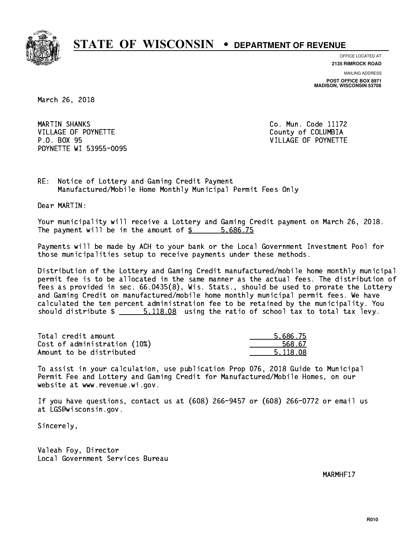

**OFFICE LOCATED AT**

**2135 RIMROCK ROAD**

**MAILING ADDRESS POST OFFICE BOX 8971 MADISON, WISCONSIN 53708**

March 26, 2018

MARTIN SHANKS VILLAGE OF POYNETTE COUNTY OF COLUMBIA P.O. BOX 95 VILLAGE OF POYNETTE POYNETTE WI 53955-0095

Co. Mun. Code 11172

RE: Notice of Lottery and Gaming Credit Payment Manufactured/Mobile Home Monthly Municipal Permit Fees Only

Dear MARTIN:

 Your municipality will receive a Lottery and Gaming Credit payment on March 26, 2018. The payment will be in the amount of \$ 5,686.75 \_\_\_\_\_\_\_\_\_\_\_\_\_\_\_\_

 Payments will be made by ACH to your bank or the Local Government Investment Pool for those municipalities setup to receive payments under these methods.

 Distribution of the Lottery and Gaming Credit manufactured/mobile home monthly municipal permit fee is to be allocated in the same manner as the actual fees. The distribution of fees as provided in sec. 66.0435(8), Wis. Stats., should be used to prorate the Lottery and Gaming Credit on manufactured/mobile home monthly municipal permit fees. We have calculated the ten percent administration fee to be retained by the municipality. You should distribute  $\frac{2}{1}$   $\frac{5,118.08}{2}$  using the ratio of school tax to total tax levy.

| Total credit amount          | 5.686.75 |
|------------------------------|----------|
| Cost of administration (10%) | 568.67   |
| Amount to be distributed     | 5.118.08 |

 To assist in your calculation, use publication Prop 076, 2018 Guide to Municipal Permit Fee and Lottery and Gaming Credit for Manufactured/Mobile Homes, on our website at www.revenue.wi.gov.

 If you have questions, contact us at (608) 266-9457 or (608) 266-0772 or email us at LGS@wisconsin.gov.

Sincerely,

 Valeah Foy, Director Local Government Services Bureau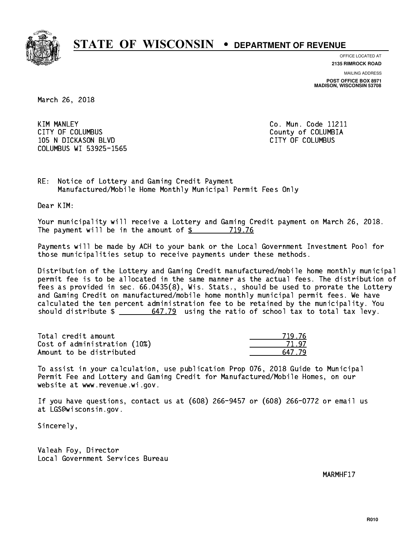

**OFFICE LOCATED AT**

**2135 RIMROCK ROAD**

**MAILING ADDRESS POST OFFICE BOX 8971 MADISON, WISCONSIN 53708**

March 26, 2018

**KIM MANLEY** CITY OF COLUMBUS COME CONSULTED A COUNTY OF COLUMBIA 105 N DICKASON BLVD CITY OF COLUMBUS COLUMBUS WI 53925-1565

Co. Mun. Code 11211

RE: Notice of Lottery and Gaming Credit Payment Manufactured/Mobile Home Monthly Municipal Permit Fees Only

Dear KIM:

 Your municipality will receive a Lottery and Gaming Credit payment on March 26, 2018. The payment will be in the amount of  $\frac{2}{3}$  719.76

 Payments will be made by ACH to your bank or the Local Government Investment Pool for those municipalities setup to receive payments under these methods.

 Distribution of the Lottery and Gaming Credit manufactured/mobile home monthly municipal permit fee is to be allocated in the same manner as the actual fees. The distribution of fees as provided in sec. 66.0435(8), Wis. Stats., should be used to prorate the Lottery and Gaming Credit on manufactured/mobile home monthly municipal permit fees. We have calculated the ten percent administration fee to be retained by the municipality. You should distribute  $\frac{2}{1}$   $\frac{647.79}{2}$  using the ratio of school tax to total tax levy.

Total credit amount Cost of administration (10%) Amount to be distributed

| - 7<br>- 76 |
|-------------|
| 47          |
| LZ 79       |

 To assist in your calculation, use publication Prop 076, 2018 Guide to Municipal Permit Fee and Lottery and Gaming Credit for Manufactured/Mobile Homes, on our website at www.revenue.wi.gov.

 If you have questions, contact us at (608) 266-9457 or (608) 266-0772 or email us at LGS@wisconsin.gov.

Sincerely,

 Valeah Foy, Director Local Government Services Bureau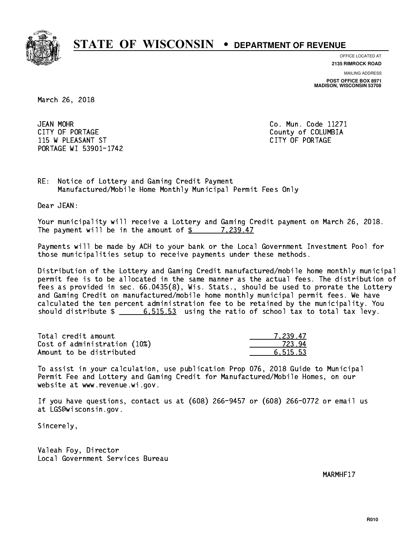

**OFFICE LOCATED AT**

**2135 RIMROCK ROAD**

**MAILING ADDRESS POST OFFICE BOX 8971 MADISON, WISCONSIN 53708**

March 26, 2018

**JEAN MOHR** CITY OF PORTAGE COLOMBIA 115 W PLEASANT ST CITY OF PORTAGE PORTAGE WI 53901-1742

Co. Mun. Code 11271

RE: Notice of Lottery and Gaming Credit Payment Manufactured/Mobile Home Monthly Municipal Permit Fees Only

Dear JEAN:

 Your municipality will receive a Lottery and Gaming Credit payment on March 26, 2018. The payment will be in the amount of \$ 7,239.47 \_\_\_\_\_\_\_\_\_\_\_\_\_\_\_\_

 Payments will be made by ACH to your bank or the Local Government Investment Pool for those municipalities setup to receive payments under these methods.

 Distribution of the Lottery and Gaming Credit manufactured/mobile home monthly municipal permit fee is to be allocated in the same manner as the actual fees. The distribution of fees as provided in sec. 66.0435(8), Wis. Stats., should be used to prorate the Lottery and Gaming Credit on manufactured/mobile home monthly municipal permit fees. We have calculated the ten percent administration fee to be retained by the municipality. You should distribute  $\frac{2}{1}$   $\frac{6}{515.53}$  using the ratio of school tax to total tax levy.

| Total credit amount          | 7.239.47 |
|------------------------------|----------|
| Cost of administration (10%) | 723.94   |
| Amount to be distributed     | 6.515.53 |

 To assist in your calculation, use publication Prop 076, 2018 Guide to Municipal Permit Fee and Lottery and Gaming Credit for Manufactured/Mobile Homes, on our website at www.revenue.wi.gov.

 If you have questions, contact us at (608) 266-9457 or (608) 266-0772 or email us at LGS@wisconsin.gov.

Sincerely,

 Valeah Foy, Director Local Government Services Bureau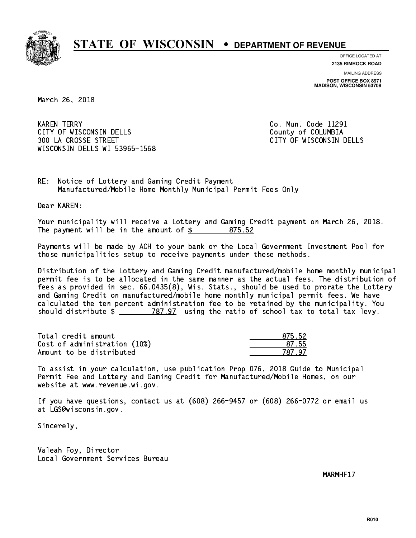

**OFFICE LOCATED AT**

**2135 RIMROCK ROAD**

**MAILING ADDRESS POST OFFICE BOX 8971 MADISON, WISCONSIN 53708**

March 26, 2018

**KAREN TERRY** CITY OF WISCONSIN DELLS COUNTY OF COLUMBIA 300 LA CROSSE STREET CITY OF WISCONSIN DELLS WISCONSIN DELLS WI 53965-1568

Co. Mun. Code 11291

RE: Notice of Lottery and Gaming Credit Payment Manufactured/Mobile Home Monthly Municipal Permit Fees Only

Dear KAREN:

 Your municipality will receive a Lottery and Gaming Credit payment on March 26, 2018. The payment will be in the amount of \$ 875.52 \_\_\_\_\_\_\_\_\_\_\_\_\_\_\_\_

 Payments will be made by ACH to your bank or the Local Government Investment Pool for those municipalities setup to receive payments under these methods.

 Distribution of the Lottery and Gaming Credit manufactured/mobile home monthly municipal permit fee is to be allocated in the same manner as the actual fees. The distribution of fees as provided in sec. 66.0435(8), Wis. Stats., should be used to prorate the Lottery and Gaming Credit on manufactured/mobile home monthly municipal permit fees. We have calculated the ten percent administration fee to be retained by the municipality. You should distribute  $\frac{2}{2}$   $\frac{787.97}{2}$  using the ratio of school tax to total tax levy.

Total credit amount Cost of administration (10%) Amount to be distributed

| 5.52 |
|------|
| 7.55 |
| 47.  |

 To assist in your calculation, use publication Prop 076, 2018 Guide to Municipal Permit Fee and Lottery and Gaming Credit for Manufactured/Mobile Homes, on our website at www.revenue.wi.gov.

 If you have questions, contact us at (608) 266-9457 or (608) 266-0772 or email us at LGS@wisconsin.gov.

Sincerely,

 Valeah Foy, Director Local Government Services Bureau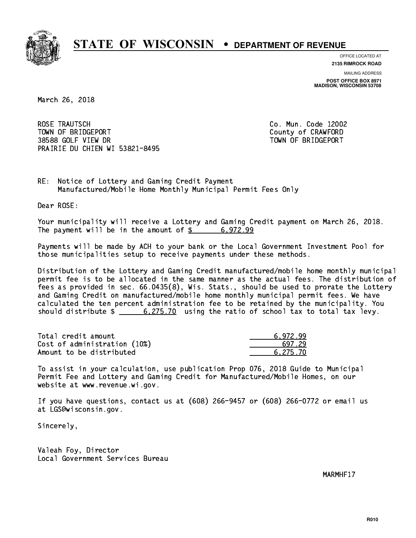

**OFFICE LOCATED AT**

**2135 RIMROCK ROAD**

**MAILING ADDRESS POST OFFICE BOX 8971 MADISON, WISCONSIN 53708**

March 26, 2018

 ROSE TRAUTSCH Co. Mun. Code 12002 TOWN OF BRIDGEPORT County of CRAWFORD 38588 GOLF VIEW DR TOWN OF BRIDGEPORT PRAIRIE DU CHIEN WI 53821-8495

RE: Notice of Lottery and Gaming Credit Payment Manufactured/Mobile Home Monthly Municipal Permit Fees Only

Dear ROSE:

 Your municipality will receive a Lottery and Gaming Credit payment on March 26, 2018. The payment will be in the amount of  $\frac{2}{3}$  6,972.99

 Payments will be made by ACH to your bank or the Local Government Investment Pool for those municipalities setup to receive payments under these methods.

 Distribution of the Lottery and Gaming Credit manufactured/mobile home monthly municipal permit fee is to be allocated in the same manner as the actual fees. The distribution of fees as provided in sec. 66.0435(8), Wis. Stats., should be used to prorate the Lottery and Gaming Credit on manufactured/mobile home monthly municipal permit fees. We have calculated the ten percent administration fee to be retained by the municipality. You should distribute  $\frac{275.70}{275.70}$  using the ratio of school tax to total tax levy.

| Total credit amount          | 6.972.99 |
|------------------------------|----------|
| Cost of administration (10%) | 697.29   |
| Amount to be distributed     | 6.275.70 |

 To assist in your calculation, use publication Prop 076, 2018 Guide to Municipal Permit Fee and Lottery and Gaming Credit for Manufactured/Mobile Homes, on our website at www.revenue.wi.gov.

 If you have questions, contact us at (608) 266-9457 or (608) 266-0772 or email us at LGS@wisconsin.gov.

Sincerely,

 Valeah Foy, Director Local Government Services Bureau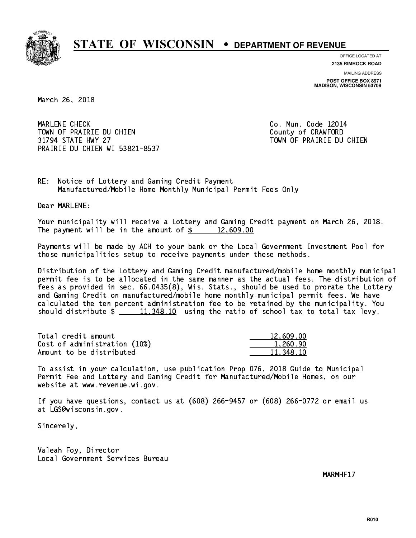

**OFFICE LOCATED AT**

**2135 RIMROCK ROAD**

**MAILING ADDRESS POST OFFICE BOX 8971 MADISON, WISCONSIN 53708**

March 26, 2018

 MARLENE CHECK Co. Mun. Code 12014 TOWN OF PRAIRIE DU CHIEN COUNTY COUNTY OF CRAWFORD 31794 STATE HWY 27 TOWN OF PRAIRIE DU CHIEN PRAIRIE DU CHIEN WI 53821-8537

RE: Notice of Lottery and Gaming Credit Payment Manufactured/Mobile Home Monthly Municipal Permit Fees Only

Dear MARLENE:

 Your municipality will receive a Lottery and Gaming Credit payment on March 26, 2018. The payment will be in the amount of  $\frac{2}{3}$  12,609.00

 Payments will be made by ACH to your bank or the Local Government Investment Pool for those municipalities setup to receive payments under these methods.

 Distribution of the Lottery and Gaming Credit manufactured/mobile home monthly municipal permit fee is to be allocated in the same manner as the actual fees. The distribution of fees as provided in sec. 66.0435(8), Wis. Stats., should be used to prorate the Lottery and Gaming Credit on manufactured/mobile home monthly municipal permit fees. We have calculated the ten percent administration fee to be retained by the municipality. You should distribute  $\frac{11,348.10}{11,348.10}$  using the ratio of school tax to total tax levy.

| Total credit amount          | 12,609.00 |
|------------------------------|-----------|
| Cost of administration (10%) | 1.260.90  |
| Amount to be distributed     | 11,348.10 |

 To assist in your calculation, use publication Prop 076, 2018 Guide to Municipal Permit Fee and Lottery and Gaming Credit for Manufactured/Mobile Homes, on our website at www.revenue.wi.gov.

 If you have questions, contact us at (608) 266-9457 or (608) 266-0772 or email us at LGS@wisconsin.gov.

Sincerely,

 Valeah Foy, Director Local Government Services Bureau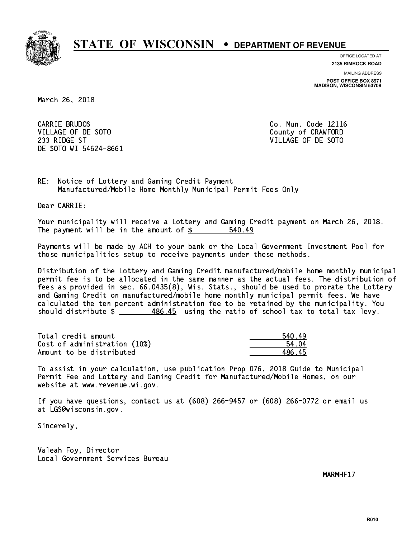

**OFFICE LOCATED AT**

**2135 RIMROCK ROAD**

**MAILING ADDRESS POST OFFICE BOX 8971 MADISON, WISCONSIN 53708**

March 26, 2018

CARRIE BRUDOS VILLAGE OF DE SOTO COUNTY OF CRAWFORD 233 RIDGE ST VILLAGE OF DE SOTO DE SOTO WI 54624-8661

Co. Mun. Code 12116

RE: Notice of Lottery and Gaming Credit Payment Manufactured/Mobile Home Monthly Municipal Permit Fees Only

Dear CARRIE:

 Your municipality will receive a Lottery and Gaming Credit payment on March 26, 2018. The payment will be in the amount of  $\frac{2}{3}$ 540.49

 Payments will be made by ACH to your bank or the Local Government Investment Pool for those municipalities setup to receive payments under these methods.

 Distribution of the Lottery and Gaming Credit manufactured/mobile home monthly municipal permit fee is to be allocated in the same manner as the actual fees. The distribution of fees as provided in sec. 66.0435(8), Wis. Stats., should be used to prorate the Lottery and Gaming Credit on manufactured/mobile home monthly municipal permit fees. We have calculated the ten percent administration fee to be retained by the municipality. You should distribute  $\frac{486.45}{2}$  using the ratio of school tax to total tax levy.

| Total credit amount          | 540 49 |
|------------------------------|--------|
| Cost of administration (10%) | 54 04  |
| Amount to be distributed     | 486 45 |

| 19<br>540. |
|------------|
| 4 N.A      |
| 486.45     |

 To assist in your calculation, use publication Prop 076, 2018 Guide to Municipal Permit Fee and Lottery and Gaming Credit for Manufactured/Mobile Homes, on our website at www.revenue.wi.gov.

 If you have questions, contact us at (608) 266-9457 or (608) 266-0772 or email us at LGS@wisconsin.gov.

Sincerely,

 Valeah Foy, Director Local Government Services Bureau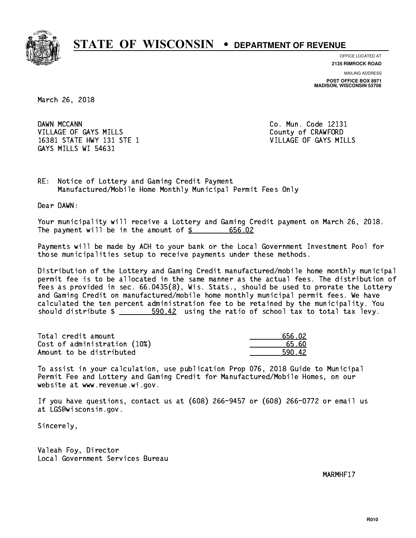

**OFFICE LOCATED AT**

**2135 RIMROCK ROAD**

**MAILING ADDRESS POST OFFICE BOX 8971 MADISON, WISCONSIN 53708**

March 26, 2018

DAWN MCCANN VILLAGE OF GAYS MILLS County of CRAWFORD 16381 STATE HWY 131 STE 1 VILLAGE OF GAYS MILLS GAYS MILLS WI 54631

Co. Mun. Code 12131

RE: Notice of Lottery and Gaming Credit Payment Manufactured/Mobile Home Monthly Municipal Permit Fees Only

Dear DAWN:

 Your municipality will receive a Lottery and Gaming Credit payment on March 26, 2018. The payment will be in the amount of \$ 656.02 \_\_\_\_\_\_\_\_\_\_\_\_\_\_\_\_

 Payments will be made by ACH to your bank or the Local Government Investment Pool for those municipalities setup to receive payments under these methods.

 Distribution of the Lottery and Gaming Credit manufactured/mobile home monthly municipal permit fee is to be allocated in the same manner as the actual fees. The distribution of fees as provided in sec. 66.0435(8), Wis. Stats., should be used to prorate the Lottery and Gaming Credit on manufactured/mobile home monthly municipal permit fees. We have calculated the ten percent administration fee to be retained by the municipality. You should distribute  $\frac{2}{2}$   $\frac{590.42}{2}$  using the ratio of school tax to total tax levy.

| Total credit amount          | 656.02 |
|------------------------------|--------|
| Cost of administration (10%) | 65.60  |
| Amount to be distributed     | 590.42 |

 To assist in your calculation, use publication Prop 076, 2018 Guide to Municipal Permit Fee and Lottery and Gaming Credit for Manufactured/Mobile Homes, on our website at www.revenue.wi.gov.

 If you have questions, contact us at (608) 266-9457 or (608) 266-0772 or email us at LGS@wisconsin.gov.

Sincerely,

 Valeah Foy, Director Local Government Services Bureau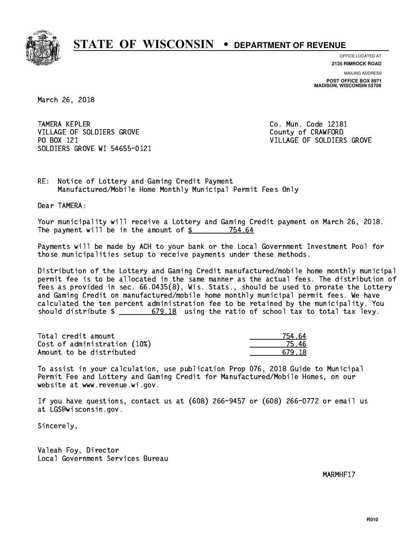

**OFFICE LOCATED AT**

**2135 RIMROCK ROAD**

**MAILING ADDRESS POST OFFICE BOX 8971 MADISON, WISCONSIN 53708**

March 26, 2018

**TAMERA KEPLER** VILLAGE OF SOLDIERS GROVE COUNTY OF CRAWFORD PO BOX 121 SOLDIERS GROVE WI 54655-0121

Co. Mun. Code 12181 VILLAGE OF SOLDIERS GROVE

RE: Notice of Lottery and Gaming Credit Payment Manufactured/Mobile Home Monthly Municipal Permit Fees Only

Dear TAMERA:

 Your municipality will receive a Lottery and Gaming Credit payment on March 26, 2018. The payment will be in the amount of \$ 754.64 \_\_\_\_\_\_\_\_\_\_\_\_\_\_\_\_

 Payments will be made by ACH to your bank or the Local Government Investment Pool for those municipalities setup to receive payments under these methods.

 Distribution of the Lottery and Gaming Credit manufactured/mobile home monthly municipal permit fee is to be allocated in the same manner as the actual fees. The distribution of fees as provided in sec. 66.0435(8), Wis. Stats., should be used to prorate the Lottery and Gaming Credit on manufactured/mobile home monthly municipal permit fees. We have calculated the ten percent administration fee to be retained by the municipality. You should distribute  $\frac{2}{10}$   $\frac{679.18}{100}$  using the ratio of school tax to total tax levy.

| Total credit amount          | 754.64 |
|------------------------------|--------|
| Cost of administration (10%) | 75 46  |
| Amount to be distributed     | 679.18 |

 To assist in your calculation, use publication Prop 076, 2018 Guide to Municipal Permit Fee and Lottery and Gaming Credit for Manufactured/Mobile Homes, on our website at www.revenue.wi.gov.

 If you have questions, contact us at (608) 266-9457 or (608) 266-0772 or email us at LGS@wisconsin.gov.

Sincerely,

 Valeah Foy, Director Local Government Services Bureau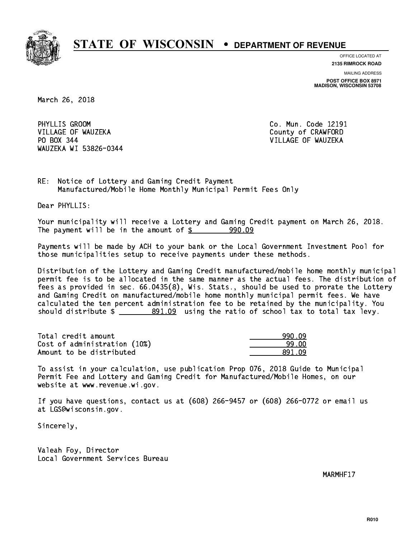

**OFFICE LOCATED AT 2135 RIMROCK ROAD**

**MAILING ADDRESS POST OFFICE BOX 8971 MADISON, WISCONSIN 53708**

March 26, 2018

PHYLLIS GROOM VILLAGE OF WAUZEKA COUNTY OF CRAWFORD PO BOX 344 VILLAGE OF WAUZEKA WAUZEKA WI 53826-0344

Co. Mun. Code 12191

RE: Notice of Lottery and Gaming Credit Payment Manufactured/Mobile Home Monthly Municipal Permit Fees Only

Dear PHYLLIS:

 Your municipality will receive a Lottery and Gaming Credit payment on March 26, 2018. The payment will be in the amount of  $\frac{2}{3}$  990.09

 Payments will be made by ACH to your bank or the Local Government Investment Pool for those municipalities setup to receive payments under these methods.

 Distribution of the Lottery and Gaming Credit manufactured/mobile home monthly municipal permit fee is to be allocated in the same manner as the actual fees. The distribution of fees as provided in sec. 66.0435(8), Wis. Stats., should be used to prorate the Lottery and Gaming Credit on manufactured/mobile home monthly municipal permit fees. We have calculated the ten percent administration fee to be retained by the municipality. You should distribute  $\frac{2}{2}$   $\frac{891.09}{2}$  using the ratio of school tax to total tax levy.

| Total credit amount          | 990.09  |
|------------------------------|---------|
| Cost of administration (10%) | 99.00   |
| Amount to be distributed     | .891.N9 |

 To assist in your calculation, use publication Prop 076, 2018 Guide to Municipal Permit Fee and Lottery and Gaming Credit for Manufactured/Mobile Homes, on our website at www.revenue.wi.gov.

 If you have questions, contact us at (608) 266-9457 or (608) 266-0772 or email us at LGS@wisconsin.gov.

Sincerely,

 Valeah Foy, Director Local Government Services Bureau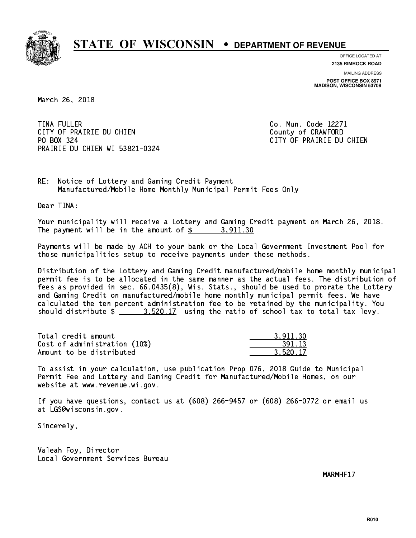

**OFFICE LOCATED AT**

**2135 RIMROCK ROAD**

**MAILING ADDRESS POST OFFICE BOX 8971 MADISON, WISCONSIN 53708**

March 26, 2018

**TINA FULLER** CITY OF PRAIRIE DU CHIEN COUNTY OF CRAWFORD PO BOX 324 PRAIRIE DU CHIEN WI 53821-0324

Co. Mun. Code 12271 CITY OF PRAIRIE DU CHIEN

RE: Notice of Lottery and Gaming Credit Payment Manufactured/Mobile Home Monthly Municipal Permit Fees Only

Dear TINA:

 Your municipality will receive a Lottery and Gaming Credit payment on March 26, 2018. The payment will be in the amount of \$ 3,911.30 \_\_\_\_\_\_\_\_\_\_\_\_\_\_\_\_

 Payments will be made by ACH to your bank or the Local Government Investment Pool for those municipalities setup to receive payments under these methods.

 Distribution of the Lottery and Gaming Credit manufactured/mobile home monthly municipal permit fee is to be allocated in the same manner as the actual fees. The distribution of fees as provided in sec. 66.0435(8), Wis. Stats., should be used to prorate the Lottery and Gaming Credit on manufactured/mobile home monthly municipal permit fees. We have calculated the ten percent administration fee to be retained by the municipality. You should distribute  $\frac{2}{2}$   $\frac{3.520.17}{2}$  using the ratio of school tax to total tax levy.

| Total credit amount          | 3.911.30 |
|------------------------------|----------|
| Cost of administration (10%) | 391.13   |
| Amount to be distributed     | 3.520.17 |

 To assist in your calculation, use publication Prop 076, 2018 Guide to Municipal Permit Fee and Lottery and Gaming Credit for Manufactured/Mobile Homes, on our website at www.revenue.wi.gov.

 If you have questions, contact us at (608) 266-9457 or (608) 266-0772 or email us at LGS@wisconsin.gov.

Sincerely,

 Valeah Foy, Director Local Government Services Bureau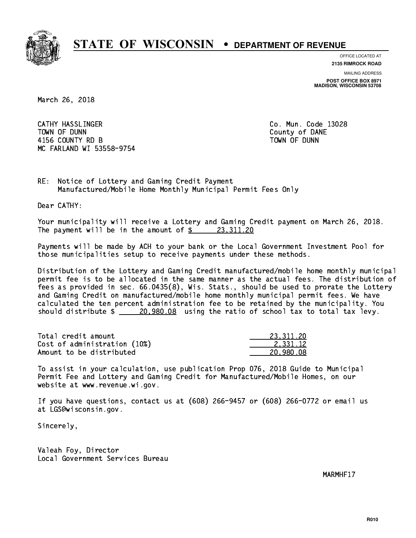

**OFFICE LOCATED AT**

**2135 RIMROCK ROAD**

**MAILING ADDRESS POST OFFICE BOX 8971 MADISON, WISCONSIN 53708**

March 26, 2018

 CATHY HASSLINGER Co. Mun. Code 13028 TOWN OF DUNN County of DANE 4156 COUNTY RD B TOWN OF DUNN MC FARLAND WI 53558-9754

RE: Notice of Lottery and Gaming Credit Payment Manufactured/Mobile Home Monthly Municipal Permit Fees Only

Dear CATHY:

 Your municipality will receive a Lottery and Gaming Credit payment on March 26, 2018. The payment will be in the amount of  $\frac{23,311.20}{20}$ 

 Payments will be made by ACH to your bank or the Local Government Investment Pool for those municipalities setup to receive payments under these methods.

 Distribution of the Lottery and Gaming Credit manufactured/mobile home monthly municipal permit fee is to be allocated in the same manner as the actual fees. The distribution of fees as provided in sec. 66.0435(8), Wis. Stats., should be used to prorate the Lottery and Gaming Credit on manufactured/mobile home monthly municipal permit fees. We have calculated the ten percent administration fee to be retained by the municipality. You should distribute  $\frac{20,980.08}{20,980.08}$  using the ratio of school tax to total tax levy.

| Total credit amount          | 23.311.20 |
|------------------------------|-----------|
| Cost of administration (10%) | 2.331.12  |
| Amount to be distributed     | 20.980.08 |

 To assist in your calculation, use publication Prop 076, 2018 Guide to Municipal Permit Fee and Lottery and Gaming Credit for Manufactured/Mobile Homes, on our website at www.revenue.wi.gov.

 If you have questions, contact us at (608) 266-9457 or (608) 266-0772 or email us at LGS@wisconsin.gov.

Sincerely,

 Valeah Foy, Director Local Government Services Bureau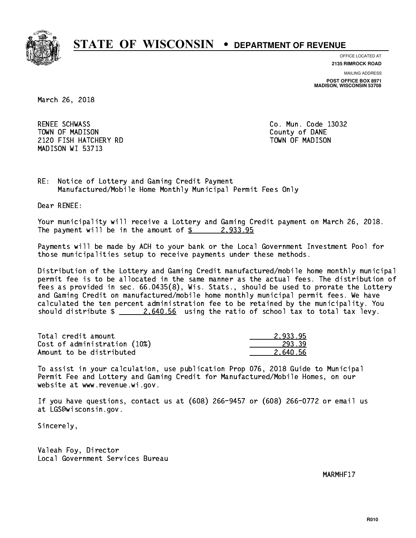

**OFFICE LOCATED AT**

**2135 RIMROCK ROAD**

**MAILING ADDRESS POST OFFICE BOX 8971 MADISON, WISCONSIN 53708**

March 26, 2018

RENEE SCHWASS TOWN OF MADISON County of DANE 2120 FISH HATCHERY RD TOWN OF MADISON MADISON WI 53713

Co. Mun. Code 13032

RE: Notice of Lottery and Gaming Credit Payment Manufactured/Mobile Home Monthly Municipal Permit Fees Only

Dear RENEE:

 Your municipality will receive a Lottery and Gaming Credit payment on March 26, 2018. The payment will be in the amount of  $\frac{2}{9}$  2,933.95

 Payments will be made by ACH to your bank or the Local Government Investment Pool for those municipalities setup to receive payments under these methods.

 Distribution of the Lottery and Gaming Credit manufactured/mobile home monthly municipal permit fee is to be allocated in the same manner as the actual fees. The distribution of fees as provided in sec. 66.0435(8), Wis. Stats., should be used to prorate the Lottery and Gaming Credit on manufactured/mobile home monthly municipal permit fees. We have calculated the ten percent administration fee to be retained by the municipality. You should distribute  $\frac{2.640.56}{2.640.56}$  using the ratio of school tax to total tax levy.

| Total credit amount          | 2.933.95 |
|------------------------------|----------|
| Cost of administration (10%) | 293.39   |
| Amount to be distributed     | 2.640.56 |

 To assist in your calculation, use publication Prop 076, 2018 Guide to Municipal Permit Fee and Lottery and Gaming Credit for Manufactured/Mobile Homes, on our website at www.revenue.wi.gov.

 If you have questions, contact us at (608) 266-9457 or (608) 266-0772 or email us at LGS@wisconsin.gov.

Sincerely,

 Valeah Foy, Director Local Government Services Bureau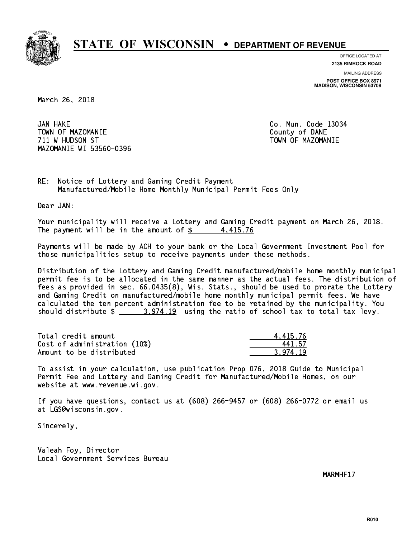

**OFFICE LOCATED AT**

**2135 RIMROCK ROAD**

**MAILING ADDRESS POST OFFICE BOX 8971 MADISON, WISCONSIN 53708**

March 26, 2018

JAN HAKE TOWN OF MAZOMANIE COUNTY OF DANE 711 W HUDSON ST TOWN OF MAZOMANIE MAZOMANIE WI 53560-0396

Co. Mun. Code 13034

RE: Notice of Lottery and Gaming Credit Payment Manufactured/Mobile Home Monthly Municipal Permit Fees Only

Dear JAN:

 Your municipality will receive a Lottery and Gaming Credit payment on March 26, 2018. The payment will be in the amount of  $\frac{2}{3}$  4,415.76

 Payments will be made by ACH to your bank or the Local Government Investment Pool for those municipalities setup to receive payments under these methods.

 Distribution of the Lottery and Gaming Credit manufactured/mobile home monthly municipal permit fee is to be allocated in the same manner as the actual fees. The distribution of fees as provided in sec. 66.0435(8), Wis. Stats., should be used to prorate the Lottery and Gaming Credit on manufactured/mobile home monthly municipal permit fees. We have calculated the ten percent administration fee to be retained by the municipality. You should distribute  $\frac{2}{2}$   $\frac{3.974.19}{2}$  using the ratio of school tax to total tax levy.

| Total credit amount          | 4.415.76 |
|------------------------------|----------|
| Cost of administration (10%) | 441 57   |
| Amount to be distributed     | 3.974.19 |

 To assist in your calculation, use publication Prop 076, 2018 Guide to Municipal Permit Fee and Lottery and Gaming Credit for Manufactured/Mobile Homes, on our website at www.revenue.wi.gov.

 If you have questions, contact us at (608) 266-9457 or (608) 266-0772 or email us at LGS@wisconsin.gov.

Sincerely,

 Valeah Foy, Director Local Government Services Bureau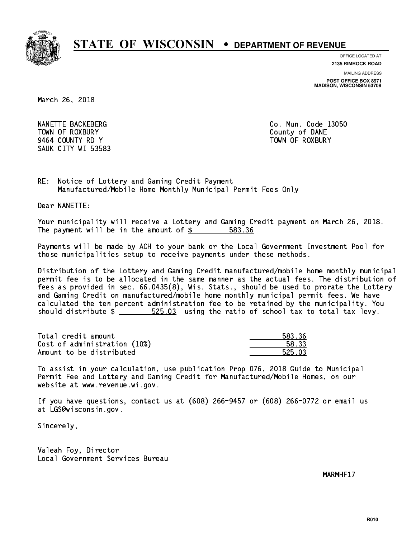

**OFFICE LOCATED AT**

**2135 RIMROCK ROAD**

**MAILING ADDRESS POST OFFICE BOX 8971 MADISON, WISCONSIN 53708**

March 26, 2018

NANETTE BACKEBERG CO. Mun. Code 13050 TOWN OF ROXBURY County of DANE 9464 COUNTY RD Y TOWN OF ROXBURY SAUK CITY WI 53583

RE: Notice of Lottery and Gaming Credit Payment Manufactured/Mobile Home Monthly Municipal Permit Fees Only

Dear NANETTE:

 Your municipality will receive a Lottery and Gaming Credit payment on March 26, 2018. The payment will be in the amount of \$ 583.36 \_\_\_\_\_\_\_\_\_\_\_\_\_\_\_\_

 Payments will be made by ACH to your bank or the Local Government Investment Pool for those municipalities setup to receive payments under these methods.

 Distribution of the Lottery and Gaming Credit manufactured/mobile home monthly municipal permit fee is to be allocated in the same manner as the actual fees. The distribution of fees as provided in sec. 66.0435(8), Wis. Stats., should be used to prorate the Lottery and Gaming Credit on manufactured/mobile home monthly municipal permit fees. We have calculated the ten percent administration fee to be retained by the municipality. You should distribute  $\frac{25.03}{2}$  using the ratio of school tax to total tax levy.

Total credit amount Cost of administration (10%) Amount to be distributed

| 3.36       |
|------------|
| २२         |
| n٦<br>トクトー |

 To assist in your calculation, use publication Prop 076, 2018 Guide to Municipal Permit Fee and Lottery and Gaming Credit for Manufactured/Mobile Homes, on our website at www.revenue.wi.gov.

 If you have questions, contact us at (608) 266-9457 or (608) 266-0772 or email us at LGS@wisconsin.gov.

Sincerely,

 Valeah Foy, Director Local Government Services Bureau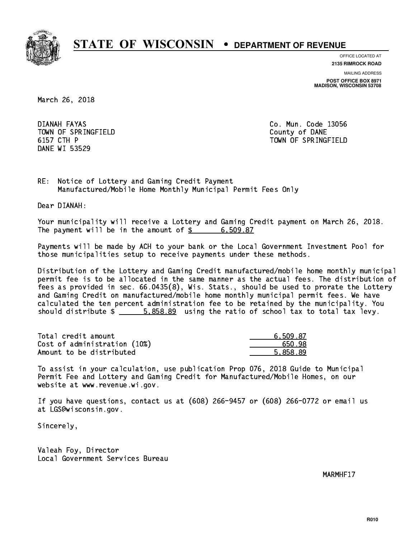

**OFFICE LOCATED AT**

**2135 RIMROCK ROAD**

**MAILING ADDRESS POST OFFICE BOX 8971 MADISON, WISCONSIN 53708**

March 26, 2018

DIANAH FAYAS TOWN OF SPRINGFIELD **COUNTY COUNTY OF DANE** 6157 CTH P DANE WI 53529

Co. Mun. Code 13056 TOWN OF SPRINGFIELD

RE: Notice of Lottery and Gaming Credit Payment Manufactured/Mobile Home Monthly Municipal Permit Fees Only

Dear DIANAH:

 Your municipality will receive a Lottery and Gaming Credit payment on March 26, 2018. The payment will be in the amount of  $\frac{2}{3}$  6,509.87

 Payments will be made by ACH to your bank or the Local Government Investment Pool for those municipalities setup to receive payments under these methods.

 Distribution of the Lottery and Gaming Credit manufactured/mobile home monthly municipal permit fee is to be allocated in the same manner as the actual fees. The distribution of fees as provided in sec. 66.0435(8), Wis. Stats., should be used to prorate the Lottery and Gaming Credit on manufactured/mobile home monthly municipal permit fees. We have calculated the ten percent administration fee to be retained by the municipality. You should distribute  $\frac{2}{1}$   $\frac{5.858.89}{2}$  using the ratio of school tax to total tax levy.

| Total credit amount          | 6.509.87 |
|------------------------------|----------|
| Cost of administration (10%) | 650.98   |
| Amount to be distributed     | 5.858.89 |

 To assist in your calculation, use publication Prop 076, 2018 Guide to Municipal Permit Fee and Lottery and Gaming Credit for Manufactured/Mobile Homes, on our website at www.revenue.wi.gov.

 If you have questions, contact us at (608) 266-9457 or (608) 266-0772 or email us at LGS@wisconsin.gov.

Sincerely,

 Valeah Foy, Director Local Government Services Bureau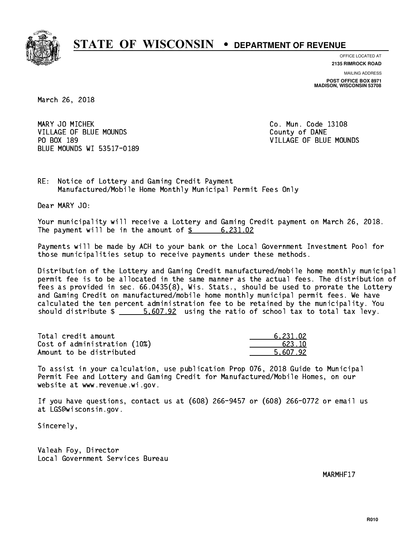

**OFFICE LOCATED AT**

**2135 RIMROCK ROAD**

**MAILING ADDRESS POST OFFICE BOX 8971 MADISON, WISCONSIN 53708**

March 26, 2018

MARY JO MICHEK **Co. Mun. Code 13108** VILLAGE OF BLUE MOUNDS County of DANE PO BOX 189 BLUE MOUNDS WI 53517-0189

VILLAGE OF BLUE MOUNDS

RE: Notice of Lottery and Gaming Credit Payment Manufactured/Mobile Home Monthly Municipal Permit Fees Only

Dear MARY JO:

 Your municipality will receive a Lottery and Gaming Credit payment on March 26, 2018. The payment will be in the amount of  $\frac{2}{3}$  6,231.02

 Payments will be made by ACH to your bank or the Local Government Investment Pool for those municipalities setup to receive payments under these methods.

 Distribution of the Lottery and Gaming Credit manufactured/mobile home monthly municipal permit fee is to be allocated in the same manner as the actual fees. The distribution of fees as provided in sec. 66.0435(8), Wis. Stats., should be used to prorate the Lottery and Gaming Credit on manufactured/mobile home monthly municipal permit fees. We have calculated the ten percent administration fee to be retained by the municipality. You should distribute  $\frac{2}{1}$   $\frac{5.607.92}{1}$  using the ratio of school tax to total tax levy.

| Total credit amount          | 6.231.02 |
|------------------------------|----------|
| Cost of administration (10%) | 623.10   |
| Amount to be distributed     | 5.607.92 |

 To assist in your calculation, use publication Prop 076, 2018 Guide to Municipal Permit Fee and Lottery and Gaming Credit for Manufactured/Mobile Homes, on our website at www.revenue.wi.gov.

 If you have questions, contact us at (608) 266-9457 or (608) 266-0772 or email us at LGS@wisconsin.gov.

Sincerely,

 Valeah Foy, Director Local Government Services Bureau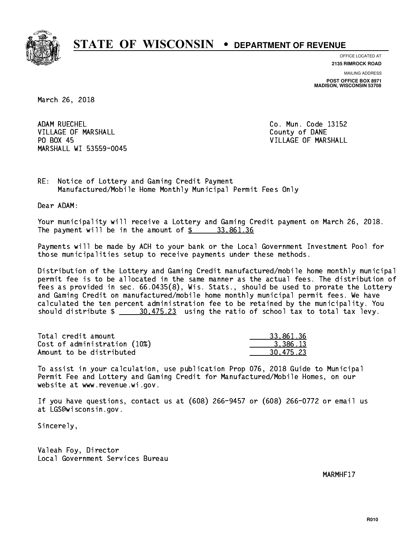

**OFFICE LOCATED AT**

**2135 RIMROCK ROAD**

**MAILING ADDRESS POST OFFICE BOX 8971 MADISON, WISCONSIN 53708**

March 26, 2018

ADAM RUECHEL VILLAGE OF MARSHALL **COUNTY OF MARSHALL** PO BOX 45 MARSHALL WI 53559-0045

Co. Mun. Code 13152 VILLAGE OF MARSHALL

RE: Notice of Lottery and Gaming Credit Payment Manufactured/Mobile Home Monthly Municipal Permit Fees Only

Dear ADAM:

 Your municipality will receive a Lottery and Gaming Credit payment on March 26, 2018. The payment will be in the amount of  $\frac{2}{3}$  33,861.36

 Payments will be made by ACH to your bank or the Local Government Investment Pool for those municipalities setup to receive payments under these methods.

 Distribution of the Lottery and Gaming Credit manufactured/mobile home monthly municipal permit fee is to be allocated in the same manner as the actual fees. The distribution of fees as provided in sec. 66.0435(8), Wis. Stats., should be used to prorate the Lottery and Gaming Credit on manufactured/mobile home monthly municipal permit fees. We have calculated the ten percent administration fee to be retained by the municipality. You should distribute  $\frac{20,475.23}{2}$  using the ratio of school tax to total tax levy.

| Total credit amount          | 33,861,36 |
|------------------------------|-----------|
| Cost of administration (10%) | 3.386.13  |
| Amount to be distributed     | 30.475.23 |

 To assist in your calculation, use publication Prop 076, 2018 Guide to Municipal Permit Fee and Lottery and Gaming Credit for Manufactured/Mobile Homes, on our website at www.revenue.wi.gov.

 If you have questions, contact us at (608) 266-9457 or (608) 266-0772 or email us at LGS@wisconsin.gov.

Sincerely,

 Valeah Foy, Director Local Government Services Bureau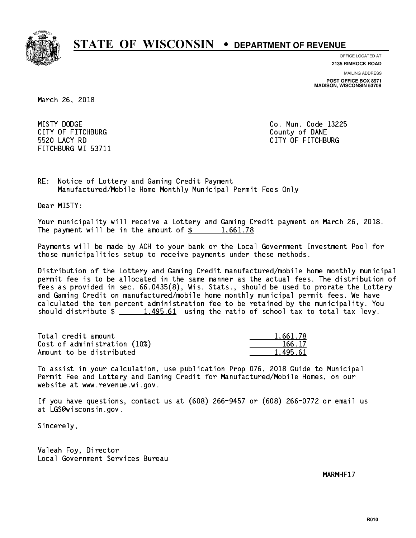

**OFFICE LOCATED AT**

**2135 RIMROCK ROAD**

**MAILING ADDRESS POST OFFICE BOX 8971 MADISON, WISCONSIN 53708**

March 26, 2018

MISTY DODGE CITY OF FITCHBURG COUNTY COUNTY OF DANE 5520 LACY RD FITCHBURG WI 53711

Co. Mun. Code 13225 CITY OF FITCHBURG

RE: Notice of Lottery and Gaming Credit Payment Manufactured/Mobile Home Monthly Municipal Permit Fees Only

Dear MISTY:

 Your municipality will receive a Lottery and Gaming Credit payment on March 26, 2018. The payment will be in the amount of  $\frac{2}{3}$  1,661.78

 Payments will be made by ACH to your bank or the Local Government Investment Pool for those municipalities setup to receive payments under these methods.

 Distribution of the Lottery and Gaming Credit manufactured/mobile home monthly municipal permit fee is to be allocated in the same manner as the actual fees. The distribution of fees as provided in sec. 66.0435(8), Wis. Stats., should be used to prorate the Lottery and Gaming Credit on manufactured/mobile home monthly municipal permit fees. We have calculated the ten percent administration fee to be retained by the municipality. You should distribute  $\frac{1,495.61}{1,495.61}$  using the ratio of school tax to total tax levy.

| Total credit amount          | 1.661.78 |
|------------------------------|----------|
| Cost of administration (10%) | 166.17   |
| Amount to be distributed     | 1.495.61 |

 To assist in your calculation, use publication Prop 076, 2018 Guide to Municipal Permit Fee and Lottery and Gaming Credit for Manufactured/Mobile Homes, on our website at www.revenue.wi.gov.

 If you have questions, contact us at (608) 266-9457 or (608) 266-0772 or email us at LGS@wisconsin.gov.

Sincerely,

 Valeah Foy, Director Local Government Services Bureau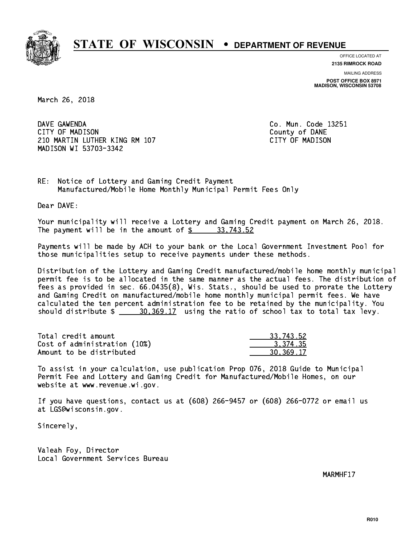

**OFFICE LOCATED AT**

**2135 RIMROCK ROAD**

**MAILING ADDRESS POST OFFICE BOX 8971 MADISON, WISCONSIN 53708**

March 26, 2018

DAVE GAWENDA CITY OF MADISON County of DANE 210 MARTIN LUTHER KING RM 107 CONTROLLER STATES TO MADISON MADISON WI 53703-3342

Co. Mun. Code 13251

RE: Notice of Lottery and Gaming Credit Payment Manufactured/Mobile Home Monthly Municipal Permit Fees Only

Dear DAVE:

 Your municipality will receive a Lottery and Gaming Credit payment on March 26, 2018. The payment will be in the amount of  $\frac{2}{3}$  33,743.52

 Payments will be made by ACH to your bank or the Local Government Investment Pool for those municipalities setup to receive payments under these methods.

 Distribution of the Lottery and Gaming Credit manufactured/mobile home monthly municipal permit fee is to be allocated in the same manner as the actual fees. The distribution of fees as provided in sec. 66.0435(8), Wis. Stats., should be used to prorate the Lottery and Gaming Credit on manufactured/mobile home monthly municipal permit fees. We have calculated the ten percent administration fee to be retained by the municipality. You should distribute  $\frac{20,369.17}{20,369.17}$  using the ratio of school tax to total tax levy.

| Total credit amount          | 33,743.52 |
|------------------------------|-----------|
| Cost of administration (10%) | 3.374.35  |
| Amount to be distributed     | 30.369.17 |

 To assist in your calculation, use publication Prop 076, 2018 Guide to Municipal Permit Fee and Lottery and Gaming Credit for Manufactured/Mobile Homes, on our website at www.revenue.wi.gov.

 If you have questions, contact us at (608) 266-9457 or (608) 266-0772 or email us at LGS@wisconsin.gov.

Sincerely,

 Valeah Foy, Director Local Government Services Bureau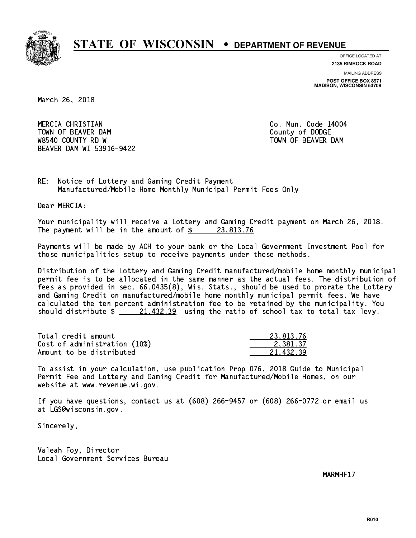

**OFFICE LOCATED AT**

**2135 RIMROCK ROAD**

**MAILING ADDRESS POST OFFICE BOX 8971 MADISON, WISCONSIN 53708**

March 26, 2018

 MERCIA CHRISTIAN Co. Mun. Code 14004 TOWN OF BEAVER DAM **COUNTY OF SEARCH COUNTY OF DODGE** W8540 COUNTY RD W TOWN OF BEAVER DAM BEAVER DAM WI 53916-9422

RE: Notice of Lottery and Gaming Credit Payment Manufactured/Mobile Home Monthly Municipal Permit Fees Only

Dear MERCIA:

 Your municipality will receive a Lottery and Gaming Credit payment on March 26, 2018. The payment will be in the amount of  $\frac{23,813.76}{23,813.76}$ 

 Payments will be made by ACH to your bank or the Local Government Investment Pool for those municipalities setup to receive payments under these methods.

 Distribution of the Lottery and Gaming Credit manufactured/mobile home monthly municipal permit fee is to be allocated in the same manner as the actual fees. The distribution of fees as provided in sec. 66.0435(8), Wis. Stats., should be used to prorate the Lottery and Gaming Credit on manufactured/mobile home monthly municipal permit fees. We have calculated the ten percent administration fee to be retained by the municipality. You should distribute  $\frac{21,432.39}{21,432.39}$  using the ratio of school tax to total tax levy.

| Total credit amount          | 23.813.76 |
|------------------------------|-----------|
| Cost of administration (10%) | 2.381.37  |
| Amount to be distributed     | 21.432.39 |

 To assist in your calculation, use publication Prop 076, 2018 Guide to Municipal Permit Fee and Lottery and Gaming Credit for Manufactured/Mobile Homes, on our website at www.revenue.wi.gov.

 If you have questions, contact us at (608) 266-9457 or (608) 266-0772 or email us at LGS@wisconsin.gov.

Sincerely,

 Valeah Foy, Director Local Government Services Bureau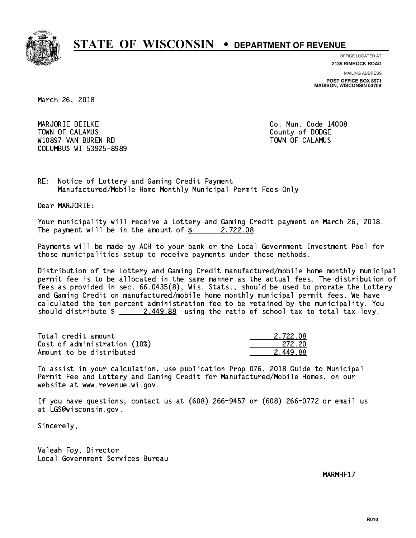

**OFFICE LOCATED AT**

**2135 RIMROCK ROAD**

**MAILING ADDRESS POST OFFICE BOX 8971 MADISON, WISCONSIN 53708**

March 26, 2018

 MARJORIE BEILKE Co. Mun. Code 14008 Town of Calamus County of Dodge County of Dodge County of Dodge County of Dodge County of Dodge County of Dodge W10897 VAN BUREN RD TOWN OF CALAMUS COLUMBUS WI 53925-8989

RE: Notice of Lottery and Gaming Credit Payment Manufactured/Mobile Home Monthly Municipal Permit Fees Only

Dear MARJORIE:

 Your municipality will receive a Lottery and Gaming Credit payment on March 26, 2018. The payment will be in the amount of  $\frac{2}{3}$  2,722.08

 Payments will be made by ACH to your bank or the Local Government Investment Pool for those municipalities setup to receive payments under these methods.

 Distribution of the Lottery and Gaming Credit manufactured/mobile home monthly municipal permit fee is to be allocated in the same manner as the actual fees. The distribution of fees as provided in sec. 66.0435(8), Wis. Stats., should be used to prorate the Lottery and Gaming Credit on manufactured/mobile home monthly municipal permit fees. We have calculated the ten percent administration fee to be retained by the municipality. You should distribute  $\frac{2.449.88}{2.449.88}$  using the ratio of school tax to total tax levy.

| Total credit amount          | 2.722.08 |
|------------------------------|----------|
| Cost of administration (10%) | -272.20  |
| Amount to be distributed     | 2.449.88 |

 To assist in your calculation, use publication Prop 076, 2018 Guide to Municipal Permit Fee and Lottery and Gaming Credit for Manufactured/Mobile Homes, on our website at www.revenue.wi.gov.

 If you have questions, contact us at (608) 266-9457 or (608) 266-0772 or email us at LGS@wisconsin.gov.

Sincerely,

 Valeah Foy, Director Local Government Services Bureau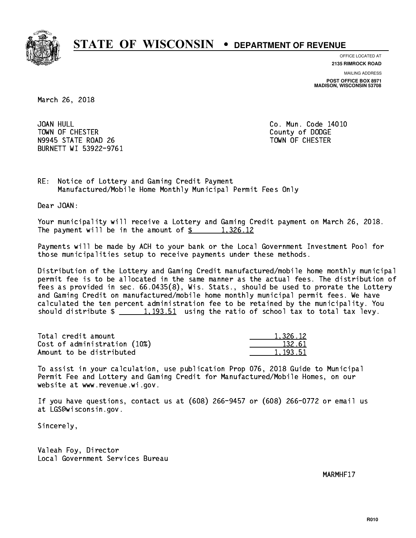

**OFFICE LOCATED AT**

**2135 RIMROCK ROAD**

**MAILING ADDRESS POST OFFICE BOX 8971 MADISON, WISCONSIN 53708**

March 26, 2018

JOAN HULL TOWN OF CHESTER COUNTY OF DODGE COUNTY OF DODGE N9945 STATE ROAD 26 TOWN OF CHESTER BURNETT WI 53922-9761

Co. Mun. Code 14010

RE: Notice of Lottery and Gaming Credit Payment Manufactured/Mobile Home Monthly Municipal Permit Fees Only

Dear JOAN:

 Your municipality will receive a Lottery and Gaming Credit payment on March 26, 2018. The payment will be in the amount of  $\frac{2}{3}$  1,326.12

 Payments will be made by ACH to your bank or the Local Government Investment Pool for those municipalities setup to receive payments under these methods.

 Distribution of the Lottery and Gaming Credit manufactured/mobile home monthly municipal permit fee is to be allocated in the same manner as the actual fees. The distribution of fees as provided in sec. 66.0435(8), Wis. Stats., should be used to prorate the Lottery and Gaming Credit on manufactured/mobile home monthly municipal permit fees. We have calculated the ten percent administration fee to be retained by the municipality. You should distribute  $\frac{1,193.51}{1,193.51}$  using the ratio of school tax to total tax levy.

| Total credit amount          | 1,326.12 |
|------------------------------|----------|
| Cost of administration (10%) | 132.61   |
| Amount to be distributed     | 1.193.51 |

 To assist in your calculation, use publication Prop 076, 2018 Guide to Municipal Permit Fee and Lottery and Gaming Credit for Manufactured/Mobile Homes, on our website at www.revenue.wi.gov.

 If you have questions, contact us at (608) 266-9457 or (608) 266-0772 or email us at LGS@wisconsin.gov.

Sincerely,

 Valeah Foy, Director Local Government Services Bureau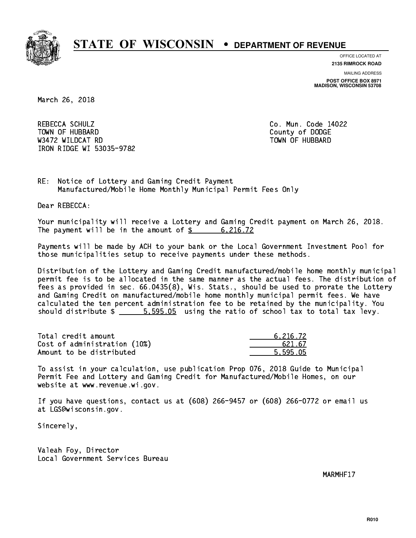

**OFFICE LOCATED AT 2135 RIMROCK ROAD**

**MAILING ADDRESS**

**POST OFFICE BOX 8971 MADISON, WISCONSIN 53708**

March 26, 2018

 REBECCA SCHULZ Co. Mun. Code 14022 Town of Hubbard County of Dodge County of Dodge County of Dodge County of Dodge County of Dodge County of Dodge County of Dodge County of Dodge County of Dodge County of Dodge County of Dodge County of Dodge County of Dodg Wasan Roman Roman Roman Roman Roman Roman Roman Roman Roman Roman Roman Roman Roman Roman Roman Roman Roman Ro IRON RIDGE WI 53035-9782

RE: Notice of Lottery and Gaming Credit Payment Manufactured/Mobile Home Monthly Municipal Permit Fees Only

Dear REBECCA:

 Your municipality will receive a Lottery and Gaming Credit payment on March 26, 2018. The payment will be in the amount of  $\frac{2}{3}$  6,216.72

 Payments will be made by ACH to your bank or the Local Government Investment Pool for those municipalities setup to receive payments under these methods.

 Distribution of the Lottery and Gaming Credit manufactured/mobile home monthly municipal permit fee is to be allocated in the same manner as the actual fees. The distribution of fees as provided in sec. 66.0435(8), Wis. Stats., should be used to prorate the Lottery and Gaming Credit on manufactured/mobile home monthly municipal permit fees. We have calculated the ten percent administration fee to be retained by the municipality. You should distribute  $\frac{2}{1}$   $\frac{5}{1}$   $\frac{595.05}{2}$  using the ratio of school tax to total tax levy.

| Total credit amount          | 6.216.72 |
|------------------------------|----------|
| Cost of administration (10%) | 621.67   |
| Amount to be distributed     | 5.595.05 |

 To assist in your calculation, use publication Prop 076, 2018 Guide to Municipal Permit Fee and Lottery and Gaming Credit for Manufactured/Mobile Homes, on our website at www.revenue.wi.gov.

 If you have questions, contact us at (608) 266-9457 or (608) 266-0772 or email us at LGS@wisconsin.gov.

Sincerely,

 Valeah Foy, Director Local Government Services Bureau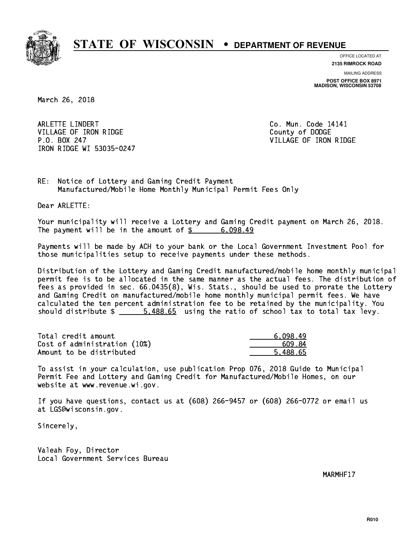

**OFFICE LOCATED AT**

**2135 RIMROCK ROAD**

**MAILING ADDRESS POST OFFICE BOX 8971 MADISON, WISCONSIN 53708**

March 26, 2018

ARLETTE LINDERT **Co. Mun. Code 14141** VILLAGE OF IRON RIDGE COUNTY OF DODGE P.O. BOX 247 VILLAGE OF IRON RIDGE IRON RIDGE WI 53035-0247

RE: Notice of Lottery and Gaming Credit Payment Manufactured/Mobile Home Monthly Municipal Permit Fees Only

Dear ARLETTE:

 Your municipality will receive a Lottery and Gaming Credit payment on March 26, 2018. The payment will be in the amount of  $\frac{2}{3}$  6,098.49

 Payments will be made by ACH to your bank or the Local Government Investment Pool for those municipalities setup to receive payments under these methods.

 Distribution of the Lottery and Gaming Credit manufactured/mobile home monthly municipal permit fee is to be allocated in the same manner as the actual fees. The distribution of fees as provided in sec. 66.0435(8), Wis. Stats., should be used to prorate the Lottery and Gaming Credit on manufactured/mobile home monthly municipal permit fees. We have calculated the ten percent administration fee to be retained by the municipality. You should distribute  $\frac{2}{1}$   $\frac{5.488.65}{2}$  using the ratio of school tax to total tax levy.

| Total credit amount          | 6,098.49 |
|------------------------------|----------|
| Cost of administration (10%) | 609.84   |
| Amount to be distributed     | 5.488.65 |

 To assist in your calculation, use publication Prop 076, 2018 Guide to Municipal Permit Fee and Lottery and Gaming Credit for Manufactured/Mobile Homes, on our website at www.revenue.wi.gov.

 If you have questions, contact us at (608) 266-9457 or (608) 266-0772 or email us at LGS@wisconsin.gov.

Sincerely,

 Valeah Foy, Director Local Government Services Bureau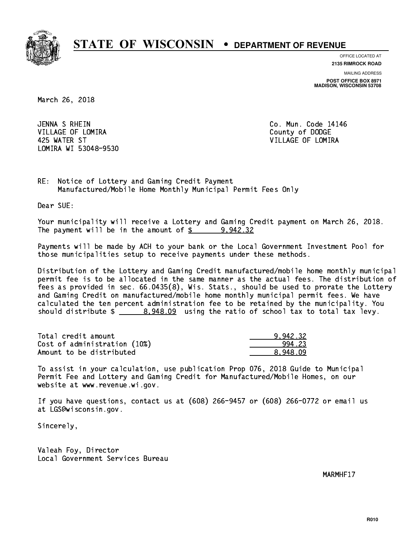

**OFFICE LOCATED AT 2135 RIMROCK ROAD**

**MAILING ADDRESS POST OFFICE BOX 8971 MADISON, WISCONSIN 53708**

March 26, 2018

JENNA S RHEIN VILLAGE OF LOMIRA **COUNTY OF LOGAL COUNTY OF DODGE**  425 WATER ST VILLAGE OF LOMIRA LOMIRA WI 53048-9530

Co. Mun. Code 14146

RE: Notice of Lottery and Gaming Credit Payment Manufactured/Mobile Home Monthly Municipal Permit Fees Only

Dear SUE:

 Your municipality will receive a Lottery and Gaming Credit payment on March 26, 2018. The payment will be in the amount of  $\frac{2}{3}$  9,942.32

 Payments will be made by ACH to your bank or the Local Government Investment Pool for those municipalities setup to receive payments under these methods.

 Distribution of the Lottery and Gaming Credit manufactured/mobile home monthly municipal permit fee is to be allocated in the same manner as the actual fees. The distribution of fees as provided in sec. 66.0435(8), Wis. Stats., should be used to prorate the Lottery and Gaming Credit on manufactured/mobile home monthly municipal permit fees. We have calculated the ten percent administration fee to be retained by the municipality. You should distribute  $\frac{2}{2}$   $\frac{8,948.09}{2}$  using the ratio of school tax to total tax levy.

| Total credit amount          | 9.942.32 |
|------------------------------|----------|
| Cost of administration (10%) | 994.23   |
| Amount to be distributed     | 8.948.09 |

 To assist in your calculation, use publication Prop 076, 2018 Guide to Municipal Permit Fee and Lottery and Gaming Credit for Manufactured/Mobile Homes, on our website at www.revenue.wi.gov.

 If you have questions, contact us at (608) 266-9457 or (608) 266-0772 or email us at LGS@wisconsin.gov.

Sincerely,

 Valeah Foy, Director Local Government Services Bureau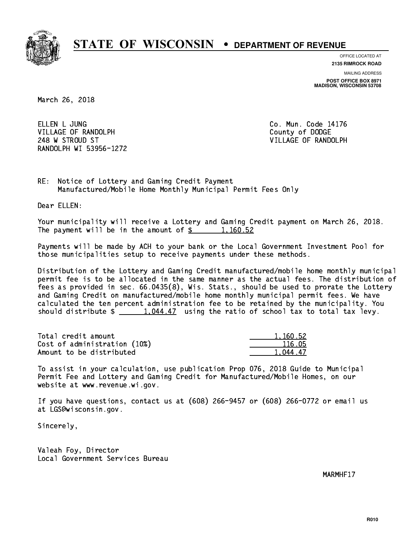

**OFFICE LOCATED AT**

**2135 RIMROCK ROAD**

**MAILING ADDRESS POST OFFICE BOX 8971 MADISON, WISCONSIN 53708**

March 26, 2018

ELLEN L JUNG VILLAGE OF RANDOLPH COUNTY COUNTY OF DODGE 248 W STROUD ST VILLAGE OF RANDOLPH RANDOLPH WI 53956-1272

Co. Mun. Code 14176

RE: Notice of Lottery and Gaming Credit Payment Manufactured/Mobile Home Monthly Municipal Permit Fees Only

Dear ELLEN:

 Your municipality will receive a Lottery and Gaming Credit payment on March 26, 2018. The payment will be in the amount of  $\frac{2}{3}$  1,160.52

 Payments will be made by ACH to your bank or the Local Government Investment Pool for those municipalities setup to receive payments under these methods.

 Distribution of the Lottery and Gaming Credit manufactured/mobile home monthly municipal permit fee is to be allocated in the same manner as the actual fees. The distribution of fees as provided in sec. 66.0435(8), Wis. Stats., should be used to prorate the Lottery and Gaming Credit on manufactured/mobile home monthly municipal permit fees. We have calculated the ten percent administration fee to be retained by the municipality. You should distribute  $\frac{1,044.47}{1,044.47}$  using the ratio of school tax to total tax levy.

| Total credit amount          | 1.160.52 |
|------------------------------|----------|
| Cost of administration (10%) | 116.05   |
| Amount to be distributed     | 1.044.47 |

 To assist in your calculation, use publication Prop 076, 2018 Guide to Municipal Permit Fee and Lottery and Gaming Credit for Manufactured/Mobile Homes, on our website at www.revenue.wi.gov.

 If you have questions, contact us at (608) 266-9457 or (608) 266-0772 or email us at LGS@wisconsin.gov.

Sincerely,

 Valeah Foy, Director Local Government Services Bureau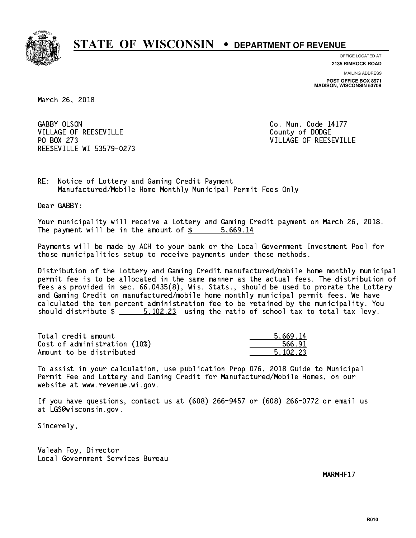

**OFFICE LOCATED AT**

**2135 RIMROCK ROAD**

**MAILING ADDRESS POST OFFICE BOX 8971 MADISON, WISCONSIN 53708**

March 26, 2018

GABBY OLSON VILLAGE OF REESEVILLE COUNTY OF DODGE PO BOX 273 REESEVILLE WI 53579-0273

Co. Mun. Code 14177 VILLAGE OF REESEVILLE

RE: Notice of Lottery and Gaming Credit Payment Manufactured/Mobile Home Monthly Municipal Permit Fees Only

Dear GABBY:

 Your municipality will receive a Lottery and Gaming Credit payment on March 26, 2018. The payment will be in the amount of \$ 5,669.14 \_\_\_\_\_\_\_\_\_\_\_\_\_\_\_\_

 Payments will be made by ACH to your bank or the Local Government Investment Pool for those municipalities setup to receive payments under these methods.

 Distribution of the Lottery and Gaming Credit manufactured/mobile home monthly municipal permit fee is to be allocated in the same manner as the actual fees. The distribution of fees as provided in sec. 66.0435(8), Wis. Stats., should be used to prorate the Lottery and Gaming Credit on manufactured/mobile home monthly municipal permit fees. We have calculated the ten percent administration fee to be retained by the municipality. You should distribute  $\frac{2}{1}$   $\frac{5,102.23}{2}$  using the ratio of school tax to total tax levy.

| Total credit amount          | 5.669.14 |
|------------------------------|----------|
| Cost of administration (10%) | 566.91   |
| Amount to be distributed     | 5.102.23 |

 To assist in your calculation, use publication Prop 076, 2018 Guide to Municipal Permit Fee and Lottery and Gaming Credit for Manufactured/Mobile Homes, on our website at www.revenue.wi.gov.

 If you have questions, contact us at (608) 266-9457 or (608) 266-0772 or email us at LGS@wisconsin.gov.

Sincerely,

 Valeah Foy, Director Local Government Services Bureau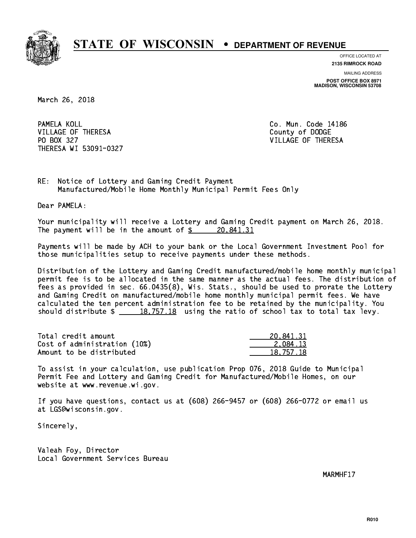

**OFFICE LOCATED AT**

**2135 RIMROCK ROAD**

**MAILING ADDRESS POST OFFICE BOX 8971 MADISON, WISCONSIN 53708**

March 26, 2018

PAMELA KOLL VILLAGE OF THERESA COUNTY OF DODGE PO BOX 327 VILLAGE OF THERESA THERESA WI 53091-0327

Co. Mun. Code 14186

RE: Notice of Lottery and Gaming Credit Payment Manufactured/Mobile Home Monthly Municipal Permit Fees Only

Dear PAMELA:

 Your municipality will receive a Lottery and Gaming Credit payment on March 26, 2018. The payment will be in the amount of  $\frac{20,841.31}{20,841.31}$ 

 Payments will be made by ACH to your bank or the Local Government Investment Pool for those municipalities setup to receive payments under these methods.

 Distribution of the Lottery and Gaming Credit manufactured/mobile home monthly municipal permit fee is to be allocated in the same manner as the actual fees. The distribution of fees as provided in sec. 66.0435(8), Wis. Stats., should be used to prorate the Lottery and Gaming Credit on manufactured/mobile home monthly municipal permit fees. We have calculated the ten percent administration fee to be retained by the municipality. You should distribute  $\frac{18,757.18}{2}$  using the ratio of school tax to total tax levy.

| Total credit amount          | 20,841.31 |
|------------------------------|-----------|
| Cost of administration (10%) | 2.084.13  |
| Amount to be distributed     | 18,757.18 |

 To assist in your calculation, use publication Prop 076, 2018 Guide to Municipal Permit Fee and Lottery and Gaming Credit for Manufactured/Mobile Homes, on our website at www.revenue.wi.gov.

 If you have questions, contact us at (608) 266-9457 or (608) 266-0772 or email us at LGS@wisconsin.gov.

Sincerely,

 Valeah Foy, Director Local Government Services Bureau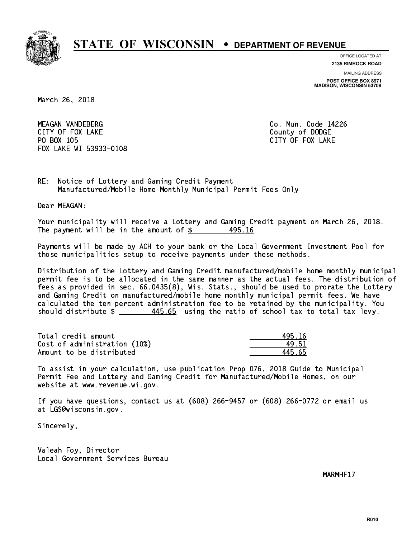

**OFFICE LOCATED AT**

**2135 RIMROCK ROAD**

**MAILING ADDRESS POST OFFICE BOX 8971 MADISON, WISCONSIN 53708**

March 26, 2018

 MEAGAN VANDEBERG Co. Mun. Code 14226 CITY OF FOUR COUNTY OF FOUR COUNTY OF DODGE COUNTY OF DODGE COUNTY OF DESCRIPTION OF DESCRIPTION OF DODGE COUNTY OF DESCRIPTION OF DESCRIPTION OF PROPERTY OF DESCRIPTION OF DESCRIPTION OF DESCRIPTION OF DESCRIPTION OF DESC PO BOX 105 PO BOX 105 CITY OF FOX 105 CITY OF FOX 200 CITY OF FOX 200 CITY OF FOX 200 CITY OF FOX 200 CITY OF FOX 200 CITY FOX LAKE WI 53933-0108

RE: Notice of Lottery and Gaming Credit Payment Manufactured/Mobile Home Monthly Municipal Permit Fees Only

Dear MEAGAN:

 Your municipality will receive a Lottery and Gaming Credit payment on March 26, 2018. The payment will be in the amount of  $\frac{2}{3}$  495.16

 Payments will be made by ACH to your bank or the Local Government Investment Pool for those municipalities setup to receive payments under these methods.

 Distribution of the Lottery and Gaming Credit manufactured/mobile home monthly municipal permit fee is to be allocated in the same manner as the actual fees. The distribution of fees as provided in sec. 66.0435(8), Wis. Stats., should be used to prorate the Lottery and Gaming Credit on manufactured/mobile home monthly municipal permit fees. We have calculated the ten percent administration fee to be retained by the municipality. You should distribute  $\frac{445.65}{2}$  using the ratio of school tax to total tax levy.

Total credit amount 195.16 Cost of administration (10%) 49.51 \_\_\_\_\_\_\_\_\_\_\_\_\_\_ Amount to be distributed and the set of  $\sim$  445.65

 To assist in your calculation, use publication Prop 076, 2018 Guide to Municipal Permit Fee and Lottery and Gaming Credit for Manufactured/Mobile Homes, on our website at www.revenue.wi.gov.

 If you have questions, contact us at (608) 266-9457 or (608) 266-0772 or email us at LGS@wisconsin.gov.

Sincerely,

 Valeah Foy, Director Local Government Services Bureau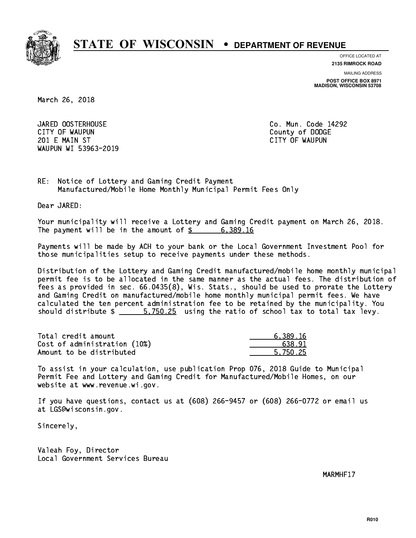

**OFFICE LOCATED AT 2135 RIMROCK ROAD**

**MAILING ADDRESS**

**POST OFFICE BOX 8971 MADISON, WISCONSIN 53708**

March 26, 2018

JARED OOSTERHOUSE CITY OF WAUPUN County of DODGE 201 E MAIN ST CITY OF WAUPUN WAUPUN WI 53963-2019

Co. Mun. Code 14292

RE: Notice of Lottery and Gaming Credit Payment Manufactured/Mobile Home Monthly Municipal Permit Fees Only

Dear JARED:

 Your municipality will receive a Lottery and Gaming Credit payment on March 26, 2018. The payment will be in the amount of  $\frac{2}{3}$  6,389.16

 Payments will be made by ACH to your bank or the Local Government Investment Pool for those municipalities setup to receive payments under these methods.

 Distribution of the Lottery and Gaming Credit manufactured/mobile home monthly municipal permit fee is to be allocated in the same manner as the actual fees. The distribution of fees as provided in sec. 66.0435(8), Wis. Stats., should be used to prorate the Lottery and Gaming Credit on manufactured/mobile home monthly municipal permit fees. We have calculated the ten percent administration fee to be retained by the municipality. You should distribute \$ 5,750.25 using the ratio of school tax to total tax levy. \_\_\_\_\_\_\_\_\_\_\_\_\_\_

| Total credit amount          | 6.389.16 |
|------------------------------|----------|
| Cost of administration (10%) | 638.91   |
| Amount to be distributed     | 5.750.25 |

 To assist in your calculation, use publication Prop 076, 2018 Guide to Municipal Permit Fee and Lottery and Gaming Credit for Manufactured/Mobile Homes, on our website at www.revenue.wi.gov.

 If you have questions, contact us at (608) 266-9457 or (608) 266-0772 or email us at LGS@wisconsin.gov.

Sincerely,

 Valeah Foy, Director Local Government Services Bureau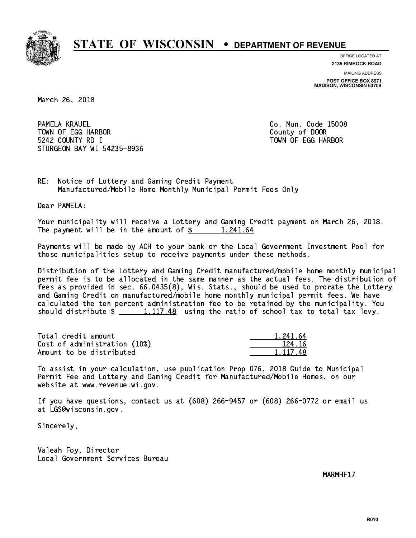

**OFFICE LOCATED AT**

**2135 RIMROCK ROAD**

**MAILING ADDRESS POST OFFICE BOX 8971 MADISON, WISCONSIN 53708**

March 26, 2018

PAMELA KRAUEL TOWN OF EGG HARBOR County of DOOR 5242 COUNTY RD I TOWN OF EGG HARBOR STURGEON BAY WI 54235-8936

Co. Mun. Code 15008

RE: Notice of Lottery and Gaming Credit Payment Manufactured/Mobile Home Monthly Municipal Permit Fees Only

Dear PAMELA:

 Your municipality will receive a Lottery and Gaming Credit payment on March 26, 2018. The payment will be in the amount of  $\frac{2}{3}$  1,241.64

 Payments will be made by ACH to your bank or the Local Government Investment Pool for those municipalities setup to receive payments under these methods.

 Distribution of the Lottery and Gaming Credit manufactured/mobile home monthly municipal permit fee is to be allocated in the same manner as the actual fees. The distribution of fees as provided in sec. 66.0435(8), Wis. Stats., should be used to prorate the Lottery and Gaming Credit on manufactured/mobile home monthly municipal permit fees. We have calculated the ten percent administration fee to be retained by the municipality. You should distribute  $\frac{1,117.48}{2}$  using the ratio of school tax to total tax levy.

| Total credit amount          | 1.241.64 |
|------------------------------|----------|
| Cost of administration (10%) | 124.16   |
| Amount to be distributed     | 1.117.48 |

 To assist in your calculation, use publication Prop 076, 2018 Guide to Municipal Permit Fee and Lottery and Gaming Credit for Manufactured/Mobile Homes, on our website at www.revenue.wi.gov.

 If you have questions, contact us at (608) 266-9457 or (608) 266-0772 or email us at LGS@wisconsin.gov.

Sincerely,

 Valeah Foy, Director Local Government Services Bureau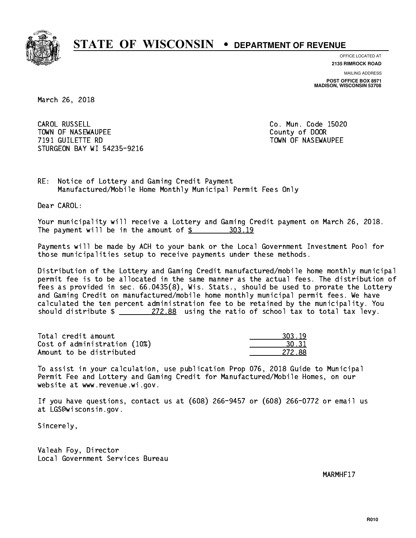

**OFFICE LOCATED AT**

**2135 RIMROCK ROAD**

**MAILING ADDRESS POST OFFICE BOX 8971 MADISON, WISCONSIN 53708**

March 26, 2018

CAROL RUSSELL TOWN OF NASEWAUPEE **TOWA COUNTY OF SEXUAL COUNTY OF DOOR**  7191 GUILETTE RD TOWN OF NASEWAUPEE STURGEON BAY WI 54235-9216

Co. Mun. Code 15020

RE: Notice of Lottery and Gaming Credit Payment Manufactured/Mobile Home Monthly Municipal Permit Fees Only

Dear CAROL:

 Your municipality will receive a Lottery and Gaming Credit payment on March 26, 2018. The payment will be in the amount of \$ 303.19 \_\_\_\_\_\_\_\_\_\_\_\_\_\_\_\_

 Payments will be made by ACH to your bank or the Local Government Investment Pool for those municipalities setup to receive payments under these methods.

 Distribution of the Lottery and Gaming Credit manufactured/mobile home monthly municipal permit fee is to be allocated in the same manner as the actual fees. The distribution of fees as provided in sec. 66.0435(8), Wis. Stats., should be used to prorate the Lottery and Gaming Credit on manufactured/mobile home monthly municipal permit fees. We have calculated the ten percent administration fee to be retained by the municipality. You should distribute  $\frac{272.88}{272.88}$  using the ratio of school tax to total tax levy.

| Total credit amount          | 303.19 |
|------------------------------|--------|
| Cost of administration (10%) | 30.31  |
| Amount to be distributed     | 272.88 |

 To assist in your calculation, use publication Prop 076, 2018 Guide to Municipal Permit Fee and Lottery and Gaming Credit for Manufactured/Mobile Homes, on our website at www.revenue.wi.gov.

 If you have questions, contact us at (608) 266-9457 or (608) 266-0772 or email us at LGS@wisconsin.gov.

Sincerely,

 Valeah Foy, Director Local Government Services Bureau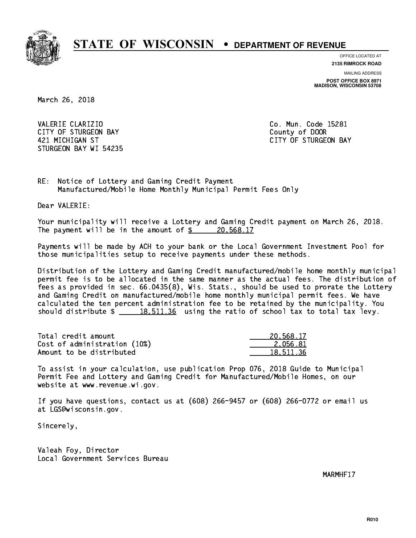

**OFFICE LOCATED AT**

**2135 RIMROCK ROAD**

**MAILING ADDRESS POST OFFICE BOX 8971 MADISON, WISCONSIN 53708**

March 26, 2018

VALERIE CLARIZIO CONTROLLERIE COMMUNISTICO. Mun. Code 15281 CITY OF STURGEON BAY **COUNTY COUNTY OF STURGEON BAY**  421 MICHIGAN ST CITY OF STURGEON BAY STURGEON BAY WI 54235

RE: Notice of Lottery and Gaming Credit Payment Manufactured/Mobile Home Monthly Municipal Permit Fees Only

Dear VALERIE:

 Your municipality will receive a Lottery and Gaming Credit payment on March 26, 2018. The payment will be in the amount of  $\frac{20,568.17}{20,568.17}$ 

 Payments will be made by ACH to your bank or the Local Government Investment Pool for those municipalities setup to receive payments under these methods.

 Distribution of the Lottery and Gaming Credit manufactured/mobile home monthly municipal permit fee is to be allocated in the same manner as the actual fees. The distribution of fees as provided in sec. 66.0435(8), Wis. Stats., should be used to prorate the Lottery and Gaming Credit on manufactured/mobile home monthly municipal permit fees. We have calculated the ten percent administration fee to be retained by the municipality. You should distribute  $\frac{18,511.36}{2}$  using the ratio of school tax to total tax levy.

| Total credit amount          | 20.568.17 |
|------------------------------|-----------|
| Cost of administration (10%) | 2.056.81  |
| Amount to be distributed     | 18,511,36 |

 To assist in your calculation, use publication Prop 076, 2018 Guide to Municipal Permit Fee and Lottery and Gaming Credit for Manufactured/Mobile Homes, on our website at www.revenue.wi.gov.

 If you have questions, contact us at (608) 266-9457 or (608) 266-0772 or email us at LGS@wisconsin.gov.

Sincerely,

 Valeah Foy, Director Local Government Services Bureau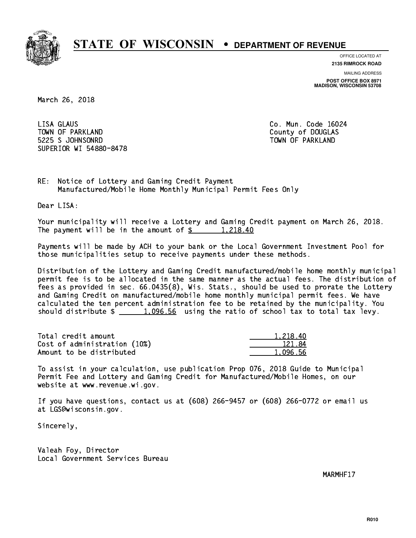

**OFFICE LOCATED AT**

**2135 RIMROCK ROAD**

**MAILING ADDRESS POST OFFICE BOX 8971 MADISON, WISCONSIN 53708**

March 26, 2018

 LISA GLAUS Co. Mun. Code 16024 TOWN OF PARKLAND COUNTY OF DOUGLAS 5225 S JOHNSONRD TOWN OF PARKLAND SUPERIOR WI 54880-8478

RE: Notice of Lottery and Gaming Credit Payment Manufactured/Mobile Home Monthly Municipal Permit Fees Only

Dear LISA:

 Your municipality will receive a Lottery and Gaming Credit payment on March 26, 2018. The payment will be in the amount of  $\frac{2}{3}$  1,218.40

 Payments will be made by ACH to your bank or the Local Government Investment Pool for those municipalities setup to receive payments under these methods.

 Distribution of the Lottery and Gaming Credit manufactured/mobile home monthly municipal permit fee is to be allocated in the same manner as the actual fees. The distribution of fees as provided in sec. 66.0435(8), Wis. Stats., should be used to prorate the Lottery and Gaming Credit on manufactured/mobile home monthly municipal permit fees. We have calculated the ten percent administration fee to be retained by the municipality. You should distribute  $\frac{1.096.56}{1.096.56}$  using the ratio of school tax to total tax levy.

| Total credit amount          | 1.218.40 |
|------------------------------|----------|
| Cost of administration (10%) | 121.84   |
| Amount to be distributed     | 1.096.56 |

 To assist in your calculation, use publication Prop 076, 2018 Guide to Municipal Permit Fee and Lottery and Gaming Credit for Manufactured/Mobile Homes, on our website at www.revenue.wi.gov.

 If you have questions, contact us at (608) 266-9457 or (608) 266-0772 or email us at LGS@wisconsin.gov.

Sincerely,

 Valeah Foy, Director Local Government Services Bureau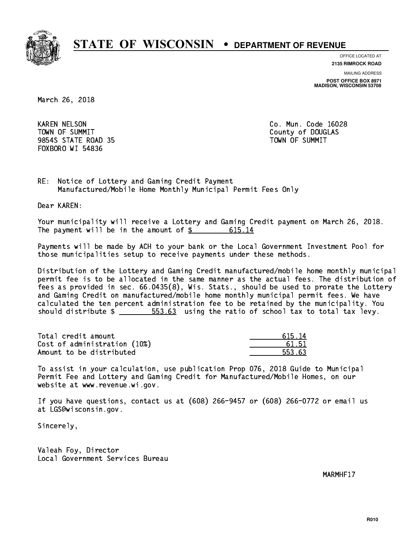

**OFFICE LOCATED AT**

**2135 RIMROCK ROAD**

**MAILING ADDRESS POST OFFICE BOX 8971 MADISON, WISCONSIN 53708**

March 26, 2018

 KAREN NELSON Co. Mun. Code 16028 TOWN OF SUMMIT County of DOUGLAS 9854S STATE ROAD 35 TOWN OF SUMMIT FOXBORO WI 54836

RE: Notice of Lottery and Gaming Credit Payment Manufactured/Mobile Home Monthly Municipal Permit Fees Only

Dear KAREN:

 Your municipality will receive a Lottery and Gaming Credit payment on March 26, 2018. The payment will be in the amount of \$ 615.14 \_\_\_\_\_\_\_\_\_\_\_\_\_\_\_\_

 Payments will be made by ACH to your bank or the Local Government Investment Pool for those municipalities setup to receive payments under these methods.

 Distribution of the Lottery and Gaming Credit manufactured/mobile home monthly municipal permit fee is to be allocated in the same manner as the actual fees. The distribution of fees as provided in sec. 66.0435(8), Wis. Stats., should be used to prorate the Lottery and Gaming Credit on manufactured/mobile home monthly municipal permit fees. We have calculated the ten percent administration fee to be retained by the municipality. You should distribute  $\frac{2}{1}$   $\frac{553.63}{103}$  using the ratio of school tax to total tax levy.

Total credit amount Cost of administration (10%) Amount to be distributed

| Δ<br>ሩገሩ ነ |
|------------|
| 1.51       |
| 63         |

 To assist in your calculation, use publication Prop 076, 2018 Guide to Municipal Permit Fee and Lottery and Gaming Credit for Manufactured/Mobile Homes, on our website at www.revenue.wi.gov.

 If you have questions, contact us at (608) 266-9457 or (608) 266-0772 or email us at LGS@wisconsin.gov.

Sincerely,

 Valeah Foy, Director Local Government Services Bureau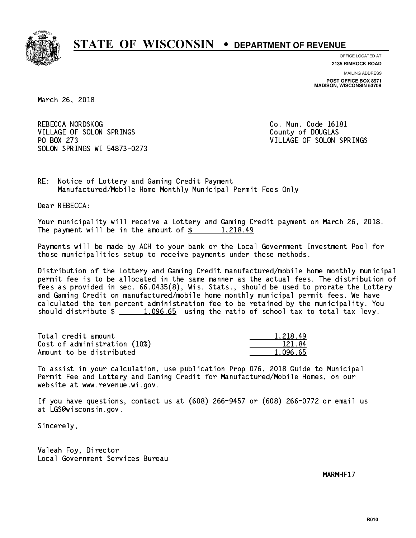

**OFFICE LOCATED AT**

**2135 RIMROCK ROAD**

**MAILING ADDRESS POST OFFICE BOX 8971 MADISON, WISCONSIN 53708**

March 26, 2018

REBECCA NORDSKOG COME CO. Mun. Code 16181 VILLAGE OF SOLON SPRINGS COUNTY OF DOUGLAS PO BOX 273 VILLAGE OF SOLON SPRINGS SOLON SPRINGS WI 54873-0273

RE: Notice of Lottery and Gaming Credit Payment Manufactured/Mobile Home Monthly Municipal Permit Fees Only

Dear REBECCA:

 Your municipality will receive a Lottery and Gaming Credit payment on March 26, 2018. The payment will be in the amount of  $\frac{2}{3}$  1,218.49

 Payments will be made by ACH to your bank or the Local Government Investment Pool for those municipalities setup to receive payments under these methods.

 Distribution of the Lottery and Gaming Credit manufactured/mobile home monthly municipal permit fee is to be allocated in the same manner as the actual fees. The distribution of fees as provided in sec. 66.0435(8), Wis. Stats., should be used to prorate the Lottery and Gaming Credit on manufactured/mobile home monthly municipal permit fees. We have calculated the ten percent administration fee to be retained by the municipality. You should distribute  $\frac{1.096.65}{1.096.65}$  using the ratio of school tax to total tax levy.

| Total credit amount          | 1.218.49 |
|------------------------------|----------|
| Cost of administration (10%) | 121.84   |
| Amount to be distributed     | 1.096.65 |

 To assist in your calculation, use publication Prop 076, 2018 Guide to Municipal Permit Fee and Lottery and Gaming Credit for Manufactured/Mobile Homes, on our website at www.revenue.wi.gov.

 If you have questions, contact us at (608) 266-9457 or (608) 266-0772 or email us at LGS@wisconsin.gov.

Sincerely,

 Valeah Foy, Director Local Government Services Bureau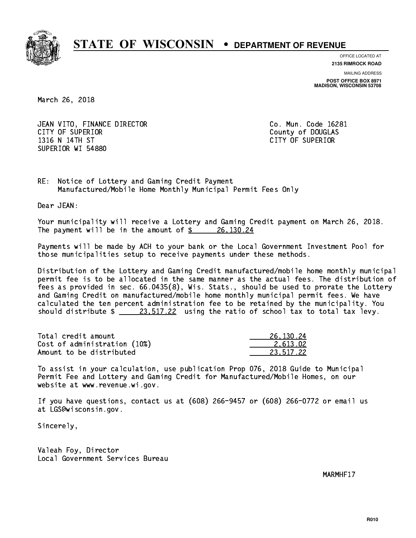

**OFFICE LOCATED AT**

**2135 RIMROCK ROAD**

**MAILING ADDRESS POST OFFICE BOX 8971 MADISON, WISCONSIN 53708**

March 26, 2018

 JEAN VITO, FINANCE DIRECTOR Co. Mun. Code 16281 CITY OF SUPERIOR COUNTY OF SUPERIOR 1316 N 14TH ST CITY OF SUPERIOR SUPERIOR WI 54880

RE: Notice of Lottery and Gaming Credit Payment Manufactured/Mobile Home Monthly Municipal Permit Fees Only

Dear JEAN:

 Your municipality will receive a Lottery and Gaming Credit payment on March 26, 2018. The payment will be in the amount of  $\frac{26,130.24}{20}$ 

 Payments will be made by ACH to your bank or the Local Government Investment Pool for those municipalities setup to receive payments under these methods.

 Distribution of the Lottery and Gaming Credit manufactured/mobile home monthly municipal permit fee is to be allocated in the same manner as the actual fees. The distribution of fees as provided in sec. 66.0435(8), Wis. Stats., should be used to prorate the Lottery and Gaming Credit on manufactured/mobile home monthly municipal permit fees. We have calculated the ten percent administration fee to be retained by the municipality. You should distribute  $\frac{23.517.22}{23.517.22}$  using the ratio of school tax to total tax levy.

| Total credit amount          | 26, 130, 24 |
|------------------------------|-------------|
| Cost of administration (10%) | 2.613.02    |
| Amount to be distributed     | 23.517.22   |

 To assist in your calculation, use publication Prop 076, 2018 Guide to Municipal Permit Fee and Lottery and Gaming Credit for Manufactured/Mobile Homes, on our website at www.revenue.wi.gov.

 If you have questions, contact us at (608) 266-9457 or (608) 266-0772 or email us at LGS@wisconsin.gov.

Sincerely,

 Valeah Foy, Director Local Government Services Bureau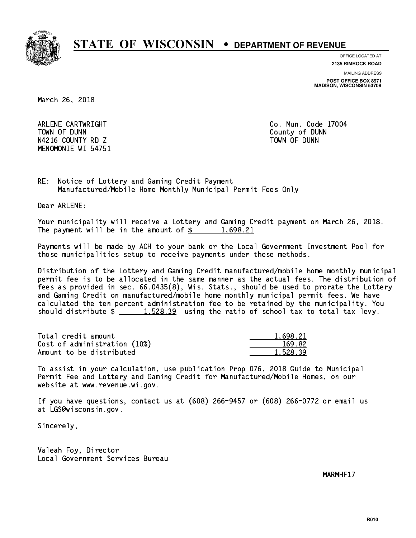

**OFFICE LOCATED AT 2135 RIMROCK ROAD**

**MAILING ADDRESS**

**POST OFFICE BOX 8971 MADISON, WISCONSIN 53708**

March 26, 2018

 ARLENE CARTWRIGHT Co. Mun. Code 17004 TOWN OF DUNN County of DUNN N4216 COUNTY RD Z TOWN OF DUNN MENOMONIE WI 54751

RE: Notice of Lottery and Gaming Credit Payment Manufactured/Mobile Home Monthly Municipal Permit Fees Only

Dear ARLENE:

 Your municipality will receive a Lottery and Gaming Credit payment on March 26, 2018. The payment will be in the amount of  $\frac{2}{3}$  1,698.21

 Payments will be made by ACH to your bank or the Local Government Investment Pool for those municipalities setup to receive payments under these methods.

 Distribution of the Lottery and Gaming Credit manufactured/mobile home monthly municipal permit fee is to be allocated in the same manner as the actual fees. The distribution of fees as provided in sec. 66.0435(8), Wis. Stats., should be used to prorate the Lottery and Gaming Credit on manufactured/mobile home monthly municipal permit fees. We have calculated the ten percent administration fee to be retained by the municipality. You should distribute  $\frac{1.528.39}{1.528.39}$  using the ratio of school tax to total tax levy.

| Total credit amount          | 1.698.21 |
|------------------------------|----------|
| Cost of administration (10%) | 169.82   |
| Amount to be distributed     | 1.528.39 |

 To assist in your calculation, use publication Prop 076, 2018 Guide to Municipal Permit Fee and Lottery and Gaming Credit for Manufactured/Mobile Homes, on our website at www.revenue.wi.gov.

 If you have questions, contact us at (608) 266-9457 or (608) 266-0772 or email us at LGS@wisconsin.gov.

Sincerely,

 Valeah Foy, Director Local Government Services Bureau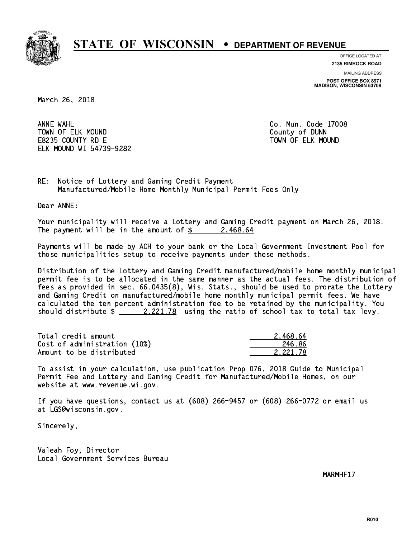

**OFFICE LOCATED AT**

**2135 RIMROCK ROAD**

**MAILING ADDRESS POST OFFICE BOX 8971 MADISON, WISCONSIN 53708**

March 26, 2018

ANNE WAHL TOWN OF ELK MOUND COUNTY OF BUNNING COUNTY OF DUNNING COUNTY OF DUNNING COUNTY OF DUNNING COUNTY OF DUNNING COUNTY OF DUNNING COUNTY OF DUNNING COUNTY OF DUNNING COUNTY OF DUNNING COUNTY OF DUNNING COUNTY OF DUNNING COUNTY E8235 COUNTY RD E TOWN OF ELK MOUND ELK MOUND WI 54739-9282

Co. Mun. Code 17008

RE: Notice of Lottery and Gaming Credit Payment Manufactured/Mobile Home Monthly Municipal Permit Fees Only

Dear ANNE:

 Your municipality will receive a Lottery and Gaming Credit payment on March 26, 2018. The payment will be in the amount of  $\frac{2}{3}$  2,468.64

 Payments will be made by ACH to your bank or the Local Government Investment Pool for those municipalities setup to receive payments under these methods.

 Distribution of the Lottery and Gaming Credit manufactured/mobile home monthly municipal permit fee is to be allocated in the same manner as the actual fees. The distribution of fees as provided in sec. 66.0435(8), Wis. Stats., should be used to prorate the Lottery and Gaming Credit on manufactured/mobile home monthly municipal permit fees. We have calculated the ten percent administration fee to be retained by the municipality. You should distribute  $\frac{2.221.78}{ }$  using the ratio of school tax to total tax levy.

| Total credit amount          | 2.468.64 |
|------------------------------|----------|
| Cost of administration (10%) | 246.86   |
| Amount to be distributed     | 2.221.78 |

 To assist in your calculation, use publication Prop 076, 2018 Guide to Municipal Permit Fee and Lottery and Gaming Credit for Manufactured/Mobile Homes, on our website at www.revenue.wi.gov.

 If you have questions, contact us at (608) 266-9457 or (608) 266-0772 or email us at LGS@wisconsin.gov.

Sincerely,

 Valeah Foy, Director Local Government Services Bureau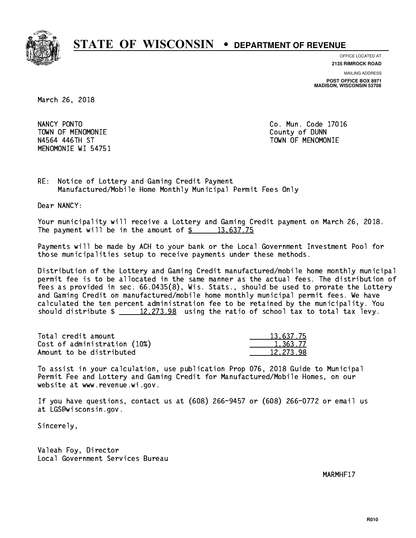

**OFFICE LOCATED AT**

**2135 RIMROCK ROAD**

**MAILING ADDRESS POST OFFICE BOX 8971 MADISON, WISCONSIN 53708**

March 26, 2018

NANCY PONTO TOWN OF MENOMONIE County of DUNN N4564 446TH ST TOWN OF MENOMONIE MENOMONIE WI 54751

Co. Mun. Code 17016

RE: Notice of Lottery and Gaming Credit Payment Manufactured/Mobile Home Monthly Municipal Permit Fees Only

Dear NANCY:

 Your municipality will receive a Lottery and Gaming Credit payment on March 26, 2018. The payment will be in the amount of  $\frac{2}{3}$  13,637.75

 Payments will be made by ACH to your bank or the Local Government Investment Pool for those municipalities setup to receive payments under these methods.

 Distribution of the Lottery and Gaming Credit manufactured/mobile home monthly municipal permit fee is to be allocated in the same manner as the actual fees. The distribution of fees as provided in sec. 66.0435(8), Wis. Stats., should be used to prorate the Lottery and Gaming Credit on manufactured/mobile home monthly municipal permit fees. We have calculated the ten percent administration fee to be retained by the municipality. You should distribute  $\frac{2}{2}$   $\frac{12,273.98}{2}$  using the ratio of school tax to total tax levy.

| Total credit amount          | 13,637.75 |
|------------------------------|-----------|
| Cost of administration (10%) | 1,363.77  |
| Amount to be distributed     | 12.273.98 |

 To assist in your calculation, use publication Prop 076, 2018 Guide to Municipal Permit Fee and Lottery and Gaming Credit for Manufactured/Mobile Homes, on our website at www.revenue.wi.gov.

 If you have questions, contact us at (608) 266-9457 or (608) 266-0772 or email us at LGS@wisconsin.gov.

Sincerely,

 Valeah Foy, Director Local Government Services Bureau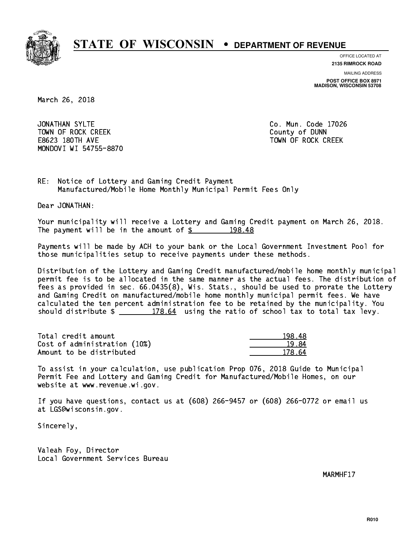

**OFFICE LOCATED AT**

**2135 RIMROCK ROAD**

**MAILING ADDRESS POST OFFICE BOX 8971 MADISON, WISCONSIN 53708**

March 26, 2018

JONATHAN SYLTE TOWN OF ROCK CREEK COUNTY OF DUNN E8623 180TH AVE TOWN OF ROCK CREEK MONDOVI WI 54755-8870

Co. Mun. Code 17026

RE: Notice of Lottery and Gaming Credit Payment Manufactured/Mobile Home Monthly Municipal Permit Fees Only

Dear JONATHAN:

 Your municipality will receive a Lottery and Gaming Credit payment on March 26, 2018. The payment will be in the amount of  $\frac{2}{3}$  198.48

 Payments will be made by ACH to your bank or the Local Government Investment Pool for those municipalities setup to receive payments under these methods.

 Distribution of the Lottery and Gaming Credit manufactured/mobile home monthly municipal permit fee is to be allocated in the same manner as the actual fees. The distribution of fees as provided in sec. 66.0435(8), Wis. Stats., should be used to prorate the Lottery and Gaming Credit on manufactured/mobile home monthly municipal permit fees. We have calculated the ten percent administration fee to be retained by the municipality. You should distribute  $\frac{2}{2}$   $\frac{178.64}{2}$  using the ratio of school tax to total tax levy.

Total credit amount Cost of administration (10%) Amount to be distributed

| . ص                        |
|----------------------------|
| ₹4<br>$\Omega$ $\sim$<br>1 |
| ۲4<br>178.                 |

 To assist in your calculation, use publication Prop 076, 2018 Guide to Municipal Permit Fee and Lottery and Gaming Credit for Manufactured/Mobile Homes, on our website at www.revenue.wi.gov.

 If you have questions, contact us at (608) 266-9457 or (608) 266-0772 or email us at LGS@wisconsin.gov.

Sincerely,

 Valeah Foy, Director Local Government Services Bureau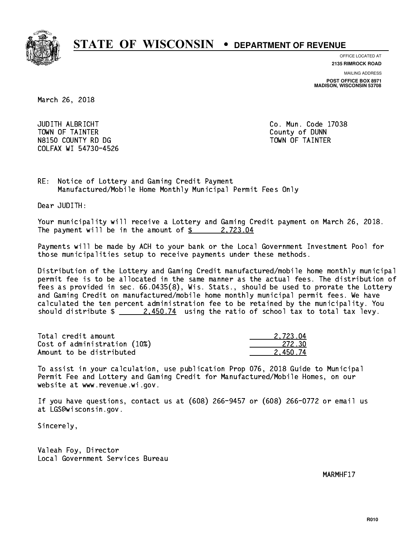

**OFFICE LOCATED AT**

**2135 RIMROCK ROAD**

**MAILING ADDRESS POST OFFICE BOX 8971 MADISON, WISCONSIN 53708**

March 26, 2018

 JUDITH ALBRICHT Co. Mun. Code 17038 TOWN OF TAINTER County of DUNN N8150 COUNTY RD DG TAINTER TOWN OF TAINTER COLFAX WI 54730-4526

RE: Notice of Lottery and Gaming Credit Payment Manufactured/Mobile Home Monthly Municipal Permit Fees Only

Dear JUDITH:

 Your municipality will receive a Lottery and Gaming Credit payment on March 26, 2018. The payment will be in the amount of  $\frac{2}{3}$  2,723.04

 Payments will be made by ACH to your bank or the Local Government Investment Pool for those municipalities setup to receive payments under these methods.

 Distribution of the Lottery and Gaming Credit manufactured/mobile home monthly municipal permit fee is to be allocated in the same manner as the actual fees. The distribution of fees as provided in sec. 66.0435(8), Wis. Stats., should be used to prorate the Lottery and Gaming Credit on manufactured/mobile home monthly municipal permit fees. We have calculated the ten percent administration fee to be retained by the municipality. You should distribute  $\frac{2.450.74}{2.450.74}$  using the ratio of school tax to total tax levy.

| Total credit amount          | 2.723.04 |
|------------------------------|----------|
| Cost of administration (10%) | -272.30  |
| Amount to be distributed     | 2.450.74 |

 To assist in your calculation, use publication Prop 076, 2018 Guide to Municipal Permit Fee and Lottery and Gaming Credit for Manufactured/Mobile Homes, on our website at www.revenue.wi.gov.

 If you have questions, contact us at (608) 266-9457 or (608) 266-0772 or email us at LGS@wisconsin.gov.

Sincerely,

 Valeah Foy, Director Local Government Services Bureau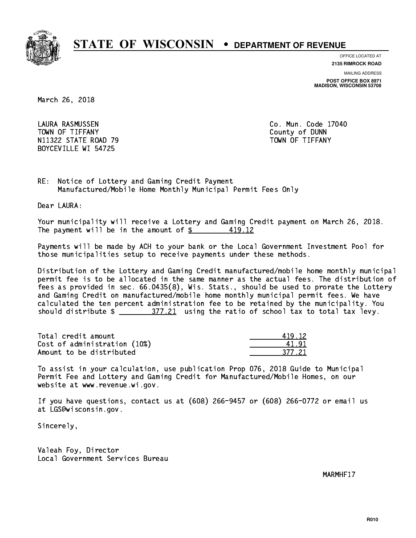

**OFFICE LOCATED AT**

**2135 RIMROCK ROAD**

**MAILING ADDRESS POST OFFICE BOX 8971 MADISON, WISCONSIN 53708**

March 26, 2018

 LAURA RASMUSSEN Co. Mun. Code 17040 TOWN OF TIFFANY County of DUNN N11322 STATE ROAD 79 TOWN OF TIFFANY BOYCEVILLE WI 54725

RE: Notice of Lottery and Gaming Credit Payment Manufactured/Mobile Home Monthly Municipal Permit Fees Only

Dear LAURA:

 Your municipality will receive a Lottery and Gaming Credit payment on March 26, 2018. The payment will be in the amount of  $\frac{2}{3}$ 419.12

 Payments will be made by ACH to your bank or the Local Government Investment Pool for those municipalities setup to receive payments under these methods.

 Distribution of the Lottery and Gaming Credit manufactured/mobile home monthly municipal permit fee is to be allocated in the same manner as the actual fees. The distribution of fees as provided in sec. 66.0435(8), Wis. Stats., should be used to prorate the Lottery and Gaming Credit on manufactured/mobile home monthly municipal permit fees. We have calculated the ten percent administration fee to be retained by the municipality. You should distribute  $\frac{277.21}{2}$  using the ratio of school tax to total tax levy.

Total credit amount Cost of administration (10%) Amount to be distributed

| $-12$ |
|-------|
| H 1   |
| -21   |

 To assist in your calculation, use publication Prop 076, 2018 Guide to Municipal Permit Fee and Lottery and Gaming Credit for Manufactured/Mobile Homes, on our website at www.revenue.wi.gov.

 If you have questions, contact us at (608) 266-9457 or (608) 266-0772 or email us at LGS@wisconsin.gov.

Sincerely,

 Valeah Foy, Director Local Government Services Bureau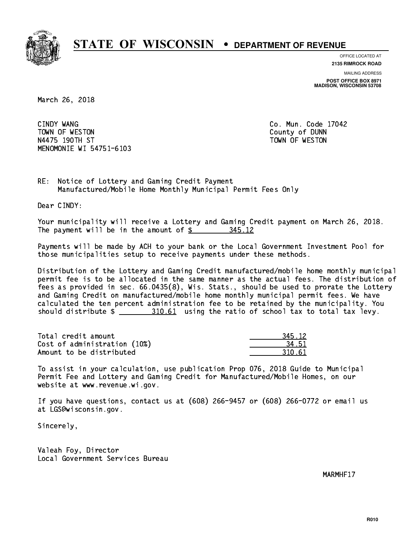

**OFFICE LOCATED AT 2135 RIMROCK ROAD**

**MAILING ADDRESS**

**POST OFFICE BOX 8971 MADISON, WISCONSIN 53708**

March 26, 2018

CINDY WANG TOWN OF WESTON COUNTY OF DUNN N4475 190TH ST TOWN OF WESTON MENOMONIE WI 54751-6103

Co. Mun. Code 17042

RE: Notice of Lottery and Gaming Credit Payment Manufactured/Mobile Home Monthly Municipal Permit Fees Only

Dear CINDY:

 Your municipality will receive a Lottery and Gaming Credit payment on March 26, 2018. The payment will be in the amount of \$ 345.12 \_\_\_\_\_\_\_\_\_\_\_\_\_\_\_\_

 Payments will be made by ACH to your bank or the Local Government Investment Pool for those municipalities setup to receive payments under these methods.

 Distribution of the Lottery and Gaming Credit manufactured/mobile home monthly municipal permit fee is to be allocated in the same manner as the actual fees. The distribution of fees as provided in sec. 66.0435(8), Wis. Stats., should be used to prorate the Lottery and Gaming Credit on manufactured/mobile home monthly municipal permit fees. We have calculated the ten percent administration fee to be retained by the municipality. You should distribute  $\frac{210.61}{2}$  using the ratio of school tax to total tax levy.

| Total credit amount          | 345.12 |
|------------------------------|--------|
| Cost of administration (10%) | 34.51  |
| Amount to be distributed     | 310.61 |

 To assist in your calculation, use publication Prop 076, 2018 Guide to Municipal Permit Fee and Lottery and Gaming Credit for Manufactured/Mobile Homes, on our website at www.revenue.wi.gov.

 If you have questions, contact us at (608) 266-9457 or (608) 266-0772 or email us at LGS@wisconsin.gov.

Sincerely,

 Valeah Foy, Director Local Government Services Bureau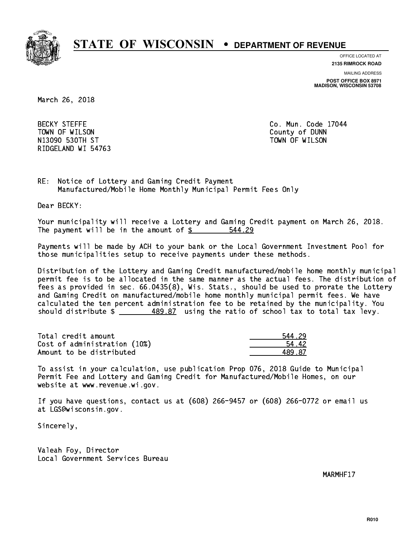

**OFFICE LOCATED AT**

**MAILING ADDRESS 2135 RIMROCK ROAD**

**POST OFFICE BOX 8971 MADISON, WISCONSIN 53708**

March 26, 2018

**BECKY STEFFE**  TOWN OF WILSON County of DUNN N13090 ST TOWN OF WILSON OF WILSON OF WILSON OF WILSON OF WILSON OF WILSON OF WILSON OF WILSON OF WILSON OF WI RIDGELAND WI 54763

Co. Mun. Code 17044

RE: Notice of Lottery and Gaming Credit Payment Manufactured/Mobile Home Monthly Municipal Permit Fees Only

Dear BECKY:

 Your municipality will receive a Lottery and Gaming Credit payment on March 26, 2018. The payment will be in the amount of \$ 544.29 \_\_\_\_\_\_\_\_\_\_\_\_\_\_\_\_

 Payments will be made by ACH to your bank or the Local Government Investment Pool for those municipalities setup to receive payments under these methods.

 Distribution of the Lottery and Gaming Credit manufactured/mobile home monthly municipal permit fee is to be allocated in the same manner as the actual fees. The distribution of fees as provided in sec. 66.0435(8), Wis. Stats., should be used to prorate the Lottery and Gaming Credit on manufactured/mobile home monthly municipal permit fees. We have calculated the ten percent administration fee to be retained by the municipality. You should distribute \$ 489.87 using the ratio of school tax to total tax levy. \_\_\_\_\_\_\_\_\_\_\_\_\_\_

| Total credit amount          | 544 29 |
|------------------------------|--------|
| Cost of administration (10%) | 54.42  |
| Amount to be distributed     | 489.87 |

 To assist in your calculation, use publication Prop 076, 2018 Guide to Municipal Permit Fee and Lottery and Gaming Credit for Manufactured/Mobile Homes, on our website at www.revenue.wi.gov.

 If you have questions, contact us at (608) 266-9457 or (608) 266-0772 or email us at LGS@wisconsin.gov.

Sincerely,

 Valeah Foy, Director Local Government Services Bureau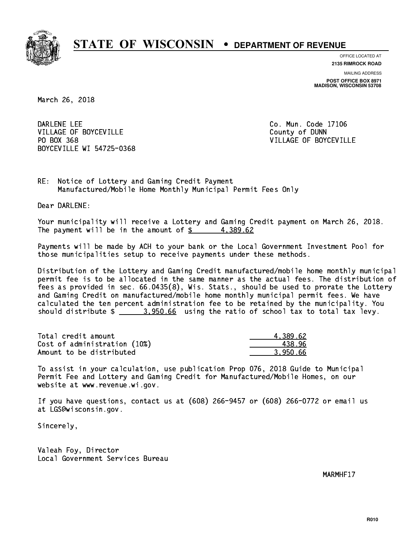

**OFFICE LOCATED AT**

**2135 RIMROCK ROAD**

**MAILING ADDRESS POST OFFICE BOX 8971 MADISON, WISCONSIN 53708**

March 26, 2018

DARLENE LEE VILLAGE OF BOYCEVILLE **COUNTY OF SEXUAL COUNTY OF BOYCEVILLE** PO BOX 368 BOYCEVILLE WI 54725-0368

Co. Mun. Code 17106 VILLAGE OF BOYCEVILLE

RE: Notice of Lottery and Gaming Credit Payment Manufactured/Mobile Home Monthly Municipal Permit Fees Only

Dear DARLENE:

 Your municipality will receive a Lottery and Gaming Credit payment on March 26, 2018. The payment will be in the amount of  $\frac{2}{3}$  4,389.62

 Payments will be made by ACH to your bank or the Local Government Investment Pool for those municipalities setup to receive payments under these methods.

 Distribution of the Lottery and Gaming Credit manufactured/mobile home monthly municipal permit fee is to be allocated in the same manner as the actual fees. The distribution of fees as provided in sec. 66.0435(8), Wis. Stats., should be used to prorate the Lottery and Gaming Credit on manufactured/mobile home monthly municipal permit fees. We have calculated the ten percent administration fee to be retained by the municipality. You should distribute  $\frac{2}{2}$   $\frac{3.950.66}{2}$  using the ratio of school tax to total tax levy.

| Total credit amount          | 4.389.62 |
|------------------------------|----------|
| Cost of administration (10%) | 438.96   |
| Amount to be distributed     | 3.950.66 |

 To assist in your calculation, use publication Prop 076, 2018 Guide to Municipal Permit Fee and Lottery and Gaming Credit for Manufactured/Mobile Homes, on our website at www.revenue.wi.gov.

 If you have questions, contact us at (608) 266-9457 or (608) 266-0772 or email us at LGS@wisconsin.gov.

Sincerely,

 Valeah Foy, Director Local Government Services Bureau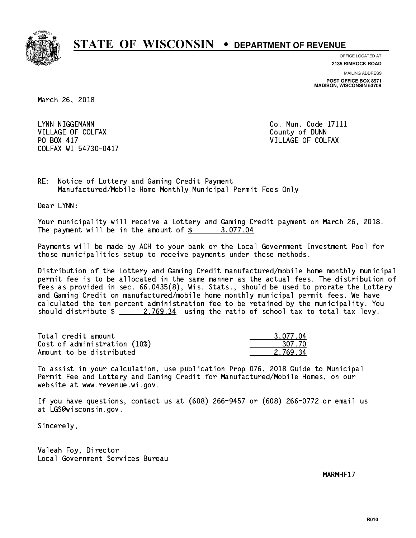

**OFFICE LOCATED AT**

**2135 RIMROCK ROAD**

**MAILING ADDRESS POST OFFICE BOX 8971 MADISON, WISCONSIN 53708**

March 26, 2018

LYNN NIGGEMANN VILLAGE OF COLFAX COUNTY OF DUNN PO BOX 417 COLFAX WI 54730-0417

Co. Mun. Code 17111 VILLAGE OF COLFAX

RE: Notice of Lottery and Gaming Credit Payment Manufactured/Mobile Home Monthly Municipal Permit Fees Only

Dear LYNN:

 Your municipality will receive a Lottery and Gaming Credit payment on March 26, 2018. The payment will be in the amount of  $\frac{2}{3}$  3,077.04

 Payments will be made by ACH to your bank or the Local Government Investment Pool for those municipalities setup to receive payments under these methods.

 Distribution of the Lottery and Gaming Credit manufactured/mobile home monthly municipal permit fee is to be allocated in the same manner as the actual fees. The distribution of fees as provided in sec. 66.0435(8), Wis. Stats., should be used to prorate the Lottery and Gaming Credit on manufactured/mobile home monthly municipal permit fees. We have calculated the ten percent administration fee to be retained by the municipality. You should distribute  $\frac{2.769.34}{2.769.34}$  using the ratio of school tax to total tax levy.

| Total credit amount          | 3.077.04 |
|------------------------------|----------|
| Cost of administration (10%) | 307.70   |
| Amount to be distributed     | 2.769.34 |

 To assist in your calculation, use publication Prop 076, 2018 Guide to Municipal Permit Fee and Lottery and Gaming Credit for Manufactured/Mobile Homes, on our website at www.revenue.wi.gov.

 If you have questions, contact us at (608) 266-9457 or (608) 266-0772 or email us at LGS@wisconsin.gov.

Sincerely,

 Valeah Foy, Director Local Government Services Bureau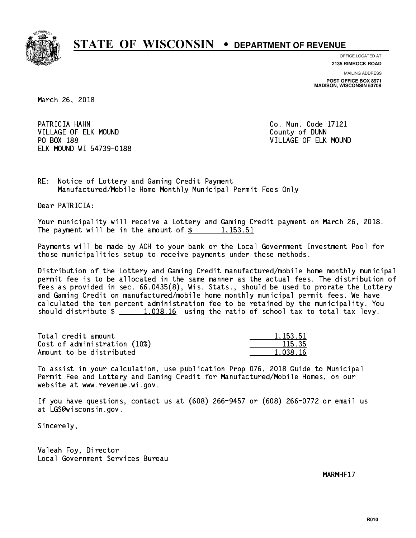

**OFFICE LOCATED AT**

**2135 RIMROCK ROAD**

**MAILING ADDRESS POST OFFICE BOX 8971 MADISON, WISCONSIN 53708**

March 26, 2018

PATRICIA HAHN VILLAGE OF ELK MOUND COUNTY OF DUNN PO BOX 188 ELK MOUND WI 54739-0188

Co. Mun. Code 17121 VILLAGE OF ELK MOUND

RE: Notice of Lottery and Gaming Credit Payment Manufactured/Mobile Home Monthly Municipal Permit Fees Only

Dear PATRICIA:

 Your municipality will receive a Lottery and Gaming Credit payment on March 26, 2018. The payment will be in the amount of  $\frac{2}{3}$  1,153.51

 Payments will be made by ACH to your bank or the Local Government Investment Pool for those municipalities setup to receive payments under these methods.

 Distribution of the Lottery and Gaming Credit manufactured/mobile home monthly municipal permit fee is to be allocated in the same manner as the actual fees. The distribution of fees as provided in sec. 66.0435(8), Wis. Stats., should be used to prorate the Lottery and Gaming Credit on manufactured/mobile home monthly municipal permit fees. We have calculated the ten percent administration fee to be retained by the municipality. You should distribute  $\frac{1}{2}$   $\frac{1,038.16}{2}$  using the ratio of school tax to total tax levy.

| Total credit amount          | 1.153.51 |
|------------------------------|----------|
| Cost of administration (10%) | 115.35   |
| Amount to be distributed     | 1.038.16 |

<u>1,153.51</u>

 To assist in your calculation, use publication Prop 076, 2018 Guide to Municipal Permit Fee and Lottery and Gaming Credit for Manufactured/Mobile Homes, on our website at www.revenue.wi.gov.

 If you have questions, contact us at (608) 266-9457 or (608) 266-0772 or email us at LGS@wisconsin.gov.

Sincerely,

 Valeah Foy, Director Local Government Services Bureau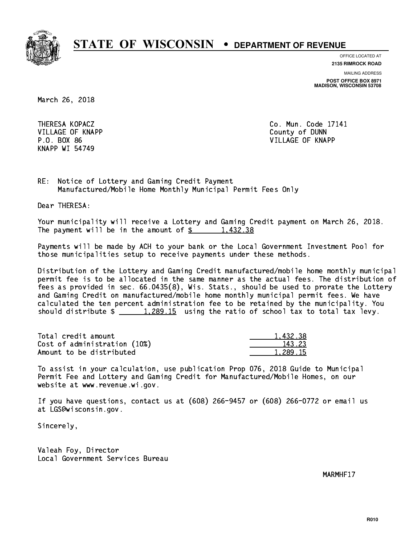

**OFFICE LOCATED AT**

**2135 RIMROCK ROAD**

**MAILING ADDRESS POST OFFICE BOX 8971 MADISON, WISCONSIN 53708**

March 26, 2018

 VILLAGE OF KNAPP County of DUNN KNAPP WI 54749

 THERESA KOPACZ Co. Mun. Code 17141 P.O. BOX 86 VILLAGE OF KNAPP

RE: Notice of Lottery and Gaming Credit Payment Manufactured/Mobile Home Monthly Municipal Permit Fees Only

Dear THERESA:

 Your municipality will receive a Lottery and Gaming Credit payment on March 26, 2018. The payment will be in the amount of  $\frac{2}{3}$  1,432.38

 Payments will be made by ACH to your bank or the Local Government Investment Pool for those municipalities setup to receive payments under these methods.

 Distribution of the Lottery and Gaming Credit manufactured/mobile home monthly municipal permit fee is to be allocated in the same manner as the actual fees. The distribution of fees as provided in sec. 66.0435(8), Wis. Stats., should be used to prorate the Lottery and Gaming Credit on manufactured/mobile home monthly municipal permit fees. We have calculated the ten percent administration fee to be retained by the municipality. You should distribute  $\frac{1,289.15}{1,289.15}$  using the ratio of school tax to total tax levy.

| Total credit amount          | 1,432.38 |
|------------------------------|----------|
| Cost of administration (10%) | 143.23   |
| Amount to be distributed     | 1.289.15 |

 To assist in your calculation, use publication Prop 076, 2018 Guide to Municipal Permit Fee and Lottery and Gaming Credit for Manufactured/Mobile Homes, on our website at www.revenue.wi.gov.

 If you have questions, contact us at (608) 266-9457 or (608) 266-0772 or email us at LGS@wisconsin.gov.

Sincerely,

 Valeah Foy, Director Local Government Services Bureau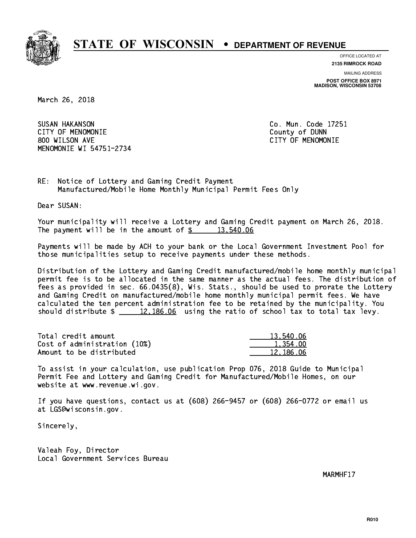

**OFFICE LOCATED AT**

**2135 RIMROCK ROAD**

**MAILING ADDRESS POST OFFICE BOX 8971 MADISON, WISCONSIN 53708**

March 26, 2018

 SUSAN HAKANSON Co. Mun. Code 17251 CITY OF MENOMONIE County of DUNN 800 WILSON AVE CITY OF MENOMONIE MENOMONIE WI 54751-2734

RE: Notice of Lottery and Gaming Credit Payment Manufactured/Mobile Home Monthly Municipal Permit Fees Only

Dear SUSAN:

 Your municipality will receive a Lottery and Gaming Credit payment on March 26, 2018. The payment will be in the amount of  $\frac{2}{3}$  13,540.06

 Payments will be made by ACH to your bank or the Local Government Investment Pool for those municipalities setup to receive payments under these methods.

 Distribution of the Lottery and Gaming Credit manufactured/mobile home monthly municipal permit fee is to be allocated in the same manner as the actual fees. The distribution of fees as provided in sec. 66.0435(8), Wis. Stats., should be used to prorate the Lottery and Gaming Credit on manufactured/mobile home monthly municipal permit fees. We have calculated the ten percent administration fee to be retained by the municipality. You should distribute  $\frac{2}{2}$   $\frac{12,186.06}{2}$  using the ratio of school tax to total tax levy.

| Total credit amount          | 13,540.06 |
|------------------------------|-----------|
| Cost of administration (10%) | 1.354.00  |
| Amount to be distributed     | 12.186.06 |

 To assist in your calculation, use publication Prop 076, 2018 Guide to Municipal Permit Fee and Lottery and Gaming Credit for Manufactured/Mobile Homes, on our website at www.revenue.wi.gov.

 If you have questions, contact us at (608) 266-9457 or (608) 266-0772 or email us at LGS@wisconsin.gov.

Sincerely,

 Valeah Foy, Director Local Government Services Bureau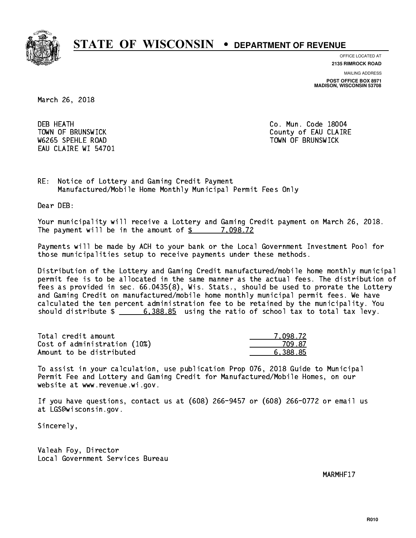

**OFFICE LOCATED AT**

**2135 RIMROCK ROAD**

**MAILING ADDRESS POST OFFICE BOX 8971 MADISON, WISCONSIN 53708**

March 26, 2018

**DEB HEATH** W6265 SPEHLE ROAD TOWN OF BRUNSWICK EAU CLAIRE WI 54701

Co. Mun. Code 18004 TOWN OF BRUNSWICK County of EAU CLAIRE

RE: Notice of Lottery and Gaming Credit Payment Manufactured/Mobile Home Monthly Municipal Permit Fees Only

Dear DEB:

 Your municipality will receive a Lottery and Gaming Credit payment on March 26, 2018. The payment will be in the amount of  $\frac{2}{3}$  7,098.72

 Payments will be made by ACH to your bank or the Local Government Investment Pool for those municipalities setup to receive payments under these methods.

 Distribution of the Lottery and Gaming Credit manufactured/mobile home monthly municipal permit fee is to be allocated in the same manner as the actual fees. The distribution of fees as provided in sec. 66.0435(8), Wis. Stats., should be used to prorate the Lottery and Gaming Credit on manufactured/mobile home monthly municipal permit fees. We have calculated the ten percent administration fee to be retained by the municipality. You should distribute  $\frac{2}{1}$   $\frac{6,388.85}{2}$  using the ratio of school tax to total tax levy.

| Total credit amount          | 7.098.72 |
|------------------------------|----------|
| Cost of administration (10%) | 709 87   |
| Amount to be distributed     | 6.388.85 |

 To assist in your calculation, use publication Prop 076, 2018 Guide to Municipal Permit Fee and Lottery and Gaming Credit for Manufactured/Mobile Homes, on our website at www.revenue.wi.gov.

 If you have questions, contact us at (608) 266-9457 or (608) 266-0772 or email us at LGS@wisconsin.gov.

Sincerely,

 Valeah Foy, Director Local Government Services Bureau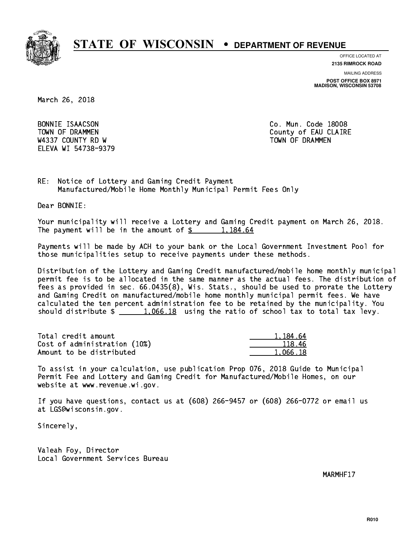

**OFFICE LOCATED AT**

**2135 RIMROCK ROAD**

**MAILING ADDRESS POST OFFICE BOX 8971 MADISON, WISCONSIN 53708**

March 26, 2018

BONNIE ISAACSON W4337 COUNTY RD W TOWN OF DRAMMEN ELEVA WI 54738-9379

Co. Mun. Code 18008 TOWN OF DRAMMEN COUNTY OF EAU CLAIRE

RE: Notice of Lottery and Gaming Credit Payment Manufactured/Mobile Home Monthly Municipal Permit Fees Only

Dear BONNIE:

 Your municipality will receive a Lottery and Gaming Credit payment on March 26, 2018. The payment will be in the amount of  $\frac{2}{3}$  1,184.64

 Payments will be made by ACH to your bank or the Local Government Investment Pool for those municipalities setup to receive payments under these methods.

 Distribution of the Lottery and Gaming Credit manufactured/mobile home monthly municipal permit fee is to be allocated in the same manner as the actual fees. The distribution of fees as provided in sec. 66.0435(8), Wis. Stats., should be used to prorate the Lottery and Gaming Credit on manufactured/mobile home monthly municipal permit fees. We have calculated the ten percent administration fee to be retained by the municipality. You should distribute  $\frac{1,066.18}{1,066.18}$  using the ratio of school tax to total tax levy.

| Total credit amount          | 1.184.64 |
|------------------------------|----------|
| Cost of administration (10%) | 118.46   |
| Amount to be distributed     | 1.066.18 |

 To assist in your calculation, use publication Prop 076, 2018 Guide to Municipal Permit Fee and Lottery and Gaming Credit for Manufactured/Mobile Homes, on our website at www.revenue.wi.gov.

 If you have questions, contact us at (608) 266-9457 or (608) 266-0772 or email us at LGS@wisconsin.gov.

Sincerely,

 Valeah Foy, Director Local Government Services Bureau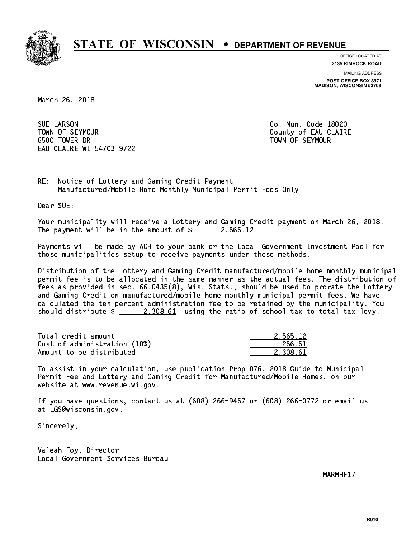

**OFFICE LOCATED AT**

**2135 RIMROCK ROAD**

**MAILING ADDRESS POST OFFICE BOX 8971 MADISON, WISCONSIN 53708**

March 26, 2018

**SUE LARSON**  TOWN OF SEYMOUR County of EAU CLAIRE 6500 TOWER DR TOWN OF SEYMOUR EAU CLAIRE WI 54703-9722

Co. Mun. Code 18020

RE: Notice of Lottery and Gaming Credit Payment Manufactured/Mobile Home Monthly Municipal Permit Fees Only

Dear SUE:

 Your municipality will receive a Lottery and Gaming Credit payment on March 26, 2018. The payment will be in the amount of  $\frac{2}{3}$  2,565.12

 Payments will be made by ACH to your bank or the Local Government Investment Pool for those municipalities setup to receive payments under these methods.

 Distribution of the Lottery and Gaming Credit manufactured/mobile home monthly municipal permit fee is to be allocated in the same manner as the actual fees. The distribution of fees as provided in sec. 66.0435(8), Wis. Stats., should be used to prorate the Lottery and Gaming Credit on manufactured/mobile home monthly municipal permit fees. We have calculated the ten percent administration fee to be retained by the municipality. You should distribute  $\frac{2,308.61}{2}$  using the ratio of school tax to total tax levy.

| Total credit amount          | 2.565.12 |
|------------------------------|----------|
| Cost of administration (10%) | 256.51   |
| Amount to be distributed     | 2.308.61 |

 To assist in your calculation, use publication Prop 076, 2018 Guide to Municipal Permit Fee and Lottery and Gaming Credit for Manufactured/Mobile Homes, on our website at www.revenue.wi.gov.

 If you have questions, contact us at (608) 266-9457 or (608) 266-0772 or email us at LGS@wisconsin.gov.

Sincerely,

 Valeah Foy, Director Local Government Services Bureau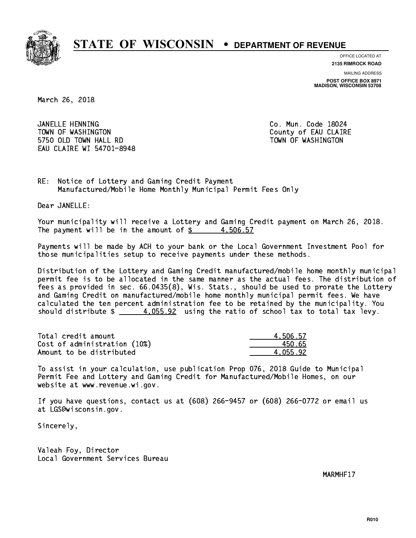

**OFFICE LOCATED AT**

**2135 RIMROCK ROAD**

**MAILING ADDRESS POST OFFICE BOX 8971 MADISON, WISCONSIN 53708**

March 26, 2018

 JANELLE HENNING Co. Mun. Code 18024 TOWN OF WASHINGTON COUNTY OF EAU CLAIRE 5750 OLD TOWN HALL RD TOWN OF WASHINGTON EAU CLAIRE WI 54701-8948

RE: Notice of Lottery and Gaming Credit Payment Manufactured/Mobile Home Monthly Municipal Permit Fees Only

Dear JANELLE:

 Your municipality will receive a Lottery and Gaming Credit payment on March 26, 2018. The payment will be in the amount of  $\frac{2}{3}$  4,506.57

 Payments will be made by ACH to your bank or the Local Government Investment Pool for those municipalities setup to receive payments under these methods.

 Distribution of the Lottery and Gaming Credit manufactured/mobile home monthly municipal permit fee is to be allocated in the same manner as the actual fees. The distribution of fees as provided in sec. 66.0435(8), Wis. Stats., should be used to prorate the Lottery and Gaming Credit on manufactured/mobile home monthly municipal permit fees. We have calculated the ten percent administration fee to be retained by the municipality. You should distribute  $\frac{4.055.92}{4.055.22}$  using the ratio of school tax to total tax levy.

| Total credit amount          | 4,506.57 |
|------------------------------|----------|
| Cost of administration (10%) | 450.65   |
| Amount to be distributed     | 4.055.92 |

 To assist in your calculation, use publication Prop 076, 2018 Guide to Municipal Permit Fee and Lottery and Gaming Credit for Manufactured/Mobile Homes, on our website at www.revenue.wi.gov.

 If you have questions, contact us at (608) 266-9457 or (608) 266-0772 or email us at LGS@wisconsin.gov.

Sincerely,

 Valeah Foy, Director Local Government Services Bureau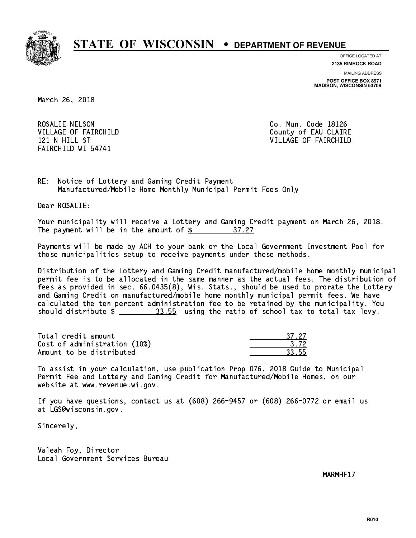

**OFFICE LOCATED AT 2135 RIMROCK ROAD**

**MAILING ADDRESS**

**POST OFFICE BOX 8971 MADISON, WISCONSIN 53708**

March 26, 2018

ROSALIE NELSON **Co. Mun. Code 18126** FAIRCHILD WI 54741

VILLAGE OF FAIRCHILD County of EAU CLAIRE 121 N HILL ST VILLAGE OF FAIRCHILD

RE: Notice of Lottery and Gaming Credit Payment Manufactured/Mobile Home Monthly Municipal Permit Fees Only

Dear ROSALIE:

 Your municipality will receive a Lottery and Gaming Credit payment on March 26, 2018. The payment will be in the amount of  $\frac{25}{3}$ 37.27

 Payments will be made by ACH to your bank or the Local Government Investment Pool for those municipalities setup to receive payments under these methods.

 Distribution of the Lottery and Gaming Credit manufactured/mobile home monthly municipal permit fee is to be allocated in the same manner as the actual fees. The distribution of fees as provided in sec. 66.0435(8), Wis. Stats., should be used to prorate the Lottery and Gaming Credit on manufactured/mobile home monthly municipal permit fees. We have calculated the ten percent administration fee to be retained by the municipality. You should distribute  $\frac{23.55}{200}$  using the ratio of school tax to total tax levy.

Total credit amount Cost of administration (10%) Amount to be distributed

| -27   |
|-------|
| -12 - |
|       |

 To assist in your calculation, use publication Prop 076, 2018 Guide to Municipal Permit Fee and Lottery and Gaming Credit for Manufactured/Mobile Homes, on our website at www.revenue.wi.gov.

 If you have questions, contact us at (608) 266-9457 or (608) 266-0772 or email us at LGS@wisconsin.gov.

Sincerely,

 Valeah Foy, Director Local Government Services Bureau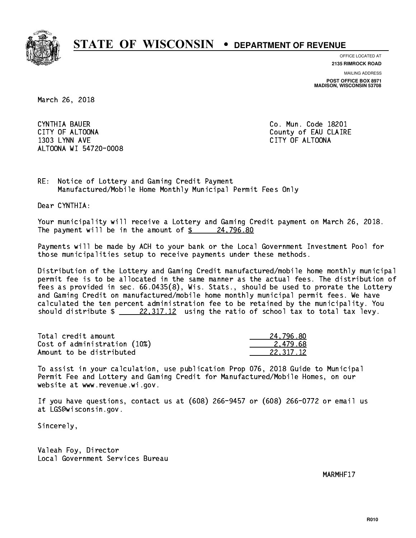

**OFFICE LOCATED AT**

**2135 RIMROCK ROAD**

**MAILING ADDRESS POST OFFICE BOX 8971 MADISON, WISCONSIN 53708**

March 26, 2018

CYNTHIA BAUER CITY OF ALTOONA COUNTY OF ALTOONA 1303 LYNN AVE CITY OF ALTOONA ALTOONA WI 54720-0008

Co. Mun. Code 18201

RE: Notice of Lottery and Gaming Credit Payment Manufactured/Mobile Home Monthly Municipal Permit Fees Only

Dear CYNTHIA:

 Your municipality will receive a Lottery and Gaming Credit payment on March 26, 2018. The payment will be in the amount of  $\frac{24,796.80}{24,796.80}$ 

 Payments will be made by ACH to your bank or the Local Government Investment Pool for those municipalities setup to receive payments under these methods.

 Distribution of the Lottery and Gaming Credit manufactured/mobile home monthly municipal permit fee is to be allocated in the same manner as the actual fees. The distribution of fees as provided in sec. 66.0435(8), Wis. Stats., should be used to prorate the Lottery and Gaming Credit on manufactured/mobile home monthly municipal permit fees. We have calculated the ten percent administration fee to be retained by the municipality. You should distribute  $\frac{22,317.12}{2}$  using the ratio of school tax to total tax levy.

| Total credit amount          | 24.796.80 |
|------------------------------|-----------|
| Cost of administration (10%) | 2.479.68  |
| Amount to be distributed     | 22.317.12 |

 To assist in your calculation, use publication Prop 076, 2018 Guide to Municipal Permit Fee and Lottery and Gaming Credit for Manufactured/Mobile Homes, on our website at www.revenue.wi.gov.

 If you have questions, contact us at (608) 266-9457 or (608) 266-0772 or email us at LGS@wisconsin.gov.

Sincerely,

 Valeah Foy, Director Local Government Services Bureau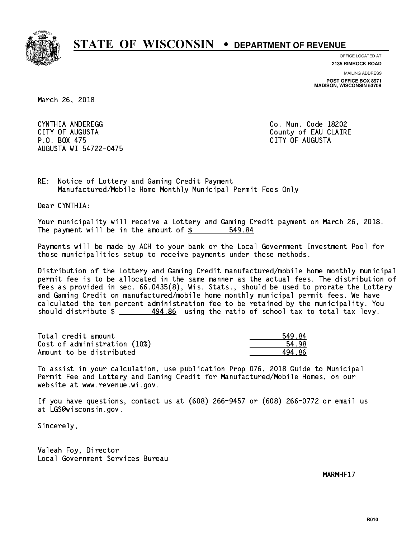

**OFFICE LOCATED AT**

**2135 RIMROCK ROAD**

**MAILING ADDRESS**

**POST OFFICE BOX 8971 MADISON, WISCONSIN 53708**

March 26, 2018

 CYNTHIA ANDEREGG Co. Mun. Code 18202 CITY OF AUGUSTA County of EAU CLAIRE P.O. BOX 475 CITY OF AUGUSTA AUGUSTA WI 54722-0475

RE: Notice of Lottery and Gaming Credit Payment Manufactured/Mobile Home Monthly Municipal Permit Fees Only

Dear CYNTHIA:

 Your municipality will receive a Lottery and Gaming Credit payment on March 26, 2018. The payment will be in the amount of  $\frac{2}{3}$ 549.84

 Payments will be made by ACH to your bank or the Local Government Investment Pool for those municipalities setup to receive payments under these methods.

 Distribution of the Lottery and Gaming Credit manufactured/mobile home monthly municipal permit fee is to be allocated in the same manner as the actual fees. The distribution of fees as provided in sec. 66.0435(8), Wis. Stats., should be used to prorate the Lottery and Gaming Credit on manufactured/mobile home monthly municipal permit fees. We have calculated the ten percent administration fee to be retained by the municipality. You should distribute  $\frac{494.86}{2}$  using the ratio of school tax to total tax levy.

| Total credit amount          | 549.84 |
|------------------------------|--------|
| Cost of administration (10%) | 54.98  |
| Amount to be distributed     | 494 86 |

 To assist in your calculation, use publication Prop 076, 2018 Guide to Municipal Permit Fee and Lottery and Gaming Credit for Manufactured/Mobile Homes, on our website at www.revenue.wi.gov.

 If you have questions, contact us at (608) 266-9457 or (608) 266-0772 or email us at LGS@wisconsin.gov.

Sincerely,

 Valeah Foy, Director Local Government Services Bureau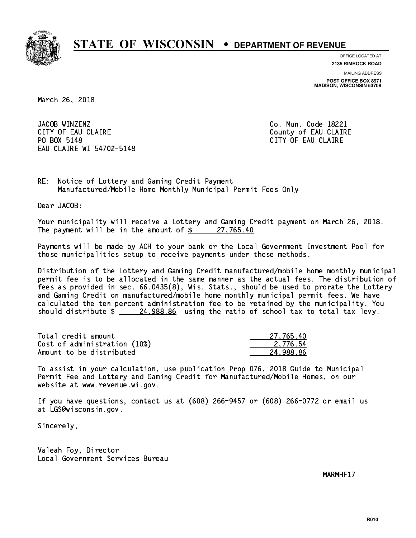

**OFFICE LOCATED AT 2135 RIMROCK ROAD**

**MAILING ADDRESS**

**POST OFFICE BOX 8971 MADISON, WISCONSIN 53708**

March 26, 2018

JACOB WINZENZ CITY OF EAU CLAIRE **COUNTY OF EAU CLAIRE** PO BOX 5148 EAU CLAIRE WI 54702-5148

Co. Mun. Code 18221 CITY OF EAU CLAIRE

RE: Notice of Lottery and Gaming Credit Payment Manufactured/Mobile Home Monthly Municipal Permit Fees Only

Dear JACOB:

 Your municipality will receive a Lottery and Gaming Credit payment on March 26, 2018. The payment will be in the amount of  $\frac{27,765.40}{27,765.40}$ 

 Payments will be made by ACH to your bank or the Local Government Investment Pool for those municipalities setup to receive payments under these methods.

 Distribution of the Lottery and Gaming Credit manufactured/mobile home monthly municipal permit fee is to be allocated in the same manner as the actual fees. The distribution of fees as provided in sec. 66.0435(8), Wis. Stats., should be used to prorate the Lottery and Gaming Credit on manufactured/mobile home monthly municipal permit fees. We have calculated the ten percent administration fee to be retained by the municipality. You should distribute  $\frac{24,988.86}{24,988.86}$  using the ratio of school tax to total tax levy.

| Total credit amount          | 27.765.40 |
|------------------------------|-----------|
| Cost of administration (10%) | 2.776.54  |
| Amount to be distributed     | 24.988.86 |

 To assist in your calculation, use publication Prop 076, 2018 Guide to Municipal Permit Fee and Lottery and Gaming Credit for Manufactured/Mobile Homes, on our website at www.revenue.wi.gov.

 If you have questions, contact us at (608) 266-9457 or (608) 266-0772 or email us at LGS@wisconsin.gov.

Sincerely,

 Valeah Foy, Director Local Government Services Bureau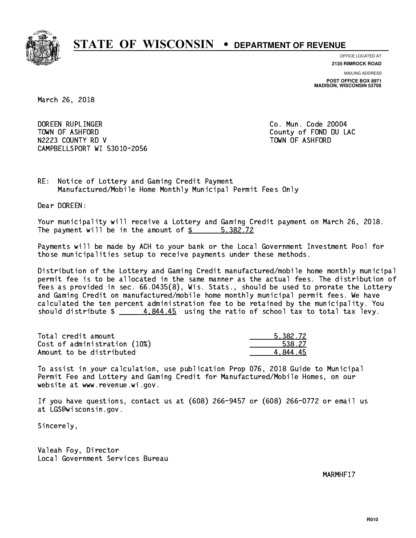

**OFFICE LOCATED AT**

**2135 RIMROCK ROAD**

**MAILING ADDRESS POST OFFICE BOX 8971 MADISON, WISCONSIN 53708**

March 26, 2018

 DOREEN RUPLINGER Co. Mun. Code 20004 TOWN OF ASHFORD County of FOND DU LAC N2223 COUNTY RD V TOWN OF ASHFORD CAMPBELLSPORT WI 53010-2056

RE: Notice of Lottery and Gaming Credit Payment Manufactured/Mobile Home Monthly Municipal Permit Fees Only

Dear DOREEN:

 Your municipality will receive a Lottery and Gaming Credit payment on March 26, 2018. The payment will be in the amount of \$ 5,382.72 \_\_\_\_\_\_\_\_\_\_\_\_\_\_\_\_

 Payments will be made by ACH to your bank or the Local Government Investment Pool for those municipalities setup to receive payments under these methods.

 Distribution of the Lottery and Gaming Credit manufactured/mobile home monthly municipal permit fee is to be allocated in the same manner as the actual fees. The distribution of fees as provided in sec. 66.0435(8), Wis. Stats., should be used to prorate the Lottery and Gaming Credit on manufactured/mobile home monthly municipal permit fees. We have calculated the ten percent administration fee to be retained by the municipality. You should distribute  $\frac{4}{1}$   $\frac{4}{844.45}$  using the ratio of school tax to total tax levy.

| Total credit amount          | 5.382.72 |
|------------------------------|----------|
| Cost of administration (10%) | 538.27   |
| Amount to be distributed     | 4 844 45 |

 To assist in your calculation, use publication Prop 076, 2018 Guide to Municipal Permit Fee and Lottery and Gaming Credit for Manufactured/Mobile Homes, on our website at www.revenue.wi.gov.

 If you have questions, contact us at (608) 266-9457 or (608) 266-0772 or email us at LGS@wisconsin.gov.

Sincerely,

 Valeah Foy, Director Local Government Services Bureau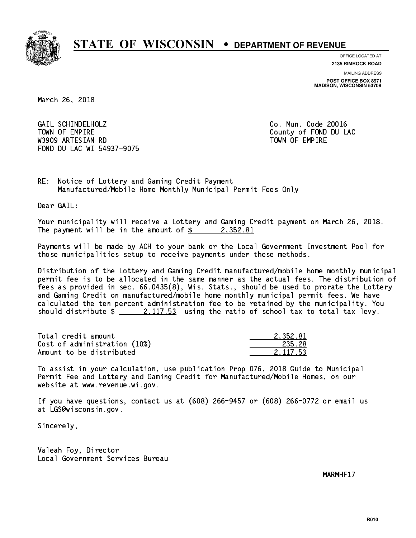

**OFFICE LOCATED AT 2135 RIMROCK ROAD**

**MAILING ADDRESS POST OFFICE BOX 8971 MADISON, WISCONSIN 53708**

March 26, 2018

 GAIL SCHINDELHOLZ Co. Mun. Code 20016 TOWN OF EMPIRE County of FOND DU LAC W3909 ARTESIAN RD TOWN OF EMPIRE FOND DU LAC WI 54937-9075

RE: Notice of Lottery and Gaming Credit Payment Manufactured/Mobile Home Monthly Municipal Permit Fees Only

Dear GAIL:

 Your municipality will receive a Lottery and Gaming Credit payment on March 26, 2018. The payment will be in the amount of  $\frac{2}{3}$  2,352.81

 Payments will be made by ACH to your bank or the Local Government Investment Pool for those municipalities setup to receive payments under these methods.

 Distribution of the Lottery and Gaming Credit manufactured/mobile home monthly municipal permit fee is to be allocated in the same manner as the actual fees. The distribution of fees as provided in sec. 66.0435(8), Wis. Stats., should be used to prorate the Lottery and Gaming Credit on manufactured/mobile home monthly municipal permit fees. We have calculated the ten percent administration fee to be retained by the municipality. You should distribute  $\frac{2,117.53}{2}$  using the ratio of school tax to total tax levy.

| Total credit amount          | 2.352.81 |
|------------------------------|----------|
| Cost of administration (10%) | 235.28   |
| Amount to be distributed     | 2.117.53 |

 To assist in your calculation, use publication Prop 076, 2018 Guide to Municipal Permit Fee and Lottery and Gaming Credit for Manufactured/Mobile Homes, on our website at www.revenue.wi.gov.

 If you have questions, contact us at (608) 266-9457 or (608) 266-0772 or email us at LGS@wisconsin.gov.

Sincerely,

 Valeah Foy, Director Local Government Services Bureau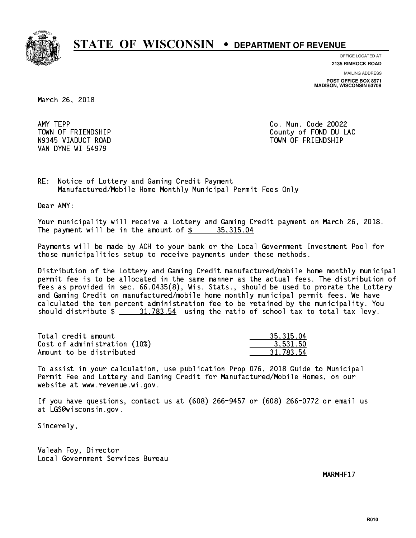

**OFFICE LOCATED AT**

**2135 RIMROCK ROAD**

**MAILING ADDRESS POST OFFICE BOX 8971 MADISON, WISCONSIN 53708**

March 26, 2018

AMY TEPP VAN DYNE WI 54979

Co. Mun. Code 20022 TOWN OF FRIENDSHIP County of FOND DU LAC N9345 VIADUCT ROAD TOWN OF FRIENDSHIP

RE: Notice of Lottery and Gaming Credit Payment Manufactured/Mobile Home Monthly Municipal Permit Fees Only

Dear AMY:

 Your municipality will receive a Lottery and Gaming Credit payment on March 26, 2018. The payment will be in the amount of  $\frac{2}{3}$  35,315.04

 Payments will be made by ACH to your bank or the Local Government Investment Pool for those municipalities setup to receive payments under these methods.

 Distribution of the Lottery and Gaming Credit manufactured/mobile home monthly municipal permit fee is to be allocated in the same manner as the actual fees. The distribution of fees as provided in sec. 66.0435(8), Wis. Stats., should be used to prorate the Lottery and Gaming Credit on manufactured/mobile home monthly municipal permit fees. We have calculated the ten percent administration fee to be retained by the municipality. You should distribute  $\frac{21.783.54}{2}$  using the ratio of school tax to total tax levy.

| Total credit amount          | 35, 315, 04 |
|------------------------------|-------------|
| Cost of administration (10%) | 3.531.50    |
| Amount to be distributed     | 31.783.54   |

 To assist in your calculation, use publication Prop 076, 2018 Guide to Municipal Permit Fee and Lottery and Gaming Credit for Manufactured/Mobile Homes, on our website at www.revenue.wi.gov.

 If you have questions, contact us at (608) 266-9457 or (608) 266-0772 or email us at LGS@wisconsin.gov.

Sincerely,

 Valeah Foy, Director Local Government Services Bureau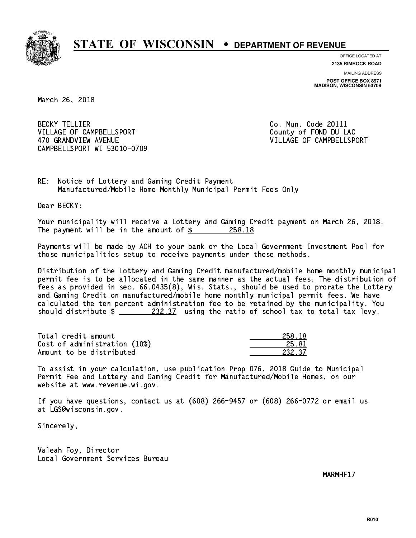

**OFFICE LOCATED AT 2135 RIMROCK ROAD**

**MAILING ADDRESS**

**POST OFFICE BOX 8971 MADISON, WISCONSIN 53708**

March 26, 2018

**BECKY TELLIER** VILLAGE OF CAMPBELLSPORT COUNTY County of FOND DU LAC 470 GRANDVIEW AVENUE **VILLAGE OF CAMPBELLSPORT** CAMPBELLSPORT WI 53010-0709

Co. Mun. Code 20111

RE: Notice of Lottery and Gaming Credit Payment Manufactured/Mobile Home Monthly Municipal Permit Fees Only

Dear BECKY:

 Your municipality will receive a Lottery and Gaming Credit payment on March 26, 2018. The payment will be in the amount of  $\frac{258.18}{258.18}$ 

 Payments will be made by ACH to your bank or the Local Government Investment Pool for those municipalities setup to receive payments under these methods.

 Distribution of the Lottery and Gaming Credit manufactured/mobile home monthly municipal permit fee is to be allocated in the same manner as the actual fees. The distribution of fees as provided in sec. 66.0435(8), Wis. Stats., should be used to prorate the Lottery and Gaming Credit on manufactured/mobile home monthly municipal permit fees. We have calculated the ten percent administration fee to be retained by the municipality. You should distribute  $\frac{232.37}{232.37}$  using the ratio of school tax to total tax levy.

Total credit amount Cost of administration (10%) Amount to be distributed

| 8     |
|-------|
| 81    |
| 37.37 |

 To assist in your calculation, use publication Prop 076, 2018 Guide to Municipal Permit Fee and Lottery and Gaming Credit for Manufactured/Mobile Homes, on our website at www.revenue.wi.gov.

 If you have questions, contact us at (608) 266-9457 or (608) 266-0772 or email us at LGS@wisconsin.gov.

Sincerely,

 Valeah Foy, Director Local Government Services Bureau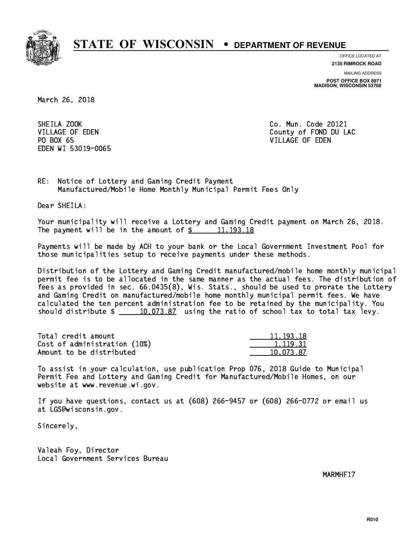

**OFFICE LOCATED AT**

**2135 RIMROCK ROAD**

**MAILING ADDRESS POST OFFICE BOX 8971 MADISON, WISCONSIN 53708**

March 26, 2018

SHEILA ZOOK PO BOX 65 PO BOX 65 VILLAGE OF EDEN EDEN WI 53019-0065

Co. Mun. Code 20121 VILLAGE OF EDEN County of FOND DU LAC

RE: Notice of Lottery and Gaming Credit Payment Manufactured/Mobile Home Monthly Municipal Permit Fees Only

Dear SHEILA:

 Your municipality will receive a Lottery and Gaming Credit payment on March 26, 2018. The payment will be in the amount of  $\frac{2}{3}$  11,193.18

 Payments will be made by ACH to your bank or the Local Government Investment Pool for those municipalities setup to receive payments under these methods.

 Distribution of the Lottery and Gaming Credit manufactured/mobile home monthly municipal permit fee is to be allocated in the same manner as the actual fees. The distribution of fees as provided in sec. 66.0435(8), Wis. Stats., should be used to prorate the Lottery and Gaming Credit on manufactured/mobile home monthly municipal permit fees. We have calculated the ten percent administration fee to be retained by the municipality. You should distribute  $\frac{10,073.87}{2}$  using the ratio of school tax to total tax levy.

| Total credit amount          | 11, 193, 18 |
|------------------------------|-------------|
| Cost of administration (10%) | 1.119.31    |
| Amount to be distributed     | 10.073.87   |

 To assist in your calculation, use publication Prop 076, 2018 Guide to Municipal Permit Fee and Lottery and Gaming Credit for Manufactured/Mobile Homes, on our website at www.revenue.wi.gov.

 If you have questions, contact us at (608) 266-9457 or (608) 266-0772 or email us at LGS@wisconsin.gov.

Sincerely,

 Valeah Foy, Director Local Government Services Bureau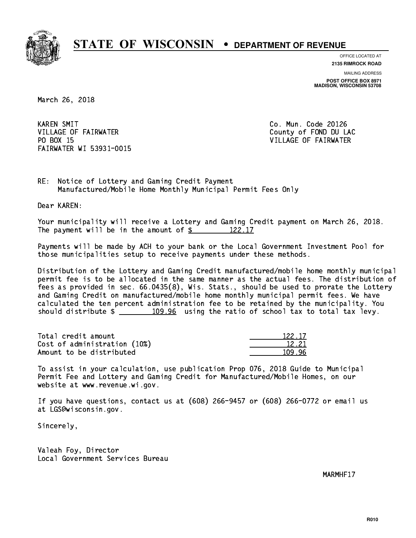

**OFFICE LOCATED AT**

**2135 RIMROCK ROAD**

**MAILING ADDRESS POST OFFICE BOX 8971 MADISON, WISCONSIN 53708**

March 26, 2018

**KAREN SMIT** VILLAGE OF FAIRWATER COUNTY OF FOND DU LAC PO BOX 15 FAIRWATER WI 53931-0015

Co. Mun. Code 20126 VILLAGE OF FAIRWATER

RE: Notice of Lottery and Gaming Credit Payment Manufactured/Mobile Home Monthly Municipal Permit Fees Only

Dear KAREN:

 Your municipality will receive a Lottery and Gaming Credit payment on March 26, 2018. The payment will be in the amount of  $\frac{2}{122.17}$ 

 Payments will be made by ACH to your bank or the Local Government Investment Pool for those municipalities setup to receive payments under these methods.

 Distribution of the Lottery and Gaming Credit manufactured/mobile home monthly municipal permit fee is to be allocated in the same manner as the actual fees. The distribution of fees as provided in sec. 66.0435(8), Wis. Stats., should be used to prorate the Lottery and Gaming Credit on manufactured/mobile home monthly municipal permit fees. We have calculated the ten percent administration fee to be retained by the municipality. You should distribute  $\frac{109.96}{2}$  using the ratio of school tax to total tax levy.

Total credit amount Cost of administration (10%) Amount to be distributed

| -22 17 |
|--------|
| 221    |
|        |

 To assist in your calculation, use publication Prop 076, 2018 Guide to Municipal Permit Fee and Lottery and Gaming Credit for Manufactured/Mobile Homes, on our website at www.revenue.wi.gov.

 If you have questions, contact us at (608) 266-9457 or (608) 266-0772 or email us at LGS@wisconsin.gov.

Sincerely,

 Valeah Foy, Director Local Government Services Bureau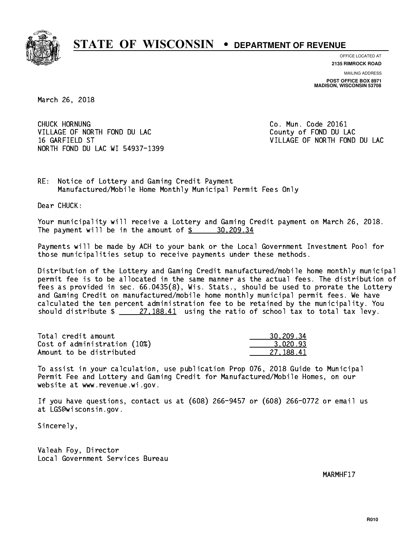

**OFFICE LOCATED AT**

**2135 RIMROCK ROAD**

**MAILING ADDRESS POST OFFICE BOX 8971 MADISON, WISCONSIN 53708**

March 26, 2018

CHUCK HORNUNG VILLAGE OF NORTH FOND DU LAC County of FOND DU LAC 16 GARFIELD ST VILLAGE OF NORTH FOND DU LAC NORTH FOND DU LAC WI 54937-1399

Co. Mun. Code 20161

RE: Notice of Lottery and Gaming Credit Payment Manufactured/Mobile Home Monthly Municipal Permit Fees Only

Dear CHUCK:

 Your municipality will receive a Lottery and Gaming Credit payment on March 26, 2018. The payment will be in the amount of \$ 30,209.34 \_\_\_\_\_\_\_\_\_\_\_\_\_\_\_\_

 Payments will be made by ACH to your bank or the Local Government Investment Pool for those municipalities setup to receive payments under these methods.

 Distribution of the Lottery and Gaming Credit manufactured/mobile home monthly municipal permit fee is to be allocated in the same manner as the actual fees. The distribution of fees as provided in sec. 66.0435(8), Wis. Stats., should be used to prorate the Lottery and Gaming Credit on manufactured/mobile home monthly municipal permit fees. We have calculated the ten percent administration fee to be retained by the municipality. You should distribute  $\frac{27,188.41}{27,188.41}$  using the ratio of school tax to total tax levy.

| Total credit amount          | 30,209.34 |
|------------------------------|-----------|
| Cost of administration (10%) | 3.020.93  |
| Amount to be distributed     | 27.188.41 |

 To assist in your calculation, use publication Prop 076, 2018 Guide to Municipal Permit Fee and Lottery and Gaming Credit for Manufactured/Mobile Homes, on our website at www.revenue.wi.gov.

 If you have questions, contact us at (608) 266-9457 or (608) 266-0772 or email us at LGS@wisconsin.gov.

Sincerely,

 Valeah Foy, Director Local Government Services Bureau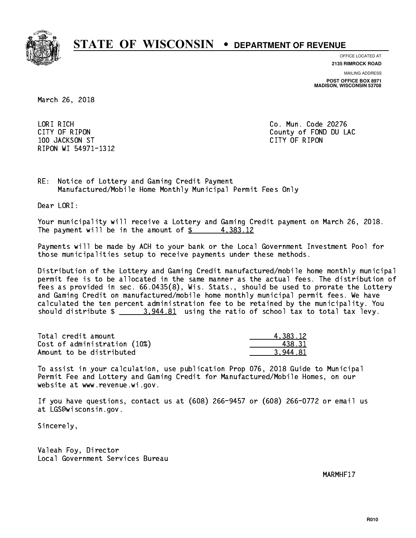

**OFFICE LOCATED AT**

**2135 RIMROCK ROAD**

**MAILING ADDRESS POST OFFICE BOX 8971 MADISON, WISCONSIN 53708**

March 26, 2018

 LORI RICH Co. Mun. Code 20276 100 JACKSON ST CITY OF RIPON RIPON WI 54971-1312

CITY OF RIPON COUNTY COUNTY OF RIPON

RE: Notice of Lottery and Gaming Credit Payment Manufactured/Mobile Home Monthly Municipal Permit Fees Only

Dear LORI:

 Your municipality will receive a Lottery and Gaming Credit payment on March 26, 2018. The payment will be in the amount of  $\frac{2}{3}$  4,383.12

 Payments will be made by ACH to your bank or the Local Government Investment Pool for those municipalities setup to receive payments under these methods.

 Distribution of the Lottery and Gaming Credit manufactured/mobile home monthly municipal permit fee is to be allocated in the same manner as the actual fees. The distribution of fees as provided in sec. 66.0435(8), Wis. Stats., should be used to prorate the Lottery and Gaming Credit on manufactured/mobile home monthly municipal permit fees. We have calculated the ten percent administration fee to be retained by the municipality. You should distribute  $\frac{2}{2}$   $\frac{3.944.81}{2}$  using the ratio of school tax to total tax levy.

| Total credit amount          | 4.383.12 |
|------------------------------|----------|
| Cost of administration (10%) | 438.31   |
| Amount to be distributed     | 3.944.81 |

 To assist in your calculation, use publication Prop 076, 2018 Guide to Municipal Permit Fee and Lottery and Gaming Credit for Manufactured/Mobile Homes, on our website at www.revenue.wi.gov.

 If you have questions, contact us at (608) 266-9457 or (608) 266-0772 or email us at LGS@wisconsin.gov.

Sincerely,

 Valeah Foy, Director Local Government Services Bureau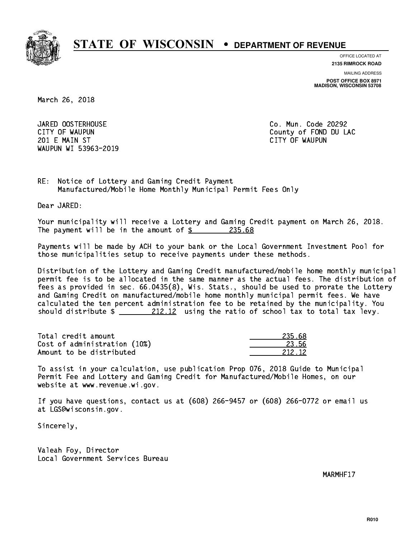

**OFFICE LOCATED AT 2135 RIMROCK ROAD**

**MAILING ADDRESS POST OFFICE BOX 8971 MADISON, WISCONSIN 53708**

March 26, 2018

JARED OOSTERHOUSE 201 E MAIN ST CITY OF WAUPUN WAUPUN WI 53963-2019

Co. Mun. Code 20292 CITY OF WAUPUN COUNTY COUNTY OF MAUPUN

RE: Notice of Lottery and Gaming Credit Payment Manufactured/Mobile Home Monthly Municipal Permit Fees Only

Dear JARED:

 Your municipality will receive a Lottery and Gaming Credit payment on March 26, 2018. The payment will be in the amount of  $\frac{235.68}{235.68}$ 

 Payments will be made by ACH to your bank or the Local Government Investment Pool for those municipalities setup to receive payments under these methods.

 Distribution of the Lottery and Gaming Credit manufactured/mobile home monthly municipal permit fee is to be allocated in the same manner as the actual fees. The distribution of fees as provided in sec. 66.0435(8), Wis. Stats., should be used to prorate the Lottery and Gaming Credit on manufactured/mobile home monthly municipal permit fees. We have calculated the ten percent administration fee to be retained by the municipality. You should distribute  $\frac{212.12}{212.12}$  using the ratio of school tax to total tax levy.

Total credit amount Cost of administration (10%) Amount to be distributed

| 58     |
|--------|
| 356    |
| 212.12 |

 To assist in your calculation, use publication Prop 076, 2018 Guide to Municipal Permit Fee and Lottery and Gaming Credit for Manufactured/Mobile Homes, on our website at www.revenue.wi.gov.

 If you have questions, contact us at (608) 266-9457 or (608) 266-0772 or email us at LGS@wisconsin.gov.

Sincerely,

 Valeah Foy, Director Local Government Services Bureau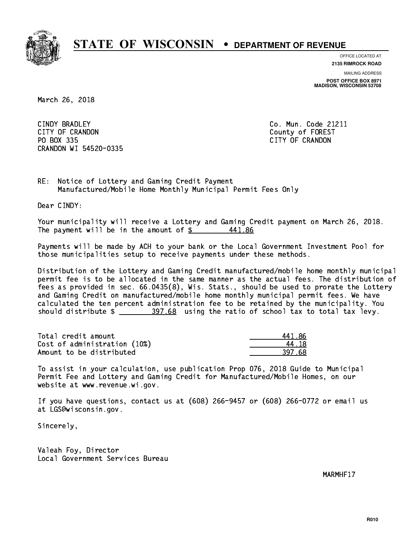

**OFFICE LOCATED AT**

**2135 RIMROCK ROAD**

**MAILING ADDRESS POST OFFICE BOX 8971 MADISON, WISCONSIN 53708**

March 26, 2018

CINDY BRADLEY CITY OF CRANDON County of FOREST PO BOX 335 PO BOX 335 CITY OF CRANDON CRANDON WI 54520-0335

Co. Mun. Code 21211

RE: Notice of Lottery and Gaming Credit Payment Manufactured/Mobile Home Monthly Municipal Permit Fees Only

Dear CINDY:

 Your municipality will receive a Lottery and Gaming Credit payment on March 26, 2018. The payment will be in the amount of  $\frac{2}{3}$ 441.86

 Payments will be made by ACH to your bank or the Local Government Investment Pool for those municipalities setup to receive payments under these methods.

 Distribution of the Lottery and Gaming Credit manufactured/mobile home monthly municipal permit fee is to be allocated in the same manner as the actual fees. The distribution of fees as provided in sec. 66.0435(8), Wis. Stats., should be used to prorate the Lottery and Gaming Credit on manufactured/mobile home monthly municipal permit fees. We have calculated the ten percent administration fee to be retained by the municipality. You should distribute  $\frac{297.68}{2}$  using the ratio of school tax to total tax levy.

| Total credit amount          | 441 86 |
|------------------------------|--------|
| Cost of administration (10%) | 44 18  |
| Amount to be distributed     | 397.68 |

 To assist in your calculation, use publication Prop 076, 2018 Guide to Municipal Permit Fee and Lottery and Gaming Credit for Manufactured/Mobile Homes, on our website at www.revenue.wi.gov.

 If you have questions, contact us at (608) 266-9457 or (608) 266-0772 or email us at LGS@wisconsin.gov.

Sincerely,

 Valeah Foy, Director Local Government Services Bureau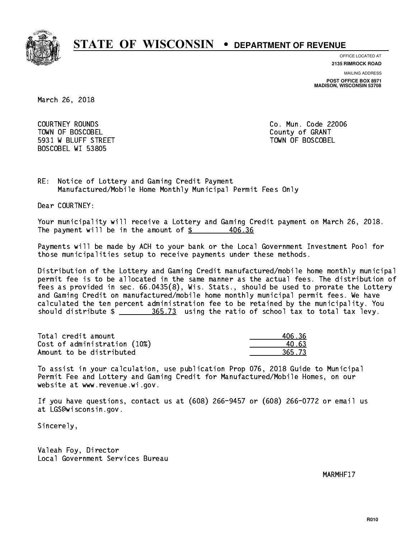

**OFFICE LOCATED AT**

**2135 RIMROCK ROAD**

**MAILING ADDRESS**

**POST OFFICE BOX 8971 MADISON, WISCONSIN 53708**

March 26, 2018

 COURTNEY ROUNDS Co. Mun. Code 22006 Town of Boscobel County of Granty of Granty of Granty of Granty of Granty of Granty of Granty of Granty of Gra 5931 W BLUFF STREET TOWN OF BOSCOBEL BOSCOBEL WI 53805

RE: Notice of Lottery and Gaming Credit Payment Manufactured/Mobile Home Monthly Municipal Permit Fees Only

Dear COURTNEY:

 Your municipality will receive a Lottery and Gaming Credit payment on March 26, 2018. The payment will be in the amount of  $$ 406.36$ 

 Payments will be made by ACH to your bank or the Local Government Investment Pool for those municipalities setup to receive payments under these methods.

 Distribution of the Lottery and Gaming Credit manufactured/mobile home monthly municipal permit fee is to be allocated in the same manner as the actual fees. The distribution of fees as provided in sec. 66.0435(8), Wis. Stats., should be used to prorate the Lottery and Gaming Credit on manufactured/mobile home monthly municipal permit fees. We have calculated the ten percent administration fee to be retained by the municipality. You should distribute  $\frac{265.73}{2}$  using the ratio of school tax to total tax levy.

Total credit amount 100 and 100.36 Cost of administration (10%)  $\qquad \qquad \qquad 40.63$ Amount to be distributed 365.73

 To assist in your calculation, use publication Prop 076, 2018 Guide to Municipal Permit Fee and Lottery and Gaming Credit for Manufactured/Mobile Homes, on our website at www.revenue.wi.gov.

 If you have questions, contact us at (608) 266-9457 or (608) 266-0772 or email us at LGS@wisconsin.gov.

Sincerely,

 Valeah Foy, Director Local Government Services Bureau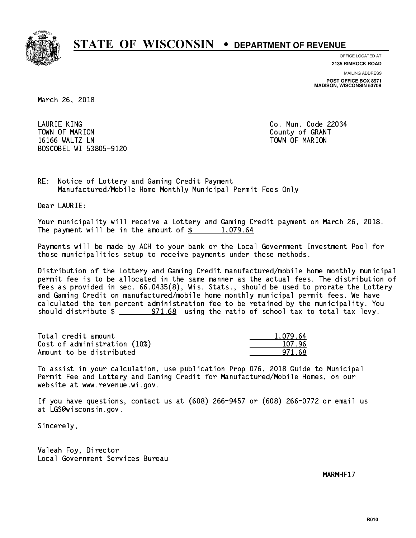

**OFFICE LOCATED AT 2135 RIMROCK ROAD**

**MAILING ADDRESS**

**POST OFFICE BOX 8971 MADISON, WISCONSIN 53708**

March 26, 2018

 LAURIE KING Co. Mun. Code 22034 Town of Marion County of Grants of Grants of Grants of Grants of Grants of Grants of Grants of Grants of Grants 16166 WALTZ LN TOWN OF MARION BOSCOBEL WI 53805-9120

RE: Notice of Lottery and Gaming Credit Payment Manufactured/Mobile Home Monthly Municipal Permit Fees Only

Dear LAURIE:

 Your municipality will receive a Lottery and Gaming Credit payment on March 26, 2018. The payment will be in the amount of  $\frac{2}{3}$  1,079.64

 Payments will be made by ACH to your bank or the Local Government Investment Pool for those municipalities setup to receive payments under these methods.

 Distribution of the Lottery and Gaming Credit manufactured/mobile home monthly municipal permit fee is to be allocated in the same manner as the actual fees. The distribution of fees as provided in sec. 66.0435(8), Wis. Stats., should be used to prorate the Lottery and Gaming Credit on manufactured/mobile home monthly municipal permit fees. We have calculated the ten percent administration fee to be retained by the municipality. You should distribute  $\frac{2}{2}$   $\frac{971.68}{2}$  using the ratio of school tax to total tax levy.

| Total credit amount          | 1.079.64 |
|------------------------------|----------|
| Cost of administration (10%) | 107.96   |
| Amount to be distributed     | 971 68   |

 To assist in your calculation, use publication Prop 076, 2018 Guide to Municipal Permit Fee and Lottery and Gaming Credit for Manufactured/Mobile Homes, on our website at www.revenue.wi.gov.

 If you have questions, contact us at (608) 266-9457 or (608) 266-0772 or email us at LGS@wisconsin.gov.

Sincerely,

 Valeah Foy, Director Local Government Services Bureau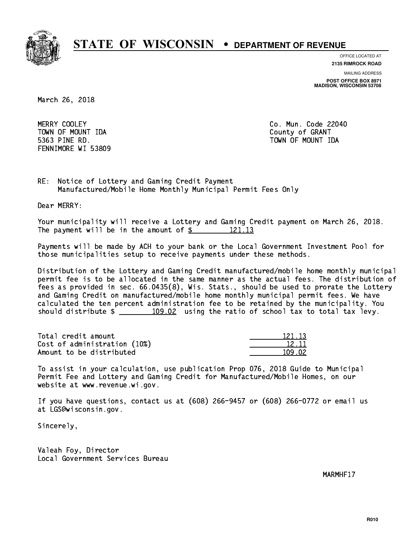

**OFFICE LOCATED AT**

**2135 RIMROCK ROAD**

**MAILING ADDRESS POST OFFICE BOX 8971 MADISON, WISCONSIN 53708**

March 26, 2018

MERRY COOLEY TOWN OF MOUNT IDA County of GRANT 5363 PINE RD. TOWN OF MOUNT IDA FENNIMORE WI 53809

Co. Mun. Code 22040

RE: Notice of Lottery and Gaming Credit Payment Manufactured/Mobile Home Monthly Municipal Permit Fees Only

Dear MERRY:

 Your municipality will receive a Lottery and Gaming Credit payment on March 26, 2018. The payment will be in the amount of  $\frac{2!}{2!1!13!}$ 

 Payments will be made by ACH to your bank or the Local Government Investment Pool for those municipalities setup to receive payments under these methods.

 Distribution of the Lottery and Gaming Credit manufactured/mobile home monthly municipal permit fee is to be allocated in the same manner as the actual fees. The distribution of fees as provided in sec. 66.0435(8), Wis. Stats., should be used to prorate the Lottery and Gaming Credit on manufactured/mobile home monthly municipal permit fees. We have calculated the ten percent administration fee to be retained by the municipality. You should distribute  $\frac{109.02}{109.02}$  using the ratio of school tax to total tax levy.

Total credit amount Cost of administration (10%) Amount to be distributed

| 121 13 |
|--------|
| 12.11  |
| 92.    |

 To assist in your calculation, use publication Prop 076, 2018 Guide to Municipal Permit Fee and Lottery and Gaming Credit for Manufactured/Mobile Homes, on our website at www.revenue.wi.gov.

 If you have questions, contact us at (608) 266-9457 or (608) 266-0772 or email us at LGS@wisconsin.gov.

Sincerely,

 Valeah Foy, Director Local Government Services Bureau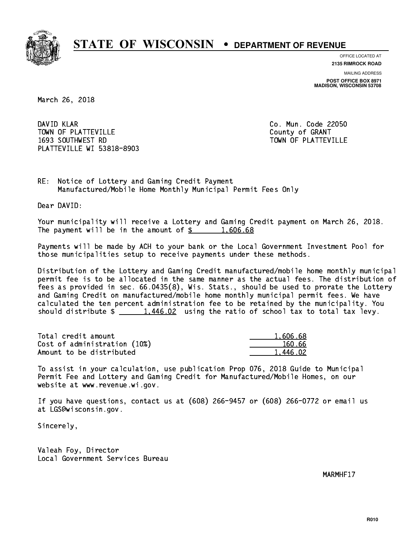

**OFFICE LOCATED AT**

**2135 RIMROCK ROAD**

**MAILING ADDRESS POST OFFICE BOX 8971 MADISON, WISCONSIN 53708**

March 26, 2018

DAVID KLAR TOWN OF PLATTEVILLE COUNTY OF GRANT 1693 SOUTHWEST RD TOWN OF PLATTEVILLE PLATTEVILLE WI 53818-8903

Co. Mun. Code 22050

RE: Notice of Lottery and Gaming Credit Payment Manufactured/Mobile Home Monthly Municipal Permit Fees Only

Dear DAVID:

 Your municipality will receive a Lottery and Gaming Credit payment on March 26, 2018. The payment will be in the amount of  $\frac{2}{3}$  1,606.68

 Payments will be made by ACH to your bank or the Local Government Investment Pool for those municipalities setup to receive payments under these methods.

 Distribution of the Lottery and Gaming Credit manufactured/mobile home monthly municipal permit fee is to be allocated in the same manner as the actual fees. The distribution of fees as provided in sec. 66.0435(8), Wis. Stats., should be used to prorate the Lottery and Gaming Credit on manufactured/mobile home monthly municipal permit fees. We have calculated the ten percent administration fee to be retained by the municipality. You should distribute  $\frac{1.446.02}{1.446.02}$  using the ratio of school tax to total tax levy.

| Total credit amount          | 1.606.68 |
|------------------------------|----------|
| Cost of administration (10%) | 160.66   |
| Amount to be distributed     | 1,446.02 |

 To assist in your calculation, use publication Prop 076, 2018 Guide to Municipal Permit Fee and Lottery and Gaming Credit for Manufactured/Mobile Homes, on our website at www.revenue.wi.gov.

 If you have questions, contact us at (608) 266-9457 or (608) 266-0772 or email us at LGS@wisconsin.gov.

Sincerely,

 Valeah Foy, Director Local Government Services Bureau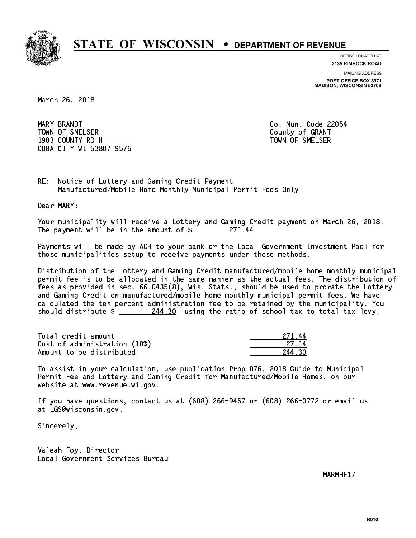

**OFFICE LOCATED AT 2135 RIMROCK ROAD**

**MAILING ADDRESS**

**POST OFFICE BOX 8971 MADISON, WISCONSIN 53708**

March 26, 2018

MARY BRANDT Town of Streets. The Small county of Grants of Grants of Grants of Grants of Grants of Grants of Grants of Gra 1903 COUNTY RD H TOWN OF SMELSER CUBA CITY WI 53807-9576

Co. Mun. Code 22054

RE: Notice of Lottery and Gaming Credit Payment Manufactured/Mobile Home Monthly Municipal Permit Fees Only

Dear MARY:

 Your municipality will receive a Lottery and Gaming Credit payment on March 26, 2018. The payment will be in the amount of  $\frac{271.44}{5}$ 

 Payments will be made by ACH to your bank or the Local Government Investment Pool for those municipalities setup to receive payments under these methods.

 Distribution of the Lottery and Gaming Credit manufactured/mobile home monthly municipal permit fee is to be allocated in the same manner as the actual fees. The distribution of fees as provided in sec. 66.0435(8), Wis. Stats., should be used to prorate the Lottery and Gaming Credit on manufactured/mobile home monthly municipal permit fees. We have calculated the ten percent administration fee to be retained by the municipality. You should distribute  $\frac{244.30}{244.30}$  using the ratio of school tax to total tax levy.

Total credit amount Cost of administration (10%) Amount to be distributed

| 27 L        |
|-------------|
| 14<br>-27 - |
| .,<br>חצ    |

 To assist in your calculation, use publication Prop 076, 2018 Guide to Municipal Permit Fee and Lottery and Gaming Credit for Manufactured/Mobile Homes, on our website at www.revenue.wi.gov.

 If you have questions, contact us at (608) 266-9457 or (608) 266-0772 or email us at LGS@wisconsin.gov.

Sincerely,

 Valeah Foy, Director Local Government Services Bureau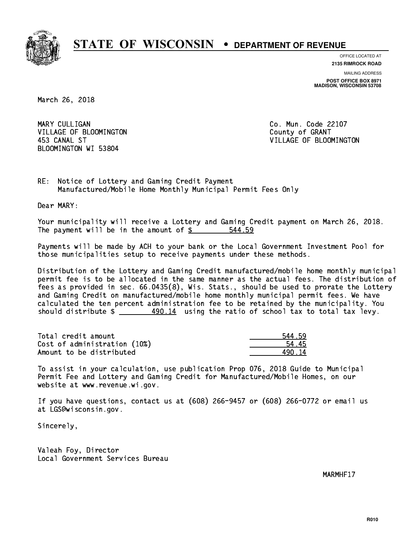

**OFFICE LOCATED AT**

**2135 RIMROCK ROAD**

**MAILING ADDRESS POST OFFICE BOX 8971 MADISON, WISCONSIN 53708**

March 26, 2018

MARY CULLIGAN VILLAGE OF BLOOMINGTON COUNTY OF GRANT BLOOMINGTON WI 53804

Co. Mun. Code 22107 453 CANAL ST VILLAGE OF BLOOMINGTON

RE: Notice of Lottery and Gaming Credit Payment Manufactured/Mobile Home Monthly Municipal Permit Fees Only

Dear MARY:

 Your municipality will receive a Lottery and Gaming Credit payment on March 26, 2018. The payment will be in the amount of  $\frac{2}{3}$ 544.59

 Payments will be made by ACH to your bank or the Local Government Investment Pool for those municipalities setup to receive payments under these methods.

 Distribution of the Lottery and Gaming Credit manufactured/mobile home monthly municipal permit fee is to be allocated in the same manner as the actual fees. The distribution of fees as provided in sec. 66.0435(8), Wis. Stats., should be used to prorate the Lottery and Gaming Credit on manufactured/mobile home monthly municipal permit fees. We have calculated the ten percent administration fee to be retained by the municipality. You should distribute  $\frac{490.14}{10.11}$  using the ratio of school tax to total tax levy.

Total credit amount Cost of administration (10%) Amount to be distributed

| - 59     |
|----------|
| ι 5      |
| Δ<br>- 7 |

 To assist in your calculation, use publication Prop 076, 2018 Guide to Municipal Permit Fee and Lottery and Gaming Credit for Manufactured/Mobile Homes, on our website at www.revenue.wi.gov.

 If you have questions, contact us at (608) 266-9457 or (608) 266-0772 or email us at LGS@wisconsin.gov.

Sincerely,

 Valeah Foy, Director Local Government Services Bureau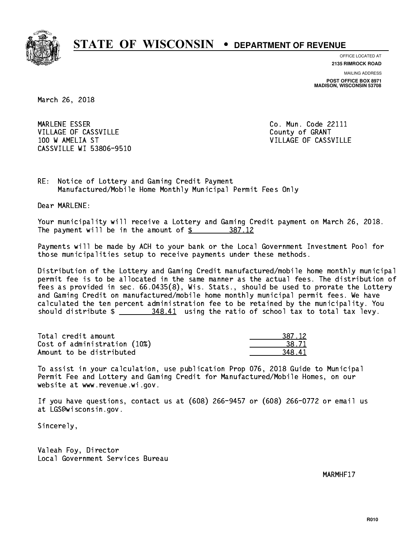

**OFFICE LOCATED AT**

**2135 RIMROCK ROAD**

**MAILING ADDRESS POST OFFICE BOX 8971 MADISON, WISCONSIN 53708**

March 26, 2018

MARLENE ESSER VILLAGE OF CASSVILLE COUNTY OF GRANT 100 W AMELIA ST VILLAGE OF CASSVILLE CASSVILLE WI 53806-9510

Co. Mun. Code 22111

RE: Notice of Lottery and Gaming Credit Payment Manufactured/Mobile Home Monthly Municipal Permit Fees Only

Dear MARLENE:

 Your municipality will receive a Lottery and Gaming Credit payment on March 26, 2018. The payment will be in the amount of \$ 387.12 \_\_\_\_\_\_\_\_\_\_\_\_\_\_\_\_

 Payments will be made by ACH to your bank or the Local Government Investment Pool for those municipalities setup to receive payments under these methods.

 Distribution of the Lottery and Gaming Credit manufactured/mobile home monthly municipal permit fee is to be allocated in the same manner as the actual fees. The distribution of fees as provided in sec. 66.0435(8), Wis. Stats., should be used to prorate the Lottery and Gaming Credit on manufactured/mobile home monthly municipal permit fees. We have calculated the ten percent administration fee to be retained by the municipality. You should distribute  $\frac{248.41}{2}$  using the ratio of school tax to total tax levy.

| Total credit amount          | 387.12 |
|------------------------------|--------|
| Cost of administration (10%) | 38.71  |
| Amount to be distributed     | 348.41 |

 To assist in your calculation, use publication Prop 076, 2018 Guide to Municipal Permit Fee and Lottery and Gaming Credit for Manufactured/Mobile Homes, on our website at www.revenue.wi.gov.

 If you have questions, contact us at (608) 266-9457 or (608) 266-0772 or email us at LGS@wisconsin.gov.

Sincerely,

 Valeah Foy, Director Local Government Services Bureau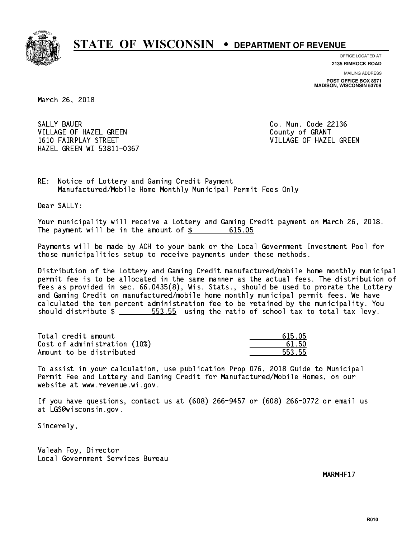

**OFFICE LOCATED AT**

**2135 RIMROCK ROAD**

**MAILING ADDRESS POST OFFICE BOX 8971 MADISON, WISCONSIN 53708**

March 26, 2018

SALLY BAUER VILLAGE OF HAZEL GREEN COUNTY OF GRANT 1610 FAIRPLAY STREET VILLAGE OF HAZEL GREEN HAZEL GREEN WI 53811-0367

Co. Mun. Code 22136

RE: Notice of Lottery and Gaming Credit Payment Manufactured/Mobile Home Monthly Municipal Permit Fees Only

Dear SALLY:

 Your municipality will receive a Lottery and Gaming Credit payment on March 26, 2018. The payment will be in the amount of \$ 615.05 \_\_\_\_\_\_\_\_\_\_\_\_\_\_\_\_

 Payments will be made by ACH to your bank or the Local Government Investment Pool for those municipalities setup to receive payments under these methods.

 Distribution of the Lottery and Gaming Credit manufactured/mobile home monthly municipal permit fee is to be allocated in the same manner as the actual fees. The distribution of fees as provided in sec. 66.0435(8), Wis. Stats., should be used to prorate the Lottery and Gaming Credit on manufactured/mobile home monthly municipal permit fees. We have calculated the ten percent administration fee to be retained by the municipality. You should distribute  $\frac{2}{1}$   $\frac{553.55}{1000}$  using the ratio of school tax to total tax levy.

Total credit amount Cost of administration (10%) Amount to be distributed

| 615.05 |
|--------|
| 61 50  |
| 553.55 |

 To assist in your calculation, use publication Prop 076, 2018 Guide to Municipal Permit Fee and Lottery and Gaming Credit for Manufactured/Mobile Homes, on our website at www.revenue.wi.gov.

 If you have questions, contact us at (608) 266-9457 or (608) 266-0772 or email us at LGS@wisconsin.gov.

Sincerely,

 Valeah Foy, Director Local Government Services Bureau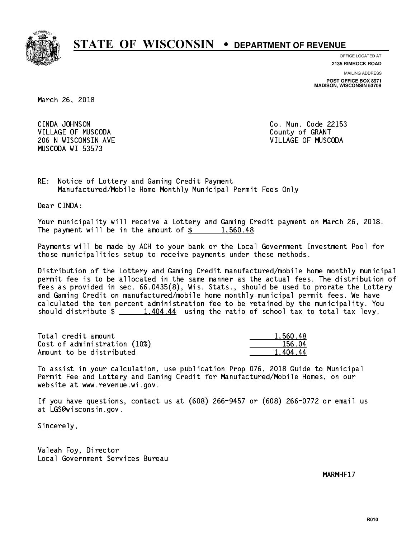

**OFFICE LOCATED AT**

**2135 RIMROCK ROAD**

**MAILING ADDRESS POST OFFICE BOX 8971 MADISON, WISCONSIN 53708**

March 26, 2018

CINDA JOHNSON VILLAGE OF MUSCODA COUNTY OF GRANT 206 N WISCONSIN AVE VILLAGE OF MUSCODA MUSCODA WI 53573

Co. Mun. Code 22153

RE: Notice of Lottery and Gaming Credit Payment Manufactured/Mobile Home Monthly Municipal Permit Fees Only

Dear CINDA:

 Your municipality will receive a Lottery and Gaming Credit payment on March 26, 2018. The payment will be in the amount of  $\frac{2}{3}$  1,560.48

 Payments will be made by ACH to your bank or the Local Government Investment Pool for those municipalities setup to receive payments under these methods.

 Distribution of the Lottery and Gaming Credit manufactured/mobile home monthly municipal permit fee is to be allocated in the same manner as the actual fees. The distribution of fees as provided in sec. 66.0435(8), Wis. Stats., should be used to prorate the Lottery and Gaming Credit on manufactured/mobile home monthly municipal permit fees. We have calculated the ten percent administration fee to be retained by the municipality. You should distribute  $\frac{1,404.44}{1,404.44}$  using the ratio of school tax to total tax levy.

| Total credit amount          | 1,560.48 |
|------------------------------|----------|
| Cost of administration (10%) | 156.04   |
| Amount to be distributed     | 1.404.44 |

 To assist in your calculation, use publication Prop 076, 2018 Guide to Municipal Permit Fee and Lottery and Gaming Credit for Manufactured/Mobile Homes, on our website at www.revenue.wi.gov.

 If you have questions, contact us at (608) 266-9457 or (608) 266-0772 or email us at LGS@wisconsin.gov.

Sincerely,

 Valeah Foy, Director Local Government Services Bureau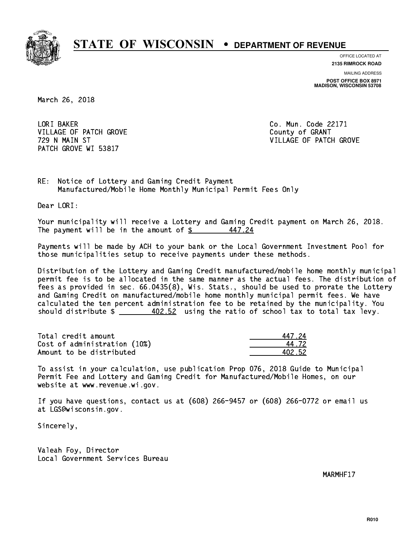

**OFFICE LOCATED AT**

**2135 RIMROCK ROAD**

**MAILING ADDRESS POST OFFICE BOX 8971 MADISON, WISCONSIN 53708**

March 26, 2018

LORI BAKER VILLAGE OF PATCH GROVE COUNTY OF GRANT PATCH GROVE WI 53817

Co. Mun. Code 22171 729 N MAIN ST VILLAGE OF PATCH GROVE

RE: Notice of Lottery and Gaming Credit Payment Manufactured/Mobile Home Monthly Municipal Permit Fees Only

Dear LORI:

 Your municipality will receive a Lottery and Gaming Credit payment on March 26, 2018. The payment will be in the amount of  $\frac{2}{3}$ 447.24

 Payments will be made by ACH to your bank or the Local Government Investment Pool for those municipalities setup to receive payments under these methods.

 Distribution of the Lottery and Gaming Credit manufactured/mobile home monthly municipal permit fee is to be allocated in the same manner as the actual fees. The distribution of fees as provided in sec. 66.0435(8), Wis. Stats., should be used to prorate the Lottery and Gaming Credit on manufactured/mobile home monthly municipal permit fees. We have calculated the ten percent administration fee to be retained by the municipality. You should distribute  $\frac{402.52}{1}$  using the ratio of school tax to total tax levy.

Total credit amount Cost of administration (10%) Amount to be distributed

| 17.24  |
|--------|
| 1.72   |
| AN2 52 |

 To assist in your calculation, use publication Prop 076, 2018 Guide to Municipal Permit Fee and Lottery and Gaming Credit for Manufactured/Mobile Homes, on our website at www.revenue.wi.gov.

 If you have questions, contact us at (608) 266-9457 or (608) 266-0772 or email us at LGS@wisconsin.gov.

Sincerely,

 Valeah Foy, Director Local Government Services Bureau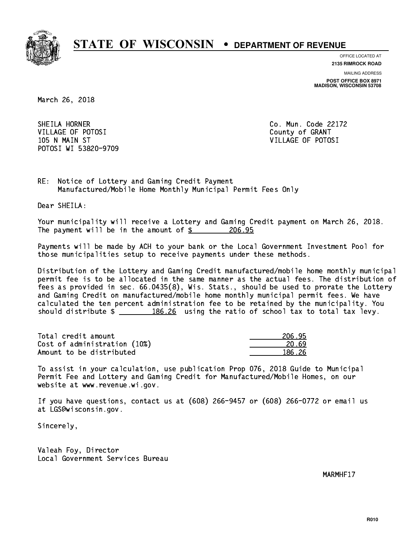

**OFFICE LOCATED AT**

**2135 RIMROCK ROAD**

**MAILING ADDRESS POST OFFICE BOX 8971 MADISON, WISCONSIN 53708**

March 26, 2018

SHEILA HORNER VILLAGE OF POTOSI COUNTY OF GRANT 105 N MAIN ST VILLAGE OF POTOSI POTOSI WI 53820-9709

Co. Mun. Code 22172

RE: Notice of Lottery and Gaming Credit Payment Manufactured/Mobile Home Monthly Municipal Permit Fees Only

Dear SHEILA:

 Your municipality will receive a Lottery and Gaming Credit payment on March 26, 2018. The payment will be in the amount of \$ 206.95 \_\_\_\_\_\_\_\_\_\_\_\_\_\_\_\_

 Payments will be made by ACH to your bank or the Local Government Investment Pool for those municipalities setup to receive payments under these methods.

 Distribution of the Lottery and Gaming Credit manufactured/mobile home monthly municipal permit fee is to be allocated in the same manner as the actual fees. The distribution of fees as provided in sec. 66.0435(8), Wis. Stats., should be used to prorate the Lottery and Gaming Credit on manufactured/mobile home monthly municipal permit fees. We have calculated the ten percent administration fee to be retained by the municipality. You should distribute  $\frac{186.26}{186.26}$  using the ratio of school tax to total tax levy.

Total credit amount Cost of administration (10%) Amount to be distributed

| 95<br>21      |
|---------------|
| 20.69         |
| 86 <i>2</i> 6 |

 To assist in your calculation, use publication Prop 076, 2018 Guide to Municipal Permit Fee and Lottery and Gaming Credit for Manufactured/Mobile Homes, on our website at www.revenue.wi.gov.

 If you have questions, contact us at (608) 266-9457 or (608) 266-0772 or email us at LGS@wisconsin.gov.

Sincerely,

 Valeah Foy, Director Local Government Services Bureau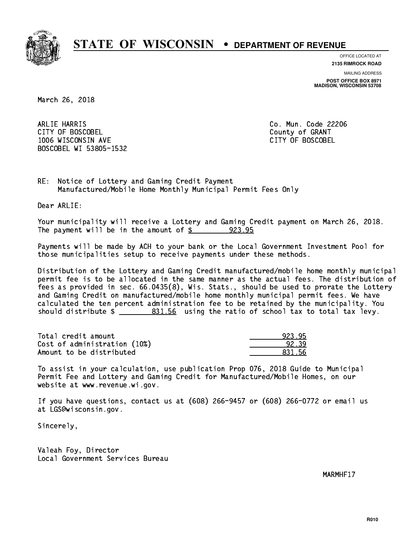

**OFFICE LOCATED AT**

**MAILING ADDRESS 2135 RIMROCK ROAD**

**POST OFFICE BOX 8971 MADISON, WISCONSIN 53708**

March 26, 2018

 ARLIE HARRIS Co. Mun. Code 22206 CITY OF BOSCOBEL County of GRANT 1006 WISCONSIN AVE CITY OF BOSCOBEL BOSCOBEL WI 53805-1532

RE: Notice of Lottery and Gaming Credit Payment Manufactured/Mobile Home Monthly Municipal Permit Fees Only

Dear ARLIE:

 Your municipality will receive a Lottery and Gaming Credit payment on March 26, 2018. The payment will be in the amount of \$ 923.95 \_\_\_\_\_\_\_\_\_\_\_\_\_\_\_\_

 Payments will be made by ACH to your bank or the Local Government Investment Pool for those municipalities setup to receive payments under these methods.

 Distribution of the Lottery and Gaming Credit manufactured/mobile home monthly municipal permit fee is to be allocated in the same manner as the actual fees. The distribution of fees as provided in sec. 66.0435(8), Wis. Stats., should be used to prorate the Lottery and Gaming Credit on manufactured/mobile home monthly municipal permit fees. We have calculated the ten percent administration fee to be retained by the municipality. You should distribute  $\frac{2}{2}$   $\frac{831.56}{2}$  using the ratio of school tax to total tax levy.

| Total credit amount          | 923.95 |
|------------------------------|--------|
| Cost of administration (10%) | 92.39  |
| Amount to be distributed     | 831.56 |

 To assist in your calculation, use publication Prop 076, 2018 Guide to Municipal Permit Fee and Lottery and Gaming Credit for Manufactured/Mobile Homes, on our website at www.revenue.wi.gov.

 If you have questions, contact us at (608) 266-9457 or (608) 266-0772 or email us at LGS@wisconsin.gov.

Sincerely,

 Valeah Foy, Director Local Government Services Bureau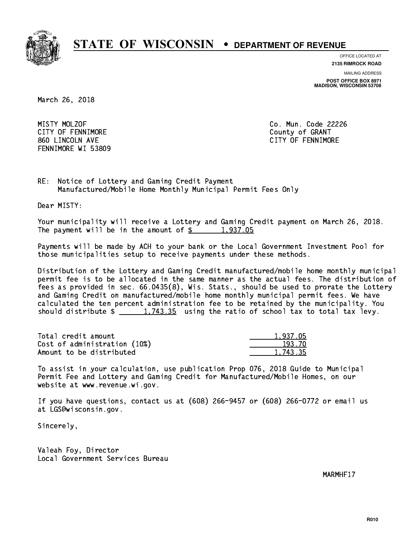

**OFFICE LOCATED AT**

**2135 RIMROCK ROAD**

**MAILING ADDRESS**

**POST OFFICE BOX 8971 MADISON, WISCONSIN 53708**

March 26, 2018

MISTY MOLZOF CITY OF FENNIMORE **COULD COULD COULD COULD COULD** 860 LINCOLN AVE CONTROLLER SERVICE SERVICE SERVICE SERVICE SERVICE SERVICE SERVICE SERVICE SERVICE SERVICE SERVICE SERVICE SERVICE SERVICE SERVICE SERVICE SERVICE SERVICE SERVICE SERVICE SERVICE SERVICE SERVICE SERVICE SER FENNIMORE WI 53809

Co. Mun. Code 22226

RE: Notice of Lottery and Gaming Credit Payment Manufactured/Mobile Home Monthly Municipal Permit Fees Only

Dear MISTY:

 Your municipality will receive a Lottery and Gaming Credit payment on March 26, 2018. The payment will be in the amount of  $\frac{2}{3}$  1,937.05

 Payments will be made by ACH to your bank or the Local Government Investment Pool for those municipalities setup to receive payments under these methods.

 Distribution of the Lottery and Gaming Credit manufactured/mobile home monthly municipal permit fee is to be allocated in the same manner as the actual fees. The distribution of fees as provided in sec. 66.0435(8), Wis. Stats., should be used to prorate the Lottery and Gaming Credit on manufactured/mobile home monthly municipal permit fees. We have calculated the ten percent administration fee to be retained by the municipality. You should distribute  $\frac{1,743.35}{1,743.35}$  using the ratio of school tax to total tax levy.

| Total credit amount          | 1.937.05 |
|------------------------------|----------|
| Cost of administration (10%) | 193.70   |
| Amount to be distributed     | 1,743.35 |

 To assist in your calculation, use publication Prop 076, 2018 Guide to Municipal Permit Fee and Lottery and Gaming Credit for Manufactured/Mobile Homes, on our website at www.revenue.wi.gov.

 If you have questions, contact us at (608) 266-9457 or (608) 266-0772 or email us at LGS@wisconsin.gov.

Sincerely,

 Valeah Foy, Director Local Government Services Bureau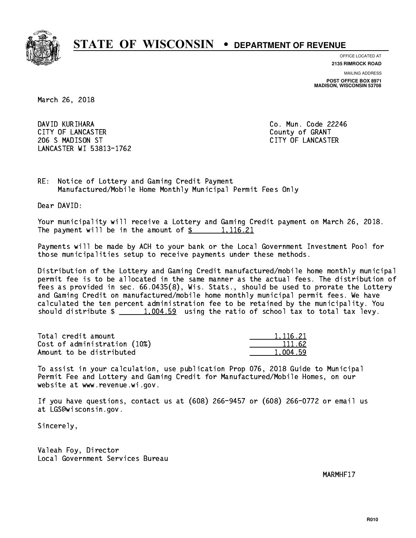

**OFFICE LOCATED AT**

**2135 RIMROCK ROAD**

**MAILING ADDRESS POST OFFICE BOX 8971 MADISON, WISCONSIN 53708**

March 26, 2018

 DAVID KURIHARA Co. Mun. Code 22246 CITY OF LANCASTER COUNTY COUNTY OF GRANT 206 S MADISON ST CITY OF LANCASTER LANCASTER WI 53813-1762

RE: Notice of Lottery and Gaming Credit Payment Manufactured/Mobile Home Monthly Municipal Permit Fees Only

Dear DAVID:

 Your municipality will receive a Lottery and Gaming Credit payment on March 26, 2018. The payment will be in the amount of  $\frac{2}{3}$  1,116.21

 Payments will be made by ACH to your bank or the Local Government Investment Pool for those municipalities setup to receive payments under these methods.

 Distribution of the Lottery and Gaming Credit manufactured/mobile home monthly municipal permit fee is to be allocated in the same manner as the actual fees. The distribution of fees as provided in sec. 66.0435(8), Wis. Stats., should be used to prorate the Lottery and Gaming Credit on manufactured/mobile home monthly municipal permit fees. We have calculated the ten percent administration fee to be retained by the municipality. You should distribute  $\frac{1,004.59}{1,004.59}$  using the ratio of school tax to total tax levy.

| Total credit amount          | 1.116.21 |
|------------------------------|----------|
| Cost of administration (10%) | 111.62   |
| Amount to be distributed     | 1.004.59 |

 To assist in your calculation, use publication Prop 076, 2018 Guide to Municipal Permit Fee and Lottery and Gaming Credit for Manufactured/Mobile Homes, on our website at www.revenue.wi.gov.

 If you have questions, contact us at (608) 266-9457 or (608) 266-0772 or email us at LGS@wisconsin.gov.

Sincerely,

 Valeah Foy, Director Local Government Services Bureau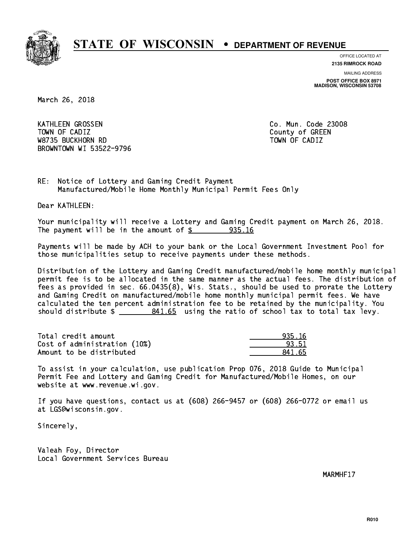

**OFFICE LOCATED AT 2135 RIMROCK ROAD**

**MAILING ADDRESS**

**POST OFFICE BOX 8971 MADISON, WISCONSIN 53708**

March 26, 2018

 KATHLEEN GROSSEN Co. Mun. Code 23008 Town of California  $\mathcal{L}$  county of Green  $\mathcal{L}$  W8735 BUCKHORN RD TOWN OF CADIZ BROWNTOWN WI 53522-9796

RE: Notice of Lottery and Gaming Credit Payment Manufactured/Mobile Home Monthly Municipal Permit Fees Only

Dear KATHLEEN:

 Your municipality will receive a Lottery and Gaming Credit payment on March 26, 2018. The payment will be in the amount of  $\frac{2}{3}$  935.16

 Payments will be made by ACH to your bank or the Local Government Investment Pool for those municipalities setup to receive payments under these methods.

 Distribution of the Lottery and Gaming Credit manufactured/mobile home monthly municipal permit fee is to be allocated in the same manner as the actual fees. The distribution of fees as provided in sec. 66.0435(8), Wis. Stats., should be used to prorate the Lottery and Gaming Credit on manufactured/mobile home monthly municipal permit fees. We have calculated the ten percent administration fee to be retained by the municipality. You should distribute  $\frac{2}{2}$   $\frac{841.65}{2}$  using the ratio of school tax to total tax levy.

Total credit amount Cost of administration (10%) Amount to be distributed

| 5.16  |
|-------|
| 93.51 |
| ל נ   |

 To assist in your calculation, use publication Prop 076, 2018 Guide to Municipal Permit Fee and Lottery and Gaming Credit for Manufactured/Mobile Homes, on our website at www.revenue.wi.gov.

 If you have questions, contact us at (608) 266-9457 or (608) 266-0772 or email us at LGS@wisconsin.gov.

Sincerely,

 Valeah Foy, Director Local Government Services Bureau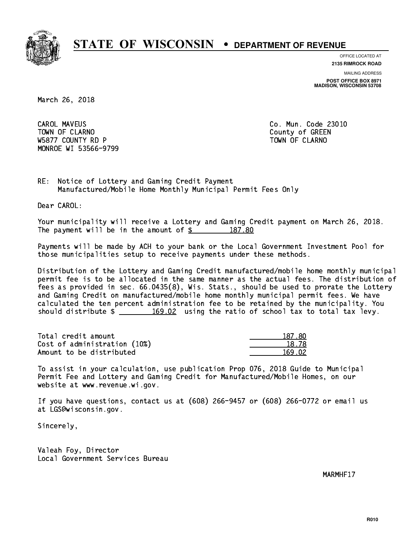

**OFFICE LOCATED AT 2135 RIMROCK ROAD**

**MAILING ADDRESS**

**POST OFFICE BOX 8971 MADISON, WISCONSIN 53708**

March 26, 2018

**CAROL MAVEUS** Town of Claramon County of Green County of Green County of Green County of Green County of Green County of Green County of Green County of Green County of Green County of Green County of Green County of Green County of Gre W5877 COUNTY RD P TO THE TOWN OF CLARNO MONROE WI 53566-9799

Co. Mun. Code 23010

RE: Notice of Lottery and Gaming Credit Payment Manufactured/Mobile Home Monthly Municipal Permit Fees Only

Dear CAROL:

 Your municipality will receive a Lottery and Gaming Credit payment on March 26, 2018. The payment will be in the amount of  $\frac{2}{3}$  187.80

 Payments will be made by ACH to your bank or the Local Government Investment Pool for those municipalities setup to receive payments under these methods.

 Distribution of the Lottery and Gaming Credit manufactured/mobile home monthly municipal permit fee is to be allocated in the same manner as the actual fees. The distribution of fees as provided in sec. 66.0435(8), Wis. Stats., should be used to prorate the Lottery and Gaming Credit on manufactured/mobile home monthly municipal permit fees. We have calculated the ten percent administration fee to be retained by the municipality. You should distribute  $\frac{169.02}{169.02}$  using the ratio of school tax to total tax levy.

| Total credit amount          | 187.80 |
|------------------------------|--------|
| Cost of administration (10%) | 18.78  |
| Amount to be distributed     | 169.02 |

| 87. SO |
|--------|
| 18.78  |
| 169.02 |

 To assist in your calculation, use publication Prop 076, 2018 Guide to Municipal Permit Fee and Lottery and Gaming Credit for Manufactured/Mobile Homes, on our website at www.revenue.wi.gov.

 If you have questions, contact us at (608) 266-9457 or (608) 266-0772 or email us at LGS@wisconsin.gov.

Sincerely,

 Valeah Foy, Director Local Government Services Bureau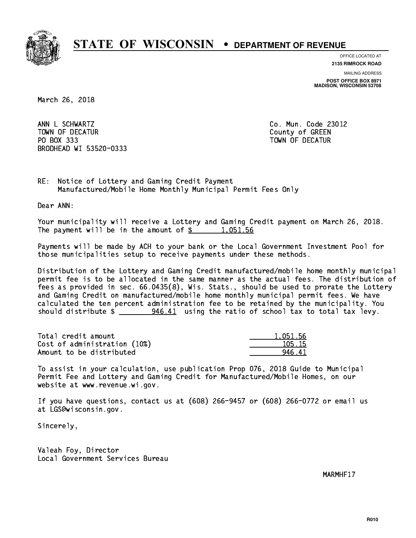

**OFFICE LOCATED AT 2135 RIMROCK ROAD**

**MAILING ADDRESS**

**POST OFFICE BOX 8971 MADISON, WISCONSIN 53708**

March 26, 2018

ANN L SCHWARTZ TOWN OF DECATUR COUNTY OF GREEN PO BOX 333 PO BOX 333 TOWN OF DECATUR BRODHEAD WI 53520-0333

Co. Mun. Code 23012

RE: Notice of Lottery and Gaming Credit Payment Manufactured/Mobile Home Monthly Municipal Permit Fees Only

Dear ANN:

 Your municipality will receive a Lottery and Gaming Credit payment on March 26, 2018. The payment will be in the amount of  $\frac{2}{3}$  1,051.56

 Payments will be made by ACH to your bank or the Local Government Investment Pool for those municipalities setup to receive payments under these methods.

 Distribution of the Lottery and Gaming Credit manufactured/mobile home monthly municipal permit fee is to be allocated in the same manner as the actual fees. The distribution of fees as provided in sec. 66.0435(8), Wis. Stats., should be used to prorate the Lottery and Gaming Credit on manufactured/mobile home monthly municipal permit fees. We have calculated the ten percent administration fee to be retained by the municipality. You should distribute  $\frac{246.41}{2}$  using the ratio of school tax to total tax levy.

| Total credit amount          | 1.051.56 |
|------------------------------|----------|
| Cost of administration (10%) | 105.15   |
| Amount to be distributed     | 946 41   |

 To assist in your calculation, use publication Prop 076, 2018 Guide to Municipal Permit Fee and Lottery and Gaming Credit for Manufactured/Mobile Homes, on our website at www.revenue.wi.gov.

 If you have questions, contact us at (608) 266-9457 or (608) 266-0772 or email us at LGS@wisconsin.gov.

Sincerely,

 Valeah Foy, Director Local Government Services Bureau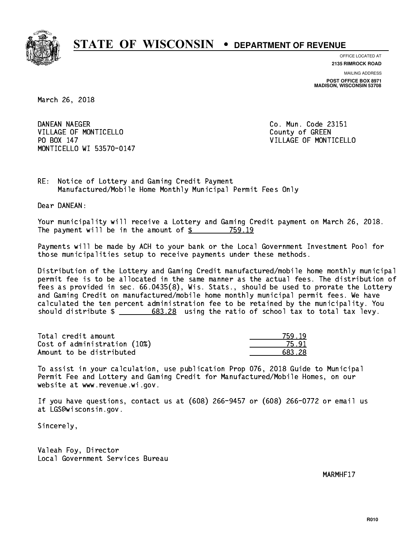

**OFFICE LOCATED AT**

**2135 RIMROCK ROAD**

**MAILING ADDRESS POST OFFICE BOX 8971 MADISON, WISCONSIN 53708**

March 26, 2018

DANEAN NAEGER VILLAGE OF MONTICELLO COUNTY OF GREEN PO BOX 147 MONTICELLO WI 53570-0147

Co. Mun. Code 23151 VILLAGE OF MONTICELLO

RE: Notice of Lottery and Gaming Credit Payment Manufactured/Mobile Home Monthly Municipal Permit Fees Only

Dear DANEAN:

 Your municipality will receive a Lottery and Gaming Credit payment on March 26, 2018. The payment will be in the amount of \$ 759.19 \_\_\_\_\_\_\_\_\_\_\_\_\_\_\_\_

 Payments will be made by ACH to your bank or the Local Government Investment Pool for those municipalities setup to receive payments under these methods.

 Distribution of the Lottery and Gaming Credit manufactured/mobile home monthly municipal permit fee is to be allocated in the same manner as the actual fees. The distribution of fees as provided in sec. 66.0435(8), Wis. Stats., should be used to prorate the Lottery and Gaming Credit on manufactured/mobile home monthly municipal permit fees. We have calculated the ten percent administration fee to be retained by the municipality. You should distribute  $\frac{20}{100}$   $\frac{683.28}{200}$  using the ratio of school tax to total tax levy.

| Total credit amount          | 759.19 |
|------------------------------|--------|
| Cost of administration (10%) | 75 Q.  |
| Amount to be distributed     | 683.28 |

 To assist in your calculation, use publication Prop 076, 2018 Guide to Municipal Permit Fee and Lottery and Gaming Credit for Manufactured/Mobile Homes, on our website at www.revenue.wi.gov.

 If you have questions, contact us at (608) 266-9457 or (608) 266-0772 or email us at LGS@wisconsin.gov.

Sincerely,

 Valeah Foy, Director Local Government Services Bureau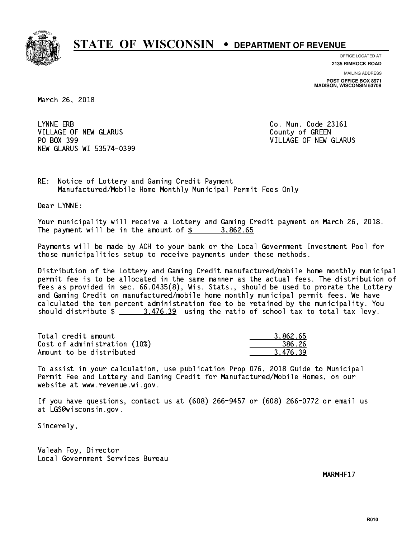

**OFFICE LOCATED AT**

**2135 RIMROCK ROAD**

**MAILING ADDRESS POST OFFICE BOX 8971 MADISON, WISCONSIN 53708**

March 26, 2018

LYNNE ERB VILLAGE OF NEW GLARUS **COUNTY OF GREEN** PO BOX 399 NEW GLARUS WI 53574-0399

Co. Mun. Code 23161 VILLAGE OF NEW GLARUS

RE: Notice of Lottery and Gaming Credit Payment Manufactured/Mobile Home Monthly Municipal Permit Fees Only

Dear LYNNE:

 Your municipality will receive a Lottery and Gaming Credit payment on March 26, 2018. The payment will be in the amount of \$ 3,862.65 \_\_\_\_\_\_\_\_\_\_\_\_\_\_\_\_

 Payments will be made by ACH to your bank or the Local Government Investment Pool for those municipalities setup to receive payments under these methods.

 Distribution of the Lottery and Gaming Credit manufactured/mobile home monthly municipal permit fee is to be allocated in the same manner as the actual fees. The distribution of fees as provided in sec. 66.0435(8), Wis. Stats., should be used to prorate the Lottery and Gaming Credit on manufactured/mobile home monthly municipal permit fees. We have calculated the ten percent administration fee to be retained by the municipality. You should distribute  $\frac{2}{1}$   $\frac{3.476.39}{2}$  using the ratio of school tax to total tax levy.

| Total credit amount          | 3.862.65 |
|------------------------------|----------|
| Cost of administration (10%) | 386.26   |
| Amount to be distributed     | 3.476.39 |

 To assist in your calculation, use publication Prop 076, 2018 Guide to Municipal Permit Fee and Lottery and Gaming Credit for Manufactured/Mobile Homes, on our website at www.revenue.wi.gov.

 If you have questions, contact us at (608) 266-9457 or (608) 266-0772 or email us at LGS@wisconsin.gov.

Sincerely,

 Valeah Foy, Director Local Government Services Bureau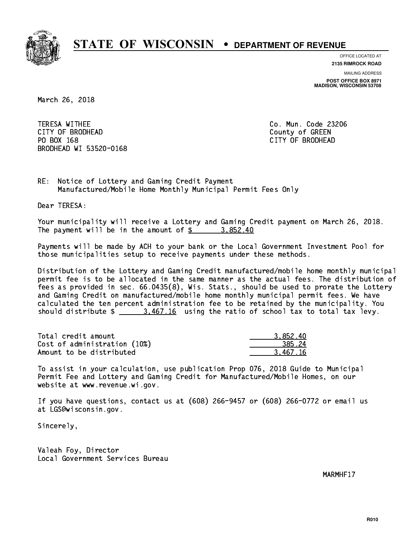

**OFFICE LOCATED AT**

**MAILING ADDRESS 2135 RIMROCK ROAD**

**POST OFFICE BOX 8971 MADISON, WISCONSIN 53708**

March 26, 2018

 TERESA WITHEE Co. Mun. Code 23206 CITY OF BRODHEAD County of GREEN PO BOX 168 PO BOX 168 CITY OF BRODHEAD BRODHEAD WI 53520-0168

RE: Notice of Lottery and Gaming Credit Payment Manufactured/Mobile Home Monthly Municipal Permit Fees Only

Dear TERESA:

 Your municipality will receive a Lottery and Gaming Credit payment on March 26, 2018. The payment will be in the amount of  $\frac{2}{3}$  3,852.40

 Payments will be made by ACH to your bank or the Local Government Investment Pool for those municipalities setup to receive payments under these methods.

 Distribution of the Lottery and Gaming Credit manufactured/mobile home monthly municipal permit fee is to be allocated in the same manner as the actual fees. The distribution of fees as provided in sec. 66.0435(8), Wis. Stats., should be used to prorate the Lottery and Gaming Credit on manufactured/mobile home monthly municipal permit fees. We have calculated the ten percent administration fee to be retained by the municipality. You should distribute  $\frac{2.467.16}{2.467.16}$  using the ratio of school tax to total tax levy.

| Total credit amount          | 3.852.40 |
|------------------------------|----------|
| Cost of administration (10%) | 385.24   |
| Amount to be distributed     | 3.467.16 |

 To assist in your calculation, use publication Prop 076, 2018 Guide to Municipal Permit Fee and Lottery and Gaming Credit for Manufactured/Mobile Homes, on our website at www.revenue.wi.gov.

 If you have questions, contact us at (608) 266-9457 or (608) 266-0772 or email us at LGS@wisconsin.gov.

Sincerely,

 Valeah Foy, Director Local Government Services Bureau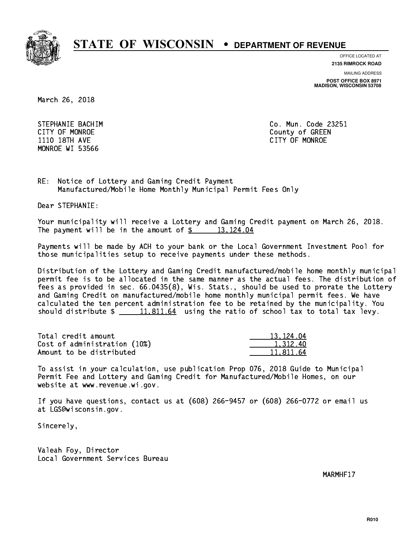

**OFFICE LOCATED AT**

**2135 RIMROCK ROAD**

**MAILING ADDRESS**

**POST OFFICE BOX 8971 MADISON, WISCONSIN 53708**

March 26, 2018

STEPHANIE BACHIM **Communist Communist Communist Communist Communist Communist Communist Communist Communist Communist Communist Communist Communist Communist Communist Communist Communist Communist Communist Communist Comm**  1110 18TH AVE CITY OF MONROE MONROE WI 53566

CITY OF MONROE County of GREEN

RE: Notice of Lottery and Gaming Credit Payment Manufactured/Mobile Home Monthly Municipal Permit Fees Only

Dear STEPHANIE:

 Your municipality will receive a Lottery and Gaming Credit payment on March 26, 2018. The payment will be in the amount of  $\frac{2}{3}$  13,124.04

 Payments will be made by ACH to your bank or the Local Government Investment Pool for those municipalities setup to receive payments under these methods.

 Distribution of the Lottery and Gaming Credit manufactured/mobile home monthly municipal permit fee is to be allocated in the same manner as the actual fees. The distribution of fees as provided in sec. 66.0435(8), Wis. Stats., should be used to prorate the Lottery and Gaming Credit on manufactured/mobile home monthly municipal permit fees. We have calculated the ten percent administration fee to be retained by the municipality. You should distribute  $\frac{11,811.64}{2}$  using the ratio of school tax to total tax levy.

| Total credit amount          | 13.124.04 |
|------------------------------|-----------|
| Cost of administration (10%) | 1.312.40  |
| Amount to be distributed     | 11.811.64 |

 To assist in your calculation, use publication Prop 076, 2018 Guide to Municipal Permit Fee and Lottery and Gaming Credit for Manufactured/Mobile Homes, on our website at www.revenue.wi.gov.

 If you have questions, contact us at (608) 266-9457 or (608) 266-0772 or email us at LGS@wisconsin.gov.

Sincerely,

 Valeah Foy, Director Local Government Services Bureau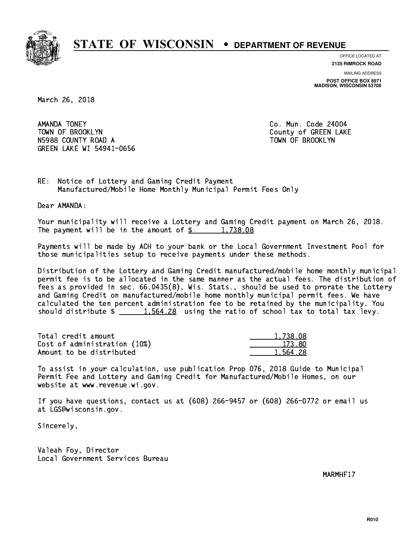

**OFFICE LOCATED AT**

**2135 RIMROCK ROAD**

**MAILING ADDRESS POST OFFICE BOX 8971 MADISON, WISCONSIN 53708**

March 26, 2018

AMANDA TONEY TOWN OF BROOKLYN County of GREEN LAKE N5988 COUNTY ROAD A TOWN OF BROOKLYN GREEN LAKE WI 54941-0656

Co. Mun. Code 24004

RE: Notice of Lottery and Gaming Credit Payment Manufactured/Mobile Home Monthly Municipal Permit Fees Only

Dear AMANDA:

 Your municipality will receive a Lottery and Gaming Credit payment on March 26, 2018. The payment will be in the amount of  $\frac{2}{3}$  1,738.08

 Payments will be made by ACH to your bank or the Local Government Investment Pool for those municipalities setup to receive payments under these methods.

 Distribution of the Lottery and Gaming Credit manufactured/mobile home monthly municipal permit fee is to be allocated in the same manner as the actual fees. The distribution of fees as provided in sec. 66.0435(8), Wis. Stats., should be used to prorate the Lottery and Gaming Credit on manufactured/mobile home monthly municipal permit fees. We have calculated the ten percent administration fee to be retained by the municipality. You should distribute  $\frac{1.564.28}{1.564.28}$  using the ratio of school tax to total tax levy.

| Total credit amount          | 1,738.08 |
|------------------------------|----------|
| Cost of administration (10%) | 173.80   |
| Amount to be distributed     | 1.564.28 |

 To assist in your calculation, use publication Prop 076, 2018 Guide to Municipal Permit Fee and Lottery and Gaming Credit for Manufactured/Mobile Homes, on our website at www.revenue.wi.gov.

 If you have questions, contact us at (608) 266-9457 or (608) 266-0772 or email us at LGS@wisconsin.gov.

Sincerely,

 Valeah Foy, Director Local Government Services Bureau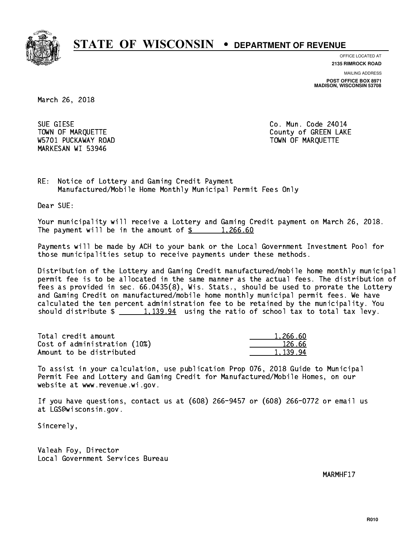

**OFFICE LOCATED AT**

**2135 RIMROCK ROAD**

**MAILING ADDRESS POST OFFICE BOX 8971 MADISON, WISCONSIN 53708**

March 26, 2018

SUE GIESE W5701 PUCKAWAY ROAD TOWN OF MARQUETTE MARKESAN WI 53946

Co. Mun. Code 24014 TOWN OF MARQUETTE TOWN OF MARQUETTE

RE: Notice of Lottery and Gaming Credit Payment Manufactured/Mobile Home Monthly Municipal Permit Fees Only

Dear SUE:

 Your municipality will receive a Lottery and Gaming Credit payment on March 26, 2018. The payment will be in the amount of  $\frac{2}{3}$  1,266.60

 Payments will be made by ACH to your bank or the Local Government Investment Pool for those municipalities setup to receive payments under these methods.

 Distribution of the Lottery and Gaming Credit manufactured/mobile home monthly municipal permit fee is to be allocated in the same manner as the actual fees. The distribution of fees as provided in sec. 66.0435(8), Wis. Stats., should be used to prorate the Lottery and Gaming Credit on manufactured/mobile home monthly municipal permit fees. We have calculated the ten percent administration fee to be retained by the municipality. You should distribute  $\frac{1,139.94}{2}$  using the ratio of school tax to total tax levy.

| Total credit amount          | 1.266.60 |
|------------------------------|----------|
| Cost of administration (10%) | 126.66   |
| Amount to be distributed     | 1,139.94 |

 To assist in your calculation, use publication Prop 076, 2018 Guide to Municipal Permit Fee and Lottery and Gaming Credit for Manufactured/Mobile Homes, on our website at www.revenue.wi.gov.

 If you have questions, contact us at (608) 266-9457 or (608) 266-0772 or email us at LGS@wisconsin.gov.

Sincerely,

 Valeah Foy, Director Local Government Services Bureau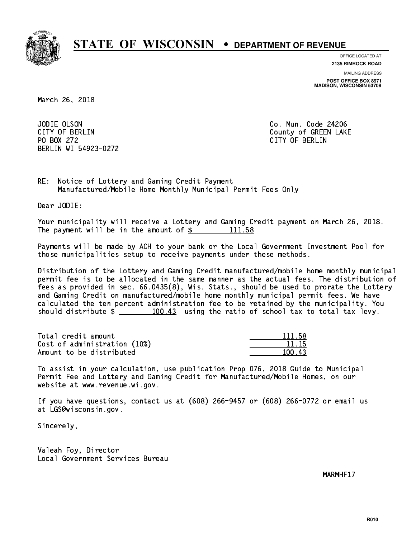

**OFFICE LOCATED AT**

**2135 RIMROCK ROAD**

**MAILING ADDRESS**

**POST OFFICE BOX 8971 MADISON, WISCONSIN 53708**

March 26, 2018

JODIE OLSON PO BOX 272 CITY OF BERLIN BERLIN WI 54923-0272

Co. Mun. Code 24206 CITY OF BERLIN COUNTY OF BERLIN

RE: Notice of Lottery and Gaming Credit Payment Manufactured/Mobile Home Monthly Municipal Permit Fees Only

Dear JODIE:

 Your municipality will receive a Lottery and Gaming Credit payment on March 26, 2018. The payment will be in the amount of  $\frac{2}{3}$  111.58

 Payments will be made by ACH to your bank or the Local Government Investment Pool for those municipalities setup to receive payments under these methods.

 Distribution of the Lottery and Gaming Credit manufactured/mobile home monthly municipal permit fee is to be allocated in the same manner as the actual fees. The distribution of fees as provided in sec. 66.0435(8), Wis. Stats., should be used to prorate the Lottery and Gaming Credit on manufactured/mobile home monthly municipal permit fees. We have calculated the ten percent administration fee to be retained by the municipality. You should distribute  $\frac{100.43}{100.43}$  using the ratio of school tax to total tax levy.

Total credit amount Cost of administration (10%) Amount to be distributed

| 111.58 |
|--------|
| 11.15  |
| ત્વવ્  |

 To assist in your calculation, use publication Prop 076, 2018 Guide to Municipal Permit Fee and Lottery and Gaming Credit for Manufactured/Mobile Homes, on our website at www.revenue.wi.gov.

 If you have questions, contact us at (608) 266-9457 or (608) 266-0772 or email us at LGS@wisconsin.gov.

Sincerely,

 Valeah Foy, Director Local Government Services Bureau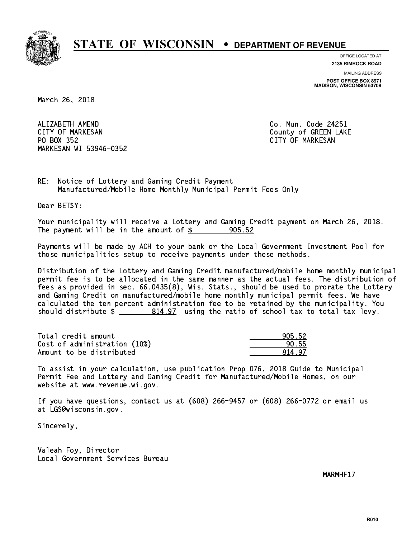

**OFFICE LOCATED AT**

**2135 RIMROCK ROAD**

**MAILING ADDRESS POST OFFICE BOX 8971 MADISON, WISCONSIN 53708**

March 26, 2018

ALIZABETH AMEND CITY OF MARKESAN County of GREEN LAKE PO BOX 352 PO BOX 352 CITY OF MARKESAN MARKESAN WI 53946-0352

Co. Mun. Code 24251

RE: Notice of Lottery and Gaming Credit Payment Manufactured/Mobile Home Monthly Municipal Permit Fees Only

Dear BETSY:

 Your municipality will receive a Lottery and Gaming Credit payment on March 26, 2018. The payment will be in the amount of  $\frac{2}{3}$  905.52

 Payments will be made by ACH to your bank or the Local Government Investment Pool for those municipalities setup to receive payments under these methods.

 Distribution of the Lottery and Gaming Credit manufactured/mobile home monthly municipal permit fee is to be allocated in the same manner as the actual fees. The distribution of fees as provided in sec. 66.0435(8), Wis. Stats., should be used to prorate the Lottery and Gaming Credit on manufactured/mobile home monthly municipal permit fees. We have calculated the ten percent administration fee to be retained by the municipality. You should distribute  $\frac{2}{2}$   $\frac{814.97}{2}$  using the ratio of school tax to total tax levy.

| Total credit amount          | 905.52 |
|------------------------------|--------|
| Cost of administration (10%) | 90.55  |
| Amount to be distributed     | 81497  |

| 5.52     |
|----------|
| 55       |
| 47<br>Oп |

 To assist in your calculation, use publication Prop 076, 2018 Guide to Municipal Permit Fee and Lottery and Gaming Credit for Manufactured/Mobile Homes, on our website at www.revenue.wi.gov.

 If you have questions, contact us at (608) 266-9457 or (608) 266-0772 or email us at LGS@wisconsin.gov.

Sincerely,

 Valeah Foy, Director Local Government Services Bureau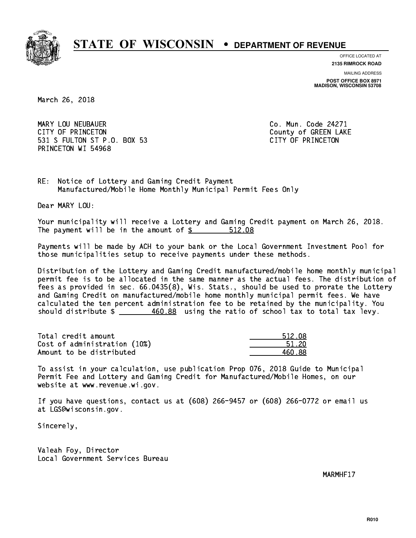

**OFFICE LOCATED AT**

**2135 RIMROCK ROAD**

**MAILING ADDRESS POST OFFICE BOX 8971 MADISON, WISCONSIN 53708**

March 26, 2018

 MARY LOU NEUBAUER Co. Mun. Code 24271 CITY OF PRINCETON COUNTY OF PRINCETON 531 S FULTON ST P.O. BOX 53 CITY OF PRINCETON PRINCETON WI 54968

RE: Notice of Lottery and Gaming Credit Payment Manufactured/Mobile Home Monthly Municipal Permit Fees Only

Dear MARY LOU:

 Your municipality will receive a Lottery and Gaming Credit payment on March 26, 2018. The payment will be in the amount of  $$ 512.08$ 

 Payments will be made by ACH to your bank or the Local Government Investment Pool for those municipalities setup to receive payments under these methods.

 Distribution of the Lottery and Gaming Credit manufactured/mobile home monthly municipal permit fee is to be allocated in the same manner as the actual fees. The distribution of fees as provided in sec. 66.0435(8), Wis. Stats., should be used to prorate the Lottery and Gaming Credit on manufactured/mobile home monthly municipal permit fees. We have calculated the ten percent administration fee to be retained by the municipality. You should distribute  $\frac{460.88}{2}$  using the ratio of school tax to total tax levy.

Total credit amount Cost of administration (10%) Amount to be distributed

| 512.08 |
|--------|
| 51 20  |
| I 88   |

 To assist in your calculation, use publication Prop 076, 2018 Guide to Municipal Permit Fee and Lottery and Gaming Credit for Manufactured/Mobile Homes, on our website at www.revenue.wi.gov.

 If you have questions, contact us at (608) 266-9457 or (608) 266-0772 or email us at LGS@wisconsin.gov.

Sincerely,

 Valeah Foy, Director Local Government Services Bureau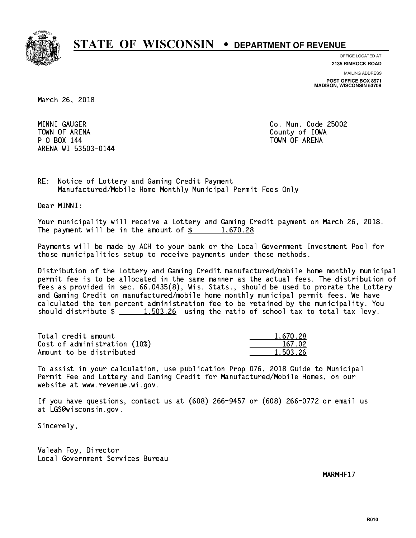

**OFFICE LOCATED AT**

**2135 RIMROCK ROAD**

**MAILING ADDRESS POST OFFICE BOX 8971 MADISON, WISCONSIN 53708**

March 26, 2018

MINNI GAUGER TOWN OF ARENA County of IOWA P O BOX 144 TOWN OF ARENA ARENA WI 53503-0144

Co. Mun. Code 25002

RE: Notice of Lottery and Gaming Credit Payment Manufactured/Mobile Home Monthly Municipal Permit Fees Only

Dear MINNI:

 Your municipality will receive a Lottery and Gaming Credit payment on March 26, 2018. The payment will be in the amount of  $\frac{2}{3}$  1,670.28

 Payments will be made by ACH to your bank or the Local Government Investment Pool for those municipalities setup to receive payments under these methods.

 Distribution of the Lottery and Gaming Credit manufactured/mobile home monthly municipal permit fee is to be allocated in the same manner as the actual fees. The distribution of fees as provided in sec. 66.0435(8), Wis. Stats., should be used to prorate the Lottery and Gaming Credit on manufactured/mobile home monthly municipal permit fees. We have calculated the ten percent administration fee to be retained by the municipality. You should distribute  $\frac{1}{2}$   $\frac{1}{203.26}$  using the ratio of school tax to total tax levy.

| Total credit amount          | 1,670.28 |
|------------------------------|----------|
| Cost of administration (10%) | 167.02   |
| Amount to be distributed     | 1,503.26 |

 To assist in your calculation, use publication Prop 076, 2018 Guide to Municipal Permit Fee and Lottery and Gaming Credit for Manufactured/Mobile Homes, on our website at www.revenue.wi.gov.

 If you have questions, contact us at (608) 266-9457 or (608) 266-0772 or email us at LGS@wisconsin.gov.

Sincerely,

 Valeah Foy, Director Local Government Services Bureau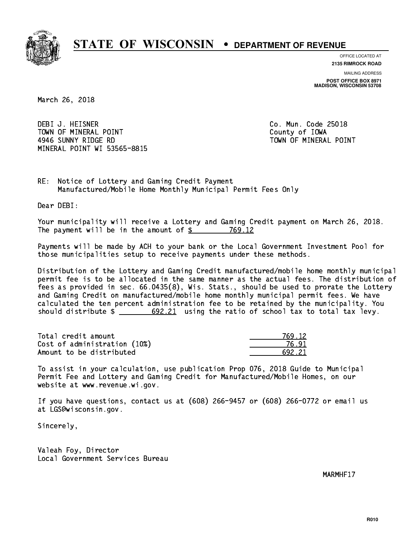

**OFFICE LOCATED AT**

**2135 RIMROCK ROAD**

**MAILING ADDRESS POST OFFICE BOX 8971 MADISON, WISCONSIN 53708**

March 26, 2018

 DEBI J. HEISNER Co. Mun. Code 25018 TOWN OF MINERAL POINT TOWN TOWN County of IOWA 4946 SUNNY RIDGE RD TOWN OF MINERAL POINT MINERAL POINT WI 53565-8815

RE: Notice of Lottery and Gaming Credit Payment Manufactured/Mobile Home Monthly Municipal Permit Fees Only

Dear DEBI:

 Your municipality will receive a Lottery and Gaming Credit payment on March 26, 2018. The payment will be in the amount of \$ 769.12 \_\_\_\_\_\_\_\_\_\_\_\_\_\_\_\_

 Payments will be made by ACH to your bank or the Local Government Investment Pool for those municipalities setup to receive payments under these methods.

 Distribution of the Lottery and Gaming Credit manufactured/mobile home monthly municipal permit fee is to be allocated in the same manner as the actual fees. The distribution of fees as provided in sec. 66.0435(8), Wis. Stats., should be used to prorate the Lottery and Gaming Credit on manufactured/mobile home monthly municipal permit fees. We have calculated the ten percent administration fee to be retained by the municipality. You should distribute  $\frac{2}{2}$   $\frac{692.21}{2}$  using the ratio of school tax to total tax levy.

| Total credit amount          | 769 12 |
|------------------------------|--------|
| Cost of administration (10%) | 76.9   |
| Amount to be distributed     | 692 21 |

| 12      |
|---------|
| ,<br>чı |
| 221     |

 To assist in your calculation, use publication Prop 076, 2018 Guide to Municipal Permit Fee and Lottery and Gaming Credit for Manufactured/Mobile Homes, on our website at www.revenue.wi.gov.

 If you have questions, contact us at (608) 266-9457 or (608) 266-0772 or email us at LGS@wisconsin.gov.

Sincerely,

 Valeah Foy, Director Local Government Services Bureau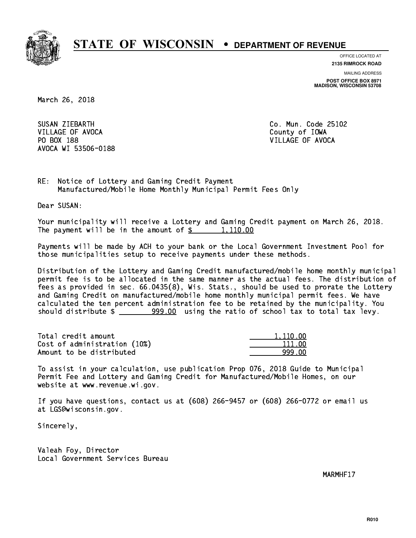

**OFFICE LOCATED AT**

**2135 RIMROCK ROAD**

**MAILING ADDRESS POST OFFICE BOX 8971 MADISON, WISCONSIN 53708**

March 26, 2018

SUSAN ZIEBARTH VILLAGE OF AVOCA County of IOWA PO BOX 188 VILLAGE OF AVOCA AVOCA WI 53506-0188

Co. Mun. Code 25102

RE: Notice of Lottery and Gaming Credit Payment Manufactured/Mobile Home Monthly Municipal Permit Fees Only

Dear SUSAN:

 Your municipality will receive a Lottery and Gaming Credit payment on March 26, 2018. The payment will be in the amount of  $\frac{2}{3}$  1,110.00

 Payments will be made by ACH to your bank or the Local Government Investment Pool for those municipalities setup to receive payments under these methods.

 Distribution of the Lottery and Gaming Credit manufactured/mobile home monthly municipal permit fee is to be allocated in the same manner as the actual fees. The distribution of fees as provided in sec. 66.0435(8), Wis. Stats., should be used to prorate the Lottery and Gaming Credit on manufactured/mobile home monthly municipal permit fees. We have calculated the ten percent administration fee to be retained by the municipality. You should distribute  $\frac{299.00}{2}$  using the ratio of school tax to total tax levy.

| Total credit amount          | 1,110.00 |
|------------------------------|----------|
| Cost of administration (10%) | 111.00   |
| Amount to be distributed     | 999 NN   |

 To assist in your calculation, use publication Prop 076, 2018 Guide to Municipal Permit Fee and Lottery and Gaming Credit for Manufactured/Mobile Homes, on our website at www.revenue.wi.gov.

 If you have questions, contact us at (608) 266-9457 or (608) 266-0772 or email us at LGS@wisconsin.gov.

Sincerely,

 Valeah Foy, Director Local Government Services Bureau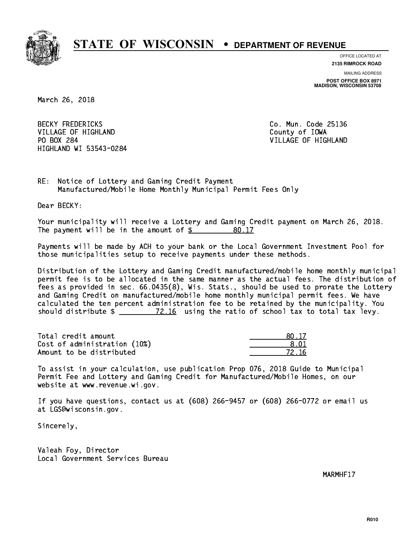

**OFFICE LOCATED AT**

**2135 RIMROCK ROAD**

**MAILING ADDRESS POST OFFICE BOX 8971 MADISON, WISCONSIN 53708**

March 26, 2018

**BECKY FREDERICKS** VILLAGE OF HIGHLAND County of IOWA PO BOX 284 HIGHLAND WI 53543-0284

Co. Mun. Code 25136 VILLAGE OF HIGHLAND

RE: Notice of Lottery and Gaming Credit Payment Manufactured/Mobile Home Monthly Municipal Permit Fees Only

Dear BECKY:

 Your municipality will receive a Lottery and Gaming Credit payment on March 26, 2018. The payment will be in the amount of \$ 80.17 \_\_\_\_\_\_\_\_\_\_\_\_\_\_\_\_

 Payments will be made by ACH to your bank or the Local Government Investment Pool for those municipalities setup to receive payments under these methods.

 Distribution of the Lottery and Gaming Credit manufactured/mobile home monthly municipal permit fee is to be allocated in the same manner as the actual fees. The distribution of fees as provided in sec. 66.0435(8), Wis. Stats., should be used to prorate the Lottery and Gaming Credit on manufactured/mobile home monthly municipal permit fees. We have calculated the ten percent administration fee to be retained by the municipality. You should distribute  $\frac{2.16}{2.16}$  using the ratio of school tax to total tax levy.

Total credit amount  $80.17$  $Cost of administration (10%) \t\t\t\t\t\t\t\t\t\t\t\t\t\t\t\t\t\t\t\t\t 8.01$ Amount to be distributed  $\overline{72.16}$ 

 To assist in your calculation, use publication Prop 076, 2018 Guide to Municipal Permit Fee and Lottery and Gaming Credit for Manufactured/Mobile Homes, on our website at www.revenue.wi.gov.

 If you have questions, contact us at (608) 266-9457 or (608) 266-0772 or email us at LGS@wisconsin.gov.

Sincerely,

 Valeah Foy, Director Local Government Services Bureau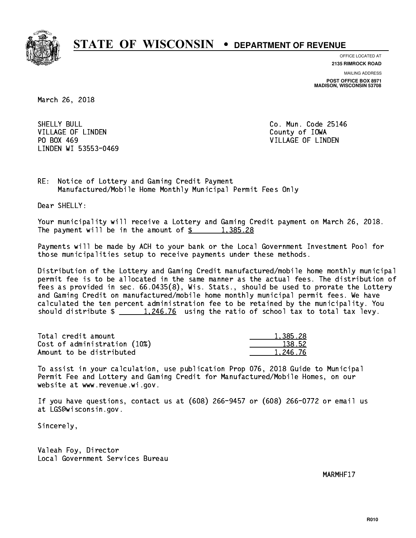

**OFFICE LOCATED AT**

**2135 RIMROCK ROAD**

**MAILING ADDRESS POST OFFICE BOX 8971 MADISON, WISCONSIN 53708**

March 26, 2018

SHELLY BULL VILLAGE OF LINDEN COUNTY OF LOOKS PO BOX 469 LINDEN WI 53553-0469

Co. Mun. Code 25146 VILLAGE OF LINDEN

RE: Notice of Lottery and Gaming Credit Payment Manufactured/Mobile Home Monthly Municipal Permit Fees Only

Dear SHELLY:

 Your municipality will receive a Lottery and Gaming Credit payment on March 26, 2018. The payment will be in the amount of  $\frac{2}{3}$  1,385.28

 Payments will be made by ACH to your bank or the Local Government Investment Pool for those municipalities setup to receive payments under these methods.

 Distribution of the Lottery and Gaming Credit manufactured/mobile home monthly municipal permit fee is to be allocated in the same manner as the actual fees. The distribution of fees as provided in sec. 66.0435(8), Wis. Stats., should be used to prorate the Lottery and Gaming Credit on manufactured/mobile home monthly municipal permit fees. We have calculated the ten percent administration fee to be retained by the municipality. You should distribute  $\frac{1,246.76}{1,246.76}$  using the ratio of school tax to total tax levy.

| Total credit amount          | 1,385.28 |
|------------------------------|----------|
| Cost of administration (10%) | 138.52   |
| Amount to be distributed     | 1.246.76 |

 To assist in your calculation, use publication Prop 076, 2018 Guide to Municipal Permit Fee and Lottery and Gaming Credit for Manufactured/Mobile Homes, on our website at www.revenue.wi.gov.

 If you have questions, contact us at (608) 266-9457 or (608) 266-0772 or email us at LGS@wisconsin.gov.

Sincerely,

 Valeah Foy, Director Local Government Services Bureau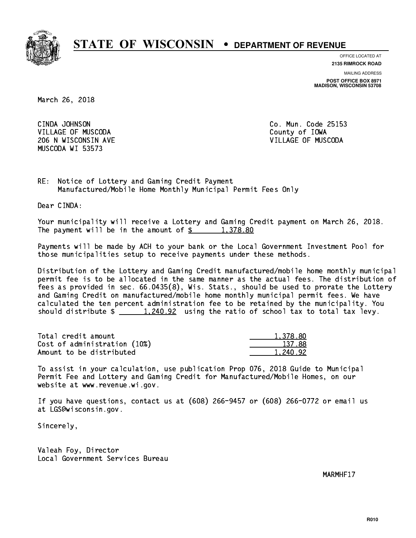

**OFFICE LOCATED AT**

**2135 RIMROCK ROAD**

**MAILING ADDRESS POST OFFICE BOX 8971 MADISON, WISCONSIN 53708**

March 26, 2018

CINDA JOHNSON VILLAGE OF MUSCODA County of IOWA 206 N WISCONSIN AVE VILLAGE OF MUSCODA MUSCODA WI 53573

Co. Mun. Code 25153

RE: Notice of Lottery and Gaming Credit Payment Manufactured/Mobile Home Monthly Municipal Permit Fees Only

Dear CINDA:

 Your municipality will receive a Lottery and Gaming Credit payment on March 26, 2018. The payment will be in the amount of  $\frac{2}{3}$  1,378.80

 Payments will be made by ACH to your bank or the Local Government Investment Pool for those municipalities setup to receive payments under these methods.

 Distribution of the Lottery and Gaming Credit manufactured/mobile home monthly municipal permit fee is to be allocated in the same manner as the actual fees. The distribution of fees as provided in sec. 66.0435(8), Wis. Stats., should be used to prorate the Lottery and Gaming Credit on manufactured/mobile home monthly municipal permit fees. We have calculated the ten percent administration fee to be retained by the municipality. You should distribute  $\frac{1,240.92}{1,240.92}$  using the ratio of school tax to total tax levy.

| Total credit amount          | 1.378.80 |
|------------------------------|----------|
| Cost of administration (10%) | 137.88   |
| Amount to be distributed     | 1.240.92 |

 To assist in your calculation, use publication Prop 076, 2018 Guide to Municipal Permit Fee and Lottery and Gaming Credit for Manufactured/Mobile Homes, on our website at www.revenue.wi.gov.

 If you have questions, contact us at (608) 266-9457 or (608) 266-0772 or email us at LGS@wisconsin.gov.

Sincerely,

 Valeah Foy, Director Local Government Services Bureau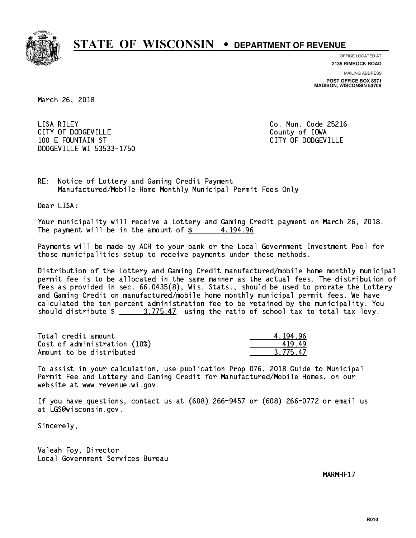

**OFFICE LOCATED AT**

**2135 RIMROCK ROAD**

**MAILING ADDRESS POST OFFICE BOX 8971 MADISON, WISCONSIN 53708**

March 26, 2018

 LISA RILEY Co. Mun. Code 25216 CITY OF DODGEVILLE **COUNTY COUNTY OF IOWA**  100 E FOUNTAIN ST CITY OF DODGEVILLE DODGEVILLE WI 53533-1750

RE: Notice of Lottery and Gaming Credit Payment Manufactured/Mobile Home Monthly Municipal Permit Fees Only

Dear LISA:

 Your municipality will receive a Lottery and Gaming Credit payment on March 26, 2018. The payment will be in the amount of  $\frac{2}{3}$  4,194.96

 Payments will be made by ACH to your bank or the Local Government Investment Pool for those municipalities setup to receive payments under these methods.

 Distribution of the Lottery and Gaming Credit manufactured/mobile home monthly municipal permit fee is to be allocated in the same manner as the actual fees. The distribution of fees as provided in sec. 66.0435(8), Wis. Stats., should be used to prorate the Lottery and Gaming Credit on manufactured/mobile home monthly municipal permit fees. We have calculated the ten percent administration fee to be retained by the municipality. You should distribute  $\frac{2}{1}$   $\frac{3.775.47}{2}$  using the ratio of school tax to total tax levy.

| Total credit amount          | 4.194.96 |
|------------------------------|----------|
| Cost of administration (10%) | 41949    |
| Amount to be distributed     | 3.775.47 |

 To assist in your calculation, use publication Prop 076, 2018 Guide to Municipal Permit Fee and Lottery and Gaming Credit for Manufactured/Mobile Homes, on our website at www.revenue.wi.gov.

 If you have questions, contact us at (608) 266-9457 or (608) 266-0772 or email us at LGS@wisconsin.gov.

Sincerely,

 Valeah Foy, Director Local Government Services Bureau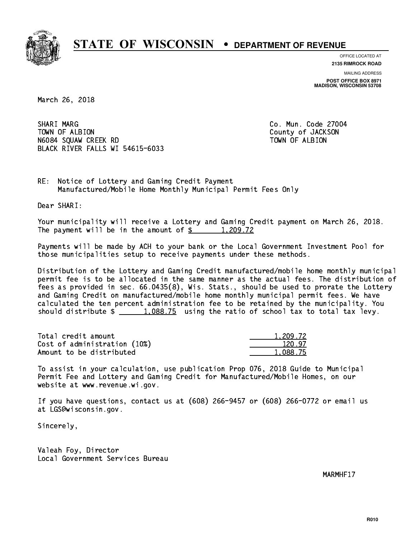

**OFFICE LOCATED AT 2135 RIMROCK ROAD**

**MAILING ADDRESS**

**POST OFFICE BOX 8971 MADISON, WISCONSIN 53708**

March 26, 2018

SHARI MARG TOWN OF ALBION County of JACKSON N6084 SQUAW CREEK RD TOWN OF ALBION BLACK RIVER FALLS WI 54615-6033

Co. Mun. Code 27004

RE: Notice of Lottery and Gaming Credit Payment Manufactured/Mobile Home Monthly Municipal Permit Fees Only

Dear SHARI:

 Your municipality will receive a Lottery and Gaming Credit payment on March 26, 2018. The payment will be in the amount of  $\frac{2}{3}$  1,209.72

 Payments will be made by ACH to your bank or the Local Government Investment Pool for those municipalities setup to receive payments under these methods.

 Distribution of the Lottery and Gaming Credit manufactured/mobile home monthly municipal permit fee is to be allocated in the same manner as the actual fees. The distribution of fees as provided in sec. 66.0435(8), Wis. Stats., should be used to prorate the Lottery and Gaming Credit on manufactured/mobile home monthly municipal permit fees. We have calculated the ten percent administration fee to be retained by the municipality. You should distribute  $\frac{1.088.75}{1.088.75}$  using the ratio of school tax to total tax levy.

| Total credit amount          | 1,209.72 |
|------------------------------|----------|
| Cost of administration (10%) | 120.97   |
| Amount to be distributed     | 1.088.75 |

 To assist in your calculation, use publication Prop 076, 2018 Guide to Municipal Permit Fee and Lottery and Gaming Credit for Manufactured/Mobile Homes, on our website at www.revenue.wi.gov.

 If you have questions, contact us at (608) 266-9457 or (608) 266-0772 or email us at LGS@wisconsin.gov.

Sincerely,

 Valeah Foy, Director Local Government Services Bureau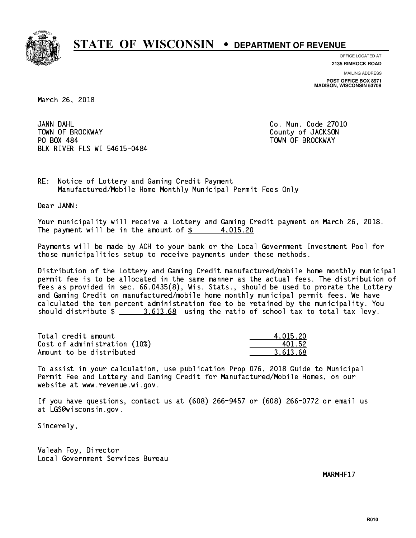

**OFFICE LOCATED AT**

**2135 RIMROCK ROAD**

**MAILING ADDRESS POST OFFICE BOX 8971 MADISON, WISCONSIN 53708**

March 26, 2018

JANN DAHL TOWN OF BROCKWAY **COUNTY OF SECOND-** TOWN OF BROCKWAY PO BOX 484 PO BOX 484 TOWN OF BROCKWAY BLK RIVER FLS WI 54615-0484

Co. Mun. Code 27010

RE: Notice of Lottery and Gaming Credit Payment Manufactured/Mobile Home Monthly Municipal Permit Fees Only

Dear JANN:

 Your municipality will receive a Lottery and Gaming Credit payment on March 26, 2018. The payment will be in the amount of  $\frac{2}{3}$  4,015.20

 Payments will be made by ACH to your bank or the Local Government Investment Pool for those municipalities setup to receive payments under these methods.

 Distribution of the Lottery and Gaming Credit manufactured/mobile home monthly municipal permit fee is to be allocated in the same manner as the actual fees. The distribution of fees as provided in sec. 66.0435(8), Wis. Stats., should be used to prorate the Lottery and Gaming Credit on manufactured/mobile home monthly municipal permit fees. We have calculated the ten percent administration fee to be retained by the municipality. You should distribute  $\frac{2}{2}$   $\frac{3.613.68}{2}$  using the ratio of school tax to total tax levy.

| Total credit amount          | 4.015.20 |
|------------------------------|----------|
| Cost of administration (10%) | 401.52   |
| Amount to be distributed     | 3.613.68 |

 To assist in your calculation, use publication Prop 076, 2018 Guide to Municipal Permit Fee and Lottery and Gaming Credit for Manufactured/Mobile Homes, on our website at www.revenue.wi.gov.

 If you have questions, contact us at (608) 266-9457 or (608) 266-0772 or email us at LGS@wisconsin.gov.

Sincerely,

 Valeah Foy, Director Local Government Services Bureau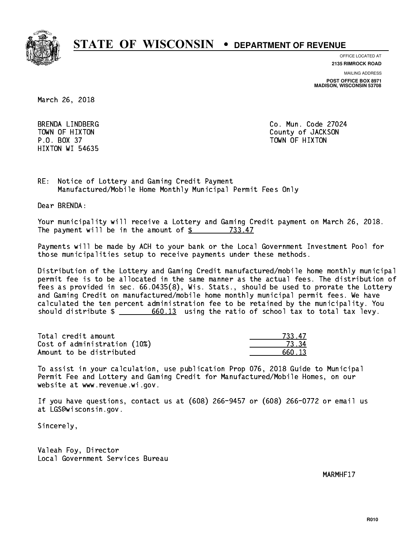

**OFFICE LOCATED AT**

**2135 RIMROCK ROAD**

**MAILING ADDRESS**

**POST OFFICE BOX 8971 MADISON, WISCONSIN 53708**

March 26, 2018

 P.O. BOX 37 TOWN OF HIXTON HIXTON WI 54635

 BRENDA LINDBERG Co. Mun. Code 27024 TOWN OF HIXTON COUNTY OF SALES AND TOWN OF HIXTON TOWN OF HIXTON

RE: Notice of Lottery and Gaming Credit Payment Manufactured/Mobile Home Monthly Municipal Permit Fees Only

Dear BRENDA:

 Your municipality will receive a Lottery and Gaming Credit payment on March 26, 2018. The payment will be in the amount of \$ 733.47 \_\_\_\_\_\_\_\_\_\_\_\_\_\_\_\_

 Payments will be made by ACH to your bank or the Local Government Investment Pool for those municipalities setup to receive payments under these methods.

 Distribution of the Lottery and Gaming Credit manufactured/mobile home monthly municipal permit fee is to be allocated in the same manner as the actual fees. The distribution of fees as provided in sec. 66.0435(8), Wis. Stats., should be used to prorate the Lottery and Gaming Credit on manufactured/mobile home monthly municipal permit fees. We have calculated the ten percent administration fee to be retained by the municipality. You should distribute  $\frac{2}{1}$   $\frac{660.13}{1}$  using the ratio of school tax to total tax levy.

Total credit amount Cost of administration (10%) Amount to be distributed

| 17   |
|------|
|      |
| יו ח |

 To assist in your calculation, use publication Prop 076, 2018 Guide to Municipal Permit Fee and Lottery and Gaming Credit for Manufactured/Mobile Homes, on our website at www.revenue.wi.gov.

 If you have questions, contact us at (608) 266-9457 or (608) 266-0772 or email us at LGS@wisconsin.gov.

Sincerely,

 Valeah Foy, Director Local Government Services Bureau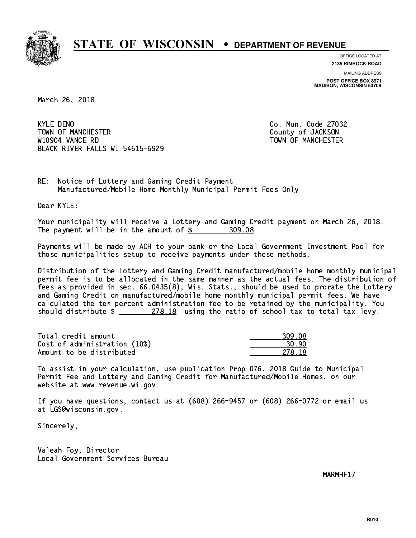

**OFFICE LOCATED AT**

**2135 RIMROCK ROAD**

**MAILING ADDRESS POST OFFICE BOX 8971 MADISON, WISCONSIN 53708**

March 26, 2018

**KYLE DENO** TOWN OF MANCHESTER COUNTY OF JACKSON W10904 VANCE RD TOWN OF MANCHESTER BLACK RIVER FALLS WI 54615-6929

Co. Mun. Code 27032

RE: Notice of Lottery and Gaming Credit Payment Manufactured/Mobile Home Monthly Municipal Permit Fees Only

Dear KYLE:

 Your municipality will receive a Lottery and Gaming Credit payment on March 26, 2018. The payment will be in the amount of \$ 309.08 \_\_\_\_\_\_\_\_\_\_\_\_\_\_\_\_

 Payments will be made by ACH to your bank or the Local Government Investment Pool for those municipalities setup to receive payments under these methods.

 Distribution of the Lottery and Gaming Credit manufactured/mobile home monthly municipal permit fee is to be allocated in the same manner as the actual fees. The distribution of fees as provided in sec. 66.0435(8), Wis. Stats., should be used to prorate the Lottery and Gaming Credit on manufactured/mobile home monthly municipal permit fees. We have calculated the ten percent administration fee to be retained by the municipality. You should distribute  $\frac{278.18}{278.18}$  using the ratio of school tax to total tax levy.

| Total credit amount          | 309.08 |
|------------------------------|--------|
| Cost of administration (10%) | 30.90  |
| Amount to be distributed     | 278 18 |

| - 08   |
|--------|
| .      |
| 278.18 |

 To assist in your calculation, use publication Prop 076, 2018 Guide to Municipal Permit Fee and Lottery and Gaming Credit for Manufactured/Mobile Homes, on our website at www.revenue.wi.gov.

 If you have questions, contact us at (608) 266-9457 or (608) 266-0772 or email us at LGS@wisconsin.gov.

Sincerely,

 Valeah Foy, Director Local Government Services Bureau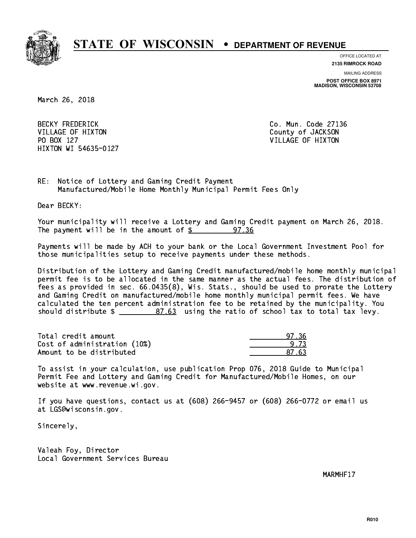

**OFFICE LOCATED AT**

**2135 RIMROCK ROAD**

**MAILING ADDRESS**

**POST OFFICE BOX 8971 MADISON, WISCONSIN 53708**

March 26, 2018

BECKY FREDERICK **Co. Mun. Code 27136** VILLAGE OF HIXTON COUNTY OF JACKSON PO BOX 127 VILLAGE OF HIXTON HIXTON WI 54635-0127

RE: Notice of Lottery and Gaming Credit Payment Manufactured/Mobile Home Monthly Municipal Permit Fees Only

Dear BECKY:

 Your municipality will receive a Lottery and Gaming Credit payment on March 26, 2018. The payment will be in the amount of  $\frac{25}{36}$ 97.36

 Payments will be made by ACH to your bank or the Local Government Investment Pool for those municipalities setup to receive payments under these methods.

 Distribution of the Lottery and Gaming Credit manufactured/mobile home monthly municipal permit fee is to be allocated in the same manner as the actual fees. The distribution of fees as provided in sec. 66.0435(8), Wis. Stats., should be used to prorate the Lottery and Gaming Credit on manufactured/mobile home monthly municipal permit fees. We have calculated the ten percent administration fee to be retained by the municipality. You should distribute  $\frac{2}{2}$   $\frac{87.63}{2}$  using the ratio of school tax to total tax levy.

Total credit amount Cost of administration (10%) Amount to be distributed

| - 3 |
|-----|
| -73 |
| -63 |

 To assist in your calculation, use publication Prop 076, 2018 Guide to Municipal Permit Fee and Lottery and Gaming Credit for Manufactured/Mobile Homes, on our website at www.revenue.wi.gov.

 If you have questions, contact us at (608) 266-9457 or (608) 266-0772 or email us at LGS@wisconsin.gov.

Sincerely,

 Valeah Foy, Director Local Government Services Bureau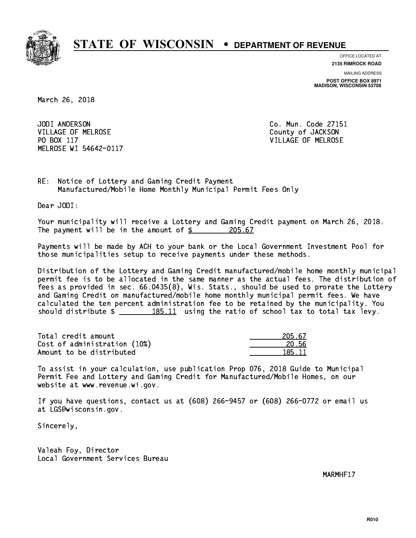

**OFFICE LOCATED AT**

**2135 RIMROCK ROAD**

**MAILING ADDRESS**

**POST OFFICE BOX 8971 MADISON, WISCONSIN 53708**

March 26, 2018

JODI ANDERSON VILLAGE OF MELROSE COUNTY OF JACKSON PO BOX 117 VILLAGE OF MELROSE MELROSE WI 54642-0117

Co. Mun. Code 27151

RE: Notice of Lottery and Gaming Credit Payment Manufactured/Mobile Home Monthly Municipal Permit Fees Only

Dear JODI:

 Your municipality will receive a Lottery and Gaming Credit payment on March 26, 2018. The payment will be in the amount of  $\frac{205.67}{200}$ 

 Payments will be made by ACH to your bank or the Local Government Investment Pool for those municipalities setup to receive payments under these methods.

 Distribution of the Lottery and Gaming Credit manufactured/mobile home monthly municipal permit fee is to be allocated in the same manner as the actual fees. The distribution of fees as provided in sec. 66.0435(8), Wis. Stats., should be used to prorate the Lottery and Gaming Credit on manufactured/mobile home monthly municipal permit fees. We have calculated the ten percent administration fee to be retained by the municipality. You should distribute  $\frac{185.11}{185.11}$  using the ratio of school tax to total tax levy.

Total credit amount Cost of administration (10%) Amount to be distributed

| 05.67<br>2 |
|------------|
| በ 56       |
| R5 11      |

 To assist in your calculation, use publication Prop 076, 2018 Guide to Municipal Permit Fee and Lottery and Gaming Credit for Manufactured/Mobile Homes, on our website at www.revenue.wi.gov.

 If you have questions, contact us at (608) 266-9457 or (608) 266-0772 or email us at LGS@wisconsin.gov.

Sincerely,

 Valeah Foy, Director Local Government Services Bureau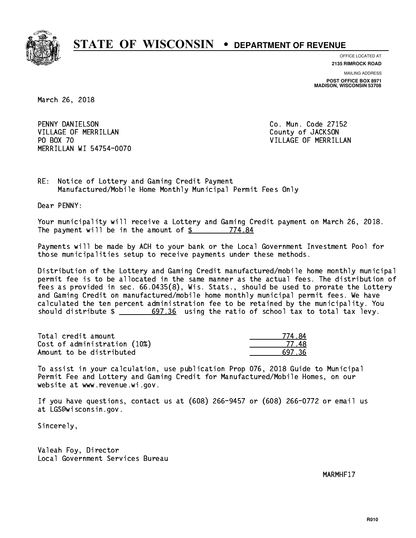

**OFFICE LOCATED AT**

**2135 RIMROCK ROAD**

**MAILING ADDRESS POST OFFICE BOX 8971 MADISON, WISCONSIN 53708**

March 26, 2018

 PENNY DANIELSON Co. Mun. Code 27152 VILLAGE OF MERRILLAN County of JACKSON PO BOX 70 MERRILLAN WI 54754-0070

VILLAGE OF MERRILLAN

RE: Notice of Lottery and Gaming Credit Payment Manufactured/Mobile Home Monthly Municipal Permit Fees Only

Dear PENNY:

 Your municipality will receive a Lottery and Gaming Credit payment on March 26, 2018. The payment will be in the amount of \$ 774.84 \_\_\_\_\_\_\_\_\_\_\_\_\_\_\_\_

 Payments will be made by ACH to your bank or the Local Government Investment Pool for those municipalities setup to receive payments under these methods.

 Distribution of the Lottery and Gaming Credit manufactured/mobile home monthly municipal permit fee is to be allocated in the same manner as the actual fees. The distribution of fees as provided in sec. 66.0435(8), Wis. Stats., should be used to prorate the Lottery and Gaming Credit on manufactured/mobile home monthly municipal permit fees. We have calculated the ten percent administration fee to be retained by the municipality. You should distribute  $\frac{2}{1-x} = \frac{697.36}{20}$  using the ratio of school tax to total tax levy.

| Total credit amount          | 774.84 |
|------------------------------|--------|
| Cost of administration (10%) | 77 48  |
| Amount to be distributed     | 697.36 |

| ŁΔ<br>77 |
|----------|
| 77.      |
| 736      |

 To assist in your calculation, use publication Prop 076, 2018 Guide to Municipal Permit Fee and Lottery and Gaming Credit for Manufactured/Mobile Homes, on our website at www.revenue.wi.gov.

 If you have questions, contact us at (608) 266-9457 or (608) 266-0772 or email us at LGS@wisconsin.gov.

Sincerely,

 Valeah Foy, Director Local Government Services Bureau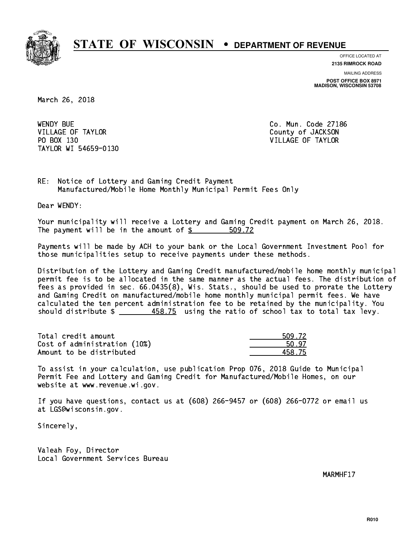

**OFFICE LOCATED AT**

**2135 RIMROCK ROAD**

**MAILING ADDRESS**

**POST OFFICE BOX 8971 MADISON, WISCONSIN 53708**

March 26, 2018

**WENDY BUE** VILLAGE OF TAYLOR COUNTY OF JACKSON PO BOX 130 VILLAGE OF TAYLOR TAYLOR WI 54659-0130

Co. Mun. Code 27186

RE: Notice of Lottery and Gaming Credit Payment Manufactured/Mobile Home Monthly Municipal Permit Fees Only

Dear WENDY:

 Your municipality will receive a Lottery and Gaming Credit payment on March 26, 2018. The payment will be in the amount of  $\frac{2}{3}$ 509.72

 Payments will be made by ACH to your bank or the Local Government Investment Pool for those municipalities setup to receive payments under these methods.

 Distribution of the Lottery and Gaming Credit manufactured/mobile home monthly municipal permit fee is to be allocated in the same manner as the actual fees. The distribution of fees as provided in sec. 66.0435(8), Wis. Stats., should be used to prorate the Lottery and Gaming Credit on manufactured/mobile home monthly municipal permit fees. We have calculated the ten percent administration fee to be retained by the municipality. You should distribute \$ 458.75 using the ratio of school tax to total tax levy. \_\_\_\_\_\_\_\_\_\_\_\_\_\_

Total credit amount Cost of administration (10%) Amount to be distributed

| 1.72. |
|-------|
| 97.   |
| R. 75 |

 To assist in your calculation, use publication Prop 076, 2018 Guide to Municipal Permit Fee and Lottery and Gaming Credit for Manufactured/Mobile Homes, on our website at www.revenue.wi.gov.

 If you have questions, contact us at (608) 266-9457 or (608) 266-0772 or email us at LGS@wisconsin.gov.

Sincerely,

 Valeah Foy, Director Local Government Services Bureau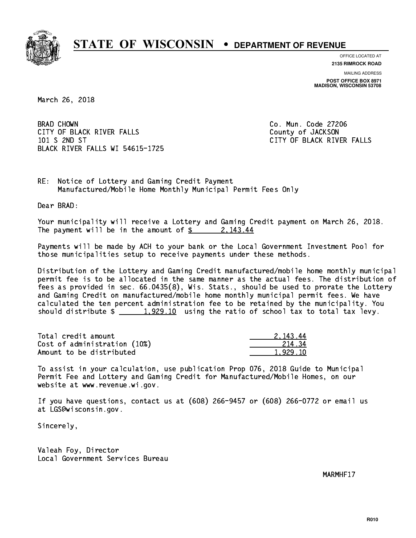

**OFFICE LOCATED AT**

**2135 RIMROCK ROAD**

**MAILING ADDRESS POST OFFICE BOX 8971 MADISON, WISCONSIN 53708**

March 26, 2018

**BRAD CHOWN** CITY OF BLACK RIVER FALLS COUNTY OF JACKSON 101 S 2ND ST CITY OF BLACK RIVER FALLS BLACK RIVER FALLS WI 54615-1725

Co. Mun. Code 27206

RE: Notice of Lottery and Gaming Credit Payment Manufactured/Mobile Home Monthly Municipal Permit Fees Only

Dear BRAD:

 Your municipality will receive a Lottery and Gaming Credit payment on March 26, 2018. The payment will be in the amount of  $\frac{2}{3}$  2,143.44

 Payments will be made by ACH to your bank or the Local Government Investment Pool for those municipalities setup to receive payments under these methods.

 Distribution of the Lottery and Gaming Credit manufactured/mobile home monthly municipal permit fee is to be allocated in the same manner as the actual fees. The distribution of fees as provided in sec. 66.0435(8), Wis. Stats., should be used to prorate the Lottery and Gaming Credit on manufactured/mobile home monthly municipal permit fees. We have calculated the ten percent administration fee to be retained by the municipality. You should distribute  $\frac{1,929.10}{1,929.10}$  using the ratio of school tax to total tax levy.

| Total credit amount          | 2.143.44 |
|------------------------------|----------|
| Cost of administration (10%) | -214 .34 |
| Amount to be distributed     | 1.929.10 |

 To assist in your calculation, use publication Prop 076, 2018 Guide to Municipal Permit Fee and Lottery and Gaming Credit for Manufactured/Mobile Homes, on our website at www.revenue.wi.gov.

 If you have questions, contact us at (608) 266-9457 or (608) 266-0772 or email us at LGS@wisconsin.gov.

Sincerely,

 Valeah Foy, Director Local Government Services Bureau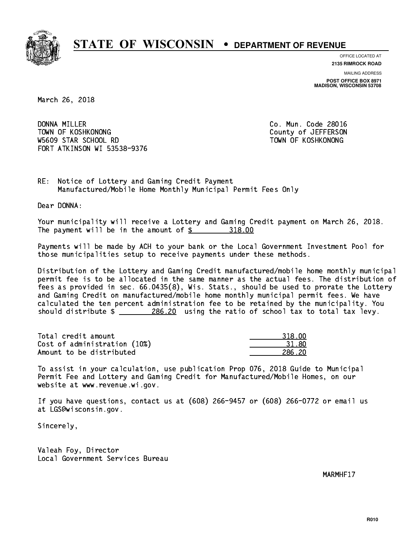

**OFFICE LOCATED AT 2135 RIMROCK ROAD**

**MAILING ADDRESS**

**POST OFFICE BOX 8971 MADISON, WISCONSIN 53708**

March 26, 2018

DONNA MILLER TOWN OF KOSHKONONG COUNTY OF A SERIES ON TOWN OF A SERIES ON W5609 STAR SCHOOL RD TOWN OF KOSHKONONG FORT ATKINSON WI 53538-9376

Co. Mun. Code 28016

RE: Notice of Lottery and Gaming Credit Payment Manufactured/Mobile Home Monthly Municipal Permit Fees Only

Dear DONNA:

 Your municipality will receive a Lottery and Gaming Credit payment on March 26, 2018. The payment will be in the amount of \$ 318.00 \_\_\_\_\_\_\_\_\_\_\_\_\_\_\_\_

 Payments will be made by ACH to your bank or the Local Government Investment Pool for those municipalities setup to receive payments under these methods.

 Distribution of the Lottery and Gaming Credit manufactured/mobile home monthly municipal permit fee is to be allocated in the same manner as the actual fees. The distribution of fees as provided in sec. 66.0435(8), Wis. Stats., should be used to prorate the Lottery and Gaming Credit on manufactured/mobile home monthly municipal permit fees. We have calculated the ten percent administration fee to be retained by the municipality. You should distribute  $\frac{286.20}{286.20}$  using the ratio of school tax to total tax levy.

| Total credit amount          | 318.00   |
|------------------------------|----------|
| Cost of administration (10%) | -31 - 80 |
| Amount to be distributed     | 286.20   |

| 318.00 |
|--------|
| 31. 80 |
| 6 2በ   |

 To assist in your calculation, use publication Prop 076, 2018 Guide to Municipal Permit Fee and Lottery and Gaming Credit for Manufactured/Mobile Homes, on our website at www.revenue.wi.gov.

 If you have questions, contact us at (608) 266-9457 or (608) 266-0772 or email us at LGS@wisconsin.gov.

Sincerely,

 Valeah Foy, Director Local Government Services Bureau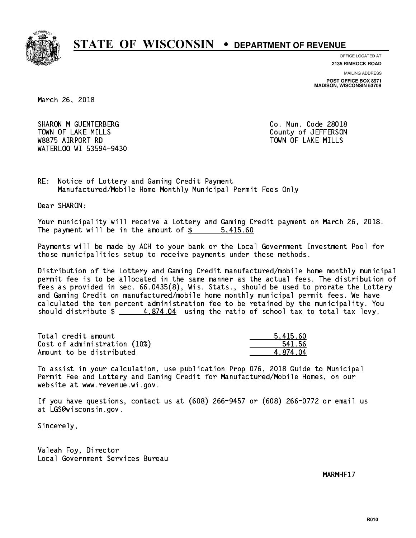

**OFFICE LOCATED AT**

**2135 RIMROCK ROAD**

**MAILING ADDRESS POST OFFICE BOX 8971 MADISON, WISCONSIN 53708**

March 26, 2018

SHARON M GUENTERBERG CO. Mun. Code 28018 TOWN OF LAKE MILLS **TOWN OF LAKE MILLS**  W8875 AIRPORT RD TOWN OF LAKE MILLS WATERLOO WI 53594-9430

RE: Notice of Lottery and Gaming Credit Payment Manufactured/Mobile Home Monthly Municipal Permit Fees Only

Dear SHARON:

 Your municipality will receive a Lottery and Gaming Credit payment on March 26, 2018. The payment will be in the amount of \$ 5,415.60 \_\_\_\_\_\_\_\_\_\_\_\_\_\_\_\_

 Payments will be made by ACH to your bank or the Local Government Investment Pool for those municipalities setup to receive payments under these methods.

 Distribution of the Lottery and Gaming Credit manufactured/mobile home monthly municipal permit fee is to be allocated in the same manner as the actual fees. The distribution of fees as provided in sec. 66.0435(8), Wis. Stats., should be used to prorate the Lottery and Gaming Credit on manufactured/mobile home monthly municipal permit fees. We have calculated the ten percent administration fee to be retained by the municipality. You should distribute  $\frac{2}{1}$   $\frac{4.874.04}{2}$  using the ratio of school tax to total tax levy.

| Total credit amount          | 5.415.60 |
|------------------------------|----------|
| Cost of administration (10%) | 541.56   |
| Amount to be distributed     | 4.874.04 |

 To assist in your calculation, use publication Prop 076, 2018 Guide to Municipal Permit Fee and Lottery and Gaming Credit for Manufactured/Mobile Homes, on our website at www.revenue.wi.gov.

 If you have questions, contact us at (608) 266-9457 or (608) 266-0772 or email us at LGS@wisconsin.gov.

Sincerely,

 Valeah Foy, Director Local Government Services Bureau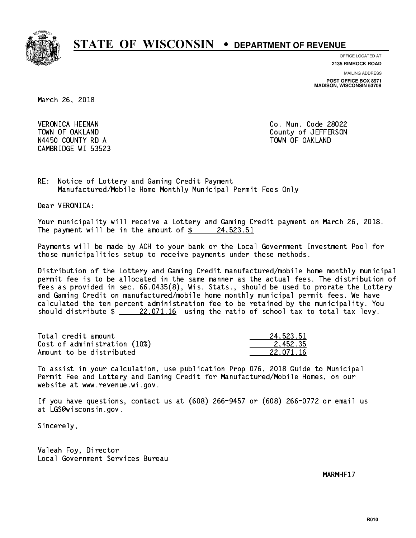

**OFFICE LOCATED AT**

**2135 RIMROCK ROAD**

**MAILING ADDRESS**

**POST OFFICE BOX 8971 MADISON, WISCONSIN 53708**

March 26, 2018

 VERONICA HEENAN Co. Mun. Code 28022 N4450 COUNTY RD A TOWN OF OAKLAND CAMBRIDGE WI 53523

TOWN OF OAKLAND County of JEFFERSON

RE: Notice of Lottery and Gaming Credit Payment Manufactured/Mobile Home Monthly Municipal Permit Fees Only

Dear VERONICA:

 Your municipality will receive a Lottery and Gaming Credit payment on March 26, 2018. The payment will be in the amount of  $\frac{24.523.51}{24.523.51}$ 

 Payments will be made by ACH to your bank or the Local Government Investment Pool for those municipalities setup to receive payments under these methods.

 Distribution of the Lottery and Gaming Credit manufactured/mobile home monthly municipal permit fee is to be allocated in the same manner as the actual fees. The distribution of fees as provided in sec. 66.0435(8), Wis. Stats., should be used to prorate the Lottery and Gaming Credit on manufactured/mobile home monthly municipal permit fees. We have calculated the ten percent administration fee to be retained by the municipality. You should distribute  $\frac{22,071.16}{22,071.16}$  using the ratio of school tax to total tax levy.

| Total credit amount          | 24.523.51 |
|------------------------------|-----------|
| Cost of administration (10%) | 2.452.35  |
| Amount to be distributed     | 22.071.16 |

 To assist in your calculation, use publication Prop 076, 2018 Guide to Municipal Permit Fee and Lottery and Gaming Credit for Manufactured/Mobile Homes, on our website at www.revenue.wi.gov.

 If you have questions, contact us at (608) 266-9457 or (608) 266-0772 or email us at LGS@wisconsin.gov.

Sincerely,

 Valeah Foy, Director Local Government Services Bureau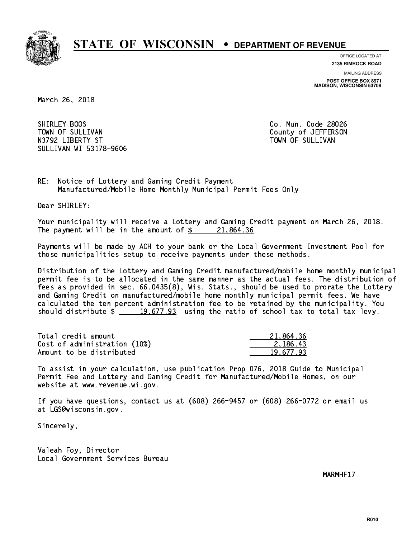

**OFFICE LOCATED AT**

**2135 RIMROCK ROAD**

**MAILING ADDRESS POST OFFICE BOX 8971 MADISON, WISCONSIN 53708**

March 26, 2018

SHIRLEY BOOS TOWN OF SULLIVAN COUNTY OF SULLIVAN N3792 LIBERTY ST TOWN OF SULLIVAN SULLIVAN WI 53178-9606

Co. Mun. Code 28026

RE: Notice of Lottery and Gaming Credit Payment Manufactured/Mobile Home Monthly Municipal Permit Fees Only

Dear SHIRLEY:

 Your municipality will receive a Lottery and Gaming Credit payment on March 26, 2018. The payment will be in the amount of  $\frac{21,864.36}{21,864.36}$ 

 Payments will be made by ACH to your bank or the Local Government Investment Pool for those municipalities setup to receive payments under these methods.

 Distribution of the Lottery and Gaming Credit manufactured/mobile home monthly municipal permit fee is to be allocated in the same manner as the actual fees. The distribution of fees as provided in sec. 66.0435(8), Wis. Stats., should be used to prorate the Lottery and Gaming Credit on manufactured/mobile home monthly municipal permit fees. We have calculated the ten percent administration fee to be retained by the municipality. You should distribute  $\frac{19,677.93}{2}$  using the ratio of school tax to total tax levy.

| Total credit amount          | 21,864.36 |
|------------------------------|-----------|
| Cost of administration (10%) | 2.186.43  |
| Amount to be distributed     | 19.677.93 |

 To assist in your calculation, use publication Prop 076, 2018 Guide to Municipal Permit Fee and Lottery and Gaming Credit for Manufactured/Mobile Homes, on our website at www.revenue.wi.gov.

 If you have questions, contact us at (608) 266-9457 or (608) 266-0772 or email us at LGS@wisconsin.gov.

Sincerely,

 Valeah Foy, Director Local Government Services Bureau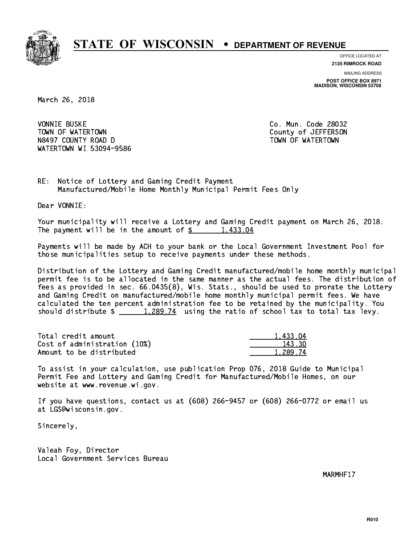

**OFFICE LOCATED AT 2135 RIMROCK ROAD**

**MAILING ADDRESS**

**POST OFFICE BOX 8971 MADISON, WISCONSIN 53708**

March 26, 2018

**VONNIE BUSKE** TOWN OF WATERTOWN COUNTY OF VALUE OF THE COUNTY OF A LIFT OF THE COUNTY OF A LIFT OF THE COUNTY OF THE COUNTY OF THE COUNTY OF THE COUNTY OF THE COUNTY OF THE COUNTY OF THE COUNTY OF THE COUNTY OF THE COUNTY OF THE COUNTY N8497 COUNTY ROAD D TOWN OF WATERTOWN NAME OF SALE OF STATE OF STATE OF STATE OF STATE OF STATE OF STATE OF ST WATERTOWN WI 53094-9586

Co. Mun. Code 28032

RE: Notice of Lottery and Gaming Credit Payment Manufactured/Mobile Home Monthly Municipal Permit Fees Only

Dear VONNIE:

 Your municipality will receive a Lottery and Gaming Credit payment on March 26, 2018. The payment will be in the amount of  $\frac{2}{3}$  1,433.04

 Payments will be made by ACH to your bank or the Local Government Investment Pool for those municipalities setup to receive payments under these methods.

 Distribution of the Lottery and Gaming Credit manufactured/mobile home monthly municipal permit fee is to be allocated in the same manner as the actual fees. The distribution of fees as provided in sec. 66.0435(8), Wis. Stats., should be used to prorate the Lottery and Gaming Credit on manufactured/mobile home monthly municipal permit fees. We have calculated the ten percent administration fee to be retained by the municipality. You should distribute  $\frac{1,289.74}{1,289.74}$  using the ratio of school tax to total tax levy.

| Total credit amount          | 1.433.04 |
|------------------------------|----------|
| Cost of administration (10%) | 143.30   |
| Amount to be distributed     | 1.289.74 |

 To assist in your calculation, use publication Prop 076, 2018 Guide to Municipal Permit Fee and Lottery and Gaming Credit for Manufactured/Mobile Homes, on our website at www.revenue.wi.gov.

 If you have questions, contact us at (608) 266-9457 or (608) 266-0772 or email us at LGS@wisconsin.gov.

Sincerely,

 Valeah Foy, Director Local Government Services Bureau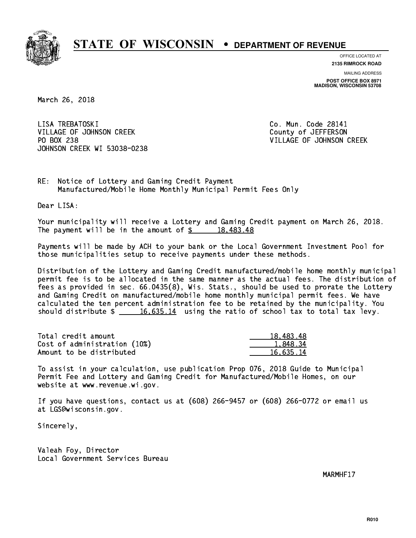

**OFFICE LOCATED AT 2135 RIMROCK ROAD**

**MAILING ADDRESS POST OFFICE BOX 8971 MADISON, WISCONSIN 53708**

March 26, 2018

LISA TREBATOSKI VILLAGE OF JOHNSON CREEK COUNTY OF JEFFERSON PO BOX 238 JOHNSON CREEK WI 53038-0238

Co. Mun. Code 28141 VILLAGE OF JOHNSON CREEK

RE: Notice of Lottery and Gaming Credit Payment Manufactured/Mobile Home Monthly Municipal Permit Fees Only

Dear LISA:

 Your municipality will receive a Lottery and Gaming Credit payment on March 26, 2018. The payment will be in the amount of  $\frac{2}{3}$  18,483.48

 Payments will be made by ACH to your bank or the Local Government Investment Pool for those municipalities setup to receive payments under these methods.

 Distribution of the Lottery and Gaming Credit manufactured/mobile home monthly municipal permit fee is to be allocated in the same manner as the actual fees. The distribution of fees as provided in sec. 66.0435(8), Wis. Stats., should be used to prorate the Lottery and Gaming Credit on manufactured/mobile home monthly municipal permit fees. We have calculated the ten percent administration fee to be retained by the municipality. You should distribute  $\frac{16,635.14}{2}$  using the ratio of school tax to total tax levy.

| Total credit amount          | 18,483.48 |
|------------------------------|-----------|
| Cost of administration (10%) | 1.848.34  |
| Amount to be distributed     | 16.635.14 |

 To assist in your calculation, use publication Prop 076, 2018 Guide to Municipal Permit Fee and Lottery and Gaming Credit for Manufactured/Mobile Homes, on our website at www.revenue.wi.gov.

 If you have questions, contact us at (608) 266-9457 or (608) 266-0772 or email us at LGS@wisconsin.gov.

Sincerely,

 Valeah Foy, Director Local Government Services Bureau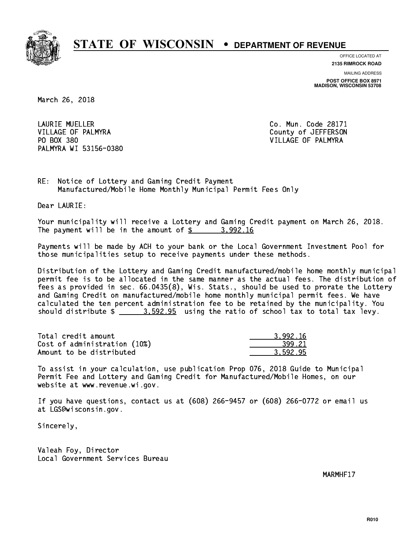

**OFFICE LOCATED AT**

**2135 RIMROCK ROAD**

**MAILING ADDRESS POST OFFICE BOX 8971 MADISON, WISCONSIN 53708**

March 26, 2018

 LAURIE MUELLER Co. Mun. Code 28171 VILLAGE OF PALMYRA COUNTY COUNTY OF JEFFERSON PO BOX 380 VILLAGE OF PALMYRA PALMYRA WI 53156-0380

RE: Notice of Lottery and Gaming Credit Payment Manufactured/Mobile Home Monthly Municipal Permit Fees Only

Dear LAURIE:

 Your municipality will receive a Lottery and Gaming Credit payment on March 26, 2018. The payment will be in the amount of  $\frac{2}{3}$  3,992.16

 Payments will be made by ACH to your bank or the Local Government Investment Pool for those municipalities setup to receive payments under these methods.

 Distribution of the Lottery and Gaming Credit manufactured/mobile home monthly municipal permit fee is to be allocated in the same manner as the actual fees. The distribution of fees as provided in sec. 66.0435(8), Wis. Stats., should be used to prorate the Lottery and Gaming Credit on manufactured/mobile home monthly municipal permit fees. We have calculated the ten percent administration fee to be retained by the municipality. You should distribute  $\frac{2}{2}$   $\frac{3.592.95}{2}$  using the ratio of school tax to total tax levy.

| Total credit amount          | 3.992.16 |
|------------------------------|----------|
| Cost of administration (10%) | 399.21   |
| Amount to be distributed     | 3.592.95 |

 To assist in your calculation, use publication Prop 076, 2018 Guide to Municipal Permit Fee and Lottery and Gaming Credit for Manufactured/Mobile Homes, on our website at www.revenue.wi.gov.

 If you have questions, contact us at (608) 266-9457 or (608) 266-0772 or email us at LGS@wisconsin.gov.

Sincerely,

 Valeah Foy, Director Local Government Services Bureau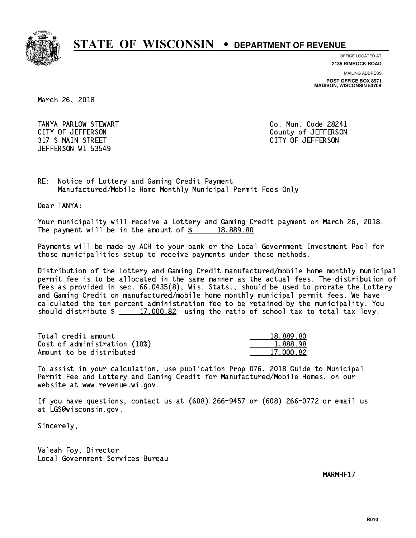

**OFFICE LOCATED AT**

**2135 RIMROCK ROAD**

**MAILING ADDRESS**

**POST OFFICE BOX 8971 MADISON, WISCONSIN 53708**

March 26, 2018

 TANYA PARLOW STEWART Co. Mun. Code 28241 CITY OF JEFFERSON County of JEFFERSON 317 S MAIN STREET CITY OF JEFFERSON JEFFERSON WI 53549

RE: Notice of Lottery and Gaming Credit Payment Manufactured/Mobile Home Monthly Municipal Permit Fees Only

Dear TANYA:

 Your municipality will receive a Lottery and Gaming Credit payment on March 26, 2018. The payment will be in the amount of  $\frac{2}{3}$  18,889.80

 Payments will be made by ACH to your bank or the Local Government Investment Pool for those municipalities setup to receive payments under these methods.

 Distribution of the Lottery and Gaming Credit manufactured/mobile home monthly municipal permit fee is to be allocated in the same manner as the actual fees. The distribution of fees as provided in sec. 66.0435(8), Wis. Stats., should be used to prorate the Lottery and Gaming Credit on manufactured/mobile home monthly municipal permit fees. We have calculated the ten percent administration fee to be retained by the municipality. You should distribute  $\frac{2}{17,000.82}$  using the ratio of school tax to total tax levy.

| Total credit amount          | 18,889.80 |
|------------------------------|-----------|
| Cost of administration (10%) | 1,888.98  |
| Amount to be distributed     | 17.000.82 |

 To assist in your calculation, use publication Prop 076, 2018 Guide to Municipal Permit Fee and Lottery and Gaming Credit for Manufactured/Mobile Homes, on our website at www.revenue.wi.gov.

 If you have questions, contact us at (608) 266-9457 or (608) 266-0772 or email us at LGS@wisconsin.gov.

Sincerely,

 Valeah Foy, Director Local Government Services Bureau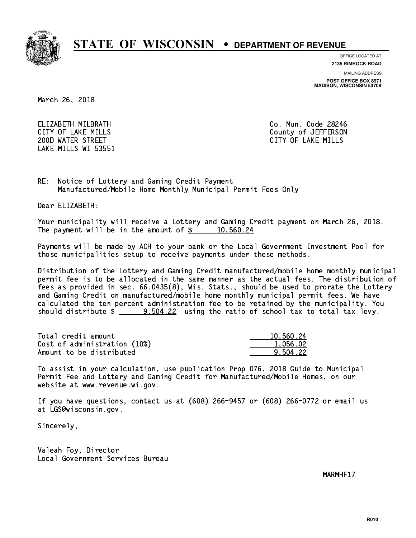

**OFFICE LOCATED AT**

**2135 RIMROCK ROAD**

**MAILING ADDRESS**

**POST OFFICE BOX 8971 MADISON, WISCONSIN 53708**

March 26, 2018

 ELIZABETH MILBRATH Co. Mun. Code 28246 200D WATER STREET CITY OF LAKE MILLS LAKE MILLS WI 53551

CITY OF LAKE MILLS COUNTY OF LAKE MILLS

RE: Notice of Lottery and Gaming Credit Payment Manufactured/Mobile Home Monthly Municipal Permit Fees Only

Dear ELIZABETH:

 Your municipality will receive a Lottery and Gaming Credit payment on March 26, 2018. The payment will be in the amount of  $\frac{2}{3}$  10,560.24

 Payments will be made by ACH to your bank or the Local Government Investment Pool for those municipalities setup to receive payments under these methods.

 Distribution of the Lottery and Gaming Credit manufactured/mobile home monthly municipal permit fee is to be allocated in the same manner as the actual fees. The distribution of fees as provided in sec. 66.0435(8), Wis. Stats., should be used to prorate the Lottery and Gaming Credit on manufactured/mobile home monthly municipal permit fees. We have calculated the ten percent administration fee to be retained by the municipality. You should distribute  $\frac{20,504.22}{2}$  using the ratio of school tax to total tax levy.

| Total credit amount          | 10.560.24 |
|------------------------------|-----------|
| Cost of administration (10%) | 1,056.02  |
| Amount to be distributed     | 9.504.22  |

 To assist in your calculation, use publication Prop 076, 2018 Guide to Municipal Permit Fee and Lottery and Gaming Credit for Manufactured/Mobile Homes, on our website at www.revenue.wi.gov.

 If you have questions, contact us at (608) 266-9457 or (608) 266-0772 or email us at LGS@wisconsin.gov.

Sincerely,

 Valeah Foy, Director Local Government Services Bureau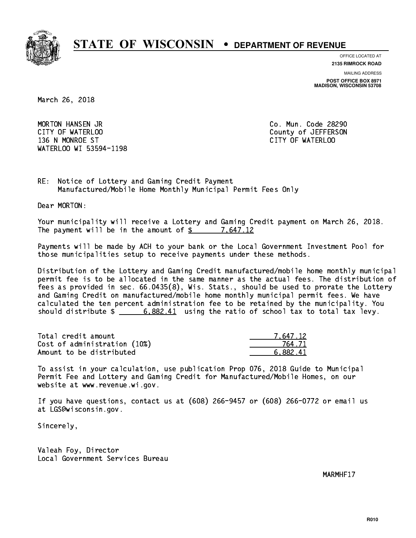

**OFFICE LOCATED AT**

**2135 RIMROCK ROAD**

**MAILING ADDRESS**

**POST OFFICE BOX 8971 MADISON, WISCONSIN 53708**

March 26, 2018

 MORTON HANSEN JR Co. Mun. Code 28290 CITY OF WATERLOO COUNTY OF WATERS ON COUNTY OF SALES AND THE COUNTY OF JEFFERSON 136 N MONROE ST CITY OF WATERLOO WATERLOO WI 53594-1198

RE: Notice of Lottery and Gaming Credit Payment Manufactured/Mobile Home Monthly Municipal Permit Fees Only

Dear MORTON:

 Your municipality will receive a Lottery and Gaming Credit payment on March 26, 2018. The payment will be in the amount of  $\frac{2}{3}$  7,647.12

 Payments will be made by ACH to your bank or the Local Government Investment Pool for those municipalities setup to receive payments under these methods.

 Distribution of the Lottery and Gaming Credit manufactured/mobile home monthly municipal permit fee is to be allocated in the same manner as the actual fees. The distribution of fees as provided in sec. 66.0435(8), Wis. Stats., should be used to prorate the Lottery and Gaming Credit on manufactured/mobile home monthly municipal permit fees. We have calculated the ten percent administration fee to be retained by the municipality. You should distribute  $\frac{2}{1}$  6,882.41 using the ratio of school tax to total tax levy.

| Total credit amount          | 7.647.12 |
|------------------------------|----------|
| Cost of administration (10%) | 764.71   |
| Amount to be distributed     | 6.882.41 |

 To assist in your calculation, use publication Prop 076, 2018 Guide to Municipal Permit Fee and Lottery and Gaming Credit for Manufactured/Mobile Homes, on our website at www.revenue.wi.gov.

 If you have questions, contact us at (608) 266-9457 or (608) 266-0772 or email us at LGS@wisconsin.gov.

Sincerely,

 Valeah Foy, Director Local Government Services Bureau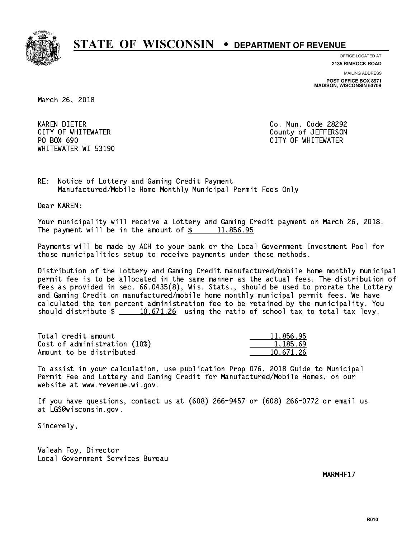

**OFFICE LOCATED AT**

**2135 RIMROCK ROAD**

**MAILING ADDRESS**

**POST OFFICE BOX 8971 MADISON, WISCONSIN 53708**

March 26, 2018

 KAREN DIETER Co. Mun. Code 28292 PO BOX 690 WHITEWATER WI 53190

 CITY OF WHITEWATER County of JEFFERSON CITY OF WHITEWATER

RE: Notice of Lottery and Gaming Credit Payment Manufactured/Mobile Home Monthly Municipal Permit Fees Only

Dear KAREN:

 Your municipality will receive a Lottery and Gaming Credit payment on March 26, 2018. The payment will be in the amount of  $\frac{2}{3}$  11,856.95

 Payments will be made by ACH to your bank or the Local Government Investment Pool for those municipalities setup to receive payments under these methods.

 Distribution of the Lottery and Gaming Credit manufactured/mobile home monthly municipal permit fee is to be allocated in the same manner as the actual fees. The distribution of fees as provided in sec. 66.0435(8), Wis. Stats., should be used to prorate the Lottery and Gaming Credit on manufactured/mobile home monthly municipal permit fees. We have calculated the ten percent administration fee to be retained by the municipality. You should distribute  $\frac{10,671.26}{20}$  using the ratio of school tax to total tax levy.

| Total credit amount          | 11,856.95 |
|------------------------------|-----------|
| Cost of administration (10%) | 1.185.69  |
| Amount to be distributed     | 10.671.26 |

 To assist in your calculation, use publication Prop 076, 2018 Guide to Municipal Permit Fee and Lottery and Gaming Credit for Manufactured/Mobile Homes, on our website at www.revenue.wi.gov.

 If you have questions, contact us at (608) 266-9457 or (608) 266-0772 or email us at LGS@wisconsin.gov.

Sincerely,

 Valeah Foy, Director Local Government Services Bureau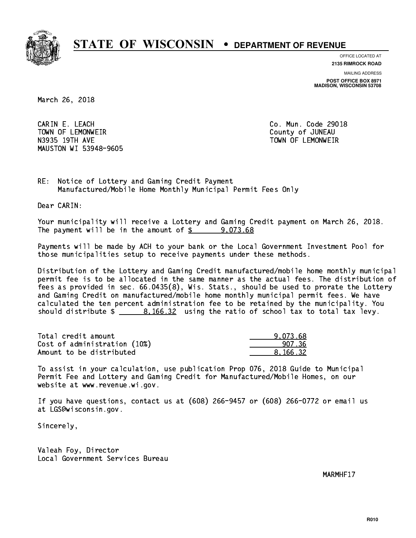

**OFFICE LOCATED AT**

**2135 RIMROCK ROAD**

**MAILING ADDRESS POST OFFICE BOX 8971 MADISON, WISCONSIN 53708**

March 26, 2018

 CARIN E. LEACH Co. Mun. Code 29018 TOWN OF LEMONWEIR County of JUNEAU N3935 19TH AVE TOWN OF LEMONWEIR MAUSTON WI 53948-9605

RE: Notice of Lottery and Gaming Credit Payment Manufactured/Mobile Home Monthly Municipal Permit Fees Only

Dear CARIN:

 Your municipality will receive a Lottery and Gaming Credit payment on March 26, 2018. The payment will be in the amount of  $\frac{2}{3}$  9,073.68

 Payments will be made by ACH to your bank or the Local Government Investment Pool for those municipalities setup to receive payments under these methods.

 Distribution of the Lottery and Gaming Credit manufactured/mobile home monthly municipal permit fee is to be allocated in the same manner as the actual fees. The distribution of fees as provided in sec. 66.0435(8), Wis. Stats., should be used to prorate the Lottery and Gaming Credit on manufactured/mobile home monthly municipal permit fees. We have calculated the ten percent administration fee to be retained by the municipality. You should distribute \$ 8,166.32 using the ratio of school tax to total tax levy. \_\_\_\_\_\_\_\_\_\_\_\_\_\_

| Total credit amount          | 9.073.68 |
|------------------------------|----------|
| Cost of administration (10%) | 907.36   |
| Amount to be distributed     | 8.166.32 |

 To assist in your calculation, use publication Prop 076, 2018 Guide to Municipal Permit Fee and Lottery and Gaming Credit for Manufactured/Mobile Homes, on our website at www.revenue.wi.gov.

 If you have questions, contact us at (608) 266-9457 or (608) 266-0772 or email us at LGS@wisconsin.gov.

Sincerely,

 Valeah Foy, Director Local Government Services Bureau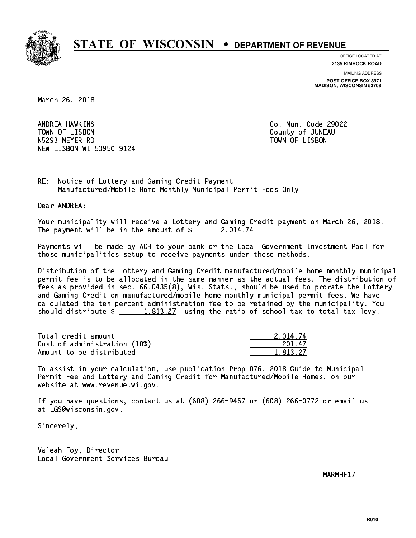

**OFFICE LOCATED AT 2135 RIMROCK ROAD**

**MAILING ADDRESS**

**POST OFFICE BOX 8971 MADISON, WISCONSIN 53708**

March 26, 2018

ANDREA HAWKINS TOWN OF LISBON COUNTY OF A LISBON N5293 MEYER RD TOWN OF LISBON NEW LISBON WI 53950-9124

Co. Mun. Code 29022

RE: Notice of Lottery and Gaming Credit Payment Manufactured/Mobile Home Monthly Municipal Permit Fees Only

Dear ANDREA:

 Your municipality will receive a Lottery and Gaming Credit payment on March 26, 2018. The payment will be in the amount of  $\frac{2.014.74}{2.014.74}$ 

 Payments will be made by ACH to your bank or the Local Government Investment Pool for those municipalities setup to receive payments under these methods.

 Distribution of the Lottery and Gaming Credit manufactured/mobile home monthly municipal permit fee is to be allocated in the same manner as the actual fees. The distribution of fees as provided in sec. 66.0435(8), Wis. Stats., should be used to prorate the Lottery and Gaming Credit on manufactured/mobile home monthly municipal permit fees. We have calculated the ten percent administration fee to be retained by the municipality. You should distribute  $\frac{1,813.27}{1,813.27}$  using the ratio of school tax to total tax levy.

| Total credit amount          | 2.014.74 |
|------------------------------|----------|
| Cost of administration (10%) | 201.47   |
| Amount to be distributed     | 1.813.27 |

 To assist in your calculation, use publication Prop 076, 2018 Guide to Municipal Permit Fee and Lottery and Gaming Credit for Manufactured/Mobile Homes, on our website at www.revenue.wi.gov.

 If you have questions, contact us at (608) 266-9457 or (608) 266-0772 or email us at LGS@wisconsin.gov.

Sincerely,

 Valeah Foy, Director Local Government Services Bureau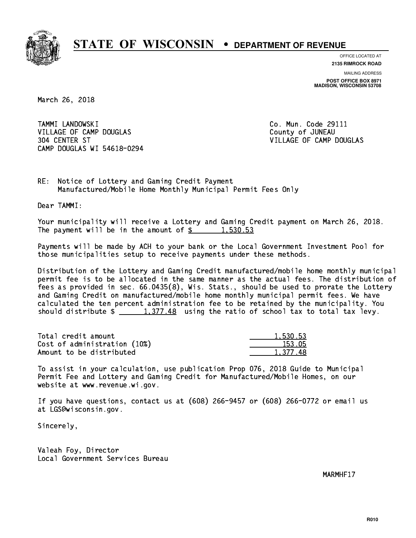

**OFFICE LOCATED AT 2135 RIMROCK ROAD**

**MAILING ADDRESS POST OFFICE BOX 8971 MADISON, WISCONSIN 53708**

March 26, 2018

 TAMMI LANDOWSKI Co. Mun. Code 29111 VILLAGE OF CAMP DOUGLAS County of JUNEAU 304 CENTER ST VILLAGE OF CAMP DOUGLAS CAMP DOUGLAS WI 54618-0294

RE: Notice of Lottery and Gaming Credit Payment Manufactured/Mobile Home Monthly Municipal Permit Fees Only

Dear TAMMI:

 Your municipality will receive a Lottery and Gaming Credit payment on March 26, 2018. The payment will be in the amount of  $\frac{2}{3}$  1,530.53

 Payments will be made by ACH to your bank or the Local Government Investment Pool for those municipalities setup to receive payments under these methods.

 Distribution of the Lottery and Gaming Credit manufactured/mobile home monthly municipal permit fee is to be allocated in the same manner as the actual fees. The distribution of fees as provided in sec. 66.0435(8), Wis. Stats., should be used to prorate the Lottery and Gaming Credit on manufactured/mobile home monthly municipal permit fees. We have calculated the ten percent administration fee to be retained by the municipality. You should distribute  $\frac{1,377.48}{1,377.48}$  using the ratio of school tax to total tax levy.

| Total credit amount          | 1.530.53 |
|------------------------------|----------|
| Cost of administration (10%) | 153.05   |
| Amount to be distributed     | 1,377.48 |

 To assist in your calculation, use publication Prop 076, 2018 Guide to Municipal Permit Fee and Lottery and Gaming Credit for Manufactured/Mobile Homes, on our website at www.revenue.wi.gov.

 If you have questions, contact us at (608) 266-9457 or (608) 266-0772 or email us at LGS@wisconsin.gov.

Sincerely,

 Valeah Foy, Director Local Government Services Bureau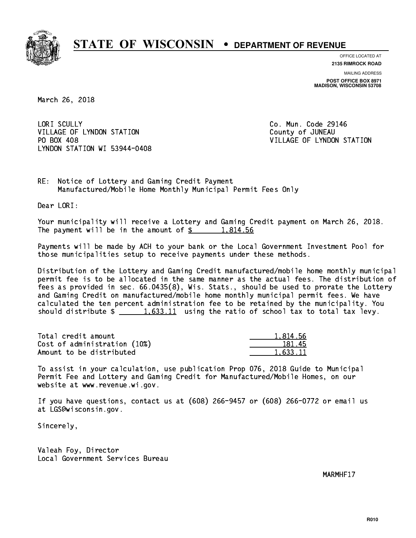

**OFFICE LOCATED AT 2135 RIMROCK ROAD**

**MAILING ADDRESS POST OFFICE BOX 8971 MADISON, WISCONSIN 53708**

March 26, 2018

LORI SCULLY VILLAGE OF LYNDON STATION COUNTY OF JUNEAU PO BOX 408 LYNDON STATION WI 53944-0408

Co. Mun. Code 29146 VILLAGE OF LYNDON STATION

RE: Notice of Lottery and Gaming Credit Payment Manufactured/Mobile Home Monthly Municipal Permit Fees Only

Dear LORI:

 Your municipality will receive a Lottery and Gaming Credit payment on March 26, 2018. The payment will be in the amount of  $\frac{2}{3}$  1,814.56

 Payments will be made by ACH to your bank or the Local Government Investment Pool for those municipalities setup to receive payments under these methods.

 Distribution of the Lottery and Gaming Credit manufactured/mobile home monthly municipal permit fee is to be allocated in the same manner as the actual fees. The distribution of fees as provided in sec. 66.0435(8), Wis. Stats., should be used to prorate the Lottery and Gaming Credit on manufactured/mobile home monthly municipal permit fees. We have calculated the ten percent administration fee to be retained by the municipality. You should distribute  $\frac{1.633.11}{1.633.11}$  using the ratio of school tax to total tax levy.

| Total credit amount          | 1.814.56 |
|------------------------------|----------|
| Cost of administration (10%) | 181.45   |
| Amount to be distributed     | 1.633.11 |

 To assist in your calculation, use publication Prop 076, 2018 Guide to Municipal Permit Fee and Lottery and Gaming Credit for Manufactured/Mobile Homes, on our website at www.revenue.wi.gov.

 If you have questions, contact us at (608) 266-9457 or (608) 266-0772 or email us at LGS@wisconsin.gov.

Sincerely,

 Valeah Foy, Director Local Government Services Bureau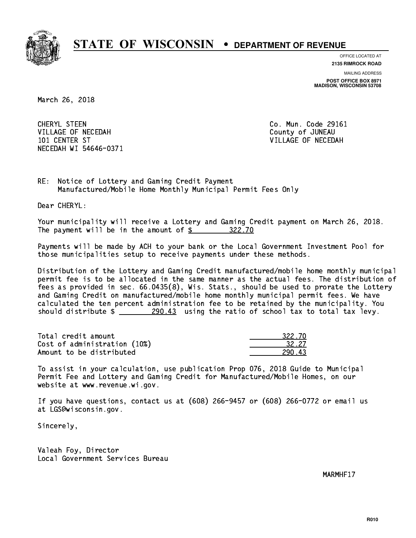

**OFFICE LOCATED AT**

**2135 RIMROCK ROAD**

**MAILING ADDRESS POST OFFICE BOX 8971 MADISON, WISCONSIN 53708**

March 26, 2018

 CHERYL STEEN Co. Mun. Code 29161 VILLAGE OF NECEDAH COUNTY OF JUNEAU 101 CENTER ST VILLAGE OF NECEDAH NECEDAH WI 54646-0371

RE: Notice of Lottery and Gaming Credit Payment Manufactured/Mobile Home Monthly Municipal Permit Fees Only

Dear CHERYL:

 Your municipality will receive a Lottery and Gaming Credit payment on March 26, 2018. The payment will be in the amount of \$ 322.70 \_\_\_\_\_\_\_\_\_\_\_\_\_\_\_\_

 Payments will be made by ACH to your bank or the Local Government Investment Pool for those municipalities setup to receive payments under these methods.

 Distribution of the Lottery and Gaming Credit manufactured/mobile home monthly municipal permit fee is to be allocated in the same manner as the actual fees. The distribution of fees as provided in sec. 66.0435(8), Wis. Stats., should be used to prorate the Lottery and Gaming Credit on manufactured/mobile home monthly municipal permit fees. We have calculated the ten percent administration fee to be retained by the municipality. You should distribute  $\frac{290.43}{2}$  using the ratio of school tax to total tax levy.

Total credit amount Cost of administration (10%) Amount to be distributed

| \22 /N |
|--------|
| 32.27  |
|        |

 To assist in your calculation, use publication Prop 076, 2018 Guide to Municipal Permit Fee and Lottery and Gaming Credit for Manufactured/Mobile Homes, on our website at www.revenue.wi.gov.

 If you have questions, contact us at (608) 266-9457 or (608) 266-0772 or email us at LGS@wisconsin.gov.

Sincerely,

 Valeah Foy, Director Local Government Services Bureau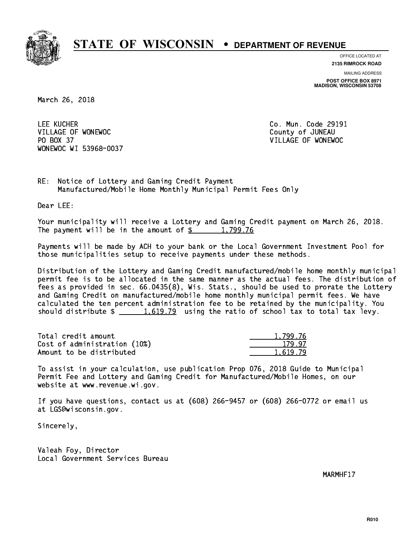

**OFFICE LOCATED AT**

**2135 RIMROCK ROAD**

**MAILING ADDRESS POST OFFICE BOX 8971 MADISON, WISCONSIN 53708**

March 26, 2018

 LEE KUCHER Co. Mun. Code 29191 VILLAGE OF WONEWOC **COUNTY OF SECOND COUNTY OF SUMEAU**  PO BOX 37 VILLAGE OF WONEWOC WONEWOC WI 53968-0037

RE: Notice of Lottery and Gaming Credit Payment Manufactured/Mobile Home Monthly Municipal Permit Fees Only

Dear LEE:

 Your municipality will receive a Lottery and Gaming Credit payment on March 26, 2018. The payment will be in the amount of  $\frac{2}{3}$  1,799.76

 Payments will be made by ACH to your bank or the Local Government Investment Pool for those municipalities setup to receive payments under these methods.

 Distribution of the Lottery and Gaming Credit manufactured/mobile home monthly municipal permit fee is to be allocated in the same manner as the actual fees. The distribution of fees as provided in sec. 66.0435(8), Wis. Stats., should be used to prorate the Lottery and Gaming Credit on manufactured/mobile home monthly municipal permit fees. We have calculated the ten percent administration fee to be retained by the municipality. You should distribute  $\frac{1.619.79}{1.619.79}$  using the ratio of school tax to total tax levy.

| Total credit amount          | 1.799.76 |
|------------------------------|----------|
| Cost of administration (10%) | 179.97   |
| Amount to be distributed     | 1.619.79 |

 To assist in your calculation, use publication Prop 076, 2018 Guide to Municipal Permit Fee and Lottery and Gaming Credit for Manufactured/Mobile Homes, on our website at www.revenue.wi.gov.

 If you have questions, contact us at (608) 266-9457 or (608) 266-0772 or email us at LGS@wisconsin.gov.

Sincerely,

 Valeah Foy, Director Local Government Services Bureau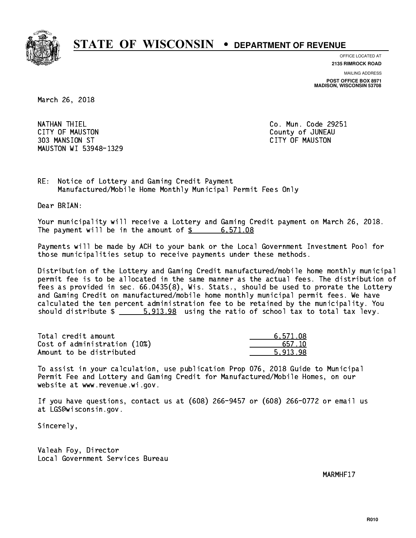

**OFFICE LOCATED AT**

**2135 RIMROCK ROAD**

**MAILING ADDRESS**

**POST OFFICE BOX 8971 MADISON, WISCONSIN 53708**

March 26, 2018

 NATHAN THIEL Co. Mun. Code 29251 CITY OF MAUSTON County of JUNEAU 303 MANSION ST CITY OF MAUSTON MAUSTON WI 53948-1329

RE: Notice of Lottery and Gaming Credit Payment Manufactured/Mobile Home Monthly Municipal Permit Fees Only

Dear BRIAN:

 Your municipality will receive a Lottery and Gaming Credit payment on March 26, 2018. The payment will be in the amount of  $\frac{2}{3}$  6,571.08

 Payments will be made by ACH to your bank or the Local Government Investment Pool for those municipalities setup to receive payments under these methods.

 Distribution of the Lottery and Gaming Credit manufactured/mobile home monthly municipal permit fee is to be allocated in the same manner as the actual fees. The distribution of fees as provided in sec. 66.0435(8), Wis. Stats., should be used to prorate the Lottery and Gaming Credit on manufactured/mobile home monthly municipal permit fees. We have calculated the ten percent administration fee to be retained by the municipality. You should distribute  $\frac{2}{1}$   $\frac{5,913.98}{2}$  using the ratio of school tax to total tax levy.

| Total credit amount          | 6.571.08 |
|------------------------------|----------|
| Cost of administration (10%) | 657.10   |
| Amount to be distributed     | 5.913.98 |

 To assist in your calculation, use publication Prop 076, 2018 Guide to Municipal Permit Fee and Lottery and Gaming Credit for Manufactured/Mobile Homes, on our website at www.revenue.wi.gov.

 If you have questions, contact us at (608) 266-9457 or (608) 266-0772 or email us at LGS@wisconsin.gov.

Sincerely,

 Valeah Foy, Director Local Government Services Bureau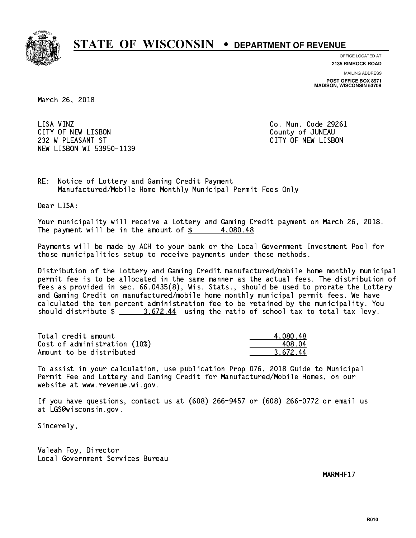

**OFFICE LOCATED AT 2135 RIMROCK ROAD**

**MAILING ADDRESS**

**POST OFFICE BOX 8971 MADISON, WISCONSIN 53708**

March 26, 2018

LISA VINZ CITY OF NEW LISBON County of JUNEAU 232 W PLEASANT ST CITY OF NEW LISBON NEW LISBON WI 53950-1139

Co. Mun. Code 29261

RE: Notice of Lottery and Gaming Credit Payment Manufactured/Mobile Home Monthly Municipal Permit Fees Only

Dear LISA:

 Your municipality will receive a Lottery and Gaming Credit payment on March 26, 2018. The payment will be in the amount of  $\frac{2}{3}$  4,080.48

 Payments will be made by ACH to your bank or the Local Government Investment Pool for those municipalities setup to receive payments under these methods.

 Distribution of the Lottery and Gaming Credit manufactured/mobile home monthly municipal permit fee is to be allocated in the same manner as the actual fees. The distribution of fees as provided in sec. 66.0435(8), Wis. Stats., should be used to prorate the Lottery and Gaming Credit on manufactured/mobile home monthly municipal permit fees. We have calculated the ten percent administration fee to be retained by the municipality. You should distribute  $\frac{2}{2}$   $\frac{3.672.44}{2}$  using the ratio of school tax to total tax levy.

| Total credit amount          | 4,080.48 |
|------------------------------|----------|
| Cost of administration (10%) | 408.04   |
| Amount to be distributed     | 3.672.44 |

 To assist in your calculation, use publication Prop 076, 2018 Guide to Municipal Permit Fee and Lottery and Gaming Credit for Manufactured/Mobile Homes, on our website at www.revenue.wi.gov.

 If you have questions, contact us at (608) 266-9457 or (608) 266-0772 or email us at LGS@wisconsin.gov.

Sincerely,

 Valeah Foy, Director Local Government Services Bureau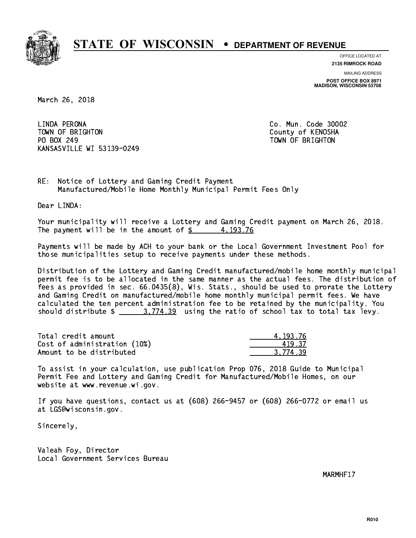

**OFFICE LOCATED AT**

**2135 RIMROCK ROAD**

**MAILING ADDRESS POST OFFICE BOX 8971 MADISON, WISCONSIN 53708**

March 26, 2018

LINDA PERONA TOWN OF BRIGHTON County of KENOSHA PO BOX 249 PO BOX 249 TOWN OF BRIGHTON KANSASVILLE WI 53139-0249

Co. Mun. Code 30002

RE: Notice of Lottery and Gaming Credit Payment Manufactured/Mobile Home Monthly Municipal Permit Fees Only

Dear LINDA:

 Your municipality will receive a Lottery and Gaming Credit payment on March 26, 2018. The payment will be in the amount of  $\frac{2}{3}$  4,193.76

 Payments will be made by ACH to your bank or the Local Government Investment Pool for those municipalities setup to receive payments under these methods.

 Distribution of the Lottery and Gaming Credit manufactured/mobile home monthly municipal permit fee is to be allocated in the same manner as the actual fees. The distribution of fees as provided in sec. 66.0435(8), Wis. Stats., should be used to prorate the Lottery and Gaming Credit on manufactured/mobile home monthly municipal permit fees. We have calculated the ten percent administration fee to be retained by the municipality. You should distribute  $\frac{2}{1}$   $\frac{3}{774.39}$  using the ratio of school tax to total tax levy.

| Total credit amount          | 4.193.76 |
|------------------------------|----------|
| Cost of administration (10%) | 419.37   |
| Amount to be distributed     | 3.774.39 |

 To assist in your calculation, use publication Prop 076, 2018 Guide to Municipal Permit Fee and Lottery and Gaming Credit for Manufactured/Mobile Homes, on our website at www.revenue.wi.gov.

 If you have questions, contact us at (608) 266-9457 or (608) 266-0772 or email us at LGS@wisconsin.gov.

Sincerely,

 Valeah Foy, Director Local Government Services Bureau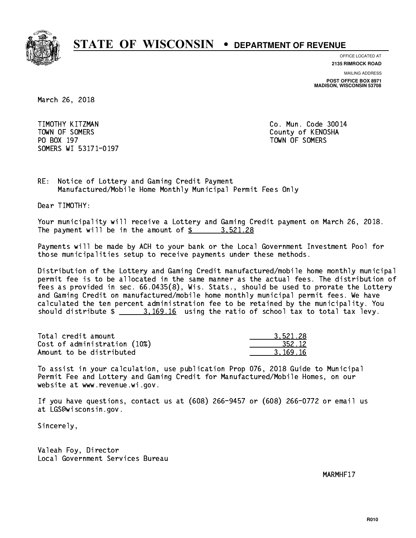

**OFFICE LOCATED AT**

**2135 RIMROCK ROAD**

**MAILING ADDRESS POST OFFICE BOX 8971 MADISON, WISCONSIN 53708**

March 26, 2018

 TIMOTHY KITZMAN Co. Mun. Code 30014 TOWN OF SOMERS County of KENOSHA PO BOX 197 TOWN OF SOMERS SOMERS WI 53171-0197

RE: Notice of Lottery and Gaming Credit Payment Manufactured/Mobile Home Monthly Municipal Permit Fees Only

Dear TIMOTHY:

 Your municipality will receive a Lottery and Gaming Credit payment on March 26, 2018. The payment will be in the amount of  $\frac{2}{3}$  3,521.28

 Payments will be made by ACH to your bank or the Local Government Investment Pool for those municipalities setup to receive payments under these methods.

 Distribution of the Lottery and Gaming Credit manufactured/mobile home monthly municipal permit fee is to be allocated in the same manner as the actual fees. The distribution of fees as provided in sec. 66.0435(8), Wis. Stats., should be used to prorate the Lottery and Gaming Credit on manufactured/mobile home monthly municipal permit fees. We have calculated the ten percent administration fee to be retained by the municipality. You should distribute  $\frac{2}{10}$   $\frac{3.169.16}{10}$  using the ratio of school tax to total tax levy.

| Total credit amount          | 3.521.28 |
|------------------------------|----------|
| Cost of administration (10%) | 352.12   |
| Amount to be distributed     | 3.169.16 |

 To assist in your calculation, use publication Prop 076, 2018 Guide to Municipal Permit Fee and Lottery and Gaming Credit for Manufactured/Mobile Homes, on our website at www.revenue.wi.gov.

 If you have questions, contact us at (608) 266-9457 or (608) 266-0772 or email us at LGS@wisconsin.gov.

Sincerely,

 Valeah Foy, Director Local Government Services Bureau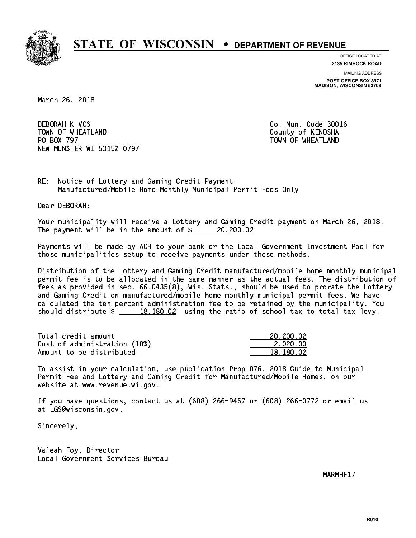

**OFFICE LOCATED AT**

**2135 RIMROCK ROAD**

**MAILING ADDRESS POST OFFICE BOX 8971 MADISON, WISCONSIN 53708**

March 26, 2018

 DEBORAH K VOS Co. Mun. Code 30016 TOWN OF WHEATLAND County of KENOSHA PO BOX 797 NEW MUNSTER WI 53152-0797

TOWN OF WHEATLAND

RE: Notice of Lottery and Gaming Credit Payment Manufactured/Mobile Home Monthly Municipal Permit Fees Only

Dear DEBORAH:

 Your municipality will receive a Lottery and Gaming Credit payment on March 26, 2018. The payment will be in the amount of  $\frac{20,200.02}{2}$ 

 Payments will be made by ACH to your bank or the Local Government Investment Pool for those municipalities setup to receive payments under these methods.

 Distribution of the Lottery and Gaming Credit manufactured/mobile home monthly municipal permit fee is to be allocated in the same manner as the actual fees. The distribution of fees as provided in sec. 66.0435(8), Wis. Stats., should be used to prorate the Lottery and Gaming Credit on manufactured/mobile home monthly municipal permit fees. We have calculated the ten percent administration fee to be retained by the municipality. You should distribute  $\frac{2}{18,180.02}$  using the ratio of school tax to total tax levy.

| Total credit amount          | 20,200.02 |
|------------------------------|-----------|
| Cost of administration (10%) | 2.020.00  |
| Amount to be distributed     | 18,180.02 |

 To assist in your calculation, use publication Prop 076, 2018 Guide to Municipal Permit Fee and Lottery and Gaming Credit for Manufactured/Mobile Homes, on our website at www.revenue.wi.gov.

 If you have questions, contact us at (608) 266-9457 or (608) 266-0772 or email us at LGS@wisconsin.gov.

Sincerely,

 Valeah Foy, Director Local Government Services Bureau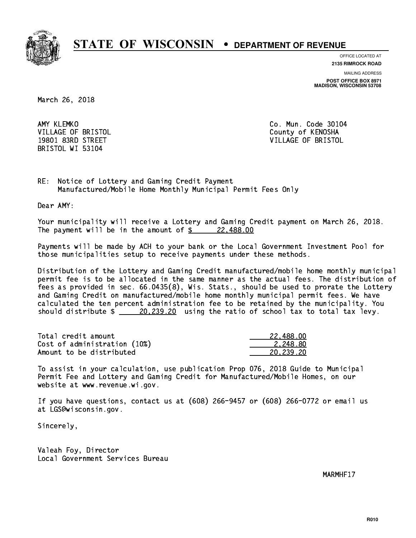

**OFFICE LOCATED AT**

**2135 RIMROCK ROAD**

**MAILING ADDRESS POST OFFICE BOX 8971 MADISON, WISCONSIN 53708**

March 26, 2018

AMY KLEMKO BRISTOL WI 53104

Co. Mun. Code 30104 VILLAGE OF BRISTOL **COUNTY OF SALES AND ACCOUNT OF SALES** 19801 83RD STREET VILLAGE OF BRISTOL

RE: Notice of Lottery and Gaming Credit Payment Manufactured/Mobile Home Monthly Municipal Permit Fees Only

Dear AMY:

 Your municipality will receive a Lottery and Gaming Credit payment on March 26, 2018. The payment will be in the amount of  $\frac{22,488.00}{2}$ 

 Payments will be made by ACH to your bank or the Local Government Investment Pool for those municipalities setup to receive payments under these methods.

 Distribution of the Lottery and Gaming Credit manufactured/mobile home monthly municipal permit fee is to be allocated in the same manner as the actual fees. The distribution of fees as provided in sec. 66.0435(8), Wis. Stats., should be used to prorate the Lottery and Gaming Credit on manufactured/mobile home monthly municipal permit fees. We have calculated the ten percent administration fee to be retained by the municipality. You should distribute  $\frac{20,239.20}{20,239.20}$  using the ratio of school tax to total tax levy.

| Total credit amount          | 22.488.00 |
|------------------------------|-----------|
| Cost of administration (10%) | 2.248.80  |
| Amount to be distributed     | 20,239.20 |

 To assist in your calculation, use publication Prop 076, 2018 Guide to Municipal Permit Fee and Lottery and Gaming Credit for Manufactured/Mobile Homes, on our website at www.revenue.wi.gov.

 If you have questions, contact us at (608) 266-9457 or (608) 266-0772 or email us at LGS@wisconsin.gov.

Sincerely,

 Valeah Foy, Director Local Government Services Bureau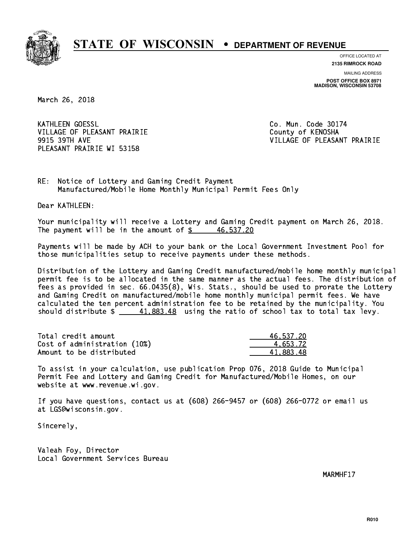

**OFFICE LOCATED AT**

**2135 RIMROCK ROAD**

**MAILING ADDRESS POST OFFICE BOX 8971 MADISON, WISCONSIN 53708**

March 26, 2018

**KATHLEEN GOESSL** VILLAGE OF PLEASANT PRAIRIE **COUNTY OF COUNTY OF COUNTY** PLEASANT PRAIRIE WI 53158

Co. Mun. Code 30174 9915 39TH AVE VILLAGE OF PLEASANT PRAIRIE

RE: Notice of Lottery and Gaming Credit Payment Manufactured/Mobile Home Monthly Municipal Permit Fees Only

Dear KATHLEEN:

 Your municipality will receive a Lottery and Gaming Credit payment on March 26, 2018. The payment will be in the amount of  $\frac{2}{3}$  46,537.20

 Payments will be made by ACH to your bank or the Local Government Investment Pool for those municipalities setup to receive payments under these methods.

 Distribution of the Lottery and Gaming Credit manufactured/mobile home monthly municipal permit fee is to be allocated in the same manner as the actual fees. The distribution of fees as provided in sec. 66.0435(8), Wis. Stats., should be used to prorate the Lottery and Gaming Credit on manufactured/mobile home monthly municipal permit fees. We have calculated the ten percent administration fee to be retained by the municipality. You should distribute  $\frac{41,883.48}{2}$  using the ratio of school tax to total tax levy.

| Total credit amount          | 46,537.20 |
|------------------------------|-----------|
| Cost of administration (10%) | 4.653.72  |
| Amount to be distributed     | 41.883.48 |

 To assist in your calculation, use publication Prop 076, 2018 Guide to Municipal Permit Fee and Lottery and Gaming Credit for Manufactured/Mobile Homes, on our website at www.revenue.wi.gov.

 If you have questions, contact us at (608) 266-9457 or (608) 266-0772 or email us at LGS@wisconsin.gov.

Sincerely,

 Valeah Foy, Director Local Government Services Bureau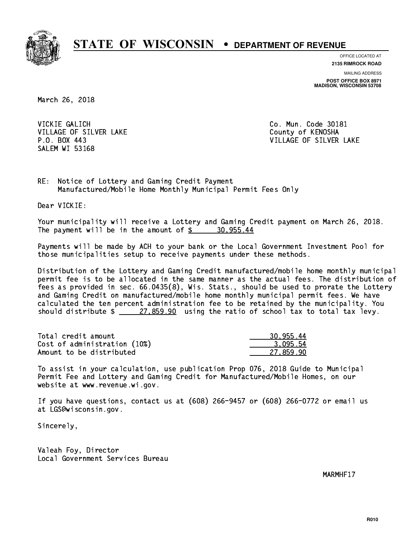

**OFFICE LOCATED AT**

**2135 RIMROCK ROAD**

**MAILING ADDRESS POST OFFICE BOX 8971 MADISON, WISCONSIN 53708**

March 26, 2018

 VICKIE GALICH Co. Mun. Code 30181 VILLAGE OF SILVER LAKE COUNTY OF KENOSHA SALEM WI 53168

P.O. BOX 443 VILLAGE OF SILVER LAKE

RE: Notice of Lottery and Gaming Credit Payment Manufactured/Mobile Home Monthly Municipal Permit Fees Only

Dear VICKIE:

 Your municipality will receive a Lottery and Gaming Credit payment on March 26, 2018. The payment will be in the amount of  $\frac{2}{3}$  30,955.44

 Payments will be made by ACH to your bank or the Local Government Investment Pool for those municipalities setup to receive payments under these methods.

 Distribution of the Lottery and Gaming Credit manufactured/mobile home monthly municipal permit fee is to be allocated in the same manner as the actual fees. The distribution of fees as provided in sec. 66.0435(8), Wis. Stats., should be used to prorate the Lottery and Gaming Credit on manufactured/mobile home monthly municipal permit fees. We have calculated the ten percent administration fee to be retained by the municipality. You should distribute  $\frac{27,859.90}{27,859.90}$  using the ratio of school tax to total tax levy.

| Total credit amount          | 30.955.44 |
|------------------------------|-----------|
| Cost of administration (10%) | 3.095.54  |
| Amount to be distributed     | 27,859.90 |

 To assist in your calculation, use publication Prop 076, 2018 Guide to Municipal Permit Fee and Lottery and Gaming Credit for Manufactured/Mobile Homes, on our website at www.revenue.wi.gov.

 If you have questions, contact us at (608) 266-9457 or (608) 266-0772 or email us at LGS@wisconsin.gov.

Sincerely,

 Valeah Foy, Director Local Government Services Bureau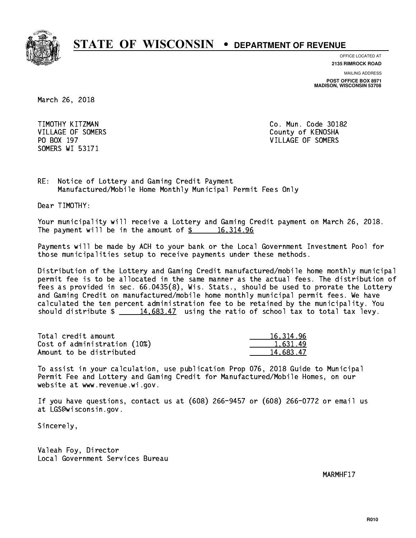

**OFFICE LOCATED AT**

**2135 RIMROCK ROAD**

**MAILING ADDRESS POST OFFICE BOX 8971 MADISON, WISCONSIN 53708**

March 26, 2018

 TIMOTHY KITZMAN Co. Mun. Code 30182 SOMERS WI 53171

VILLAGE OF SOMERS COUNTY OF KENOSHA PO BOX 197 VILLAGE OF SOMERS

RE: Notice of Lottery and Gaming Credit Payment Manufactured/Mobile Home Monthly Municipal Permit Fees Only

Dear TIMOTHY:

 Your municipality will receive a Lottery and Gaming Credit payment on March 26, 2018. The payment will be in the amount of  $\frac{2}{3}$  16,314.96

 Payments will be made by ACH to your bank or the Local Government Investment Pool for those municipalities setup to receive payments under these methods.

 Distribution of the Lottery and Gaming Credit manufactured/mobile home monthly municipal permit fee is to be allocated in the same manner as the actual fees. The distribution of fees as provided in sec. 66.0435(8), Wis. Stats., should be used to prorate the Lottery and Gaming Credit on manufactured/mobile home monthly municipal permit fees. We have calculated the ten percent administration fee to be retained by the municipality. You should distribute  $\frac{14,683.47}{2}$  using the ratio of school tax to total tax levy.

| Total credit amount          | 16, 314, 96 |
|------------------------------|-------------|
| Cost of administration (10%) | 1.631.49    |
| Amount to be distributed     | 14.683.47   |

 To assist in your calculation, use publication Prop 076, 2018 Guide to Municipal Permit Fee and Lottery and Gaming Credit for Manufactured/Mobile Homes, on our website at www.revenue.wi.gov.

 If you have questions, contact us at (608) 266-9457 or (608) 266-0772 or email us at LGS@wisconsin.gov.

Sincerely,

 Valeah Foy, Director Local Government Services Bureau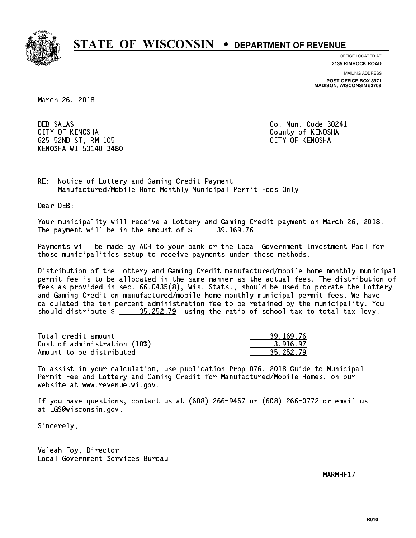

**OFFICE LOCATED AT**

**2135 RIMROCK ROAD**

**MAILING ADDRESS POST OFFICE BOX 8971 MADISON, WISCONSIN 53708**

March 26, 2018

**DEB SALAS**  CITY OF KENOSHA County of KENOSHA 625 52ND ST, RM 105 CITY OF KENOSHA KENOSHA WI 53140-3480

Co. Mun. Code 30241

RE: Notice of Lottery and Gaming Credit Payment Manufactured/Mobile Home Monthly Municipal Permit Fees Only

Dear DEB:

 Your municipality will receive a Lottery and Gaming Credit payment on March 26, 2018. The payment will be in the amount of  $\frac{2}{3}$  39,169.76

 Payments will be made by ACH to your bank or the Local Government Investment Pool for those municipalities setup to receive payments under these methods.

 Distribution of the Lottery and Gaming Credit manufactured/mobile home monthly municipal permit fee is to be allocated in the same manner as the actual fees. The distribution of fees as provided in sec. 66.0435(8), Wis. Stats., should be used to prorate the Lottery and Gaming Credit on manufactured/mobile home monthly municipal permit fees. We have calculated the ten percent administration fee to be retained by the municipality. You should distribute  $\frac{25.252.79}{2}$  using the ratio of school tax to total tax levy.

| Total credit amount          | 39, 169, 76 |
|------------------------------|-------------|
| Cost of administration (10%) | 3.916.97    |
| Amount to be distributed     | 35.252.79   |

 To assist in your calculation, use publication Prop 076, 2018 Guide to Municipal Permit Fee and Lottery and Gaming Credit for Manufactured/Mobile Homes, on our website at www.revenue.wi.gov.

 If you have questions, contact us at (608) 266-9457 or (608) 266-0772 or email us at LGS@wisconsin.gov.

Sincerely,

 Valeah Foy, Director Local Government Services Bureau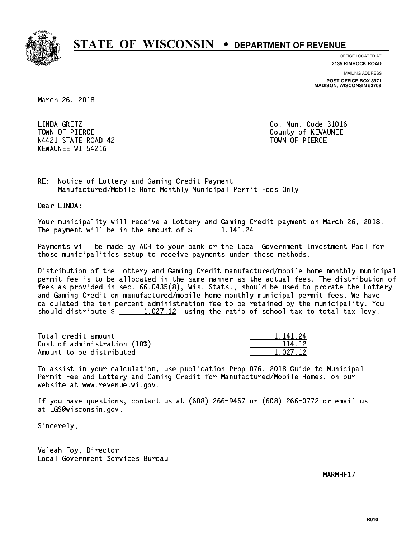

**OFFICE LOCATED AT**

**2135 RIMROCK ROAD**

**MAILING ADDRESS POST OFFICE BOX 8971 MADISON, WISCONSIN 53708**

March 26, 2018

LINDA GRETZ TOWN OF PIERCE COUNTY OF REWAUNEE N4421 STATE ROAD 42 TOWN OF PIERCE KEWAUNEE WI 54216

Co. Mun. Code 31016

RE: Notice of Lottery and Gaming Credit Payment Manufactured/Mobile Home Monthly Municipal Permit Fees Only

Dear LINDA:

 Your municipality will receive a Lottery and Gaming Credit payment on March 26, 2018. The payment will be in the amount of  $\frac{2}{3}$  1,141.24

 Payments will be made by ACH to your bank or the Local Government Investment Pool for those municipalities setup to receive payments under these methods.

 Distribution of the Lottery and Gaming Credit manufactured/mobile home monthly municipal permit fee is to be allocated in the same manner as the actual fees. The distribution of fees as provided in sec. 66.0435(8), Wis. Stats., should be used to prorate the Lottery and Gaming Credit on manufactured/mobile home monthly municipal permit fees. We have calculated the ten percent administration fee to be retained by the municipality. You should distribute  $\frac{1}{2}$   $\frac{1}{2}$  using the ratio of school tax to total tax levy.

| Total credit amount          | 1.141.24 |
|------------------------------|----------|
| Cost of administration (10%) | 114.12   |
| Amount to be distributed     | 1.027.12 |

 To assist in your calculation, use publication Prop 076, 2018 Guide to Municipal Permit Fee and Lottery and Gaming Credit for Manufactured/Mobile Homes, on our website at www.revenue.wi.gov.

 If you have questions, contact us at (608) 266-9457 or (608) 266-0772 or email us at LGS@wisconsin.gov.

Sincerely,

 Valeah Foy, Director Local Government Services Bureau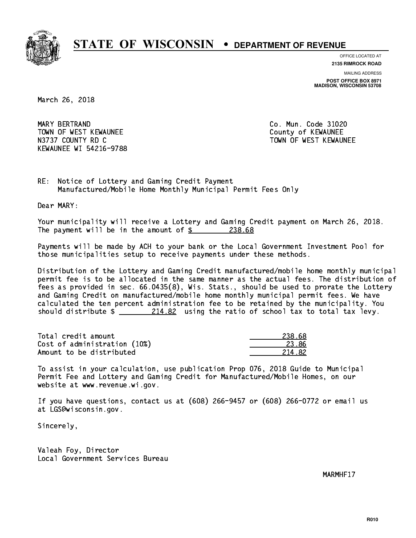

**OFFICE LOCATED AT**

**2135 RIMROCK ROAD**

**MAILING ADDRESS POST OFFICE BOX 8971 MADISON, WISCONSIN 53708**

March 26, 2018

 MARY BERTRAND Co. Mun. Code 31020 TOWN OF WEST KEWAUNEE TOWN OF WEST AND TOWN OF A COUNTY OF A COUNTY OF A COUNTY OF A COUNTY OF A COUNTY OF A COUNTY OF A COUNTY OF A COUNTY OF A COUNTY OF A COUNTY OF A COUNTY OF A COUNTY OF A COUNTY OF A COUNTY OF A COUNT N3737 COUNTY RD C TOWN OF WEST KEWAUNEE KEWAUNEE WI 54216-9788

RE: Notice of Lottery and Gaming Credit Payment Manufactured/Mobile Home Monthly Municipal Permit Fees Only

Dear MARY:

 Your municipality will receive a Lottery and Gaming Credit payment on March 26, 2018. The payment will be in the amount of  $\frac{238.68}{2}$ 

 Payments will be made by ACH to your bank or the Local Government Investment Pool for those municipalities setup to receive payments under these methods.

 Distribution of the Lottery and Gaming Credit manufactured/mobile home monthly municipal permit fee is to be allocated in the same manner as the actual fees. The distribution of fees as provided in sec. 66.0435(8), Wis. Stats., should be used to prorate the Lottery and Gaming Credit on manufactured/mobile home monthly municipal permit fees. We have calculated the ten percent administration fee to be retained by the municipality. You should distribute  $\frac{214.82}{214.82}$  using the ratio of school tax to total tax levy.

| Total credit amount          | 238.68 |
|------------------------------|--------|
| Cost of administration (10%) | 23.86  |
| Amount to be distributed     | 214.82 |

 To assist in your calculation, use publication Prop 076, 2018 Guide to Municipal Permit Fee and Lottery and Gaming Credit for Manufactured/Mobile Homes, on our website at www.revenue.wi.gov.

 If you have questions, contact us at (608) 266-9457 or (608) 266-0772 or email us at LGS@wisconsin.gov.

Sincerely,

 Valeah Foy, Director Local Government Services Bureau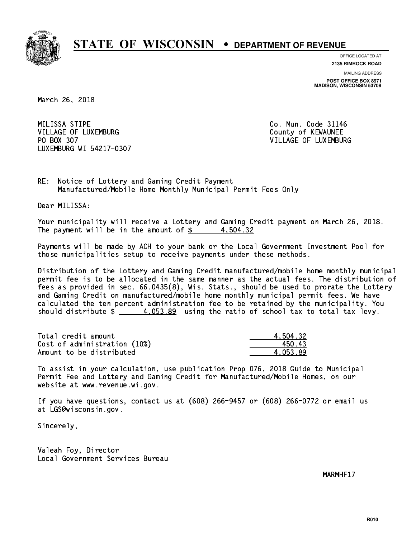

**OFFICE LOCATED AT**

**2135 RIMROCK ROAD**

**MAILING ADDRESS POST OFFICE BOX 8971 MADISON, WISCONSIN 53708**

March 26, 2018

MILISSA STIPE VILLAGE OF LUXEMBURG COUNTY OF KEWAUNEE PO BOX 307 LUXEMBURG WI 54217-0307

Co. Mun. Code 31146 VILLAGE OF LUXEMBURG

RE: Notice of Lottery and Gaming Credit Payment Manufactured/Mobile Home Monthly Municipal Permit Fees Only

Dear MILISSA:

 Your municipality will receive a Lottery and Gaming Credit payment on March 26, 2018. The payment will be in the amount of  $\frac{2}{3}$  4,504.32

 Payments will be made by ACH to your bank or the Local Government Investment Pool for those municipalities setup to receive payments under these methods.

 Distribution of the Lottery and Gaming Credit manufactured/mobile home monthly municipal permit fee is to be allocated in the same manner as the actual fees. The distribution of fees as provided in sec. 66.0435(8), Wis. Stats., should be used to prorate the Lottery and Gaming Credit on manufactured/mobile home monthly municipal permit fees. We have calculated the ten percent administration fee to be retained by the municipality. You should distribute  $\frac{4.053.89}{4.053.89}$  using the ratio of school tax to total tax levy.

| Total credit amount          | 4.504.32 |
|------------------------------|----------|
| Cost of administration (10%) | 450.43   |
| Amount to be distributed     | 4.053.89 |

 To assist in your calculation, use publication Prop 076, 2018 Guide to Municipal Permit Fee and Lottery and Gaming Credit for Manufactured/Mobile Homes, on our website at www.revenue.wi.gov.

 If you have questions, contact us at (608) 266-9457 or (608) 266-0772 or email us at LGS@wisconsin.gov.

Sincerely,

 Valeah Foy, Director Local Government Services Bureau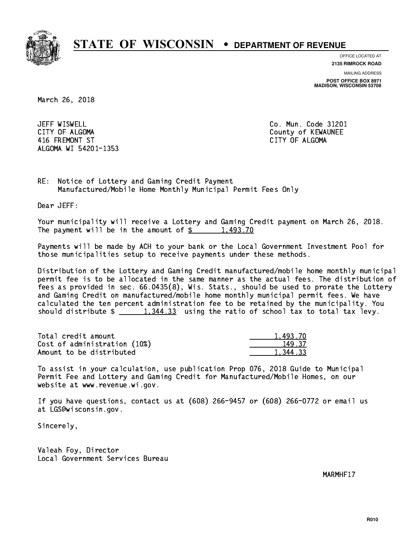

**OFFICE LOCATED AT**

**2135 RIMROCK ROAD**

**MAILING ADDRESS POST OFFICE BOX 8971 MADISON, WISCONSIN 53708**

March 26, 2018

JEFF WISWELL CITY OF ALGOMA COUNTY OF ALGOMA 416 FREMONT ST CITY OF ALGOMA ALGOMA WI 54201-1353

Co. Mun. Code 31201

RE: Notice of Lottery and Gaming Credit Payment Manufactured/Mobile Home Monthly Municipal Permit Fees Only

Dear JEFF:

 Your municipality will receive a Lottery and Gaming Credit payment on March 26, 2018. The payment will be in the amount of  $\frac{2}{3}$  1,493.70

 Payments will be made by ACH to your bank or the Local Government Investment Pool for those municipalities setup to receive payments under these methods.

 Distribution of the Lottery and Gaming Credit manufactured/mobile home monthly municipal permit fee is to be allocated in the same manner as the actual fees. The distribution of fees as provided in sec. 66.0435(8), Wis. Stats., should be used to prorate the Lottery and Gaming Credit on manufactured/mobile home monthly municipal permit fees. We have calculated the ten percent administration fee to be retained by the municipality. You should distribute  $\frac{1,344.33}{1,344.33}$  using the ratio of school tax to total tax levy.

| Total credit amount          | 1,493.70 |
|------------------------------|----------|
| Cost of administration (10%) | 149.37   |
| Amount to be distributed     | 1.344.33 |

 To assist in your calculation, use publication Prop 076, 2018 Guide to Municipal Permit Fee and Lottery and Gaming Credit for Manufactured/Mobile Homes, on our website at www.revenue.wi.gov.

 If you have questions, contact us at (608) 266-9457 or (608) 266-0772 or email us at LGS@wisconsin.gov.

Sincerely,

 Valeah Foy, Director Local Government Services Bureau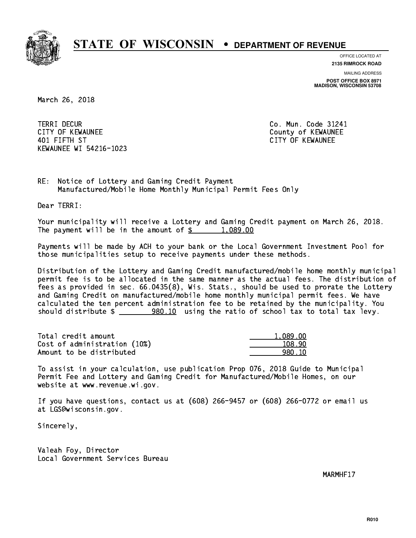

**OFFICE LOCATED AT**

**2135 RIMROCK ROAD**

**MAILING ADDRESS POST OFFICE BOX 8971 MADISON, WISCONSIN 53708**

March 26, 2018

**TERRI DECUR** CITY OF KEWAUNEE **CITY OF KEWAUNEE**  401 FIFTH ST CITY OF KEWAUNEE KEWAUNEE WI 54216-1023

Co. Mun. Code 31241

RE: Notice of Lottery and Gaming Credit Payment Manufactured/Mobile Home Monthly Municipal Permit Fees Only

Dear TERRI:

 Your municipality will receive a Lottery and Gaming Credit payment on March 26, 2018. The payment will be in the amount of  $\frac{2}{3}$  1,089.00

 Payments will be made by ACH to your bank or the Local Government Investment Pool for those municipalities setup to receive payments under these methods.

 Distribution of the Lottery and Gaming Credit manufactured/mobile home monthly municipal permit fee is to be allocated in the same manner as the actual fees. The distribution of fees as provided in sec. 66.0435(8), Wis. Stats., should be used to prorate the Lottery and Gaming Credit on manufactured/mobile home monthly municipal permit fees. We have calculated the ten percent administration fee to be retained by the municipality. You should distribute  $\frac{200.10}{10}$  using the ratio of school tax to total tax levy.

| Total credit amount          | 1.089.00 |
|------------------------------|----------|
| Cost of administration (10%) | 108.90   |
| Amount to be distributed     | 980.10   |

 To assist in your calculation, use publication Prop 076, 2018 Guide to Municipal Permit Fee and Lottery and Gaming Credit for Manufactured/Mobile Homes, on our website at www.revenue.wi.gov.

 If you have questions, contact us at (608) 266-9457 or (608) 266-0772 or email us at LGS@wisconsin.gov.

Sincerely,

 Valeah Foy, Director Local Government Services Bureau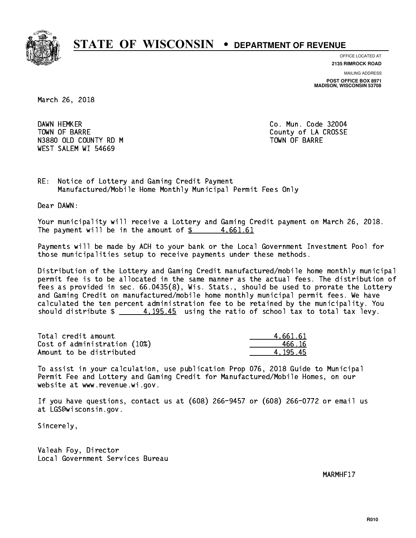

**OFFICE LOCATED AT**

**2135 RIMROCK ROAD**

**MAILING ADDRESS POST OFFICE BOX 8971 MADISON, WISCONSIN 53708**

March 26, 2018

DAWN HEMKER TOWN OF BARRE **COUNTY OF SALES AND SERVICE OF A COUNTY OF LA CROSSE** N3880 OLD COUNTY RD M TOWN OF BARRE WEST SALEM WI 54669

Co. Mun. Code 32004

RE: Notice of Lottery and Gaming Credit Payment Manufactured/Mobile Home Monthly Municipal Permit Fees Only

Dear DAWN:

 Your municipality will receive a Lottery and Gaming Credit payment on March 26, 2018. The payment will be in the amount of  $\frac{2}{3}$  4,661.61

 Payments will be made by ACH to your bank or the Local Government Investment Pool for those municipalities setup to receive payments under these methods.

 Distribution of the Lottery and Gaming Credit manufactured/mobile home monthly municipal permit fee is to be allocated in the same manner as the actual fees. The distribution of fees as provided in sec. 66.0435(8), Wis. Stats., should be used to prorate the Lottery and Gaming Credit on manufactured/mobile home monthly municipal permit fees. We have calculated the ten percent administration fee to be retained by the municipality. You should distribute  $\frac{4}{195.45}$  using the ratio of school tax to total tax levy.

| Total credit amount          | 4.661.61 |
|------------------------------|----------|
| Cost of administration (10%) | 466.16   |
| Amount to be distributed     | 4.195.45 |

 To assist in your calculation, use publication Prop 076, 2018 Guide to Municipal Permit Fee and Lottery and Gaming Credit for Manufactured/Mobile Homes, on our website at www.revenue.wi.gov.

 If you have questions, contact us at (608) 266-9457 or (608) 266-0772 or email us at LGS@wisconsin.gov.

Sincerely,

 Valeah Foy, Director Local Government Services Bureau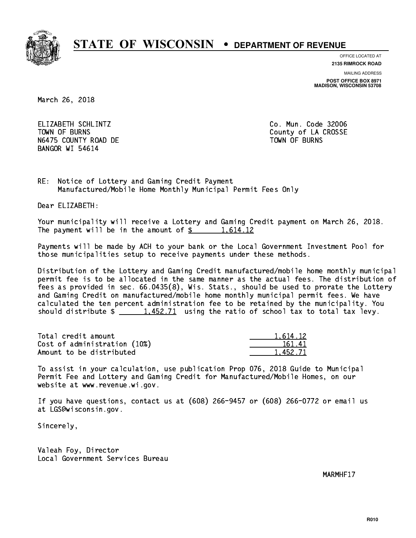

**OFFICE LOCATED AT**

**2135 RIMROCK ROAD**

**MAILING ADDRESS POST OFFICE BOX 8971 MADISON, WISCONSIN 53708**

March 26, 2018

 ELIZABETH SCHLINTZ Co. Mun. Code 32006 TOWN OF BURNS **COUNTY OF A COULD A** COUNTY OF LA CROSSE N6475 COUNTY ROAD DE TOWN OF BURNS BANGOR WI 54614

RE: Notice of Lottery and Gaming Credit Payment Manufactured/Mobile Home Monthly Municipal Permit Fees Only

Dear ELIZABETH:

 Your municipality will receive a Lottery and Gaming Credit payment on March 26, 2018. The payment will be in the amount of  $\frac{2}{3}$  1,614.12

 Payments will be made by ACH to your bank or the Local Government Investment Pool for those municipalities setup to receive payments under these methods.

 Distribution of the Lottery and Gaming Credit manufactured/mobile home monthly municipal permit fee is to be allocated in the same manner as the actual fees. The distribution of fees as provided in sec. 66.0435(8), Wis. Stats., should be used to prorate the Lottery and Gaming Credit on manufactured/mobile home monthly municipal permit fees. We have calculated the ten percent administration fee to be retained by the municipality. You should distribute  $\frac{1.452.71}{1.452.71}$  using the ratio of school tax to total tax levy.

Total credit amount Cost of administration (10%) Amount to be distributed

| 1.614.12 |
|----------|
| 61.41    |
| 152.71   |

 To assist in your calculation, use publication Prop 076, 2018 Guide to Municipal Permit Fee and Lottery and Gaming Credit for Manufactured/Mobile Homes, on our website at www.revenue.wi.gov.

 If you have questions, contact us at (608) 266-9457 or (608) 266-0772 or email us at LGS@wisconsin.gov.

Sincerely,

 Valeah Foy, Director Local Government Services Bureau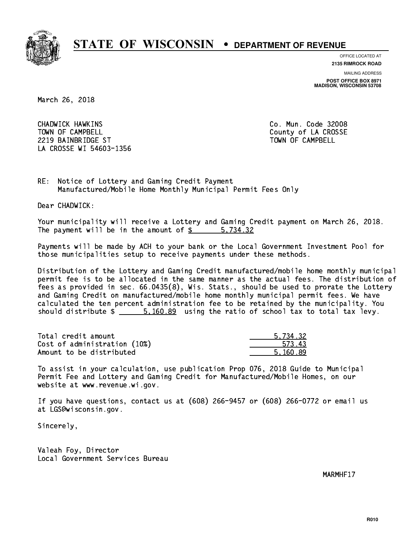

**OFFICE LOCATED AT**

**2135 RIMROCK ROAD**

**MAILING ADDRESS POST OFFICE BOX 8971 MADISON, WISCONSIN 53708**

March 26, 2018

 CHADWICK HAWKINS Co. Mun. Code 32008 TOWN OF CAMPBELL **TOWN OF CAMPBELL**  2219 BAINBRIDGE ST TOWN OF CAMPBELL LA CROSSE WI 54603-1356

RE: Notice of Lottery and Gaming Credit Payment Manufactured/Mobile Home Monthly Municipal Permit Fees Only

Dear CHADWICK:

 Your municipality will receive a Lottery and Gaming Credit payment on March 26, 2018. The payment will be in the amount of \$ 5,734.32 \_\_\_\_\_\_\_\_\_\_\_\_\_\_\_\_

 Payments will be made by ACH to your bank or the Local Government Investment Pool for those municipalities setup to receive payments under these methods.

 Distribution of the Lottery and Gaming Credit manufactured/mobile home monthly municipal permit fee is to be allocated in the same manner as the actual fees. The distribution of fees as provided in sec. 66.0435(8), Wis. Stats., should be used to prorate the Lottery and Gaming Credit on manufactured/mobile home monthly municipal permit fees. We have calculated the ten percent administration fee to be retained by the municipality. You should distribute  $\frac{2}{1}$   $\frac{5,160.89}{2}$  using the ratio of school tax to total tax levy.

| Total credit amount          | 5.734.32 |
|------------------------------|----------|
| Cost of administration (10%) | 573.43   |
| Amount to be distributed     | 5.160.89 |

 To assist in your calculation, use publication Prop 076, 2018 Guide to Municipal Permit Fee and Lottery and Gaming Credit for Manufactured/Mobile Homes, on our website at www.revenue.wi.gov.

 If you have questions, contact us at (608) 266-9457 or (608) 266-0772 or email us at LGS@wisconsin.gov.

Sincerely,

 Valeah Foy, Director Local Government Services Bureau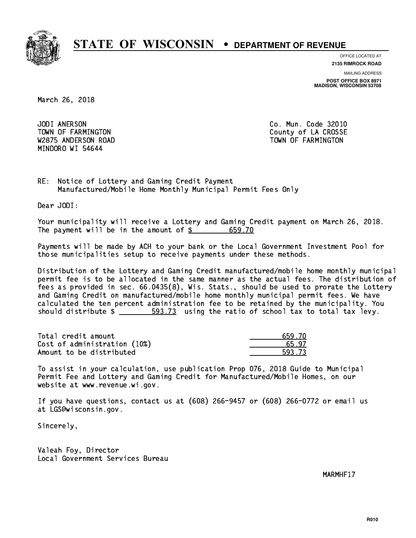

**OFFICE LOCATED AT 2135 RIMROCK ROAD**

**MAILING ADDRESS POST OFFICE BOX 8971 MADISON, WISCONSIN 53708**

March 26, 2018

JODI ANERSON W2875 ANDERSON ROAD TOWN OF FARMINGTON MINDORO WI 54644

Co. Mun. Code 32010 TOWN OF FARMINGTON County of LA CROSSE

RE: Notice of Lottery and Gaming Credit Payment Manufactured/Mobile Home Monthly Municipal Permit Fees Only

Dear JODI:

 Your municipality will receive a Lottery and Gaming Credit payment on March 26, 2018. The payment will be in the amount of \$ 659.70 \_\_\_\_\_\_\_\_\_\_\_\_\_\_\_\_

 Payments will be made by ACH to your bank or the Local Government Investment Pool for those municipalities setup to receive payments under these methods.

 Distribution of the Lottery and Gaming Credit manufactured/mobile home monthly municipal permit fee is to be allocated in the same manner as the actual fees. The distribution of fees as provided in sec. 66.0435(8), Wis. Stats., should be used to prorate the Lottery and Gaming Credit on manufactured/mobile home monthly municipal permit fees. We have calculated the ten percent administration fee to be retained by the municipality. You should distribute  $\frac{2}{1}$   $\frac{593.73}{2}$  using the ratio of school tax to total tax levy.

| Total credit amount          | 659.70 |
|------------------------------|--------|
| Cost of administration (10%) | 65.97  |
| Amount to be distributed     | 593.73 |

 To assist in your calculation, use publication Prop 076, 2018 Guide to Municipal Permit Fee and Lottery and Gaming Credit for Manufactured/Mobile Homes, on our website at www.revenue.wi.gov.

 If you have questions, contact us at (608) 266-9457 or (608) 266-0772 or email us at LGS@wisconsin.gov.

Sincerely,

 Valeah Foy, Director Local Government Services Bureau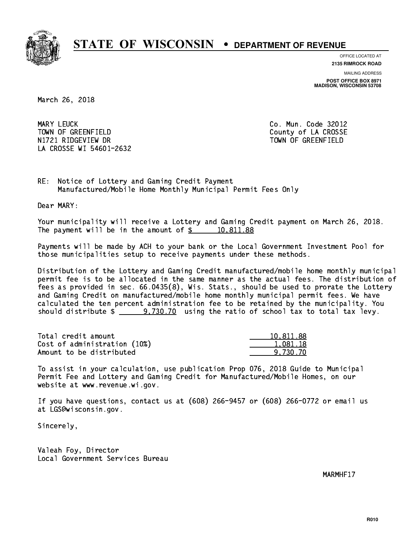

**OFFICE LOCATED AT 2135 RIMROCK ROAD**

**MAILING ADDRESS POST OFFICE BOX 8971 MADISON, WISCONSIN 53708**

March 26, 2018

MARY LEUCK TOWN OF GREENFIELD County of LA CROSSE N1721 RIDGEVIEW DR TOWN OF GREENFIELD LA CROSSE WI 54601-2632

Co. Mun. Code 32012

RE: Notice of Lottery and Gaming Credit Payment Manufactured/Mobile Home Monthly Municipal Permit Fees Only

Dear MARY:

 Your municipality will receive a Lottery and Gaming Credit payment on March 26, 2018. The payment will be in the amount of  $\frac{2}{3}$  10,811.88

 Payments will be made by ACH to your bank or the Local Government Investment Pool for those municipalities setup to receive payments under these methods.

 Distribution of the Lottery and Gaming Credit manufactured/mobile home monthly municipal permit fee is to be allocated in the same manner as the actual fees. The distribution of fees as provided in sec. 66.0435(8), Wis. Stats., should be used to prorate the Lottery and Gaming Credit on manufactured/mobile home monthly municipal permit fees. We have calculated the ten percent administration fee to be retained by the municipality. You should distribute  $\frac{2}{2}$   $\frac{9,730.70}{2}$  using the ratio of school tax to total tax levy.

| Total credit amount          | 10.811.88 |
|------------------------------|-----------|
| Cost of administration (10%) | 1.081.18  |
| Amount to be distributed     | 9.730.70  |

 To assist in your calculation, use publication Prop 076, 2018 Guide to Municipal Permit Fee and Lottery and Gaming Credit for Manufactured/Mobile Homes, on our website at www.revenue.wi.gov.

 If you have questions, contact us at (608) 266-9457 or (608) 266-0772 or email us at LGS@wisconsin.gov.

Sincerely,

 Valeah Foy, Director Local Government Services Bureau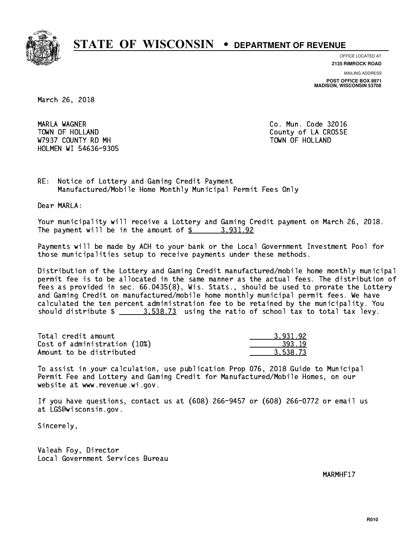

**OFFICE LOCATED AT**

**2135 RIMROCK ROAD**

**MAILING ADDRESS POST OFFICE BOX 8971 MADISON, WISCONSIN 53708**

March 26, 2018

 MARLA WAGNER Co. Mun. Code 32016 TOWN OF HOLLAND **COUNTY OF SALES AND COUNTY OF LA CROSSE** W7937 COUNTY RD MH TOWN OF HOLLAND HOLMEN WI 54636-9305

RE: Notice of Lottery and Gaming Credit Payment Manufactured/Mobile Home Monthly Municipal Permit Fees Only

Dear MARLA:

 Your municipality will receive a Lottery and Gaming Credit payment on March 26, 2018. The payment will be in the amount of  $\frac{2}{3}$  3,931.92

 Payments will be made by ACH to your bank or the Local Government Investment Pool for those municipalities setup to receive payments under these methods.

 Distribution of the Lottery and Gaming Credit manufactured/mobile home monthly municipal permit fee is to be allocated in the same manner as the actual fees. The distribution of fees as provided in sec. 66.0435(8), Wis. Stats., should be used to prorate the Lottery and Gaming Credit on manufactured/mobile home monthly municipal permit fees. We have calculated the ten percent administration fee to be retained by the municipality. You should distribute  $\frac{2}{2}$   $\frac{3.538.73}{2}$  using the ratio of school tax to total tax levy.

| Total credit amount          | 3.931.92 |
|------------------------------|----------|
| Cost of administration (10%) | 393.19   |
| Amount to be distributed     | 3.538.73 |

 To assist in your calculation, use publication Prop 076, 2018 Guide to Municipal Permit Fee and Lottery and Gaming Credit for Manufactured/Mobile Homes, on our website at www.revenue.wi.gov.

 If you have questions, contact us at (608) 266-9457 or (608) 266-0772 or email us at LGS@wisconsin.gov.

Sincerely,

 Valeah Foy, Director Local Government Services Bureau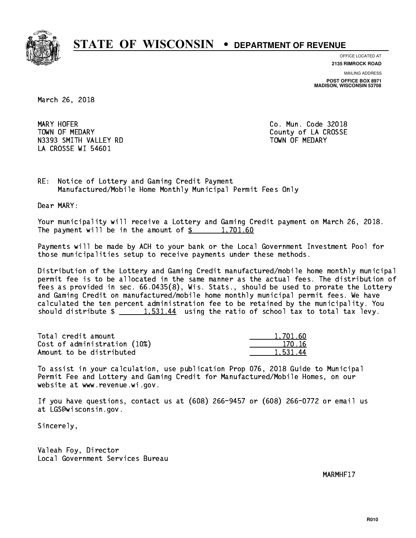

**OFFICE LOCATED AT**

**2135 RIMROCK ROAD**

**MAILING ADDRESS POST OFFICE BOX 8971 MADISON, WISCONSIN 53708**

March 26, 2018

MARY HOFER TOWN OF MEDARY **COUNTY** COUNTY COUNTY OF LA CROSSE N3393 SMITH VALLEY RD TOWN OF MEDARY LA CROSSE WI 54601

Co. Mun. Code 32018

RE: Notice of Lottery and Gaming Credit Payment Manufactured/Mobile Home Monthly Municipal Permit Fees Only

Dear MARY:

 Your municipality will receive a Lottery and Gaming Credit payment on March 26, 2018. The payment will be in the amount of  $\frac{2}{3}$  1,701.60

 Payments will be made by ACH to your bank or the Local Government Investment Pool for those municipalities setup to receive payments under these methods.

 Distribution of the Lottery and Gaming Credit manufactured/mobile home monthly municipal permit fee is to be allocated in the same manner as the actual fees. The distribution of fees as provided in sec. 66.0435(8), Wis. Stats., should be used to prorate the Lottery and Gaming Credit on manufactured/mobile home monthly municipal permit fees. We have calculated the ten percent administration fee to be retained by the municipality. You should distribute  $\frac{1.531.44}{1.531.44}$  using the ratio of school tax to total tax levy.

| Total credit amount          | 1.701.60 |
|------------------------------|----------|
| Cost of administration (10%) | 170.16   |
| Amount to be distributed     | 1.531.44 |

 To assist in your calculation, use publication Prop 076, 2018 Guide to Municipal Permit Fee and Lottery and Gaming Credit for Manufactured/Mobile Homes, on our website at www.revenue.wi.gov.

 If you have questions, contact us at (608) 266-9457 or (608) 266-0772 or email us at LGS@wisconsin.gov.

Sincerely,

 Valeah Foy, Director Local Government Services Bureau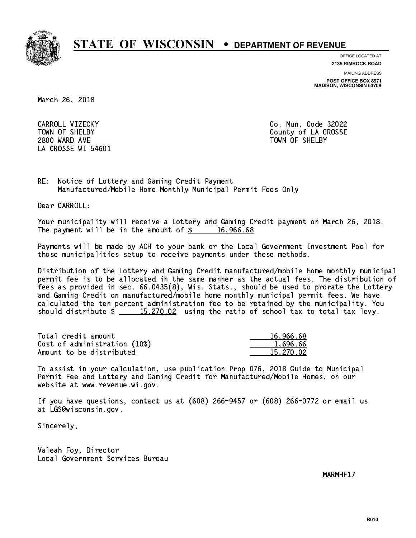

**OFFICE LOCATED AT**

**2135 RIMROCK ROAD**

**MAILING ADDRESS POST OFFICE BOX 8971 MADISON, WISCONSIN 53708**

March 26, 2018

 CARROLL VIZECKY Co. Mun. Code 32022 2800 WARD AVE TOWN OF SHELBY LA CROSSE WI 54601

TOWN OF SHELBY **COUNTY** COUNTY OF LA CROSSE

RE: Notice of Lottery and Gaming Credit Payment Manufactured/Mobile Home Monthly Municipal Permit Fees Only

Dear CARROLL:

 Your municipality will receive a Lottery and Gaming Credit payment on March 26, 2018. The payment will be in the amount of  $\frac{2}{3}$  16,966.68

 Payments will be made by ACH to your bank or the Local Government Investment Pool for those municipalities setup to receive payments under these methods.

 Distribution of the Lottery and Gaming Credit manufactured/mobile home monthly municipal permit fee is to be allocated in the same manner as the actual fees. The distribution of fees as provided in sec. 66.0435(8), Wis. Stats., should be used to prorate the Lottery and Gaming Credit on manufactured/mobile home monthly municipal permit fees. We have calculated the ten percent administration fee to be retained by the municipality. You should distribute  $\frac{15,270.02}{ }$  using the ratio of school tax to total tax levy.

| Total credit amount          | 16,966.68 |
|------------------------------|-----------|
| Cost of administration (10%) | 1.696.66  |
| Amount to be distributed     | 15.270.02 |

 To assist in your calculation, use publication Prop 076, 2018 Guide to Municipal Permit Fee and Lottery and Gaming Credit for Manufactured/Mobile Homes, on our website at www.revenue.wi.gov.

 If you have questions, contact us at (608) 266-9457 or (608) 266-0772 or email us at LGS@wisconsin.gov.

Sincerely,

 Valeah Foy, Director Local Government Services Bureau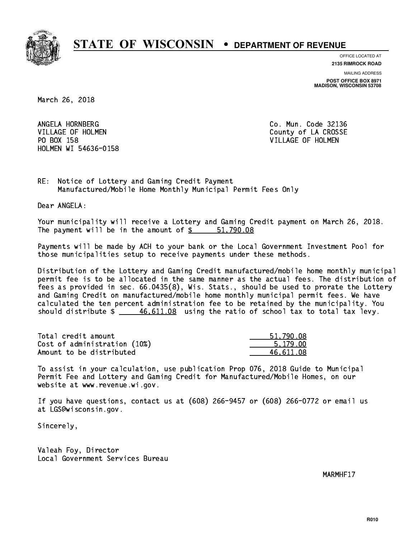

**OFFICE LOCATED AT**

**2135 RIMROCK ROAD**

**MAILING ADDRESS POST OFFICE BOX 8971 MADISON, WISCONSIN 53708**

March 26, 2018

ANGELA HORNBERG VILLAGE OF HOLMEN COUNTY OF LA CROSSE PO BOX 158 VILLAGE OF HOLMEN HOLMEN WI 54636-0158

Co. Mun. Code 32136

RE: Notice of Lottery and Gaming Credit Payment Manufactured/Mobile Home Monthly Municipal Permit Fees Only

Dear ANGELA:

 Your municipality will receive a Lottery and Gaming Credit payment on March 26, 2018. The payment will be in the amount of \$ 51,790.08 \_\_\_\_\_\_\_\_\_\_\_\_\_\_\_\_

 Payments will be made by ACH to your bank or the Local Government Investment Pool for those municipalities setup to receive payments under these methods.

 Distribution of the Lottery and Gaming Credit manufactured/mobile home monthly municipal permit fee is to be allocated in the same manner as the actual fees. The distribution of fees as provided in sec. 66.0435(8), Wis. Stats., should be used to prorate the Lottery and Gaming Credit on manufactured/mobile home monthly municipal permit fees. We have calculated the ten percent administration fee to be retained by the municipality. You should distribute  $\frac{46,611.08}{2}$  using the ratio of school tax to total tax levy.

| Total credit amount          | 51,790.08 |
|------------------------------|-----------|
| Cost of administration (10%) | 5.179.00  |
| Amount to be distributed     | 46.611.08 |

 To assist in your calculation, use publication Prop 076, 2018 Guide to Municipal Permit Fee and Lottery and Gaming Credit for Manufactured/Mobile Homes, on our website at www.revenue.wi.gov.

 If you have questions, contact us at (608) 266-9457 or (608) 266-0772 or email us at LGS@wisconsin.gov.

Sincerely,

 Valeah Foy, Director Local Government Services Bureau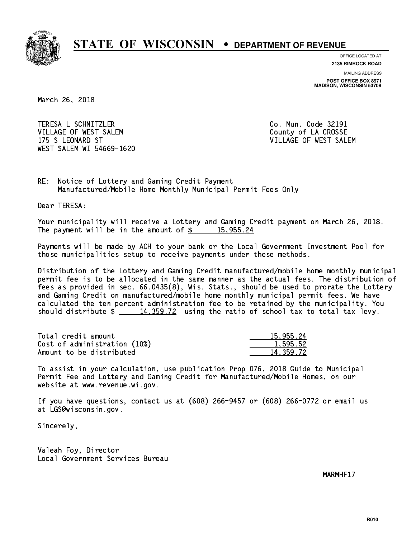

**OFFICE LOCATED AT**

**2135 RIMROCK ROAD**

**MAILING ADDRESS POST OFFICE BOX 8971 MADISON, WISCONSIN 53708**

March 26, 2018

 TERESA L SCHNITZLER Co. Mun. Code 32191 VILLAGE OF WEST SALEM COUNTY OF LA CROSSE 175 S LEONARD ST VILLAGE OF WEST SALEM WEST SALEM WI 54669-1620

RE: Notice of Lottery and Gaming Credit Payment Manufactured/Mobile Home Monthly Municipal Permit Fees Only

Dear TERESA:

 Your municipality will receive a Lottery and Gaming Credit payment on March 26, 2018. The payment will be in the amount of  $\frac{2}{3}$  15,955.24

 Payments will be made by ACH to your bank or the Local Government Investment Pool for those municipalities setup to receive payments under these methods.

 Distribution of the Lottery and Gaming Credit manufactured/mobile home monthly municipal permit fee is to be allocated in the same manner as the actual fees. The distribution of fees as provided in sec. 66.0435(8), Wis. Stats., should be used to prorate the Lottery and Gaming Credit on manufactured/mobile home monthly municipal permit fees. We have calculated the ten percent administration fee to be retained by the municipality. You should distribute  $\frac{14,359.72}{2}$  using the ratio of school tax to total tax levy.

| Total credit amount          | 15,955.24   |
|------------------------------|-------------|
| Cost of administration (10%) | 1.595.52    |
| Amount to be distributed     | 14, 359, 72 |

 To assist in your calculation, use publication Prop 076, 2018 Guide to Municipal Permit Fee and Lottery and Gaming Credit for Manufactured/Mobile Homes, on our website at www.revenue.wi.gov.

 If you have questions, contact us at (608) 266-9457 or (608) 266-0772 or email us at LGS@wisconsin.gov.

Sincerely,

 Valeah Foy, Director Local Government Services Bureau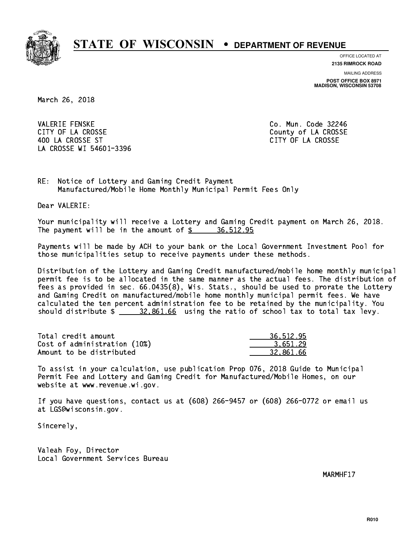

**OFFICE LOCATED AT**

**2135 RIMROCK ROAD**

**MAILING ADDRESS POST OFFICE BOX 8971 MADISON, WISCONSIN 53708**

March 26, 2018

**VALERIE FENSKE** CITY OF LA CROSSE COUNTY OF LA CROSSE 400 LA CROSSE ST CITY OF LA CROSSE LA CROSSE WI 54601-3396

Co. Mun. Code 32246

RE: Notice of Lottery and Gaming Credit Payment Manufactured/Mobile Home Monthly Municipal Permit Fees Only

Dear VALERIE:

 Your municipality will receive a Lottery and Gaming Credit payment on March 26, 2018. The payment will be in the amount of  $\frac{2}{3}$  36,512.95

 Payments will be made by ACH to your bank or the Local Government Investment Pool for those municipalities setup to receive payments under these methods.

 Distribution of the Lottery and Gaming Credit manufactured/mobile home monthly municipal permit fee is to be allocated in the same manner as the actual fees. The distribution of fees as provided in sec. 66.0435(8), Wis. Stats., should be used to prorate the Lottery and Gaming Credit on manufactured/mobile home monthly municipal permit fees. We have calculated the ten percent administration fee to be retained by the municipality. You should distribute  $\frac{20.861.66}{20.002}$  using the ratio of school tax to total tax levy.

| Total credit amount          | 36,512.95 |
|------------------------------|-----------|
| Cost of administration (10%) | 3.651.29  |
| Amount to be distributed     | 32.861.66 |

 To assist in your calculation, use publication Prop 076, 2018 Guide to Municipal Permit Fee and Lottery and Gaming Credit for Manufactured/Mobile Homes, on our website at www.revenue.wi.gov.

 If you have questions, contact us at (608) 266-9457 or (608) 266-0772 or email us at LGS@wisconsin.gov.

Sincerely,

 Valeah Foy, Director Local Government Services Bureau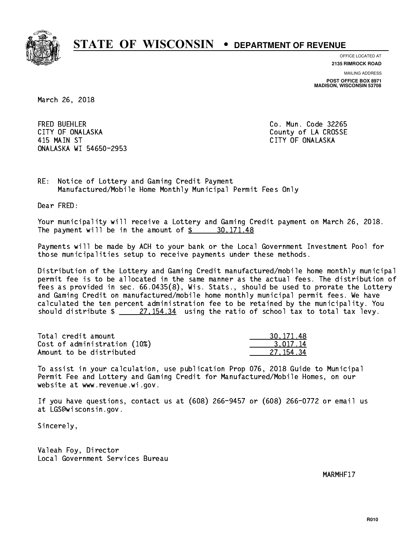

**OFFICE LOCATED AT**

**2135 RIMROCK ROAD**

**MAILING ADDRESS POST OFFICE BOX 8971 MADISON, WISCONSIN 53708**

March 26, 2018

**FRED BUEHLER** CITY OF ONALASKA COUNTY COUNTY OF COUNTY OF COUNTY OF LA CROSSE 415 MAIN ST CITY OF ONALASKA ONALASKA WI 54650-2953

Co. Mun. Code 32265

RE: Notice of Lottery and Gaming Credit Payment Manufactured/Mobile Home Monthly Municipal Permit Fees Only

Dear FRED:

 Your municipality will receive a Lottery and Gaming Credit payment on March 26, 2018. The payment will be in the amount of  $\frac{2}{3}$  30,171.48

 Payments will be made by ACH to your bank or the Local Government Investment Pool for those municipalities setup to receive payments under these methods.

 Distribution of the Lottery and Gaming Credit manufactured/mobile home monthly municipal permit fee is to be allocated in the same manner as the actual fees. The distribution of fees as provided in sec. 66.0435(8), Wis. Stats., should be used to prorate the Lottery and Gaming Credit on manufactured/mobile home monthly municipal permit fees. We have calculated the ten percent administration fee to be retained by the municipality. You should distribute  $\frac{27.154.34}{27.154.34}$  using the ratio of school tax to total tax levy.

| Total credit amount          | 30, 171, 48 |
|------------------------------|-------------|
| Cost of administration (10%) | 3.017.14    |
| Amount to be distributed     | 27.154.34   |

 To assist in your calculation, use publication Prop 076, 2018 Guide to Municipal Permit Fee and Lottery and Gaming Credit for Manufactured/Mobile Homes, on our website at www.revenue.wi.gov.

 If you have questions, contact us at (608) 266-9457 or (608) 266-0772 or email us at LGS@wisconsin.gov.

Sincerely,

 Valeah Foy, Director Local Government Services Bureau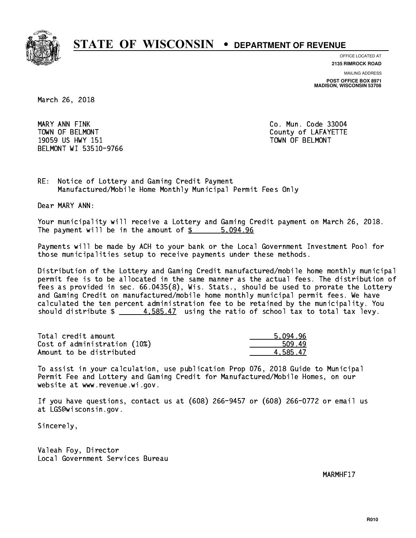

**OFFICE LOCATED AT**

**2135 RIMROCK ROAD**

**MAILING ADDRESS POST OFFICE BOX 8971 MADISON, WISCONSIN 53708**

March 26, 2018

 MARY ANN FINK Co. Mun. Code 33004 TOWN OF BELMONT COUNTY COUNTY OF LAFAYETTE 19059 US HWY 151 TOWN OF BELMONT BELMONT WI 53510-9766

RE: Notice of Lottery and Gaming Credit Payment Manufactured/Mobile Home Monthly Municipal Permit Fees Only

Dear MARY ANN:

 Your municipality will receive a Lottery and Gaming Credit payment on March 26, 2018. The payment will be in the amount of \$ 5,094.96 \_\_\_\_\_\_\_\_\_\_\_\_\_\_\_\_

 Payments will be made by ACH to your bank or the Local Government Investment Pool for those municipalities setup to receive payments under these methods.

 Distribution of the Lottery and Gaming Credit manufactured/mobile home monthly municipal permit fee is to be allocated in the same manner as the actual fees. The distribution of fees as provided in sec. 66.0435(8), Wis. Stats., should be used to prorate the Lottery and Gaming Credit on manufactured/mobile home monthly municipal permit fees. We have calculated the ten percent administration fee to be retained by the municipality. You should distribute  $\frac{4.585.47}{2}$  using the ratio of school tax to total tax levy.

| Total credit amount          | 5.094.96 |
|------------------------------|----------|
| Cost of administration (10%) | 509.49   |
| Amount to be distributed     | 4.585.47 |

 To assist in your calculation, use publication Prop 076, 2018 Guide to Municipal Permit Fee and Lottery and Gaming Credit for Manufactured/Mobile Homes, on our website at www.revenue.wi.gov.

 If you have questions, contact us at (608) 266-9457 or (608) 266-0772 or email us at LGS@wisconsin.gov.

Sincerely,

 Valeah Foy, Director Local Government Services Bureau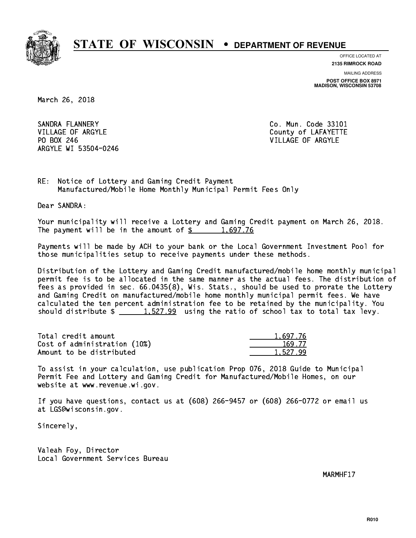

**OFFICE LOCATED AT**

**2135 RIMROCK ROAD**

**MAILING ADDRESS POST OFFICE BOX 8971 MADISON, WISCONSIN 53708**

March 26, 2018

SANDRA FLANNERY VILLAGE OF ARGYLE COUNTY OF LAFAYETTE PO BOX 246 VILLAGE OF ARGYLE ARGYLE WI 53504-0246

Co. Mun. Code 33101

RE: Notice of Lottery and Gaming Credit Payment Manufactured/Mobile Home Monthly Municipal Permit Fees Only

Dear SANDRA:

 Your municipality will receive a Lottery and Gaming Credit payment on March 26, 2018. The payment will be in the amount of  $\frac{2}{3}$  1,697.76

 Payments will be made by ACH to your bank or the Local Government Investment Pool for those municipalities setup to receive payments under these methods.

 Distribution of the Lottery and Gaming Credit manufactured/mobile home monthly municipal permit fee is to be allocated in the same manner as the actual fees. The distribution of fees as provided in sec. 66.0435(8), Wis. Stats., should be used to prorate the Lottery and Gaming Credit on manufactured/mobile home monthly municipal permit fees. We have calculated the ten percent administration fee to be retained by the municipality. You should distribute  $\frac{1.527.99}{1.527.99}$  using the ratio of school tax to total tax levy.

| Total credit amount          | 1.697.76 |
|------------------------------|----------|
| Cost of administration (10%) | 169.77   |
| Amount to be distributed     | 1.527.99 |

 To assist in your calculation, use publication Prop 076, 2018 Guide to Municipal Permit Fee and Lottery and Gaming Credit for Manufactured/Mobile Homes, on our website at www.revenue.wi.gov.

 If you have questions, contact us at (608) 266-9457 or (608) 266-0772 or email us at LGS@wisconsin.gov.

Sincerely,

 Valeah Foy, Director Local Government Services Bureau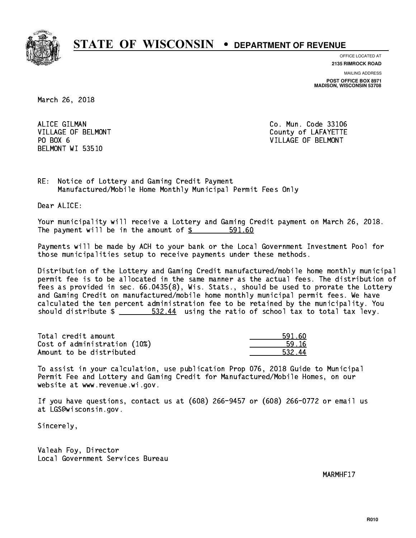

**OFFICE LOCATED AT**

**2135 RIMROCK ROAD**

**MAILING ADDRESS POST OFFICE BOX 8971 MADISON, WISCONSIN 53708**

March 26, 2018

ALICE GILMAN COMPOUND CO. Mun. Code 33106 PO BOX 6 BELMONT WI 53510

VILLAGE OF BELMONT COUNTS AND THE COUNTY OF LAFAYETTE VILLAGE OF BELMONT

RE: Notice of Lottery and Gaming Credit Payment Manufactured/Mobile Home Monthly Municipal Permit Fees Only

Dear ALICE:

 Your municipality will receive a Lottery and Gaming Credit payment on March 26, 2018. The payment will be in the amount of \$ 591.60 \_\_\_\_\_\_\_\_\_\_\_\_\_\_\_\_

 Payments will be made by ACH to your bank or the Local Government Investment Pool for those municipalities setup to receive payments under these methods.

 Distribution of the Lottery and Gaming Credit manufactured/mobile home monthly municipal permit fee is to be allocated in the same manner as the actual fees. The distribution of fees as provided in sec. 66.0435(8), Wis. Stats., should be used to prorate the Lottery and Gaming Credit on manufactured/mobile home monthly municipal permit fees. We have calculated the ten percent administration fee to be retained by the municipality. You should distribute  $\frac{2}{2}$   $\frac{532.44}{4}$  using the ratio of school tax to total tax levy.

| Total credit amount          | 591.60 |
|------------------------------|--------|
| Cost of administration (10%) | -59-16 |
| Amount to be distributed     | 532.44 |

 To assist in your calculation, use publication Prop 076, 2018 Guide to Municipal Permit Fee and Lottery and Gaming Credit for Manufactured/Mobile Homes, on our website at www.revenue.wi.gov.

 If you have questions, contact us at (608) 266-9457 or (608) 266-0772 or email us at LGS@wisconsin.gov.

Sincerely,

 Valeah Foy, Director Local Government Services Bureau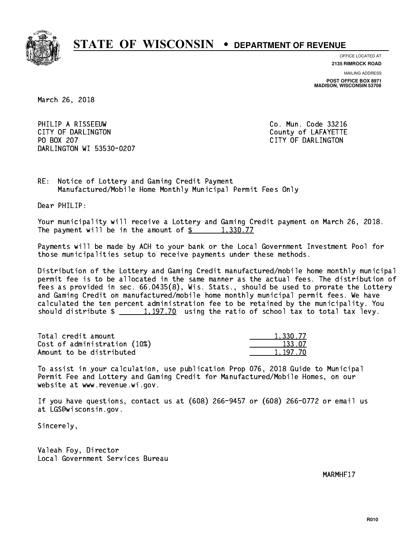

**OFFICE LOCATED AT**

**2135 RIMROCK ROAD**

**MAILING ADDRESS POST OFFICE BOX 8971 MADISON, WISCONSIN 53708**

March 26, 2018

PHILIP A RISSEEUW Co. Mun. Code 33216 CITY OF DARLINGTON County of LAFAYETTE PO BOX 207 DARLINGTON WI 53530-0207

CITY OF DARLINGTON

RE: Notice of Lottery and Gaming Credit Payment Manufactured/Mobile Home Monthly Municipal Permit Fees Only

Dear PHILIP:

 Your municipality will receive a Lottery and Gaming Credit payment on March 26, 2018. The payment will be in the amount of  $\frac{2}{3}$  1,330.77

 Payments will be made by ACH to your bank or the Local Government Investment Pool for those municipalities setup to receive payments under these methods.

 Distribution of the Lottery and Gaming Credit manufactured/mobile home monthly municipal permit fee is to be allocated in the same manner as the actual fees. The distribution of fees as provided in sec. 66.0435(8), Wis. Stats., should be used to prorate the Lottery and Gaming Credit on manufactured/mobile home monthly municipal permit fees. We have calculated the ten percent administration fee to be retained by the municipality. You should distribute  $\frac{1,197.70}{1,197.70}$  using the ratio of school tax to total tax levy.

| Total credit amount          | 1,330.77 |
|------------------------------|----------|
| Cost of administration (10%) | 133.07   |
| Amount to be distributed     | 1.197.70 |

 To assist in your calculation, use publication Prop 076, 2018 Guide to Municipal Permit Fee and Lottery and Gaming Credit for Manufactured/Mobile Homes, on our website at www.revenue.wi.gov.

 If you have questions, contact us at (608) 266-9457 or (608) 266-0772 or email us at LGS@wisconsin.gov.

Sincerely,

 Valeah Foy, Director Local Government Services Bureau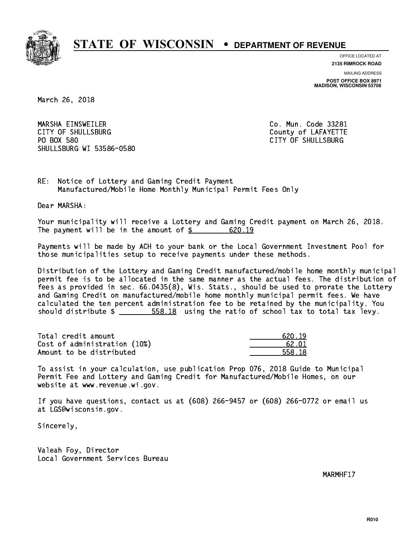

**OFFICE LOCATED AT**

**2135 RIMROCK ROAD**

**MAILING ADDRESS POST OFFICE BOX 8971 MADISON, WISCONSIN 53708**

March 26, 2018

 MARSHA EINSWEILER Co. Mun. Code 33281 CITY OF SHULLSBURG COUNTY COUNTY OF LAFAYETTE PO BOX 580 SHULLSBURG WI 53586-0580

CITY OF SHULLSBURG

RE: Notice of Lottery and Gaming Credit Payment Manufactured/Mobile Home Monthly Municipal Permit Fees Only

Dear MARSHA:

 Your municipality will receive a Lottery and Gaming Credit payment on March 26, 2018. The payment will be in the amount of  $\frac{20.19}{2}$ 

 Payments will be made by ACH to your bank or the Local Government Investment Pool for those municipalities setup to receive payments under these methods.

 Distribution of the Lottery and Gaming Credit manufactured/mobile home monthly municipal permit fee is to be allocated in the same manner as the actual fees. The distribution of fees as provided in sec. 66.0435(8), Wis. Stats., should be used to prorate the Lottery and Gaming Credit on manufactured/mobile home monthly municipal permit fees. We have calculated the ten percent administration fee to be retained by the municipality. You should distribute  $\frac{2}{1}$   $\frac{558.18}{10}$  using the ratio of school tax to total tax levy.

Total credit amount Cost of administration  $(10%)$ Amount to be distributed

| 0.19   |
|--------|
| 62.01  |
| 558.18 |

 To assist in your calculation, use publication Prop 076, 2018 Guide to Municipal Permit Fee and Lottery and Gaming Credit for Manufactured/Mobile Homes, on our website at www.revenue.wi.gov.

 If you have questions, contact us at (608) 266-9457 or (608) 266-0772 or email us at LGS@wisconsin.gov.

Sincerely,

 Valeah Foy, Director Local Government Services Bureau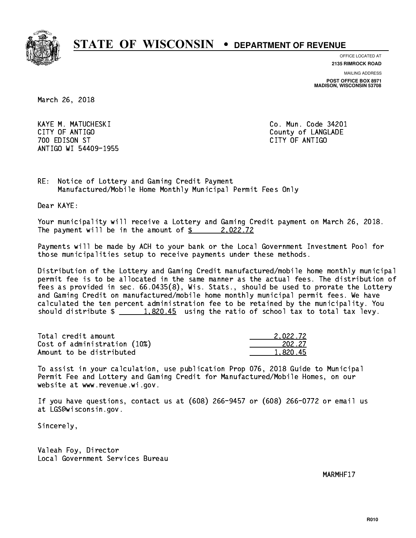

**OFFICE LOCATED AT**

**2135 RIMROCK ROAD**

**MAILING ADDRESS**

**POST OFFICE BOX 8971 MADISON, WISCONSIN 53708**

March 26, 2018

 KAYE M. MATUCHESKI Co. Mun. Code 34201 CITY OF ANTIGO COUNTY OF ANTIGO 700 EDISON ST CITY OF ANTIGO ANTIGO WI 54409-1955

RE: Notice of Lottery and Gaming Credit Payment Manufactured/Mobile Home Monthly Municipal Permit Fees Only

Dear KAYE:

 Your municipality will receive a Lottery and Gaming Credit payment on March 26, 2018. The payment will be in the amount of  $\frac{2}{3}$  2,022.72

 Payments will be made by ACH to your bank or the Local Government Investment Pool for those municipalities setup to receive payments under these methods.

 Distribution of the Lottery and Gaming Credit manufactured/mobile home monthly municipal permit fee is to be allocated in the same manner as the actual fees. The distribution of fees as provided in sec. 66.0435(8), Wis. Stats., should be used to prorate the Lottery and Gaming Credit on manufactured/mobile home monthly municipal permit fees. We have calculated the ten percent administration fee to be retained by the municipality. You should distribute  $\frac{1.820.45}{1.820.45}$  using the ratio of school tax to total tax levy.

| Total credit amount          | 2.022.72 |
|------------------------------|----------|
| Cost of administration (10%) | 202.27   |
| Amount to be distributed     | 1,820.45 |

 To assist in your calculation, use publication Prop 076, 2018 Guide to Municipal Permit Fee and Lottery and Gaming Credit for Manufactured/Mobile Homes, on our website at www.revenue.wi.gov.

 If you have questions, contact us at (608) 266-9457 or (608) 266-0772 or email us at LGS@wisconsin.gov.

Sincerely,

 Valeah Foy, Director Local Government Services Bureau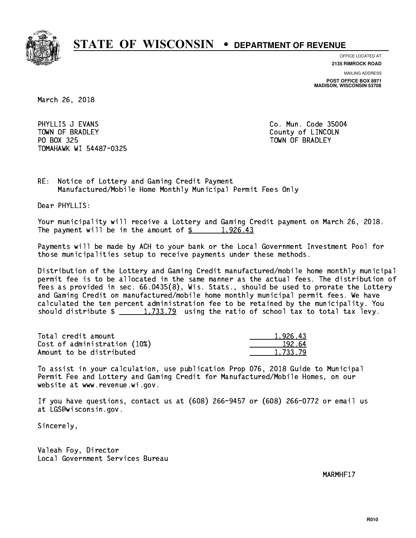

**OFFICE LOCATED AT**

**2135 RIMROCK ROAD**

**MAILING ADDRESS POST OFFICE BOX 8971 MADISON, WISCONSIN 53708**

March 26, 2018

PHYLLIS J EVANS **Co. Mun. Code 35004** TOWN OF BRADLEY **COUNTY COULD AND ACCOUNT OF COULD A** PO BOX 325 PO BOX 325 TOWN OF BRADLEY TOMAHAWK WI 54487-0325

RE: Notice of Lottery and Gaming Credit Payment Manufactured/Mobile Home Monthly Municipal Permit Fees Only

Dear PHYLLIS:

 Your municipality will receive a Lottery and Gaming Credit payment on March 26, 2018. The payment will be in the amount of  $\frac{2}{3}$  1,926.43

 Payments will be made by ACH to your bank or the Local Government Investment Pool for those municipalities setup to receive payments under these methods.

 Distribution of the Lottery and Gaming Credit manufactured/mobile home monthly municipal permit fee is to be allocated in the same manner as the actual fees. The distribution of fees as provided in sec. 66.0435(8), Wis. Stats., should be used to prorate the Lottery and Gaming Credit on manufactured/mobile home monthly municipal permit fees. We have calculated the ten percent administration fee to be retained by the municipality. You should distribute  $\frac{1,733.79}{2}$  using the ratio of school tax to total tax levy.

| Total credit amount          | 1.926.43 |
|------------------------------|----------|
| Cost of administration (10%) | 192.64   |
| Amount to be distributed     | 1,733.79 |

 To assist in your calculation, use publication Prop 076, 2018 Guide to Municipal Permit Fee and Lottery and Gaming Credit for Manufactured/Mobile Homes, on our website at www.revenue.wi.gov.

 If you have questions, contact us at (608) 266-9457 or (608) 266-0772 or email us at LGS@wisconsin.gov.

Sincerely,

 Valeah Foy, Director Local Government Services Bureau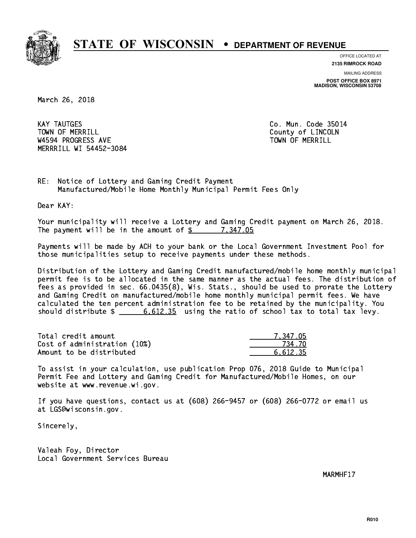

**OFFICE LOCATED AT**

**2135 RIMROCK ROAD**

**MAILING ADDRESS POST OFFICE BOX 8971 MADISON, WISCONSIN 53708**

March 26, 2018

**KAY TAUTGES** TOWN OF MERRILL **TOWN OF MERRILL** W4594 PROGRESS AVE TOWN OF MERRILL MERRRILL WI 54452-3084

Co. Mun. Code 35014

RE: Notice of Lottery and Gaming Credit Payment Manufactured/Mobile Home Monthly Municipal Permit Fees Only

Dear KAY:

 Your municipality will receive a Lottery and Gaming Credit payment on March 26, 2018. The payment will be in the amount of  $\frac{2}{3}$  7,347.05

 Payments will be made by ACH to your bank or the Local Government Investment Pool for those municipalities setup to receive payments under these methods.

 Distribution of the Lottery and Gaming Credit manufactured/mobile home monthly municipal permit fee is to be allocated in the same manner as the actual fees. The distribution of fees as provided in sec. 66.0435(8), Wis. Stats., should be used to prorate the Lottery and Gaming Credit on manufactured/mobile home monthly municipal permit fees. We have calculated the ten percent administration fee to be retained by the municipality. You should distribute  $\frac{2}{1}$   $\frac{6.612.35}{2}$  using the ratio of school tax to total tax levy.

| Total credit amount          | 7.347.05 |
|------------------------------|----------|
| Cost of administration (10%) | 734.70   |
| Amount to be distributed     | 6.612.35 |

 To assist in your calculation, use publication Prop 076, 2018 Guide to Municipal Permit Fee and Lottery and Gaming Credit for Manufactured/Mobile Homes, on our website at www.revenue.wi.gov.

 If you have questions, contact us at (608) 266-9457 or (608) 266-0772 or email us at LGS@wisconsin.gov.

Sincerely,

 Valeah Foy, Director Local Government Services Bureau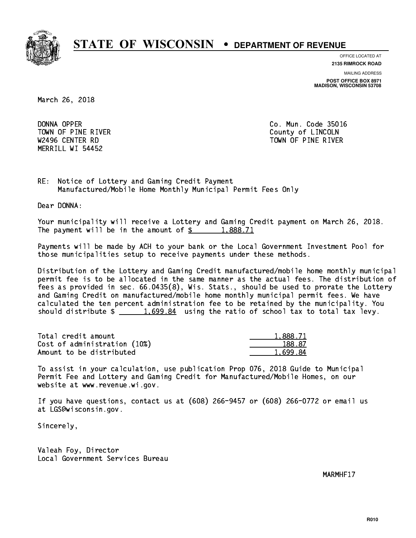

**OFFICE LOCATED AT**

**2135 RIMROCK ROAD**

**MAILING ADDRESS POST OFFICE BOX 8971 MADISON, WISCONSIN 53708**

March 26, 2018

DONNA OPPER TOWN OF PINE RIVER **COUNTY COUNTY OF LINCOLN** MERRILL WI 54452

Co. Mun. Code 35016 W2496 CENTER RD TOWN OF PINE RIVER

RE: Notice of Lottery and Gaming Credit Payment Manufactured/Mobile Home Monthly Municipal Permit Fees Only

Dear DONNA:

 Your municipality will receive a Lottery and Gaming Credit payment on March 26, 2018. The payment will be in the amount of  $\frac{2}{3}$  1,888.71

 Payments will be made by ACH to your bank or the Local Government Investment Pool for those municipalities setup to receive payments under these methods.

 Distribution of the Lottery and Gaming Credit manufactured/mobile home monthly municipal permit fee is to be allocated in the same manner as the actual fees. The distribution of fees as provided in sec. 66.0435(8), Wis. Stats., should be used to prorate the Lottery and Gaming Credit on manufactured/mobile home monthly municipal permit fees. We have calculated the ten percent administration fee to be retained by the municipality. You should distribute  $\frac{1.699.84}{1.699.84}$  using the ratio of school tax to total tax levy.

| Total credit amount          | 1,888.71 |
|------------------------------|----------|
| Cost of administration (10%) | 188.87   |
| Amount to be distributed     | 1.699.84 |

 To assist in your calculation, use publication Prop 076, 2018 Guide to Municipal Permit Fee and Lottery and Gaming Credit for Manufactured/Mobile Homes, on our website at www.revenue.wi.gov.

 If you have questions, contact us at (608) 266-9457 or (608) 266-0772 or email us at LGS@wisconsin.gov.

Sincerely,

 Valeah Foy, Director Local Government Services Bureau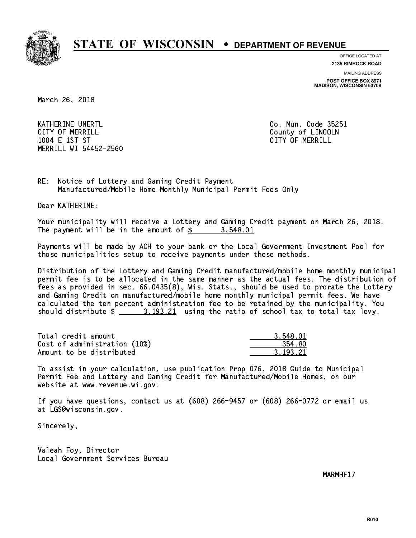

**OFFICE LOCATED AT**

**2135 RIMROCK ROAD**

**MAILING ADDRESS POST OFFICE BOX 8971 MADISON, WISCONSIN 53708**

March 26, 2018

KATHERINE UNERTL Communication of the contract of the contract of the code 25251 CITY OF MERRILL **COUNTY OF MERRILL**  1004 E 1ST ST CITY OF MERRILL MERRILL WI 54452-2560

RE: Notice of Lottery and Gaming Credit Payment Manufactured/Mobile Home Monthly Municipal Permit Fees Only

Dear KATHERINE:

 Your municipality will receive a Lottery and Gaming Credit payment on March 26, 2018. The payment will be in the amount of  $\frac{2}{3}$  3,548.01

 Payments will be made by ACH to your bank or the Local Government Investment Pool for those municipalities setup to receive payments under these methods.

 Distribution of the Lottery and Gaming Credit manufactured/mobile home monthly municipal permit fee is to be allocated in the same manner as the actual fees. The distribution of fees as provided in sec. 66.0435(8), Wis. Stats., should be used to prorate the Lottery and Gaming Credit on manufactured/mobile home monthly municipal permit fees. We have calculated the ten percent administration fee to be retained by the municipality. You should distribute  $\frac{2}{1}$   $\frac{3.193.21}{2}$  using the ratio of school tax to total tax levy.

| Total credit amount          | 3.548.01 |
|------------------------------|----------|
| Cost of administration (10%) | 354.80   |
| Amount to be distributed     | 3.193.21 |

 To assist in your calculation, use publication Prop 076, 2018 Guide to Municipal Permit Fee and Lottery and Gaming Credit for Manufactured/Mobile Homes, on our website at www.revenue.wi.gov.

 If you have questions, contact us at (608) 266-9457 or (608) 266-0772 or email us at LGS@wisconsin.gov.

Sincerely,

 Valeah Foy, Director Local Government Services Bureau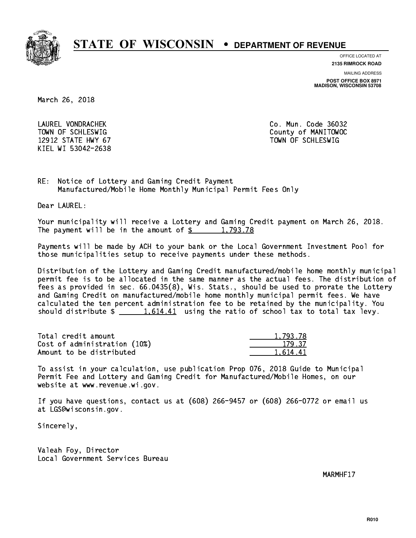

**OFFICE LOCATED AT**

**2135 RIMROCK ROAD**

**MAILING ADDRESS**

**POST OFFICE BOX 8971 MADISON, WISCONSIN 53708**

March 26, 2018

 LAUREL VONDRACHEK Co. Mun. Code 36032 12912 STATE HWY 67 TOWN OF SCHLESWIG KIEL WI 53042-2638

TOWN OF SCHLESWIG County of MANITOWOC

RE: Notice of Lottery and Gaming Credit Payment Manufactured/Mobile Home Monthly Municipal Permit Fees Only

Dear LAUREL:

 Your municipality will receive a Lottery and Gaming Credit payment on March 26, 2018. The payment will be in the amount of  $\frac{2}{3}$  1,793.78

 Payments will be made by ACH to your bank or the Local Government Investment Pool for those municipalities setup to receive payments under these methods.

 Distribution of the Lottery and Gaming Credit manufactured/mobile home monthly municipal permit fee is to be allocated in the same manner as the actual fees. The distribution of fees as provided in sec. 66.0435(8), Wis. Stats., should be used to prorate the Lottery and Gaming Credit on manufactured/mobile home monthly municipal permit fees. We have calculated the ten percent administration fee to be retained by the municipality. You should distribute  $\frac{1.614.41}{1.614.41}$  using the ratio of school tax to total tax levy.

| Total credit amount          | 1,793.78 |
|------------------------------|----------|
| Cost of administration (10%) | 179.37   |
| Amount to be distributed     | 1.614.41 |

 To assist in your calculation, use publication Prop 076, 2018 Guide to Municipal Permit Fee and Lottery and Gaming Credit for Manufactured/Mobile Homes, on our website at www.revenue.wi.gov.

 If you have questions, contact us at (608) 266-9457 or (608) 266-0772 or email us at LGS@wisconsin.gov.

Sincerely,

 Valeah Foy, Director Local Government Services Bureau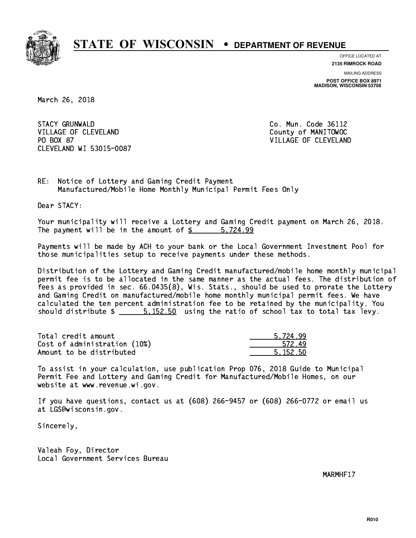

**OFFICE LOCATED AT 2135 RIMROCK ROAD**

**MAILING ADDRESS POST OFFICE BOX 8971 MADISON, WISCONSIN 53708**

March 26, 2018

**STACY GRUNWALD** VILLAGE OF CLEVELAND County of MANITOWOC PO BOX 87 CLEVELAND WI 53015-0087

Co. Mun. Code 36112 VILLAGE OF CLEVELAND

RE: Notice of Lottery and Gaming Credit Payment Manufactured/Mobile Home Monthly Municipal Permit Fees Only

Dear STACY:

 Your municipality will receive a Lottery and Gaming Credit payment on March 26, 2018. The payment will be in the amount of \$ 5,724.99 \_\_\_\_\_\_\_\_\_\_\_\_\_\_\_\_

 Payments will be made by ACH to your bank or the Local Government Investment Pool for those municipalities setup to receive payments under these methods.

 Distribution of the Lottery and Gaming Credit manufactured/mobile home monthly municipal permit fee is to be allocated in the same manner as the actual fees. The distribution of fees as provided in sec. 66.0435(8), Wis. Stats., should be used to prorate the Lottery and Gaming Credit on manufactured/mobile home monthly municipal permit fees. We have calculated the ten percent administration fee to be retained by the municipality. You should distribute  $\frac{2}{1}$   $\frac{5.152.50}{2}$  using the ratio of school tax to total tax levy.

| Total credit amount          | 5.724.99 |
|------------------------------|----------|
| Cost of administration (10%) | 572.49   |
| Amount to be distributed     | 5.152.50 |

 To assist in your calculation, use publication Prop 076, 2018 Guide to Municipal Permit Fee and Lottery and Gaming Credit for Manufactured/Mobile Homes, on our website at www.revenue.wi.gov.

 If you have questions, contact us at (608) 266-9457 or (608) 266-0772 or email us at LGS@wisconsin.gov.

Sincerely,

 Valeah Foy, Director Local Government Services Bureau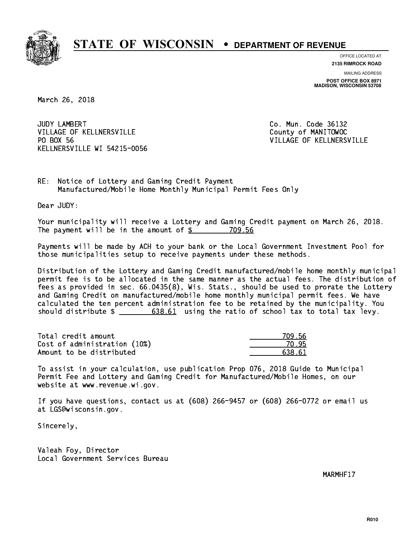

**OFFICE LOCATED AT**

**2135 RIMROCK ROAD**

**MAILING ADDRESS POST OFFICE BOX 8971 MADISON, WISCONSIN 53708**

March 26, 2018

JUDY LAMBERT VILLAGE OF KELLNERSVILLE COUNTY OF MANITOWOC PO BOX 56 KELLNERSVILLE WI 54215-0056

Co. Mun. Code 36132 VILLAGE OF KELLNERSVILLE

RE: Notice of Lottery and Gaming Credit Payment Manufactured/Mobile Home Monthly Municipal Permit Fees Only

Dear JUDY:

 Your municipality will receive a Lottery and Gaming Credit payment on March 26, 2018. The payment will be in the amount of \$ 709.56 \_\_\_\_\_\_\_\_\_\_\_\_\_\_\_\_

 Payments will be made by ACH to your bank or the Local Government Investment Pool for those municipalities setup to receive payments under these methods.

 Distribution of the Lottery and Gaming Credit manufactured/mobile home monthly municipal permit fee is to be allocated in the same manner as the actual fees. The distribution of fees as provided in sec. 66.0435(8), Wis. Stats., should be used to prorate the Lottery and Gaming Credit on manufactured/mobile home monthly municipal permit fees. We have calculated the ten percent administration fee to be retained by the municipality. You should distribute  $\frac{2}{1}$   $\frac{638.61}{2}$  using the ratio of school tax to total tax levy.

Total credit amount Cost of administration (10%) Amount to be distributed

| ) 56<br>7 |
|-----------|
| 15.       |
| 538.61    |

 To assist in your calculation, use publication Prop 076, 2018 Guide to Municipal Permit Fee and Lottery and Gaming Credit for Manufactured/Mobile Homes, on our website at www.revenue.wi.gov.

 If you have questions, contact us at (608) 266-9457 or (608) 266-0772 or email us at LGS@wisconsin.gov.

Sincerely,

 Valeah Foy, Director Local Government Services Bureau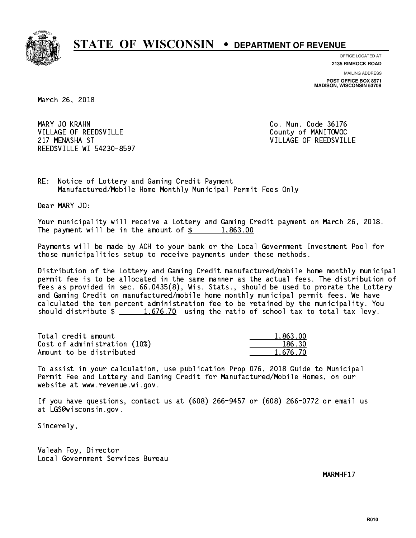

**OFFICE LOCATED AT**

**2135 RIMROCK ROAD**

**MAILING ADDRESS POST OFFICE BOX 8971 MADISON, WISCONSIN 53708**

March 26, 2018

MARY JO KRAHN VILLAGE OF REEDSVILLE COUNTY OF MANITOWOC 217 MENASHA ST VILLAGE OF REEDSVILLE REEDSVILLE WI 54230-8597

Co. Mun. Code 36176

RE: Notice of Lottery and Gaming Credit Payment Manufactured/Mobile Home Monthly Municipal Permit Fees Only

Dear MARY JO:

 Your municipality will receive a Lottery and Gaming Credit payment on March 26, 2018. The payment will be in the amount of  $\frac{2}{3}$  1,863.00

 Payments will be made by ACH to your bank or the Local Government Investment Pool for those municipalities setup to receive payments under these methods.

 Distribution of the Lottery and Gaming Credit manufactured/mobile home monthly municipal permit fee is to be allocated in the same manner as the actual fees. The distribution of fees as provided in sec. 66.0435(8), Wis. Stats., should be used to prorate the Lottery and Gaming Credit on manufactured/mobile home monthly municipal permit fees. We have calculated the ten percent administration fee to be retained by the municipality. You should distribute  $\frac{1.676.70}{1.676.70}$  using the ratio of school tax to total tax levy.

| Total credit amount          | 1,863.00 |
|------------------------------|----------|
| Cost of administration (10%) | 186.30   |
| Amount to be distributed     | 1.676.70 |

 To assist in your calculation, use publication Prop 076, 2018 Guide to Municipal Permit Fee and Lottery and Gaming Credit for Manufactured/Mobile Homes, on our website at www.revenue.wi.gov.

 If you have questions, contact us at (608) 266-9457 or (608) 266-0772 or email us at LGS@wisconsin.gov.

Sincerely,

 Valeah Foy, Director Local Government Services Bureau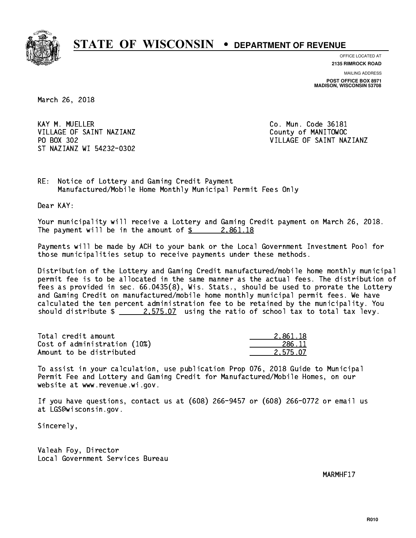

**OFFICE LOCATED AT 2135 RIMROCK ROAD**

**MAILING ADDRESS**

**POST OFFICE BOX 8971 MADISON, WISCONSIN 53708**

March 26, 2018

KAY M. MUELLER VILLAGE OF SAINT NAZIANZ County of MANITOWOC PO BOX 302 ST NAZIANZ WI 54232-0302

Co. Mun. Code 36181 VILLAGE OF SAINT NAZIANZ

RE: Notice of Lottery and Gaming Credit Payment Manufactured/Mobile Home Monthly Municipal Permit Fees Only

Dear KAY:

 Your municipality will receive a Lottery and Gaming Credit payment on March 26, 2018. The payment will be in the amount of  $\frac{2.861.18}{10}$ 

 Payments will be made by ACH to your bank or the Local Government Investment Pool for those municipalities setup to receive payments under these methods.

 Distribution of the Lottery and Gaming Credit manufactured/mobile home monthly municipal permit fee is to be allocated in the same manner as the actual fees. The distribution of fees as provided in sec. 66.0435(8), Wis. Stats., should be used to prorate the Lottery and Gaming Credit on manufactured/mobile home monthly municipal permit fees. We have calculated the ten percent administration fee to be retained by the municipality. You should distribute  $\frac{2.575.07}{2.575.02}$  using the ratio of school tax to total tax levy.

| Total credit amount          | 2.861.18 |
|------------------------------|----------|
| Cost of administration (10%) | 286.11   |
| Amount to be distributed     | 2.575.07 |

 To assist in your calculation, use publication Prop 076, 2018 Guide to Municipal Permit Fee and Lottery and Gaming Credit for Manufactured/Mobile Homes, on our website at www.revenue.wi.gov.

 If you have questions, contact us at (608) 266-9457 or (608) 266-0772 or email us at LGS@wisconsin.gov.

Sincerely,

 Valeah Foy, Director Local Government Services Bureau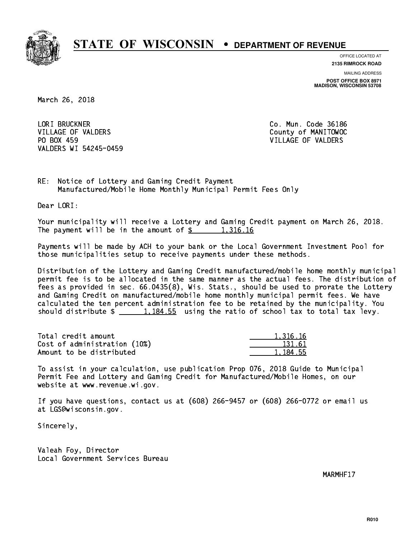

**OFFICE LOCATED AT**

**2135 RIMROCK ROAD**

**MAILING ADDRESS POST OFFICE BOX 8971 MADISON, WISCONSIN 53708**

March 26, 2018

 LORI BRUCKNER Co. Mun. Code 36186 VILLAGE OF VALDERS County of MANITOWOC PO BOX 459 VILLAGE OF VALDERS VALDERS WI 54245-0459

RE: Notice of Lottery and Gaming Credit Payment Manufactured/Mobile Home Monthly Municipal Permit Fees Only

Dear LORI:

 Your municipality will receive a Lottery and Gaming Credit payment on March 26, 2018. The payment will be in the amount of  $\frac{2}{3}$  1,316.16

 Payments will be made by ACH to your bank or the Local Government Investment Pool for those municipalities setup to receive payments under these methods.

 Distribution of the Lottery and Gaming Credit manufactured/mobile home monthly municipal permit fee is to be allocated in the same manner as the actual fees. The distribution of fees as provided in sec. 66.0435(8), Wis. Stats., should be used to prorate the Lottery and Gaming Credit on manufactured/mobile home monthly municipal permit fees. We have calculated the ten percent administration fee to be retained by the municipality. You should distribute  $\frac{1,184.55}{1,184.55}$  using the ratio of school tax to total tax levy.

| Total credit amount          | 1.316.16 |
|------------------------------|----------|
| Cost of administration (10%) | 131.61   |
| Amount to be distributed     | 1.184.55 |

 To assist in your calculation, use publication Prop 076, 2018 Guide to Municipal Permit Fee and Lottery and Gaming Credit for Manufactured/Mobile Homes, on our website at www.revenue.wi.gov.

 If you have questions, contact us at (608) 266-9457 or (608) 266-0772 or email us at LGS@wisconsin.gov.

Sincerely,

 Valeah Foy, Director Local Government Services Bureau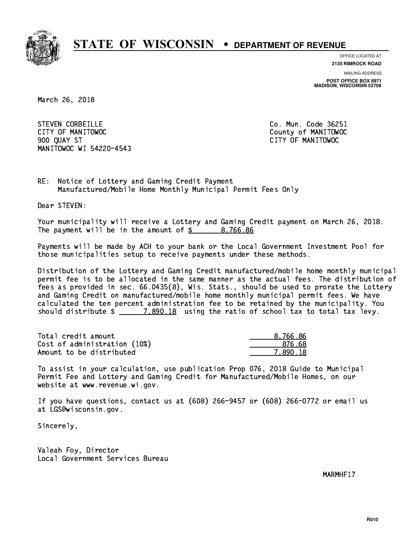

**OFFICE LOCATED AT**

**2135 RIMROCK ROAD**

**MAILING ADDRESS POST OFFICE BOX 8971 MADISON, WISCONSIN 53708**

March 26, 2018

STEVEN CORBEILLE **CO. Mun. Code 36251**  CITY OF MANITOWOC County of MANITOWOC 900 QUAY ST CITY OF MANITOWOC MANITOWOC WI 54220-4543

RE: Notice of Lottery and Gaming Credit Payment Manufactured/Mobile Home Monthly Municipal Permit Fees Only

Dear STEVEN:

 Your municipality will receive a Lottery and Gaming Credit payment on March 26, 2018. The payment will be in the amount of  $\frac{2}{3}$  8,766.86

 Payments will be made by ACH to your bank or the Local Government Investment Pool for those municipalities setup to receive payments under these methods.

 Distribution of the Lottery and Gaming Credit manufactured/mobile home monthly municipal permit fee is to be allocated in the same manner as the actual fees. The distribution of fees as provided in sec. 66.0435(8), Wis. Stats., should be used to prorate the Lottery and Gaming Credit on manufactured/mobile home monthly municipal permit fees. We have calculated the ten percent administration fee to be retained by the municipality. You should distribute  $\frac{2}{2}$   $\frac{7,890.18}{2}$  using the ratio of school tax to total tax levy.

| Total credit amount          | 8,766.86 |
|------------------------------|----------|
| Cost of administration (10%) | -876.68  |
| Amount to be distributed     | 7.890.18 |

 To assist in your calculation, use publication Prop 076, 2018 Guide to Municipal Permit Fee and Lottery and Gaming Credit for Manufactured/Mobile Homes, on our website at www.revenue.wi.gov.

 If you have questions, contact us at (608) 266-9457 or (608) 266-0772 or email us at LGS@wisconsin.gov.

Sincerely,

 Valeah Foy, Director Local Government Services Bureau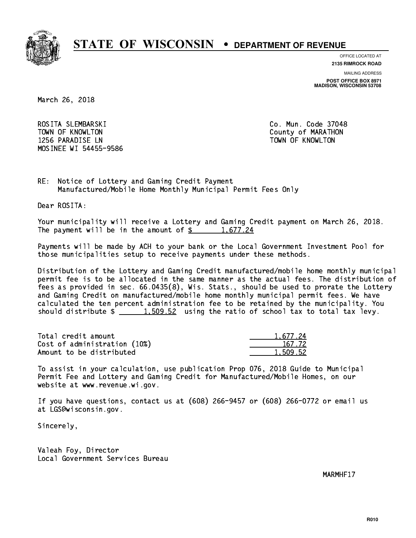

**OFFICE LOCATED AT**

**2135 RIMROCK ROAD**

**MAILING ADDRESS POST OFFICE BOX 8971 MADISON, WISCONSIN 53708**

March 26, 2018

 ROSITA SLEMBARSKI Co. Mun. Code 37048 TOWN OF KNOWLTON County of MARATHON 1256 PARADISE LN TOWN OF KNOWLTON MOSINEE WI 54455-9586

RE: Notice of Lottery and Gaming Credit Payment Manufactured/Mobile Home Monthly Municipal Permit Fees Only

Dear ROSITA:

 Your municipality will receive a Lottery and Gaming Credit payment on March 26, 2018. The payment will be in the amount of  $\frac{2}{3}$  1,677.24

 Payments will be made by ACH to your bank or the Local Government Investment Pool for those municipalities setup to receive payments under these methods.

 Distribution of the Lottery and Gaming Credit manufactured/mobile home monthly municipal permit fee is to be allocated in the same manner as the actual fees. The distribution of fees as provided in sec. 66.0435(8), Wis. Stats., should be used to prorate the Lottery and Gaming Credit on manufactured/mobile home monthly municipal permit fees. We have calculated the ten percent administration fee to be retained by the municipality. You should distribute  $\frac{2}{1,509.52}$  using the ratio of school tax to total tax levy.

| Total credit amount          | 1.677.24 |
|------------------------------|----------|
| Cost of administration (10%) | 167.72   |
| Amount to be distributed     | 1.509.52 |

 To assist in your calculation, use publication Prop 076, 2018 Guide to Municipal Permit Fee and Lottery and Gaming Credit for Manufactured/Mobile Homes, on our website at www.revenue.wi.gov.

 If you have questions, contact us at (608) 266-9457 or (608) 266-0772 or email us at LGS@wisconsin.gov.

Sincerely,

 Valeah Foy, Director Local Government Services Bureau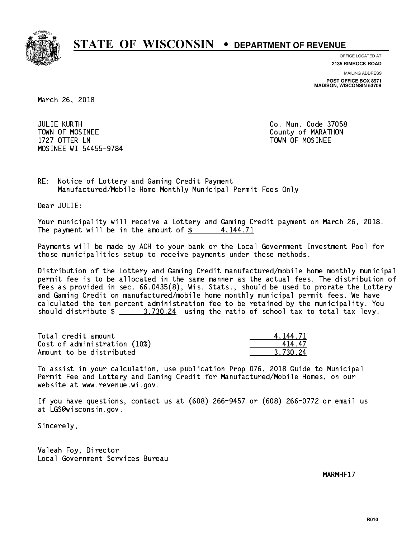

**OFFICE LOCATED AT**

**2135 RIMROCK ROAD**

**MAILING ADDRESS**

**POST OFFICE BOX 8971 MADISON, WISCONSIN 53708**

March 26, 2018

 JULIE KURTH Co. Mun. Code 37058 TOWN OF MOSINEE County of MARATHON 1727 OTTER LN TOWN OF MOSINEE MOSINEE WI 54455-9784

RE: Notice of Lottery and Gaming Credit Payment Manufactured/Mobile Home Monthly Municipal Permit Fees Only

Dear JULIE:

 Your municipality will receive a Lottery and Gaming Credit payment on March 26, 2018. The payment will be in the amount of  $\frac{2}{3}$  4,144.71

 Payments will be made by ACH to your bank or the Local Government Investment Pool for those municipalities setup to receive payments under these methods.

 Distribution of the Lottery and Gaming Credit manufactured/mobile home monthly municipal permit fee is to be allocated in the same manner as the actual fees. The distribution of fees as provided in sec. 66.0435(8), Wis. Stats., should be used to prorate the Lottery and Gaming Credit on manufactured/mobile home monthly municipal permit fees. We have calculated the ten percent administration fee to be retained by the municipality. You should distribute  $\frac{2}{1}$   $\frac{3.730.24}{2}$  using the ratio of school tax to total tax levy.

| Total credit amount          | 4.144.71 |
|------------------------------|----------|
| Cost of administration (10%) | 41447    |
| Amount to be distributed     | 3.730.24 |

 To assist in your calculation, use publication Prop 076, 2018 Guide to Municipal Permit Fee and Lottery and Gaming Credit for Manufactured/Mobile Homes, on our website at www.revenue.wi.gov.

 If you have questions, contact us at (608) 266-9457 or (608) 266-0772 or email us at LGS@wisconsin.gov.

Sincerely,

 Valeah Foy, Director Local Government Services Bureau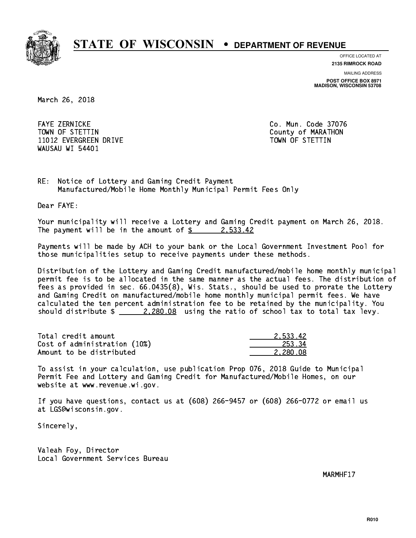

**OFFICE LOCATED AT**

**2135 RIMROCK ROAD**

**MAILING ADDRESS POST OFFICE BOX 8971 MADISON, WISCONSIN 53708**

March 26, 2018

 FAYE ZERNICKE Co. Mun. Code 37076 TOWN OF STETTIN COUNTY OF MARATHON 11012 EVERGREEN DRIVE TOWN OF STETTIN WAUSAU WI 54401

RE: Notice of Lottery and Gaming Credit Payment Manufactured/Mobile Home Monthly Municipal Permit Fees Only

Dear FAYE:

 Your municipality will receive a Lottery and Gaming Credit payment on March 26, 2018. The payment will be in the amount of  $\frac{2}{3}$  2,533.42

 Payments will be made by ACH to your bank or the Local Government Investment Pool for those municipalities setup to receive payments under these methods.

 Distribution of the Lottery and Gaming Credit manufactured/mobile home monthly municipal permit fee is to be allocated in the same manner as the actual fees. The distribution of fees as provided in sec. 66.0435(8), Wis. Stats., should be used to prorate the Lottery and Gaming Credit on manufactured/mobile home monthly municipal permit fees. We have calculated the ten percent administration fee to be retained by the municipality. You should distribute  $\frac{2.280.08}{2.280.08}$  using the ratio of school tax to total tax levy.

| Total credit amount          | 2.533.42 |
|------------------------------|----------|
| Cost of administration (10%) | 253.34   |
| Amount to be distributed     | 2.280.08 |

 To assist in your calculation, use publication Prop 076, 2018 Guide to Municipal Permit Fee and Lottery and Gaming Credit for Manufactured/Mobile Homes, on our website at www.revenue.wi.gov.

 If you have questions, contact us at (608) 266-9457 or (608) 266-0772 or email us at LGS@wisconsin.gov.

Sincerely,

 Valeah Foy, Director Local Government Services Bureau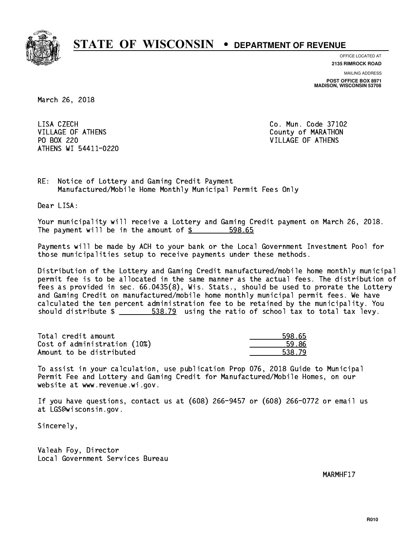

**OFFICE LOCATED AT**

**2135 RIMROCK ROAD**

**MAILING ADDRESS POST OFFICE BOX 8971 MADISON, WISCONSIN 53708**

March 26, 2018

LISA CZECH VILLAGE OF ATHENS County of MARATHON PO BOX 220 VILLAGE OF ATHENS ATHENS WI 54411-0220

Co. Mun. Code 37102

RE: Notice of Lottery and Gaming Credit Payment Manufactured/Mobile Home Monthly Municipal Permit Fees Only

Dear LISA:

 Your municipality will receive a Lottery and Gaming Credit payment on March 26, 2018. The payment will be in the amount of \$ 598.65 \_\_\_\_\_\_\_\_\_\_\_\_\_\_\_\_

 Payments will be made by ACH to your bank or the Local Government Investment Pool for those municipalities setup to receive payments under these methods.

 Distribution of the Lottery and Gaming Credit manufactured/mobile home monthly municipal permit fee is to be allocated in the same manner as the actual fees. The distribution of fees as provided in sec. 66.0435(8), Wis. Stats., should be used to prorate the Lottery and Gaming Credit on manufactured/mobile home monthly municipal permit fees. We have calculated the ten percent administration fee to be retained by the municipality. You should distribute  $\frac{2}{1}$   $\frac{538.79}{2}$  using the ratio of school tax to total tax levy.

| Total credit amount          | 598.65 |
|------------------------------|--------|
| Cost of administration (10%) | 59.86  |
| Amount to be distributed     | 538.79 |

 To assist in your calculation, use publication Prop 076, 2018 Guide to Municipal Permit Fee and Lottery and Gaming Credit for Manufactured/Mobile Homes, on our website at www.revenue.wi.gov.

 If you have questions, contact us at (608) 266-9457 or (608) 266-0772 or email us at LGS@wisconsin.gov.

Sincerely,

 Valeah Foy, Director Local Government Services Bureau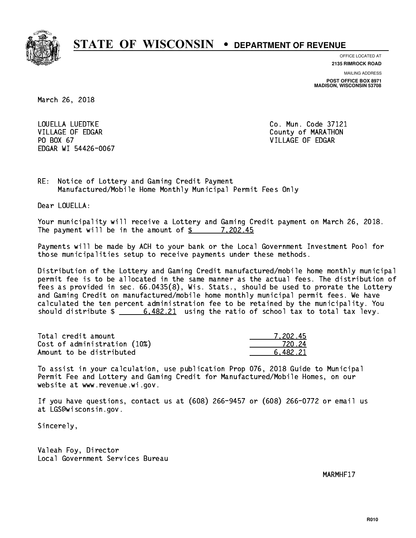

**OFFICE LOCATED AT**

**2135 RIMROCK ROAD**

**MAILING ADDRESS POST OFFICE BOX 8971 MADISON, WISCONSIN 53708**

March 26, 2018

 LOUELLA LUEDTKE Co. Mun. Code 37121 VILLAGE OF EDGAR County of MARATHON PO BOX 67 VILLAGE OF EDGAR EDGAR WI 54426-0067

RE: Notice of Lottery and Gaming Credit Payment Manufactured/Mobile Home Monthly Municipal Permit Fees Only

Dear LOUELLA:

 Your municipality will receive a Lottery and Gaming Credit payment on March 26, 2018. The payment will be in the amount of  $\frac{2}{3}$  7,202.45

 Payments will be made by ACH to your bank or the Local Government Investment Pool for those municipalities setup to receive payments under these methods.

 Distribution of the Lottery and Gaming Credit manufactured/mobile home monthly municipal permit fee is to be allocated in the same manner as the actual fees. The distribution of fees as provided in sec. 66.0435(8), Wis. Stats., should be used to prorate the Lottery and Gaming Credit on manufactured/mobile home monthly municipal permit fees. We have calculated the ten percent administration fee to be retained by the municipality. You should distribute  $\frac{2}{1}$  6,482.21 using the ratio of school tax to total tax levy.

| Total credit amount          | 7.202.45 |
|------------------------------|----------|
| Cost of administration (10%) | 720.24   |
| Amount to be distributed     | 6.482.21 |

 To assist in your calculation, use publication Prop 076, 2018 Guide to Municipal Permit Fee and Lottery and Gaming Credit for Manufactured/Mobile Homes, on our website at www.revenue.wi.gov.

 If you have questions, contact us at (608) 266-9457 or (608) 266-0772 or email us at LGS@wisconsin.gov.

Sincerely,

 Valeah Foy, Director Local Government Services Bureau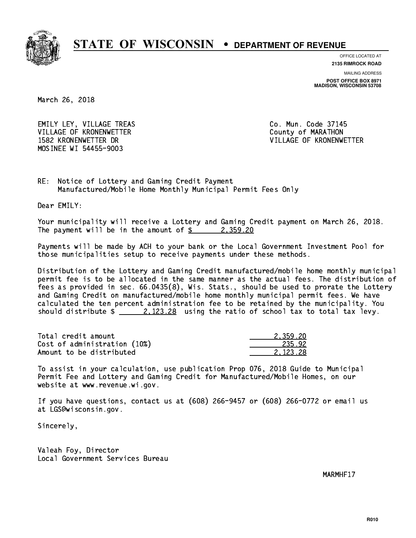

**OFFICE LOCATED AT**

**2135 RIMROCK ROAD**

**MAILING ADDRESS POST OFFICE BOX 8971 MADISON, WISCONSIN 53708**

March 26, 2018

EMILY LEY, VILLAGE TREAS CO. Mun. Code 37145 VILLAGE OF KRONENWETTER County of MARATHON 1582 KRONENWETTER DR VILLAGE OF KRONENWETTER MOSINEE WI 54455-9003

RE: Notice of Lottery and Gaming Credit Payment Manufactured/Mobile Home Monthly Municipal Permit Fees Only

Dear EMILY:

 Your municipality will receive a Lottery and Gaming Credit payment on March 26, 2018. The payment will be in the amount of  $\frac{2}{3}$  2,359.20

 Payments will be made by ACH to your bank or the Local Government Investment Pool for those municipalities setup to receive payments under these methods.

 Distribution of the Lottery and Gaming Credit manufactured/mobile home monthly municipal permit fee is to be allocated in the same manner as the actual fees. The distribution of fees as provided in sec. 66.0435(8), Wis. Stats., should be used to prorate the Lottery and Gaming Credit on manufactured/mobile home monthly municipal permit fees. We have calculated the ten percent administration fee to be retained by the municipality. You should distribute  $\frac{2.123.28}{2.123.28}$  using the ratio of school tax to total tax levy.

| Total credit amount          | 2.359.20 |
|------------------------------|----------|
| Cost of administration (10%) | 235.92   |
| Amount to be distributed     | 2.123.28 |

 To assist in your calculation, use publication Prop 076, 2018 Guide to Municipal Permit Fee and Lottery and Gaming Credit for Manufactured/Mobile Homes, on our website at www.revenue.wi.gov.

 If you have questions, contact us at (608) 266-9457 or (608) 266-0772 or email us at LGS@wisconsin.gov.

Sincerely,

 Valeah Foy, Director Local Government Services Bureau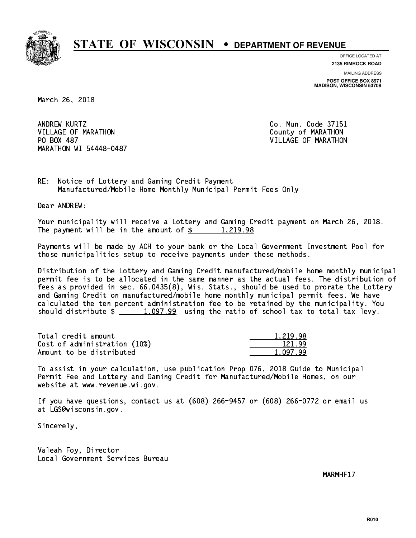

**OFFICE LOCATED AT 2135 RIMROCK ROAD**

**MAILING ADDRESS POST OFFICE BOX 8971 MADISON, WISCONSIN 53708**

March 26, 2018

ANDREW KURTZ VILLAGE OF MARATHON COUNTY OF MARATHON PO BOX 487 MARATHON WI 54448-0487

Co. Mun. Code 37151 VILLAGE OF MARATHON

RE: Notice of Lottery and Gaming Credit Payment Manufactured/Mobile Home Monthly Municipal Permit Fees Only

Dear ANDREW:

 Your municipality will receive a Lottery and Gaming Credit payment on March 26, 2018. The payment will be in the amount of  $\frac{2}{3}$  1,219.98

 Payments will be made by ACH to your bank or the Local Government Investment Pool for those municipalities setup to receive payments under these methods.

 Distribution of the Lottery and Gaming Credit manufactured/mobile home monthly municipal permit fee is to be allocated in the same manner as the actual fees. The distribution of fees as provided in sec. 66.0435(8), Wis. Stats., should be used to prorate the Lottery and Gaming Credit on manufactured/mobile home monthly municipal permit fees. We have calculated the ten percent administration fee to be retained by the municipality. You should distribute  $\frac{1,097.99}{1,097.99}$  using the ratio of school tax to total tax levy.

| Total credit amount          | 1.219.98 |
|------------------------------|----------|
| Cost of administration (10%) | 121.99   |
| Amount to be distributed     | 1.097.99 |

 To assist in your calculation, use publication Prop 076, 2018 Guide to Municipal Permit Fee and Lottery and Gaming Credit for Manufactured/Mobile Homes, on our website at www.revenue.wi.gov.

 If you have questions, contact us at (608) 266-9457 or (608) 266-0772 or email us at LGS@wisconsin.gov.

Sincerely,

 Valeah Foy, Director Local Government Services Bureau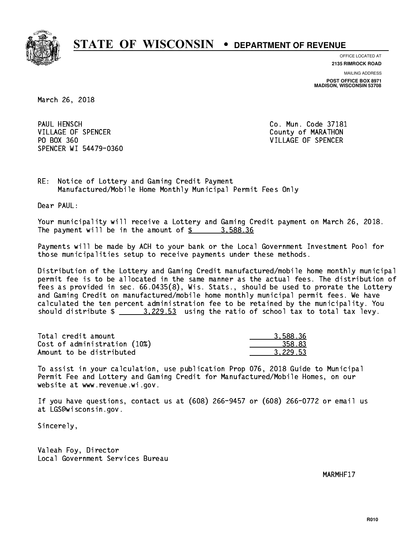

**OFFICE LOCATED AT 2135 RIMROCK ROAD**

**MAILING ADDRESS POST OFFICE BOX 8971 MADISON, WISCONSIN 53708**

March 26, 2018

PAUL HENSCH VILLAGE OF SPENCER COUNTY OF MARATHON PO BOX 360 VILLAGE OF SPENCER SPENCER WI 54479-0360

Co. Mun. Code 37181

RE: Notice of Lottery and Gaming Credit Payment Manufactured/Mobile Home Monthly Municipal Permit Fees Only

Dear PAUL:

 Your municipality will receive a Lottery and Gaming Credit payment on March 26, 2018. The payment will be in the amount of  $\frac{2}{3}$  3,588.36

 Payments will be made by ACH to your bank or the Local Government Investment Pool for those municipalities setup to receive payments under these methods.

 Distribution of the Lottery and Gaming Credit manufactured/mobile home monthly municipal permit fee is to be allocated in the same manner as the actual fees. The distribution of fees as provided in sec. 66.0435(8), Wis. Stats., should be used to prorate the Lottery and Gaming Credit on manufactured/mobile home monthly municipal permit fees. We have calculated the ten percent administration fee to be retained by the municipality. You should distribute  $\frac{2}{2}$   $\frac{3,229.53}{2}$  using the ratio of school tax to total tax levy.

| Total credit amount          | 3.588.36 |
|------------------------------|----------|
| Cost of administration (10%) | 358.83   |
| Amount to be distributed     | 3.229.53 |

 To assist in your calculation, use publication Prop 076, 2018 Guide to Municipal Permit Fee and Lottery and Gaming Credit for Manufactured/Mobile Homes, on our website at www.revenue.wi.gov.

 If you have questions, contact us at (608) 266-9457 or (608) 266-0772 or email us at LGS@wisconsin.gov.

Sincerely,

 Valeah Foy, Director Local Government Services Bureau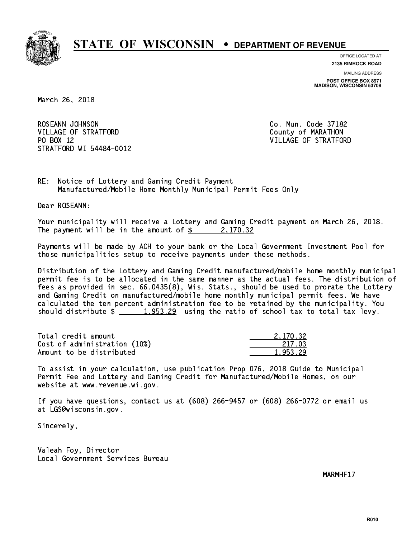

**OFFICE LOCATED AT**

**2135 RIMROCK ROAD**

**MAILING ADDRESS POST OFFICE BOX 8971 MADISON, WISCONSIN 53708**

March 26, 2018

ROSEANN JOHNSON CO. Mun. Code 37182 VILLAGE OF STRATFORD County of MARATHON PO BOX 12 STRATFORD WI 54484-0012

VILLAGE OF STRATFORD

RE: Notice of Lottery and Gaming Credit Payment Manufactured/Mobile Home Monthly Municipal Permit Fees Only

Dear ROSEANN:

 Your municipality will receive a Lottery and Gaming Credit payment on March 26, 2018. The payment will be in the amount of  $\frac{2}{3}$  2,170.32

 Payments will be made by ACH to your bank or the Local Government Investment Pool for those municipalities setup to receive payments under these methods.

 Distribution of the Lottery and Gaming Credit manufactured/mobile home monthly municipal permit fee is to be allocated in the same manner as the actual fees. The distribution of fees as provided in sec. 66.0435(8), Wis. Stats., should be used to prorate the Lottery and Gaming Credit on manufactured/mobile home monthly municipal permit fees. We have calculated the ten percent administration fee to be retained by the municipality. You should distribute  $\frac{1,953.29}{1,953.29}$  using the ratio of school tax to total tax levy.

| Total credit amount          | 2.170.32 |
|------------------------------|----------|
| Cost of administration (10%) | 217.03   |
| Amount to be distributed     | 1,953.29 |

 To assist in your calculation, use publication Prop 076, 2018 Guide to Municipal Permit Fee and Lottery and Gaming Credit for Manufactured/Mobile Homes, on our website at www.revenue.wi.gov.

 If you have questions, contact us at (608) 266-9457 or (608) 266-0772 or email us at LGS@wisconsin.gov.

Sincerely,

 Valeah Foy, Director Local Government Services Bureau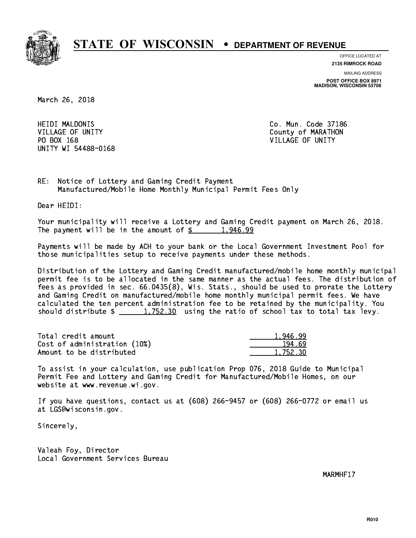

**OFFICE LOCATED AT**

**2135 RIMROCK ROAD**

**MAILING ADDRESS POST OFFICE BOX 8971 MADISON, WISCONSIN 53708**

March 26, 2018

**HEIDI MALDONIS** VILLAGE OF UNITY COUNTY COUNTY PO BOX 168 VILLAGE OF UNITY UNITY WI 54488-0168

Co. Mun. Code 37186

RE: Notice of Lottery and Gaming Credit Payment Manufactured/Mobile Home Monthly Municipal Permit Fees Only

Dear HEIDI:

 Your municipality will receive a Lottery and Gaming Credit payment on March 26, 2018. The payment will be in the amount of  $\frac{2}{3}$  1,946.99

 Payments will be made by ACH to your bank or the Local Government Investment Pool for those municipalities setup to receive payments under these methods.

 Distribution of the Lottery and Gaming Credit manufactured/mobile home monthly municipal permit fee is to be allocated in the same manner as the actual fees. The distribution of fees as provided in sec. 66.0435(8), Wis. Stats., should be used to prorate the Lottery and Gaming Credit on manufactured/mobile home monthly municipal permit fees. We have calculated the ten percent administration fee to be retained by the municipality. You should distribute  $\frac{1,752.30}{1,752.30}$  using the ratio of school tax to total tax levy.

| Total credit amount          | 1.946.99 |
|------------------------------|----------|
| Cost of administration (10%) | 194.69   |
| Amount to be distributed     | 1,752.30 |

 To assist in your calculation, use publication Prop 076, 2018 Guide to Municipal Permit Fee and Lottery and Gaming Credit for Manufactured/Mobile Homes, on our website at www.revenue.wi.gov.

 If you have questions, contact us at (608) 266-9457 or (608) 266-0772 or email us at LGS@wisconsin.gov.

Sincerely,

 Valeah Foy, Director Local Government Services Bureau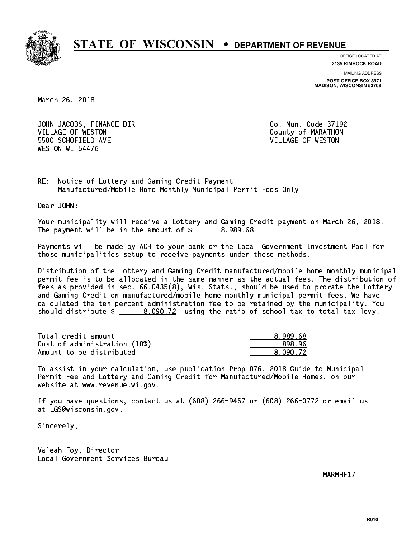

**OFFICE LOCATED AT**

**2135 RIMROCK ROAD**

**MAILING ADDRESS POST OFFICE BOX 8971 MADISON, WISCONSIN 53708**

March 26, 2018

JOHN JACOBS, FINANCE DIR Co. Mun. Code 37192 VILLAGE OF WESTON COUNTY OF MARATHON 5500 SCHOFIELD AVE VILLAGE OF WESTON WESTON WI 54476

RE: Notice of Lottery and Gaming Credit Payment Manufactured/Mobile Home Monthly Municipal Permit Fees Only

Dear JOHN:

 Your municipality will receive a Lottery and Gaming Credit payment on March 26, 2018. The payment will be in the amount of  $\frac{2}{3}$  8,989.68

 Payments will be made by ACH to your bank or the Local Government Investment Pool for those municipalities setup to receive payments under these methods.

 Distribution of the Lottery and Gaming Credit manufactured/mobile home monthly municipal permit fee is to be allocated in the same manner as the actual fees. The distribution of fees as provided in sec. 66.0435(8), Wis. Stats., should be used to prorate the Lottery and Gaming Credit on manufactured/mobile home monthly municipal permit fees. We have calculated the ten percent administration fee to be retained by the municipality. You should distribute  $\frac{2}{2}$   $\frac{8,090.72}{2}$  using the ratio of school tax to total tax levy.

| Total credit amount          | 8.989.68 |
|------------------------------|----------|
| Cost of administration (10%) | 898.96   |
| Amount to be distributed     | 8.090.72 |

 To assist in your calculation, use publication Prop 076, 2018 Guide to Municipal Permit Fee and Lottery and Gaming Credit for Manufactured/Mobile Homes, on our website at www.revenue.wi.gov.

 If you have questions, contact us at (608) 266-9457 or (608) 266-0772 or email us at LGS@wisconsin.gov.

Sincerely,

 Valeah Foy, Director Local Government Services Bureau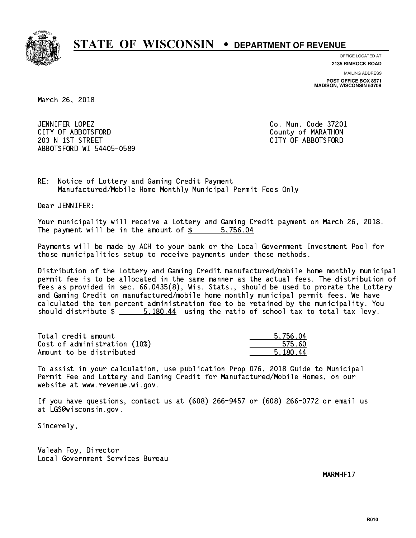

**OFFICE LOCATED AT**

**2135 RIMROCK ROAD**

**MAILING ADDRESS**

**POST OFFICE BOX 8971 MADISON, WISCONSIN 53708**

March 26, 2018

 JENNIFER LOPEZ Co. Mun. Code 37201 CITY OF ABBOTSFORD County of MARATHON 203 N 1ST STREET CITY OF ABBOTSFORD ABBOTSFORD WI 54405-0589

RE: Notice of Lottery and Gaming Credit Payment Manufactured/Mobile Home Monthly Municipal Permit Fees Only

Dear JENNIFER:

 Your municipality will receive a Lottery and Gaming Credit payment on March 26, 2018. The payment will be in the amount of \$ 5,756.04 \_\_\_\_\_\_\_\_\_\_\_\_\_\_\_\_

 Payments will be made by ACH to your bank or the Local Government Investment Pool for those municipalities setup to receive payments under these methods.

 Distribution of the Lottery and Gaming Credit manufactured/mobile home monthly municipal permit fee is to be allocated in the same manner as the actual fees. The distribution of fees as provided in sec. 66.0435(8), Wis. Stats., should be used to prorate the Lottery and Gaming Credit on manufactured/mobile home monthly municipal permit fees. We have calculated the ten percent administration fee to be retained by the municipality. You should distribute  $\frac{2}{3}$   $\frac{5,180.44}{2}$  using the ratio of school tax to total tax levy.

| Total credit amount          | 5,756.04 |
|------------------------------|----------|
| Cost of administration (10%) | 575.60   |
| Amount to be distributed     | 5.180.44 |

 To assist in your calculation, use publication Prop 076, 2018 Guide to Municipal Permit Fee and Lottery and Gaming Credit for Manufactured/Mobile Homes, on our website at www.revenue.wi.gov.

 If you have questions, contact us at (608) 266-9457 or (608) 266-0772 or email us at LGS@wisconsin.gov.

Sincerely,

 Valeah Foy, Director Local Government Services Bureau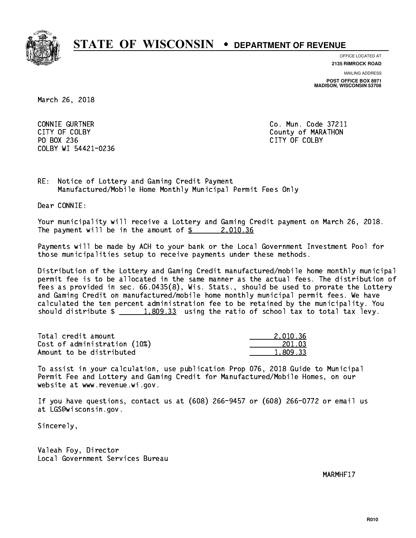

**OFFICE LOCATED AT**

**2135 RIMROCK ROAD**

**MAILING ADDRESS POST OFFICE BOX 8971 MADISON, WISCONSIN 53708**

March 26, 2018

 CONNIE GURTNER Co. Mun. Code 37211 PO BOX 236 PO BOX 236 CITY OF COLBY COLBY WI 54421-0236

CITY OF COLBY COUNTY COUNTY OF COUNTY COUNTY OF MARATHON

RE: Notice of Lottery and Gaming Credit Payment Manufactured/Mobile Home Monthly Municipal Permit Fees Only

Dear CONNIE:

 Your municipality will receive a Lottery and Gaming Credit payment on March 26, 2018. The payment will be in the amount of \$ 2,010.36 \_\_\_\_\_\_\_\_\_\_\_\_\_\_\_\_

 Payments will be made by ACH to your bank or the Local Government Investment Pool for those municipalities setup to receive payments under these methods.

 Distribution of the Lottery and Gaming Credit manufactured/mobile home monthly municipal permit fee is to be allocated in the same manner as the actual fees. The distribution of fees as provided in sec. 66.0435(8), Wis. Stats., should be used to prorate the Lottery and Gaming Credit on manufactured/mobile home monthly municipal permit fees. We have calculated the ten percent administration fee to be retained by the municipality. You should distribute  $\frac{2}{1,809.33}$  using the ratio of school tax to total tax levy.

| Total credit amount          | 2.010.36 |
|------------------------------|----------|
| Cost of administration (10%) | 201.03   |
| Amount to be distributed     | 1,809.33 |

 To assist in your calculation, use publication Prop 076, 2018 Guide to Municipal Permit Fee and Lottery and Gaming Credit for Manufactured/Mobile Homes, on our website at www.revenue.wi.gov.

 If you have questions, contact us at (608) 266-9457 or (608) 266-0772 or email us at LGS@wisconsin.gov.

Sincerely,

 Valeah Foy, Director Local Government Services Bureau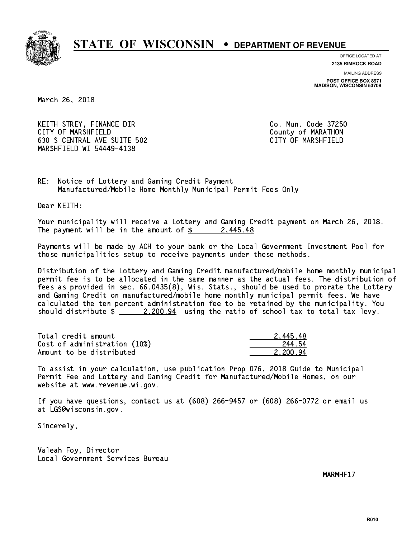

**OFFICE LOCATED AT**

**2135 RIMROCK ROAD**

**MAILING ADDRESS POST OFFICE BOX 8971 MADISON, WISCONSIN 53708**

March 26, 2018

KEITH STREY, FINANCE DIR CO. Mun. Code 37250 CITY OF MARSHFIELD County of MARATHON 630 S CENTRAL AVE SUITE 502 CITY OF MARSHFIELD MARSHFIELD WI 54449-4138

RE: Notice of Lottery and Gaming Credit Payment Manufactured/Mobile Home Monthly Municipal Permit Fees Only

Dear KEITH:

 Your municipality will receive a Lottery and Gaming Credit payment on March 26, 2018. The payment will be in the amount of  $\frac{2}{3}$  2,445.48

 Payments will be made by ACH to your bank or the Local Government Investment Pool for those municipalities setup to receive payments under these methods.

 Distribution of the Lottery and Gaming Credit manufactured/mobile home monthly municipal permit fee is to be allocated in the same manner as the actual fees. The distribution of fees as provided in sec. 66.0435(8), Wis. Stats., should be used to prorate the Lottery and Gaming Credit on manufactured/mobile home monthly municipal permit fees. We have calculated the ten percent administration fee to be retained by the municipality. You should distribute  $\frac{2,200.94}{2}$  using the ratio of school tax to total tax levy.

| Total credit amount          | 2.445.48 |
|------------------------------|----------|
| Cost of administration (10%) | 244.54   |
| Amount to be distributed     | 2.200.94 |

 To assist in your calculation, use publication Prop 076, 2018 Guide to Municipal Permit Fee and Lottery and Gaming Credit for Manufactured/Mobile Homes, on our website at www.revenue.wi.gov.

 If you have questions, contact us at (608) 266-9457 or (608) 266-0772 or email us at LGS@wisconsin.gov.

Sincerely,

 Valeah Foy, Director Local Government Services Bureau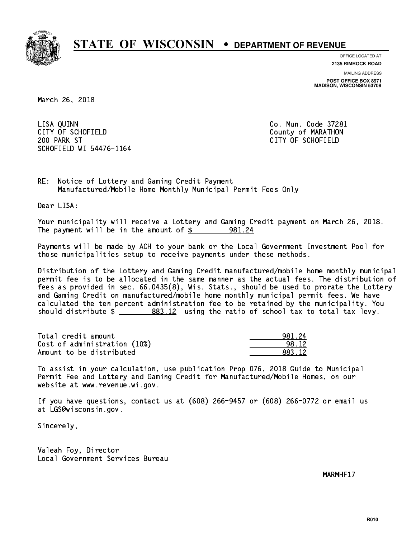

**OFFICE LOCATED AT 2135 RIMROCK ROAD**

**MAILING ADDRESS POST OFFICE BOX 8971 MADISON, WISCONSIN 53708**

March 26, 2018

 LISA QUINN Co. Mun. Code 37281 CITY OF SCHOFIELD County of MARATHON 200 PARK ST CITY OF SCHOFIELD SCHOFIELD WI 54476-1164

RE: Notice of Lottery and Gaming Credit Payment Manufactured/Mobile Home Monthly Municipal Permit Fees Only

Dear LISA:

 Your municipality will receive a Lottery and Gaming Credit payment on March 26, 2018. The payment will be in the amount of \$ 981.24 \_\_\_\_\_\_\_\_\_\_\_\_\_\_\_\_

 Payments will be made by ACH to your bank or the Local Government Investment Pool for those municipalities setup to receive payments under these methods.

 Distribution of the Lottery and Gaming Credit manufactured/mobile home monthly municipal permit fee is to be allocated in the same manner as the actual fees. The distribution of fees as provided in sec. 66.0435(8), Wis. Stats., should be used to prorate the Lottery and Gaming Credit on manufactured/mobile home monthly municipal permit fees. We have calculated the ten percent administration fee to be retained by the municipality. You should distribute  $\frac{2}{2}$   $\frac{883.12}{2}$  using the ratio of school tax to total tax levy.

| Total credit amount          | 981.24 |
|------------------------------|--------|
| Cost of administration (10%) | 98.12  |
| Amount to be distributed     | 883.12 |

 To assist in your calculation, use publication Prop 076, 2018 Guide to Municipal Permit Fee and Lottery and Gaming Credit for Manufactured/Mobile Homes, on our website at www.revenue.wi.gov.

 If you have questions, contact us at (608) 266-9457 or (608) 266-0772 or email us at LGS@wisconsin.gov.

Sincerely,

 Valeah Foy, Director Local Government Services Bureau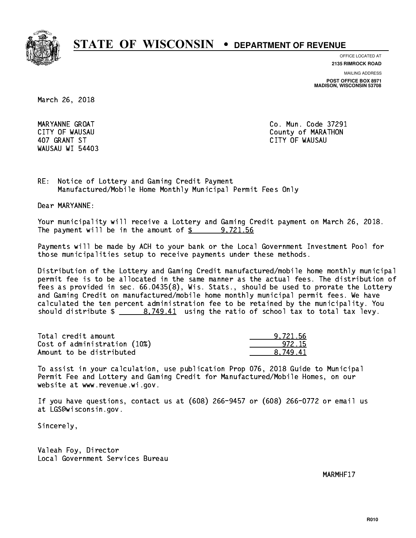

**OFFICE LOCATED AT**

**2135 RIMROCK ROAD**

**MAILING ADDRESS**

**POST OFFICE BOX 8971 MADISON, WISCONSIN 53708**

March 26, 2018

WAUSAU WI 54403

 MARYANNE GROAT Co. Mun. Code 37291 CITY OF WAUSAU COUNTY COUNTY OF MARATHON 407 GRANT ST CITY OF WAUSAU

RE: Notice of Lottery and Gaming Credit Payment Manufactured/Mobile Home Monthly Municipal Permit Fees Only

Dear MARYANNE:

 Your municipality will receive a Lottery and Gaming Credit payment on March 26, 2018. The payment will be in the amount of \$ 9,721.56 \_\_\_\_\_\_\_\_\_\_\_\_\_\_\_\_

 Payments will be made by ACH to your bank or the Local Government Investment Pool for those municipalities setup to receive payments under these methods.

 Distribution of the Lottery and Gaming Credit manufactured/mobile home monthly municipal permit fee is to be allocated in the same manner as the actual fees. The distribution of fees as provided in sec. 66.0435(8), Wis. Stats., should be used to prorate the Lottery and Gaming Credit on manufactured/mobile home monthly municipal permit fees. We have calculated the ten percent administration fee to be retained by the municipality. You should distribute  $\frac{2}{1}$   $\frac{8,749.41}{2}$  using the ratio of school tax to total tax levy.

| Total credit amount          | 9.721.56 |
|------------------------------|----------|
| Cost of administration (10%) | 972.15   |
| Amount to be distributed     | 8.749.41 |

 To assist in your calculation, use publication Prop 076, 2018 Guide to Municipal Permit Fee and Lottery and Gaming Credit for Manufactured/Mobile Homes, on our website at www.revenue.wi.gov.

 If you have questions, contact us at (608) 266-9457 or (608) 266-0772 or email us at LGS@wisconsin.gov.

Sincerely,

 Valeah Foy, Director Local Government Services Bureau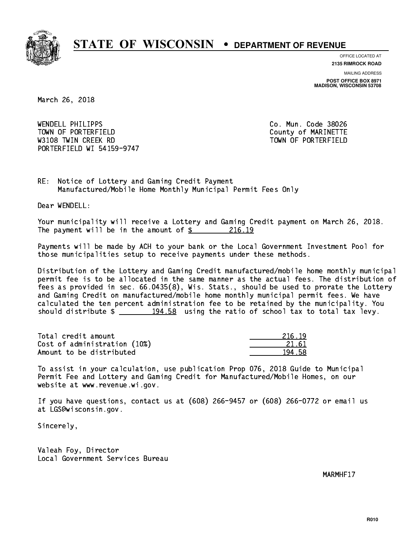

**OFFICE LOCATED AT 2135 RIMROCK ROAD**

**MAILING ADDRESS**

**POST OFFICE BOX 8971 MADISON, WISCONSIN 53708**

March 26, 2018

 WENDELL PHILIPPS Co. Mun. Code 38026 TOWN OF PORTERFIELD **TOWN** OF PORTERFIELD W3108 TWIN CREEK RD TOWN OF PORTERFIELD PORTERFIELD WI 54159-9747

RE: Notice of Lottery and Gaming Credit Payment Manufactured/Mobile Home Monthly Municipal Permit Fees Only

Dear WENDELL:

 Your municipality will receive a Lottery and Gaming Credit payment on March 26, 2018. The payment will be in the amount of  $\frac{216.19}{2}$ 

 Payments will be made by ACH to your bank or the Local Government Investment Pool for those municipalities setup to receive payments under these methods.

 Distribution of the Lottery and Gaming Credit manufactured/mobile home monthly municipal permit fee is to be allocated in the same manner as the actual fees. The distribution of fees as provided in sec. 66.0435(8), Wis. Stats., should be used to prorate the Lottery and Gaming Credit on manufactured/mobile home monthly municipal permit fees. We have calculated the ten percent administration fee to be retained by the municipality. You should distribute  $\frac{194.58}{194.58}$  using the ratio of school tax to total tax levy.

Total credit amount Cost of administration (10%) Amount to be distributed

| i 19<br>21 |
|------------|
| 21 61      |
| ٦<br>- 9   |

 To assist in your calculation, use publication Prop 076, 2018 Guide to Municipal Permit Fee and Lottery and Gaming Credit for Manufactured/Mobile Homes, on our website at www.revenue.wi.gov.

 If you have questions, contact us at (608) 266-9457 or (608) 266-0772 or email us at LGS@wisconsin.gov.

Sincerely,

 Valeah Foy, Director Local Government Services Bureau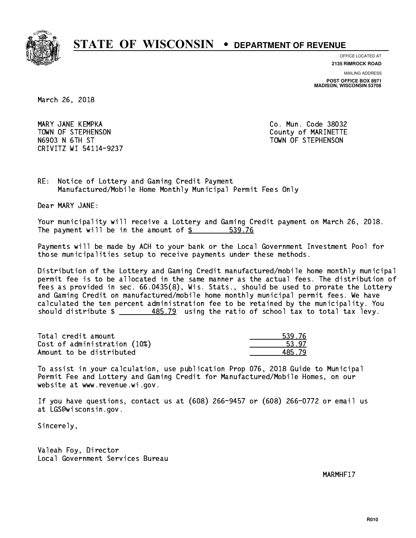

**OFFICE LOCATED AT 2135 RIMROCK ROAD**

**MAILING ADDRESS POST OFFICE BOX 8971 MADISON, WISCONSIN 53708**

March 26, 2018

 MARY JANE KEMPKA Co. Mun. Code 38032 TOWN OF STEPHENSON COUNTY OF MARINETTE N6903 N 6TH ST TOWN OF STEPHENSON CRIVITZ WI 54114-9237

RE: Notice of Lottery and Gaming Credit Payment Manufactured/Mobile Home Monthly Municipal Permit Fees Only

Dear MARY JANE:

 Your municipality will receive a Lottery and Gaming Credit payment on March 26, 2018. The payment will be in the amount of \$ 539.76 \_\_\_\_\_\_\_\_\_\_\_\_\_\_\_\_

 Payments will be made by ACH to your bank or the Local Government Investment Pool for those municipalities setup to receive payments under these methods.

 Distribution of the Lottery and Gaming Credit manufactured/mobile home monthly municipal permit fee is to be allocated in the same manner as the actual fees. The distribution of fees as provided in sec. 66.0435(8), Wis. Stats., should be used to prorate the Lottery and Gaming Credit on manufactured/mobile home monthly municipal permit fees. We have calculated the ten percent administration fee to be retained by the municipality. You should distribute  $\frac{485.79}{1}$  using the ratio of school tax to total tax levy.

Total credit amount Cost of administration (10%) Amount to be distributed

| ⊑76<br>Ξ. |
|-----------|
| 97.       |
| i. 79     |

 To assist in your calculation, use publication Prop 076, 2018 Guide to Municipal Permit Fee and Lottery and Gaming Credit for Manufactured/Mobile Homes, on our website at www.revenue.wi.gov.

 If you have questions, contact us at (608) 266-9457 or (608) 266-0772 or email us at LGS@wisconsin.gov.

Sincerely,

 Valeah Foy, Director Local Government Services Bureau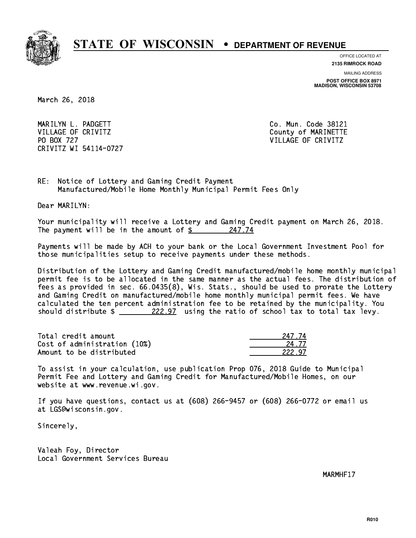

**OFFICE LOCATED AT 2135 RIMROCK ROAD**

**MAILING ADDRESS**

**POST OFFICE BOX 8971 MADISON, WISCONSIN 53708**

March 26, 2018

 MARILYN L. PADGETT Co. Mun. Code 38121 VILLAGE OF CRIVITZ COUNTY COUNTY OF MARINETTE PO BOX 727 VILLAGE OF CRIVITZ CRIVITZ WI 54114-0727

RE: Notice of Lottery and Gaming Credit Payment Manufactured/Mobile Home Monthly Municipal Permit Fees Only

Dear MARILYN:

 Your municipality will receive a Lottery and Gaming Credit payment on March 26, 2018. The payment will be in the amount of  $\frac{247.74}{24}$ 

 Payments will be made by ACH to your bank or the Local Government Investment Pool for those municipalities setup to receive payments under these methods.

 Distribution of the Lottery and Gaming Credit manufactured/mobile home monthly municipal permit fee is to be allocated in the same manner as the actual fees. The distribution of fees as provided in sec. 66.0435(8), Wis. Stats., should be used to prorate the Lottery and Gaming Credit on manufactured/mobile home monthly municipal permit fees. We have calculated the ten percent administration fee to be retained by the municipality. You should distribute  $\frac{222.97}{\pi}$  using the ratio of school tax to total tax levy.

Total credit amount Cost of administration (10%) Amount to be distributed

| 1774        |
|-------------|
| 4.77        |
| 222 -<br>97 |

 To assist in your calculation, use publication Prop 076, 2018 Guide to Municipal Permit Fee and Lottery and Gaming Credit for Manufactured/Mobile Homes, on our website at www.revenue.wi.gov.

 If you have questions, contact us at (608) 266-9457 or (608) 266-0772 or email us at LGS@wisconsin.gov.

Sincerely,

 Valeah Foy, Director Local Government Services Bureau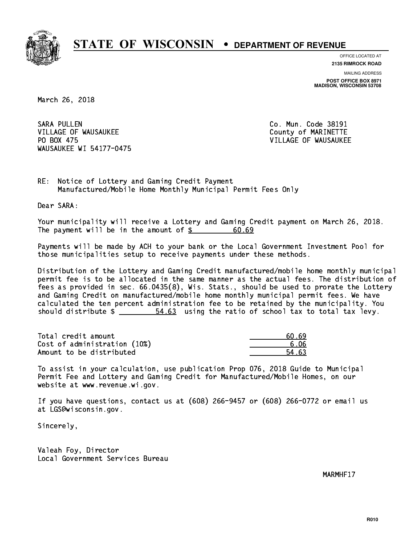

**OFFICE LOCATED AT 2135 RIMROCK ROAD**

**MAILING ADDRESS**

**POST OFFICE BOX 8971 MADISON, WISCONSIN 53708**

March 26, 2018

**SARA PULLEN** VILLAGE OF WAUSAUKEE COUNTY OF MARINETTE PO BOX 475 WAUSAUKEE WI 54177-0475

Co. Mun. Code 38191 VILLAGE OF WAUSAUKEE

RE: Notice of Lottery and Gaming Credit Payment Manufactured/Mobile Home Monthly Municipal Permit Fees Only

Dear SARA:

 Your municipality will receive a Lottery and Gaming Credit payment on March 26, 2018. The payment will be in the amount of  $$$ 60.69

 Payments will be made by ACH to your bank or the Local Government Investment Pool for those municipalities setup to receive payments under these methods.

 Distribution of the Lottery and Gaming Credit manufactured/mobile home monthly municipal permit fee is to be allocated in the same manner as the actual fees. The distribution of fees as provided in sec. 66.0435(8), Wis. Stats., should be used to prorate the Lottery and Gaming Credit on manufactured/mobile home monthly municipal permit fees. We have calculated the ten percent administration fee to be retained by the municipality. You should distribute  $\frac{2}{1}$   $\frac{54.63}{163}$  using the ratio of school tax to total tax levy.

Total credit amount Cost of administration (10%) Amount to be distributed

| - 69 |
|------|
| ና በ6 |
| L 63 |

 To assist in your calculation, use publication Prop 076, 2018 Guide to Municipal Permit Fee and Lottery and Gaming Credit for Manufactured/Mobile Homes, on our website at www.revenue.wi.gov.

 If you have questions, contact us at (608) 266-9457 or (608) 266-0772 or email us at LGS@wisconsin.gov.

Sincerely,

 Valeah Foy, Director Local Government Services Bureau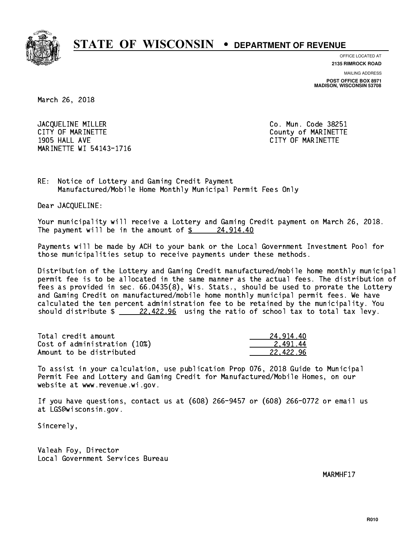

**OFFICE LOCATED AT**

**2135 RIMROCK ROAD**

**MAILING ADDRESS POST OFFICE BOX 8971 MADISON, WISCONSIN 53708**

March 26, 2018

JACQUELINE MILLER Co. Mun. Code 38251 CITY OF MARINETTE COUNTY COUNTY OF MARINETTE 1905 HALL AVE CITY OF MARINETTE MARINETTE WI 54143-1716

RE: Notice of Lottery and Gaming Credit Payment Manufactured/Mobile Home Monthly Municipal Permit Fees Only

Dear JACQUELINE:

 Your municipality will receive a Lottery and Gaming Credit payment on March 26, 2018. The payment will be in the amount of  $\frac{24,914.40}{24,224.22}$ 

 Payments will be made by ACH to your bank or the Local Government Investment Pool for those municipalities setup to receive payments under these methods.

 Distribution of the Lottery and Gaming Credit manufactured/mobile home monthly municipal permit fee is to be allocated in the same manner as the actual fees. The distribution of fees as provided in sec. 66.0435(8), Wis. Stats., should be used to prorate the Lottery and Gaming Credit on manufactured/mobile home monthly municipal permit fees. We have calculated the ten percent administration fee to be retained by the municipality. You should distribute  $\frac{22.422.96}{22.422.96}$  using the ratio of school tax to total tax levy.

| Total credit amount          | 24.914.40 |
|------------------------------|-----------|
| Cost of administration (10%) | 2.491.44  |
| Amount to be distributed     | 22.422.96 |

 To assist in your calculation, use publication Prop 076, 2018 Guide to Municipal Permit Fee and Lottery and Gaming Credit for Manufactured/Mobile Homes, on our website at www.revenue.wi.gov.

 If you have questions, contact us at (608) 266-9457 or (608) 266-0772 or email us at LGS@wisconsin.gov.

Sincerely,

 Valeah Foy, Director Local Government Services Bureau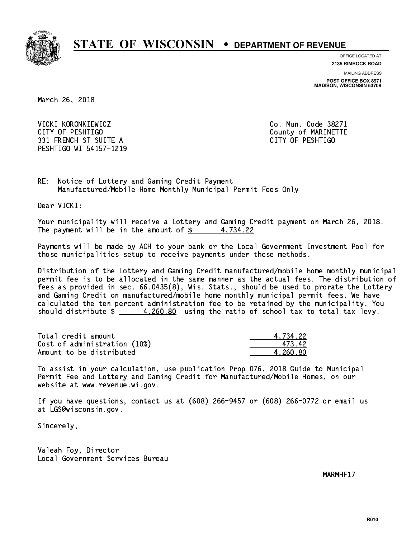

**OFFICE LOCATED AT**

**2135 RIMROCK ROAD**

**MAILING ADDRESS POST OFFICE BOX 8971 MADISON, WISCONSIN 53708**

March 26, 2018

 VICKI KORONKIEWICZ Co. Mun. Code 38271 CITY OF PESHTIGO County of MARINETTE 331 FRENCH ST SUITE A CITY OF PESHTIGO PESHTIGO WI 54157-1219

RE: Notice of Lottery and Gaming Credit Payment Manufactured/Mobile Home Monthly Municipal Permit Fees Only

Dear VICKI:

 Your municipality will receive a Lottery and Gaming Credit payment on March 26, 2018. The payment will be in the amount of  $\frac{2}{3}$  4,734.22

 Payments will be made by ACH to your bank or the Local Government Investment Pool for those municipalities setup to receive payments under these methods.

 Distribution of the Lottery and Gaming Credit manufactured/mobile home monthly municipal permit fee is to be allocated in the same manner as the actual fees. The distribution of fees as provided in sec. 66.0435(8), Wis. Stats., should be used to prorate the Lottery and Gaming Credit on manufactured/mobile home monthly municipal permit fees. We have calculated the ten percent administration fee to be retained by the municipality. You should distribute  $\frac{4,260.80}{2}$  using the ratio of school tax to total tax levy.

| Total credit amount          | 4.734.22 |
|------------------------------|----------|
| Cost of administration (10%) | 473.42   |
| Amount to be distributed     | 4.260.80 |

 To assist in your calculation, use publication Prop 076, 2018 Guide to Municipal Permit Fee and Lottery and Gaming Credit for Manufactured/Mobile Homes, on our website at www.revenue.wi.gov.

 If you have questions, contact us at (608) 266-9457 or (608) 266-0772 or email us at LGS@wisconsin.gov.

Sincerely,

 Valeah Foy, Director Local Government Services Bureau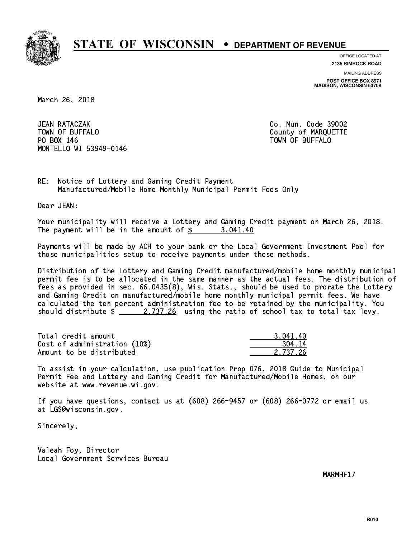

**OFFICE LOCATED AT 2135 RIMROCK ROAD**

**MAILING ADDRESS**

**POST OFFICE BOX 8971 MADISON, WISCONSIN 53708**

March 26, 2018

**JEAN RATACZAK** TOWN OF BUFFALO **COUNTY OF BUFFALO**  PO BOX 146 TOWN OF BUFFALO MONTELLO WI 53949-0146

Co. Mun. Code 39002

RE: Notice of Lottery and Gaming Credit Payment Manufactured/Mobile Home Monthly Municipal Permit Fees Only

Dear JEAN:

 Your municipality will receive a Lottery and Gaming Credit payment on March 26, 2018. The payment will be in the amount of  $\frac{2}{3}$  3,041.40

 Payments will be made by ACH to your bank or the Local Government Investment Pool for those municipalities setup to receive payments under these methods.

 Distribution of the Lottery and Gaming Credit manufactured/mobile home monthly municipal permit fee is to be allocated in the same manner as the actual fees. The distribution of fees as provided in sec. 66.0435(8), Wis. Stats., should be used to prorate the Lottery and Gaming Credit on manufactured/mobile home monthly municipal permit fees. We have calculated the ten percent administration fee to be retained by the municipality. You should distribute  $\frac{2.737.26}{2.737.26}$  using the ratio of school tax to total tax levy.

| Total credit amount          | 3.041.40 |
|------------------------------|----------|
| Cost of administration (10%) | 304 14   |
| Amount to be distributed     | 2.737.26 |

 To assist in your calculation, use publication Prop 076, 2018 Guide to Municipal Permit Fee and Lottery and Gaming Credit for Manufactured/Mobile Homes, on our website at www.revenue.wi.gov.

 If you have questions, contact us at (608) 266-9457 or (608) 266-0772 or email us at LGS@wisconsin.gov.

Sincerely,

 Valeah Foy, Director Local Government Services Bureau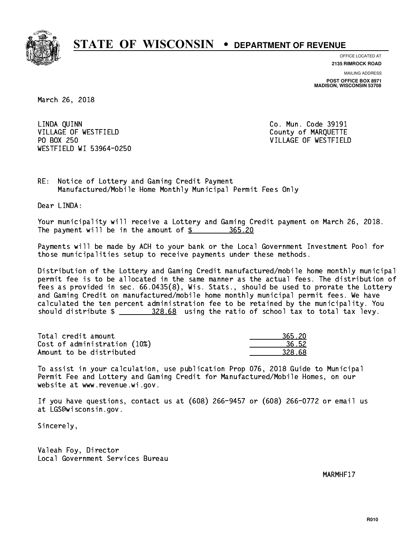

**OFFICE LOCATED AT 2135 RIMROCK ROAD**

**MAILING ADDRESS POST OFFICE BOX 8971 MADISON, WISCONSIN 53708**

March 26, 2018

 LINDA QUINN Co. Mun. Code 39191 VILLAGE OF WESTFIELD County of MARQUETTE PO BOX 250 WESTFIELD WI 53964-0250

VILLAGE OF WESTFIELD

RE: Notice of Lottery and Gaming Credit Payment Manufactured/Mobile Home Monthly Municipal Permit Fees Only

Dear LINDA:

 Your municipality will receive a Lottery and Gaming Credit payment on March 26, 2018. The payment will be in the amount of  $\frac{2}{365.20}$ 

 Payments will be made by ACH to your bank or the Local Government Investment Pool for those municipalities setup to receive payments under these methods.

 Distribution of the Lottery and Gaming Credit manufactured/mobile home monthly municipal permit fee is to be allocated in the same manner as the actual fees. The distribution of fees as provided in sec. 66.0435(8), Wis. Stats., should be used to prorate the Lottery and Gaming Credit on manufactured/mobile home monthly municipal permit fees. We have calculated the ten percent administration fee to be retained by the municipality. You should distribute  $\frac{228.68}{2}$  using the ratio of school tax to total tax levy.

| Total credit amount          | 365.20 |
|------------------------------|--------|
| Cost of administration (10%) | 36.52  |
| Amount to be distributed     | 328.68 |

| 90 ל        |
|-------------|
| 5.52        |
| ⇒ด∹<br>マクヌー |

 To assist in your calculation, use publication Prop 076, 2018 Guide to Municipal Permit Fee and Lottery and Gaming Credit for Manufactured/Mobile Homes, on our website at www.revenue.wi.gov.

 If you have questions, contact us at (608) 266-9457 or (608) 266-0772 or email us at LGS@wisconsin.gov.

Sincerely,

 Valeah Foy, Director Local Government Services Bureau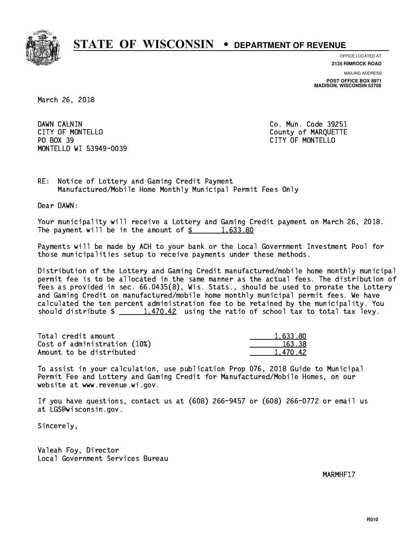

**OFFICE LOCATED AT**

**2135 RIMROCK ROAD**

**MAILING ADDRESS POST OFFICE BOX 8971 MADISON, WISCONSIN 53708**

March 26, 2018

DAWN CALNIN CITY OF MONTELLO **COUNTY OF MARQUETTE** PO BOX 39 PO BOX 39 CITY OF MONTELLO MONTELLO WI 53949-0039

Co. Mun. Code 39251

RE: Notice of Lottery and Gaming Credit Payment Manufactured/Mobile Home Monthly Municipal Permit Fees Only

Dear DAWN:

 Your municipality will receive a Lottery and Gaming Credit payment on March 26, 2018. The payment will be in the amount of  $\frac{2}{3}$  1,633.80

 Payments will be made by ACH to your bank or the Local Government Investment Pool for those municipalities setup to receive payments under these methods.

 Distribution of the Lottery and Gaming Credit manufactured/mobile home monthly municipal permit fee is to be allocated in the same manner as the actual fees. The distribution of fees as provided in sec. 66.0435(8), Wis. Stats., should be used to prorate the Lottery and Gaming Credit on manufactured/mobile home monthly municipal permit fees. We have calculated the ten percent administration fee to be retained by the municipality. You should distribute  $\frac{1,470.42}{1,470.42}$  using the ratio of school tax to total tax levy.

| Total credit amount          | 1.633.80 |
|------------------------------|----------|
| Cost of administration (10%) | 163.38   |
| Amount to be distributed     | 1.470.42 |

 To assist in your calculation, use publication Prop 076, 2018 Guide to Municipal Permit Fee and Lottery and Gaming Credit for Manufactured/Mobile Homes, on our website at www.revenue.wi.gov.

 If you have questions, contact us at (608) 266-9457 or (608) 266-0772 or email us at LGS@wisconsin.gov.

Sincerely,

 Valeah Foy, Director Local Government Services Bureau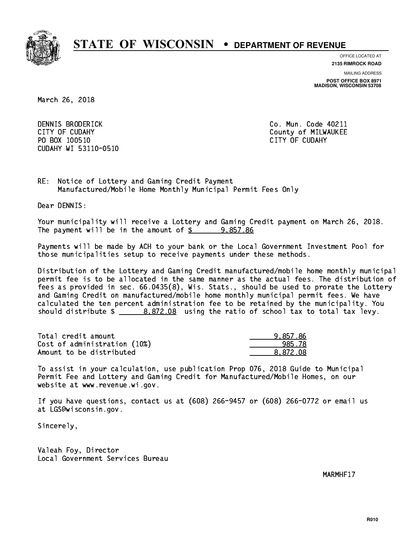

**OFFICE LOCATED AT 2135 RIMROCK ROAD**

**MAILING ADDRESS**

**POST OFFICE BOX 8971 MADISON, WISCONSIN 53708**

March 26, 2018

 DENNIS BRODERICK Co. Mun. Code 40211 CITY OF CUDAHY COUNTY COUNTY COUNTY OF MILWAUKEE PO BOX 100510 CITY OF CUDAHY CUDAHY WI 53110-0510

RE: Notice of Lottery and Gaming Credit Payment Manufactured/Mobile Home Monthly Municipal Permit Fees Only

Dear DENNIS:

 Your municipality will receive a Lottery and Gaming Credit payment on March 26, 2018. The payment will be in the amount of  $\frac{2}{3}$  9,857.86

 Payments will be made by ACH to your bank or the Local Government Investment Pool for those municipalities setup to receive payments under these methods.

 Distribution of the Lottery and Gaming Credit manufactured/mobile home monthly municipal permit fee is to be allocated in the same manner as the actual fees. The distribution of fees as provided in sec. 66.0435(8), Wis. Stats., should be used to prorate the Lottery and Gaming Credit on manufactured/mobile home monthly municipal permit fees. We have calculated the ten percent administration fee to be retained by the municipality. You should distribute  $\frac{2}{2}$   $\frac{8,872.08}{2}$  using the ratio of school tax to total tax levy.

| Total credit amount          | 9.857.86 |
|------------------------------|----------|
| Cost of administration (10%) | 985.78   |
| Amount to be distributed     | 8.872.08 |

 To assist in your calculation, use publication Prop 076, 2018 Guide to Municipal Permit Fee and Lottery and Gaming Credit for Manufactured/Mobile Homes, on our website at www.revenue.wi.gov.

 If you have questions, contact us at (608) 266-9457 or (608) 266-0772 or email us at LGS@wisconsin.gov.

Sincerely,

 Valeah Foy, Director Local Government Services Bureau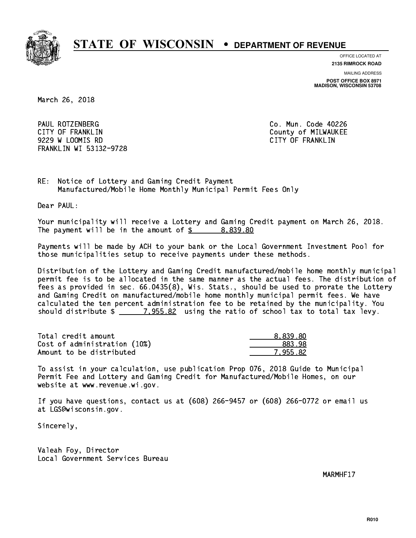

**OFFICE LOCATED AT**

**2135 RIMROCK ROAD**

**MAILING ADDRESS**

**POST OFFICE BOX 8971 MADISON, WISCONSIN 53708**

March 26, 2018

 PAUL ROTZENBERG Co. Mun. Code 40226 CITY OF FRANKLIN COUNTY COUNTY OF REARKLIN 9229 W LOOMIS RD CITY OF FRANKLIN FRANKLIN WI 53132-9728

RE: Notice of Lottery and Gaming Credit Payment Manufactured/Mobile Home Monthly Municipal Permit Fees Only

Dear PAUL:

 Your municipality will receive a Lottery and Gaming Credit payment on March 26, 2018. The payment will be in the amount of  $\frac{2}{3}$  8,839.80

 Payments will be made by ACH to your bank or the Local Government Investment Pool for those municipalities setup to receive payments under these methods.

 Distribution of the Lottery and Gaming Credit manufactured/mobile home monthly municipal permit fee is to be allocated in the same manner as the actual fees. The distribution of fees as provided in sec. 66.0435(8), Wis. Stats., should be used to prorate the Lottery and Gaming Credit on manufactured/mobile home monthly municipal permit fees. We have calculated the ten percent administration fee to be retained by the municipality. You should distribute  $\frac{2}{2}$   $\frac{7,955.82}{2}$  using the ratio of school tax to total tax levy.

| Total credit amount          | 8.839.80 |
|------------------------------|----------|
| Cost of administration (10%) | 883.98   |
| Amount to be distributed     | 7.955.82 |

 To assist in your calculation, use publication Prop 076, 2018 Guide to Municipal Permit Fee and Lottery and Gaming Credit for Manufactured/Mobile Homes, on our website at www.revenue.wi.gov.

 If you have questions, contact us at (608) 266-9457 or (608) 266-0772 or email us at LGS@wisconsin.gov.

Sincerely,

 Valeah Foy, Director Local Government Services Bureau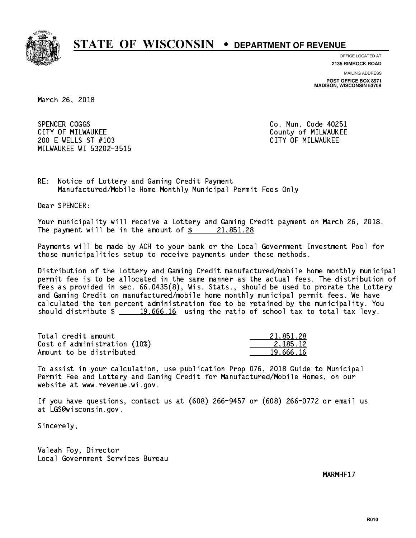

**OFFICE LOCATED AT**

**2135 RIMROCK ROAD**

**MAILING ADDRESS**

**POST OFFICE BOX 8971 MADISON, WISCONSIN 53708**

March 26, 2018

SPENCER COGGS CITY OF MILWAUKEE CITY OF MILWAUKEE 200 E WELLS ST #103 CITY OF MILWAUKEE MILWAUKEE WI 53202-3515

Co. Mun. Code 40251

RE: Notice of Lottery and Gaming Credit Payment Manufactured/Mobile Home Monthly Municipal Permit Fees Only

Dear SPENCER:

 Your municipality will receive a Lottery and Gaming Credit payment on March 26, 2018. The payment will be in the amount of  $\frac{21,851.28}{21,851.28}$ 

 Payments will be made by ACH to your bank or the Local Government Investment Pool for those municipalities setup to receive payments under these methods.

 Distribution of the Lottery and Gaming Credit manufactured/mobile home monthly municipal permit fee is to be allocated in the same manner as the actual fees. The distribution of fees as provided in sec. 66.0435(8), Wis. Stats., should be used to prorate the Lottery and Gaming Credit on manufactured/mobile home monthly municipal permit fees. We have calculated the ten percent administration fee to be retained by the municipality. You should distribute  $\frac{19,666.16}{2}$  using the ratio of school tax to total tax levy.

| Total credit amount          | 21.851.28 |
|------------------------------|-----------|
| Cost of administration (10%) | 2.185.12  |
| Amount to be distributed     | 19,666.16 |

 To assist in your calculation, use publication Prop 076, 2018 Guide to Municipal Permit Fee and Lottery and Gaming Credit for Manufactured/Mobile Homes, on our website at www.revenue.wi.gov.

 If you have questions, contact us at (608) 266-9457 or (608) 266-0772 or email us at LGS@wisconsin.gov.

Sincerely,

 Valeah Foy, Director Local Government Services Bureau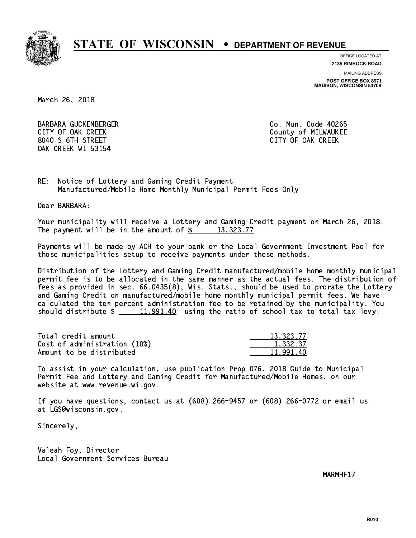

**OFFICE LOCATED AT**

**2135 RIMROCK ROAD**

**MAILING ADDRESS**

**POST OFFICE BOX 8971 MADISON, WISCONSIN 53708**

March 26, 2018

 BARBARA GUCKENBERGER Co. Mun. Code 40265 CITY OF OAK CREEK COUNTY COUNTY OF MILWAUKEE 8040 S 6TH STREET CITY OF OAK CREEK OAK CREEK WI 53154

RE: Notice of Lottery and Gaming Credit Payment Manufactured/Mobile Home Monthly Municipal Permit Fees Only

Dear BARBARA:

 Your municipality will receive a Lottery and Gaming Credit payment on March 26, 2018. The payment will be in the amount of  $\frac{2}{3}$  13,323.77

 Payments will be made by ACH to your bank or the Local Government Investment Pool for those municipalities setup to receive payments under these methods.

 Distribution of the Lottery and Gaming Credit manufactured/mobile home monthly municipal permit fee is to be allocated in the same manner as the actual fees. The distribution of fees as provided in sec. 66.0435(8), Wis. Stats., should be used to prorate the Lottery and Gaming Credit on manufactured/mobile home monthly municipal permit fees. We have calculated the ten percent administration fee to be retained by the municipality. You should distribute  $\frac{11,991.40}{2}$  using the ratio of school tax to total tax levy.

| Total credit amount          | 13,323.77 |
|------------------------------|-----------|
| Cost of administration (10%) | 1.332.37  |
| Amount to be distributed     | 11.991.40 |

 To assist in your calculation, use publication Prop 076, 2018 Guide to Municipal Permit Fee and Lottery and Gaming Credit for Manufactured/Mobile Homes, on our website at www.revenue.wi.gov.

 If you have questions, contact us at (608) 266-9457 or (608) 266-0772 or email us at LGS@wisconsin.gov.

Sincerely,

 Valeah Foy, Director Local Government Services Bureau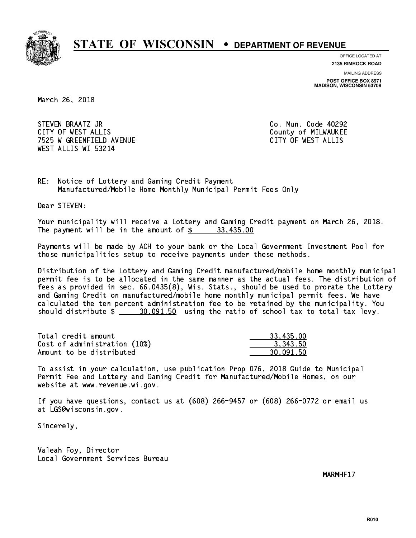

**OFFICE LOCATED AT 2135 RIMROCK ROAD**

**MAILING ADDRESS**

**POST OFFICE BOX 8971 MADISON, WISCONSIN 53708**

March 26, 2018

 STEVEN BRAATZ JR Co. Mun. Code 40292 CITY OF WEST ALLIS COUNTY COUNTY OF MILWAUKEE 7525 W GREENFIELD AVENUE CITY OF WEST ALLIS WEST ALLIS WI 53214

RE: Notice of Lottery and Gaming Credit Payment Manufactured/Mobile Home Monthly Municipal Permit Fees Only

Dear STEVEN:

 Your municipality will receive a Lottery and Gaming Credit payment on March 26, 2018. The payment will be in the amount of  $\frac{2}{3}$   $\frac{33,435.00}{2}$ 

 Payments will be made by ACH to your bank or the Local Government Investment Pool for those municipalities setup to receive payments under these methods.

 Distribution of the Lottery and Gaming Credit manufactured/mobile home monthly municipal permit fee is to be allocated in the same manner as the actual fees. The distribution of fees as provided in sec. 66.0435(8), Wis. Stats., should be used to prorate the Lottery and Gaming Credit on manufactured/mobile home monthly municipal permit fees. We have calculated the ten percent administration fee to be retained by the municipality. You should distribute  $\frac{20,091.50}{2}$  using the ratio of school tax to total tax levy.

| Total credit amount          | 33.435.00 |
|------------------------------|-----------|
| Cost of administration (10%) | 3.343.50  |
| Amount to be distributed     | 30.091.50 |

 To assist in your calculation, use publication Prop 076, 2018 Guide to Municipal Permit Fee and Lottery and Gaming Credit for Manufactured/Mobile Homes, on our website at www.revenue.wi.gov.

 If you have questions, contact us at (608) 266-9457 or (608) 266-0772 or email us at LGS@wisconsin.gov.

Sincerely,

 Valeah Foy, Director Local Government Services Bureau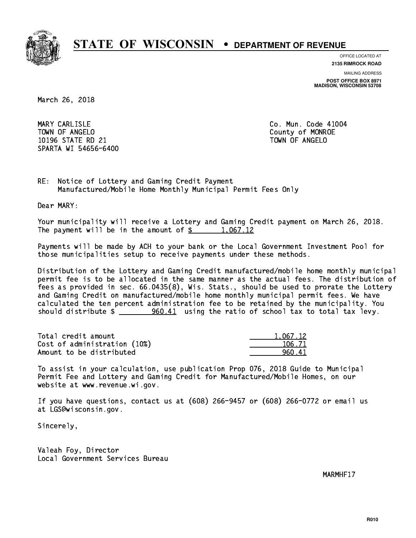

**OFFICE LOCATED AT**

**MAILING ADDRESS 2135 RIMROCK ROAD**

**POST OFFICE BOX 8971 MADISON, WISCONSIN 53708**

March 26, 2018

MARY CARLISLE TOWN OF ANGELO County of MONROE 10196 STATE RD 21 TOWN OF ANGELO SPARTA WI 54656-6400

Co. Mun. Code 41004

RE: Notice of Lottery and Gaming Credit Payment Manufactured/Mobile Home Monthly Municipal Permit Fees Only

Dear MARY:

 Your municipality will receive a Lottery and Gaming Credit payment on March 26, 2018. The payment will be in the amount of  $\frac{2}{3}$  1,067.12

 Payments will be made by ACH to your bank or the Local Government Investment Pool for those municipalities setup to receive payments under these methods.

 Distribution of the Lottery and Gaming Credit manufactured/mobile home monthly municipal permit fee is to be allocated in the same manner as the actual fees. The distribution of fees as provided in sec. 66.0435(8), Wis. Stats., should be used to prorate the Lottery and Gaming Credit on manufactured/mobile home monthly municipal permit fees. We have calculated the ten percent administration fee to be retained by the municipality. You should distribute \$ 960.41 using the ratio of school tax to total tax levy. \_\_\_\_\_\_\_\_\_\_\_\_\_\_

| Total credit amount          | 1.067.12 |
|------------------------------|----------|
| Cost of administration (10%) | 106.71   |
| Amount to be distributed     | 960 41   |

 To assist in your calculation, use publication Prop 076, 2018 Guide to Municipal Permit Fee and Lottery and Gaming Credit for Manufactured/Mobile Homes, on our website at www.revenue.wi.gov.

 If you have questions, contact us at (608) 266-9457 or (608) 266-0772 or email us at LGS@wisconsin.gov.

Sincerely,

 Valeah Foy, Director Local Government Services Bureau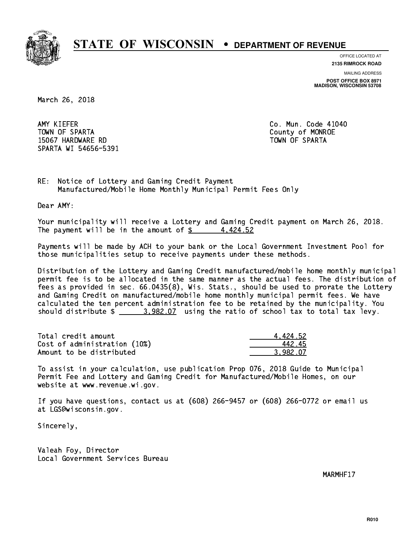

**OFFICE LOCATED AT 2135 RIMROCK ROAD**

**MAILING ADDRESS POST OFFICE BOX 8971 MADISON, WISCONSIN 53708**

March 26, 2018

AMY KIEFER TOWN OF SPARTA County of MONROE 15067 HARDWARE RD TOWN OF SPARTA SPARTA WI 54656-5391

Co. Mun. Code 41040

RE: Notice of Lottery and Gaming Credit Payment Manufactured/Mobile Home Monthly Municipal Permit Fees Only

Dear AMY:

 Your municipality will receive a Lottery and Gaming Credit payment on March 26, 2018. The payment will be in the amount of  $\frac{2}{3}$  4,424.52

 Payments will be made by ACH to your bank or the Local Government Investment Pool for those municipalities setup to receive payments under these methods.

 Distribution of the Lottery and Gaming Credit manufactured/mobile home monthly municipal permit fee is to be allocated in the same manner as the actual fees. The distribution of fees as provided in sec. 66.0435(8), Wis. Stats., should be used to prorate the Lottery and Gaming Credit on manufactured/mobile home monthly municipal permit fees. We have calculated the ten percent administration fee to be retained by the municipality. You should distribute  $\frac{2}{2}$   $\frac{3,982.07}{2}$  using the ratio of school tax to total tax levy.

| Total credit amount          | 4.424.52 |
|------------------------------|----------|
| Cost of administration (10%) | 44245    |
| Amount to be distributed     | 3.982.07 |

 To assist in your calculation, use publication Prop 076, 2018 Guide to Municipal Permit Fee and Lottery and Gaming Credit for Manufactured/Mobile Homes, on our website at www.revenue.wi.gov.

 If you have questions, contact us at (608) 266-9457 or (608) 266-0772 or email us at LGS@wisconsin.gov.

Sincerely,

 Valeah Foy, Director Local Government Services Bureau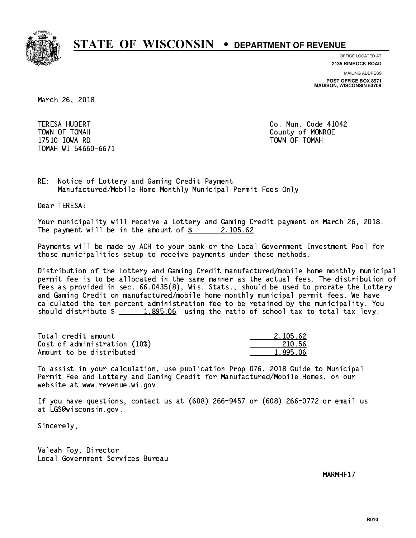

**OFFICE LOCATED AT**

**MAILING ADDRESS 2135 RIMROCK ROAD**

**POST OFFICE BOX 8971 MADISON, WISCONSIN 53708**

March 26, 2018

**TERESA HUBERT**  TOWN OF TOMAH County of MONROE 17510 IOWA RD TOWN OF TOMAH TOMAH WI 54660-6671

Co. Mun. Code 41042

RE: Notice of Lottery and Gaming Credit Payment Manufactured/Mobile Home Monthly Municipal Permit Fees Only

Dear TERESA:

 Your municipality will receive a Lottery and Gaming Credit payment on March 26, 2018. The payment will be in the amount of  $\frac{2}{3}$  2,105.62

 Payments will be made by ACH to your bank or the Local Government Investment Pool for those municipalities setup to receive payments under these methods.

 Distribution of the Lottery and Gaming Credit manufactured/mobile home monthly municipal permit fee is to be allocated in the same manner as the actual fees. The distribution of fees as provided in sec. 66.0435(8), Wis. Stats., should be used to prorate the Lottery and Gaming Credit on manufactured/mobile home monthly municipal permit fees. We have calculated the ten percent administration fee to be retained by the municipality. You should distribute  $\frac{1.895.06}{1.895.06}$  using the ratio of school tax to total tax levy.

| Total credit amount          | 2.105.62 |
|------------------------------|----------|
| Cost of administration (10%) | 210.56   |
| Amount to be distributed     | 1.895.06 |

 To assist in your calculation, use publication Prop 076, 2018 Guide to Municipal Permit Fee and Lottery and Gaming Credit for Manufactured/Mobile Homes, on our website at www.revenue.wi.gov.

 If you have questions, contact us at (608) 266-9457 or (608) 266-0772 or email us at LGS@wisconsin.gov.

Sincerely,

 Valeah Foy, Director Local Government Services Bureau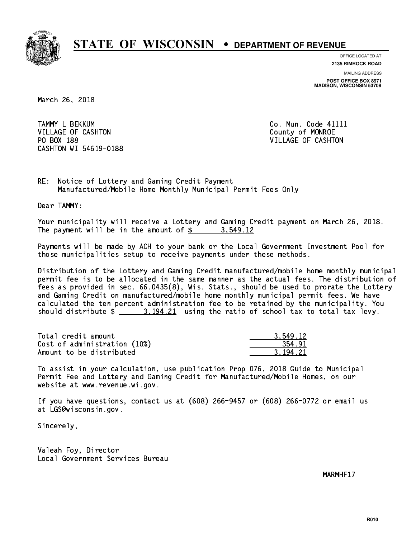

**OFFICE LOCATED AT**

**2135 RIMROCK ROAD**

**MAILING ADDRESS POST OFFICE BOX 8971 MADISON, WISCONSIN 53708**

March 26, 2018

TAMMY L BEKKUM **Communist Communist Communist Communist Communist Communist Communist Communist Communist Communist Communist Communist Communist Communist Communist Communist Communist Communist Communist Communist Commun** VILLAGE OF CASHTON COUNTY OF MONROE PO BOX 188 VILLAGE OF CASHTON CASHTON WI 54619-0188

RE: Notice of Lottery and Gaming Credit Payment Manufactured/Mobile Home Monthly Municipal Permit Fees Only

Dear TAMMY:

 Your municipality will receive a Lottery and Gaming Credit payment on March 26, 2018. The payment will be in the amount of  $\frac{2}{3}$  3,549.12

 Payments will be made by ACH to your bank or the Local Government Investment Pool for those municipalities setup to receive payments under these methods.

 Distribution of the Lottery and Gaming Credit manufactured/mobile home monthly municipal permit fee is to be allocated in the same manner as the actual fees. The distribution of fees as provided in sec. 66.0435(8), Wis. Stats., should be used to prorate the Lottery and Gaming Credit on manufactured/mobile home monthly municipal permit fees. We have calculated the ten percent administration fee to be retained by the municipality. You should distribute  $\frac{2}{1}$   $\frac{3.194.21}{2}$  using the ratio of school tax to total tax levy.

| Total credit amount          | 3.549.12 |
|------------------------------|----------|
| Cost of administration (10%) | 354.91   |
| Amount to be distributed     | 3.194.21 |

 To assist in your calculation, use publication Prop 076, 2018 Guide to Municipal Permit Fee and Lottery and Gaming Credit for Manufactured/Mobile Homes, on our website at www.revenue.wi.gov.

 If you have questions, contact us at (608) 266-9457 or (608) 266-0772 or email us at LGS@wisconsin.gov.

Sincerely,

 Valeah Foy, Director Local Government Services Bureau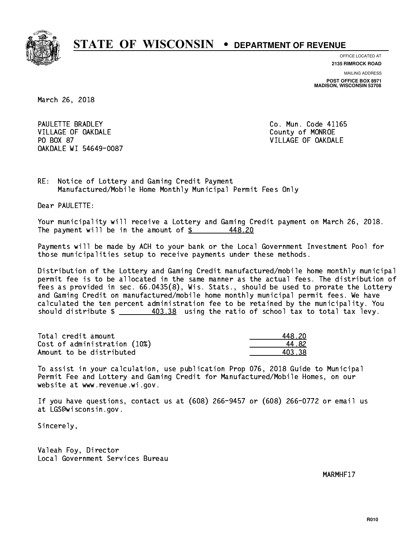

**OFFICE LOCATED AT 2135 RIMROCK ROAD**

**MAILING ADDRESS POST OFFICE BOX 8971 MADISON, WISCONSIN 53708**

March 26, 2018

PAULETTE BRADLEY VILLAGE OF OAKDALE COUNTY OF MONROE PO BOX 87 OAKDALE WI 54649-0087

Co. Mun. Code 41165 VILLAGE OF OAKDALE

RE: Notice of Lottery and Gaming Credit Payment Manufactured/Mobile Home Monthly Municipal Permit Fees Only

Dear PAULETTE:

 Your municipality will receive a Lottery and Gaming Credit payment on March 26, 2018. The payment will be in the amount of  $\frac{2}{3}$ 448.20

 Payments will be made by ACH to your bank or the Local Government Investment Pool for those municipalities setup to receive payments under these methods.

 Distribution of the Lottery and Gaming Credit manufactured/mobile home monthly municipal permit fee is to be allocated in the same manner as the actual fees. The distribution of fees as provided in sec. 66.0435(8), Wis. Stats., should be used to prorate the Lottery and Gaming Credit on manufactured/mobile home monthly municipal permit fees. We have calculated the ten percent administration fee to be retained by the municipality. You should distribute  $\frac{403.38}{2}$  using the ratio of school tax to total tax levy.

Total credit amount Cost of administration (10%) Amount to be distributed

| ≀ 2N  |
|-------|
| - 82  |
| IR 78 |

 To assist in your calculation, use publication Prop 076, 2018 Guide to Municipal Permit Fee and Lottery and Gaming Credit for Manufactured/Mobile Homes, on our website at www.revenue.wi.gov.

 If you have questions, contact us at (608) 266-9457 or (608) 266-0772 or email us at LGS@wisconsin.gov.

Sincerely,

 Valeah Foy, Director Local Government Services Bureau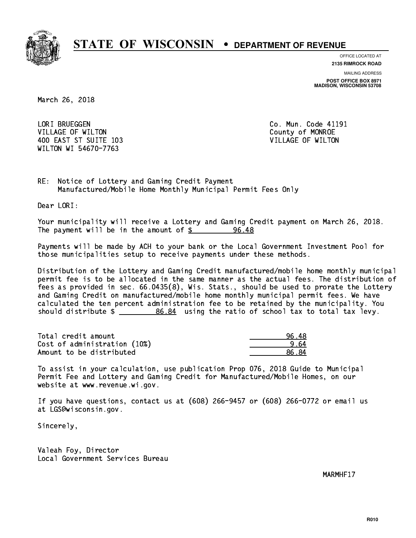

**OFFICE LOCATED AT**

**2135 RIMROCK ROAD**

**MAILING ADDRESS POST OFFICE BOX 8971 MADISON, WISCONSIN 53708**

March 26, 2018

LORI BRUEGGEN VILLAGE OF WILTON COUNTY OF MONROE 400 EAST ST SUITE 103 VILLAGE OF WILTON WILTON WI 54670-7763

Co. Mun. Code 41191

RE: Notice of Lottery and Gaming Credit Payment Manufactured/Mobile Home Monthly Municipal Permit Fees Only

Dear LORI:

 Your municipality will receive a Lottery and Gaming Credit payment on March 26, 2018. The payment will be in the amount of \$ 96.48 \_\_\_\_\_\_\_\_\_\_\_\_\_\_\_\_

 Payments will be made by ACH to your bank or the Local Government Investment Pool for those municipalities setup to receive payments under these methods.

 Distribution of the Lottery and Gaming Credit manufactured/mobile home monthly municipal permit fee is to be allocated in the same manner as the actual fees. The distribution of fees as provided in sec. 66.0435(8), Wis. Stats., should be used to prorate the Lottery and Gaming Credit on manufactured/mobile home monthly municipal permit fees. We have calculated the ten percent administration fee to be retained by the municipality. You should distribute  $\frac{26.84}{1000}$  using the ratio of school tax to total tax levy.

Total credit amount and the set of the set of the set of the set of the set of the set of the set of the set o  $Cost of administration (10%) \t\t 2.64$ Amount to be distributed and the set of  $\sim$  86.84

 To assist in your calculation, use publication Prop 076, 2018 Guide to Municipal Permit Fee and Lottery and Gaming Credit for Manufactured/Mobile Homes, on our website at www.revenue.wi.gov.

 If you have questions, contact us at (608) 266-9457 or (608) 266-0772 or email us at LGS@wisconsin.gov.

Sincerely,

 Valeah Foy, Director Local Government Services Bureau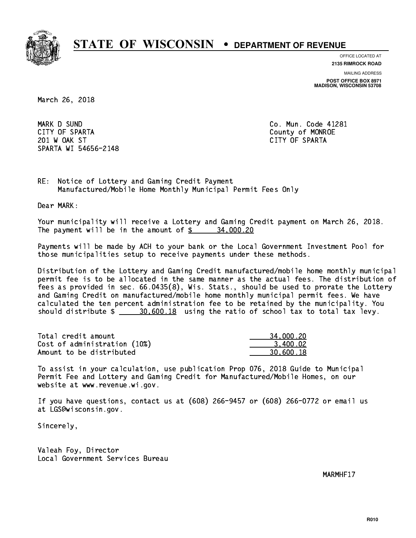

**OFFICE LOCATED AT**

**2135 RIMROCK ROAD**

**MAILING ADDRESS**

**POST OFFICE BOX 8971 MADISON, WISCONSIN 53708**

March 26, 2018

 MARK D SUND Co. Mun. Code 41281 CITY OF SPARTA County of MONROE 201 W OAK ST CITY OF SPARTA SPARTA WI 54656-2148

RE: Notice of Lottery and Gaming Credit Payment Manufactured/Mobile Home Monthly Municipal Permit Fees Only

Dear MARK:

 Your municipality will receive a Lottery and Gaming Credit payment on March 26, 2018. The payment will be in the amount of  $\frac{2}{3}$  34,000.20

 Payments will be made by ACH to your bank or the Local Government Investment Pool for those municipalities setup to receive payments under these methods.

 Distribution of the Lottery and Gaming Credit manufactured/mobile home monthly municipal permit fee is to be allocated in the same manner as the actual fees. The distribution of fees as provided in sec. 66.0435(8), Wis. Stats., should be used to prorate the Lottery and Gaming Credit on manufactured/mobile home monthly municipal permit fees. We have calculated the ten percent administration fee to be retained by the municipality. You should distribute  $\frac{20,600.18}{2}$  using the ratio of school tax to total tax levy.

| Total credit amount          | 34,000.20 |
|------------------------------|-----------|
| Cost of administration (10%) | 3.400.02  |
| Amount to be distributed     | 30.600.18 |

 To assist in your calculation, use publication Prop 076, 2018 Guide to Municipal Permit Fee and Lottery and Gaming Credit for Manufactured/Mobile Homes, on our website at www.revenue.wi.gov.

 If you have questions, contact us at (608) 266-9457 or (608) 266-0772 or email us at LGS@wisconsin.gov.

Sincerely,

 Valeah Foy, Director Local Government Services Bureau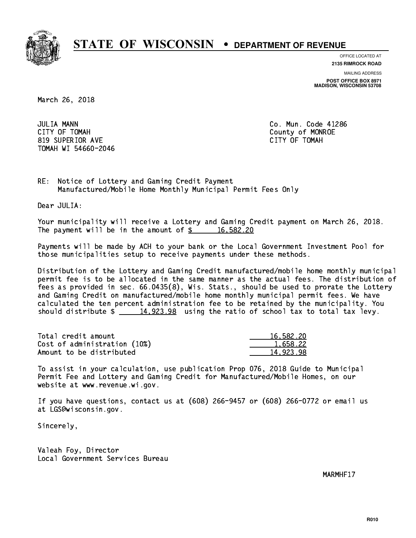

**OFFICE LOCATED AT**

**2135 RIMROCK ROAD**

**MAILING ADDRESS POST OFFICE BOX 8971 MADISON, WISCONSIN 53708**

March 26, 2018

**JULIA MANN**  CITY OF TOMAH County of MONROE 819 SUPERIOR AVE CITY OF TOMAH TOMAH WI 54660-2046

Co. Mun. Code 41286

RE: Notice of Lottery and Gaming Credit Payment Manufactured/Mobile Home Monthly Municipal Permit Fees Only

Dear JULIA:

 Your municipality will receive a Lottery and Gaming Credit payment on March 26, 2018. The payment will be in the amount of  $\frac{2}{3}$  16,582.20

 Payments will be made by ACH to your bank or the Local Government Investment Pool for those municipalities setup to receive payments under these methods.

 Distribution of the Lottery and Gaming Credit manufactured/mobile home monthly municipal permit fee is to be allocated in the same manner as the actual fees. The distribution of fees as provided in sec. 66.0435(8), Wis. Stats., should be used to prorate the Lottery and Gaming Credit on manufactured/mobile home monthly municipal permit fees. We have calculated the ten percent administration fee to be retained by the municipality. You should distribute  $\frac{14,923.98}{2}$  using the ratio of school tax to total tax levy.

| Total credit amount          | 16,582.20 |
|------------------------------|-----------|
| Cost of administration (10%) | 1.658.22  |
| Amount to be distributed     | 14.923.98 |

 To assist in your calculation, use publication Prop 076, 2018 Guide to Municipal Permit Fee and Lottery and Gaming Credit for Manufactured/Mobile Homes, on our website at www.revenue.wi.gov.

 If you have questions, contact us at (608) 266-9457 or (608) 266-0772 or email us at LGS@wisconsin.gov.

Sincerely,

 Valeah Foy, Director Local Government Services Bureau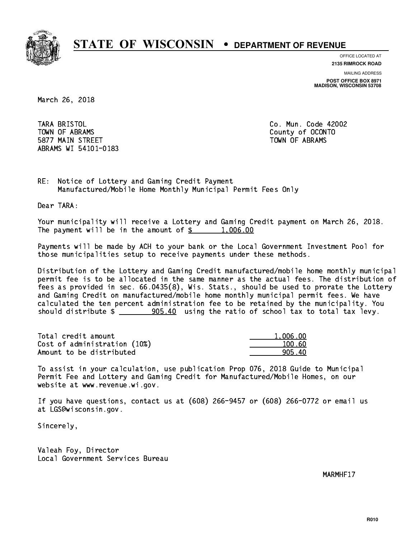

**OFFICE LOCATED AT**

**2135 RIMROCK ROAD**

**MAILING ADDRESS**

**POST OFFICE BOX 8971 MADISON, WISCONSIN 53708**

March 26, 2018

TARA BRISTOL TOWN OF ABRAMS County of OCONTO 5877 MAIN STREET TOWN OF ABRAMS ABRAMS WI 54101-0183

Co. Mun. Code 42002

RE: Notice of Lottery and Gaming Credit Payment Manufactured/Mobile Home Monthly Municipal Permit Fees Only

Dear TARA:

 Your municipality will receive a Lottery and Gaming Credit payment on March 26, 2018. The payment will be in the amount of  $\frac{2}{3}$  1,006.00

 Payments will be made by ACH to your bank or the Local Government Investment Pool for those municipalities setup to receive payments under these methods.

 Distribution of the Lottery and Gaming Credit manufactured/mobile home monthly municipal permit fee is to be allocated in the same manner as the actual fees. The distribution of fees as provided in sec. 66.0435(8), Wis. Stats., should be used to prorate the Lottery and Gaming Credit on manufactured/mobile home monthly municipal permit fees. We have calculated the ten percent administration fee to be retained by the municipality. You should distribute  $\frac{1}{2}$   $\frac{905.40}{100}$  using the ratio of school tax to total tax levy.

| Total credit amount          | 1.006.00 |
|------------------------------|----------|
| Cost of administration (10%) | 100.60   |
| Amount to be distributed     | 905.40   |

 To assist in your calculation, use publication Prop 076, 2018 Guide to Municipal Permit Fee and Lottery and Gaming Credit for Manufactured/Mobile Homes, on our website at www.revenue.wi.gov.

 If you have questions, contact us at (608) 266-9457 or (608) 266-0772 or email us at LGS@wisconsin.gov.

Sincerely,

 Valeah Foy, Director Local Government Services Bureau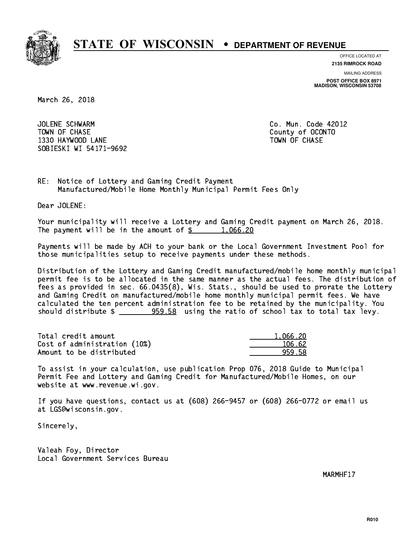

**OFFICE LOCATED AT**

**2135 RIMROCK ROAD**

**MAILING ADDRESS POST OFFICE BOX 8971 MADISON, WISCONSIN 53708**

March 26, 2018

 JOLENE SCHWARM Co. Mun. Code 42012 TOWN OF CHASE County of OCONTO 1330 HAYWOOD LANE TOWN OF CHASE SOBIESKI WI 54171-9692

RE: Notice of Lottery and Gaming Credit Payment Manufactured/Mobile Home Monthly Municipal Permit Fees Only

Dear JOLENE:

 Your municipality will receive a Lottery and Gaming Credit payment on March 26, 2018. The payment will be in the amount of  $\frac{2}{3}$  1,066.20

 Payments will be made by ACH to your bank or the Local Government Investment Pool for those municipalities setup to receive payments under these methods.

 Distribution of the Lottery and Gaming Credit manufactured/mobile home monthly municipal permit fee is to be allocated in the same manner as the actual fees. The distribution of fees as provided in sec. 66.0435(8), Wis. Stats., should be used to prorate the Lottery and Gaming Credit on manufactured/mobile home monthly municipal permit fees. We have calculated the ten percent administration fee to be retained by the municipality. You should distribute  $\frac{259.58}{2}$  using the ratio of school tax to total tax levy.

| Total credit amount          | 1.066.20 |
|------------------------------|----------|
| Cost of administration (10%) | 106.62   |
| Amount to be distributed     | 959.58   |

 To assist in your calculation, use publication Prop 076, 2018 Guide to Municipal Permit Fee and Lottery and Gaming Credit for Manufactured/Mobile Homes, on our website at www.revenue.wi.gov.

 If you have questions, contact us at (608) 266-9457 or (608) 266-0772 or email us at LGS@wisconsin.gov.

Sincerely,

 Valeah Foy, Director Local Government Services Bureau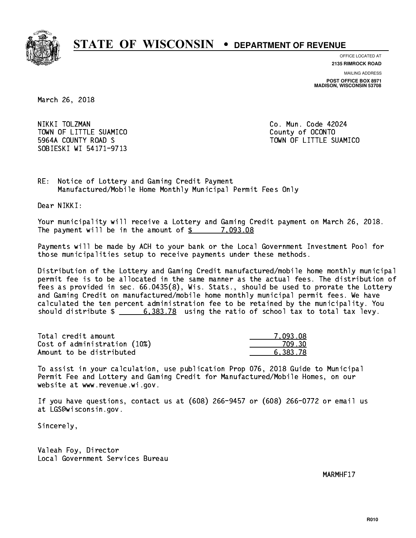

**OFFICE LOCATED AT**

**2135 RIMROCK ROAD**

**MAILING ADDRESS POST OFFICE BOX 8971 MADISON, WISCONSIN 53708**

March 26, 2018

NIKKI TOLZMAN TOWN OF LITTLE SUAMICO **COUNTY COUNTY COUNTY**  5964A COUNTY ROAD S TOWN OF LITTLE SUAMICO SOBIESKI WI 54171-9713

Co. Mun. Code 42024

RE: Notice of Lottery and Gaming Credit Payment Manufactured/Mobile Home Monthly Municipal Permit Fees Only

Dear NIKKI:

 Your municipality will receive a Lottery and Gaming Credit payment on March 26, 2018. The payment will be in the amount of  $\frac{2}{3}$  7,093.08

 Payments will be made by ACH to your bank or the Local Government Investment Pool for those municipalities setup to receive payments under these methods.

 Distribution of the Lottery and Gaming Credit manufactured/mobile home monthly municipal permit fee is to be allocated in the same manner as the actual fees. The distribution of fees as provided in sec. 66.0435(8), Wis. Stats., should be used to prorate the Lottery and Gaming Credit on manufactured/mobile home monthly municipal permit fees. We have calculated the ten percent administration fee to be retained by the municipality. You should distribute  $\frac{2}{3}$   $\frac{6,383.78}{2}$  using the ratio of school tax to total tax levy.

| Total credit amount          | 7.093.08 |
|------------------------------|----------|
| Cost of administration (10%) | 709.30   |
| Amount to be distributed     | 6.383.78 |

 To assist in your calculation, use publication Prop 076, 2018 Guide to Municipal Permit Fee and Lottery and Gaming Credit for Manufactured/Mobile Homes, on our website at www.revenue.wi.gov.

 If you have questions, contact us at (608) 266-9457 or (608) 266-0772 or email us at LGS@wisconsin.gov.

Sincerely,

 Valeah Foy, Director Local Government Services Bureau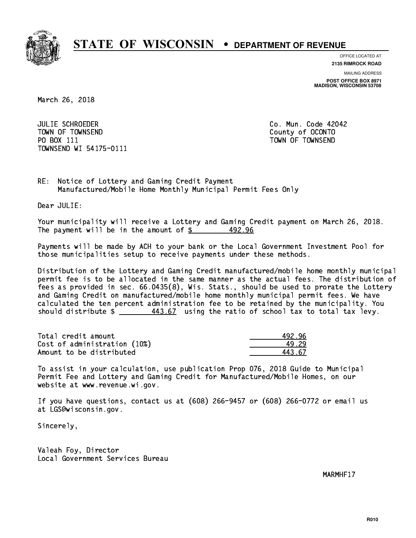

**OFFICE LOCATED AT**

**MAILING ADDRESS 2135 RIMROCK ROAD**

**POST OFFICE BOX 8971 MADISON, WISCONSIN 53708**

March 26, 2018

 JULIE SCHROEDER Co. Mun. Code 42042 TOWN OF TOWNSEND County of OCONTO PO BOX 111 PO BOX 111 TOWN OF TOWNSEND TOWNSEND WI 54175-0111

RE: Notice of Lottery and Gaming Credit Payment Manufactured/Mobile Home Monthly Municipal Permit Fees Only

Dear JULIE:

 Your municipality will receive a Lottery and Gaming Credit payment on March 26, 2018. The payment will be in the amount of  $\frac{2}{3}$  492.96

 Payments will be made by ACH to your bank or the Local Government Investment Pool for those municipalities setup to receive payments under these methods.

 Distribution of the Lottery and Gaming Credit manufactured/mobile home monthly municipal permit fee is to be allocated in the same manner as the actual fees. The distribution of fees as provided in sec. 66.0435(8), Wis. Stats., should be used to prorate the Lottery and Gaming Credit on manufactured/mobile home monthly municipal permit fees. We have calculated the ten percent administration fee to be retained by the municipality. You should distribute  $\frac{443.67}{1}$  using the ratio of school tax to total tax levy.

| Total credit amount          | 492.96 |
|------------------------------|--------|
| Cost of administration (10%) | 49.29  |
| Amount to be distributed     | 443 G7 |

443.67

 To assist in your calculation, use publication Prop 076, 2018 Guide to Municipal Permit Fee and Lottery and Gaming Credit for Manufactured/Mobile Homes, on our website at www.revenue.wi.gov.

 If you have questions, contact us at (608) 266-9457 or (608) 266-0772 or email us at LGS@wisconsin.gov.

Sincerely,

 Valeah Foy, Director Local Government Services Bureau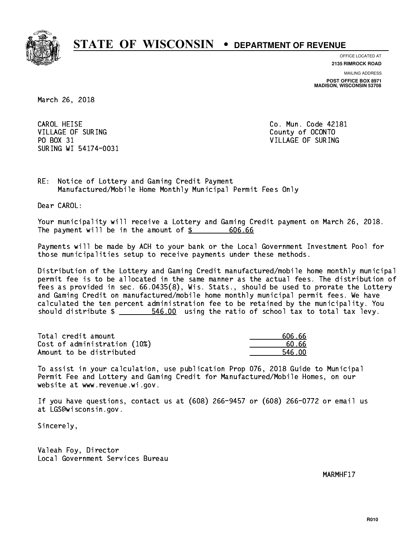

**OFFICE LOCATED AT**

**2135 RIMROCK ROAD**

**MAILING ADDRESS POST OFFICE BOX 8971 MADISON, WISCONSIN 53708**

March 26, 2018

CAROL HEISE VILLAGE OF SURING COUNTY COUNTY OF COUNTY OF SURING PO BOX 31 VILLAGE OF SURING SURING WI 54174-0031

Co. Mun. Code 42181

RE: Notice of Lottery and Gaming Credit Payment Manufactured/Mobile Home Monthly Municipal Permit Fees Only

Dear CAROL:

 Your municipality will receive a Lottery and Gaming Credit payment on March 26, 2018. The payment will be in the amount of \$ 606.66 \_\_\_\_\_\_\_\_\_\_\_\_\_\_\_\_

 Payments will be made by ACH to your bank or the Local Government Investment Pool for those municipalities setup to receive payments under these methods.

 Distribution of the Lottery and Gaming Credit manufactured/mobile home monthly municipal permit fee is to be allocated in the same manner as the actual fees. The distribution of fees as provided in sec. 66.0435(8), Wis. Stats., should be used to prorate the Lottery and Gaming Credit on manufactured/mobile home monthly municipal permit fees. We have calculated the ten percent administration fee to be retained by the municipality. You should distribute  $\frac{2}{1}$   $\frac{546.00}{100}$  using the ratio of school tax to total tax levy.

Total credit amount Cost of administration  $(10%)$ Amount to be distributed

| 606.66 |
|--------|
| 60. 66 |
| 546 NN |

 To assist in your calculation, use publication Prop 076, 2018 Guide to Municipal Permit Fee and Lottery and Gaming Credit for Manufactured/Mobile Homes, on our website at www.revenue.wi.gov.

 If you have questions, contact us at (608) 266-9457 or (608) 266-0772 or email us at LGS@wisconsin.gov.

Sincerely,

 Valeah Foy, Director Local Government Services Bureau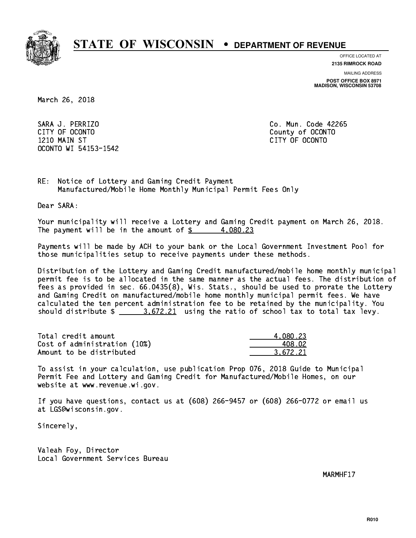

**OFFICE LOCATED AT**

**2135 RIMROCK ROAD**

**MAILING ADDRESS**

**POST OFFICE BOX 8971 MADISON, WISCONSIN 53708**

March 26, 2018

 SARA J. PERRIZO Co. Mun. Code 42265 CITY OF OCONTO County of OCONTO 1210 MAIN ST CITY OF OCONTO OCONTO WI 54153-1542

RE: Notice of Lottery and Gaming Credit Payment Manufactured/Mobile Home Monthly Municipal Permit Fees Only

Dear SARA:

 Your municipality will receive a Lottery and Gaming Credit payment on March 26, 2018. The payment will be in the amount of  $\frac{2}{3}$  4,080.23

 Payments will be made by ACH to your bank or the Local Government Investment Pool for those municipalities setup to receive payments under these methods.

 Distribution of the Lottery and Gaming Credit manufactured/mobile home monthly municipal permit fee is to be allocated in the same manner as the actual fees. The distribution of fees as provided in sec. 66.0435(8), Wis. Stats., should be used to prorate the Lottery and Gaming Credit on manufactured/mobile home monthly municipal permit fees. We have calculated the ten percent administration fee to be retained by the municipality. You should distribute  $\frac{2}{1}$   $\frac{3.672.21}{2}$  using the ratio of school tax to total tax levy.

| Total credit amount          | 4.080.23 |
|------------------------------|----------|
| Cost of administration (10%) | 408.02   |
| Amount to be distributed     | 3.672.21 |

 To assist in your calculation, use publication Prop 076, 2018 Guide to Municipal Permit Fee and Lottery and Gaming Credit for Manufactured/Mobile Homes, on our website at www.revenue.wi.gov.

 If you have questions, contact us at (608) 266-9457 or (608) 266-0772 or email us at LGS@wisconsin.gov.

Sincerely,

 Valeah Foy, Director Local Government Services Bureau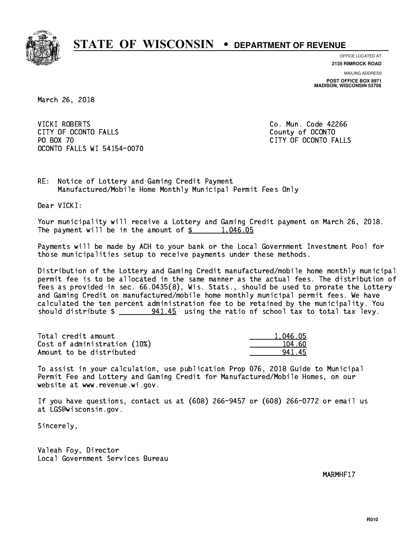

**OFFICE LOCATED AT**

**2135 RIMROCK ROAD**

**MAILING ADDRESS POST OFFICE BOX 8971 MADISON, WISCONSIN 53708**

March 26, 2018

**VICKI ROBERTS** CITY OF OCONTO FALLS **COUNTY COUNTY OF OCONTO** PO BOX 70 CITY OF OCONTO FALLS OCONTO FALLS WI 54154-0070

Co. Mun. Code 42266

RE: Notice of Lottery and Gaming Credit Payment Manufactured/Mobile Home Monthly Municipal Permit Fees Only

Dear VICKI:

 Your municipality will receive a Lottery and Gaming Credit payment on March 26, 2018. The payment will be in the amount of  $\frac{2}{3}$  1,046.05

 Payments will be made by ACH to your bank or the Local Government Investment Pool for those municipalities setup to receive payments under these methods.

 Distribution of the Lottery and Gaming Credit manufactured/mobile home monthly municipal permit fee is to be allocated in the same manner as the actual fees. The distribution of fees as provided in sec. 66.0435(8), Wis. Stats., should be used to prorate the Lottery and Gaming Credit on manufactured/mobile home monthly municipal permit fees. We have calculated the ten percent administration fee to be retained by the municipality. You should distribute  $\frac{241.45}{2}$  using the ratio of school tax to total tax levy.

| Total credit amount          | 1.046.05 |
|------------------------------|----------|
| Cost of administration (10%) | 104.60   |
| Amount to be distributed     | 94145    |

 To assist in your calculation, use publication Prop 076, 2018 Guide to Municipal Permit Fee and Lottery and Gaming Credit for Manufactured/Mobile Homes, on our website at www.revenue.wi.gov.

 If you have questions, contact us at (608) 266-9457 or (608) 266-0772 or email us at LGS@wisconsin.gov.

Sincerely,

 Valeah Foy, Director Local Government Services Bureau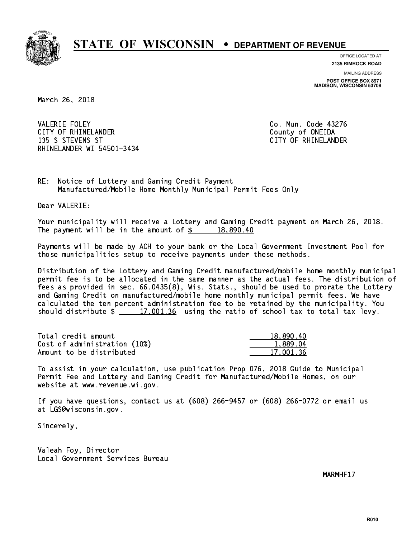

**OFFICE LOCATED AT**

**2135 RIMROCK ROAD**

**MAILING ADDRESS POST OFFICE BOX 8971 MADISON, WISCONSIN 53708**

March 26, 2018

**VALERIE FOLEY** CITY OF RHINELANDER **COUNTY COUNTY OF SHINE COUNTY** COUNTY OF ONEIDA 135 S STEVENS ST CITY OF RHINELANDER RHINELANDER WI 54501-3434

Co. Mun. Code 43276

RE: Notice of Lottery and Gaming Credit Payment Manufactured/Mobile Home Monthly Municipal Permit Fees Only

Dear VALERIE:

 Your municipality will receive a Lottery and Gaming Credit payment on March 26, 2018. The payment will be in the amount of  $\frac{2}{3}$  18,890.40

 Payments will be made by ACH to your bank or the Local Government Investment Pool for those municipalities setup to receive payments under these methods.

 Distribution of the Lottery and Gaming Credit manufactured/mobile home monthly municipal permit fee is to be allocated in the same manner as the actual fees. The distribution of fees as provided in sec. 66.0435(8), Wis. Stats., should be used to prorate the Lottery and Gaming Credit on manufactured/mobile home monthly municipal permit fees. We have calculated the ten percent administration fee to be retained by the municipality. You should distribute  $\frac{2}{17,001.36}$  using the ratio of school tax to total tax levy.

| Total credit amount          | 18,890.40 |
|------------------------------|-----------|
| Cost of administration (10%) | 1,889.04  |
| Amount to be distributed     | 17.001.36 |

 To assist in your calculation, use publication Prop 076, 2018 Guide to Municipal Permit Fee and Lottery and Gaming Credit for Manufactured/Mobile Homes, on our website at www.revenue.wi.gov.

 If you have questions, contact us at (608) 266-9457 or (608) 266-0772 or email us at LGS@wisconsin.gov.

Sincerely,

 Valeah Foy, Director Local Government Services Bureau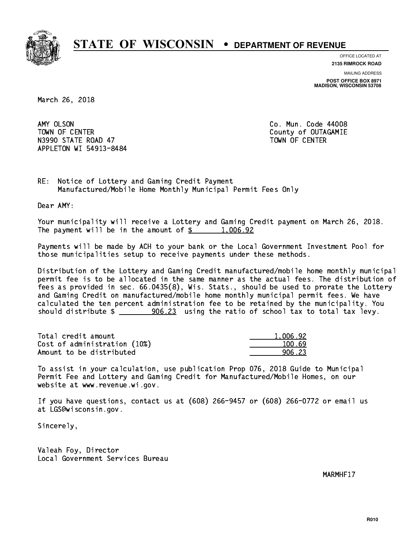

**OFFICE LOCATED AT 2135 RIMROCK ROAD**

**MAILING ADDRESS**

**POST OFFICE BOX 8971 MADISON, WISCONSIN 53708**

March 26, 2018

AMY OLSON TOWN OF CENTER **COUNTY OF COUNTY COUNTY OF COULD A** N3990 STATE ROAD 47 TOWN OF CENTER APPLETON WI 54913-8484

Co. Mun. Code 44008

RE: Notice of Lottery and Gaming Credit Payment Manufactured/Mobile Home Monthly Municipal Permit Fees Only

Dear AMY:

 Your municipality will receive a Lottery and Gaming Credit payment on March 26, 2018. The payment will be in the amount of  $\frac{2}{3}$  1,006.92

 Payments will be made by ACH to your bank or the Local Government Investment Pool for those municipalities setup to receive payments under these methods.

 Distribution of the Lottery and Gaming Credit manufactured/mobile home monthly municipal permit fee is to be allocated in the same manner as the actual fees. The distribution of fees as provided in sec. 66.0435(8), Wis. Stats., should be used to prorate the Lottery and Gaming Credit on manufactured/mobile home monthly municipal permit fees. We have calculated the ten percent administration fee to be retained by the municipality. You should distribute  $\frac{1}{2}$   $\frac{906.23}{2}$  using the ratio of school tax to total tax levy.

| Total credit amount          | 1,006.92 |
|------------------------------|----------|
| Cost of administration (10%) | 100.69   |
| Amount to be distributed     | 906.23   |

 To assist in your calculation, use publication Prop 076, 2018 Guide to Municipal Permit Fee and Lottery and Gaming Credit for Manufactured/Mobile Homes, on our website at www.revenue.wi.gov.

 If you have questions, contact us at (608) 266-9457 or (608) 266-0772 or email us at LGS@wisconsin.gov.

Sincerely,

 Valeah Foy, Director Local Government Services Bureau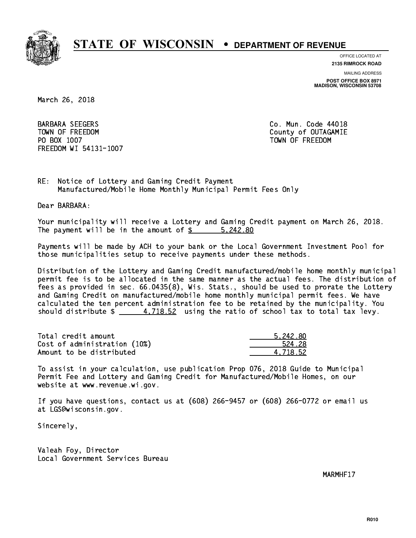

**OFFICE LOCATED AT 2135 RIMROCK ROAD**

**MAILING ADDRESS**

**POST OFFICE BOX 8971 MADISON, WISCONSIN 53708**

March 26, 2018

 BARBARA SEEGERS Co. Mun. Code 44018 TOWN OF FREEDOM County of OUTAGAMIE PO BOX 1007 TOWN OF FREEDOM FREEDOM WI 54131-1007

RE: Notice of Lottery and Gaming Credit Payment Manufactured/Mobile Home Monthly Municipal Permit Fees Only

Dear BARBARA:

 Your municipality will receive a Lottery and Gaming Credit payment on March 26, 2018. The payment will be in the amount of \$ 5,242.80 \_\_\_\_\_\_\_\_\_\_\_\_\_\_\_\_

 Payments will be made by ACH to your bank or the Local Government Investment Pool for those municipalities setup to receive payments under these methods.

 Distribution of the Lottery and Gaming Credit manufactured/mobile home monthly municipal permit fee is to be allocated in the same manner as the actual fees. The distribution of fees as provided in sec. 66.0435(8), Wis. Stats., should be used to prorate the Lottery and Gaming Credit on manufactured/mobile home monthly municipal permit fees. We have calculated the ten percent administration fee to be retained by the municipality. You should distribute  $\frac{4.718.52}{1.62}$  using the ratio of school tax to total tax levy.

| Total credit amount          | 5.242.80 |
|------------------------------|----------|
| Cost of administration (10%) | 524.28   |
| Amount to be distributed     | 4.718.52 |

 To assist in your calculation, use publication Prop 076, 2018 Guide to Municipal Permit Fee and Lottery and Gaming Credit for Manufactured/Mobile Homes, on our website at www.revenue.wi.gov.

 If you have questions, contact us at (608) 266-9457 or (608) 266-0772 or email us at LGS@wisconsin.gov.

Sincerely,

 Valeah Foy, Director Local Government Services Bureau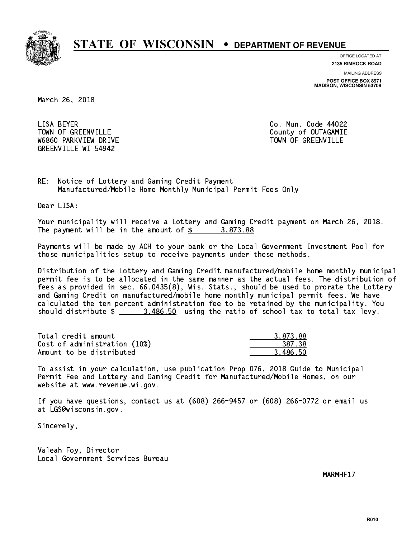

**OFFICE LOCATED AT**

**2135 RIMROCK ROAD**

**MAILING ADDRESS POST OFFICE BOX 8971 MADISON, WISCONSIN 53708**

March 26, 2018

LISA BEYER TOWN OF GREENVILLE TOWN OF GREENVILLE W6860 PARKVIEW DRIVE TOWN OF GREENVILLE GREENVILLE WI 54942

Co. Mun. Code 44022

RE: Notice of Lottery and Gaming Credit Payment Manufactured/Mobile Home Monthly Municipal Permit Fees Only

Dear LISA:

 Your municipality will receive a Lottery and Gaming Credit payment on March 26, 2018. The payment will be in the amount of  $\frac{2}{3}$  3,873.88

 Payments will be made by ACH to your bank or the Local Government Investment Pool for those municipalities setup to receive payments under these methods.

 Distribution of the Lottery and Gaming Credit manufactured/mobile home monthly municipal permit fee is to be allocated in the same manner as the actual fees. The distribution of fees as provided in sec. 66.0435(8), Wis. Stats., should be used to prorate the Lottery and Gaming Credit on manufactured/mobile home monthly municipal permit fees. We have calculated the ten percent administration fee to be retained by the municipality. You should distribute  $\frac{2}{1}$   $\frac{3,486.50}{2}$  using the ratio of school tax to total tax levy.

| Total credit amount          | 3.873.88 |
|------------------------------|----------|
| Cost of administration (10%) | 387.38   |
| Amount to be distributed     | 3.486.50 |

 To assist in your calculation, use publication Prop 076, 2018 Guide to Municipal Permit Fee and Lottery and Gaming Credit for Manufactured/Mobile Homes, on our website at www.revenue.wi.gov.

 If you have questions, contact us at (608) 266-9457 or (608) 266-0772 or email us at LGS@wisconsin.gov.

Sincerely,

 Valeah Foy, Director Local Government Services Bureau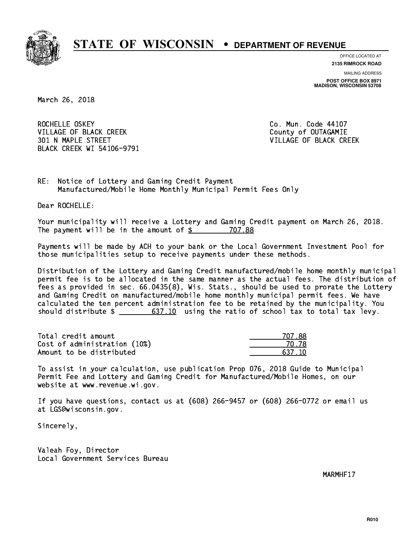

**OFFICE LOCATED AT**

**2135 RIMROCK ROAD**

**MAILING ADDRESS POST OFFICE BOX 8971 MADISON, WISCONSIN 53708**

March 26, 2018

ROCHELLE OSKEY VILLAGE OF BLACK CREEK COUNTY OF OUTAGAMIE 301 N MAPLE STREET VILLAGE OF BLACK CREEK BLACK CREEK WI 54106-9791

Co. Mun. Code 44107

RE: Notice of Lottery and Gaming Credit Payment Manufactured/Mobile Home Monthly Municipal Permit Fees Only

Dear ROCHELLE:

 Your municipality will receive a Lottery and Gaming Credit payment on March 26, 2018. The payment will be in the amount of  $$ 707.88$ 

 Payments will be made by ACH to your bank or the Local Government Investment Pool for those municipalities setup to receive payments under these methods.

 Distribution of the Lottery and Gaming Credit manufactured/mobile home monthly municipal permit fee is to be allocated in the same manner as the actual fees. The distribution of fees as provided in sec. 66.0435(8), Wis. Stats., should be used to prorate the Lottery and Gaming Credit on manufactured/mobile home monthly municipal permit fees. We have calculated the ten percent administration fee to be retained by the municipality. You should distribute  $\frac{2}{1}$   $\frac{637.10}{10}$  using the ratio of school tax to total tax levy.

Total credit amount Cost of administration (10%) Amount to be distributed

| N7 88  |
|--------|
| 0.Z8   |
| 637 IN |

 To assist in your calculation, use publication Prop 076, 2018 Guide to Municipal Permit Fee and Lottery and Gaming Credit for Manufactured/Mobile Homes, on our website at www.revenue.wi.gov.

 If you have questions, contact us at (608) 266-9457 or (608) 266-0772 or email us at LGS@wisconsin.gov.

Sincerely,

 Valeah Foy, Director Local Government Services Bureau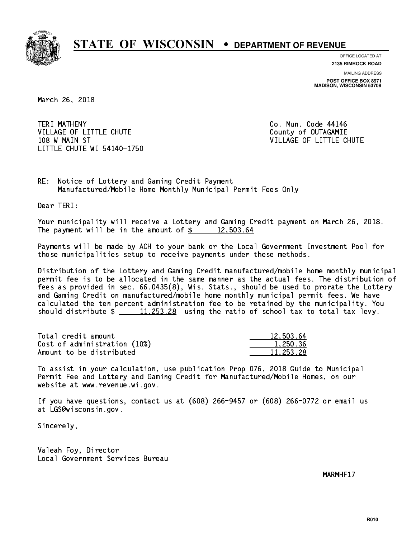

**OFFICE LOCATED AT**

**2135 RIMROCK ROAD**

**MAILING ADDRESS POST OFFICE BOX 8971 MADISON, WISCONSIN 53708**

March 26, 2018

TERI MATHENY VILLAGE OF LITTLE CHUTE COUNTY OF OUTAGAMIE 108 W MAIN ST VILLAGE OF LITTLE CHUTE LITTLE CHUTE WI 54140-1750

Co. Mun. Code 44146

RE: Notice of Lottery and Gaming Credit Payment Manufactured/Mobile Home Monthly Municipal Permit Fees Only

Dear TERI:

 Your municipality will receive a Lottery and Gaming Credit payment on March 26, 2018. The payment will be in the amount of  $\frac{2}{3}$  12,503.64

 Payments will be made by ACH to your bank or the Local Government Investment Pool for those municipalities setup to receive payments under these methods.

 Distribution of the Lottery and Gaming Credit manufactured/mobile home monthly municipal permit fee is to be allocated in the same manner as the actual fees. The distribution of fees as provided in sec. 66.0435(8), Wis. Stats., should be used to prorate the Lottery and Gaming Credit on manufactured/mobile home monthly municipal permit fees. We have calculated the ten percent administration fee to be retained by the municipality. You should distribute  $\frac{11,253.28}{2}$  using the ratio of school tax to total tax levy.

| Total credit amount          | 12,503.64 |
|------------------------------|-----------|
| Cost of administration (10%) | 1.250.36  |
| Amount to be distributed     | 11,253,28 |

 To assist in your calculation, use publication Prop 076, 2018 Guide to Municipal Permit Fee and Lottery and Gaming Credit for Manufactured/Mobile Homes, on our website at www.revenue.wi.gov.

 If you have questions, contact us at (608) 266-9457 or (608) 266-0772 or email us at LGS@wisconsin.gov.

Sincerely,

 Valeah Foy, Director Local Government Services Bureau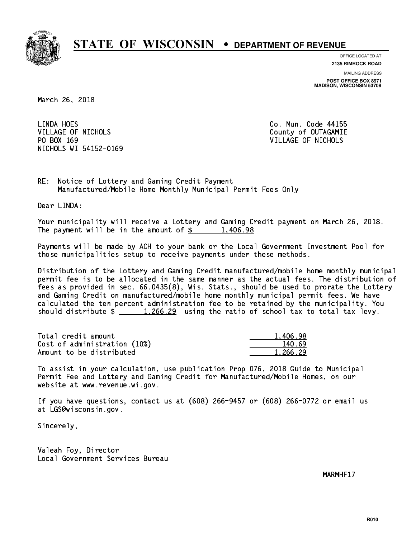

**OFFICE LOCATED AT**

**2135 RIMROCK ROAD**

**MAILING ADDRESS POST OFFICE BOX 8971 MADISON, WISCONSIN 53708**

March 26, 2018

LINDA HOES VILLAGE OF NICHOLS COUNTY OF OUTAGAMIE PO BOX 169 VILLAGE OF NICHOLS NICHOLS WI 54152-0169

Co. Mun. Code 44155

RE: Notice of Lottery and Gaming Credit Payment Manufactured/Mobile Home Monthly Municipal Permit Fees Only

Dear LINDA:

 Your municipality will receive a Lottery and Gaming Credit payment on March 26, 2018. The payment will be in the amount of  $\frac{2}{3}$  1,406.98

 Payments will be made by ACH to your bank or the Local Government Investment Pool for those municipalities setup to receive payments under these methods.

 Distribution of the Lottery and Gaming Credit manufactured/mobile home monthly municipal permit fee is to be allocated in the same manner as the actual fees. The distribution of fees as provided in sec. 66.0435(8), Wis. Stats., should be used to prorate the Lottery and Gaming Credit on manufactured/mobile home monthly municipal permit fees. We have calculated the ten percent administration fee to be retained by the municipality. You should distribute  $\frac{1,266.29}{1,266.29}$  using the ratio of school tax to total tax levy.

| Total credit amount          | 1,406.98 |
|------------------------------|----------|
| Cost of administration (10%) | 140.69   |
| Amount to be distributed     | 1.266.29 |

 To assist in your calculation, use publication Prop 076, 2018 Guide to Municipal Permit Fee and Lottery and Gaming Credit for Manufactured/Mobile Homes, on our website at www.revenue.wi.gov.

 If you have questions, contact us at (608) 266-9457 or (608) 266-0772 or email us at LGS@wisconsin.gov.

Sincerely,

 Valeah Foy, Director Local Government Services Bureau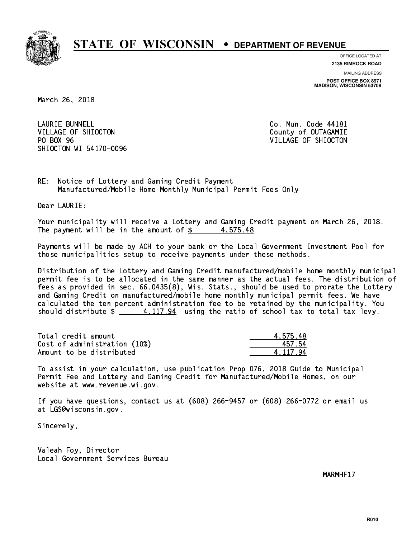

**OFFICE LOCATED AT**

**2135 RIMROCK ROAD**

**MAILING ADDRESS POST OFFICE BOX 8971 MADISON, WISCONSIN 53708**

March 26, 2018

**LAURIE BUNNELL** VILLAGE OF SHIOCTON COUNTY OF OUTAGAMIE PO BOX 96 SHIOCTON WI 54170-0096

Co. Mun. Code 44181 VILLAGE OF SHIOCTON

RE: Notice of Lottery and Gaming Credit Payment Manufactured/Mobile Home Monthly Municipal Permit Fees Only

Dear LAURIE:

 Your municipality will receive a Lottery and Gaming Credit payment on March 26, 2018. The payment will be in the amount of  $\frac{2}{3}$  4,575.48

 Payments will be made by ACH to your bank or the Local Government Investment Pool for those municipalities setup to receive payments under these methods.

 Distribution of the Lottery and Gaming Credit manufactured/mobile home monthly municipal permit fee is to be allocated in the same manner as the actual fees. The distribution of fees as provided in sec. 66.0435(8), Wis. Stats., should be used to prorate the Lottery and Gaming Credit on manufactured/mobile home monthly municipal permit fees. We have calculated the ten percent administration fee to be retained by the municipality. You should distribute  $\frac{4,117.94}{2}$  using the ratio of school tax to total tax levy.

| Total credit amount          | 4.575.48 |
|------------------------------|----------|
| Cost of administration (10%) | 457 54   |
| Amount to be distributed     | 4.117.94 |

 To assist in your calculation, use publication Prop 076, 2018 Guide to Municipal Permit Fee and Lottery and Gaming Credit for Manufactured/Mobile Homes, on our website at www.revenue.wi.gov.

 If you have questions, contact us at (608) 266-9457 or (608) 266-0772 or email us at LGS@wisconsin.gov.

Sincerely,

 Valeah Foy, Director Local Government Services Bureau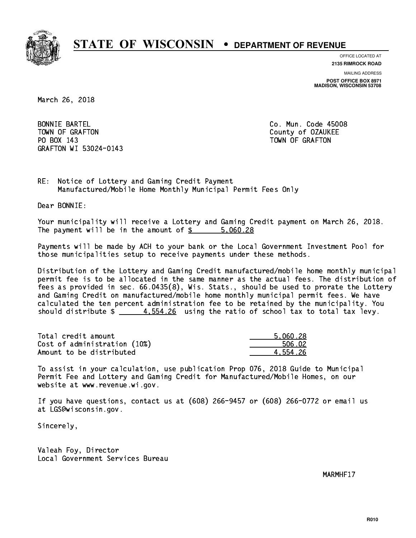

**OFFICE LOCATED AT 2135 RIMROCK ROAD**

**MAILING ADDRESS**

**POST OFFICE BOX 8971 MADISON, WISCONSIN 53708**

March 26, 2018

**BONNIE BARTEL** TOWN OF GRAFTON COUNTY OF OUR COUNTY OF OUR COUNTY OF OUR COUNTY OF OUR COUNTY OF OUR COUNTY OF OUR COUNTY OF THE ONLY AND THE OUR COUNTY OF OUR COUNTY OF OUR COUNTY OF OUR COUNTY OF OUR COUNTY OF OUR COUNTY OF OUR COUNTY PO BOX 143 TOWN OF GRAFTON GRAFTON WI 53024-0143

Co. Mun. Code 45008

RE: Notice of Lottery and Gaming Credit Payment Manufactured/Mobile Home Monthly Municipal Permit Fees Only

Dear BONNIE:

 Your municipality will receive a Lottery and Gaming Credit payment on March 26, 2018. The payment will be in the amount of \$ 5,060.28 \_\_\_\_\_\_\_\_\_\_\_\_\_\_\_\_

 Payments will be made by ACH to your bank or the Local Government Investment Pool for those municipalities setup to receive payments under these methods.

 Distribution of the Lottery and Gaming Credit manufactured/mobile home monthly municipal permit fee is to be allocated in the same manner as the actual fees. The distribution of fees as provided in sec. 66.0435(8), Wis. Stats., should be used to prorate the Lottery and Gaming Credit on manufactured/mobile home monthly municipal permit fees. We have calculated the ten percent administration fee to be retained by the municipality. You should distribute  $\frac{4}{5}$  4,554.26 using the ratio of school tax to total tax levy.

| Total credit amount          | 5.060.28 |
|------------------------------|----------|
| Cost of administration (10%) | 506.02   |
| Amount to be distributed     | 4.554.26 |

 To assist in your calculation, use publication Prop 076, 2018 Guide to Municipal Permit Fee and Lottery and Gaming Credit for Manufactured/Mobile Homes, on our website at www.revenue.wi.gov.

 If you have questions, contact us at (608) 266-9457 or (608) 266-0772 or email us at LGS@wisconsin.gov.

Sincerely,

 Valeah Foy, Director Local Government Services Bureau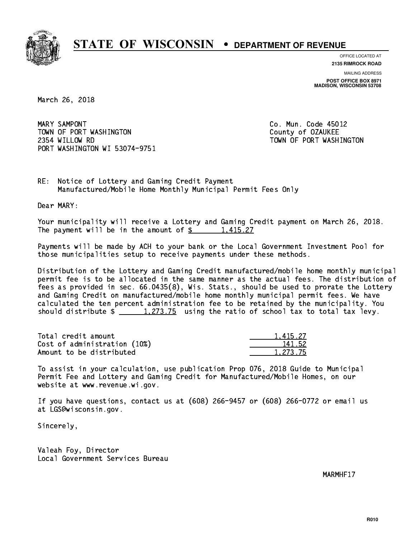

**OFFICE LOCATED AT**

**2135 RIMROCK ROAD**

**MAILING ADDRESS POST OFFICE BOX 8971 MADISON, WISCONSIN 53708**

March 26, 2018

MARY SAMPONT TOWN OF PORT WASHINGTON County of OZAUKEE 2354 WILLOW RD TOWN OF PORT WASHINGTON PORT WASHINGTON WI 53074-9751

Co. Mun. Code 45012

RE: Notice of Lottery and Gaming Credit Payment Manufactured/Mobile Home Monthly Municipal Permit Fees Only

Dear MARY:

 Your municipality will receive a Lottery and Gaming Credit payment on March 26, 2018. The payment will be in the amount of  $\frac{2}{3}$  1,415.27

 Payments will be made by ACH to your bank or the Local Government Investment Pool for those municipalities setup to receive payments under these methods.

 Distribution of the Lottery and Gaming Credit manufactured/mobile home monthly municipal permit fee is to be allocated in the same manner as the actual fees. The distribution of fees as provided in sec. 66.0435(8), Wis. Stats., should be used to prorate the Lottery and Gaming Credit on manufactured/mobile home monthly municipal permit fees. We have calculated the ten percent administration fee to be retained by the municipality. You should distribute  $\frac{1,273.75}{1,273.75}$  using the ratio of school tax to total tax levy.

| Total credit amount          | 1.415.27 |
|------------------------------|----------|
| Cost of administration (10%) | 141.52   |
| Amount to be distributed     | 1,273.75 |

 To assist in your calculation, use publication Prop 076, 2018 Guide to Municipal Permit Fee and Lottery and Gaming Credit for Manufactured/Mobile Homes, on our website at www.revenue.wi.gov.

 If you have questions, contact us at (608) 266-9457 or (608) 266-0772 or email us at LGS@wisconsin.gov.

Sincerely,

 Valeah Foy, Director Local Government Services Bureau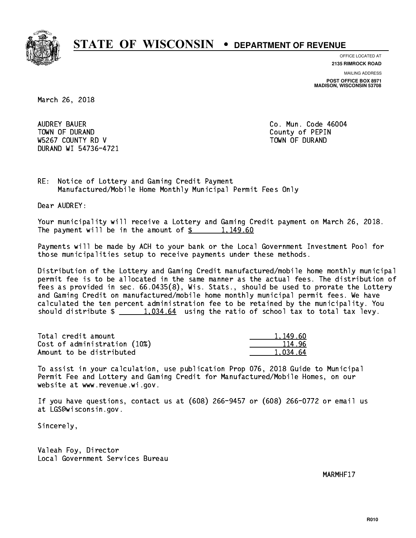

**OFFICE LOCATED AT**

**MAILING ADDRESS 2135 RIMROCK ROAD**

**POST OFFICE BOX 8971 MADISON, WISCONSIN 53708**

March 26, 2018

 AUDREY BAUER Co. Mun. Code 46004 TOWN OF DURAND COUNTY OF PERIODIC COUNTY OF PERIODIC COUNTY OF PERIODIC COUNTY OF PERIODIC COUNTY OF PERIODIC W5267 COUNTY RD V TOWN OF DURAND DURAND WI 54736-4721

RE: Notice of Lottery and Gaming Credit Payment Manufactured/Mobile Home Monthly Municipal Permit Fees Only

Dear AUDREY:

 Your municipality will receive a Lottery and Gaming Credit payment on March 26, 2018. The payment will be in the amount of  $\frac{2}{3}$  1,149.60

 Payments will be made by ACH to your bank or the Local Government Investment Pool for those municipalities setup to receive payments under these methods.

 Distribution of the Lottery and Gaming Credit manufactured/mobile home monthly municipal permit fee is to be allocated in the same manner as the actual fees. The distribution of fees as provided in sec. 66.0435(8), Wis. Stats., should be used to prorate the Lottery and Gaming Credit on manufactured/mobile home monthly municipal permit fees. We have calculated the ten percent administration fee to be retained by the municipality. You should distribute  $\frac{1.034.64}{1.034.64}$  using the ratio of school tax to total tax levy.

| Total credit amount          | 1,149.60 |
|------------------------------|----------|
| Cost of administration (10%) | 114.96   |
| Amount to be distributed     | 1.034.64 |

 To assist in your calculation, use publication Prop 076, 2018 Guide to Municipal Permit Fee and Lottery and Gaming Credit for Manufactured/Mobile Homes, on our website at www.revenue.wi.gov.

 If you have questions, contact us at (608) 266-9457 or (608) 266-0772 or email us at LGS@wisconsin.gov.

Sincerely,

 Valeah Foy, Director Local Government Services Bureau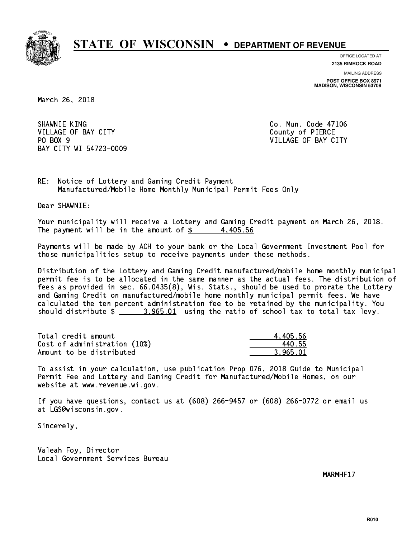

**OFFICE LOCATED AT 2135 RIMROCK ROAD**

**MAILING ADDRESS**

**POST OFFICE BOX 8971 MADISON, WISCONSIN 53708**

March 26, 2018

SHAWNIE KING **Co. Mun. Code 47106** VILLAGE OF BAY CITY COUNTY County of PIERCE PO BOX 9 BAY CITY WI 54723-0009

VILLAGE OF BAY CITY

RE: Notice of Lottery and Gaming Credit Payment Manufactured/Mobile Home Monthly Municipal Permit Fees Only

Dear SHAWNIE:

 Your municipality will receive a Lottery and Gaming Credit payment on March 26, 2018. The payment will be in the amount of  $\frac{2}{3}$  4,405.56

 Payments will be made by ACH to your bank or the Local Government Investment Pool for those municipalities setup to receive payments under these methods.

 Distribution of the Lottery and Gaming Credit manufactured/mobile home monthly municipal permit fee is to be allocated in the same manner as the actual fees. The distribution of fees as provided in sec. 66.0435(8), Wis. Stats., should be used to prorate the Lottery and Gaming Credit on manufactured/mobile home monthly municipal permit fees. We have calculated the ten percent administration fee to be retained by the municipality. You should distribute  $\frac{2}{1}$   $\frac{3.965.01}{2}$  using the ratio of school tax to total tax levy.

| Total credit amount          | 4.405.56 |
|------------------------------|----------|
| Cost of administration (10%) | 440.55   |
| Amount to be distributed     | 3.965.01 |

 To assist in your calculation, use publication Prop 076, 2018 Guide to Municipal Permit Fee and Lottery and Gaming Credit for Manufactured/Mobile Homes, on our website at www.revenue.wi.gov.

 If you have questions, contact us at (608) 266-9457 or (608) 266-0772 or email us at LGS@wisconsin.gov.

Sincerely,

 Valeah Foy, Director Local Government Services Bureau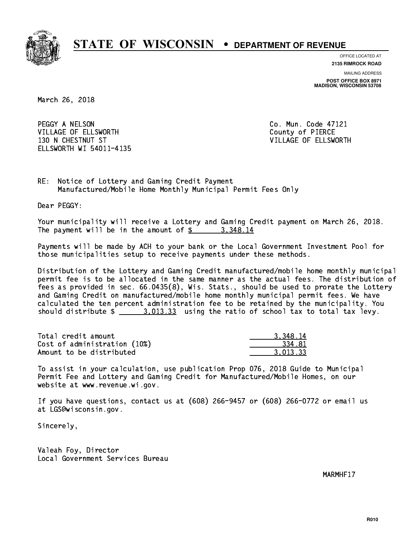

**OFFICE LOCATED AT**

**2135 RIMROCK ROAD**

**MAILING ADDRESS POST OFFICE BOX 8971 MADISON, WISCONSIN 53708**

March 26, 2018

PEGGY A NELSON CO. Mun. Code 47121 VILLAGE OF ELLSWORTH COUNTY OF PIERCE 130 N CHESTNUT ST VILLAGE OF ELLSWORTH ELLSWORTH WI 54011-4135

RE: Notice of Lottery and Gaming Credit Payment Manufactured/Mobile Home Monthly Municipal Permit Fees Only

Dear PEGGY:

 Your municipality will receive a Lottery and Gaming Credit payment on March 26, 2018. The payment will be in the amount of  $\frac{2}{3}$  3,348.14

 Payments will be made by ACH to your bank or the Local Government Investment Pool for those municipalities setup to receive payments under these methods.

 Distribution of the Lottery and Gaming Credit manufactured/mobile home monthly municipal permit fee is to be allocated in the same manner as the actual fees. The distribution of fees as provided in sec. 66.0435(8), Wis. Stats., should be used to prorate the Lottery and Gaming Credit on manufactured/mobile home monthly municipal permit fees. We have calculated the ten percent administration fee to be retained by the municipality. You should distribute  $\frac{2}{1}$   $\frac{3.013.33}{2}$  using the ratio of school tax to total tax levy.

| Total credit amount          | 3.348.14 |
|------------------------------|----------|
| Cost of administration (10%) | 334.81   |
| Amount to be distributed     | 3.013.33 |

 To assist in your calculation, use publication Prop 076, 2018 Guide to Municipal Permit Fee and Lottery and Gaming Credit for Manufactured/Mobile Homes, on our website at www.revenue.wi.gov.

 If you have questions, contact us at (608) 266-9457 or (608) 266-0772 or email us at LGS@wisconsin.gov.

Sincerely,

 Valeah Foy, Director Local Government Services Bureau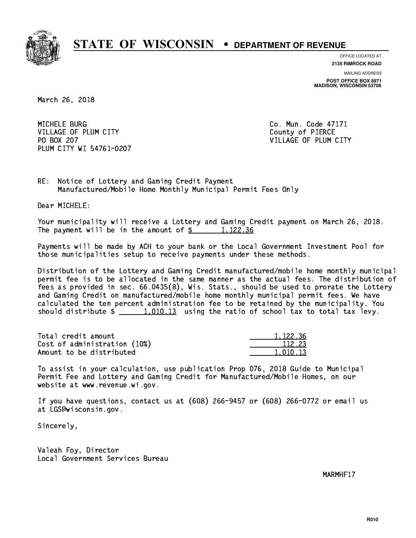

**OFFICE LOCATED AT**

**2135 RIMROCK ROAD**

**MAILING ADDRESS POST OFFICE BOX 8971 MADISON, WISCONSIN 53708**

March 26, 2018

MICHELE BURG VILLAGE OF PLUM CITY COUNTY County of PIERCE PO BOX 207 PLUM CITY WI 54761-0207

Co. Mun. Code 47171 VILLAGE OF PLUM CITY

RE: Notice of Lottery and Gaming Credit Payment Manufactured/Mobile Home Monthly Municipal Permit Fees Only

Dear MICHELE:

 Your municipality will receive a Lottery and Gaming Credit payment on March 26, 2018. The payment will be in the amount of  $\frac{2}{3}$  1,122.36

 Payments will be made by ACH to your bank or the Local Government Investment Pool for those municipalities setup to receive payments under these methods.

 Distribution of the Lottery and Gaming Credit manufactured/mobile home monthly municipal permit fee is to be allocated in the same manner as the actual fees. The distribution of fees as provided in sec. 66.0435(8), Wis. Stats., should be used to prorate the Lottery and Gaming Credit on manufactured/mobile home monthly municipal permit fees. We have calculated the ten percent administration fee to be retained by the municipality. You should distribute  $\frac{1}{2}$   $\frac{1}{2}$   $\frac{1}{2}$  using the ratio of school tax to total tax levy.

Total credit amount Cost of administration (10%) Amount to be distributed

| . 122.36      |
|---------------|
| 112.23        |
| L 13<br>ונו 1 |

 To assist in your calculation, use publication Prop 076, 2018 Guide to Municipal Permit Fee and Lottery and Gaming Credit for Manufactured/Mobile Homes, on our website at www.revenue.wi.gov.

 If you have questions, contact us at (608) 266-9457 or (608) 266-0772 or email us at LGS@wisconsin.gov.

Sincerely,

 Valeah Foy, Director Local Government Services Bureau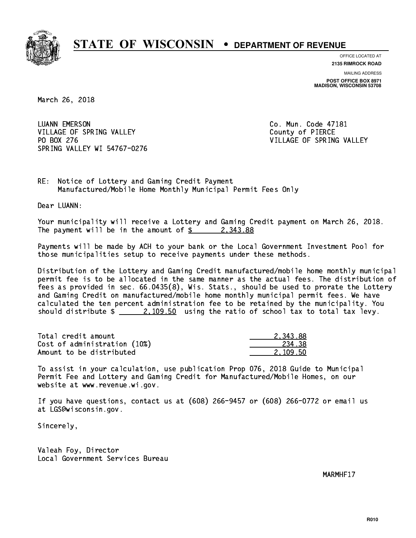

**OFFICE LOCATED AT**

**2135 RIMROCK ROAD**

**MAILING ADDRESS POST OFFICE BOX 8971 MADISON, WISCONSIN 53708**

March 26, 2018

 LUANN EMERSON Co. Mun. Code 47181 VILLAGE OF SPRING VALLEY **COUNTY COUNTY OF PIERCE**  PO BOX 276 VILLAGE OF SPRING VALLEY SPRING VALLEY WI 54767-0276

RE: Notice of Lottery and Gaming Credit Payment Manufactured/Mobile Home Monthly Municipal Permit Fees Only

Dear LUANN:

 Your municipality will receive a Lottery and Gaming Credit payment on March 26, 2018. The payment will be in the amount of  $\frac{2}{3}$  2,343.88

 Payments will be made by ACH to your bank or the Local Government Investment Pool for those municipalities setup to receive payments under these methods.

 Distribution of the Lottery and Gaming Credit manufactured/mobile home monthly municipal permit fee is to be allocated in the same manner as the actual fees. The distribution of fees as provided in sec. 66.0435(8), Wis. Stats., should be used to prorate the Lottery and Gaming Credit on manufactured/mobile home monthly municipal permit fees. We have calculated the ten percent administration fee to be retained by the municipality. You should distribute  $\frac{2,109.50}{2}$  using the ratio of school tax to total tax levy.

| Total credit amount          | 2.343.88 |
|------------------------------|----------|
| Cost of administration (10%) | 234.38   |
| Amount to be distributed     | 2.109.50 |

 To assist in your calculation, use publication Prop 076, 2018 Guide to Municipal Permit Fee and Lottery and Gaming Credit for Manufactured/Mobile Homes, on our website at www.revenue.wi.gov.

 If you have questions, contact us at (608) 266-9457 or (608) 266-0772 or email us at LGS@wisconsin.gov.

Sincerely,

 Valeah Foy, Director Local Government Services Bureau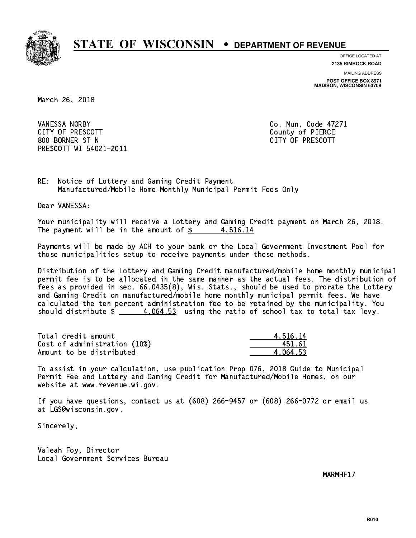

**OFFICE LOCATED AT 2135 RIMROCK ROAD**

**MAILING ADDRESS**

**POST OFFICE BOX 8971 MADISON, WISCONSIN 53708**

March 26, 2018

 VANESSA NORBY Co. Mun. Code 47271 CITY OF PRESCOTT County of PIERCE 800 BORNER ST N CITY OF PRESCOTT PRESCOTT WI 54021-2011

RE: Notice of Lottery and Gaming Credit Payment Manufactured/Mobile Home Monthly Municipal Permit Fees Only

Dear VANESSA:

 Your municipality will receive a Lottery and Gaming Credit payment on March 26, 2018. The payment will be in the amount of  $\frac{2}{3}$  4,516.14

 Payments will be made by ACH to your bank or the Local Government Investment Pool for those municipalities setup to receive payments under these methods.

 Distribution of the Lottery and Gaming Credit manufactured/mobile home monthly municipal permit fee is to be allocated in the same manner as the actual fees. The distribution of fees as provided in sec. 66.0435(8), Wis. Stats., should be used to prorate the Lottery and Gaming Credit on manufactured/mobile home monthly municipal permit fees. We have calculated the ten percent administration fee to be retained by the municipality. You should distribute  $\frac{4.064.53}{2}$  using the ratio of school tax to total tax levy.

| Total credit amount          | 4.516.14 |
|------------------------------|----------|
| Cost of administration (10%) | 451.61   |
| Amount to be distributed     | 4.064.53 |

 To assist in your calculation, use publication Prop 076, 2018 Guide to Municipal Permit Fee and Lottery and Gaming Credit for Manufactured/Mobile Homes, on our website at www.revenue.wi.gov.

 If you have questions, contact us at (608) 266-9457 or (608) 266-0772 or email us at LGS@wisconsin.gov.

Sincerely,

 Valeah Foy, Director Local Government Services Bureau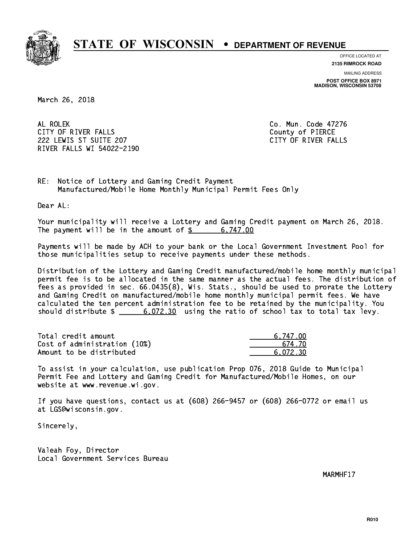

**OFFICE LOCATED AT**

**2135 RIMROCK ROAD**

**MAILING ADDRESS POST OFFICE BOX 8971 MADISON, WISCONSIN 53708**

March 26, 2018

AL ROLEK CITY OF RIVER FALLS COUNTY OF PIERCE 222 LEWIS ST SUITE 207 CITY OF RIVER FALLS RIVER FALLS WI 54022-2190

Co. Mun. Code 47276

RE: Notice of Lottery and Gaming Credit Payment Manufactured/Mobile Home Monthly Municipal Permit Fees Only

Dear AL:

 Your municipality will receive a Lottery and Gaming Credit payment on March 26, 2018. The payment will be in the amount of  $\frac{2}{3}$  6,747.00

 Payments will be made by ACH to your bank or the Local Government Investment Pool for those municipalities setup to receive payments under these methods.

 Distribution of the Lottery and Gaming Credit manufactured/mobile home monthly municipal permit fee is to be allocated in the same manner as the actual fees. The distribution of fees as provided in sec. 66.0435(8), Wis. Stats., should be used to prorate the Lottery and Gaming Credit on manufactured/mobile home monthly municipal permit fees. We have calculated the ten percent administration fee to be retained by the municipality. You should distribute  $\frac{2}{1}$   $\frac{6}{072.30}$  using the ratio of school tax to total tax levy.

| Total credit amount          | 6.747.00 |
|------------------------------|----------|
| Cost of administration (10%) | 674 ZN   |
| Amount to be distributed     | 6.072.30 |

 To assist in your calculation, use publication Prop 076, 2018 Guide to Municipal Permit Fee and Lottery and Gaming Credit for Manufactured/Mobile Homes, on our website at www.revenue.wi.gov.

 If you have questions, contact us at (608) 266-9457 or (608) 266-0772 or email us at LGS@wisconsin.gov.

Sincerely,

 Valeah Foy, Director Local Government Services Bureau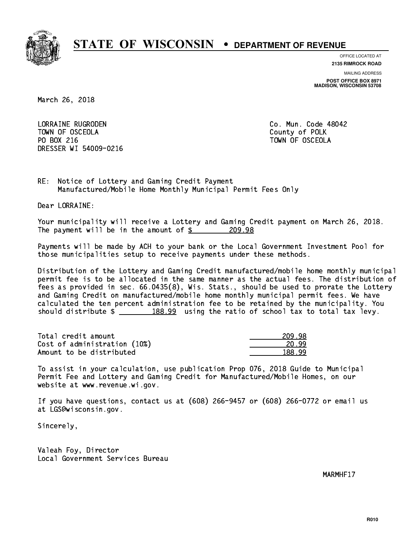

**OFFICE LOCATED AT 2135 RIMROCK ROAD**

**MAILING ADDRESS**

**POST OFFICE BOX 8971 MADISON, WISCONSIN 53708**

March 26, 2018

 LORRAINE RUGRODEN Co. Mun. Code 48042 TOWN OF OSCEOLA County of POLK PO BOX 216 TOWN OF OSCEOLA DRESSER WI 54009-0216

RE: Notice of Lottery and Gaming Credit Payment Manufactured/Mobile Home Monthly Municipal Permit Fees Only

Dear LORRAINE:

 Your municipality will receive a Lottery and Gaming Credit payment on March 26, 2018. The payment will be in the amount of  $$ 209.98$ 

 Payments will be made by ACH to your bank or the Local Government Investment Pool for those municipalities setup to receive payments under these methods.

 Distribution of the Lottery and Gaming Credit manufactured/mobile home monthly municipal permit fee is to be allocated in the same manner as the actual fees. The distribution of fees as provided in sec. 66.0435(8), Wis. Stats., should be used to prorate the Lottery and Gaming Credit on manufactured/mobile home monthly municipal permit fees. We have calculated the ten percent administration fee to be retained by the municipality. You should distribute  $\frac{2}{2}$   $\frac{188.99}{2}$  using the ratio of school tax to total tax levy.

Total credit amount Cost of administration (10%) Amount to be distributed

| ۱R<br>7         |
|-----------------|
| ∩<br>20 L<br>שו |
| ∩<br>טי<br>יר   |

 To assist in your calculation, use publication Prop 076, 2018 Guide to Municipal Permit Fee and Lottery and Gaming Credit for Manufactured/Mobile Homes, on our website at www.revenue.wi.gov.

 If you have questions, contact us at (608) 266-9457 or (608) 266-0772 or email us at LGS@wisconsin.gov.

Sincerely,

 Valeah Foy, Director Local Government Services Bureau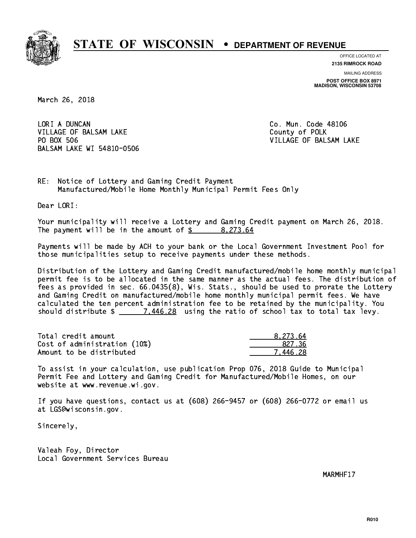

**OFFICE LOCATED AT**

**2135 RIMROCK ROAD**

**MAILING ADDRESS POST OFFICE BOX 8971 MADISON, WISCONSIN 53708**

March 26, 2018

LORI A DUNCAN VILLAGE OF BALSAM LAKE County of POLK PO BOX 506 BALSAM LAKE WI 54810-0506

Co. Mun. Code 48106 VILLAGE OF BALSAM LAKE

RE: Notice of Lottery and Gaming Credit Payment Manufactured/Mobile Home Monthly Municipal Permit Fees Only

Dear LORI:

 Your municipality will receive a Lottery and Gaming Credit payment on March 26, 2018. The payment will be in the amount of \$ 8,273.64 \_\_\_\_\_\_\_\_\_\_\_\_\_\_\_\_

 Payments will be made by ACH to your bank or the Local Government Investment Pool for those municipalities setup to receive payments under these methods.

 Distribution of the Lottery and Gaming Credit manufactured/mobile home monthly municipal permit fee is to be allocated in the same manner as the actual fees. The distribution of fees as provided in sec. 66.0435(8), Wis. Stats., should be used to prorate the Lottery and Gaming Credit on manufactured/mobile home monthly municipal permit fees. We have calculated the ten percent administration fee to be retained by the municipality. You should distribute  $\frac{20}{1.446.28}$  using the ratio of school tax to total tax levy.

| Total credit amount          | 8.273.64 |
|------------------------------|----------|
| Cost of administration (10%) | 827.36   |
| Amount to be distributed     | 7.446.28 |

 To assist in your calculation, use publication Prop 076, 2018 Guide to Municipal Permit Fee and Lottery and Gaming Credit for Manufactured/Mobile Homes, on our website at www.revenue.wi.gov.

 If you have questions, contact us at (608) 266-9457 or (608) 266-0772 or email us at LGS@wisconsin.gov.

Sincerely,

 Valeah Foy, Director Local Government Services Bureau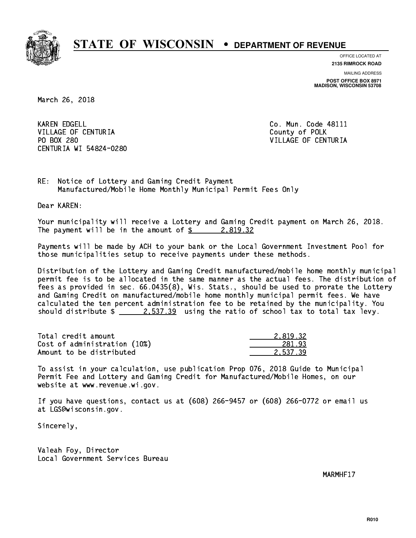

**OFFICE LOCATED AT**

**2135 RIMROCK ROAD**

**MAILING ADDRESS POST OFFICE BOX 8971 MADISON, WISCONSIN 53708**

March 26, 2018

**KAREN EDGELL** VILLAGE OF CENTURIA COUNTY OF POLK PO BOX 280 CENTURIA WI 54824-0280

Co. Mun. Code 48111 VILLAGE OF CENTURIA

RE: Notice of Lottery and Gaming Credit Payment Manufactured/Mobile Home Monthly Municipal Permit Fees Only

Dear KAREN:

 Your municipality will receive a Lottery and Gaming Credit payment on March 26, 2018. The payment will be in the amount of  $\frac{2}{3}$  2,819.32

 Payments will be made by ACH to your bank or the Local Government Investment Pool for those municipalities setup to receive payments under these methods.

 Distribution of the Lottery and Gaming Credit manufactured/mobile home monthly municipal permit fee is to be allocated in the same manner as the actual fees. The distribution of fees as provided in sec. 66.0435(8), Wis. Stats., should be used to prorate the Lottery and Gaming Credit on manufactured/mobile home monthly municipal permit fees. We have calculated the ten percent administration fee to be retained by the municipality. You should distribute  $\frac{2.537.39}{2.537.39}$  using the ratio of school tax to total tax levy.

| Total credit amount          | 2.819.32 |
|------------------------------|----------|
| Cost of administration (10%) | 281.93   |
| Amount to be distributed     | 2.537.39 |

 To assist in your calculation, use publication Prop 076, 2018 Guide to Municipal Permit Fee and Lottery and Gaming Credit for Manufactured/Mobile Homes, on our website at www.revenue.wi.gov.

 If you have questions, contact us at (608) 266-9457 or (608) 266-0772 or email us at LGS@wisconsin.gov.

Sincerely,

 Valeah Foy, Director Local Government Services Bureau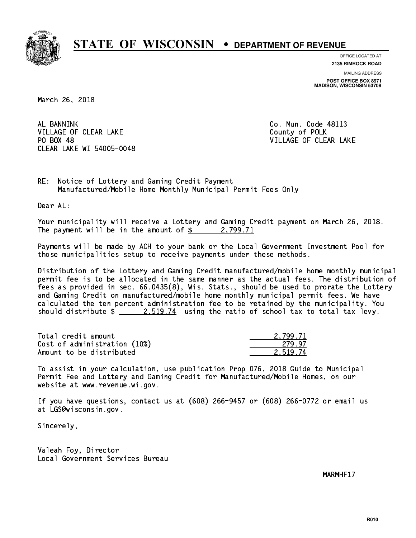

**OFFICE LOCATED AT**

**2135 RIMROCK ROAD**

**MAILING ADDRESS POST OFFICE BOX 8971 MADISON, WISCONSIN 53708**

March 26, 2018

AL BANNINK VILLAGE OF CLEAR LAKE County of POLK PO BOX 48 CLEAR LAKE WI 54005-0048

Co. Mun. Code 48113 VILLAGE OF CLEAR LAKE

RE: Notice of Lottery and Gaming Credit Payment Manufactured/Mobile Home Monthly Municipal Permit Fees Only

Dear AL:

 Your municipality will receive a Lottery and Gaming Credit payment on March 26, 2018. The payment will be in the amount of  $\frac{2}{3}$  2,799.71

 Payments will be made by ACH to your bank or the Local Government Investment Pool for those municipalities setup to receive payments under these methods.

 Distribution of the Lottery and Gaming Credit manufactured/mobile home monthly municipal permit fee is to be allocated in the same manner as the actual fees. The distribution of fees as provided in sec. 66.0435(8), Wis. Stats., should be used to prorate the Lottery and Gaming Credit on manufactured/mobile home monthly municipal permit fees. We have calculated the ten percent administration fee to be retained by the municipality. You should distribute  $\frac{2.519.74}{2.519.74}$  using the ratio of school tax to total tax levy.

| Total credit amount          | 2.799.71 |
|------------------------------|----------|
| Cost of administration (10%) | 279.97   |
| Amount to be distributed     | 2.519.74 |

 To assist in your calculation, use publication Prop 076, 2018 Guide to Municipal Permit Fee and Lottery and Gaming Credit for Manufactured/Mobile Homes, on our website at www.revenue.wi.gov.

 If you have questions, contact us at (608) 266-9457 or (608) 266-0772 or email us at LGS@wisconsin.gov.

Sincerely,

 Valeah Foy, Director Local Government Services Bureau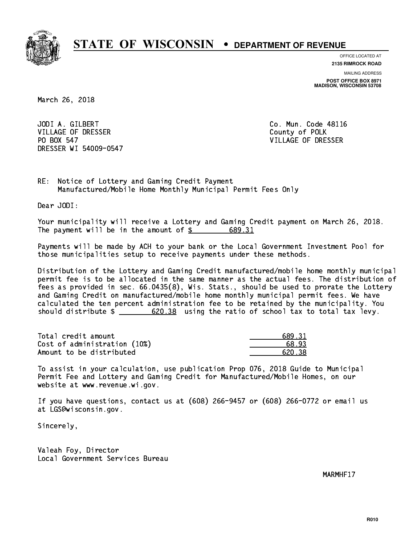

**OFFICE LOCATED AT 2135 RIMROCK ROAD**

**MAILING ADDRESS**

**POST OFFICE BOX 8971 MADISON, WISCONSIN 53708**

March 26, 2018

 JODI A. GILBERT Co. Mun. Code 48116 VILLAGE OF DRESSER County of POLK PO BOX 547 DRESSER WI 54009-0547

VILLAGE OF DRESSER

RE: Notice of Lottery and Gaming Credit Payment Manufactured/Mobile Home Monthly Municipal Permit Fees Only

Dear JODI:

 Your municipality will receive a Lottery and Gaming Credit payment on March 26, 2018. The payment will be in the amount of \$ 689.31 \_\_\_\_\_\_\_\_\_\_\_\_\_\_\_\_

 Payments will be made by ACH to your bank or the Local Government Investment Pool for those municipalities setup to receive payments under these methods.

 Distribution of the Lottery and Gaming Credit manufactured/mobile home monthly municipal permit fee is to be allocated in the same manner as the actual fees. The distribution of fees as provided in sec. 66.0435(8), Wis. Stats., should be used to prorate the Lottery and Gaming Credit on manufactured/mobile home monthly municipal permit fees. We have calculated the ten percent administration fee to be retained by the municipality. You should distribute  $\frac{20.38}{20.38}$  using the ratio of school tax to total tax levy.

| Total credit amount          | 689.31 |
|------------------------------|--------|
| Cost of administration (10%) | 68.93  |
| Amount to be distributed     | 620.38 |

 To assist in your calculation, use publication Prop 076, 2018 Guide to Municipal Permit Fee and Lottery and Gaming Credit for Manufactured/Mobile Homes, on our website at www.revenue.wi.gov.

 If you have questions, contact us at (608) 266-9457 or (608) 266-0772 or email us at LGS@wisconsin.gov.

Sincerely,

 Valeah Foy, Director Local Government Services Bureau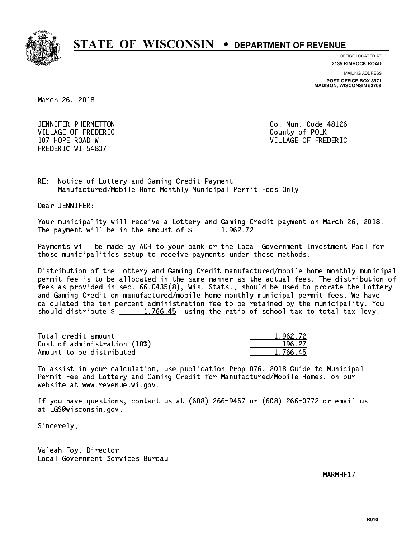

**OFFICE LOCATED AT**

**2135 RIMROCK ROAD**

**MAILING ADDRESS POST OFFICE BOX 8971 MADISON, WISCONSIN 53708**

March 26, 2018

 JENNIFER PHERNETTON Co. Mun. Code 48126 VILLAGE OF FREDERIC **COUNTY OF SALES AND ACCOUNT** COUNTY OF POLK FREDERIC WI 54837

107 HOPE ROAD W VILLAGE OF FREDERIC

RE: Notice of Lottery and Gaming Credit Payment Manufactured/Mobile Home Monthly Municipal Permit Fees Only

Dear JENNIFER:

 Your municipality will receive a Lottery and Gaming Credit payment on March 26, 2018. The payment will be in the amount of  $\frac{2}{3}$  1,962.72

 Payments will be made by ACH to your bank or the Local Government Investment Pool for those municipalities setup to receive payments under these methods.

 Distribution of the Lottery and Gaming Credit manufactured/mobile home monthly municipal permit fee is to be allocated in the same manner as the actual fees. The distribution of fees as provided in sec. 66.0435(8), Wis. Stats., should be used to prorate the Lottery and Gaming Credit on manufactured/mobile home monthly municipal permit fees. We have calculated the ten percent administration fee to be retained by the municipality. You should distribute  $\frac{1,766.45}{1,766.45}$  using the ratio of school tax to total tax levy.

| Total credit amount          | 1.962.72 |
|------------------------------|----------|
| Cost of administration (10%) | 196.27   |
| Amount to be distributed     | 1,766.45 |

 To assist in your calculation, use publication Prop 076, 2018 Guide to Municipal Permit Fee and Lottery and Gaming Credit for Manufactured/Mobile Homes, on our website at www.revenue.wi.gov.

 If you have questions, contact us at (608) 266-9457 or (608) 266-0772 or email us at LGS@wisconsin.gov.

Sincerely,

 Valeah Foy, Director Local Government Services Bureau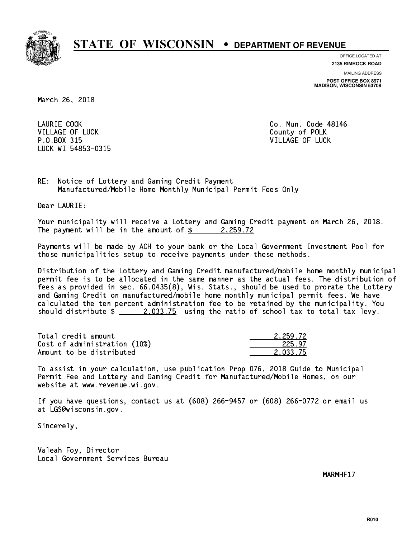

**OFFICE LOCATED AT 2135 RIMROCK ROAD**

**MAILING ADDRESS**

**POST OFFICE BOX 8971 MADISON, WISCONSIN 53708**

March 26, 2018

LAURIE COOK VILLAGE OF LUCK County of POLK P.O.BOX 315 VILLAGE OF LUCK LUCK WI 54853-0315

Co. Mun. Code 48146

RE: Notice of Lottery and Gaming Credit Payment Manufactured/Mobile Home Monthly Municipal Permit Fees Only

Dear LAURIE:

 Your municipality will receive a Lottery and Gaming Credit payment on March 26, 2018. The payment will be in the amount of  $\frac{2}{2}$  2,259.72

 Payments will be made by ACH to your bank or the Local Government Investment Pool for those municipalities setup to receive payments under these methods.

 Distribution of the Lottery and Gaming Credit manufactured/mobile home monthly municipal permit fee is to be allocated in the same manner as the actual fees. The distribution of fees as provided in sec. 66.0435(8), Wis. Stats., should be used to prorate the Lottery and Gaming Credit on manufactured/mobile home monthly municipal permit fees. We have calculated the ten percent administration fee to be retained by the municipality. You should distribute  $\frac{2.033.75}{2.033.75}$  using the ratio of school tax to total tax levy.

| Total credit amount          | 2.259.72 |
|------------------------------|----------|
| Cost of administration (10%) | 225.97   |
| Amount to be distributed     | 2.033.75 |

 To assist in your calculation, use publication Prop 076, 2018 Guide to Municipal Permit Fee and Lottery and Gaming Credit for Manufactured/Mobile Homes, on our website at www.revenue.wi.gov.

 If you have questions, contact us at (608) 266-9457 or (608) 266-0772 or email us at LGS@wisconsin.gov.

Sincerely,

 Valeah Foy, Director Local Government Services Bureau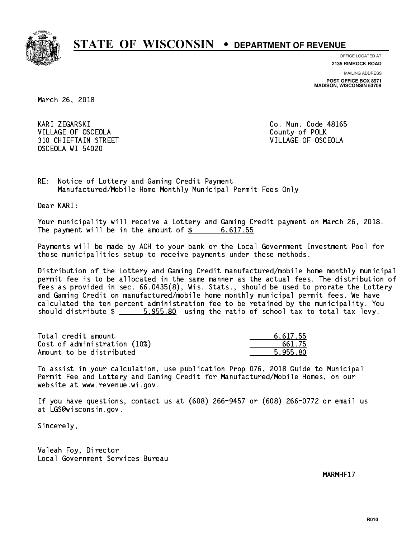

**OFFICE LOCATED AT**

**2135 RIMROCK ROAD**

**MAILING ADDRESS POST OFFICE BOX 8971 MADISON, WISCONSIN 53708**

March 26, 2018

KARI ZEGARSKI VILLAGE OF OSCEOLA COUNTY OF POLK 310 CHIEFTAIN STREET VILLAGE OF OSCEOLA OSCEOLA WI 54020

Co. Mun. Code 48165

RE: Notice of Lottery and Gaming Credit Payment Manufactured/Mobile Home Monthly Municipal Permit Fees Only

Dear KARI:

 Your municipality will receive a Lottery and Gaming Credit payment on March 26, 2018. The payment will be in the amount of  $\frac{2}{3}$  6,617.55

 Payments will be made by ACH to your bank or the Local Government Investment Pool for those municipalities setup to receive payments under these methods.

 Distribution of the Lottery and Gaming Credit manufactured/mobile home monthly municipal permit fee is to be allocated in the same manner as the actual fees. The distribution of fees as provided in sec. 66.0435(8), Wis. Stats., should be used to prorate the Lottery and Gaming Credit on manufactured/mobile home monthly municipal permit fees. We have calculated the ten percent administration fee to be retained by the municipality. You should distribute  $\frac{2}{1}$   $\frac{5.955.80}{2}$  using the ratio of school tax to total tax levy.

| Total credit amount          | 6.617.55 |
|------------------------------|----------|
| Cost of administration (10%) | 661.75   |
| Amount to be distributed     | 5.955.80 |

 To assist in your calculation, use publication Prop 076, 2018 Guide to Municipal Permit Fee and Lottery and Gaming Credit for Manufactured/Mobile Homes, on our website at www.revenue.wi.gov.

 If you have questions, contact us at (608) 266-9457 or (608) 266-0772 or email us at LGS@wisconsin.gov.

Sincerely,

 Valeah Foy, Director Local Government Services Bureau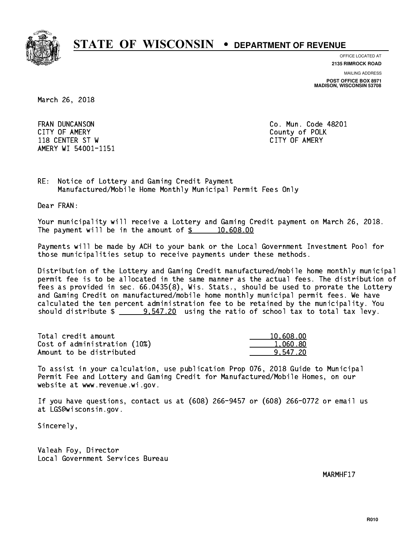

**OFFICE LOCATED AT**

**MAILING ADDRESS 2135 RIMROCK ROAD**

**POST OFFICE BOX 8971 MADISON, WISCONSIN 53708**

March 26, 2018

**FRAN DUNCANSON**  CITY OF AMERY County of POLK 118 CENTER ST W CITY OF AMERY AMERY WI 54001-1151

Co. Mun. Code 48201

RE: Notice of Lottery and Gaming Credit Payment Manufactured/Mobile Home Monthly Municipal Permit Fees Only

Dear FRAN:

 Your municipality will receive a Lottery and Gaming Credit payment on March 26, 2018. The payment will be in the amount of  $\frac{2}{3}$  10,608.00

 Payments will be made by ACH to your bank or the Local Government Investment Pool for those municipalities setup to receive payments under these methods.

 Distribution of the Lottery and Gaming Credit manufactured/mobile home monthly municipal permit fee is to be allocated in the same manner as the actual fees. The distribution of fees as provided in sec. 66.0435(8), Wis. Stats., should be used to prorate the Lottery and Gaming Credit on manufactured/mobile home monthly municipal permit fees. We have calculated the ten percent administration fee to be retained by the municipality. You should distribute  $\frac{20}{2547.20}$  using the ratio of school tax to total tax levy.

| Total credit amount          | 10,608.00 |
|------------------------------|-----------|
| Cost of administration (10%) | 1,060.80  |
| Amount to be distributed     | 9.547.20  |

 To assist in your calculation, use publication Prop 076, 2018 Guide to Municipal Permit Fee and Lottery and Gaming Credit for Manufactured/Mobile Homes, on our website at www.revenue.wi.gov.

 If you have questions, contact us at (608) 266-9457 or (608) 266-0772 or email us at LGS@wisconsin.gov.

Sincerely,

 Valeah Foy, Director Local Government Services Bureau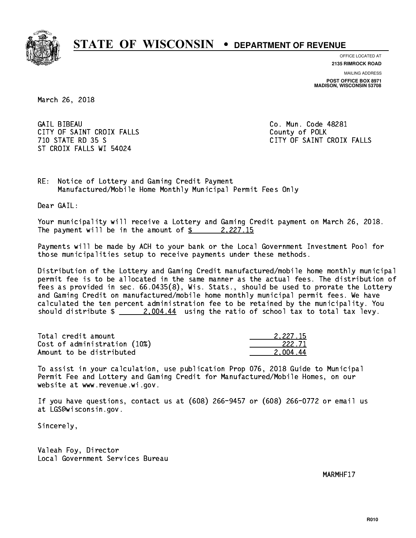

**OFFICE LOCATED AT**

**2135 RIMROCK ROAD**

**MAILING ADDRESS POST OFFICE BOX 8971 MADISON, WISCONSIN 53708**

March 26, 2018

**GAIL BIBEAU** CITY OF SAINT CROIX FALLS COUNTY OF POLK ST CROIX FALLS WI 54024

Co. Mun. Code 48281 710 STATE RD 35 S CITY OF SAINT CROIX FALLS

RE: Notice of Lottery and Gaming Credit Payment Manufactured/Mobile Home Monthly Municipal Permit Fees Only

Dear GAIL:

 Your municipality will receive a Lottery and Gaming Credit payment on March 26, 2018. The payment will be in the amount of  $\frac{2}{2}$  2,227.15

 Payments will be made by ACH to your bank or the Local Government Investment Pool for those municipalities setup to receive payments under these methods.

 Distribution of the Lottery and Gaming Credit manufactured/mobile home monthly municipal permit fee is to be allocated in the same manner as the actual fees. The distribution of fees as provided in sec. 66.0435(8), Wis. Stats., should be used to prorate the Lottery and Gaming Credit on manufactured/mobile home monthly municipal permit fees. We have calculated the ten percent administration fee to be retained by the municipality. You should distribute  $\frac{2,004.44}{2}$  using the ratio of school tax to total tax levy.

| Total credit amount          | 2.227.15 |
|------------------------------|----------|
| Cost of administration (10%) | 222.71   |
| Amount to be distributed     | 2.004.44 |

 To assist in your calculation, use publication Prop 076, 2018 Guide to Municipal Permit Fee and Lottery and Gaming Credit for Manufactured/Mobile Homes, on our website at www.revenue.wi.gov.

 If you have questions, contact us at (608) 266-9457 or (608) 266-0772 or email us at LGS@wisconsin.gov.

Sincerely,

 Valeah Foy, Director Local Government Services Bureau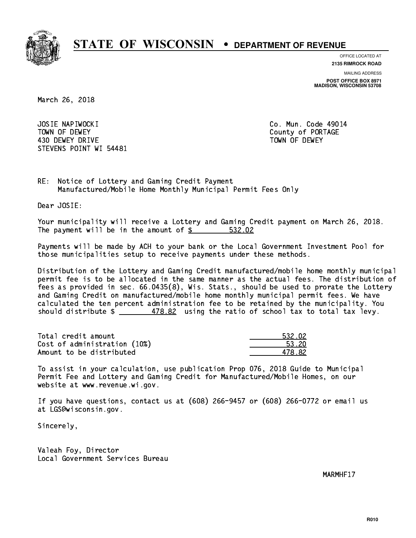

**OFFICE LOCATED AT**

**2135 RIMROCK ROAD**

**MAILING ADDRESS**

**POST OFFICE BOX 8971 MADISON, WISCONSIN 53708**

March 26, 2018

 JOSIE NAPIWOCKI Co. Mun. Code 49014 TOWN OF DEWEY COUNTY OF RESERVE TOWN OF DEWEY 430 DEWEY DRIVE TOWN OF DEWEY STEVENS POINT WI 54481

RE: Notice of Lottery and Gaming Credit Payment Manufactured/Mobile Home Monthly Municipal Permit Fees Only

Dear JOSIE:

 Your municipality will receive a Lottery and Gaming Credit payment on March 26, 2018. The payment will be in the amount of \$ 532.02 \_\_\_\_\_\_\_\_\_\_\_\_\_\_\_\_

 Payments will be made by ACH to your bank or the Local Government Investment Pool for those municipalities setup to receive payments under these methods.

 Distribution of the Lottery and Gaming Credit manufactured/mobile home monthly municipal permit fee is to be allocated in the same manner as the actual fees. The distribution of fees as provided in sec. 66.0435(8), Wis. Stats., should be used to prorate the Lottery and Gaming Credit on manufactured/mobile home monthly municipal permit fees. We have calculated the ten percent administration fee to be retained by the municipality. You should distribute  $\frac{2}{2}$   $\frac{478.82}{2}$  using the ratio of school tax to total tax levy.

| Total credit amount          | 532.02 |
|------------------------------|--------|
| Cost of administration (10%) | 53.20  |
| Amount to be distributed     | 478.82 |

| .32.02 |
|--------|
| : 20   |
| -82    |

 To assist in your calculation, use publication Prop 076, 2018 Guide to Municipal Permit Fee and Lottery and Gaming Credit for Manufactured/Mobile Homes, on our website at www.revenue.wi.gov.

 If you have questions, contact us at (608) 266-9457 or (608) 266-0772 or email us at LGS@wisconsin.gov.

Sincerely,

 Valeah Foy, Director Local Government Services Bureau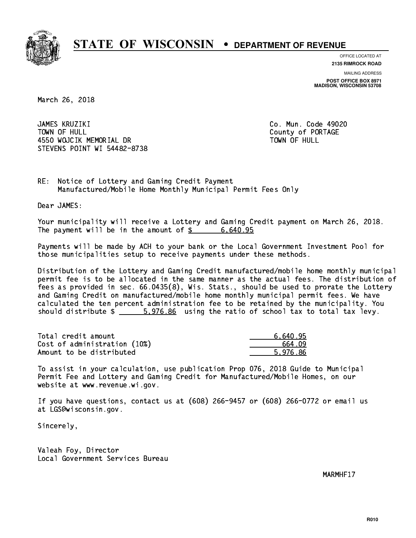

**OFFICE LOCATED AT**

**2135 RIMROCK ROAD**

**MAILING ADDRESS POST OFFICE BOX 8971 MADISON, WISCONSIN 53708**

March 26, 2018

 JAMES KRUZIKI Co. Mun. Code 49020 TOWN OF HULL County of PORTAGE 4550 WOJCIK MEMORIAL DR STEVENS POINT WI 54482-8738

TOWN OF HULL

RE: Notice of Lottery and Gaming Credit Payment Manufactured/Mobile Home Monthly Municipal Permit Fees Only

Dear JAMES:

 Your municipality will receive a Lottery and Gaming Credit payment on March 26, 2018. The payment will be in the amount of  $\frac{2}{3}$  6,640.95

 Payments will be made by ACH to your bank or the Local Government Investment Pool for those municipalities setup to receive payments under these methods.

 Distribution of the Lottery and Gaming Credit manufactured/mobile home monthly municipal permit fee is to be allocated in the same manner as the actual fees. The distribution of fees as provided in sec. 66.0435(8), Wis. Stats., should be used to prorate the Lottery and Gaming Credit on manufactured/mobile home monthly municipal permit fees. We have calculated the ten percent administration fee to be retained by the municipality. You should distribute  $\frac{2}{1}$   $\frac{5.976.86}{2}$  using the ratio of school tax to total tax levy.

| Total credit amount          | 6.640.95 |
|------------------------------|----------|
| Cost of administration (10%) | 664.09   |
| Amount to be distributed     | 5.976.86 |

 To assist in your calculation, use publication Prop 076, 2018 Guide to Municipal Permit Fee and Lottery and Gaming Credit for Manufactured/Mobile Homes, on our website at www.revenue.wi.gov.

 If you have questions, contact us at (608) 266-9457 or (608) 266-0772 or email us at LGS@wisconsin.gov.

Sincerely,

 Valeah Foy, Director Local Government Services Bureau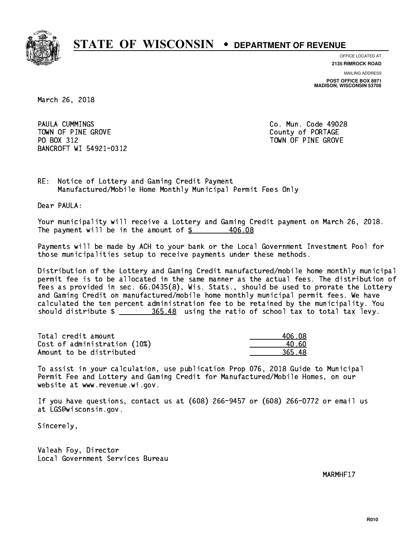

**OFFICE LOCATED AT**

**2135 RIMROCK ROAD**

**MAILING ADDRESS POST OFFICE BOX 8971 MADISON, WISCONSIN 53708**

March 26, 2018

PAULA CUMMINGS TOWN OF PINE GROVE TOWN OF PORTAGE PO BOX 312 BANCROFT WI 54921-0312

Co. Mun. Code 49028 TOWN OF PINE GROVE

RE: Notice of Lottery and Gaming Credit Payment Manufactured/Mobile Home Monthly Municipal Permit Fees Only

Dear PAULA:

 Your municipality will receive a Lottery and Gaming Credit payment on March 26, 2018. The payment will be in the amount of  $\frac{2}{3}$ 406.08

 Payments will be made by ACH to your bank or the Local Government Investment Pool for those municipalities setup to receive payments under these methods.

 Distribution of the Lottery and Gaming Credit manufactured/mobile home monthly municipal permit fee is to be allocated in the same manner as the actual fees. The distribution of fees as provided in sec. 66.0435(8), Wis. Stats., should be used to prorate the Lottery and Gaming Credit on manufactured/mobile home monthly municipal permit fees. We have calculated the ten percent administration fee to be retained by the municipality. You should distribute  $\frac{265.48}{2}$  using the ratio of school tax to total tax levy.

| Total credit amount          | 406.08 |
|------------------------------|--------|
| Cost of administration (10%) | 40. GO |
| Amount to be distributed     | 365.48 |

| 406.08 |
|--------|
| 40.60  |
| 365.48 |

 To assist in your calculation, use publication Prop 076, 2018 Guide to Municipal Permit Fee and Lottery and Gaming Credit for Manufactured/Mobile Homes, on our website at www.revenue.wi.gov.

 If you have questions, contact us at (608) 266-9457 or (608) 266-0772 or email us at LGS@wisconsin.gov.

Sincerely,

 Valeah Foy, Director Local Government Services Bureau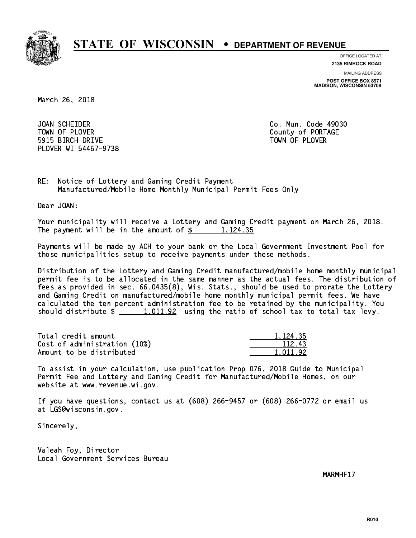

**OFFICE LOCATED AT**

**2135 RIMROCK ROAD**

**MAILING ADDRESS**

**POST OFFICE BOX 8971 MADISON, WISCONSIN 53708**

March 26, 2018

 JOAN SCHEIDER Co. Mun. Code 49030 TOWN OF PLOVER **COUNTY OF PORTAGE**  5915 BIRCH DRIVE TOWN OF PLOVER PLOVER WI 54467-9738

RE: Notice of Lottery and Gaming Credit Payment Manufactured/Mobile Home Monthly Municipal Permit Fees Only

Dear JOAN:

 Your municipality will receive a Lottery and Gaming Credit payment on March 26, 2018. The payment will be in the amount of  $\frac{2}{3}$  1,124.35

 Payments will be made by ACH to your bank or the Local Government Investment Pool for those municipalities setup to receive payments under these methods.

 Distribution of the Lottery and Gaming Credit manufactured/mobile home monthly municipal permit fee is to be allocated in the same manner as the actual fees. The distribution of fees as provided in sec. 66.0435(8), Wis. Stats., should be used to prorate the Lottery and Gaming Credit on manufactured/mobile home monthly municipal permit fees. We have calculated the ten percent administration fee to be retained by the municipality. You should distribute  $\frac{1,011.92}{1.011.92}$  using the ratio of school tax to total tax levy.

| Total credit amount          | 1.124.35 |
|------------------------------|----------|
| Cost of administration (10%) | 112.43   |
| Amount to be distributed     | 1.011.92 |

| <u>124</u> .35 |
|----------------|
| 112.43         |
| 011.92         |

 To assist in your calculation, use publication Prop 076, 2018 Guide to Municipal Permit Fee and Lottery and Gaming Credit for Manufactured/Mobile Homes, on our website at www.revenue.wi.gov.

 If you have questions, contact us at (608) 266-9457 or (608) 266-0772 or email us at LGS@wisconsin.gov.

Sincerely,

 Valeah Foy, Director Local Government Services Bureau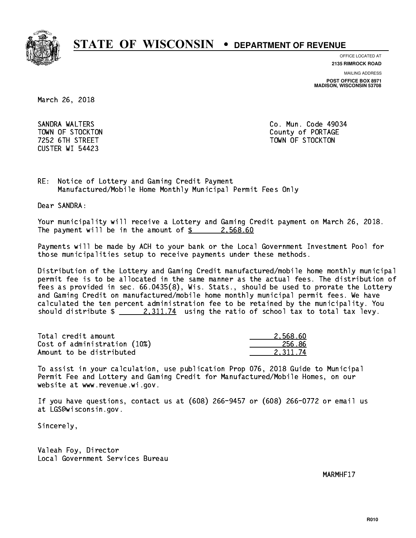

**OFFICE LOCATED AT**

**2135 RIMROCK ROAD**

**MAILING ADDRESS**

**POST OFFICE BOX 8971 MADISON, WISCONSIN 53708**

March 26, 2018

 SANDRA WALTERS Co. Mun. Code 49034 CUSTER WI 54423

TOWN OF STOCKTON COUNTY OF STOCKTON 7252 6TH STREET TOWN OF STOCKTON

RE: Notice of Lottery and Gaming Credit Payment Manufactured/Mobile Home Monthly Municipal Permit Fees Only

Dear SANDRA:

 Your municipality will receive a Lottery and Gaming Credit payment on March 26, 2018. The payment will be in the amount of  $\frac{2}{3}$  2,568.60

 Payments will be made by ACH to your bank or the Local Government Investment Pool for those municipalities setup to receive payments under these methods.

 Distribution of the Lottery and Gaming Credit manufactured/mobile home monthly municipal permit fee is to be allocated in the same manner as the actual fees. The distribution of fees as provided in sec. 66.0435(8), Wis. Stats., should be used to prorate the Lottery and Gaming Credit on manufactured/mobile home monthly municipal permit fees. We have calculated the ten percent administration fee to be retained by the municipality. You should distribute  $\frac{2,311.74}{2}$  using the ratio of school tax to total tax levy.

| Total credit amount          | 2.568.60 |
|------------------------------|----------|
| Cost of administration (10%) | 256.86   |
| Amount to be distributed     | 2.311.74 |

 To assist in your calculation, use publication Prop 076, 2018 Guide to Municipal Permit Fee and Lottery and Gaming Credit for Manufactured/Mobile Homes, on our website at www.revenue.wi.gov.

 If you have questions, contact us at (608) 266-9457 or (608) 266-0772 or email us at LGS@wisconsin.gov.

Sincerely,

 Valeah Foy, Director Local Government Services Bureau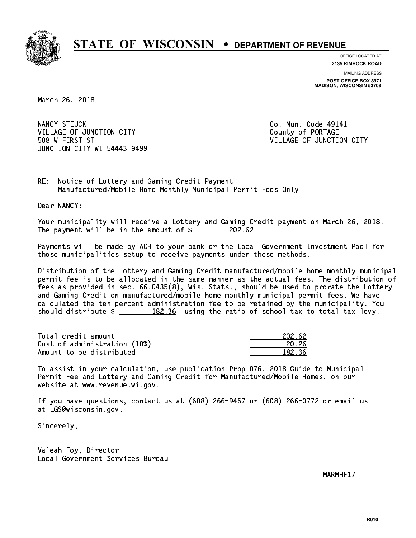

**OFFICE LOCATED AT 2135 RIMROCK ROAD**

**MAILING ADDRESS POST OFFICE BOX 8971 MADISON, WISCONSIN 53708**

March 26, 2018

NANCY STEUCK VILLAGE OF JUNCTION CITY COUNTY County of PORTAGE 508 W FIRST ST VILLAGE OF JUNCTION CITY JUNCTION CITY WI 54443-9499

Co. Mun. Code 49141

RE: Notice of Lottery and Gaming Credit Payment Manufactured/Mobile Home Monthly Municipal Permit Fees Only

Dear NANCY:

 Your municipality will receive a Lottery and Gaming Credit payment on March 26, 2018. The payment will be in the amount of \$ 202.62 \_\_\_\_\_\_\_\_\_\_\_\_\_\_\_\_

 Payments will be made by ACH to your bank or the Local Government Investment Pool for those municipalities setup to receive payments under these methods.

 Distribution of the Lottery and Gaming Credit manufactured/mobile home monthly municipal permit fee is to be allocated in the same manner as the actual fees. The distribution of fees as provided in sec. 66.0435(8), Wis. Stats., should be used to prorate the Lottery and Gaming Credit on manufactured/mobile home monthly municipal permit fees. We have calculated the ten percent administration fee to be retained by the municipality. You should distribute  $\frac{182.36}{182.36}$  using the ratio of school tax to total tax levy.

Total credit amount Cost of administration (10%) Amount to be distributed

| 202.62 |
|--------|
| N 26   |
| 82.36  |

 To assist in your calculation, use publication Prop 076, 2018 Guide to Municipal Permit Fee and Lottery and Gaming Credit for Manufactured/Mobile Homes, on our website at www.revenue.wi.gov.

 If you have questions, contact us at (608) 266-9457 or (608) 266-0772 or email us at LGS@wisconsin.gov.

Sincerely,

 Valeah Foy, Director Local Government Services Bureau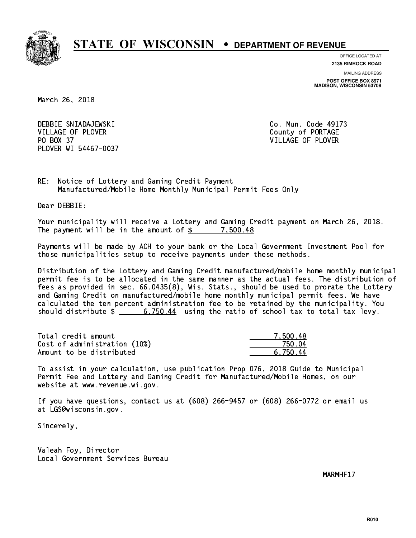

**OFFICE LOCATED AT**

**2135 RIMROCK ROAD**

**MAILING ADDRESS POST OFFICE BOX 8971 MADISON, WISCONSIN 53708**

March 26, 2018

 DEBBIE SNIADAJEWSKI Co. Mun. Code 49173 VILLAGE OF PLOVER COUNTY OF PORTAGE PO BOX 37 VILLAGE OF PLOVER PLOVER WI 54467-0037

RE: Notice of Lottery and Gaming Credit Payment Manufactured/Mobile Home Monthly Municipal Permit Fees Only

Dear DEBBIE:

 Your municipality will receive a Lottery and Gaming Credit payment on March 26, 2018. The payment will be in the amount of  $\frac{2}{3}$  7,500.48

 Payments will be made by ACH to your bank or the Local Government Investment Pool for those municipalities setup to receive payments under these methods.

 Distribution of the Lottery and Gaming Credit manufactured/mobile home monthly municipal permit fee is to be allocated in the same manner as the actual fees. The distribution of fees as provided in sec. 66.0435(8), Wis. Stats., should be used to prorate the Lottery and Gaming Credit on manufactured/mobile home monthly municipal permit fees. We have calculated the ten percent administration fee to be retained by the municipality. You should distribute  $\frac{2}{1}$   $\frac{6,750.44}{2}$  using the ratio of school tax to total tax levy.

| Total credit amount          | 7.500.48 |
|------------------------------|----------|
| Cost of administration (10%) | 75N N4   |
| Amount to be distributed     | 6.750.44 |

 To assist in your calculation, use publication Prop 076, 2018 Guide to Municipal Permit Fee and Lottery and Gaming Credit for Manufactured/Mobile Homes, on our website at www.revenue.wi.gov.

 If you have questions, contact us at (608) 266-9457 or (608) 266-0772 or email us at LGS@wisconsin.gov.

Sincerely,

 Valeah Foy, Director Local Government Services Bureau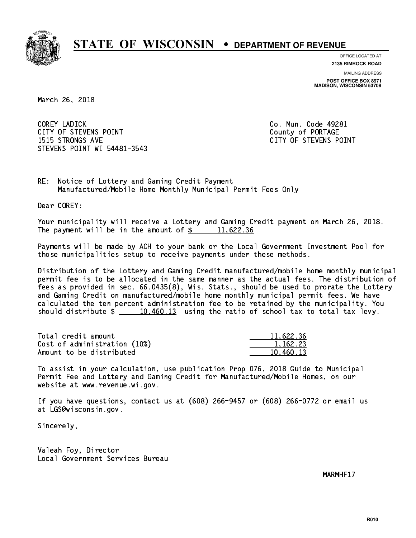

**OFFICE LOCATED AT**

**2135 RIMROCK ROAD**

**MAILING ADDRESS POST OFFICE BOX 8971 MADISON, WISCONSIN 53708**

March 26, 2018

 COREY LADICK Co. Mun. Code 49281 CITY OF STEVENS POINT COUNTS AND COUNTY OF PORTAGE 1515 STRONGS AVE CITY OF STEVENS POINT STEVENS POINT WI 54481-3543

RE: Notice of Lottery and Gaming Credit Payment Manufactured/Mobile Home Monthly Municipal Permit Fees Only

Dear COREY:

 Your municipality will receive a Lottery and Gaming Credit payment on March 26, 2018. The payment will be in the amount of  $\frac{2}{3}$  11,622.36

 Payments will be made by ACH to your bank or the Local Government Investment Pool for those municipalities setup to receive payments under these methods.

 Distribution of the Lottery and Gaming Credit manufactured/mobile home monthly municipal permit fee is to be allocated in the same manner as the actual fees. The distribution of fees as provided in sec. 66.0435(8), Wis. Stats., should be used to prorate the Lottery and Gaming Credit on manufactured/mobile home monthly municipal permit fees. We have calculated the ten percent administration fee to be retained by the municipality. You should distribute  $\frac{10,460.13}{10,460.13}$  using the ratio of school tax to total tax levy.

| Total credit amount          | 11,622.36 |
|------------------------------|-----------|
| Cost of administration (10%) | 1.162.23  |
| Amount to be distributed     | 10.460.13 |

 To assist in your calculation, use publication Prop 076, 2018 Guide to Municipal Permit Fee and Lottery and Gaming Credit for Manufactured/Mobile Homes, on our website at www.revenue.wi.gov.

 If you have questions, contact us at (608) 266-9457 or (608) 266-0772 or email us at LGS@wisconsin.gov.

Sincerely,

 Valeah Foy, Director Local Government Services Bureau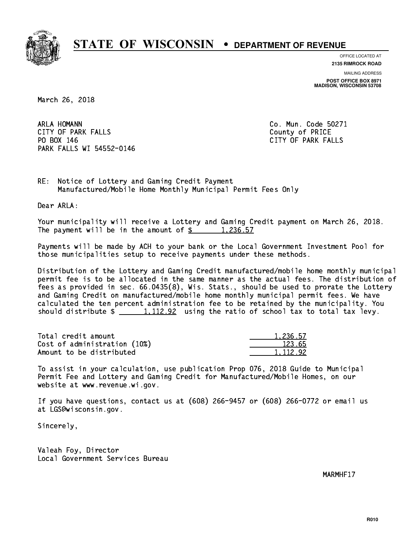

**OFFICE LOCATED AT**

**2135 RIMROCK ROAD**

**MAILING ADDRESS POST OFFICE BOX 8971 MADISON, WISCONSIN 53708**

March 26, 2018

ARLA HOMANN CITY OF PARK FALLS **COUNTY OF PARK** FALLS PO BOX 146 PARK FALLS WI 54552-0146

Co. Mun. Code 50271 CITY OF PARK FALLS

RE: Notice of Lottery and Gaming Credit Payment Manufactured/Mobile Home Monthly Municipal Permit Fees Only

Dear ARLA:

 Your municipality will receive a Lottery and Gaming Credit payment on March 26, 2018. The payment will be in the amount of  $\frac{2}{3}$  1,236.57

 Payments will be made by ACH to your bank or the Local Government Investment Pool for those municipalities setup to receive payments under these methods.

 Distribution of the Lottery and Gaming Credit manufactured/mobile home monthly municipal permit fee is to be allocated in the same manner as the actual fees. The distribution of fees as provided in sec. 66.0435(8), Wis. Stats., should be used to prorate the Lottery and Gaming Credit on manufactured/mobile home monthly municipal permit fees. We have calculated the ten percent administration fee to be retained by the municipality. You should distribute  $\frac{1}{2}$   $\frac{1}{12.92}$  using the ratio of school tax to total tax levy.

| Total credit amount          | 1,236.57 |
|------------------------------|----------|
| Cost of administration (10%) | 123.65   |
| Amount to be distributed     | 1.112.92 |

| 5.57<br>-221 |
|--------------|
| 55<br>ウマー    |
| 92<br>-112-  |

 To assist in your calculation, use publication Prop 076, 2018 Guide to Municipal Permit Fee and Lottery and Gaming Credit for Manufactured/Mobile Homes, on our website at www.revenue.wi.gov.

 If you have questions, contact us at (608) 266-9457 or (608) 266-0772 or email us at LGS@wisconsin.gov.

Sincerely,

 Valeah Foy, Director Local Government Services Bureau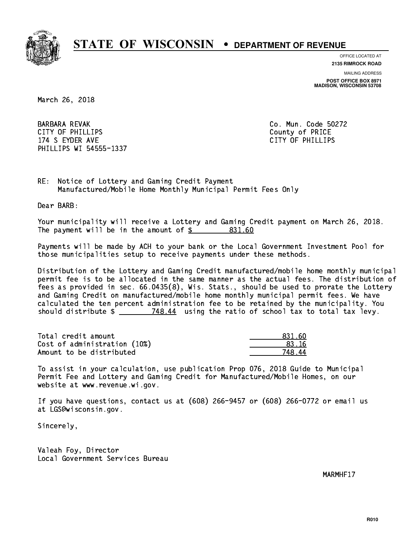

**OFFICE LOCATED AT**

**2135 RIMROCK ROAD**

**MAILING ADDRESS POST OFFICE BOX 8971 MADISON, WISCONSIN 53708**

March 26, 2018

BARBARA REVAK COMERCIAL CONSUMING THE CONSUMING CONTROLLER COMMUNICATION CONTROLLER COMMUNICATIONS OF THE CONSUMING CONTROLLER COMMUNICATIONS OF THE CONTROLLER CONTROLLER CONTROLLER COMMUNICATIONS OF THE CONTROLLER CONTROL CITY OF PHILLIPS County of PRICE 174 S EYDER AVE CITY OF PHILLIPS PHILLIPS WI 54555-1337

RE: Notice of Lottery and Gaming Credit Payment Manufactured/Mobile Home Monthly Municipal Permit Fees Only

Dear BARB:

 Your municipality will receive a Lottery and Gaming Credit payment on March 26, 2018. The payment will be in the amount of \$ 831.60 \_\_\_\_\_\_\_\_\_\_\_\_\_\_\_\_

 Payments will be made by ACH to your bank or the Local Government Investment Pool for those municipalities setup to receive payments under these methods.

 Distribution of the Lottery and Gaming Credit manufactured/mobile home monthly municipal permit fee is to be allocated in the same manner as the actual fees. The distribution of fees as provided in sec. 66.0435(8), Wis. Stats., should be used to prorate the Lottery and Gaming Credit on manufactured/mobile home monthly municipal permit fees. We have calculated the ten percent administration fee to be retained by the municipality. You should distribute  $\frac{2}{2}$   $\frac{748.44}{2}$  using the ratio of school tax to total tax levy.

| Total credit amount          | 831.60  |
|------------------------------|---------|
| Cost of administration (10%) | .83. 16 |
| Amount to be distributed     | 748 44  |

 To assist in your calculation, use publication Prop 076, 2018 Guide to Municipal Permit Fee and Lottery and Gaming Credit for Manufactured/Mobile Homes, on our website at www.revenue.wi.gov.

 If you have questions, contact us at (608) 266-9457 or (608) 266-0772 or email us at LGS@wisconsin.gov.

Sincerely,

 Valeah Foy, Director Local Government Services Bureau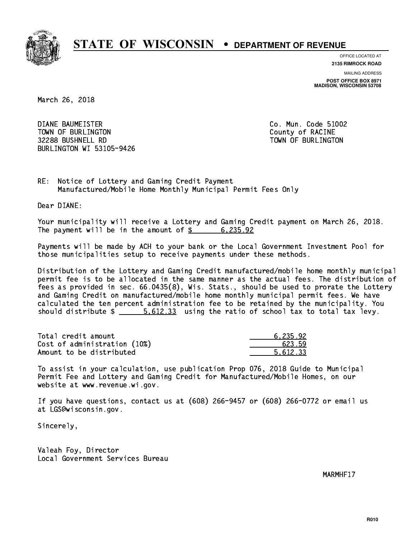

**OFFICE LOCATED AT**

**2135 RIMROCK ROAD**

**MAILING ADDRESS POST OFFICE BOX 8971 MADISON, WISCONSIN 53708**

March 26, 2018

 DIANE BAUMEISTER Co. Mun. Code 51002 TOWN OF BURLINGTON COUNTY OF RACINE 32288 BUSHNELL RD TOWN OF BURLINGTON BURLINGTON WI 53105-9426

RE: Notice of Lottery and Gaming Credit Payment Manufactured/Mobile Home Monthly Municipal Permit Fees Only

Dear DIANE:

 Your municipality will receive a Lottery and Gaming Credit payment on March 26, 2018. The payment will be in the amount of \$ 6,235.92 \_\_\_\_\_\_\_\_\_\_\_\_\_\_\_\_

 Payments will be made by ACH to your bank or the Local Government Investment Pool for those municipalities setup to receive payments under these methods.

 Distribution of the Lottery and Gaming Credit manufactured/mobile home monthly municipal permit fee is to be allocated in the same manner as the actual fees. The distribution of fees as provided in sec. 66.0435(8), Wis. Stats., should be used to prorate the Lottery and Gaming Credit on manufactured/mobile home monthly municipal permit fees. We have calculated the ten percent administration fee to be retained by the municipality. You should distribute  $\frac{2}{1}$   $\frac{5.612.33}{2}$  using the ratio of school tax to total tax levy.

| Total credit amount          | 6.235.92 |
|------------------------------|----------|
| Cost of administration (10%) | 623.59   |
| Amount to be distributed     | 5.612.33 |

 To assist in your calculation, use publication Prop 076, 2018 Guide to Municipal Permit Fee and Lottery and Gaming Credit for Manufactured/Mobile Homes, on our website at www.revenue.wi.gov.

 If you have questions, contact us at (608) 266-9457 or (608) 266-0772 or email us at LGS@wisconsin.gov.

Sincerely,

 Valeah Foy, Director Local Government Services Bureau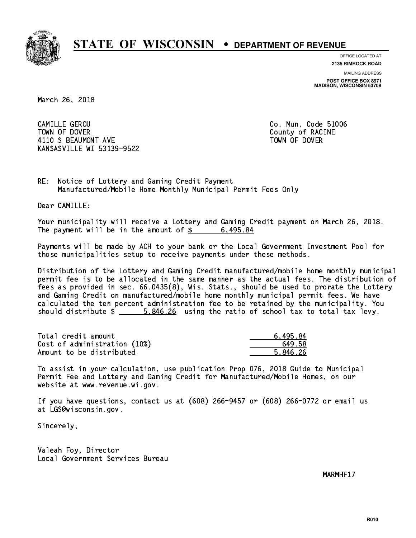

**OFFICE LOCATED AT**

**2135 RIMROCK ROAD**

**MAILING ADDRESS POST OFFICE BOX 8971 MADISON, WISCONSIN 53708**

March 26, 2018

 CAMILLE GEROU Co. Mun. Code 51006 TOWN OF DOVER COUNTY OF RACINE 4110 S BEAUMONT AVE **TOWN OF DOVER** KANSASVILLE WI 53139-9522

RE: Notice of Lottery and Gaming Credit Payment Manufactured/Mobile Home Monthly Municipal Permit Fees Only

Dear CAMILLE:

 Your municipality will receive a Lottery and Gaming Credit payment on March 26, 2018. The payment will be in the amount of  $\frac{2}{3}$  6,495.84

 Payments will be made by ACH to your bank or the Local Government Investment Pool for those municipalities setup to receive payments under these methods.

 Distribution of the Lottery and Gaming Credit manufactured/mobile home monthly municipal permit fee is to be allocated in the same manner as the actual fees. The distribution of fees as provided in sec. 66.0435(8), Wis. Stats., should be used to prorate the Lottery and Gaming Credit on manufactured/mobile home monthly municipal permit fees. We have calculated the ten percent administration fee to be retained by the municipality. You should distribute  $\frac{26}{100}$  5,846.26 using the ratio of school tax to total tax levy.

| Total credit amount          | 6.495.84 |
|------------------------------|----------|
| Cost of administration (10%) | 649.58   |
| Amount to be distributed     | 5.846.26 |

 To assist in your calculation, use publication Prop 076, 2018 Guide to Municipal Permit Fee and Lottery and Gaming Credit for Manufactured/Mobile Homes, on our website at www.revenue.wi.gov.

 If you have questions, contact us at (608) 266-9457 or (608) 266-0772 or email us at LGS@wisconsin.gov.

Sincerely,

 Valeah Foy, Director Local Government Services Bureau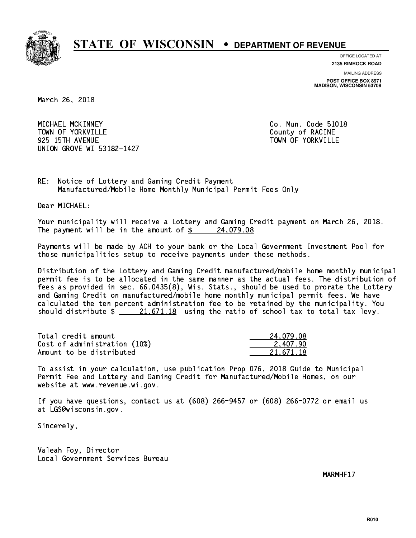

**OFFICE LOCATED AT**

**2135 RIMROCK ROAD**

**MAILING ADDRESS POST OFFICE BOX 8971 MADISON, WISCONSIN 53708**

March 26, 2018

 MICHAEL MCKINNEY Co. Mun. Code 51018 TOWN OF YORKVILLE TOWN OF STATE COUNTY OF RACINE 925 15TH AVENUE TOWN OF YORKVILLE UNION GROVE WI 53182-1427

RE: Notice of Lottery and Gaming Credit Payment Manufactured/Mobile Home Monthly Municipal Permit Fees Only

Dear MICHAEL:

 Your municipality will receive a Lottery and Gaming Credit payment on March 26, 2018. The payment will be in the amount of  $\frac{24,079.08}{24,079.08}$ 

 Payments will be made by ACH to your bank or the Local Government Investment Pool for those municipalities setup to receive payments under these methods.

 Distribution of the Lottery and Gaming Credit manufactured/mobile home monthly municipal permit fee is to be allocated in the same manner as the actual fees. The distribution of fees as provided in sec. 66.0435(8), Wis. Stats., should be used to prorate the Lottery and Gaming Credit on manufactured/mobile home monthly municipal permit fees. We have calculated the ten percent administration fee to be retained by the municipality. You should distribute  $\frac{21.671.18}{21.671.18}$  using the ratio of school tax to total tax levy.

| Total credit amount          | 24.079.08 |
|------------------------------|-----------|
| Cost of administration (10%) | 2.407.90  |
| Amount to be distributed     | 21.671.18 |

 To assist in your calculation, use publication Prop 076, 2018 Guide to Municipal Permit Fee and Lottery and Gaming Credit for Manufactured/Mobile Homes, on our website at www.revenue.wi.gov.

 If you have questions, contact us at (608) 266-9457 or (608) 266-0772 or email us at LGS@wisconsin.gov.

Sincerely,

 Valeah Foy, Director Local Government Services Bureau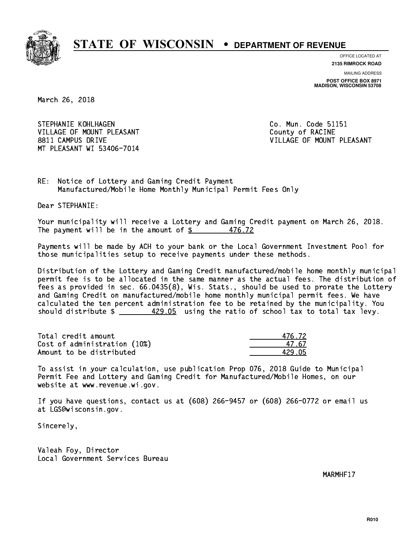

**OFFICE LOCATED AT**

**2135 RIMROCK ROAD**

**MAILING ADDRESS POST OFFICE BOX 8971 MADISON, WISCONSIN 53708**

March 26, 2018

STEPHANIE KOHLHAGEN **Co. Mun. Code 51151** VILLAGE OF MOUNT PLEASANT COUNTY OF RACINE 8811 CAMPUS DRIVE VILLAGE OF MOUNT PLEASANT MT PLEASANT WI 53406-7014

RE: Notice of Lottery and Gaming Credit Payment Manufactured/Mobile Home Monthly Municipal Permit Fees Only

Dear STEPHANIE:

 Your municipality will receive a Lottery and Gaming Credit payment on March 26, 2018. The payment will be in the amount of  $\frac{25}{3}$ 476.72

 Payments will be made by ACH to your bank or the Local Government Investment Pool for those municipalities setup to receive payments under these methods.

 Distribution of the Lottery and Gaming Credit manufactured/mobile home monthly municipal permit fee is to be allocated in the same manner as the actual fees. The distribution of fees as provided in sec. 66.0435(8), Wis. Stats., should be used to prorate the Lottery and Gaming Credit on manufactured/mobile home monthly municipal permit fees. We have calculated the ten percent administration fee to be retained by the municipality. You should distribute  $\frac{429.05}{\frac{200}{5}}$  using the ratio of school tax to total tax levy.

Total credit amount Cost of administration (10%) Amount to be distributed

| 476.72 |
|--------|
| 47.67  |
| 129 N5 |

 To assist in your calculation, use publication Prop 076, 2018 Guide to Municipal Permit Fee and Lottery and Gaming Credit for Manufactured/Mobile Homes, on our website at www.revenue.wi.gov.

 If you have questions, contact us at (608) 266-9457 or (608) 266-0772 or email us at LGS@wisconsin.gov.

Sincerely,

 Valeah Foy, Director Local Government Services Bureau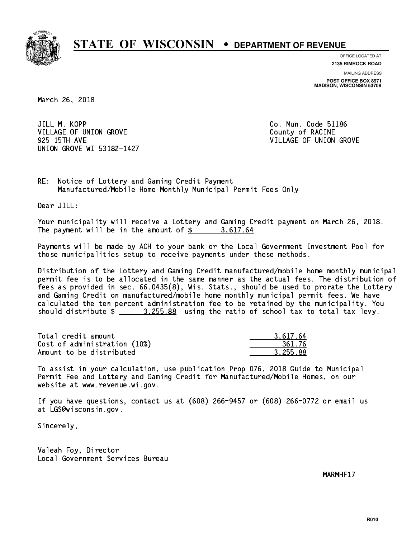

**OFFICE LOCATED AT**

**2135 RIMROCK ROAD**

**MAILING ADDRESS POST OFFICE BOX 8971 MADISON, WISCONSIN 53708**

March 26, 2018

JILL M. KOPP VILLAGE OF UNION GROVE COUNTY OF RACINE 925 15TH AVE VILLAGE OF UNION GROVE UNION GROVE WI 53182-1427

Co. Mun. Code 51186

RE: Notice of Lottery and Gaming Credit Payment Manufactured/Mobile Home Monthly Municipal Permit Fees Only

Dear JILL:

 Your municipality will receive a Lottery and Gaming Credit payment on March 26, 2018. The payment will be in the amount of  $\frac{2}{3}$  3,617.64

 Payments will be made by ACH to your bank or the Local Government Investment Pool for those municipalities setup to receive payments under these methods.

 Distribution of the Lottery and Gaming Credit manufactured/mobile home monthly municipal permit fee is to be allocated in the same manner as the actual fees. The distribution of fees as provided in sec. 66.0435(8), Wis. Stats., should be used to prorate the Lottery and Gaming Credit on manufactured/mobile home monthly municipal permit fees. We have calculated the ten percent administration fee to be retained by the municipality. You should distribute  $\frac{2}{2}$   $\frac{3.255.88}{2}$  using the ratio of school tax to total tax levy.

| Total credit amount          | 3.617.64 |
|------------------------------|----------|
| Cost of administration (10%) | 361.76   |
| Amount to be distributed     | 3.255.88 |

 To assist in your calculation, use publication Prop 076, 2018 Guide to Municipal Permit Fee and Lottery and Gaming Credit for Manufactured/Mobile Homes, on our website at www.revenue.wi.gov.

 If you have questions, contact us at (608) 266-9457 or (608) 266-0772 or email us at LGS@wisconsin.gov.

Sincerely,

 Valeah Foy, Director Local Government Services Bureau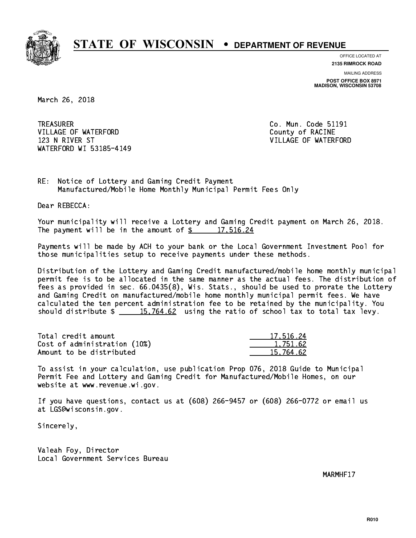

**OFFICE LOCATED AT**

**2135 RIMROCK ROAD**

**MAILING ADDRESS POST OFFICE BOX 8971 MADISON, WISCONSIN 53708**

March 26, 2018

**TREASURER** VILLAGE OF WATERFORD County of RACINE 123 N RIVER ST VILLAGE OF WATERFORD WATERFORD WI 53185-4149

Co. Mun. Code 51191

RE: Notice of Lottery and Gaming Credit Payment Manufactured/Mobile Home Monthly Municipal Permit Fees Only

Dear REBECCA:

 Your municipality will receive a Lottery and Gaming Credit payment on March 26, 2018. The payment will be in the amount of  $\frac{2}{17.516.24}$ 

 Payments will be made by ACH to your bank or the Local Government Investment Pool for those municipalities setup to receive payments under these methods.

 Distribution of the Lottery and Gaming Credit manufactured/mobile home monthly municipal permit fee is to be allocated in the same manner as the actual fees. The distribution of fees as provided in sec. 66.0435(8), Wis. Stats., should be used to prorate the Lottery and Gaming Credit on manufactured/mobile home monthly municipal permit fees. We have calculated the ten percent administration fee to be retained by the municipality. You should distribute  $\frac{15,764.62}{15,764.62}$  using the ratio of school tax to total tax levy.

| Total credit amount          | 17.516.24 |
|------------------------------|-----------|
| Cost of administration (10%) | 1.751.62  |
| Amount to be distributed     | 15.764.62 |

 To assist in your calculation, use publication Prop 076, 2018 Guide to Municipal Permit Fee and Lottery and Gaming Credit for Manufactured/Mobile Homes, on our website at www.revenue.wi.gov.

 If you have questions, contact us at (608) 266-9457 or (608) 266-0772 or email us at LGS@wisconsin.gov.

Sincerely,

 Valeah Foy, Director Local Government Services Bureau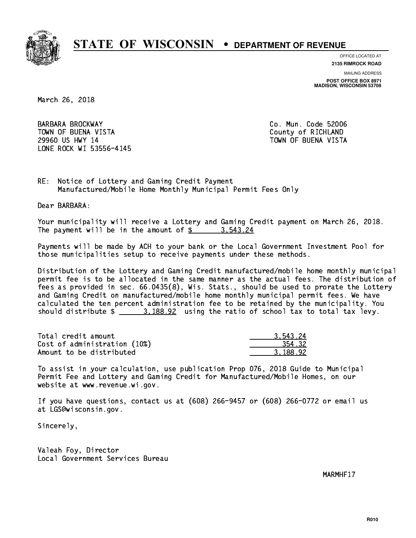

**OFFICE LOCATED AT**

**2135 RIMROCK ROAD**

**MAILING ADDRESS**

**POST OFFICE BOX 8971 MADISON, WISCONSIN 53708**

March 26, 2018

 BARBARA BROCKWAY Co. Mun. Code 52006 TOWN OF BUENA VISTA County of RICHLAND 29960 US HWY 14 TOWN OF BUENA VISTA LONE ROCK WI 53556-4145

RE: Notice of Lottery and Gaming Credit Payment Manufactured/Mobile Home Monthly Municipal Permit Fees Only

Dear BARBARA:

 Your municipality will receive a Lottery and Gaming Credit payment on March 26, 2018. The payment will be in the amount of  $\frac{2}{3}$  3,543.24

 Payments will be made by ACH to your bank or the Local Government Investment Pool for those municipalities setup to receive payments under these methods.

 Distribution of the Lottery and Gaming Credit manufactured/mobile home monthly municipal permit fee is to be allocated in the same manner as the actual fees. The distribution of fees as provided in sec. 66.0435(8), Wis. Stats., should be used to prorate the Lottery and Gaming Credit on manufactured/mobile home monthly municipal permit fees. We have calculated the ten percent administration fee to be retained by the municipality. You should distribute  $\frac{2}{1}$   $\frac{3.188.92}{2}$  using the ratio of school tax to total tax levy.

| Total credit amount          | 3.543.24 |
|------------------------------|----------|
| Cost of administration (10%) | 354.32   |
| Amount to be distributed     | 3.188.92 |

 To assist in your calculation, use publication Prop 076, 2018 Guide to Municipal Permit Fee and Lottery and Gaming Credit for Manufactured/Mobile Homes, on our website at www.revenue.wi.gov.

 If you have questions, contact us at (608) 266-9457 or (608) 266-0772 or email us at LGS@wisconsin.gov.

Sincerely,

 Valeah Foy, Director Local Government Services Bureau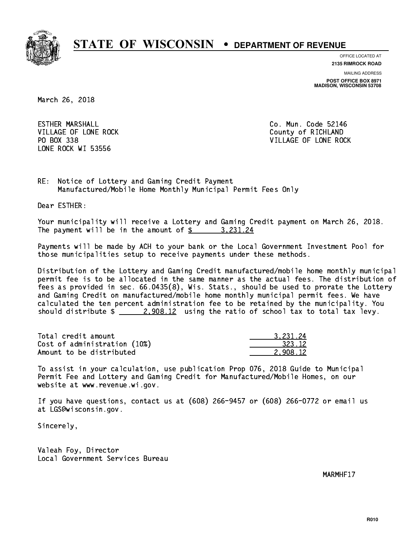

**OFFICE LOCATED AT**

**2135 RIMROCK ROAD**

**MAILING ADDRESS POST OFFICE BOX 8971 MADISON, WISCONSIN 53708**

March 26, 2018

**ESTHER MARSHALL** VILLAGE OF LONE ROCK County of RICHLAND PO BOX 338 LONE ROCK WI 53556

Co. Mun. Code 52146 VILLAGE OF LONE ROCK

RE: Notice of Lottery and Gaming Credit Payment Manufactured/Mobile Home Monthly Municipal Permit Fees Only

Dear ESTHER:

 Your municipality will receive a Lottery and Gaming Credit payment on March 26, 2018. The payment will be in the amount of  $\frac{2}{3}$  3,231.24

 Payments will be made by ACH to your bank or the Local Government Investment Pool for those municipalities setup to receive payments under these methods.

 Distribution of the Lottery and Gaming Credit manufactured/mobile home monthly municipal permit fee is to be allocated in the same manner as the actual fees. The distribution of fees as provided in sec. 66.0435(8), Wis. Stats., should be used to prorate the Lottery and Gaming Credit on manufactured/mobile home monthly municipal permit fees. We have calculated the ten percent administration fee to be retained by the municipality. You should distribute  $\frac{2,908.12}{2}$  using the ratio of school tax to total tax levy.

| Total credit amount          | 3.231.24 |
|------------------------------|----------|
| Cost of administration (10%) | 323.12   |
| Amount to be distributed     | 2.908.12 |

 To assist in your calculation, use publication Prop 076, 2018 Guide to Municipal Permit Fee and Lottery and Gaming Credit for Manufactured/Mobile Homes, on our website at www.revenue.wi.gov.

 If you have questions, contact us at (608) 266-9457 or (608) 266-0772 or email us at LGS@wisconsin.gov.

Sincerely,

 Valeah Foy, Director Local Government Services Bureau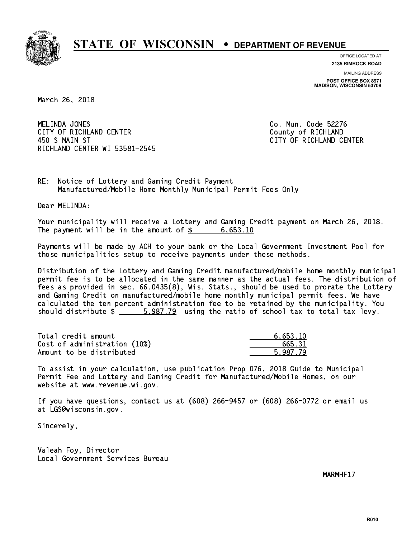

**OFFICE LOCATED AT**

**2135 RIMROCK ROAD**

**MAILING ADDRESS POST OFFICE BOX 8971 MADISON, WISCONSIN 53708**

March 26, 2018

MELINDA JONES CITY OF RICHLAND CENTER **COUNTY OF RICHLAND**  450 S MAIN ST CITY OF RICHLAND CENTER RICHLAND CENTER WI 53581-2545

Co. Mun. Code 52276

RE: Notice of Lottery and Gaming Credit Payment Manufactured/Mobile Home Monthly Municipal Permit Fees Only

Dear MELINDA:

 Your municipality will receive a Lottery and Gaming Credit payment on March 26, 2018. The payment will be in the amount of  $\frac{2}{3}$  6,653.10

 Payments will be made by ACH to your bank or the Local Government Investment Pool for those municipalities setup to receive payments under these methods.

 Distribution of the Lottery and Gaming Credit manufactured/mobile home monthly municipal permit fee is to be allocated in the same manner as the actual fees. The distribution of fees as provided in sec. 66.0435(8), Wis. Stats., should be used to prorate the Lottery and Gaming Credit on manufactured/mobile home monthly municipal permit fees. We have calculated the ten percent administration fee to be retained by the municipality. You should distribute  $\frac{2}{1}$   $\frac{5.987.79}{2}$  using the ratio of school tax to total tax levy.

| Total credit amount          | 6.653.10 |
|------------------------------|----------|
| Cost of administration (10%) | 665.31   |
| Amount to be distributed     | 5.987.79 |

 To assist in your calculation, use publication Prop 076, 2018 Guide to Municipal Permit Fee and Lottery and Gaming Credit for Manufactured/Mobile Homes, on our website at www.revenue.wi.gov.

 If you have questions, contact us at (608) 266-9457 or (608) 266-0772 or email us at LGS@wisconsin.gov.

Sincerely,

 Valeah Foy, Director Local Government Services Bureau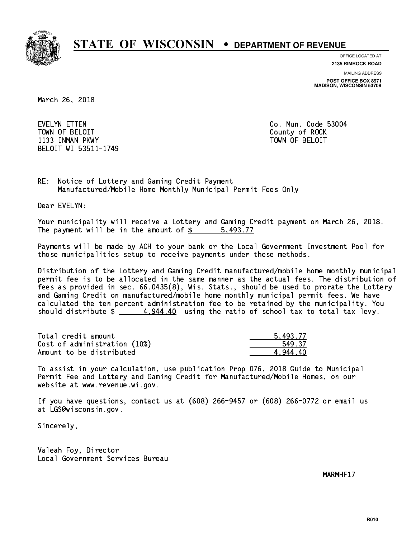

**OFFICE LOCATED AT**

**2135 RIMROCK ROAD**

**MAILING ADDRESS**

**POST OFFICE BOX 8971 MADISON, WISCONSIN 53708**

March 26, 2018

 EVELYN ETTEN Co. Mun. Code 53004 TOWN OF BELOIT County of ROCK 1133 INMAN PKWY TOWN OF BELOIT BELOIT WI 53511-1749

RE: Notice of Lottery and Gaming Credit Payment Manufactured/Mobile Home Monthly Municipal Permit Fees Only

Dear EVELYN:

 Your municipality will receive a Lottery and Gaming Credit payment on March 26, 2018. The payment will be in the amount of \$ 5,493.77 \_\_\_\_\_\_\_\_\_\_\_\_\_\_\_\_

 Payments will be made by ACH to your bank or the Local Government Investment Pool for those municipalities setup to receive payments under these methods.

 Distribution of the Lottery and Gaming Credit manufactured/mobile home monthly municipal permit fee is to be allocated in the same manner as the actual fees. The distribution of fees as provided in sec. 66.0435(8), Wis. Stats., should be used to prorate the Lottery and Gaming Credit on manufactured/mobile home monthly municipal permit fees. We have calculated the ten percent administration fee to be retained by the municipality. You should distribute  $\frac{4.944.40}{2}$  using the ratio of school tax to total tax levy.

| Total credit amount          | 5.493.77 |
|------------------------------|----------|
| Cost of administration (10%) | 549.37   |
| Amount to be distributed     | 4.944.40 |

 To assist in your calculation, use publication Prop 076, 2018 Guide to Municipal Permit Fee and Lottery and Gaming Credit for Manufactured/Mobile Homes, on our website at www.revenue.wi.gov.

 If you have questions, contact us at (608) 266-9457 or (608) 266-0772 or email us at LGS@wisconsin.gov.

Sincerely,

 Valeah Foy, Director Local Government Services Bureau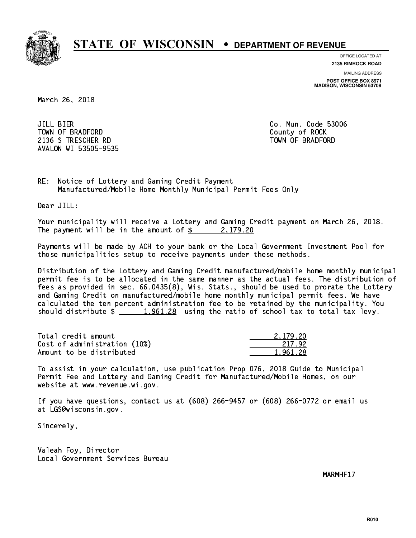

**OFFICE LOCATED AT 2135 RIMROCK ROAD**

**MAILING ADDRESS**

**POST OFFICE BOX 8971 MADISON, WISCONSIN 53708**

March 26, 2018

**JILL BIER** TOWN OF BRADFORD **COUNTY COUNTY OF ROCK** 2136 S TRESCHER RD TOWN OF BRADFORD AVALON WI 53505-9535

Co. Mun. Code 53006

RE: Notice of Lottery and Gaming Credit Payment Manufactured/Mobile Home Monthly Municipal Permit Fees Only

Dear JILL:

 Your municipality will receive a Lottery and Gaming Credit payment on March 26, 2018. The payment will be in the amount of  $\frac{2}{3}$  2,179.20

 Payments will be made by ACH to your bank or the Local Government Investment Pool for those municipalities setup to receive payments under these methods.

 Distribution of the Lottery and Gaming Credit manufactured/mobile home monthly municipal permit fee is to be allocated in the same manner as the actual fees. The distribution of fees as provided in sec. 66.0435(8), Wis. Stats., should be used to prorate the Lottery and Gaming Credit on manufactured/mobile home monthly municipal permit fees. We have calculated the ten percent administration fee to be retained by the municipality. You should distribute  $\frac{1,961.28}{1,961.28}$  using the ratio of school tax to total tax levy.

| Total credit amount          | 2.179.20 |
|------------------------------|----------|
| Cost of administration (10%) | 217.92   |
| Amount to be distributed     | 1,961.28 |

 To assist in your calculation, use publication Prop 076, 2018 Guide to Municipal Permit Fee and Lottery and Gaming Credit for Manufactured/Mobile Homes, on our website at www.revenue.wi.gov.

 If you have questions, contact us at (608) 266-9457 or (608) 266-0772 or email us at LGS@wisconsin.gov.

Sincerely,

 Valeah Foy, Director Local Government Services Bureau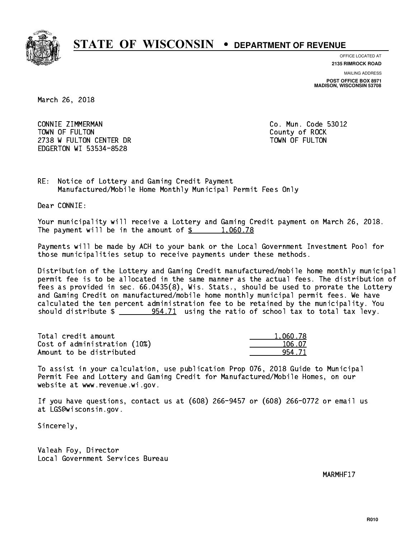

**OFFICE LOCATED AT**

**2135 RIMROCK ROAD**

**MAILING ADDRESS POST OFFICE BOX 8971 MADISON, WISCONSIN 53708**

March 26, 2018

 CONNIE ZIMMERMAN Co. Mun. Code 53012 TOWN OF FULTON County of ROCK 2738 W FULTON CENTER DR TOWN OF FULTON EDGERTON WI 53534-8528

RE: Notice of Lottery and Gaming Credit Payment Manufactured/Mobile Home Monthly Municipal Permit Fees Only

Dear CONNIE:

 Your municipality will receive a Lottery and Gaming Credit payment on March 26, 2018. The payment will be in the amount of  $\frac{2}{3}$  1,060.78

 Payments will be made by ACH to your bank or the Local Government Investment Pool for those municipalities setup to receive payments under these methods.

 Distribution of the Lottery and Gaming Credit manufactured/mobile home monthly municipal permit fee is to be allocated in the same manner as the actual fees. The distribution of fees as provided in sec. 66.0435(8), Wis. Stats., should be used to prorate the Lottery and Gaming Credit on manufactured/mobile home monthly municipal permit fees. We have calculated the ten percent administration fee to be retained by the municipality. You should distribute  $\frac{254.71}{21}$  using the ratio of school tax to total tax levy.

| Total credit amount          | 1.060.78 |
|------------------------------|----------|
| Cost of administration (10%) | 106.07   |
| Amount to be distributed     | 954 71   |

 To assist in your calculation, use publication Prop 076, 2018 Guide to Municipal Permit Fee and Lottery and Gaming Credit for Manufactured/Mobile Homes, on our website at www.revenue.wi.gov.

 If you have questions, contact us at (608) 266-9457 or (608) 266-0772 or email us at LGS@wisconsin.gov.

Sincerely,

 Valeah Foy, Director Local Government Services Bureau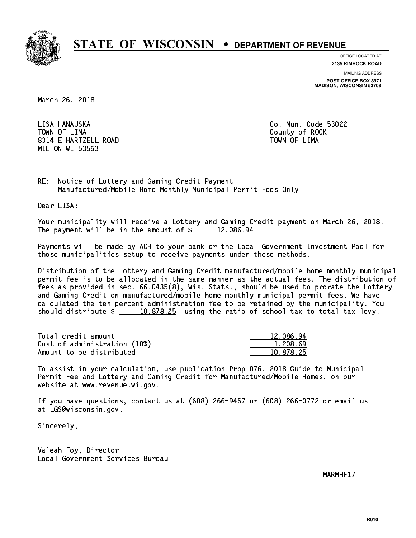

**OFFICE LOCATED AT**

**2135 RIMROCK ROAD**

**MAILING ADDRESS POST OFFICE BOX 8971 MADISON, WISCONSIN 53708**

March 26, 2018

LISA HANAUSKA TOWN OF LIMA 8314 E HARTZELL ROAD TOWN OF LIMA MILTON WI 53563

Co. Mun. Code 53022 County of ROCK

RE: Notice of Lottery and Gaming Credit Payment Manufactured/Mobile Home Monthly Municipal Permit Fees Only

Dear LISA:

 Your municipality will receive a Lottery and Gaming Credit payment on March 26, 2018. The payment will be in the amount of  $\frac{2}{3}$  12,086.94

 Payments will be made by ACH to your bank or the Local Government Investment Pool for those municipalities setup to receive payments under these methods.

 Distribution of the Lottery and Gaming Credit manufactured/mobile home monthly municipal permit fee is to be allocated in the same manner as the actual fees. The distribution of fees as provided in sec. 66.0435(8), Wis. Stats., should be used to prorate the Lottery and Gaming Credit on manufactured/mobile home monthly municipal permit fees. We have calculated the ten percent administration fee to be retained by the municipality. You should distribute  $\frac{10,878.25}{2}$  using the ratio of school tax to total tax levy.

| Total credit amount          | 12.086.94 |
|------------------------------|-----------|
| Cost of administration (10%) | 1,208.69  |
| Amount to be distributed     | 10.878.25 |

 To assist in your calculation, use publication Prop 076, 2018 Guide to Municipal Permit Fee and Lottery and Gaming Credit for Manufactured/Mobile Homes, on our website at www.revenue.wi.gov.

 If you have questions, contact us at (608) 266-9457 or (608) 266-0772 or email us at LGS@wisconsin.gov.

Sincerely,

 Valeah Foy, Director Local Government Services Bureau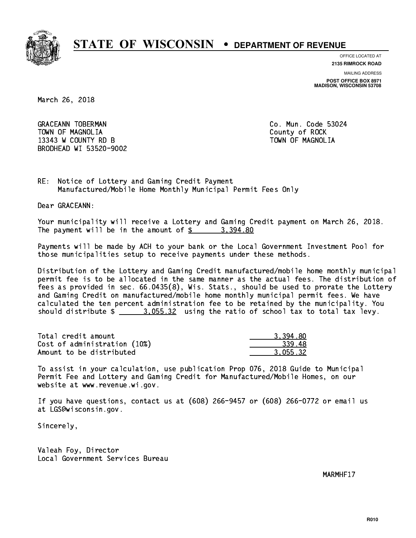

**OFFICE LOCATED AT**

**2135 RIMROCK ROAD**

**MAILING ADDRESS POST OFFICE BOX 8971 MADISON, WISCONSIN 53708**

March 26, 2018

GRACEANN TOBERMAN CONTROLLER CO. Mun. Code 53024 TOWN OF MAGNOLIA COUNTY OF ROCK 13343 W COUNTY RD B TOWN OF MAGNOLIA BRODHEAD WI 53520-9002

RE: Notice of Lottery and Gaming Credit Payment Manufactured/Mobile Home Monthly Municipal Permit Fees Only

Dear GRACEANN:

 Your municipality will receive a Lottery and Gaming Credit payment on March 26, 2018. The payment will be in the amount of  $\frac{2}{3}$  3,394.80

 Payments will be made by ACH to your bank or the Local Government Investment Pool for those municipalities setup to receive payments under these methods.

 Distribution of the Lottery and Gaming Credit manufactured/mobile home monthly municipal permit fee is to be allocated in the same manner as the actual fees. The distribution of fees as provided in sec. 66.0435(8), Wis. Stats., should be used to prorate the Lottery and Gaming Credit on manufactured/mobile home monthly municipal permit fees. We have calculated the ten percent administration fee to be retained by the municipality. You should distribute  $\frac{2}{2}$   $\frac{3.055.32}{2}$  using the ratio of school tax to total tax levy.

| Total credit amount          | 3.394.80 |
|------------------------------|----------|
| Cost of administration (10%) | -339.48  |
| Amount to be distributed     | 3.055.32 |

 To assist in your calculation, use publication Prop 076, 2018 Guide to Municipal Permit Fee and Lottery and Gaming Credit for Manufactured/Mobile Homes, on our website at www.revenue.wi.gov.

 If you have questions, contact us at (608) 266-9457 or (608) 266-0772 or email us at LGS@wisconsin.gov.

Sincerely,

 Valeah Foy, Director Local Government Services Bureau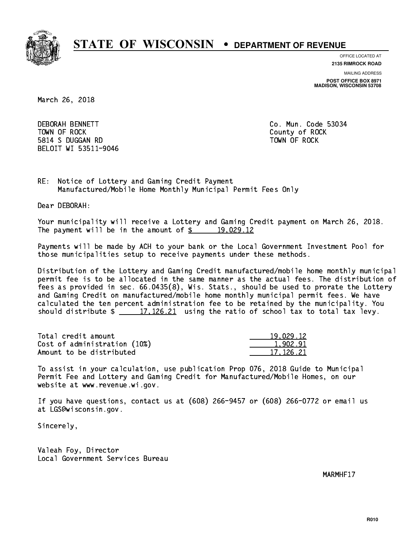

**OFFICE LOCATED AT**

**2135 RIMROCK ROAD**

**MAILING ADDRESS POST OFFICE BOX 8971 MADISON, WISCONSIN 53708**

March 26, 2018

**DEBORAH BENNETT**  TOWN OF ROCK County of ROCK 5814 S DUGGAN RD TOWN OF ROCK BELOIT WI 53511-9046

Co. Mun. Code 53034

RE: Notice of Lottery and Gaming Credit Payment Manufactured/Mobile Home Monthly Municipal Permit Fees Only

Dear DEBORAH:

 Your municipality will receive a Lottery and Gaming Credit payment on March 26, 2018. The payment will be in the amount of  $\frac{2}{3}$  19,029.12

 Payments will be made by ACH to your bank or the Local Government Investment Pool for those municipalities setup to receive payments under these methods.

 Distribution of the Lottery and Gaming Credit manufactured/mobile home monthly municipal permit fee is to be allocated in the same manner as the actual fees. The distribution of fees as provided in sec. 66.0435(8), Wis. Stats., should be used to prorate the Lottery and Gaming Credit on manufactured/mobile home monthly municipal permit fees. We have calculated the ten percent administration fee to be retained by the municipality. You should distribute  $\frac{17,126.21}{20.21}$  using the ratio of school tax to total tax levy.

| Total credit amount          | 19.029.12 |
|------------------------------|-----------|
| Cost of administration (10%) | 1.902.91  |
| Amount to be distributed     | 17.126.21 |

 To assist in your calculation, use publication Prop 076, 2018 Guide to Municipal Permit Fee and Lottery and Gaming Credit for Manufactured/Mobile Homes, on our website at www.revenue.wi.gov.

 If you have questions, contact us at (608) 266-9457 or (608) 266-0772 or email us at LGS@wisconsin.gov.

Sincerely,

 Valeah Foy, Director Local Government Services Bureau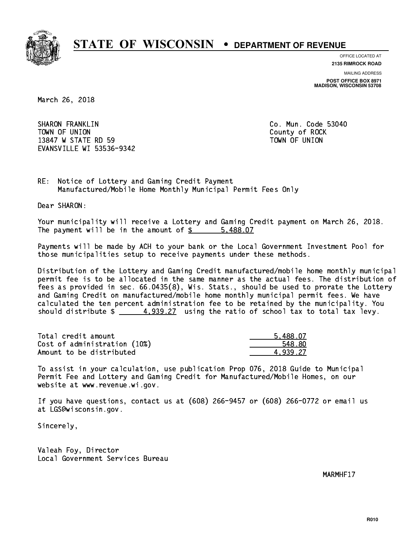

**OFFICE LOCATED AT**

**2135 RIMROCK ROAD**

**MAILING ADDRESS POST OFFICE BOX 8971 MADISON, WISCONSIN 53708**

March 26, 2018

 SHARON FRANKLIN Co. Mun. Code 53040 TOWN OF UNION County of ROCK 13847 W STATE RD 59 TOWN OF UNION EVANSVILLE WI 53536-9342

RE: Notice of Lottery and Gaming Credit Payment Manufactured/Mobile Home Monthly Municipal Permit Fees Only

Dear SHARON:

 Your municipality will receive a Lottery and Gaming Credit payment on March 26, 2018. The payment will be in the amount of \$ 5,488.07 \_\_\_\_\_\_\_\_\_\_\_\_\_\_\_\_

 Payments will be made by ACH to your bank or the Local Government Investment Pool for those municipalities setup to receive payments under these methods.

 Distribution of the Lottery and Gaming Credit manufactured/mobile home monthly municipal permit fee is to be allocated in the same manner as the actual fees. The distribution of fees as provided in sec. 66.0435(8), Wis. Stats., should be used to prorate the Lottery and Gaming Credit on manufactured/mobile home monthly municipal permit fees. We have calculated the ten percent administration fee to be retained by the municipality. You should distribute  $\frac{4.939.27}{4.939.27}$  using the ratio of school tax to total tax levy.

| Total credit amount          | 5,488.07 |
|------------------------------|----------|
| Cost of administration (10%) | 548.80   |
| Amount to be distributed     | 4.939.27 |

 To assist in your calculation, use publication Prop 076, 2018 Guide to Municipal Permit Fee and Lottery and Gaming Credit for Manufactured/Mobile Homes, on our website at www.revenue.wi.gov.

 If you have questions, contact us at (608) 266-9457 or (608) 266-0772 or email us at LGS@wisconsin.gov.

Sincerely,

 Valeah Foy, Director Local Government Services Bureau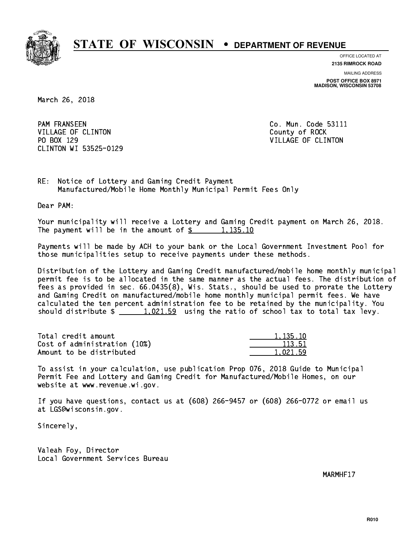

**OFFICE LOCATED AT**

**2135 RIMROCK ROAD**

**MAILING ADDRESS POST OFFICE BOX 8971 MADISON, WISCONSIN 53708**

March 26, 2018

**PAM FRANSEEN** VILLAGE OF CLINTON COUNTY OF ROCK PO BOX 129 VILLAGE OF CLINTON CLINTON WI 53525-0129

Co. Mun. Code 53111

RE: Notice of Lottery and Gaming Credit Payment Manufactured/Mobile Home Monthly Municipal Permit Fees Only

Dear PAM:

 Your municipality will receive a Lottery and Gaming Credit payment on March 26, 2018. The payment will be in the amount of  $\frac{2}{3}$  1,135.10

 Payments will be made by ACH to your bank or the Local Government Investment Pool for those municipalities setup to receive payments under these methods.

 Distribution of the Lottery and Gaming Credit manufactured/mobile home monthly municipal permit fee is to be allocated in the same manner as the actual fees. The distribution of fees as provided in sec. 66.0435(8), Wis. Stats., should be used to prorate the Lottery and Gaming Credit on manufactured/mobile home monthly municipal permit fees. We have calculated the ten percent administration fee to be retained by the municipality. You should distribute  $\frac{1,021.59}{1,021.59}$  using the ratio of school tax to total tax levy.

| Total credit amount          | 1.135.10 |
|------------------------------|----------|
| Cost of administration (10%) | 113.51   |
| Amount to be distributed     | 1.021.59 |

 To assist in your calculation, use publication Prop 076, 2018 Guide to Municipal Permit Fee and Lottery and Gaming Credit for Manufactured/Mobile Homes, on our website at www.revenue.wi.gov.

 If you have questions, contact us at (608) 266-9457 or (608) 266-0772 or email us at LGS@wisconsin.gov.

Sincerely,

 Valeah Foy, Director Local Government Services Bureau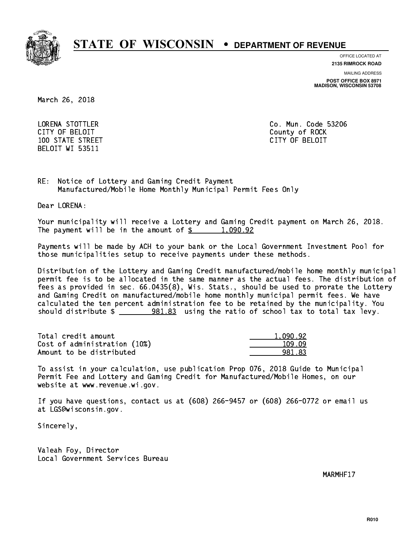

**OFFICE LOCATED AT**

**MAILING ADDRESS 2135 RIMROCK ROAD**

**POST OFFICE BOX 8971 MADISON, WISCONSIN 53708**

March 26, 2018

 LORENA STOTTLER Co. Mun. Code 53206 CITY OF BELOIT County of ROCK 100 STATE STREET CITY OF BELOIT BELOIT WI 53511

RE: Notice of Lottery and Gaming Credit Payment Manufactured/Mobile Home Monthly Municipal Permit Fees Only

Dear LORENA:

 Your municipality will receive a Lottery and Gaming Credit payment on March 26, 2018. The payment will be in the amount of  $\frac{2}{3}$  1,090.92

 Payments will be made by ACH to your bank or the Local Government Investment Pool for those municipalities setup to receive payments under these methods.

 Distribution of the Lottery and Gaming Credit manufactured/mobile home monthly municipal permit fee is to be allocated in the same manner as the actual fees. The distribution of fees as provided in sec. 66.0435(8), Wis. Stats., should be used to prorate the Lottery and Gaming Credit on manufactured/mobile home monthly municipal permit fees. We have calculated the ten percent administration fee to be retained by the municipality. You should distribute  $\frac{281.83}{1.83}$  using the ratio of school tax to total tax levy.

| Total credit amount          | 1.090.92 |
|------------------------------|----------|
| Cost of administration (10%) | 109.09   |
| Amount to be distributed     | 981.83   |

 To assist in your calculation, use publication Prop 076, 2018 Guide to Municipal Permit Fee and Lottery and Gaming Credit for Manufactured/Mobile Homes, on our website at www.revenue.wi.gov.

 If you have questions, contact us at (608) 266-9457 or (608) 266-0772 or email us at LGS@wisconsin.gov.

Sincerely,

 Valeah Foy, Director Local Government Services Bureau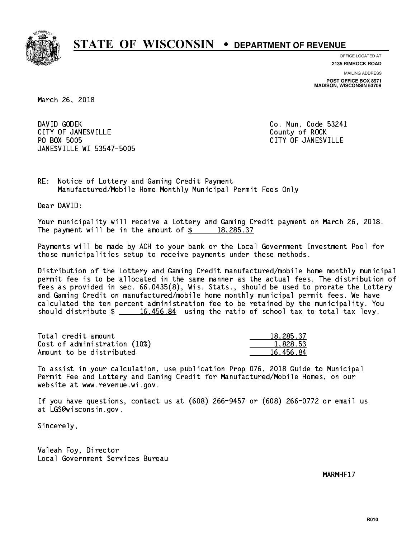

**OFFICE LOCATED AT**

**2135 RIMROCK ROAD**

**MAILING ADDRESS POST OFFICE BOX 8971 MADISON, WISCONSIN 53708**

March 26, 2018

DAVID GODEK CITY OF JANESVILLE **COUNTY COUNTY OF ROCK** PO BOX 5005 JANESVILLE WI 53547-5005

Co. Mun. Code 53241 CITY OF JANESVILLE

RE: Notice of Lottery and Gaming Credit Payment Manufactured/Mobile Home Monthly Municipal Permit Fees Only

Dear DAVID:

 Your municipality will receive a Lottery and Gaming Credit payment on March 26, 2018. The payment will be in the amount of  $\frac{2}{3}$  18,285.37

 Payments will be made by ACH to your bank or the Local Government Investment Pool for those municipalities setup to receive payments under these methods.

 Distribution of the Lottery and Gaming Credit manufactured/mobile home monthly municipal permit fee is to be allocated in the same manner as the actual fees. The distribution of fees as provided in sec. 66.0435(8), Wis. Stats., should be used to prorate the Lottery and Gaming Credit on manufactured/mobile home monthly municipal permit fees. We have calculated the ten percent administration fee to be retained by the municipality. You should distribute  $\frac{16,456.84}{2}$  using the ratio of school tax to total tax levy.

| Total credit amount          | 18,285.37 |
|------------------------------|-----------|
| Cost of administration (10%) | 1,828.53  |
| Amount to be distributed     | 16.456.84 |

 To assist in your calculation, use publication Prop 076, 2018 Guide to Municipal Permit Fee and Lottery and Gaming Credit for Manufactured/Mobile Homes, on our website at www.revenue.wi.gov.

 If you have questions, contact us at (608) 266-9457 or (608) 266-0772 or email us at LGS@wisconsin.gov.

Sincerely,

 Valeah Foy, Director Local Government Services Bureau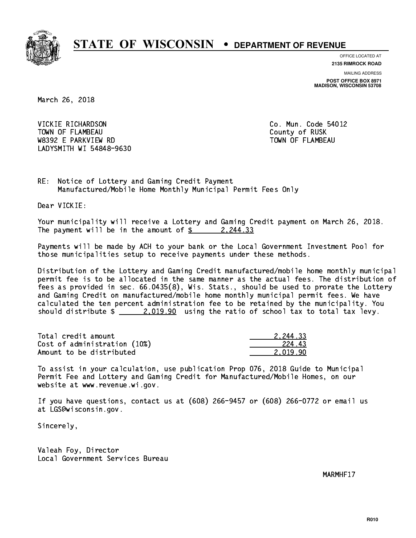

**OFFICE LOCATED AT**

**2135 RIMROCK ROAD**

**MAILING ADDRESS POST OFFICE BOX 8971 MADISON, WISCONSIN 53708**

March 26, 2018

 VICKIE RICHARDSON Co. Mun. Code 54012 TOWN OF FLAMBEAU COUNTY OF RUSK W8392 E PARKVIEW RD TOWN OF FLAMBEAU LADYSMITH WI 54848-9630

RE: Notice of Lottery and Gaming Credit Payment Manufactured/Mobile Home Monthly Municipal Permit Fees Only

Dear VICKIE:

 Your municipality will receive a Lottery and Gaming Credit payment on March 26, 2018. The payment will be in the amount of  $\frac{2}{3}$  2,244.33

 Payments will be made by ACH to your bank or the Local Government Investment Pool for those municipalities setup to receive payments under these methods.

 Distribution of the Lottery and Gaming Credit manufactured/mobile home monthly municipal permit fee is to be allocated in the same manner as the actual fees. The distribution of fees as provided in sec. 66.0435(8), Wis. Stats., should be used to prorate the Lottery and Gaming Credit on manufactured/mobile home monthly municipal permit fees. We have calculated the ten percent administration fee to be retained by the municipality. You should distribute  $\frac{2.019.90}{2.019.90}$  using the ratio of school tax to total tax levy.

| Total credit amount          | 2.244.33 |
|------------------------------|----------|
| Cost of administration (10%) | 224.43   |
| Amount to be distributed     | 2.019.90 |

 To assist in your calculation, use publication Prop 076, 2018 Guide to Municipal Permit Fee and Lottery and Gaming Credit for Manufactured/Mobile Homes, on our website at www.revenue.wi.gov.

 If you have questions, contact us at (608) 266-9457 or (608) 266-0772 or email us at LGS@wisconsin.gov.

Sincerely,

 Valeah Foy, Director Local Government Services Bureau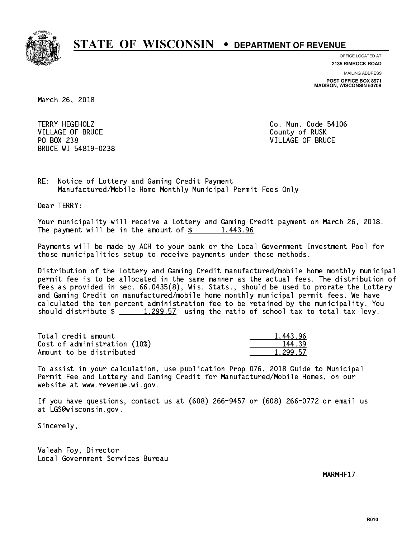

**OFFICE LOCATED AT**

**2135 RIMROCK ROAD**

**MAILING ADDRESS POST OFFICE BOX 8971 MADISON, WISCONSIN 53708**

March 26, 2018

TERRY HEGEHOLZ VILLAGE OF BRUCE COUNTY OF RUSK PO BOX 238 VILLAGE OF BRUCE BRUCE WI 54819-0238

Co. Mun. Code 54106

RE: Notice of Lottery and Gaming Credit Payment Manufactured/Mobile Home Monthly Municipal Permit Fees Only

Dear TERRY:

 Your municipality will receive a Lottery and Gaming Credit payment on March 26, 2018. The payment will be in the amount of  $\frac{2}{3}$  1,443.96

 Payments will be made by ACH to your bank or the Local Government Investment Pool for those municipalities setup to receive payments under these methods.

 Distribution of the Lottery and Gaming Credit manufactured/mobile home monthly municipal permit fee is to be allocated in the same manner as the actual fees. The distribution of fees as provided in sec. 66.0435(8), Wis. Stats., should be used to prorate the Lottery and Gaming Credit on manufactured/mobile home monthly municipal permit fees. We have calculated the ten percent administration fee to be retained by the municipality. You should distribute  $\frac{1,299.57}{1,299.57}$  using the ratio of school tax to total tax levy.

| Total credit amount          | 1.443.96 |
|------------------------------|----------|
| Cost of administration (10%) | 144.39   |
| Amount to be distributed     | 1,299.57 |

 To assist in your calculation, use publication Prop 076, 2018 Guide to Municipal Permit Fee and Lottery and Gaming Credit for Manufactured/Mobile Homes, on our website at www.revenue.wi.gov.

 If you have questions, contact us at (608) 266-9457 or (608) 266-0772 or email us at LGS@wisconsin.gov.

Sincerely,

 Valeah Foy, Director Local Government Services Bureau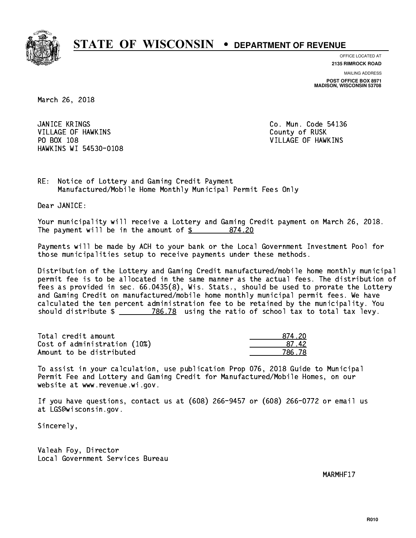

**OFFICE LOCATED AT**

**2135 RIMROCK ROAD**

**MAILING ADDRESS POST OFFICE BOX 8971 MADISON, WISCONSIN 53708**

March 26, 2018

JANICE KRINGS VILLAGE OF HAWKINS COUNTY OF RUSK PO BOX 108 VILLAGE OF HAWKINS HAWKINS WI 54530-0108

Co. Mun. Code 54136

RE: Notice of Lottery and Gaming Credit Payment Manufactured/Mobile Home Monthly Municipal Permit Fees Only

Dear JANICE:

 Your municipality will receive a Lottery and Gaming Credit payment on March 26, 2018. The payment will be in the amount of \$ 874.20 \_\_\_\_\_\_\_\_\_\_\_\_\_\_\_\_

 Payments will be made by ACH to your bank or the Local Government Investment Pool for those municipalities setup to receive payments under these methods.

 Distribution of the Lottery and Gaming Credit manufactured/mobile home monthly municipal permit fee is to be allocated in the same manner as the actual fees. The distribution of fees as provided in sec. 66.0435(8), Wis. Stats., should be used to prorate the Lottery and Gaming Credit on manufactured/mobile home monthly municipal permit fees. We have calculated the ten percent administration fee to be retained by the municipality. You should distribute  $\frac{2}{2}$   $\frac{786.78}{2}$  using the ratio of school tax to total tax levy.

| Total credit amount          | 874 20 |
|------------------------------|--------|
| Cost of administration (10%) | -87-42 |
| Amount to be distributed     | 786.78 |

| 4 2N<br>. . |
|-------------|
| 37.42.      |
| i 78        |

 To assist in your calculation, use publication Prop 076, 2018 Guide to Municipal Permit Fee and Lottery and Gaming Credit for Manufactured/Mobile Homes, on our website at www.revenue.wi.gov.

 If you have questions, contact us at (608) 266-9457 or (608) 266-0772 or email us at LGS@wisconsin.gov.

Sincerely,

 Valeah Foy, Director Local Government Services Bureau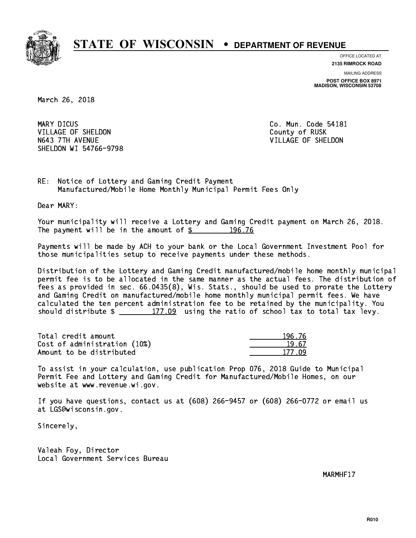

**OFFICE LOCATED AT**

**2135 RIMROCK ROAD**

**MAILING ADDRESS POST OFFICE BOX 8971 MADISON, WISCONSIN 53708**

March 26, 2018

MARY DICUS VILLAGE OF SHELDON COUNTY OF RUSK N643 7TH AVENUE VILLAGE OF SHELDON SHELDON WI 54766-9798

Co. Mun. Code 54181

RE: Notice of Lottery and Gaming Credit Payment Manufactured/Mobile Home Monthly Municipal Permit Fees Only

Dear MARY:

 Your municipality will receive a Lottery and Gaming Credit payment on March 26, 2018. The payment will be in the amount of  $\frac{2}{3}$  196.76

 Payments will be made by ACH to your bank or the Local Government Investment Pool for those municipalities setup to receive payments under these methods.

 Distribution of the Lottery and Gaming Credit manufactured/mobile home monthly municipal permit fee is to be allocated in the same manner as the actual fees. The distribution of fees as provided in sec. 66.0435(8), Wis. Stats., should be used to prorate the Lottery and Gaming Credit on manufactured/mobile home monthly municipal permit fees. We have calculated the ten percent administration fee to be retained by the municipality. You should distribute  $\frac{2}{2}$   $\frac{177.09}{2}$  using the ratio of school tax to total tax levy.

Total credit amount Cost of administration (10%) Amount to be distributed

| S. 76 |
|-------|
| I 67  |
| 177.  |

 To assist in your calculation, use publication Prop 076, 2018 Guide to Municipal Permit Fee and Lottery and Gaming Credit for Manufactured/Mobile Homes, on our website at www.revenue.wi.gov.

 If you have questions, contact us at (608) 266-9457 or (608) 266-0772 or email us at LGS@wisconsin.gov.

Sincerely,

 Valeah Foy, Director Local Government Services Bureau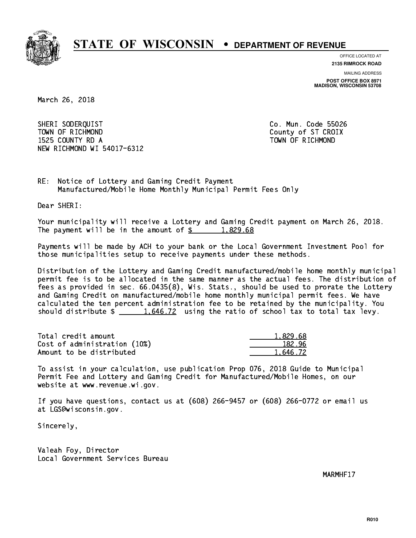

**OFFICE LOCATED AT**

**2135 RIMROCK ROAD**

**MAILING ADDRESS POST OFFICE BOX 8971 MADISON, WISCONSIN 53708**

March 26, 2018

 SHERI SODERQUIST Co. Mun. Code 55026 TOWN OF RICHMOND COUNTY COUNTY OF ST CROIX 1525 COUNTY RD A TOWN OF RICHMOND NEW RICHMOND WI 54017-6312

RE: Notice of Lottery and Gaming Credit Payment Manufactured/Mobile Home Monthly Municipal Permit Fees Only

Dear SHERI:

 Your municipality will receive a Lottery and Gaming Credit payment on March 26, 2018. The payment will be in the amount of  $\frac{2}{3}$  1,829.68

 Payments will be made by ACH to your bank or the Local Government Investment Pool for those municipalities setup to receive payments under these methods.

 Distribution of the Lottery and Gaming Credit manufactured/mobile home monthly municipal permit fee is to be allocated in the same manner as the actual fees. The distribution of fees as provided in sec. 66.0435(8), Wis. Stats., should be used to prorate the Lottery and Gaming Credit on manufactured/mobile home monthly municipal permit fees. We have calculated the ten percent administration fee to be retained by the municipality. You should distribute  $\frac{1.646.72}{1.646.72}$  using the ratio of school tax to total tax levy.

| Total credit amount          | 1,829.68 |
|------------------------------|----------|
| Cost of administration (10%) | 182.96   |
| Amount to be distributed     | 1.646.72 |

 To assist in your calculation, use publication Prop 076, 2018 Guide to Municipal Permit Fee and Lottery and Gaming Credit for Manufactured/Mobile Homes, on our website at www.revenue.wi.gov.

 If you have questions, contact us at (608) 266-9457 or (608) 266-0772 or email us at LGS@wisconsin.gov.

Sincerely,

 Valeah Foy, Director Local Government Services Bureau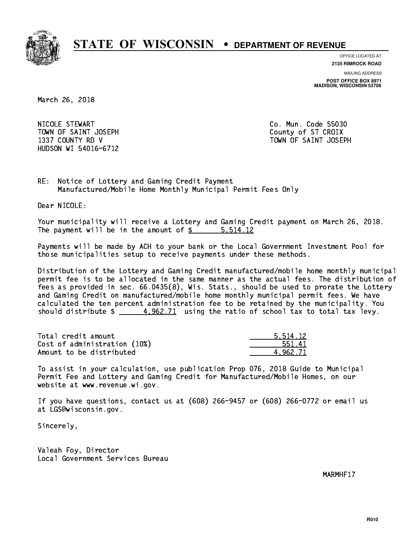

**OFFICE LOCATED AT**

**2135 RIMROCK ROAD**

**MAILING ADDRESS**

**POST OFFICE BOX 8971 MADISON, WISCONSIN 53708**

March 26, 2018

 NICOLE STEWART Co. Mun. Code 55030 TOWN OF SAINT JOSEPH COUNTY OF STICROIX HUDSON WI 54016-6712

1337 COUNTY RD V TOWN OF SAINT JOSEPH

RE: Notice of Lottery and Gaming Credit Payment Manufactured/Mobile Home Monthly Municipal Permit Fees Only

Dear NICOLE:

 Your municipality will receive a Lottery and Gaming Credit payment on March 26, 2018. The payment will be in the amount of \$ 5,514.12 \_\_\_\_\_\_\_\_\_\_\_\_\_\_\_\_

 Payments will be made by ACH to your bank or the Local Government Investment Pool for those municipalities setup to receive payments under these methods.

 Distribution of the Lottery and Gaming Credit manufactured/mobile home monthly municipal permit fee is to be allocated in the same manner as the actual fees. The distribution of fees as provided in sec. 66.0435(8), Wis. Stats., should be used to prorate the Lottery and Gaming Credit on manufactured/mobile home monthly municipal permit fees. We have calculated the ten percent administration fee to be retained by the municipality. You should distribute  $\frac{4.962.71}{4.962.71}$  using the ratio of school tax to total tax levy.

| Total credit amount          | 5.514.12 |
|------------------------------|----------|
| Cost of administration (10%) | 551.41   |
| Amount to be distributed     | 4.962.71 |

 To assist in your calculation, use publication Prop 076, 2018 Guide to Municipal Permit Fee and Lottery and Gaming Credit for Manufactured/Mobile Homes, on our website at www.revenue.wi.gov.

 If you have questions, contact us at (608) 266-9457 or (608) 266-0772 or email us at LGS@wisconsin.gov.

Sincerely,

 Valeah Foy, Director Local Government Services Bureau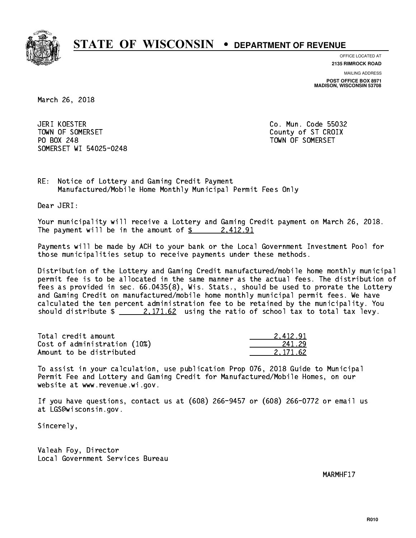

**OFFICE LOCATED AT**

**2135 RIMROCK ROAD**

**MAILING ADDRESS POST OFFICE BOX 8971 MADISON, WISCONSIN 53708**

March 26, 2018

JERI KOESTER TOWN OF SOMERSET COUNTY OF STATES COUNTY OF STATES OF STATES OF STATES OF STATES OF STATES OF STATES OF STATES PO BOX 248 PO BOX 248 TOWN OF SOMERSET SOMERSET WI 54025-0248

Co. Mun. Code 55032

RE: Notice of Lottery and Gaming Credit Payment Manufactured/Mobile Home Monthly Municipal Permit Fees Only

Dear JERI:

 Your municipality will receive a Lottery and Gaming Credit payment on March 26, 2018. The payment will be in the amount of  $\frac{2412.91}{242.91}$ 

 Payments will be made by ACH to your bank or the Local Government Investment Pool for those municipalities setup to receive payments under these methods.

 Distribution of the Lottery and Gaming Credit manufactured/mobile home monthly municipal permit fee is to be allocated in the same manner as the actual fees. The distribution of fees as provided in sec. 66.0435(8), Wis. Stats., should be used to prorate the Lottery and Gaming Credit on manufactured/mobile home monthly municipal permit fees. We have calculated the ten percent administration fee to be retained by the municipality. You should distribute  $\frac{2.171.62}{2.171.62}$  using the ratio of school tax to total tax levy.

| Total credit amount          | 2.412.91 |
|------------------------------|----------|
| Cost of administration (10%) | 241.29   |
| Amount to be distributed     | 2.171.62 |

 To assist in your calculation, use publication Prop 076, 2018 Guide to Municipal Permit Fee and Lottery and Gaming Credit for Manufactured/Mobile Homes, on our website at www.revenue.wi.gov.

 If you have questions, contact us at (608) 266-9457 or (608) 266-0772 or email us at LGS@wisconsin.gov.

Sincerely,

 Valeah Foy, Director Local Government Services Bureau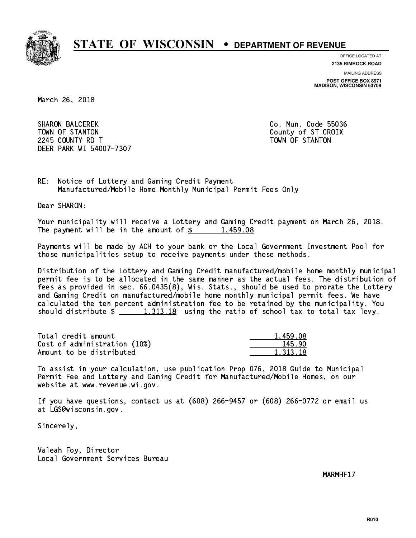

**OFFICE LOCATED AT**

**2135 RIMROCK ROAD**

**MAILING ADDRESS POST OFFICE BOX 8971 MADISON, WISCONSIN 53708**

March 26, 2018

**SHARON BALCEREK** TOWN OF STANTON COUNTY OF STANTON 224 COUNTY RD T TOWN OF STANDARD COUNTY ROLL AND STRUCTURE OF STANDARD COUNTY AND ALL COUNTY OF STANDARD COUNTY. DEER PARK WI 54007-7307

Co. Mun. Code 55036

RE: Notice of Lottery and Gaming Credit Payment Manufactured/Mobile Home Monthly Municipal Permit Fees Only

Dear SHARON:

 Your municipality will receive a Lottery and Gaming Credit payment on March 26, 2018. The payment will be in the amount of  $\frac{2}{3}$  1,459.08

 Payments will be made by ACH to your bank or the Local Government Investment Pool for those municipalities setup to receive payments under these methods.

 Distribution of the Lottery and Gaming Credit manufactured/mobile home monthly municipal permit fee is to be allocated in the same manner as the actual fees. The distribution of fees as provided in sec. 66.0435(8), Wis. Stats., should be used to prorate the Lottery and Gaming Credit on manufactured/mobile home monthly municipal permit fees. We have calculated the ten percent administration fee to be retained by the municipality. You should distribute  $\frac{1,313.18}{1,313.18}$  using the ratio of school tax to total tax levy.

| Total credit amount          | 1,459.08 |
|------------------------------|----------|
| Cost of administration (10%) | 145.90   |
| Amount to be distributed     | 1,313,18 |

 To assist in your calculation, use publication Prop 076, 2018 Guide to Municipal Permit Fee and Lottery and Gaming Credit for Manufactured/Mobile Homes, on our website at www.revenue.wi.gov.

 If you have questions, contact us at (608) 266-9457 or (608) 266-0772 or email us at LGS@wisconsin.gov.

Sincerely,

 Valeah Foy, Director Local Government Services Bureau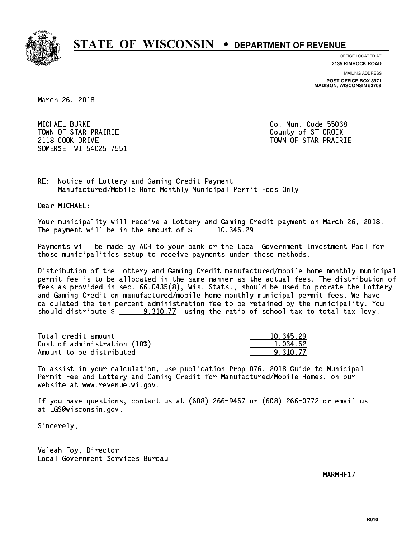

**OFFICE LOCATED AT**

**2135 RIMROCK ROAD**

**MAILING ADDRESS POST OFFICE BOX 8971 MADISON, WISCONSIN 53708**

March 26, 2018

 MICHAEL BURKE Co. Mun. Code 55038 TOWN OF STAR PRAIRIE **COUNTY COUNTY OF STAR PRAIRIE** 2118 COOK DRIVE TOWN OF STAR PRAIRIE SOMERSET WI 54025-7551

RE: Notice of Lottery and Gaming Credit Payment Manufactured/Mobile Home Monthly Municipal Permit Fees Only

Dear MICHAEL:

 Your municipality will receive a Lottery and Gaming Credit payment on March 26, 2018. The payment will be in the amount of  $\frac{2}{3}$  10,345.29

 Payments will be made by ACH to your bank or the Local Government Investment Pool for those municipalities setup to receive payments under these methods.

 Distribution of the Lottery and Gaming Credit manufactured/mobile home monthly municipal permit fee is to be allocated in the same manner as the actual fees. The distribution of fees as provided in sec. 66.0435(8), Wis. Stats., should be used to prorate the Lottery and Gaming Credit on manufactured/mobile home monthly municipal permit fees. We have calculated the ten percent administration fee to be retained by the municipality. You should distribute  $\frac{2}{2}$  9,310.77 using the ratio of school tax to total tax levy.

| Total credit amount          | 10,345.29 |
|------------------------------|-----------|
| Cost of administration (10%) | 1.034.52  |
| Amount to be distributed     | 9.310.77  |

 To assist in your calculation, use publication Prop 076, 2018 Guide to Municipal Permit Fee and Lottery and Gaming Credit for Manufactured/Mobile Homes, on our website at www.revenue.wi.gov.

 If you have questions, contact us at (608) 266-9457 or (608) 266-0772 or email us at LGS@wisconsin.gov.

Sincerely,

 Valeah Foy, Director Local Government Services Bureau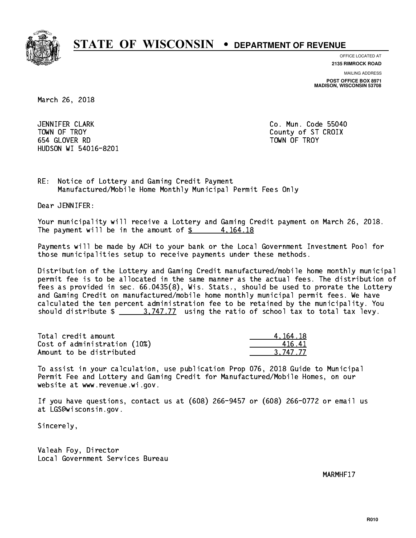

**OFFICE LOCATED AT**

**2135 RIMROCK ROAD**

**MAILING ADDRESS POST OFFICE BOX 8971 MADISON, WISCONSIN 53708**

March 26, 2018

 JENNIFER CLARK Co. Mun. Code 55040 TOWN OF TROY COUNTY COUNTY COUNTY OF ST CROIX 654 GLOVER RD TOWN OF TROY HUDSON WI 54016-8201

RE: Notice of Lottery and Gaming Credit Payment Manufactured/Mobile Home Monthly Municipal Permit Fees Only

Dear JENNIFER:

 Your municipality will receive a Lottery and Gaming Credit payment on March 26, 2018. The payment will be in the amount of  $\frac{2}{3}$  4,164.18

 Payments will be made by ACH to your bank or the Local Government Investment Pool for those municipalities setup to receive payments under these methods.

 Distribution of the Lottery and Gaming Credit manufactured/mobile home monthly municipal permit fee is to be allocated in the same manner as the actual fees. The distribution of fees as provided in sec. 66.0435(8), Wis. Stats., should be used to prorate the Lottery and Gaming Credit on manufactured/mobile home monthly municipal permit fees. We have calculated the ten percent administration fee to be retained by the municipality. You should distribute  $\frac{2}{1}$   $\frac{3.747.77}{2}$  using the ratio of school tax to total tax levy.

| Total credit amount          | 4.164.18 |
|------------------------------|----------|
| Cost of administration (10%) | 41641    |
| Amount to be distributed     | 3.747.77 |

 To assist in your calculation, use publication Prop 076, 2018 Guide to Municipal Permit Fee and Lottery and Gaming Credit for Manufactured/Mobile Homes, on our website at www.revenue.wi.gov.

 If you have questions, contact us at (608) 266-9457 or (608) 266-0772 or email us at LGS@wisconsin.gov.

Sincerely,

 Valeah Foy, Director Local Government Services Bureau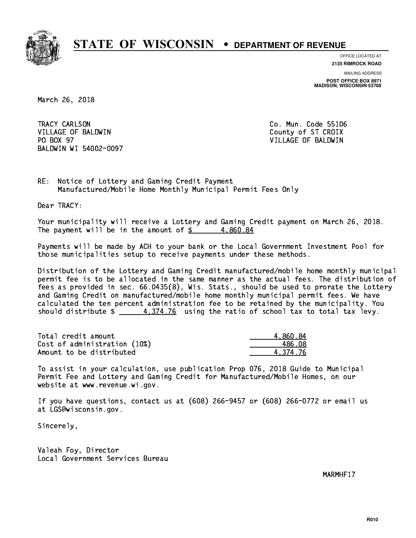

**OFFICE LOCATED AT 2135 RIMROCK ROAD**

**MAILING ADDRESS POST OFFICE BOX 8971 MADISON, WISCONSIN 53708**

March 26, 2018

TRACY CARLSON VILLAGE OF BALDWIN COUNTY COUNTY OF ST CROIX PO BOX 97 BALDWIN WI 54002-0097

Co. Mun. Code 55106 VILLAGE OF BALDWIN

RE: Notice of Lottery and Gaming Credit Payment Manufactured/Mobile Home Monthly Municipal Permit Fees Only

Dear TRACY:

 Your municipality will receive a Lottery and Gaming Credit payment on March 26, 2018. The payment will be in the amount of  $\frac{2}{3}$  4,860.84

 Payments will be made by ACH to your bank or the Local Government Investment Pool for those municipalities setup to receive payments under these methods.

 Distribution of the Lottery and Gaming Credit manufactured/mobile home monthly municipal permit fee is to be allocated in the same manner as the actual fees. The distribution of fees as provided in sec. 66.0435(8), Wis. Stats., should be used to prorate the Lottery and Gaming Credit on manufactured/mobile home monthly municipal permit fees. We have calculated the ten percent administration fee to be retained by the municipality. You should distribute  $\frac{4.374.76}{2}$  using the ratio of school tax to total tax levy.

| Total credit amount          | 4.860.84 |
|------------------------------|----------|
| Cost of administration (10%) | 486.08   |
| Amount to be distributed     | 4.374.76 |

 To assist in your calculation, use publication Prop 076, 2018 Guide to Municipal Permit Fee and Lottery and Gaming Credit for Manufactured/Mobile Homes, on our website at www.revenue.wi.gov.

 If you have questions, contact us at (608) 266-9457 or (608) 266-0772 or email us at LGS@wisconsin.gov.

Sincerely,

 Valeah Foy, Director Local Government Services Bureau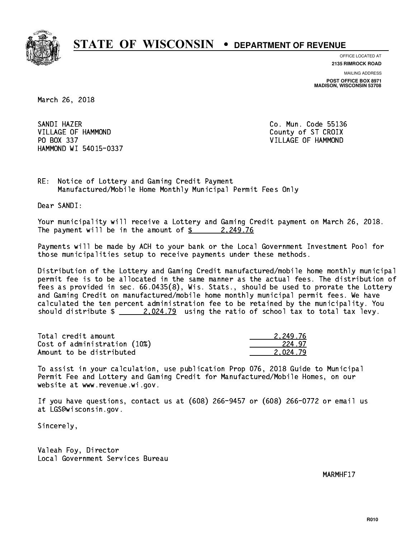

**OFFICE LOCATED AT 2135 RIMROCK ROAD**

**MAILING ADDRESS POST OFFICE BOX 8971 MADISON, WISCONSIN 53708**

March 26, 2018

SANDI HAZER SANDI HAZER CO. MUN. CO. MUN. CO. MUN. CO. MUN. CO. MUN. CO. MUN. CO. MUN. CO. MUN. CO. MUN. CO. MUN. CO. MUN. VILLAGE OF HAMMOND County of ST CROIX PO BOX 337 VILLAGE OF HAMMOND HAMMOND WI 54015-0337

RE: Notice of Lottery and Gaming Credit Payment Manufactured/Mobile Home Monthly Municipal Permit Fees Only

Dear SANDI:

 Your municipality will receive a Lottery and Gaming Credit payment on March 26, 2018. The payment will be in the amount of  $\frac{2}{3}$  2,249.76

 Payments will be made by ACH to your bank or the Local Government Investment Pool for those municipalities setup to receive payments under these methods.

 Distribution of the Lottery and Gaming Credit manufactured/mobile home monthly municipal permit fee is to be allocated in the same manner as the actual fees. The distribution of fees as provided in sec. 66.0435(8), Wis. Stats., should be used to prorate the Lottery and Gaming Credit on manufactured/mobile home monthly municipal permit fees. We have calculated the ten percent administration fee to be retained by the municipality. You should distribute  $\frac{2.024.79}{2.024.79}$  using the ratio of school tax to total tax levy.

| Total credit amount          | 2.249.76 |
|------------------------------|----------|
| Cost of administration (10%) | 224.97   |
| Amount to be distributed     | 2.024.79 |

 To assist in your calculation, use publication Prop 076, 2018 Guide to Municipal Permit Fee and Lottery and Gaming Credit for Manufactured/Mobile Homes, on our website at www.revenue.wi.gov.

 If you have questions, contact us at (608) 266-9457 or (608) 266-0772 or email us at LGS@wisconsin.gov.

Sincerely,

 Valeah Foy, Director Local Government Services Bureau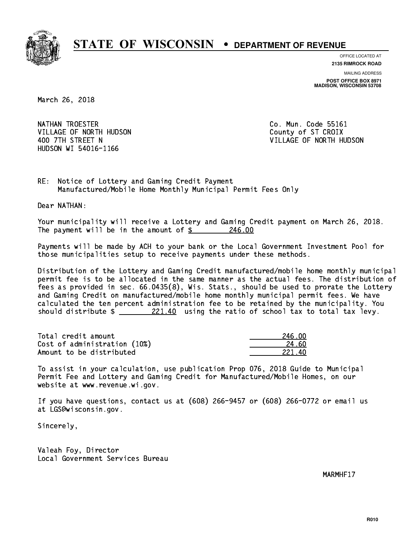

**OFFICE LOCATED AT 2135 RIMROCK ROAD**

**MAILING ADDRESS POST OFFICE BOX 8971 MADISON, WISCONSIN 53708**

March 26, 2018

NATHAN TROESTER **Co. Mun. Code 55161** VILLAGE OF NORTH HUDSON COUNTY OF ST CROIX HUDSON WI 54016-1166

400 7TH STREET N VILLAGE OF NORTH HUDSON

RE: Notice of Lottery and Gaming Credit Payment Manufactured/Mobile Home Monthly Municipal Permit Fees Only

Dear NATHAN:

 Your municipality will receive a Lottery and Gaming Credit payment on March 26, 2018. The payment will be in the amount of  $\frac{246.00}{246.00}$ 

 Payments will be made by ACH to your bank or the Local Government Investment Pool for those municipalities setup to receive payments under these methods.

 Distribution of the Lottery and Gaming Credit manufactured/mobile home monthly municipal permit fee is to be allocated in the same manner as the actual fees. The distribution of fees as provided in sec. 66.0435(8), Wis. Stats., should be used to prorate the Lottery and Gaming Credit on manufactured/mobile home monthly municipal permit fees. We have calculated the ten percent administration fee to be retained by the municipality. You should distribute  $\frac{221.40}{221.40}$  using the ratio of school tax to total tax levy.

Total credit amount Cost of administration (10%) Amount to be distributed

| 46.NN<br>$2^{\prime}$ |
|-----------------------|
| 24.60                 |
| 1ท<br>221.            |

 To assist in your calculation, use publication Prop 076, 2018 Guide to Municipal Permit Fee and Lottery and Gaming Credit for Manufactured/Mobile Homes, on our website at www.revenue.wi.gov.

 If you have questions, contact us at (608) 266-9457 or (608) 266-0772 or email us at LGS@wisconsin.gov.

Sincerely,

 Valeah Foy, Director Local Government Services Bureau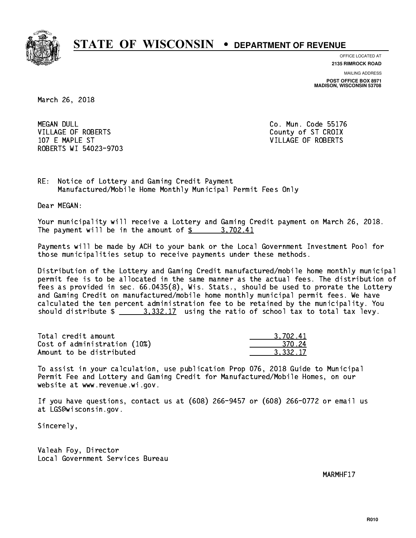

**OFFICE LOCATED AT 2135 RIMROCK ROAD**

**MAILING ADDRESS POST OFFICE BOX 8971 MADISON, WISCONSIN 53708**

March 26, 2018

**MEGAN DULL** VILLAGE OF ROBERTS COUNTY OF ST CROIX 107 E MAPLE ST VILLAGE OF ROBERTS ROBERTS WI 54023-9703

Co. Mun. Code 55176

RE: Notice of Lottery and Gaming Credit Payment Manufactured/Mobile Home Monthly Municipal Permit Fees Only

Dear MEGAN:

 Your municipality will receive a Lottery and Gaming Credit payment on March 26, 2018. The payment will be in the amount of \$ 3,702.41 \_\_\_\_\_\_\_\_\_\_\_\_\_\_\_\_

 Payments will be made by ACH to your bank or the Local Government Investment Pool for those municipalities setup to receive payments under these methods.

 Distribution of the Lottery and Gaming Credit manufactured/mobile home monthly municipal permit fee is to be allocated in the same manner as the actual fees. The distribution of fees as provided in sec. 66.0435(8), Wis. Stats., should be used to prorate the Lottery and Gaming Credit on manufactured/mobile home monthly municipal permit fees. We have calculated the ten percent administration fee to be retained by the municipality. You should distribute  $\frac{2}{2}$   $\frac{3}{332.17}$  using the ratio of school tax to total tax levy.

| Total credit amount          | 3.702.41 |
|------------------------------|----------|
| Cost of administration (10%) | 370.24   |
| Amount to be distributed     | 3.332.17 |

 To assist in your calculation, use publication Prop 076, 2018 Guide to Municipal Permit Fee and Lottery and Gaming Credit for Manufactured/Mobile Homes, on our website at www.revenue.wi.gov.

 If you have questions, contact us at (608) 266-9457 or (608) 266-0772 or email us at LGS@wisconsin.gov.

Sincerely,

 Valeah Foy, Director Local Government Services Bureau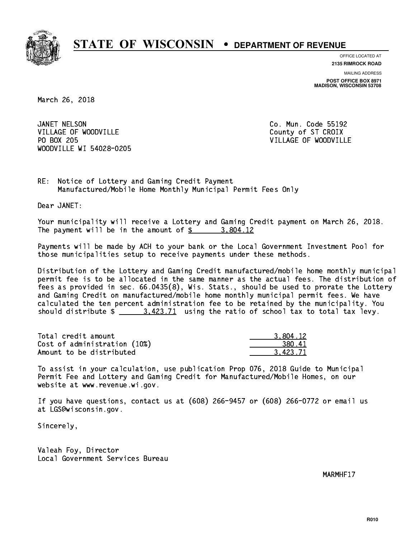

**OFFICE LOCATED AT**

**2135 RIMROCK ROAD**

**MAILING ADDRESS POST OFFICE BOX 8971 MADISON, WISCONSIN 53708**

March 26, 2018

JANET NELSON VILLAGE OF WOODVILLE COUNTY OF ST CROIX PO BOX 205 WOODVILLE WI 54028-0205

Co. Mun. Code 55192 VILLAGE OF WOODVILLE

RE: Notice of Lottery and Gaming Credit Payment Manufactured/Mobile Home Monthly Municipal Permit Fees Only

Dear JANET:

 Your municipality will receive a Lottery and Gaming Credit payment on March 26, 2018. The payment will be in the amount of  $\frac{2}{3}$  3,804.12

 Payments will be made by ACH to your bank or the Local Government Investment Pool for those municipalities setup to receive payments under these methods.

 Distribution of the Lottery and Gaming Credit manufactured/mobile home monthly municipal permit fee is to be allocated in the same manner as the actual fees. The distribution of fees as provided in sec. 66.0435(8), Wis. Stats., should be used to prorate the Lottery and Gaming Credit on manufactured/mobile home monthly municipal permit fees. We have calculated the ten percent administration fee to be retained by the municipality. You should distribute  $\frac{2}{1}$   $\frac{3.423.71}{2}$  using the ratio of school tax to total tax levy.

| Total credit amount          | 3.804.12 |
|------------------------------|----------|
| Cost of administration (10%) | 380.41   |
| Amount to be distributed     | 3.423.71 |

 To assist in your calculation, use publication Prop 076, 2018 Guide to Municipal Permit Fee and Lottery and Gaming Credit for Manufactured/Mobile Homes, on our website at www.revenue.wi.gov.

 If you have questions, contact us at (608) 266-9457 or (608) 266-0772 or email us at LGS@wisconsin.gov.

Sincerely,

 Valeah Foy, Director Local Government Services Bureau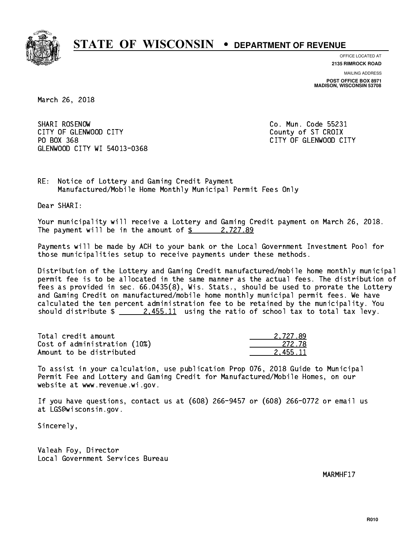

**OFFICE LOCATED AT**

**2135 RIMROCK ROAD**

**MAILING ADDRESS POST OFFICE BOX 8971 MADISON, WISCONSIN 53708**

March 26, 2018

SHARI ROSENOW CITY OF GLENWOOD CITY COUNTY COUNTY COUNTY OF ST CROIX PO BOX 368 GLENWOOD CITY WI 54013-0368

Co. Mun. Code 55231 CITY OF GLENWOOD CITY

RE: Notice of Lottery and Gaming Credit Payment Manufactured/Mobile Home Monthly Municipal Permit Fees Only

Dear SHARI:

 Your municipality will receive a Lottery and Gaming Credit payment on March 26, 2018. The payment will be in the amount of  $\frac{2}{3}$  2,727.89

 Payments will be made by ACH to your bank or the Local Government Investment Pool for those municipalities setup to receive payments under these methods.

 Distribution of the Lottery and Gaming Credit manufactured/mobile home monthly municipal permit fee is to be allocated in the same manner as the actual fees. The distribution of fees as provided in sec. 66.0435(8), Wis. Stats., should be used to prorate the Lottery and Gaming Credit on manufactured/mobile home monthly municipal permit fees. We have calculated the ten percent administration fee to be retained by the municipality. You should distribute  $\frac{2.455.11}{2.455.11}$  using the ratio of school tax to total tax levy.

| Total credit amount          | 2.727.89 |
|------------------------------|----------|
| Cost of administration (10%) | -272.78  |
| Amount to be distributed     | 2.455.11 |

 To assist in your calculation, use publication Prop 076, 2018 Guide to Municipal Permit Fee and Lottery and Gaming Credit for Manufactured/Mobile Homes, on our website at www.revenue.wi.gov.

 If you have questions, contact us at (608) 266-9457 or (608) 266-0772 or email us at LGS@wisconsin.gov.

Sincerely,

 Valeah Foy, Director Local Government Services Bureau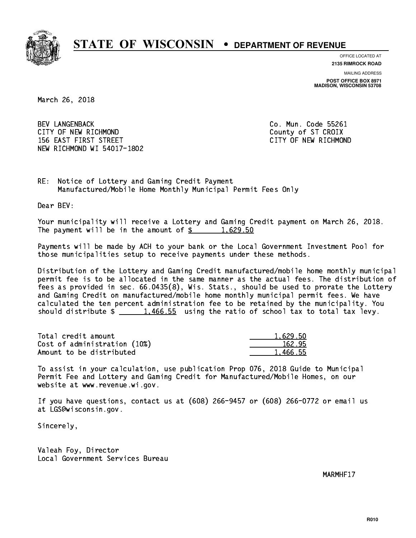

**OFFICE LOCATED AT**

**2135 RIMROCK ROAD**

**MAILING ADDRESS POST OFFICE BOX 8971 MADISON, WISCONSIN 53708**

March 26, 2018

 BEV LANGENBACK Co. Mun. Code 55261 CITY OF NEW RICHMOND COUNTY OF ST CROIX 156 EAST FIRST STREET CITY OF NEW RICHMOND NEW RICHMOND WI 54017-1802

RE: Notice of Lottery and Gaming Credit Payment Manufactured/Mobile Home Monthly Municipal Permit Fees Only

Dear BEV:

 Your municipality will receive a Lottery and Gaming Credit payment on March 26, 2018. The payment will be in the amount of  $\frac{2}{3}$  1,629.50

 Payments will be made by ACH to your bank or the Local Government Investment Pool for those municipalities setup to receive payments under these methods.

 Distribution of the Lottery and Gaming Credit manufactured/mobile home monthly municipal permit fee is to be allocated in the same manner as the actual fees. The distribution of fees as provided in sec. 66.0435(8), Wis. Stats., should be used to prorate the Lottery and Gaming Credit on manufactured/mobile home monthly municipal permit fees. We have calculated the ten percent administration fee to be retained by the municipality. You should distribute  $\frac{1,466.55}{1,466.55}$  using the ratio of school tax to total tax levy.

| Total credit amount          | 1,629.50 |
|------------------------------|----------|
| Cost of administration (10%) | 162.95   |
| Amount to be distributed     | 1,466.55 |

 To assist in your calculation, use publication Prop 076, 2018 Guide to Municipal Permit Fee and Lottery and Gaming Credit for Manufactured/Mobile Homes, on our website at www.revenue.wi.gov.

 If you have questions, contact us at (608) 266-9457 or (608) 266-0772 or email us at LGS@wisconsin.gov.

Sincerely,

 Valeah Foy, Director Local Government Services Bureau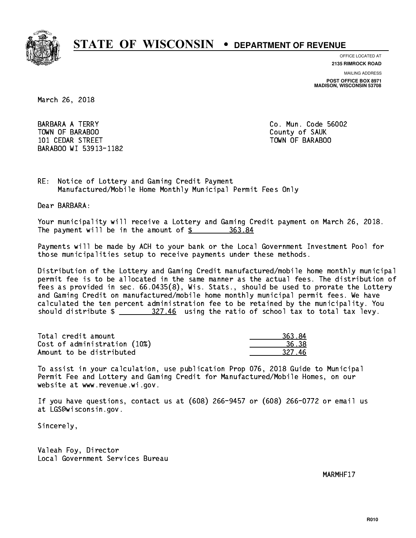

**OFFICE LOCATED AT 2135 RIMROCK ROAD**

**MAILING ADDRESS**

**POST OFFICE BOX 8971 MADISON, WISCONSIN 53708**

March 26, 2018

**BARBARA A TERRY**  TOWN OF BARABOO County of SAUK 101 CEDAR STREET TOWN OF BARABOO BARABOO WI 53913-1182

Co. Mun. Code 56002

RE: Notice of Lottery and Gaming Credit Payment Manufactured/Mobile Home Monthly Municipal Permit Fees Only

Dear BARBARA:

 Your municipality will receive a Lottery and Gaming Credit payment on March 26, 2018. The payment will be in the amount of \$ 363.84 \_\_\_\_\_\_\_\_\_\_\_\_\_\_\_\_

 Payments will be made by ACH to your bank or the Local Government Investment Pool for those municipalities setup to receive payments under these methods.

 Distribution of the Lottery and Gaming Credit manufactured/mobile home monthly municipal permit fee is to be allocated in the same manner as the actual fees. The distribution of fees as provided in sec. 66.0435(8), Wis. Stats., should be used to prorate the Lottery and Gaming Credit on manufactured/mobile home monthly municipal permit fees. We have calculated the ten percent administration fee to be retained by the municipality. You should distribute  $\frac{27.46}{27.46}$  using the ratio of school tax to total tax levy.

| Total credit amount          | 363.84 |
|------------------------------|--------|
| Cost of administration (10%) | 36.38  |
| Amount to be distributed     | 327 46 |

| 63.84      |
|------------|
| 5 R.R      |
| .6<br>327. |

 To assist in your calculation, use publication Prop 076, 2018 Guide to Municipal Permit Fee and Lottery and Gaming Credit for Manufactured/Mobile Homes, on our website at www.revenue.wi.gov.

 If you have questions, contact us at (608) 266-9457 or (608) 266-0772 or email us at LGS@wisconsin.gov.

Sincerely,

 Valeah Foy, Director Local Government Services Bureau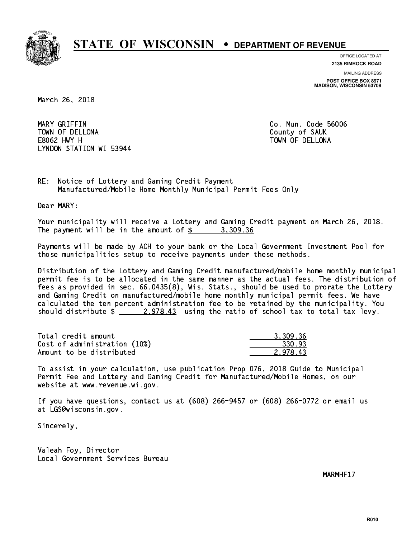

**OFFICE LOCATED AT**

**2135 RIMROCK ROAD**

**MAILING ADDRESS POST OFFICE BOX 8971 MADISON, WISCONSIN 53708**

March 26, 2018

 MARY GRIFFIN Co. Mun. Code 56006 TOWN OF DELLONA County of SAUK E8062 HWY H TOWN OF DELLONA LYNDON STATION WI 53944

RE: Notice of Lottery and Gaming Credit Payment Manufactured/Mobile Home Monthly Municipal Permit Fees Only

Dear MARY:

 Your municipality will receive a Lottery and Gaming Credit payment on March 26, 2018. The payment will be in the amount of  $\frac{2}{3}$  3,309.36

 Payments will be made by ACH to your bank or the Local Government Investment Pool for those municipalities setup to receive payments under these methods.

 Distribution of the Lottery and Gaming Credit manufactured/mobile home monthly municipal permit fee is to be allocated in the same manner as the actual fees. The distribution of fees as provided in sec. 66.0435(8), Wis. Stats., should be used to prorate the Lottery and Gaming Credit on manufactured/mobile home monthly municipal permit fees. We have calculated the ten percent administration fee to be retained by the municipality. You should distribute  $\frac{2.978.43}{2.978.43}$  using the ratio of school tax to total tax levy.

| Total credit amount          | 3,309.36 |
|------------------------------|----------|
| Cost of administration (10%) | 330.93   |
| Amount to be distributed     | 2.978.43 |

 To assist in your calculation, use publication Prop 076, 2018 Guide to Municipal Permit Fee and Lottery and Gaming Credit for Manufactured/Mobile Homes, on our website at www.revenue.wi.gov.

 If you have questions, contact us at (608) 266-9457 or (608) 266-0772 or email us at LGS@wisconsin.gov.

Sincerely,

 Valeah Foy, Director Local Government Services Bureau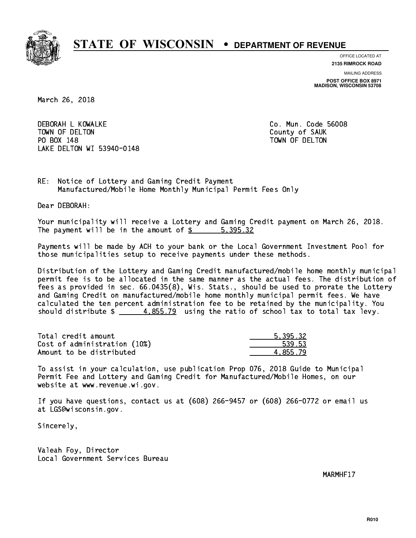

**OFFICE LOCATED AT 2135 RIMROCK ROAD**

**MAILING ADDRESS POST OFFICE BOX 8971 MADISON, WISCONSIN 53708**

March 26, 2018

 DEBORAH L KOWALKE Co. Mun. Code 56008 TOWN OF DELTON County of SAUK PO BOX 148 PO BOX 148 TOWN OF DELTON LAKE DELTON WI 53940-0148

RE: Notice of Lottery and Gaming Credit Payment Manufactured/Mobile Home Monthly Municipal Permit Fees Only

Dear DEBORAH:

 Your municipality will receive a Lottery and Gaming Credit payment on March 26, 2018. The payment will be in the amount of \$ 5,395.32 \_\_\_\_\_\_\_\_\_\_\_\_\_\_\_\_

 Payments will be made by ACH to your bank or the Local Government Investment Pool for those municipalities setup to receive payments under these methods.

 Distribution of the Lottery and Gaming Credit manufactured/mobile home monthly municipal permit fee is to be allocated in the same manner as the actual fees. The distribution of fees as provided in sec. 66.0435(8), Wis. Stats., should be used to prorate the Lottery and Gaming Credit on manufactured/mobile home monthly municipal permit fees. We have calculated the ten percent administration fee to be retained by the municipality. You should distribute  $\frac{4.855.79}{4.855.79}$  using the ratio of school tax to total tax levy.

| Total credit amount          | 5.395.32 |
|------------------------------|----------|
| Cost of administration (10%) | 539.53   |
| Amount to be distributed     | 4.855.79 |

 To assist in your calculation, use publication Prop 076, 2018 Guide to Municipal Permit Fee and Lottery and Gaming Credit for Manufactured/Mobile Homes, on our website at www.revenue.wi.gov.

 If you have questions, contact us at (608) 266-9457 or (608) 266-0772 or email us at LGS@wisconsin.gov.

Sincerely,

 Valeah Foy, Director Local Government Services Bureau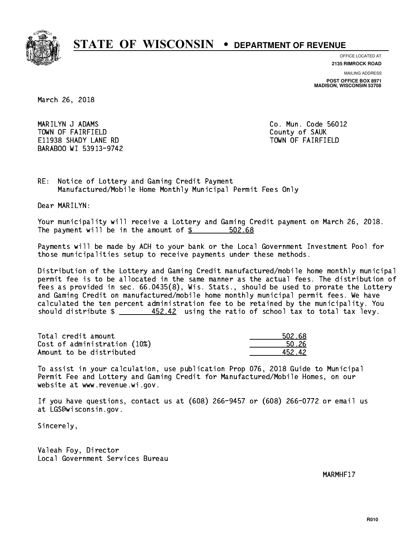

**OFFICE LOCATED AT**

**2135 RIMROCK ROAD**

**MAILING ADDRESS POST OFFICE BOX 8971 MADISON, WISCONSIN 53708**

March 26, 2018

 MARILYN J ADAMS Co. Mun. Code 56012 TOWN OF FAIRFIELD County of SAUK E11938 SHADY LANE RD TOWN OF FAIRFIELD BARABOO WI 53913-9742

RE: Notice of Lottery and Gaming Credit Payment Manufactured/Mobile Home Monthly Municipal Permit Fees Only

Dear MARILYN:

 Your municipality will receive a Lottery and Gaming Credit payment on March 26, 2018. The payment will be in the amount of  $$ 502.68$ 

 Payments will be made by ACH to your bank or the Local Government Investment Pool for those municipalities setup to receive payments under these methods.

 Distribution of the Lottery and Gaming Credit manufactured/mobile home monthly municipal permit fee is to be allocated in the same manner as the actual fees. The distribution of fees as provided in sec. 66.0435(8), Wis. Stats., should be used to prorate the Lottery and Gaming Credit on manufactured/mobile home monthly municipal permit fees. We have calculated the ten percent administration fee to be retained by the municipality. You should distribute  $\frac{452.42}{1000}$  using the ratio of school tax to total tax levy.

Total credit amount Cost of administration (10%) Amount to be distributed

| 502.68 |
|--------|
| l 26   |
| ነ2 42. |

 To assist in your calculation, use publication Prop 076, 2018 Guide to Municipal Permit Fee and Lottery and Gaming Credit for Manufactured/Mobile Homes, on our website at www.revenue.wi.gov.

 If you have questions, contact us at (608) 266-9457 or (608) 266-0772 or email us at LGS@wisconsin.gov.

Sincerely,

 Valeah Foy, Director Local Government Services Bureau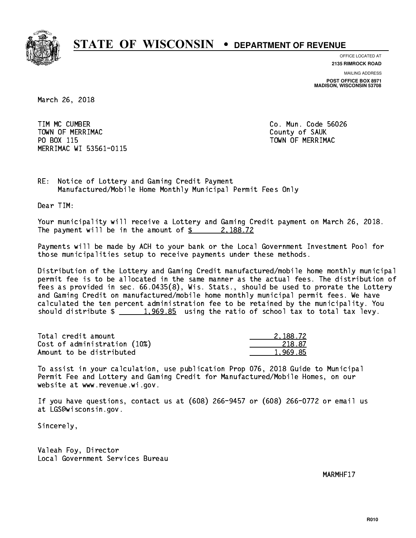

**OFFICE LOCATED AT**

**2135 RIMROCK ROAD**

**MAILING ADDRESS POST OFFICE BOX 8971 MADISON, WISCONSIN 53708**

March 26, 2018

 TIM MC CUMBER Co. Mun. Code 56026 Town of Merriman County of Sauka County of Sauka County of Sauka County of Sauka County of Sauka County of Sau PO BOX 115 PO BOX 115 TOWN OF MERRIMAC MERRIMAC WI 53561-0115

RE: Notice of Lottery and Gaming Credit Payment Manufactured/Mobile Home Monthly Municipal Permit Fees Only

Dear TIM:

 Your municipality will receive a Lottery and Gaming Credit payment on March 26, 2018. The payment will be in the amount of  $\frac{2}{3}$  2,188.72

 Payments will be made by ACH to your bank or the Local Government Investment Pool for those municipalities setup to receive payments under these methods.

 Distribution of the Lottery and Gaming Credit manufactured/mobile home monthly municipal permit fee is to be allocated in the same manner as the actual fees. The distribution of fees as provided in sec. 66.0435(8), Wis. Stats., should be used to prorate the Lottery and Gaming Credit on manufactured/mobile home monthly municipal permit fees. We have calculated the ten percent administration fee to be retained by the municipality. You should distribute  $\frac{1,969.85}{1,969.85}$  using the ratio of school tax to total tax levy.

| Total credit amount          | 2.188.72 |
|------------------------------|----------|
| Cost of administration (10%) | 218.87   |
| Amount to be distributed     | 1.969.85 |

 To assist in your calculation, use publication Prop 076, 2018 Guide to Municipal Permit Fee and Lottery and Gaming Credit for Manufactured/Mobile Homes, on our website at www.revenue.wi.gov.

 If you have questions, contact us at (608) 266-9457 or (608) 266-0772 or email us at LGS@wisconsin.gov.

Sincerely,

 Valeah Foy, Director Local Government Services Bureau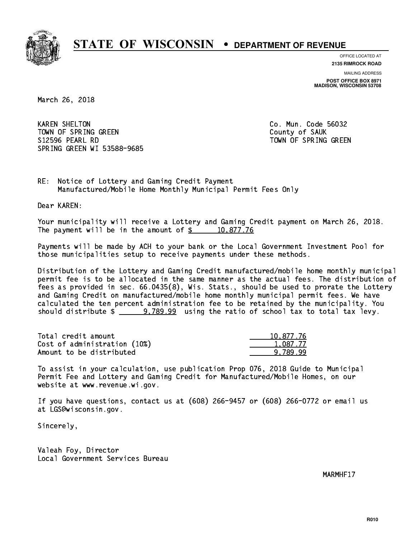

**OFFICE LOCATED AT**

**2135 RIMROCK ROAD**

**MAILING ADDRESS POST OFFICE BOX 8971 MADISON, WISCONSIN 53708**

March 26, 2018

**KAREN SHELTON** TOWN OF SPRING GREEN COUNTY OF SAUK S12596 PEARL RD TOWN OF SPRING GREEN SPRING GREEN WI 53588-9685

Co. Mun. Code 56032

RE: Notice of Lottery and Gaming Credit Payment Manufactured/Mobile Home Monthly Municipal Permit Fees Only

Dear KAREN:

 Your municipality will receive a Lottery and Gaming Credit payment on March 26, 2018. The payment will be in the amount of  $\frac{2}{3}$  10,877.76

 Payments will be made by ACH to your bank or the Local Government Investment Pool for those municipalities setup to receive payments under these methods.

 Distribution of the Lottery and Gaming Credit manufactured/mobile home monthly municipal permit fee is to be allocated in the same manner as the actual fees. The distribution of fees as provided in sec. 66.0435(8), Wis. Stats., should be used to prorate the Lottery and Gaming Credit on manufactured/mobile home monthly municipal permit fees. We have calculated the ten percent administration fee to be retained by the municipality. You should distribute  $\frac{2}{2}$   $\frac{9}{2}$   $\frac{789.99}{2}$  using the ratio of school tax to total tax levy.

| Total credit amount          | 10,877.76 |
|------------------------------|-----------|
| Cost of administration (10%) | 1,087.77  |
| Amount to be distributed     | 9.789.99  |

 To assist in your calculation, use publication Prop 076, 2018 Guide to Municipal Permit Fee and Lottery and Gaming Credit for Manufactured/Mobile Homes, on our website at www.revenue.wi.gov.

 If you have questions, contact us at (608) 266-9457 or (608) 266-0772 or email us at LGS@wisconsin.gov.

Sincerely,

 Valeah Foy, Director Local Government Services Bureau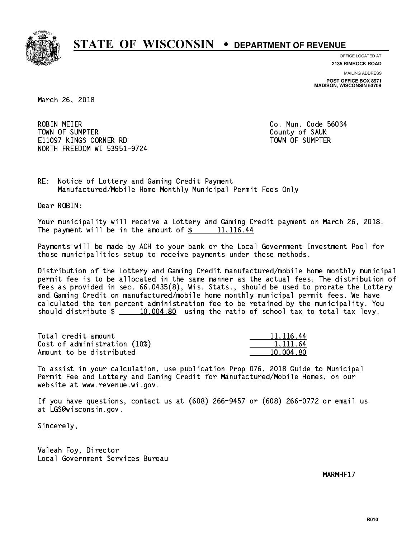

**OFFICE LOCATED AT**

**2135 RIMROCK ROAD**

**MAILING ADDRESS POST OFFICE BOX 8971 MADISON, WISCONSIN 53708**

March 26, 2018

**ROBIN MEIER**  TOWN OF SUMPTER County of SAUK E11097 KINGS CORNER RD TOWN OF SUMPTER NORTH FREEDOM WI 53951-9724

Co. Mun. Code 56034

RE: Notice of Lottery and Gaming Credit Payment Manufactured/Mobile Home Monthly Municipal Permit Fees Only

Dear ROBIN:

 Your municipality will receive a Lottery and Gaming Credit payment on March 26, 2018. The payment will be in the amount of  $\frac{2}{3}$  11,116.44

 Payments will be made by ACH to your bank or the Local Government Investment Pool for those municipalities setup to receive payments under these methods.

 Distribution of the Lottery and Gaming Credit manufactured/mobile home monthly municipal permit fee is to be allocated in the same manner as the actual fees. The distribution of fees as provided in sec. 66.0435(8), Wis. Stats., should be used to prorate the Lottery and Gaming Credit on manufactured/mobile home monthly municipal permit fees. We have calculated the ten percent administration fee to be retained by the municipality. You should distribute  $\frac{10,004.80}{2}$  using the ratio of school tax to total tax levy.

| Total credit amount          | 11, 116.44 |
|------------------------------|------------|
| Cost of administration (10%) | 1.111.64   |
| Amount to be distributed     | 10.004.80  |

 To assist in your calculation, use publication Prop 076, 2018 Guide to Municipal Permit Fee and Lottery and Gaming Credit for Manufactured/Mobile Homes, on our website at www.revenue.wi.gov.

 If you have questions, contact us at (608) 266-9457 or (608) 266-0772 or email us at LGS@wisconsin.gov.

Sincerely,

 Valeah Foy, Director Local Government Services Bureau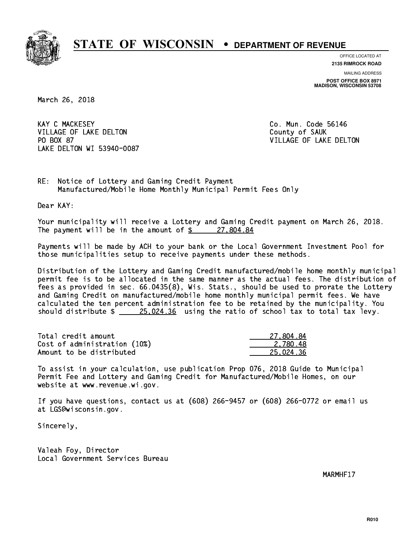

**OFFICE LOCATED AT**

**2135 RIMROCK ROAD**

**MAILING ADDRESS POST OFFICE BOX 8971 MADISON, WISCONSIN 53708**

March 26, 2018

**KAY C MACKESEY** VILLAGE OF LAKE DELTON COUNTY OF SAUK PO BOX 87 LAKE DELTON WI 53940-0087

Co. Mun. Code 56146 VILLAGE OF LAKE DELTON

RE: Notice of Lottery and Gaming Credit Payment Manufactured/Mobile Home Monthly Municipal Permit Fees Only

Dear KAY:

 Your municipality will receive a Lottery and Gaming Credit payment on March 26, 2018. The payment will be in the amount of \$ 27,804.84 \_\_\_\_\_\_\_\_\_\_\_\_\_\_\_\_

 Payments will be made by ACH to your bank or the Local Government Investment Pool for those municipalities setup to receive payments under these methods.

 Distribution of the Lottery and Gaming Credit manufactured/mobile home monthly municipal permit fee is to be allocated in the same manner as the actual fees. The distribution of fees as provided in sec. 66.0435(8), Wis. Stats., should be used to prorate the Lottery and Gaming Credit on manufactured/mobile home monthly municipal permit fees. We have calculated the ten percent administration fee to be retained by the municipality. You should distribute  $\frac{25.024.36}{25.024.36}$  using the ratio of school tax to total tax levy.

| Total credit amount          | 27,804.84 |
|------------------------------|-----------|
| Cost of administration (10%) | 2.780.48  |
| Amount to be distributed     | 25.024.36 |

 To assist in your calculation, use publication Prop 076, 2018 Guide to Municipal Permit Fee and Lottery and Gaming Credit for Manufactured/Mobile Homes, on our website at www.revenue.wi.gov.

 If you have questions, contact us at (608) 266-9457 or (608) 266-0772 or email us at LGS@wisconsin.gov.

Sincerely,

 Valeah Foy, Director Local Government Services Bureau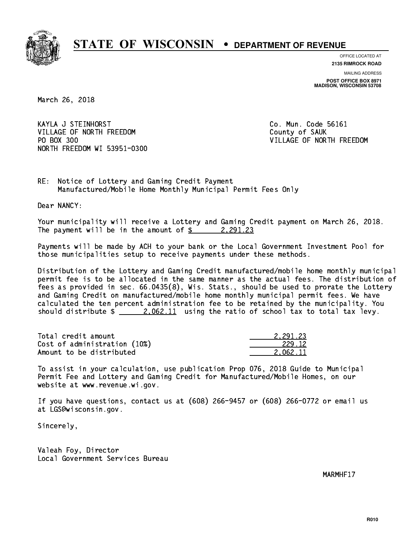

**OFFICE LOCATED AT**

**2135 RIMROCK ROAD**

**MAILING ADDRESS POST OFFICE BOX 8971 MADISON, WISCONSIN 53708**

March 26, 2018

 KAYLA J STEINHORST Co. Mun. Code 56161 VILLAGE OF NORTH FREEDOM County of SAUK PO BOX 300 NORTH FREEDOM WI 53951-0300

VILLAGE OF NORTH FREEDOM

RE: Notice of Lottery and Gaming Credit Payment Manufactured/Mobile Home Monthly Municipal Permit Fees Only

Dear NANCY:

 Your municipality will receive a Lottery and Gaming Credit payment on March 26, 2018. The payment will be in the amount of  $\frac{2}{3}$  2,291.23

 Payments will be made by ACH to your bank or the Local Government Investment Pool for those municipalities setup to receive payments under these methods.

 Distribution of the Lottery and Gaming Credit manufactured/mobile home monthly municipal permit fee is to be allocated in the same manner as the actual fees. The distribution of fees as provided in sec. 66.0435(8), Wis. Stats., should be used to prorate the Lottery and Gaming Credit on manufactured/mobile home monthly municipal permit fees. We have calculated the ten percent administration fee to be retained by the municipality. You should distribute  $\frac{2.062.11}{2.062.11}$  using the ratio of school tax to total tax levy.

| Total credit amount          | 2.291.23 |
|------------------------------|----------|
| Cost of administration (10%) | 229.12   |
| Amount to be distributed     | 2.062.11 |

 To assist in your calculation, use publication Prop 076, 2018 Guide to Municipal Permit Fee and Lottery and Gaming Credit for Manufactured/Mobile Homes, on our website at www.revenue.wi.gov.

 If you have questions, contact us at (608) 266-9457 or (608) 266-0772 or email us at LGS@wisconsin.gov.

Sincerely,

 Valeah Foy, Director Local Government Services Bureau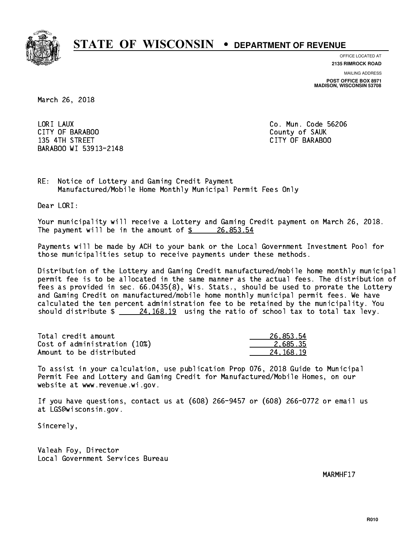

**OFFICE LOCATED AT**

**MAILING ADDRESS 2135 RIMROCK ROAD**

**POST OFFICE BOX 8971 MADISON, WISCONSIN 53708**

March 26, 2018

LORI LAUX CITY OF BARABOO County of SAUK 135 4TH STREET CITY OF BARABOO BARABOO WI 53913-2148

Co. Mun. Code 56206

RE: Notice of Lottery and Gaming Credit Payment Manufactured/Mobile Home Monthly Municipal Permit Fees Only

Dear LORI:

 Your municipality will receive a Lottery and Gaming Credit payment on March 26, 2018. The payment will be in the amount of  $\frac{26}{8}$  26,853.54

 Payments will be made by ACH to your bank or the Local Government Investment Pool for those municipalities setup to receive payments under these methods.

 Distribution of the Lottery and Gaming Credit manufactured/mobile home monthly municipal permit fee is to be allocated in the same manner as the actual fees. The distribution of fees as provided in sec. 66.0435(8), Wis. Stats., should be used to prorate the Lottery and Gaming Credit on manufactured/mobile home monthly municipal permit fees. We have calculated the ten percent administration fee to be retained by the municipality. You should distribute  $\frac{24,168.19}{24,168.19}$  using the ratio of school tax to total tax levy.

| Total credit amount          | 26,853.54 |
|------------------------------|-----------|
| Cost of administration (10%) | 2.685.35  |
| Amount to be distributed     | 24.168.19 |

 To assist in your calculation, use publication Prop 076, 2018 Guide to Municipal Permit Fee and Lottery and Gaming Credit for Manufactured/Mobile Homes, on our website at www.revenue.wi.gov.

 If you have questions, contact us at (608) 266-9457 or (608) 266-0772 or email us at LGS@wisconsin.gov.

Sincerely,

 Valeah Foy, Director Local Government Services Bureau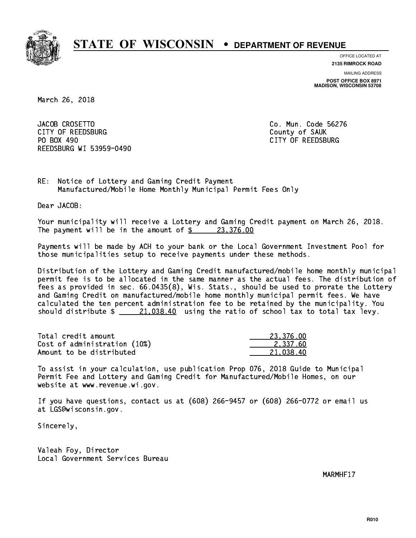

**OFFICE LOCATED AT**

**2135 RIMROCK ROAD**

**MAILING ADDRESS POST OFFICE BOX 8971 MADISON, WISCONSIN 53708**

March 26, 2018

JACOB CROSETTO CITY OF REEDSBURG COUNTY COUNTY OF SAUK PO BOX 490 REEDSBURG WI 53959-0490

Co. Mun. Code 56276 CITY OF REEDSBURG

RE: Notice of Lottery and Gaming Credit Payment Manufactured/Mobile Home Monthly Municipal Permit Fees Only

Dear JACOB:

 Your municipality will receive a Lottery and Gaming Credit payment on March 26, 2018. The payment will be in the amount of  $\frac{23,376.00}{23,376.00}$ 

 Payments will be made by ACH to your bank or the Local Government Investment Pool for those municipalities setup to receive payments under these methods.

 Distribution of the Lottery and Gaming Credit manufactured/mobile home monthly municipal permit fee is to be allocated in the same manner as the actual fees. The distribution of fees as provided in sec. 66.0435(8), Wis. Stats., should be used to prorate the Lottery and Gaming Credit on manufactured/mobile home monthly municipal permit fees. We have calculated the ten percent administration fee to be retained by the municipality. You should distribute  $\frac{21,038.40}{21,038.40}$  using the ratio of school tax to total tax levy.

| Total credit amount          | 23.376.00 |
|------------------------------|-----------|
| Cost of administration (10%) | 2.337.60  |
| Amount to be distributed     | 21.038.40 |

 To assist in your calculation, use publication Prop 076, 2018 Guide to Municipal Permit Fee and Lottery and Gaming Credit for Manufactured/Mobile Homes, on our website at www.revenue.wi.gov.

 If you have questions, contact us at (608) 266-9457 or (608) 266-0772 or email us at LGS@wisconsin.gov.

Sincerely,

 Valeah Foy, Director Local Government Services Bureau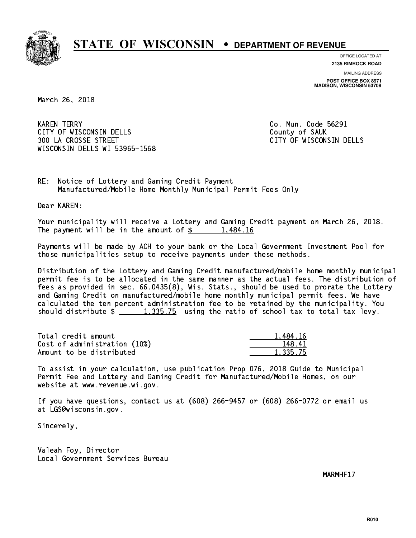

**OFFICE LOCATED AT**

**2135 RIMROCK ROAD**

**MAILING ADDRESS POST OFFICE BOX 8971 MADISON, WISCONSIN 53708**

March 26, 2018

**KAREN TERRY** CITY OF WISCONSIN DELLS COUNTY OF SAUK 300 LA CROSSE STREET CITY OF WISCONSIN DELLS WISCONSIN DELLS WI 53965-1568

Co. Mun. Code 56291

RE: Notice of Lottery and Gaming Credit Payment Manufactured/Mobile Home Monthly Municipal Permit Fees Only

Dear KAREN:

 Your municipality will receive a Lottery and Gaming Credit payment on March 26, 2018. The payment will be in the amount of  $\frac{2}{3}$  1,484.16

 Payments will be made by ACH to your bank or the Local Government Investment Pool for those municipalities setup to receive payments under these methods.

 Distribution of the Lottery and Gaming Credit manufactured/mobile home monthly municipal permit fee is to be allocated in the same manner as the actual fees. The distribution of fees as provided in sec. 66.0435(8), Wis. Stats., should be used to prorate the Lottery and Gaming Credit on manufactured/mobile home monthly municipal permit fees. We have calculated the ten percent administration fee to be retained by the municipality. You should distribute  $\frac{1,335.75}{2}$  using the ratio of school tax to total tax levy.

| Total credit amount          | 1,484.16 |
|------------------------------|----------|
| Cost of administration (10%) | 148.41   |
| Amount to be distributed     | 1,335.75 |

 To assist in your calculation, use publication Prop 076, 2018 Guide to Municipal Permit Fee and Lottery and Gaming Credit for Manufactured/Mobile Homes, on our website at www.revenue.wi.gov.

 If you have questions, contact us at (608) 266-9457 or (608) 266-0772 or email us at LGS@wisconsin.gov.

Sincerely,

 Valeah Foy, Director Local Government Services Bureau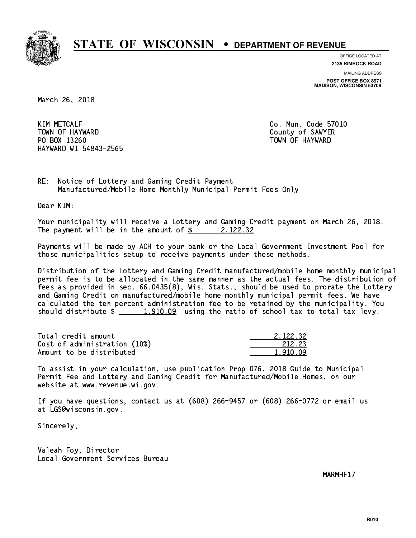

**OFFICE LOCATED AT**

**2135 RIMROCK ROAD**

**MAILING ADDRESS POST OFFICE BOX 8971 MADISON, WISCONSIN 53708**

March 26, 2018

**KIM METCALF** TOWN OF HAYWARD COUNTY OF SAMPLE COUNTY OF SAMPLER PO BOX 13260 TOWN OF HAYWARD HAYWARD WI 54843-2565

Co. Mun. Code 57010

RE: Notice of Lottery and Gaming Credit Payment Manufactured/Mobile Home Monthly Municipal Permit Fees Only

Dear KIM:

 Your municipality will receive a Lottery and Gaming Credit payment on March 26, 2018. The payment will be in the amount of  $\frac{2}{3}$  2, 122.32

 Payments will be made by ACH to your bank or the Local Government Investment Pool for those municipalities setup to receive payments under these methods.

 Distribution of the Lottery and Gaming Credit manufactured/mobile home monthly municipal permit fee is to be allocated in the same manner as the actual fees. The distribution of fees as provided in sec. 66.0435(8), Wis. Stats., should be used to prorate the Lottery and Gaming Credit on manufactured/mobile home monthly municipal permit fees. We have calculated the ten percent administration fee to be retained by the municipality. You should distribute  $\frac{1,910.09}{1,910.09}$  using the ratio of school tax to total tax levy.

| Total credit amount          | 2.122.32 |
|------------------------------|----------|
| Cost of administration (10%) | 212.23   |
| Amount to be distributed     | 1.910.09 |

 To assist in your calculation, use publication Prop 076, 2018 Guide to Municipal Permit Fee and Lottery and Gaming Credit for Manufactured/Mobile Homes, on our website at www.revenue.wi.gov.

 If you have questions, contact us at (608) 266-9457 or (608) 266-0772 or email us at LGS@wisconsin.gov.

Sincerely,

 Valeah Foy, Director Local Government Services Bureau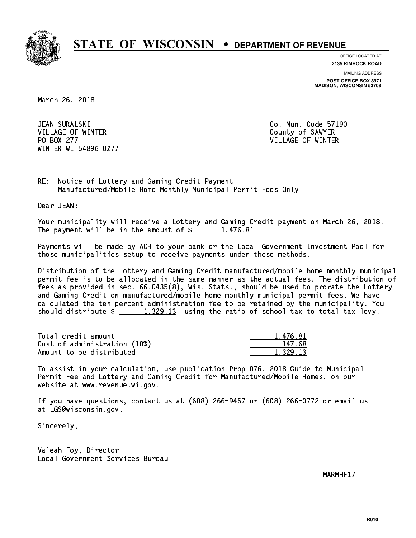

**OFFICE LOCATED AT**

**2135 RIMROCK ROAD**

**MAILING ADDRESS POST OFFICE BOX 8971 MADISON, WISCONSIN 53708**

March 26, 2018

JEAN SURALSKI VILLAGE OF WINTER COUNTY OF SAMPLE COUNTY OF SAMPLE COUNTY OF SAMPLE COUNTY OF SAMPLE COUNTY OF SAMPLE COUNTY OF SAMPLE COUNTY OF SAMPLE COUNTY OF SAMPLE COUNTY OF SAMPLE COUNTY OF SAMPLE COUNTY OF SAMPLE COUNTY OF SAMPLE PO BOX 277 VILLAGE OF WINTER WINTER WI 54896-0277

Co. Mun. Code 57190

RE: Notice of Lottery and Gaming Credit Payment Manufactured/Mobile Home Monthly Municipal Permit Fees Only

Dear JEAN:

 Your municipality will receive a Lottery and Gaming Credit payment on March 26, 2018. The payment will be in the amount of  $\frac{2}{3}$  1,476.81

 Payments will be made by ACH to your bank or the Local Government Investment Pool for those municipalities setup to receive payments under these methods.

 Distribution of the Lottery and Gaming Credit manufactured/mobile home monthly municipal permit fee is to be allocated in the same manner as the actual fees. The distribution of fees as provided in sec. 66.0435(8), Wis. Stats., should be used to prorate the Lottery and Gaming Credit on manufactured/mobile home monthly municipal permit fees. We have calculated the ten percent administration fee to be retained by the municipality. You should distribute  $\frac{1,329.13}{1,329.13}$  using the ratio of school tax to total tax levy.

| Total credit amount          | 1,476.81 |
|------------------------------|----------|
| Cost of administration (10%) | 147.68   |
| Amount to be distributed     | 1.329.13 |

 To assist in your calculation, use publication Prop 076, 2018 Guide to Municipal Permit Fee and Lottery and Gaming Credit for Manufactured/Mobile Homes, on our website at www.revenue.wi.gov.

 If you have questions, contact us at (608) 266-9457 or (608) 266-0772 or email us at LGS@wisconsin.gov.

Sincerely,

 Valeah Foy, Director Local Government Services Bureau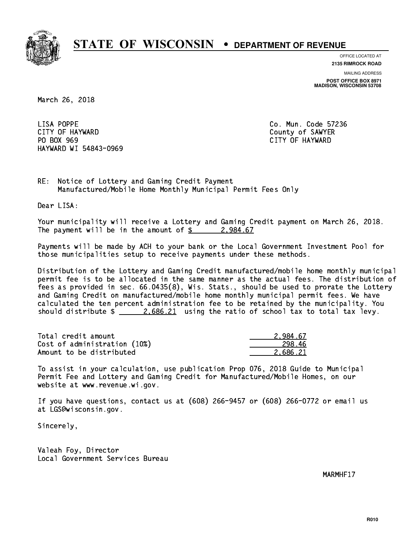

**OFFICE LOCATED AT**

**2135 RIMROCK ROAD**

**MAILING ADDRESS POST OFFICE BOX 8971 MADISON, WISCONSIN 53708**

March 26, 2018

LISA POPPE CITY OF HAYWARD COUNTY OF SAWYER PO BOX 969 PO BOX 969 CITY OF HAYWARD HAYWARD WI 54843-0969

Co. Mun. Code 57236

RE: Notice of Lottery and Gaming Credit Payment Manufactured/Mobile Home Monthly Municipal Permit Fees Only

Dear LISA:

 Your municipality will receive a Lottery and Gaming Credit payment on March 26, 2018. The payment will be in the amount of  $\frac{2}{3}$  2,984.67

 Payments will be made by ACH to your bank or the Local Government Investment Pool for those municipalities setup to receive payments under these methods.

 Distribution of the Lottery and Gaming Credit manufactured/mobile home monthly municipal permit fee is to be allocated in the same manner as the actual fees. The distribution of fees as provided in sec. 66.0435(8), Wis. Stats., should be used to prorate the Lottery and Gaming Credit on manufactured/mobile home monthly municipal permit fees. We have calculated the ten percent administration fee to be retained by the municipality. You should distribute  $\frac{2.686.21}{2.686.21}$  using the ratio of school tax to total tax levy.

| Total credit amount          | 2.984.67 |
|------------------------------|----------|
| Cost of administration (10%) | 298.46   |
| Amount to be distributed     | 2.686.21 |

 To assist in your calculation, use publication Prop 076, 2018 Guide to Municipal Permit Fee and Lottery and Gaming Credit for Manufactured/Mobile Homes, on our website at www.revenue.wi.gov.

 If you have questions, contact us at (608) 266-9457 or (608) 266-0772 or email us at LGS@wisconsin.gov.

Sincerely,

 Valeah Foy, Director Local Government Services Bureau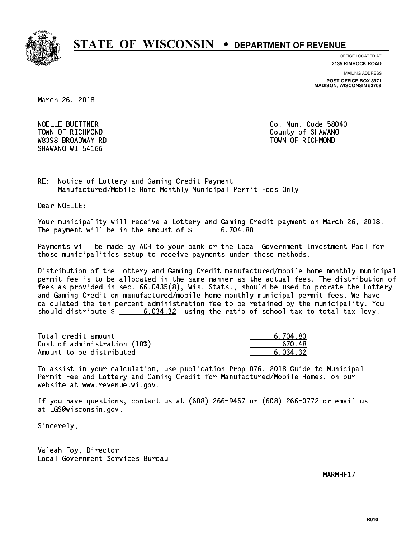

**OFFICE LOCATED AT**

**2135 RIMROCK ROAD**

**MAILING ADDRESS POST OFFICE BOX 8971 MADISON, WISCONSIN 53708**

March 26, 2018

NOELLE BUETTNER **Co. Mun. Code 58040**  W8398 BROADWAY RD TOWN OF RICHMOND SHAWANO WI 54166

TOWN OF RICHMOND COUNTY OF SHAWANO

RE: Notice of Lottery and Gaming Credit Payment Manufactured/Mobile Home Monthly Municipal Permit Fees Only

Dear NOELLE:

 Your municipality will receive a Lottery and Gaming Credit payment on March 26, 2018. The payment will be in the amount of  $\frac{2}{3}$  6,704.80

 Payments will be made by ACH to your bank or the Local Government Investment Pool for those municipalities setup to receive payments under these methods.

 Distribution of the Lottery and Gaming Credit manufactured/mobile home monthly municipal permit fee is to be allocated in the same manner as the actual fees. The distribution of fees as provided in sec. 66.0435(8), Wis. Stats., should be used to prorate the Lottery and Gaming Credit on manufactured/mobile home monthly municipal permit fees. We have calculated the ten percent administration fee to be retained by the municipality. You should distribute  $\frac{2}{1}$   $\frac{6,034.32}{2}$  using the ratio of school tax to total tax levy.

| Total credit amount          | 6.704.80 |
|------------------------------|----------|
| Cost of administration (10%) | 670.48   |
| Amount to be distributed     | 6.034.32 |

 To assist in your calculation, use publication Prop 076, 2018 Guide to Municipal Permit Fee and Lottery and Gaming Credit for Manufactured/Mobile Homes, on our website at www.revenue.wi.gov.

 If you have questions, contact us at (608) 266-9457 or (608) 266-0772 or email us at LGS@wisconsin.gov.

Sincerely,

 Valeah Foy, Director Local Government Services Bureau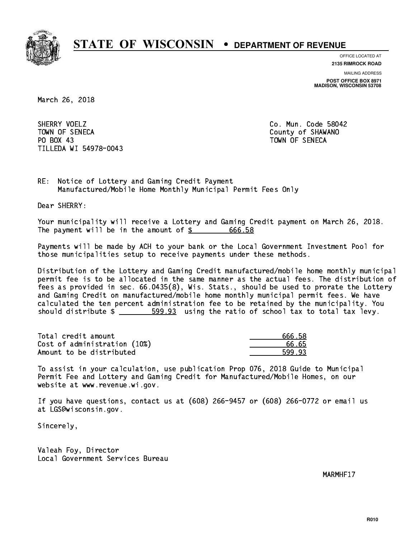

**OFFICE LOCATED AT**

**2135 RIMROCK ROAD**

**MAILING ADDRESS**

**POST OFFICE BOX 8971 MADISON, WISCONSIN 53708**

March 26, 2018

SHERRY VOELZ TOWN OF SENECA County of SHAWANO PO BOX 43 PO BOX 43 TOWN OF SENECA TILLEDA WI 54978-0043

Co. Mun. Code 58042

RE: Notice of Lottery and Gaming Credit Payment Manufactured/Mobile Home Monthly Municipal Permit Fees Only

Dear SHERRY:

 Your municipality will receive a Lottery and Gaming Credit payment on March 26, 2018. The payment will be in the amount of  $\frac{2}{3}$  666.58

 Payments will be made by ACH to your bank or the Local Government Investment Pool for those municipalities setup to receive payments under these methods.

 Distribution of the Lottery and Gaming Credit manufactured/mobile home monthly municipal permit fee is to be allocated in the same manner as the actual fees. The distribution of fees as provided in sec. 66.0435(8), Wis. Stats., should be used to prorate the Lottery and Gaming Credit on manufactured/mobile home monthly municipal permit fees. We have calculated the ten percent administration fee to be retained by the municipality. You should distribute  $\frac{2}{1}$   $\frac{599.93}{2}$  using the ratio of school tax to total tax levy.

Total credit amount and the set of the set of the set of the set of the set of the set of the set of the set o Cost of administration (10%) 66.65 \_\_\_\_\_\_\_\_\_\_\_\_\_\_ Amount to be distributed **599.93** 

 To assist in your calculation, use publication Prop 076, 2018 Guide to Municipal Permit Fee and Lottery and Gaming Credit for Manufactured/Mobile Homes, on our website at www.revenue.wi.gov.

 If you have questions, contact us at (608) 266-9457 or (608) 266-0772 or email us at LGS@wisconsin.gov.

Sincerely,

 Valeah Foy, Director Local Government Services Bureau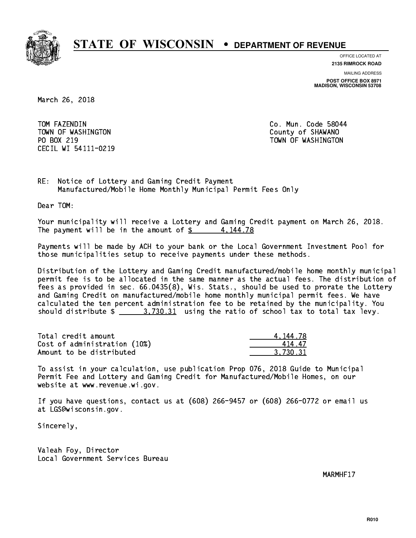

**OFFICE LOCATED AT**

**2135 RIMROCK ROAD**

**MAILING ADDRESS**

**POST OFFICE BOX 8971 MADISON, WISCONSIN 53708**

March 26, 2018

TOM FAZENDIN TOWN OF WASHINGTON COUNTY OF SHAWANO PO BOX 219 CECIL WI 54111-0219

Co. Mun. Code 58044 TOWN OF WASHINGTON

RE: Notice of Lottery and Gaming Credit Payment Manufactured/Mobile Home Monthly Municipal Permit Fees Only

Dear TOM:

 Your municipality will receive a Lottery and Gaming Credit payment on March 26, 2018. The payment will be in the amount of  $\frac{2}{3}$  4,144.78

 Payments will be made by ACH to your bank or the Local Government Investment Pool for those municipalities setup to receive payments under these methods.

 Distribution of the Lottery and Gaming Credit manufactured/mobile home monthly municipal permit fee is to be allocated in the same manner as the actual fees. The distribution of fees as provided in sec. 66.0435(8), Wis. Stats., should be used to prorate the Lottery and Gaming Credit on manufactured/mobile home monthly municipal permit fees. We have calculated the ten percent administration fee to be retained by the municipality. You should distribute  $\frac{2}{1}$   $\frac{3.730.31}{2}$  using the ratio of school tax to total tax levy.

| Total credit amount          | 4.144.78 |
|------------------------------|----------|
| Cost of administration (10%) | 41447    |
| Amount to be distributed     | 3.730.31 |

 To assist in your calculation, use publication Prop 076, 2018 Guide to Municipal Permit Fee and Lottery and Gaming Credit for Manufactured/Mobile Homes, on our website at www.revenue.wi.gov.

 If you have questions, contact us at (608) 266-9457 or (608) 266-0772 or email us at LGS@wisconsin.gov.

Sincerely,

 Valeah Foy, Director Local Government Services Bureau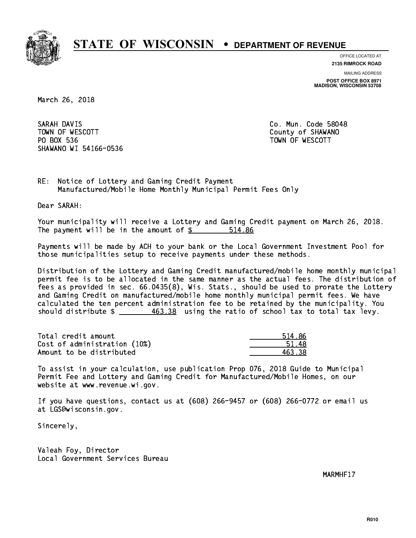

**OFFICE LOCATED AT**

**2135 RIMROCK ROAD**

**MAILING ADDRESS**

**POST OFFICE BOX 8971 MADISON, WISCONSIN 53708**

March 26, 2018

SARAH DAVIS TOWN OF WESCOTT SALES TO THE COUNTY OF SHAWANO PO BOX 536 PO BOX 536 TOWN OF WESCOTT SHAWANO WI 54166-0536

Co. Mun. Code 58048

RE: Notice of Lottery and Gaming Credit Payment Manufactured/Mobile Home Monthly Municipal Permit Fees Only

Dear SARAH:

 Your municipality will receive a Lottery and Gaming Credit payment on March 26, 2018. The payment will be in the amount of \$ 514.86 \_\_\_\_\_\_\_\_\_\_\_\_\_\_\_\_

 Payments will be made by ACH to your bank or the Local Government Investment Pool for those municipalities setup to receive payments under these methods.

 Distribution of the Lottery and Gaming Credit manufactured/mobile home monthly municipal permit fee is to be allocated in the same manner as the actual fees. The distribution of fees as provided in sec. 66.0435(8), Wis. Stats., should be used to prorate the Lottery and Gaming Credit on manufactured/mobile home monthly municipal permit fees. We have calculated the ten percent administration fee to be retained by the municipality. You should distribute  $\frac{463.38}{2}$  using the ratio of school tax to total tax levy.

| Total credit amount          | 514.86 |
|------------------------------|--------|
| Cost of administration (10%) | 51.48  |
| Amount to be distributed     | 463.38 |

| 4.86<br>51. |
|-------------|
| 51.<br>18   |
| .२ २४       |

 To assist in your calculation, use publication Prop 076, 2018 Guide to Municipal Permit Fee and Lottery and Gaming Credit for Manufactured/Mobile Homes, on our website at www.revenue.wi.gov.

 If you have questions, contact us at (608) 266-9457 or (608) 266-0772 or email us at LGS@wisconsin.gov.

Sincerely,

 Valeah Foy, Director Local Government Services Bureau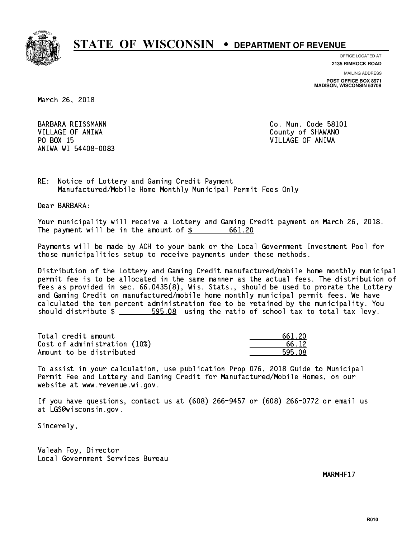

**OFFICE LOCATED AT**

**2135 RIMROCK ROAD**

**MAILING ADDRESS POST OFFICE BOX 8971 MADISON, WISCONSIN 53708**

March 26, 2018

 VILLAGE OF ANIWA County of SHAWANO PO BOX 15 PO BOX 15 VILLAGE OF ANIWA ANIWA WI 54408-0083

BARBARA REISSMANN Co. Mun. Code 58101

RE: Notice of Lottery and Gaming Credit Payment Manufactured/Mobile Home Monthly Municipal Permit Fees Only

Dear BARBARA:

 Your municipality will receive a Lottery and Gaming Credit payment on March 26, 2018. The payment will be in the amount of  $\frac{20}{100}$ 

 Payments will be made by ACH to your bank or the Local Government Investment Pool for those municipalities setup to receive payments under these methods.

 Distribution of the Lottery and Gaming Credit manufactured/mobile home monthly municipal permit fee is to be allocated in the same manner as the actual fees. The distribution of fees as provided in sec. 66.0435(8), Wis. Stats., should be used to prorate the Lottery and Gaming Credit on manufactured/mobile home monthly municipal permit fees. We have calculated the ten percent administration fee to be retained by the municipality. You should distribute  $\frac{2}{1}$   $\frac{595.08}{1000}$  using the ratio of school tax to total tax levy.

Total credit amount Cost of administration (10%) Amount to be distributed

| 661 20  |
|---------|
| 66. 12. |
| ۰ ∩۵    |

 To assist in your calculation, use publication Prop 076, 2018 Guide to Municipal Permit Fee and Lottery and Gaming Credit for Manufactured/Mobile Homes, on our website at www.revenue.wi.gov.

 If you have questions, contact us at (608) 266-9457 or (608) 266-0772 or email us at LGS@wisconsin.gov.

Sincerely,

 Valeah Foy, Director Local Government Services Bureau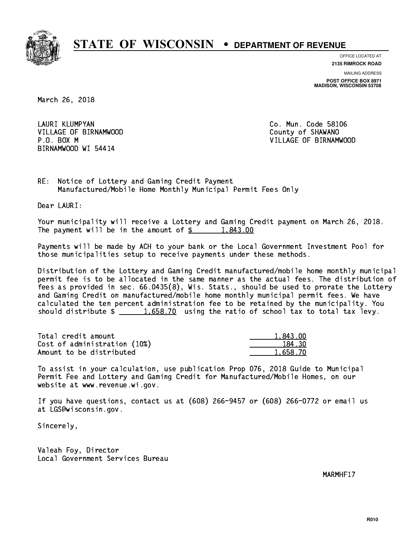

**OFFICE LOCATED AT**

**2135 RIMROCK ROAD**

**MAILING ADDRESS POST OFFICE BOX 8971 MADISON, WISCONSIN 53708**

March 26, 2018

LAURI KLUMPYAN VILLAGE OF BIRNAMWOOD County of SHAWANO BIRNAMWOOD WI 54414

Co. Mun. Code 58106 P.O. BOX M VILLAGE OF BIRNAMWOOD

RE: Notice of Lottery and Gaming Credit Payment Manufactured/Mobile Home Monthly Municipal Permit Fees Only

Dear LAURI:

 Your municipality will receive a Lottery and Gaming Credit payment on March 26, 2018. The payment will be in the amount of  $\frac{2}{3}$  1,843.00

 Payments will be made by ACH to your bank or the Local Government Investment Pool for those municipalities setup to receive payments under these methods.

 Distribution of the Lottery and Gaming Credit manufactured/mobile home monthly municipal permit fee is to be allocated in the same manner as the actual fees. The distribution of fees as provided in sec. 66.0435(8), Wis. Stats., should be used to prorate the Lottery and Gaming Credit on manufactured/mobile home monthly municipal permit fees. We have calculated the ten percent administration fee to be retained by the municipality. You should distribute  $\frac{1.658.70}{1.658.70}$  using the ratio of school tax to total tax levy.

| Total credit amount          | 1,843.00 |
|------------------------------|----------|
| Cost of administration (10%) | 184.30   |
| Amount to be distributed     | 1.658.70 |

 To assist in your calculation, use publication Prop 076, 2018 Guide to Municipal Permit Fee and Lottery and Gaming Credit for Manufactured/Mobile Homes, on our website at www.revenue.wi.gov.

 If you have questions, contact us at (608) 266-9457 or (608) 266-0772 or email us at LGS@wisconsin.gov.

Sincerely,

 Valeah Foy, Director Local Government Services Bureau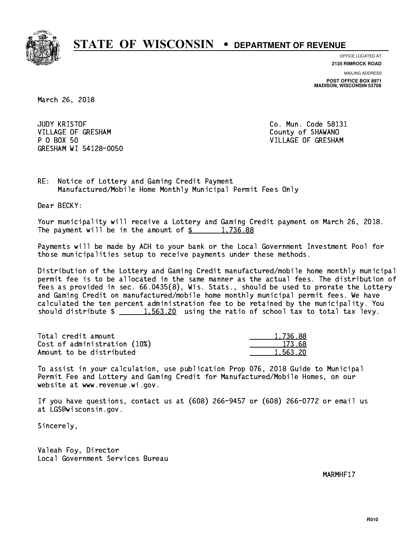

**OFFICE LOCATED AT**

**2135 RIMROCK ROAD**

**MAILING ADDRESS POST OFFICE BOX 8971 MADISON, WISCONSIN 53708**

March 26, 2018

**JUDY KRISTOF** VILLAGE OF GRESHAM COUNTY OF SHAWANO P 0 BOX 50 GRESHAM WI 54128-0050

Co. Mun. Code 58131 VILLAGE OF GRESHAM

RE: Notice of Lottery and Gaming Credit Payment Manufactured/Mobile Home Monthly Municipal Permit Fees Only

Dear BECKY:

 Your municipality will receive a Lottery and Gaming Credit payment on March 26, 2018. The payment will be in the amount of  $\frac{2}{3}$  1,736.88

 Payments will be made by ACH to your bank or the Local Government Investment Pool for those municipalities setup to receive payments under these methods.

 Distribution of the Lottery and Gaming Credit manufactured/mobile home monthly municipal permit fee is to be allocated in the same manner as the actual fees. The distribution of fees as provided in sec. 66.0435(8), Wis. Stats., should be used to prorate the Lottery and Gaming Credit on manufactured/mobile home monthly municipal permit fees. We have calculated the ten percent administration fee to be retained by the municipality. You should distribute  $\frac{1.563.20}{1.563.20}$  using the ratio of school tax to total tax levy.

| Total credit amount          | 1,736.88 |
|------------------------------|----------|
| Cost of administration (10%) | 173.68   |
| Amount to be distributed     | 1,563.20 |

 To assist in your calculation, use publication Prop 076, 2018 Guide to Municipal Permit Fee and Lottery and Gaming Credit for Manufactured/Mobile Homes, on our website at www.revenue.wi.gov.

 If you have questions, contact us at (608) 266-9457 or (608) 266-0772 or email us at LGS@wisconsin.gov.

Sincerely,

 Valeah Foy, Director Local Government Services Bureau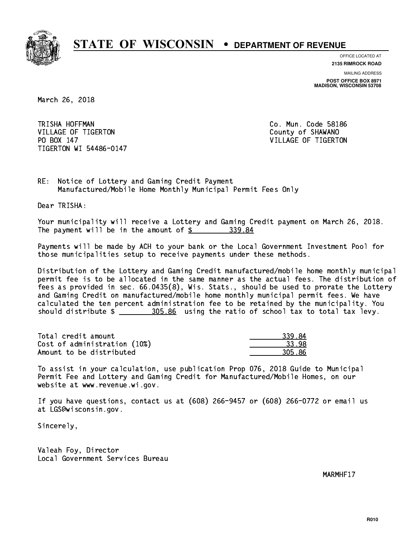

**OFFICE LOCATED AT**

**2135 RIMROCK ROAD**

**MAILING ADDRESS POST OFFICE BOX 8971 MADISON, WISCONSIN 53708**

March 26, 2018

TRISHA HOFFMAN VILLAGE OF TIGERTON COUNTY OF SHAWANO PO BOX 147 VILLAGE OF TIGERTON TIGERTON WI 54486-0147

Co. Mun. Code 58186

RE: Notice of Lottery and Gaming Credit Payment Manufactured/Mobile Home Monthly Municipal Permit Fees Only

Dear TRISHA:

 Your municipality will receive a Lottery and Gaming Credit payment on March 26, 2018. The payment will be in the amount of \$ 339.84 \_\_\_\_\_\_\_\_\_\_\_\_\_\_\_\_

 Payments will be made by ACH to your bank or the Local Government Investment Pool for those municipalities setup to receive payments under these methods.

 Distribution of the Lottery and Gaming Credit manufactured/mobile home monthly municipal permit fee is to be allocated in the same manner as the actual fees. The distribution of fees as provided in sec. 66.0435(8), Wis. Stats., should be used to prorate the Lottery and Gaming Credit on manufactured/mobile home monthly municipal permit fees. We have calculated the ten percent administration fee to be retained by the municipality. You should distribute \$ 305.86 using the ratio of school tax to total tax levy. \_\_\_\_\_\_\_\_\_\_\_\_\_\_

| Total credit amount          | 339.84 |
|------------------------------|--------|
| Cost of administration (10%) | 33.98  |
| Amount to be distributed     | 305.86 |

 To assist in your calculation, use publication Prop 076, 2018 Guide to Municipal Permit Fee and Lottery and Gaming Credit for Manufactured/Mobile Homes, on our website at www.revenue.wi.gov.

 If you have questions, contact us at (608) 266-9457 or (608) 266-0772 or email us at LGS@wisconsin.gov.

Sincerely,

 Valeah Foy, Director Local Government Services Bureau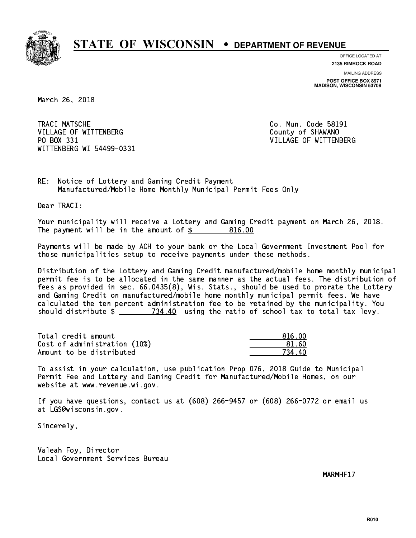

**OFFICE LOCATED AT**

**2135 RIMROCK ROAD**

**MAILING ADDRESS POST OFFICE BOX 8971 MADISON, WISCONSIN 53708**

March 26, 2018

TRACI MATSCHE VILLAGE OF WITTENBERG COUNTY OF SHAWANO PO BOX 331 WITTENBERG WI 54499-0331

Co. Mun. Code 58191 VILLAGE OF WITTENBERG

RE: Notice of Lottery and Gaming Credit Payment Manufactured/Mobile Home Monthly Municipal Permit Fees Only

Dear TRACI:

 Your municipality will receive a Lottery and Gaming Credit payment on March 26, 2018. The payment will be in the amount of \$ 816.00 \_\_\_\_\_\_\_\_\_\_\_\_\_\_\_\_

 Payments will be made by ACH to your bank or the Local Government Investment Pool for those municipalities setup to receive payments under these methods.

 Distribution of the Lottery and Gaming Credit manufactured/mobile home monthly municipal permit fee is to be allocated in the same manner as the actual fees. The distribution of fees as provided in sec. 66.0435(8), Wis. Stats., should be used to prorate the Lottery and Gaming Credit on manufactured/mobile home monthly municipal permit fees. We have calculated the ten percent administration fee to be retained by the municipality. You should distribute  $\frac{2}{2}$   $\frac{734.40}{2}$  using the ratio of school tax to total tax levy.

Total credit amount Cost of administration (10%) Amount to be distributed

| 816 NN    |
|-----------|
| 81 RO     |
| 1Λ<br>73. |

 To assist in your calculation, use publication Prop 076, 2018 Guide to Municipal Permit Fee and Lottery and Gaming Credit for Manufactured/Mobile Homes, on our website at www.revenue.wi.gov.

 If you have questions, contact us at (608) 266-9457 or (608) 266-0772 or email us at LGS@wisconsin.gov.

Sincerely,

 Valeah Foy, Director Local Government Services Bureau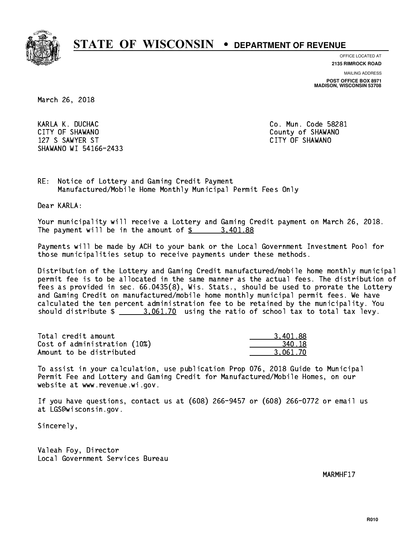

**OFFICE LOCATED AT**

**2135 RIMROCK ROAD**

**MAILING ADDRESS**

**POST OFFICE BOX 8971 MADISON, WISCONSIN 53708**

March 26, 2018

KARLA K. DUCHAC Co. Mun. Code 58281 CITY OF SHAWANO **COULD AND SHAWANO COULD AND SHAWANO**  127 S SAWYER ST CITY OF SHAWANO SHAWANO WI 54166-2433

RE: Notice of Lottery and Gaming Credit Payment Manufactured/Mobile Home Monthly Municipal Permit Fees Only

Dear KARLA:

 Your municipality will receive a Lottery and Gaming Credit payment on March 26, 2018. The payment will be in the amount of  $\frac{2}{3}$  3,401.88

 Payments will be made by ACH to your bank or the Local Government Investment Pool for those municipalities setup to receive payments under these methods.

 Distribution of the Lottery and Gaming Credit manufactured/mobile home monthly municipal permit fee is to be allocated in the same manner as the actual fees. The distribution of fees as provided in sec. 66.0435(8), Wis. Stats., should be used to prorate the Lottery and Gaming Credit on manufactured/mobile home monthly municipal permit fees. We have calculated the ten percent administration fee to be retained by the municipality. You should distribute  $\frac{2}{2}$   $\frac{3.061.70}{2}$  using the ratio of school tax to total tax levy.

| Total credit amount          | 3.401.88 |
|------------------------------|----------|
| Cost of administration (10%) | 340.18   |
| Amount to be distributed     | 3.061.70 |

 To assist in your calculation, use publication Prop 076, 2018 Guide to Municipal Permit Fee and Lottery and Gaming Credit for Manufactured/Mobile Homes, on our website at www.revenue.wi.gov.

 If you have questions, contact us at (608) 266-9457 or (608) 266-0772 or email us at LGS@wisconsin.gov.

Sincerely,

 Valeah Foy, Director Local Government Services Bureau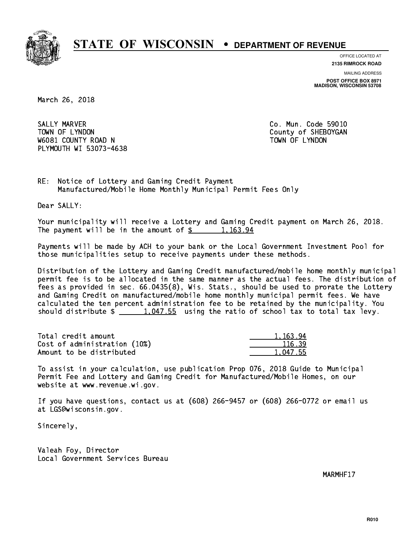

**OFFICE LOCATED AT 2135 RIMROCK ROAD**

**MAILING ADDRESS POST OFFICE BOX 8971 MADISON, WISCONSIN 53708**

March 26, 2018

 SALLY MARVER Co. Mun. Code 59010 TOWN OF LYNDON COUNTY OF SHEBOYGAN W6081 COUNTY ROAD N TOWN OF LYNDON PLYMOUTH WI 53073-4638

RE: Notice of Lottery and Gaming Credit Payment Manufactured/Mobile Home Monthly Municipal Permit Fees Only

Dear SALLY:

 Your municipality will receive a Lottery and Gaming Credit payment on March 26, 2018. The payment will be in the amount of  $\frac{2}{3}$  1,163.94

 Payments will be made by ACH to your bank or the Local Government Investment Pool for those municipalities setup to receive payments under these methods.

 Distribution of the Lottery and Gaming Credit manufactured/mobile home monthly municipal permit fee is to be allocated in the same manner as the actual fees. The distribution of fees as provided in sec. 66.0435(8), Wis. Stats., should be used to prorate the Lottery and Gaming Credit on manufactured/mobile home monthly municipal permit fees. We have calculated the ten percent administration fee to be retained by the municipality. You should distribute  $\frac{1,047.55}{1,047.55}$  using the ratio of school tax to total tax levy.

| Total credit amount          | 1,163.94 |
|------------------------------|----------|
| Cost of administration (10%) | 116.39   |
| Amount to be distributed     | 1.047.55 |

 To assist in your calculation, use publication Prop 076, 2018 Guide to Municipal Permit Fee and Lottery and Gaming Credit for Manufactured/Mobile Homes, on our website at www.revenue.wi.gov.

 If you have questions, contact us at (608) 266-9457 or (608) 266-0772 or email us at LGS@wisconsin.gov.

Sincerely,

 Valeah Foy, Director Local Government Services Bureau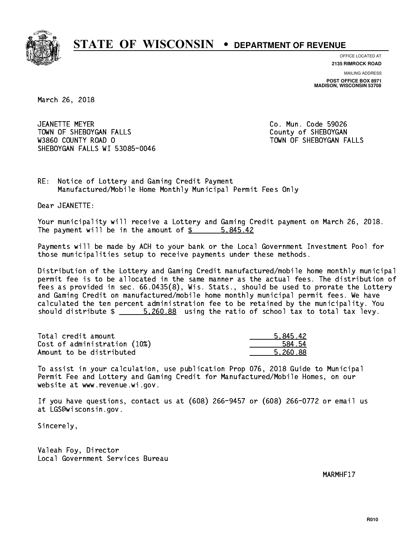

**OFFICE LOCATED AT**

**2135 RIMROCK ROAD**

**MAILING ADDRESS POST OFFICE BOX 8971 MADISON, WISCONSIN 53708**

March 26, 2018

 JEANETTE MEYER Co. Mun. Code 59026 TOWN OF SHEBOYGAN FALLS **COUNTY OF SHEBOYGAN**  W3860 COUNTY ROAD O TOWN OF SHEBOYGAN FALLS SHEBOYGAN FALLS WI 53085-0046

RE: Notice of Lottery and Gaming Credit Payment Manufactured/Mobile Home Monthly Municipal Permit Fees Only

Dear JEANETTE:

 Your municipality will receive a Lottery and Gaming Credit payment on March 26, 2018. The payment will be in the amount of \$ 5,845.42 \_\_\_\_\_\_\_\_\_\_\_\_\_\_\_\_

 Payments will be made by ACH to your bank or the Local Government Investment Pool for those municipalities setup to receive payments under these methods.

 Distribution of the Lottery and Gaming Credit manufactured/mobile home monthly municipal permit fee is to be allocated in the same manner as the actual fees. The distribution of fees as provided in sec. 66.0435(8), Wis. Stats., should be used to prorate the Lottery and Gaming Credit on manufactured/mobile home monthly municipal permit fees. We have calculated the ten percent administration fee to be retained by the municipality. You should distribute  $\frac{2.5.260.88}{2}$  using the ratio of school tax to total tax levy.

| Total credit amount          | 5.845.42 |
|------------------------------|----------|
| Cost of administration (10%) | 584.54   |
| Amount to be distributed     | 5.260.88 |

 To assist in your calculation, use publication Prop 076, 2018 Guide to Municipal Permit Fee and Lottery and Gaming Credit for Manufactured/Mobile Homes, on our website at www.revenue.wi.gov.

 If you have questions, contact us at (608) 266-9457 or (608) 266-0772 or email us at LGS@wisconsin.gov.

Sincerely,

 Valeah Foy, Director Local Government Services Bureau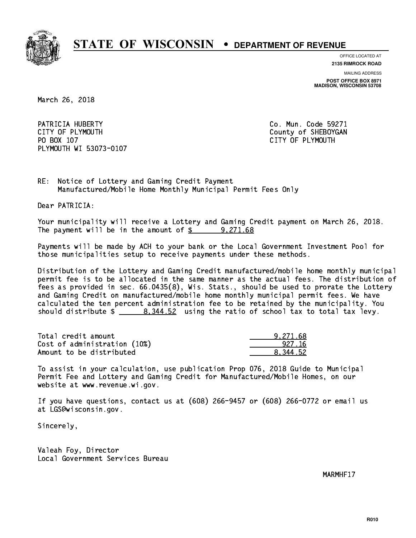

**OFFICE LOCATED AT**

**2135 RIMROCK ROAD**

**MAILING ADDRESS**

**POST OFFICE BOX 8971 MADISON, WISCONSIN 53708**

March 26, 2018

PATRICIA HUBERTY **Co. Mun. Code 59271** CITY OF PLYMOUTH CITY OF PLYMOUTH PO BOX 107 CITY OF PLYMOUTH PLYMOUTH WI 53073-0107

RE: Notice of Lottery and Gaming Credit Payment Manufactured/Mobile Home Monthly Municipal Permit Fees Only

Dear PATRICIA:

 Your municipality will receive a Lottery and Gaming Credit payment on March 26, 2018. The payment will be in the amount of  $\frac{2}{3}$  9,271.68

 Payments will be made by ACH to your bank or the Local Government Investment Pool for those municipalities setup to receive payments under these methods.

 Distribution of the Lottery and Gaming Credit manufactured/mobile home monthly municipal permit fee is to be allocated in the same manner as the actual fees. The distribution of fees as provided in sec. 66.0435(8), Wis. Stats., should be used to prorate the Lottery and Gaming Credit on manufactured/mobile home monthly municipal permit fees. We have calculated the ten percent administration fee to be retained by the municipality. You should distribute  $\frac{2}{3}$   $\frac{8}{344.52}$  using the ratio of school tax to total tax levy.

| Total credit amount          | 9.271.68 |
|------------------------------|----------|
| Cost of administration (10%) | 927.16   |
| Amount to be distributed     | 8.344.52 |

 To assist in your calculation, use publication Prop 076, 2018 Guide to Municipal Permit Fee and Lottery and Gaming Credit for Manufactured/Mobile Homes, on our website at www.revenue.wi.gov.

 If you have questions, contact us at (608) 266-9457 or (608) 266-0772 or email us at LGS@wisconsin.gov.

Sincerely,

 Valeah Foy, Director Local Government Services Bureau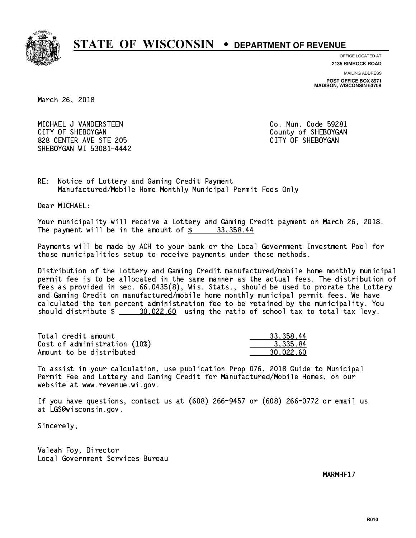

**OFFICE LOCATED AT**

**2135 RIMROCK ROAD**

**MAILING ADDRESS POST OFFICE BOX 8971 MADISON, WISCONSIN 53708**

March 26, 2018

 MICHAEL J VANDERSTEEN Co. Mun. Code 59281 CITY OF SHEBOYGAN COUNTY OF SHEBOYGAN 828 CENTER AVE STE 205 CITY OF SHEBOYGAN SHEBOYGAN WI 53081-4442

RE: Notice of Lottery and Gaming Credit Payment Manufactured/Mobile Home Monthly Municipal Permit Fees Only

Dear MICHAEL:

 Your municipality will receive a Lottery and Gaming Credit payment on March 26, 2018. The payment will be in the amount of  $\frac{2}{3}$  33,358.44

 Payments will be made by ACH to your bank or the Local Government Investment Pool for those municipalities setup to receive payments under these methods.

 Distribution of the Lottery and Gaming Credit manufactured/mobile home monthly municipal permit fee is to be allocated in the same manner as the actual fees. The distribution of fees as provided in sec. 66.0435(8), Wis. Stats., should be used to prorate the Lottery and Gaming Credit on manufactured/mobile home monthly municipal permit fees. We have calculated the ten percent administration fee to be retained by the municipality. You should distribute  $\frac{20.022.60}{20.022.60}$  using the ratio of school tax to total tax levy.

| Total credit amount          | 33, 358, 44 |
|------------------------------|-------------|
| Cost of administration (10%) | 3.335.84    |
| Amount to be distributed     | 30.022.60   |

 To assist in your calculation, use publication Prop 076, 2018 Guide to Municipal Permit Fee and Lottery and Gaming Credit for Manufactured/Mobile Homes, on our website at www.revenue.wi.gov.

 If you have questions, contact us at (608) 266-9457 or (608) 266-0772 or email us at LGS@wisconsin.gov.

Sincerely,

 Valeah Foy, Director Local Government Services Bureau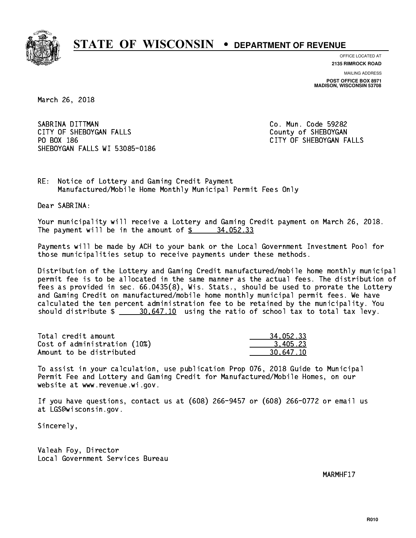

**OFFICE LOCATED AT**

**2135 RIMROCK ROAD**

**MAILING ADDRESS POST OFFICE BOX 8971 MADISON, WISCONSIN 53708**

March 26, 2018

SABRINA DITTMAN CITY OF SHEBOYGAN FALLS COUNTY OF SHEBOYGAN PO BOX 186 SHEBOYGAN FALLS WI 53085-0186

Co. Mun. Code 59282 CITY OF SHEBOYGAN FALLS

RE: Notice of Lottery and Gaming Credit Payment Manufactured/Mobile Home Monthly Municipal Permit Fees Only

Dear SABRINA:

 Your municipality will receive a Lottery and Gaming Credit payment on March 26, 2018. The payment will be in the amount of  $\frac{2}{3}$  34,052.33

 Payments will be made by ACH to your bank or the Local Government Investment Pool for those municipalities setup to receive payments under these methods.

 Distribution of the Lottery and Gaming Credit manufactured/mobile home monthly municipal permit fee is to be allocated in the same manner as the actual fees. The distribution of fees as provided in sec. 66.0435(8), Wis. Stats., should be used to prorate the Lottery and Gaming Credit on manufactured/mobile home monthly municipal permit fees. We have calculated the ten percent administration fee to be retained by the municipality. You should distribute  $\frac{20.647.10}{20.647.10}$  using the ratio of school tax to total tax levy.

| Total credit amount          | 34,052.33 |
|------------------------------|-----------|
| Cost of administration (10%) | 3.405.23  |
| Amount to be distributed     | 30.647.10 |

 To assist in your calculation, use publication Prop 076, 2018 Guide to Municipal Permit Fee and Lottery and Gaming Credit for Manufactured/Mobile Homes, on our website at www.revenue.wi.gov.

 If you have questions, contact us at (608) 266-9457 or (608) 266-0772 or email us at LGS@wisconsin.gov.

Sincerely,

 Valeah Foy, Director Local Government Services Bureau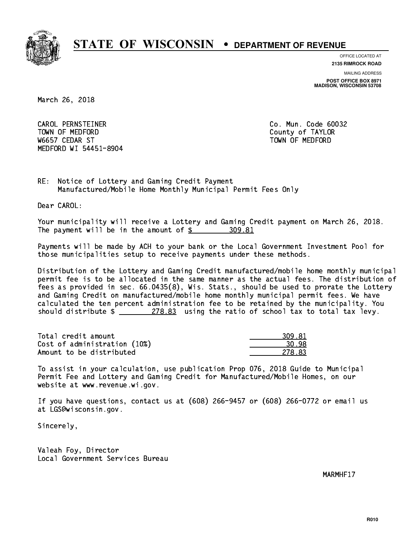

**OFFICE LOCATED AT**

**2135 RIMROCK ROAD**

**MAILING ADDRESS POST OFFICE BOX 8971 MADISON, WISCONSIN 53708**

March 26, 2018

 CAROL PERNSTEINER Co. Mun. Code 60032 TOWN OF MEDICINE COUNTY OF MEDICINE COUNTY OF TAXABLE COUNTY OF TAXABLE COUNTY OF TAXABLE COUNTY OF TAXABLE CO W6657 CEDAR ST TOWN OF MEDFORD MEDFORD WI 54451-8904

RE: Notice of Lottery and Gaming Credit Payment Manufactured/Mobile Home Monthly Municipal Permit Fees Only

Dear CAROL:

 Your municipality will receive a Lottery and Gaming Credit payment on March 26, 2018. The payment will be in the amount of \$ 309.81 \_\_\_\_\_\_\_\_\_\_\_\_\_\_\_\_

 Payments will be made by ACH to your bank or the Local Government Investment Pool for those municipalities setup to receive payments under these methods.

 Distribution of the Lottery and Gaming Credit manufactured/mobile home monthly municipal permit fee is to be allocated in the same manner as the actual fees. The distribution of fees as provided in sec. 66.0435(8), Wis. Stats., should be used to prorate the Lottery and Gaming Credit on manufactured/mobile home monthly municipal permit fees. We have calculated the ten percent administration fee to be retained by the municipality. You should distribute  $\frac{278.83}{278.83}$  using the ratio of school tax to total tax levy.

| Total credit amount          | 309.81 |
|------------------------------|--------|
| Cost of administration (10%) | 30.98  |
| Amount to be distributed     | 278.83 |

 To assist in your calculation, use publication Prop 076, 2018 Guide to Municipal Permit Fee and Lottery and Gaming Credit for Manufactured/Mobile Homes, on our website at www.revenue.wi.gov.

 If you have questions, contact us at (608) 266-9457 or (608) 266-0772 or email us at LGS@wisconsin.gov.

Sincerely,

 Valeah Foy, Director Local Government Services Bureau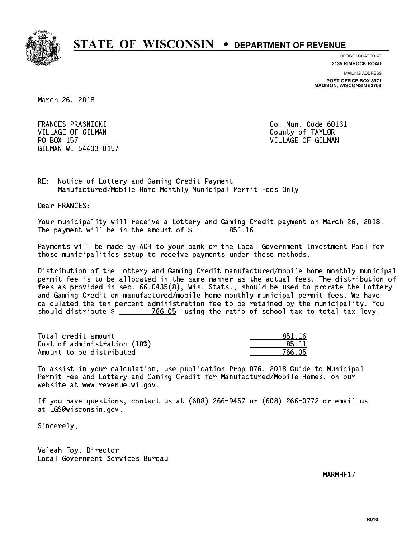

**OFFICE LOCATED AT**

**2135 RIMROCK ROAD**

**MAILING ADDRESS POST OFFICE BOX 8971 MADISON, WISCONSIN 53708**

March 26, 2018

FRANCES PRASNICKI VILLAGE OF GILMAN COUNTY OF TAYLOR PO BOX 157 VILLAGE OF GILMAN GILMAN WI 54433-0157

Co. Mun. Code 60131

RE: Notice of Lottery and Gaming Credit Payment Manufactured/Mobile Home Monthly Municipal Permit Fees Only

Dear FRANCES:

 Your municipality will receive a Lottery and Gaming Credit payment on March 26, 2018. The payment will be in the amount of \$ 851.16 \_\_\_\_\_\_\_\_\_\_\_\_\_\_\_\_

 Payments will be made by ACH to your bank or the Local Government Investment Pool for those municipalities setup to receive payments under these methods.

 Distribution of the Lottery and Gaming Credit manufactured/mobile home monthly municipal permit fee is to be allocated in the same manner as the actual fees. The distribution of fees as provided in sec. 66.0435(8), Wis. Stats., should be used to prorate the Lottery and Gaming Credit on manufactured/mobile home monthly municipal permit fees. We have calculated the ten percent administration fee to be retained by the municipality. You should distribute  $\frac{2}{2}$   $\frac{766.05}{2}$  using the ratio of school tax to total tax levy.

Total credit amount Cost of administration (10%) Amount to be distributed

| 51 16  |
|--------|
| 5.11   |
| 766.05 |

 To assist in your calculation, use publication Prop 076, 2018 Guide to Municipal Permit Fee and Lottery and Gaming Credit for Manufactured/Mobile Homes, on our website at www.revenue.wi.gov.

 If you have questions, contact us at (608) 266-9457 or (608) 266-0772 or email us at LGS@wisconsin.gov.

Sincerely,

 Valeah Foy, Director Local Government Services Bureau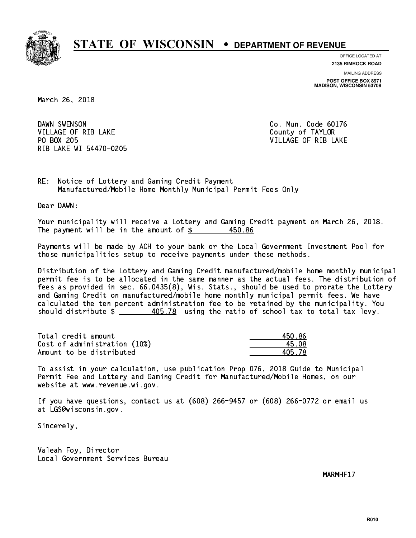

**OFFICE LOCATED AT**

**2135 RIMROCK ROAD**

**MAILING ADDRESS POST OFFICE BOX 8971 MADISON, WISCONSIN 53708**

March 26, 2018

DAWN SWENSON VILLAGE OF RIB LAKE County of TAYLOR PO BOX 205 RIB LAKE WI 54470-0205

Co. Mun. Code 60176 VILLAGE OF RIB LAKE

RE: Notice of Lottery and Gaming Credit Payment Manufactured/Mobile Home Monthly Municipal Permit Fees Only

Dear DAWN:

 Your municipality will receive a Lottery and Gaming Credit payment on March 26, 2018. The payment will be in the amount of \$ 450.86 \_\_\_\_\_\_\_\_\_\_\_\_\_\_\_\_ 450.86

 Payments will be made by ACH to your bank or the Local Government Investment Pool for those municipalities setup to receive payments under these methods.

 Distribution of the Lottery and Gaming Credit manufactured/mobile home monthly municipal permit fee is to be allocated in the same manner as the actual fees. The distribution of fees as provided in sec. 66.0435(8), Wis. Stats., should be used to prorate the Lottery and Gaming Credit on manufactured/mobile home monthly municipal permit fees. We have calculated the ten percent administration fee to be retained by the municipality. You should distribute  $\frac{405.78}{2}$  using the ratio of school tax to total tax levy.

| Total credit amount          | 450 86 |
|------------------------------|--------|
| Cost of administration (10%) | 45.N8  |
| Amount to be distributed     | 405 78 |

| $\backslash 0$ . 86 |
|---------------------|
| 5.08                |
| 5.78                |

 To assist in your calculation, use publication Prop 076, 2018 Guide to Municipal Permit Fee and Lottery and Gaming Credit for Manufactured/Mobile Homes, on our website at www.revenue.wi.gov.

 If you have questions, contact us at (608) 266-9457 or (608) 266-0772 or email us at LGS@wisconsin.gov.

Sincerely,

 Valeah Foy, Director Local Government Services Bureau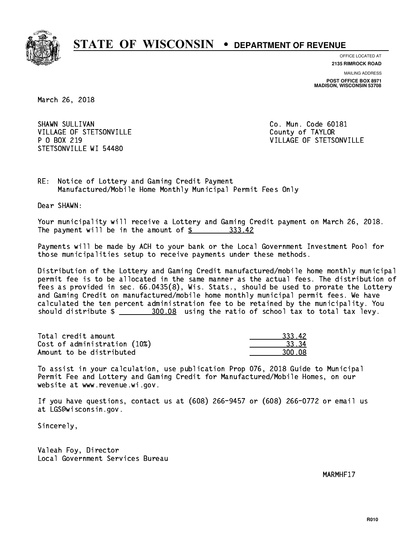

**OFFICE LOCATED AT**

**2135 RIMROCK ROAD**

**MAILING ADDRESS POST OFFICE BOX 8971 MADISON, WISCONSIN 53708**

March 26, 2018

SHAWN SULLIVAN VILLAGE OF STETSONVILLE COUNTY OF TAYLOR P 0 BOX 219 STETSONVILLE WI 54480

Co. Mun. Code 60181 VILLAGE OF STETSONVILLE

RE: Notice of Lottery and Gaming Credit Payment Manufactured/Mobile Home Monthly Municipal Permit Fees Only

Dear SHAWN:

 Your municipality will receive a Lottery and Gaming Credit payment on March 26, 2018. The payment will be in the amount of \$ 333.42 \_\_\_\_\_\_\_\_\_\_\_\_\_\_\_\_

 Payments will be made by ACH to your bank or the Local Government Investment Pool for those municipalities setup to receive payments under these methods.

 Distribution of the Lottery and Gaming Credit manufactured/mobile home monthly municipal permit fee is to be allocated in the same manner as the actual fees. The distribution of fees as provided in sec. 66.0435(8), Wis. Stats., should be used to prorate the Lottery and Gaming Credit on manufactured/mobile home monthly municipal permit fees. We have calculated the ten percent administration fee to be retained by the municipality. You should distribute  $\frac{200.08}{2}$  using the ratio of school tax to total tax levy.

| Total credit amount          | 333.42 |
|------------------------------|--------|
| Cost of administration (10%) | -33.34 |
| Amount to be distributed     | 300.08 |

 To assist in your calculation, use publication Prop 076, 2018 Guide to Municipal Permit Fee and Lottery and Gaming Credit for Manufactured/Mobile Homes, on our website at www.revenue.wi.gov.

 If you have questions, contact us at (608) 266-9457 or (608) 266-0772 or email us at LGS@wisconsin.gov.

Sincerely,

 Valeah Foy, Director Local Government Services Bureau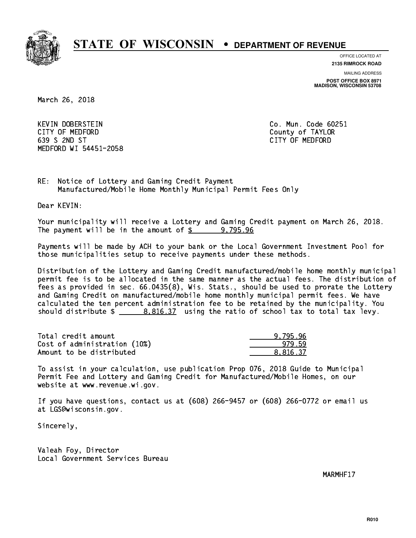

**OFFICE LOCATED AT**

**2135 RIMROCK ROAD**

**MAILING ADDRESS POST OFFICE BOX 8971 MADISON, WISCONSIN 53708**

March 26, 2018

 KEVIN DOBERSTEIN Co. Mun. Code 60251 CITY OF MEDFORD County of TAYLOR 639 S 2ND ST CITY OF MEDFORD MEDFORD WI 54451-2058

RE: Notice of Lottery and Gaming Credit Payment Manufactured/Mobile Home Monthly Municipal Permit Fees Only

Dear KEVIN:

 Your municipality will receive a Lottery and Gaming Credit payment on March 26, 2018. The payment will be in the amount of  $\frac{2}{3}$  9,795.96

 Payments will be made by ACH to your bank or the Local Government Investment Pool for those municipalities setup to receive payments under these methods.

 Distribution of the Lottery and Gaming Credit manufactured/mobile home monthly municipal permit fee is to be allocated in the same manner as the actual fees. The distribution of fees as provided in sec. 66.0435(8), Wis. Stats., should be used to prorate the Lottery and Gaming Credit on manufactured/mobile home monthly municipal permit fees. We have calculated the ten percent administration fee to be retained by the municipality. You should distribute  $\frac{2}{1}$   $\frac{8.816.37}{2}$  using the ratio of school tax to total tax levy.

| Total credit amount          | 9.795.96 |
|------------------------------|----------|
| Cost of administration (10%) | 979.59   |
| Amount to be distributed     | 8.816.37 |

 To assist in your calculation, use publication Prop 076, 2018 Guide to Municipal Permit Fee and Lottery and Gaming Credit for Manufactured/Mobile Homes, on our website at www.revenue.wi.gov.

 If you have questions, contact us at (608) 266-9457 or (608) 266-0772 or email us at LGS@wisconsin.gov.

Sincerely,

 Valeah Foy, Director Local Government Services Bureau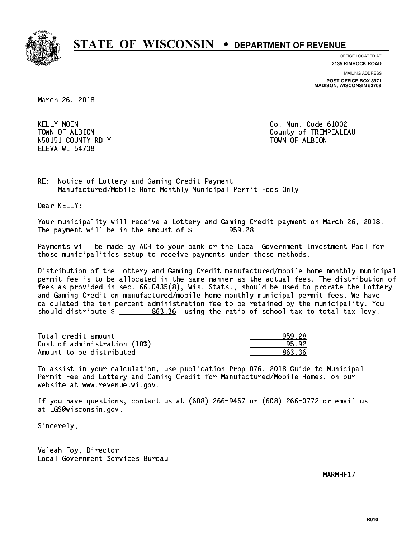

**OFFICE LOCATED AT**

**2135 RIMROCK ROAD**

**MAILING ADDRESS POST OFFICE BOX 8971 MADISON, WISCONSIN 53708**

March 26, 2018

**KELLY MOEN** N50151 COUNTY RD Y TOWN OF ALBION ELEVA WI 54738

Co. Mun. Code 61002 TOWN OF ALBION COUNTY OF TREMPEALEAU

RE: Notice of Lottery and Gaming Credit Payment Manufactured/Mobile Home Monthly Municipal Permit Fees Only

Dear KELLY:

 Your municipality will receive a Lottery and Gaming Credit payment on March 26, 2018. The payment will be in the amount of  $\frac{25}{10}$  959.28

 Payments will be made by ACH to your bank or the Local Government Investment Pool for those municipalities setup to receive payments under these methods.

 Distribution of the Lottery and Gaming Credit manufactured/mobile home monthly municipal permit fee is to be allocated in the same manner as the actual fees. The distribution of fees as provided in sec. 66.0435(8), Wis. Stats., should be used to prorate the Lottery and Gaming Credit on manufactured/mobile home monthly municipal permit fees. We have calculated the ten percent administration fee to be retained by the municipality. You should distribute  $\frac{2}{2}$   $\frac{863.36}{2}$  using the ratio of school tax to total tax levy.

| Total credit amount          | 959.28 |
|------------------------------|--------|
| Cost of administration (10%) | 95.92  |
| Amount to be distributed     | 863.36 |

 To assist in your calculation, use publication Prop 076, 2018 Guide to Municipal Permit Fee and Lottery and Gaming Credit for Manufactured/Mobile Homes, on our website at www.revenue.wi.gov.

 If you have questions, contact us at (608) 266-9457 or (608) 266-0772 or email us at LGS@wisconsin.gov.

Sincerely,

 Valeah Foy, Director Local Government Services Bureau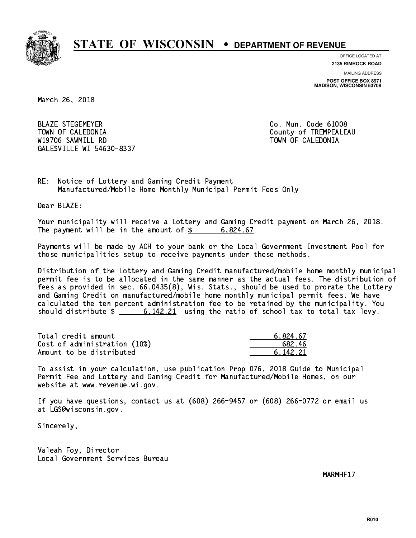

**OFFICE LOCATED AT**

**2135 RIMROCK ROAD**

**MAILING ADDRESS POST OFFICE BOX 8971 MADISON, WISCONSIN 53708**

March 26, 2018

 BLAZE STEGEMEYER Co. Mun. Code 61008 TOWN OF CALEDONIA County of TREMPEALEAU W19706 SAWMILL RD TOWN OF CALEDONIA GALESVILLE WI 54630-8337

RE: Notice of Lottery and Gaming Credit Payment Manufactured/Mobile Home Monthly Municipal Permit Fees Only

Dear BLAZE:

 Your municipality will receive a Lottery and Gaming Credit payment on March 26, 2018. The payment will be in the amount of  $\frac{2}{3}$  6,824.67

 Payments will be made by ACH to your bank or the Local Government Investment Pool for those municipalities setup to receive payments under these methods.

 Distribution of the Lottery and Gaming Credit manufactured/mobile home monthly municipal permit fee is to be allocated in the same manner as the actual fees. The distribution of fees as provided in sec. 66.0435(8), Wis. Stats., should be used to prorate the Lottery and Gaming Credit on manufactured/mobile home monthly municipal permit fees. We have calculated the ten percent administration fee to be retained by the municipality. You should distribute  $\frac{2}{1}$  6,142.21 using the ratio of school tax to total tax levy.

| Total credit amount          | 6.824.67 |
|------------------------------|----------|
| Cost of administration (10%) | 682.46   |
| Amount to be distributed     | 6.142.21 |

 To assist in your calculation, use publication Prop 076, 2018 Guide to Municipal Permit Fee and Lottery and Gaming Credit for Manufactured/Mobile Homes, on our website at www.revenue.wi.gov.

 If you have questions, contact us at (608) 266-9457 or (608) 266-0772 or email us at LGS@wisconsin.gov.

Sincerely,

 Valeah Foy, Director Local Government Services Bureau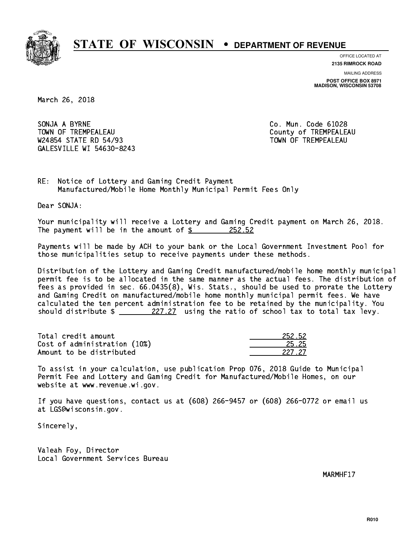

**OFFICE LOCATED AT**

**2135 RIMROCK ROAD**

**MAILING ADDRESS POST OFFICE BOX 8971 MADISON, WISCONSIN 53708**

March 26, 2018

SONJA A BYRNE CO. Mun. Code 61028 TOWN OF TREMPEALEAU **TOWA COUNTY OF TREMPEALEAU** W24854 STATE RD 54/93 TOWN OF TREMPEALEAU GALESVILLE WI 54630-8243

RE: Notice of Lottery and Gaming Credit Payment Manufactured/Mobile Home Monthly Municipal Permit Fees Only

Dear SONJA:

 Your municipality will receive a Lottery and Gaming Credit payment on March 26, 2018. The payment will be in the amount of  $\frac{252.52}{200}$ 

 Payments will be made by ACH to your bank or the Local Government Investment Pool for those municipalities setup to receive payments under these methods.

 Distribution of the Lottery and Gaming Credit manufactured/mobile home monthly municipal permit fee is to be allocated in the same manner as the actual fees. The distribution of fees as provided in sec. 66.0435(8), Wis. Stats., should be used to prorate the Lottery and Gaming Credit on manufactured/mobile home monthly municipal permit fees. We have calculated the ten percent administration fee to be retained by the municipality. You should distribute  $\frac{227.27}{27.27}$  using the ratio of school tax to total tax levy.

Total credit amount Cost of administration (10%) Amount to be distributed

| 52.52 |
|-------|
| . 25  |
| - 77  |

 To assist in your calculation, use publication Prop 076, 2018 Guide to Municipal Permit Fee and Lottery and Gaming Credit for Manufactured/Mobile Homes, on our website at www.revenue.wi.gov.

 If you have questions, contact us at (608) 266-9457 or (608) 266-0772 or email us at LGS@wisconsin.gov.

Sincerely,

 Valeah Foy, Director Local Government Services Bureau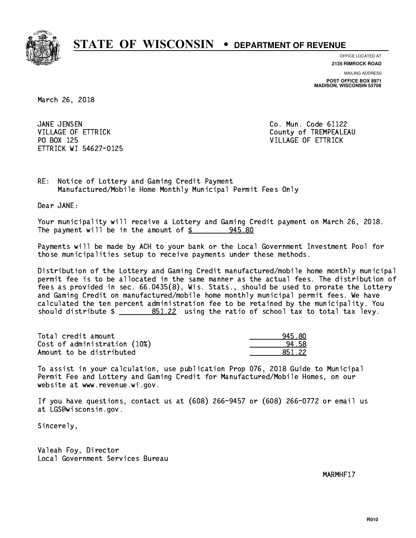

**OFFICE LOCATED AT**

**2135 RIMROCK ROAD**

**MAILING ADDRESS POST OFFICE BOX 8971 MADISON, WISCONSIN 53708**

March 26, 2018

JANE JENSEN PO BOX 125 VILLAGE OF ETTRICK ETTRICK WI 54627-0125

Co. Mun. Code 61122 VILLAGE OF ETTRICK County of TREMPEALEAU

RE: Notice of Lottery and Gaming Credit Payment Manufactured/Mobile Home Monthly Municipal Permit Fees Only

Dear JANE:

 Your municipality will receive a Lottery and Gaming Credit payment on March 26, 2018. The payment will be in the amount of  $\frac{2}{3}$  945.80

 Payments will be made by ACH to your bank or the Local Government Investment Pool for those municipalities setup to receive payments under these methods.

 Distribution of the Lottery and Gaming Credit manufactured/mobile home monthly municipal permit fee is to be allocated in the same manner as the actual fees. The distribution of fees as provided in sec. 66.0435(8), Wis. Stats., should be used to prorate the Lottery and Gaming Credit on manufactured/mobile home monthly municipal permit fees. We have calculated the ten percent administration fee to be retained by the municipality. You should distribute  $\frac{251.22}{2}$  using the ratio of school tax to total tax levy.

| Total credit amount          | 945.80 |
|------------------------------|--------|
| Cost of administration (10%) | 94.58  |
| Amount to be distributed     | 851.22 |

 To assist in your calculation, use publication Prop 076, 2018 Guide to Municipal Permit Fee and Lottery and Gaming Credit for Manufactured/Mobile Homes, on our website at www.revenue.wi.gov.

 If you have questions, contact us at (608) 266-9457 or (608) 266-0772 or email us at LGS@wisconsin.gov.

Sincerely,

 Valeah Foy, Director Local Government Services Bureau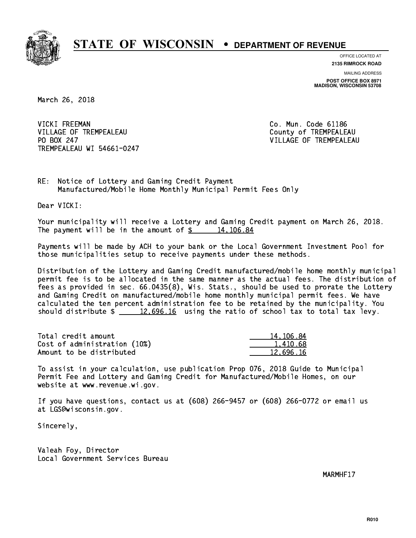

**OFFICE LOCATED AT**

**2135 RIMROCK ROAD**

**MAILING ADDRESS POST OFFICE BOX 8971 MADISON, WISCONSIN 53708**

March 26, 2018

VICKI FREEMAN VILLAGE OF TREMPEALEAU County of TREMPEALEAU PO BOX 247 TREMPEALEAU WI 54661-0247

Co. Mun. Code 61186 VILLAGE OF TREMPEALEAU

RE: Notice of Lottery and Gaming Credit Payment Manufactured/Mobile Home Monthly Municipal Permit Fees Only

Dear VICKI:

 Your municipality will receive a Lottery and Gaming Credit payment on March 26, 2018. The payment will be in the amount of  $\frac{2}{3}$  14,106.84

 Payments will be made by ACH to your bank or the Local Government Investment Pool for those municipalities setup to receive payments under these methods.

 Distribution of the Lottery and Gaming Credit manufactured/mobile home monthly municipal permit fee is to be allocated in the same manner as the actual fees. The distribution of fees as provided in sec. 66.0435(8), Wis. Stats., should be used to prorate the Lottery and Gaming Credit on manufactured/mobile home monthly municipal permit fees. We have calculated the ten percent administration fee to be retained by the municipality. You should distribute  $\frac{2}{2}$   $\frac{12,696.16}{2}$  using the ratio of school tax to total tax levy.

| Total credit amount          | 14, 106, 84 |
|------------------------------|-------------|
| Cost of administration (10%) | 1.410.68    |
| Amount to be distributed     | 12.696.16   |

 To assist in your calculation, use publication Prop 076, 2018 Guide to Municipal Permit Fee and Lottery and Gaming Credit for Manufactured/Mobile Homes, on our website at www.revenue.wi.gov.

 If you have questions, contact us at (608) 266-9457 or (608) 266-0772 or email us at LGS@wisconsin.gov.

Sincerely,

 Valeah Foy, Director Local Government Services Bureau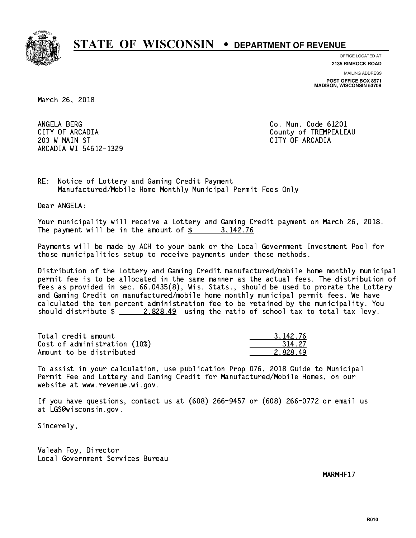

**OFFICE LOCATED AT**

**2135 RIMROCK ROAD**

**MAILING ADDRESS POST OFFICE BOX 8971 MADISON, WISCONSIN 53708**

March 26, 2018

ANGELA BERG 203 W MAIN ST CITY OF ARCADIA ARCADIA WI 54612-1329

Co. Mun. Code 61201 CITY OF ARCADIA County of TREMPEALEAU

RE: Notice of Lottery and Gaming Credit Payment Manufactured/Mobile Home Monthly Municipal Permit Fees Only

Dear ANGELA:

 Your municipality will receive a Lottery and Gaming Credit payment on March 26, 2018. The payment will be in the amount of  $\frac{2}{3}$  3, 142.76

 Payments will be made by ACH to your bank or the Local Government Investment Pool for those municipalities setup to receive payments under these methods.

 Distribution of the Lottery and Gaming Credit manufactured/mobile home monthly municipal permit fee is to be allocated in the same manner as the actual fees. The distribution of fees as provided in sec. 66.0435(8), Wis. Stats., should be used to prorate the Lottery and Gaming Credit on manufactured/mobile home monthly municipal permit fees. We have calculated the ten percent administration fee to be retained by the municipality. You should distribute  $\frac{2.828.49}{ }$  using the ratio of school tax to total tax levy.

| Total credit amount          | 3.142.76 |
|------------------------------|----------|
| Cost of administration (10%) | 314.27   |
| Amount to be distributed     | 2.828.49 |

 To assist in your calculation, use publication Prop 076, 2018 Guide to Municipal Permit Fee and Lottery and Gaming Credit for Manufactured/Mobile Homes, on our website at www.revenue.wi.gov.

 If you have questions, contact us at (608) 266-9457 or (608) 266-0772 or email us at LGS@wisconsin.gov.

Sincerely,

 Valeah Foy, Director Local Government Services Bureau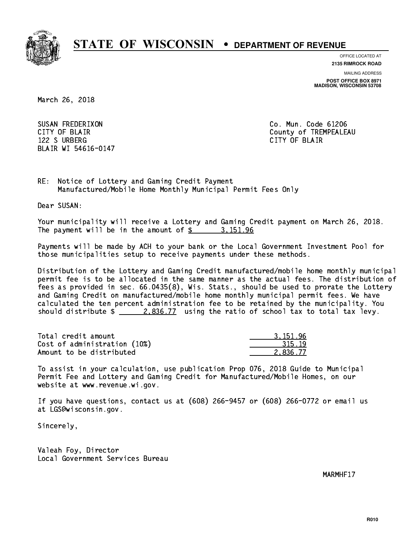

**OFFICE LOCATED AT**

**2135 RIMROCK ROAD**

**MAILING ADDRESS POST OFFICE BOX 8971 MADISON, WISCONSIN 53708**

March 26, 2018

 SUSAN FREDERIXON Co. Mun. Code 61206 122 S URBERG CITY OF BLAIR BLAIR WI 54616-0147

CITY OF BLAIR County of TREMPEALEAU

RE: Notice of Lottery and Gaming Credit Payment Manufactured/Mobile Home Monthly Municipal Permit Fees Only

Dear SUSAN:

 Your municipality will receive a Lottery and Gaming Credit payment on March 26, 2018. The payment will be in the amount of  $\frac{2}{3}$  3,151.96

 Payments will be made by ACH to your bank or the Local Government Investment Pool for those municipalities setup to receive payments under these methods.

 Distribution of the Lottery and Gaming Credit manufactured/mobile home monthly municipal permit fee is to be allocated in the same manner as the actual fees. The distribution of fees as provided in sec. 66.0435(8), Wis. Stats., should be used to prorate the Lottery and Gaming Credit on manufactured/mobile home monthly municipal permit fees. We have calculated the ten percent administration fee to be retained by the municipality. You should distribute  $\frac{2.836.77}{2.836.77}$  using the ratio of school tax to total tax levy.

| Total credit amount          | 3.151.96 |
|------------------------------|----------|
| Cost of administration (10%) | 315.19   |
| Amount to be distributed     | 2.836.77 |

 To assist in your calculation, use publication Prop 076, 2018 Guide to Municipal Permit Fee and Lottery and Gaming Credit for Manufactured/Mobile Homes, on our website at www.revenue.wi.gov.

 If you have questions, contact us at (608) 266-9457 or (608) 266-0772 or email us at LGS@wisconsin.gov.

Sincerely,

 Valeah Foy, Director Local Government Services Bureau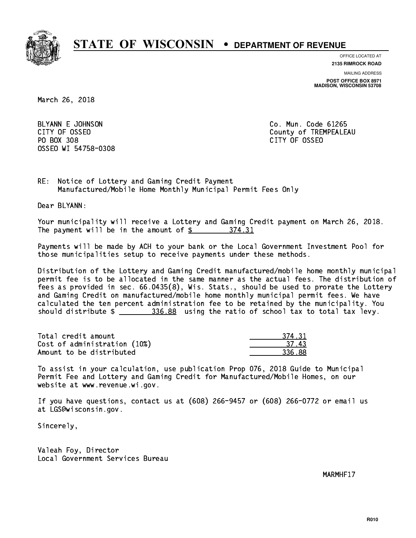

**OFFICE LOCATED AT**

**2135 RIMROCK ROAD**

**MAILING ADDRESS POST OFFICE BOX 8971 MADISON, WISCONSIN 53708**

March 26, 2018

BLYANN E JOHNSON CO. Mun. Code 61265 PO BOX 308 PO BOX 308 CITY OF OSSEO OSSEO WI 54758-0308

CITY OF OSSEO COUNTY OF OSSEO

RE: Notice of Lottery and Gaming Credit Payment Manufactured/Mobile Home Monthly Municipal Permit Fees Only

Dear BLYANN:

 Your municipality will receive a Lottery and Gaming Credit payment on March 26, 2018. The payment will be in the amount of \$ 374.31 \_\_\_\_\_\_\_\_\_\_\_\_\_\_\_\_

 Payments will be made by ACH to your bank or the Local Government Investment Pool for those municipalities setup to receive payments under these methods.

 Distribution of the Lottery and Gaming Credit manufactured/mobile home monthly municipal permit fee is to be allocated in the same manner as the actual fees. The distribution of fees as provided in sec. 66.0435(8), Wis. Stats., should be used to prorate the Lottery and Gaming Credit on manufactured/mobile home monthly municipal permit fees. We have calculated the ten percent administration fee to be retained by the municipality. You should distribute  $\frac{2.356.88}{2}$  using the ratio of school tax to total tax levy.

| Total credit amount          | 374.31 |
|------------------------------|--------|
| Cost of administration (10%) | -37.43 |
| Amount to be distributed     | 336.88 |

 To assist in your calculation, use publication Prop 076, 2018 Guide to Municipal Permit Fee and Lottery and Gaming Credit for Manufactured/Mobile Homes, on our website at www.revenue.wi.gov.

 If you have questions, contact us at (608) 266-9457 or (608) 266-0772 or email us at LGS@wisconsin.gov.

Sincerely,

 Valeah Foy, Director Local Government Services Bureau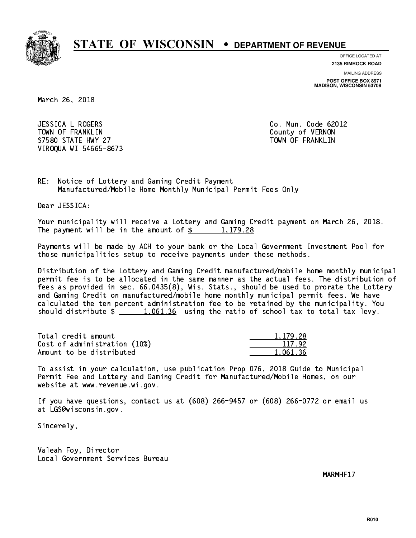

**OFFICE LOCATED AT**

**2135 RIMROCK ROAD**

**MAILING ADDRESS POST OFFICE BOX 8971 MADISON, WISCONSIN 53708**

March 26, 2018

 JESSICA L ROGERS Co. Mun. Code 62012 TOWN OF FRANKLIN County of VERNON S7580 STATE HWY 27 TOWN OF FRANKLIN VIROQUA WI 54665-8673

RE: Notice of Lottery and Gaming Credit Payment Manufactured/Mobile Home Monthly Municipal Permit Fees Only

Dear JESSICA:

 Your municipality will receive a Lottery and Gaming Credit payment on March 26, 2018. The payment will be in the amount of  $\frac{2}{3}$  1,179.28

 Payments will be made by ACH to your bank or the Local Government Investment Pool for those municipalities setup to receive payments under these methods.

 Distribution of the Lottery and Gaming Credit manufactured/mobile home monthly municipal permit fee is to be allocated in the same manner as the actual fees. The distribution of fees as provided in sec. 66.0435(8), Wis. Stats., should be used to prorate the Lottery and Gaming Credit on manufactured/mobile home monthly municipal permit fees. We have calculated the ten percent administration fee to be retained by the municipality. You should distribute  $\frac{1,061.36}{1,061.36}$  using the ratio of school tax to total tax levy.

| Total credit amount          | 1.179.28 |
|------------------------------|----------|
| Cost of administration (10%) | 117.92   |
| Amount to be distributed     | 1.061.36 |

 To assist in your calculation, use publication Prop 076, 2018 Guide to Municipal Permit Fee and Lottery and Gaming Credit for Manufactured/Mobile Homes, on our website at www.revenue.wi.gov.

 If you have questions, contact us at (608) 266-9457 or (608) 266-0772 or email us at LGS@wisconsin.gov.

Sincerely,

 Valeah Foy, Director Local Government Services Bureau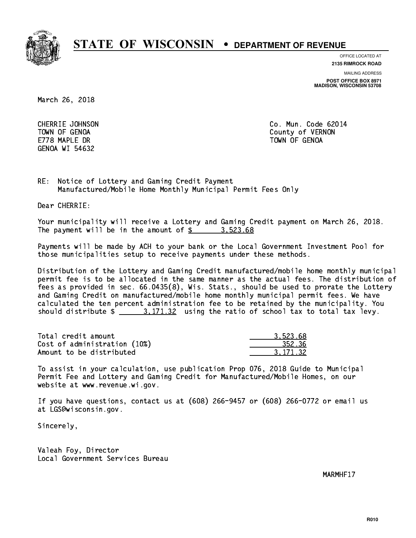

**OFFICE LOCATED AT**

**2135 RIMROCK ROAD**

**MAILING ADDRESS**

**POST OFFICE BOX 8971 MADISON, WISCONSIN 53708**

March 26, 2018

E778 MAPLE DR TOWN OF GENOA GENOA WI 54632

 CHERRIE JOHNSON Co. Mun. Code 62014 TOWN OF GENOA County of VERNON

RE: Notice of Lottery and Gaming Credit Payment Manufactured/Mobile Home Monthly Municipal Permit Fees Only

Dear CHERRIE:

 Your municipality will receive a Lottery and Gaming Credit payment on March 26, 2018. The payment will be in the amount of  $\frac{2}{3}$   $\frac{3,523.68}{3}$ 

 Payments will be made by ACH to your bank or the Local Government Investment Pool for those municipalities setup to receive payments under these methods.

 Distribution of the Lottery and Gaming Credit manufactured/mobile home monthly municipal permit fee is to be allocated in the same manner as the actual fees. The distribution of fees as provided in sec. 66.0435(8), Wis. Stats., should be used to prorate the Lottery and Gaming Credit on manufactured/mobile home monthly municipal permit fees. We have calculated the ten percent administration fee to be retained by the municipality. You should distribute  $\frac{2}{1}$   $\frac{3}{171.32}$  using the ratio of school tax to total tax levy.

| Total credit amount          | 3.523.68 |
|------------------------------|----------|
| Cost of administration (10%) | 352.36   |
| Amount to be distributed     | 3.171.32 |

 To assist in your calculation, use publication Prop 076, 2018 Guide to Municipal Permit Fee and Lottery and Gaming Credit for Manufactured/Mobile Homes, on our website at www.revenue.wi.gov.

 If you have questions, contact us at (608) 266-9457 or (608) 266-0772 or email us at LGS@wisconsin.gov.

Sincerely,

 Valeah Foy, Director Local Government Services Bureau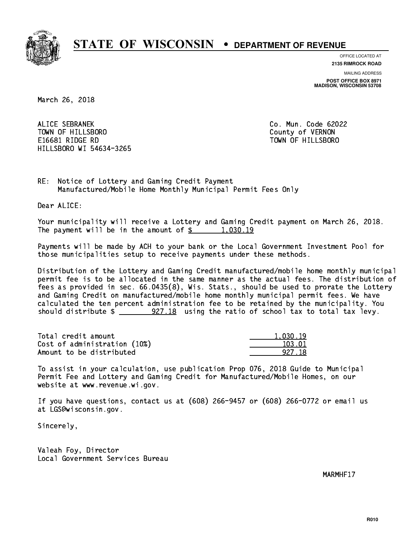

**OFFICE LOCATED AT 2135 RIMROCK ROAD**

**MAILING ADDRESS POST OFFICE BOX 8971 MADISON, WISCONSIN 53708**

March 26, 2018

 ALICE SEBRANEK Co. Mun. Code 62022 TOWN OF HILLSBORO County of VERNON E16681 RIDGE RD TOWN OF HILLSBORO HILLSBORO WI 54634-3265

RE: Notice of Lottery and Gaming Credit Payment Manufactured/Mobile Home Monthly Municipal Permit Fees Only

Dear ALICE:

 Your municipality will receive a Lottery and Gaming Credit payment on March 26, 2018. The payment will be in the amount of  $\frac{2}{3}$  1,030.19

 Payments will be made by ACH to your bank or the Local Government Investment Pool for those municipalities setup to receive payments under these methods.

 Distribution of the Lottery and Gaming Credit manufactured/mobile home monthly municipal permit fee is to be allocated in the same manner as the actual fees. The distribution of fees as provided in sec. 66.0435(8), Wis. Stats., should be used to prorate the Lottery and Gaming Credit on manufactured/mobile home monthly municipal permit fees. We have calculated the ten percent administration fee to be retained by the municipality. You should distribute  $\frac{27.18}{100}$  using the ratio of school tax to total tax levy.

| Total credit amount          | 1.030.19 |
|------------------------------|----------|
| Cost of administration (10%) | 103.01   |
| Amount to be distributed     | 927 18   |

 To assist in your calculation, use publication Prop 076, 2018 Guide to Municipal Permit Fee and Lottery and Gaming Credit for Manufactured/Mobile Homes, on our website at www.revenue.wi.gov.

 If you have questions, contact us at (608) 266-9457 or (608) 266-0772 or email us at LGS@wisconsin.gov.

Sincerely,

 Valeah Foy, Director Local Government Services Bureau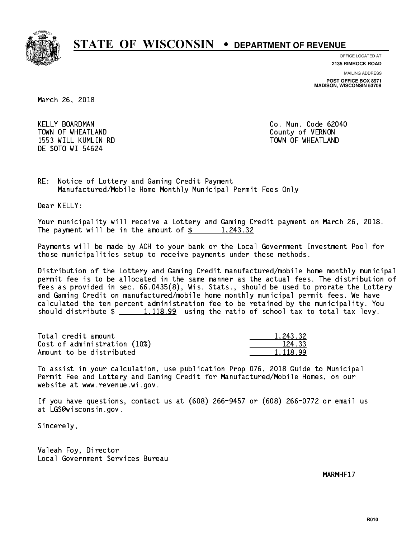

**OFFICE LOCATED AT**

**2135 RIMROCK ROAD**

**MAILING ADDRESS POST OFFICE BOX 8971 MADISON, WISCONSIN 53708**

March 26, 2018

 KELLY BOARDMAN Co. Mun. Code 62040 TOWN OF WHEATLAND County of VERNON 1553 WILL KUMLIN RD TOWN OF WHEATLAND DE SOTO WI 54624

RE: Notice of Lottery and Gaming Credit Payment Manufactured/Mobile Home Monthly Municipal Permit Fees Only

Dear KELLY:

 Your municipality will receive a Lottery and Gaming Credit payment on March 26, 2018. The payment will be in the amount of  $\frac{2}{3}$  1,243.32

 Payments will be made by ACH to your bank or the Local Government Investment Pool for those municipalities setup to receive payments under these methods.

 Distribution of the Lottery and Gaming Credit manufactured/mobile home monthly municipal permit fee is to be allocated in the same manner as the actual fees. The distribution of fees as provided in sec. 66.0435(8), Wis. Stats., should be used to prorate the Lottery and Gaming Credit on manufactured/mobile home monthly municipal permit fees. We have calculated the ten percent administration fee to be retained by the municipality. You should distribute  $\frac{1,118.99}{1,118.99}$  using the ratio of school tax to total tax levy.

| Total credit amount          | 1.243.32 |
|------------------------------|----------|
| Cost of administration (10%) | 124.33   |
| Amount to be distributed     | 1.118.99 |

 To assist in your calculation, use publication Prop 076, 2018 Guide to Municipal Permit Fee and Lottery and Gaming Credit for Manufactured/Mobile Homes, on our website at www.revenue.wi.gov.

 If you have questions, contact us at (608) 266-9457 or (608) 266-0772 or email us at LGS@wisconsin.gov.

Sincerely,

 Valeah Foy, Director Local Government Services Bureau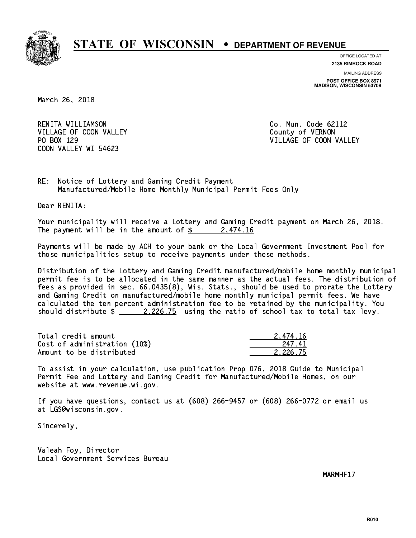

**OFFICE LOCATED AT**

**2135 RIMROCK ROAD**

**MAILING ADDRESS POST OFFICE BOX 8971 MADISON, WISCONSIN 53708**

March 26, 2018

 RENITA WILLIAMSON Co. Mun. Code 62112 VILLAGE OF COON VALLEY COUNTY OF VERNON PO BOX 129 COON VALLEY WI 54623

VILLAGE OF COON VALLEY

RE: Notice of Lottery and Gaming Credit Payment Manufactured/Mobile Home Monthly Municipal Permit Fees Only

Dear RENITA:

 Your municipality will receive a Lottery and Gaming Credit payment on March 26, 2018. The payment will be in the amount of  $\frac{2474.16}{10}$ 

 Payments will be made by ACH to your bank or the Local Government Investment Pool for those municipalities setup to receive payments under these methods.

 Distribution of the Lottery and Gaming Credit manufactured/mobile home monthly municipal permit fee is to be allocated in the same manner as the actual fees. The distribution of fees as provided in sec. 66.0435(8), Wis. Stats., should be used to prorate the Lottery and Gaming Credit on manufactured/mobile home monthly municipal permit fees. We have calculated the ten percent administration fee to be retained by the municipality. You should distribute  $\frac{2.226.75}{2.226.75}$  using the ratio of school tax to total tax levy.

| Total credit amount          | 2.474.16 |
|------------------------------|----------|
| Cost of administration (10%) | 247.41   |
| Amount to be distributed     | 2.226.75 |

 To assist in your calculation, use publication Prop 076, 2018 Guide to Municipal Permit Fee and Lottery and Gaming Credit for Manufactured/Mobile Homes, on our website at www.revenue.wi.gov.

 If you have questions, contact us at (608) 266-9457 or (608) 266-0772 or email us at LGS@wisconsin.gov.

Sincerely,

 Valeah Foy, Director Local Government Services Bureau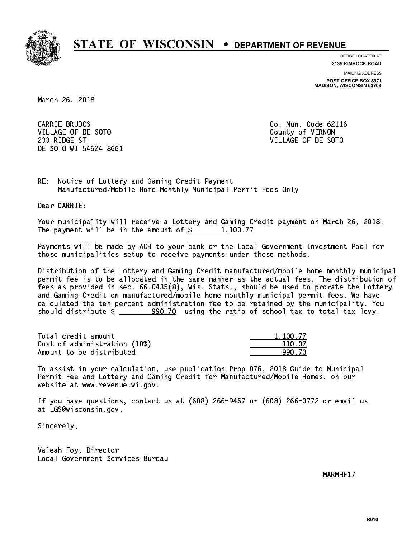

**OFFICE LOCATED AT**

**2135 RIMROCK ROAD**

**MAILING ADDRESS POST OFFICE BOX 8971 MADISON, WISCONSIN 53708**

March 26, 2018

CARRIE BRUDOS VILLAGE OF DE SOTO COUNTY OF VERNON 233 RIDGE ST VILLAGE OF DE SOTO DE SOTO WI 54624-8661

Co. Mun. Code 62116

RE: Notice of Lottery and Gaming Credit Payment Manufactured/Mobile Home Monthly Municipal Permit Fees Only

Dear CARRIE:

 Your municipality will receive a Lottery and Gaming Credit payment on March 26, 2018. The payment will be in the amount of  $\frac{2}{3}$  1,100.77

 Payments will be made by ACH to your bank or the Local Government Investment Pool for those municipalities setup to receive payments under these methods.

 Distribution of the Lottery and Gaming Credit manufactured/mobile home monthly municipal permit fee is to be allocated in the same manner as the actual fees. The distribution of fees as provided in sec. 66.0435(8), Wis. Stats., should be used to prorate the Lottery and Gaming Credit on manufactured/mobile home monthly municipal permit fees. We have calculated the ten percent administration fee to be retained by the municipality. You should distribute  $\frac{200.70}{20.70}$  using the ratio of school tax to total tax levy.

| Total credit amount          | 1,100.77 |
|------------------------------|----------|
| Cost of administration (10%) | 110.07   |
| Amount to be distributed     | 990 70   |

 To assist in your calculation, use publication Prop 076, 2018 Guide to Municipal Permit Fee and Lottery and Gaming Credit for Manufactured/Mobile Homes, on our website at www.revenue.wi.gov.

 If you have questions, contact us at (608) 266-9457 or (608) 266-0772 or email us at LGS@wisconsin.gov.

Sincerely,

 Valeah Foy, Director Local Government Services Bureau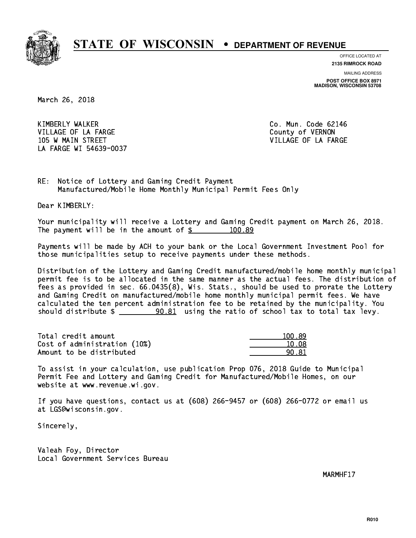

**OFFICE LOCATED AT**

**2135 RIMROCK ROAD**

**MAILING ADDRESS POST OFFICE BOX 8971 MADISON, WISCONSIN 53708**

March 26, 2018

 KIMBERLY WALKER Co. Mun. Code 62146 VILLAGE OF LA FARGE COUNTY OF VERNON 105 W MAIN STREET A RESERVE TO A STREET A STREET A STREET A STREET A STREET A STREET A STREET A STREET A STREET LA FARGE WI 54639-0037

RE: Notice of Lottery and Gaming Credit Payment Manufactured/Mobile Home Monthly Municipal Permit Fees Only

Dear KIMBERLY:

 Your municipality will receive a Lottery and Gaming Credit payment on March 26, 2018. The payment will be in the amount of  $\frac{2}{3}$  100.89

 Payments will be made by ACH to your bank or the Local Government Investment Pool for those municipalities setup to receive payments under these methods.

 Distribution of the Lottery and Gaming Credit manufactured/mobile home monthly municipal permit fee is to be allocated in the same manner as the actual fees. The distribution of fees as provided in sec. 66.0435(8), Wis. Stats., should be used to prorate the Lottery and Gaming Credit on manufactured/mobile home monthly municipal permit fees. We have calculated the ten percent administration fee to be retained by the municipality. You should distribute  $\frac{1}{2}$   $\frac{90.81}{2}$  using the ratio of school tax to total tax levy.

Total credit amount Cost of administration (10%) Amount to be distributed

| 100.89 |
|--------|
| 10.08  |
| O. 81  |

 To assist in your calculation, use publication Prop 076, 2018 Guide to Municipal Permit Fee and Lottery and Gaming Credit for Manufactured/Mobile Homes, on our website at www.revenue.wi.gov.

 If you have questions, contact us at (608) 266-9457 or (608) 266-0772 or email us at LGS@wisconsin.gov.

Sincerely,

 Valeah Foy, Director Local Government Services Bureau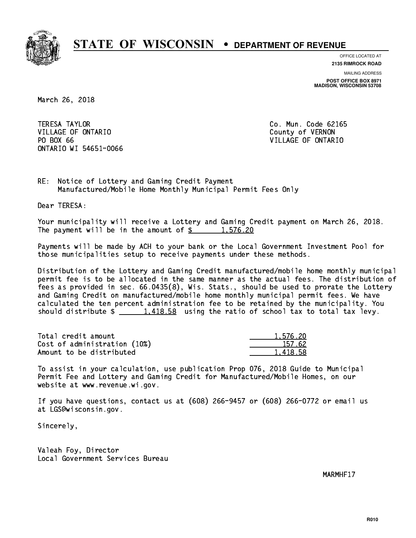

**OFFICE LOCATED AT 2135 RIMROCK ROAD**

**MAILING ADDRESS POST OFFICE BOX 8971 MADISON, WISCONSIN 53708**

March 26, 2018

**TERESA TAYLOR** VILLAGE OF ONTARIO **COUNTY OF SERVICE OF STATE OF STATE OF STATE OF STATE OF STATE OF STATE OF STATE OF STATE OF STATE OF STATE OF STATE OF STATE OF STATE OF STATE OF STATE OF STATE OF STATE OF STATE OF STATE OF STATE OF S** PO BOX 66 ONTARIO WI 54651-0066

Co. Mun. Code 62165 VILLAGE OF ONTARIO

RE: Notice of Lottery and Gaming Credit Payment Manufactured/Mobile Home Monthly Municipal Permit Fees Only

Dear TERESA:

 Your municipality will receive a Lottery and Gaming Credit payment on March 26, 2018. The payment will be in the amount of  $\frac{2}{3}$  1,576.20

 Payments will be made by ACH to your bank or the Local Government Investment Pool for those municipalities setup to receive payments under these methods.

 Distribution of the Lottery and Gaming Credit manufactured/mobile home monthly municipal permit fee is to be allocated in the same manner as the actual fees. The distribution of fees as provided in sec. 66.0435(8), Wis. Stats., should be used to prorate the Lottery and Gaming Credit on manufactured/mobile home monthly municipal permit fees. We have calculated the ten percent administration fee to be retained by the municipality. You should distribute  $\frac{1,418.58}{1,418.58}$  using the ratio of school tax to total tax levy.

| Total credit amount          | 1,576.20 |
|------------------------------|----------|
| Cost of administration (10%) | 157.62   |
| Amount to be distributed     | 1,418.58 |

 To assist in your calculation, use publication Prop 076, 2018 Guide to Municipal Permit Fee and Lottery and Gaming Credit for Manufactured/Mobile Homes, on our website at www.revenue.wi.gov.

 If you have questions, contact us at (608) 266-9457 or (608) 266-0772 or email us at LGS@wisconsin.gov.

Sincerely,

 Valeah Foy, Director Local Government Services Bureau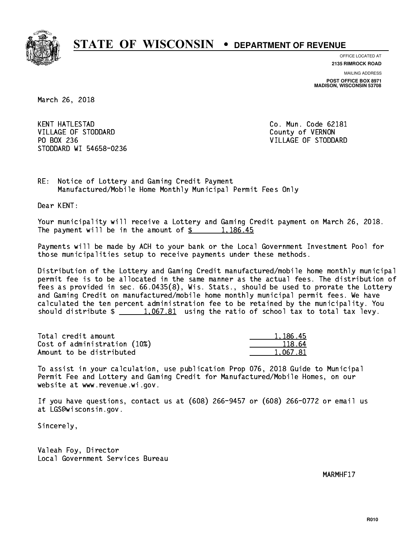

**OFFICE LOCATED AT**

**2135 RIMROCK ROAD**

**MAILING ADDRESS POST OFFICE BOX 8971 MADISON, WISCONSIN 53708**

March 26, 2018

**KENT HATLESTAD** VILLAGE OF STODDARD County of VERNON PO BOX 236 VILLAGE OF STODDARD STODDARD WI 54658-0236

Co. Mun. Code 62181

RE: Notice of Lottery and Gaming Credit Payment Manufactured/Mobile Home Monthly Municipal Permit Fees Only

Dear KENT:

 Your municipality will receive a Lottery and Gaming Credit payment on March 26, 2018. The payment will be in the amount of  $\frac{2}{3}$  1,186.45

 Payments will be made by ACH to your bank or the Local Government Investment Pool for those municipalities setup to receive payments under these methods.

 Distribution of the Lottery and Gaming Credit manufactured/mobile home monthly municipal permit fee is to be allocated in the same manner as the actual fees. The distribution of fees as provided in sec. 66.0435(8), Wis. Stats., should be used to prorate the Lottery and Gaming Credit on manufactured/mobile home monthly municipal permit fees. We have calculated the ten percent administration fee to be retained by the municipality. You should distribute  $\frac{1,067.81}{1,067.81}$  using the ratio of school tax to total tax levy.

| Total credit amount          | 1.186.45 |
|------------------------------|----------|
| Cost of administration (10%) | 118.64   |
| Amount to be distributed     | 1.067.81 |

 To assist in your calculation, use publication Prop 076, 2018 Guide to Municipal Permit Fee and Lottery and Gaming Credit for Manufactured/Mobile Homes, on our website at www.revenue.wi.gov.

 If you have questions, contact us at (608) 266-9457 or (608) 266-0772 or email us at LGS@wisconsin.gov.

Sincerely,

 Valeah Foy, Director Local Government Services Bureau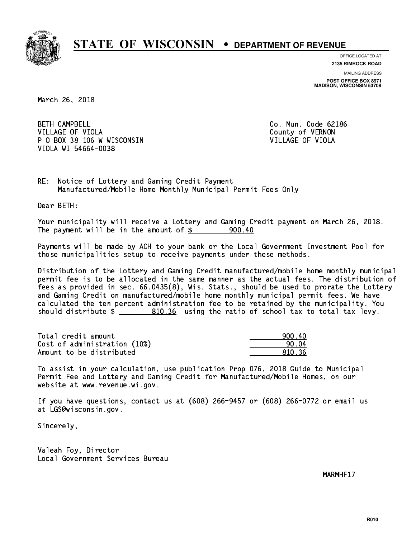

**OFFICE LOCATED AT 2135 RIMROCK ROAD**

**MAILING ADDRESS**

**POST OFFICE BOX 8971 MADISON, WISCONSIN 53708**

March 26, 2018

**BETH CAMPBELL** VILLAGE OF VIOLA **COUNTY OF VIOLA**  P O BOX 38 106 W WISCONSIN VILLAGE OF VIOLA VIOLA WI 54664-0038

Co. Mun. Code 62186

RE: Notice of Lottery and Gaming Credit Payment Manufactured/Mobile Home Monthly Municipal Permit Fees Only

Dear BETH:

 Your municipality will receive a Lottery and Gaming Credit payment on March 26, 2018. The payment will be in the amount of  $\frac{2}{3}$  900.40

 Payments will be made by ACH to your bank or the Local Government Investment Pool for those municipalities setup to receive payments under these methods.

 Distribution of the Lottery and Gaming Credit manufactured/mobile home monthly municipal permit fee is to be allocated in the same manner as the actual fees. The distribution of fees as provided in sec. 66.0435(8), Wis. Stats., should be used to prorate the Lottery and Gaming Credit on manufactured/mobile home monthly municipal permit fees. We have calculated the ten percent administration fee to be retained by the municipality. You should distribute  $\frac{2}{2}$   $\frac{810.36}{2}$  using the ratio of school tax to total tax levy.

| Total credit amount          | 900.40 |
|------------------------------|--------|
| Cost of administration (10%) | -90.04 |
| Amount to be distributed     | 810.36 |

 To assist in your calculation, use publication Prop 076, 2018 Guide to Municipal Permit Fee and Lottery and Gaming Credit for Manufactured/Mobile Homes, on our website at www.revenue.wi.gov.

 If you have questions, contact us at (608) 266-9457 or (608) 266-0772 or email us at LGS@wisconsin.gov.

Sincerely,

 Valeah Foy, Director Local Government Services Bureau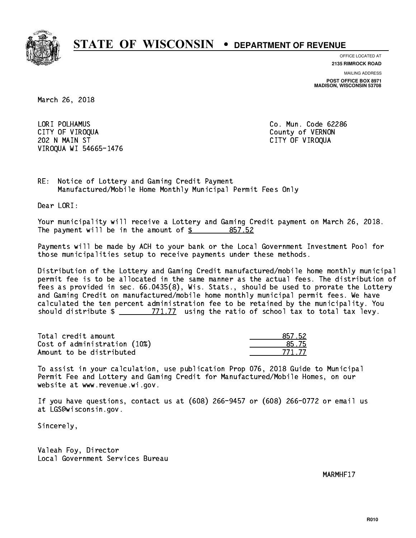

**OFFICE LOCATED AT**

**2135 RIMROCK ROAD**

**MAILING ADDRESS**

**POST OFFICE BOX 8971 MADISON, WISCONSIN 53708**

March 26, 2018

 LORI POLHAMUS Co. Mun. Code 62286 CITY OF VIROQUA COUNTY OF VERNON 202 N MAIN ST CITY OF VIROQUA VIROQUA WI 54665-1476

RE: Notice of Lottery and Gaming Credit Payment Manufactured/Mobile Home Monthly Municipal Permit Fees Only

Dear LORI:

 Your municipality will receive a Lottery and Gaming Credit payment on March 26, 2018. The payment will be in the amount of \$ 857.52 \_\_\_\_\_\_\_\_\_\_\_\_\_\_\_\_

 Payments will be made by ACH to your bank or the Local Government Investment Pool for those municipalities setup to receive payments under these methods.

 Distribution of the Lottery and Gaming Credit manufactured/mobile home monthly municipal permit fee is to be allocated in the same manner as the actual fees. The distribution of fees as provided in sec. 66.0435(8), Wis. Stats., should be used to prorate the Lottery and Gaming Credit on manufactured/mobile home monthly municipal permit fees. We have calculated the ten percent administration fee to be retained by the municipality. You should distribute  $\frac{2}{2}$   $\frac{771.77}{2}$  using the ratio of school tax to total tax levy.

Total credit amount Cost of administration (10%) Amount to be distributed

| 17.52     |
|-----------|
| $-15$     |
| 177<br>,, |

 To assist in your calculation, use publication Prop 076, 2018 Guide to Municipal Permit Fee and Lottery and Gaming Credit for Manufactured/Mobile Homes, on our website at www.revenue.wi.gov.

 If you have questions, contact us at (608) 266-9457 or (608) 266-0772 or email us at LGS@wisconsin.gov.

Sincerely,

 Valeah Foy, Director Local Government Services Bureau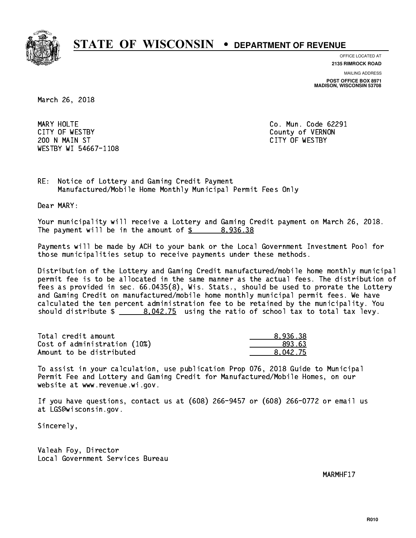

**OFFICE LOCATED AT**

**2135 RIMROCK ROAD**

**MAILING ADDRESS**

**POST OFFICE BOX 8971 MADISON, WISCONSIN 53708**

March 26, 2018

MARY HOLTE CITY OF WESTBY County of VERNON 200 N MAIN ST CITY OF WESTBY WESTBY WI 54667-1108

Co. Mun. Code 62291

RE: Notice of Lottery and Gaming Credit Payment Manufactured/Mobile Home Monthly Municipal Permit Fees Only

Dear MARY:

 Your municipality will receive a Lottery and Gaming Credit payment on March 26, 2018. The payment will be in the amount of  $\frac{2}{3}$  8,936.38

 Payments will be made by ACH to your bank or the Local Government Investment Pool for those municipalities setup to receive payments under these methods.

 Distribution of the Lottery and Gaming Credit manufactured/mobile home monthly municipal permit fee is to be allocated in the same manner as the actual fees. The distribution of fees as provided in sec. 66.0435(8), Wis. Stats., should be used to prorate the Lottery and Gaming Credit on manufactured/mobile home monthly municipal permit fees. We have calculated the ten percent administration fee to be retained by the municipality. You should distribute  $\frac{2}{1}$   $\frac{8.042.75}{2}$  using the ratio of school tax to total tax levy.

| Total credit amount          | 8.936.38 |
|------------------------------|----------|
| Cost of administration (10%) | 893.63   |
| Amount to be distributed     | 8.042.75 |

 To assist in your calculation, use publication Prop 076, 2018 Guide to Municipal Permit Fee and Lottery and Gaming Credit for Manufactured/Mobile Homes, on our website at www.revenue.wi.gov.

 If you have questions, contact us at (608) 266-9457 or (608) 266-0772 or email us at LGS@wisconsin.gov.

Sincerely,

 Valeah Foy, Director Local Government Services Bureau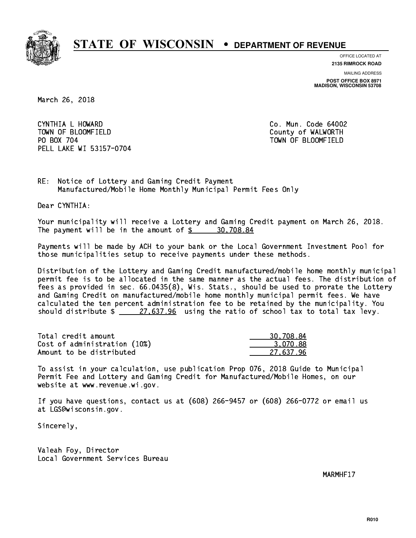

**OFFICE LOCATED AT**

**2135 RIMROCK ROAD**

**MAILING ADDRESS**

**POST OFFICE BOX 8971 MADISON, WISCONSIN 53708**

March 26, 2018

 CYNTHIA L HOWARD Co. Mun. Code 64002 TOWN OF BLOOMFIELD County of WALWORTH PO BOX 704 PELL LAKE WI 53157-0704

TOWN OF BLOOMFIELD

RE: Notice of Lottery and Gaming Credit Payment Manufactured/Mobile Home Monthly Municipal Permit Fees Only

Dear CYNTHIA:

 Your municipality will receive a Lottery and Gaming Credit payment on March 26, 2018. The payment will be in the amount of  $\frac{2}{3}$  30,708.84

 Payments will be made by ACH to your bank or the Local Government Investment Pool for those municipalities setup to receive payments under these methods.

 Distribution of the Lottery and Gaming Credit manufactured/mobile home monthly municipal permit fee is to be allocated in the same manner as the actual fees. The distribution of fees as provided in sec. 66.0435(8), Wis. Stats., should be used to prorate the Lottery and Gaming Credit on manufactured/mobile home monthly municipal permit fees. We have calculated the ten percent administration fee to be retained by the municipality. You should distribute  $\frac{27.637.96}{27.637.96}$  using the ratio of school tax to total tax levy.

| Total credit amount          | 30,708.84 |
|------------------------------|-----------|
| Cost of administration (10%) | 3.070.88  |
| Amount to be distributed     | 27.637.96 |

 To assist in your calculation, use publication Prop 076, 2018 Guide to Municipal Permit Fee and Lottery and Gaming Credit for Manufactured/Mobile Homes, on our website at www.revenue.wi.gov.

 If you have questions, contact us at (608) 266-9457 or (608) 266-0772 or email us at LGS@wisconsin.gov.

Sincerely,

 Valeah Foy, Director Local Government Services Bureau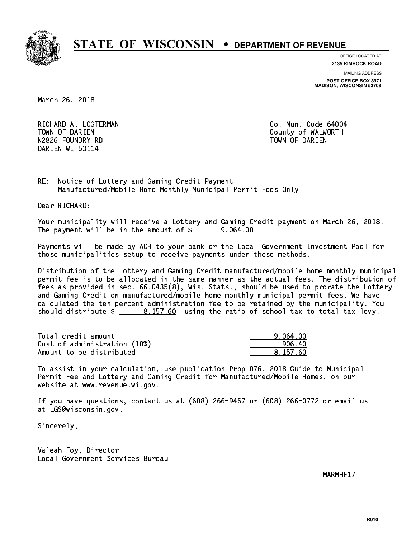

**OFFICE LOCATED AT**

**2135 RIMROCK ROAD**

**MAILING ADDRESS**

**POST OFFICE BOX 8971 MADISON, WISCONSIN 53708**

March 26, 2018

RICHARD A. LOGTERMAN **Co. Mun. Code 64004** TOWN OF DARIEN County of WALWORTH N2826 FOUNDRY RD TOWN OF DARIEN DARIEN WI 53114

RE: Notice of Lottery and Gaming Credit Payment Manufactured/Mobile Home Monthly Municipal Permit Fees Only

Dear RICHARD:

 Your municipality will receive a Lottery and Gaming Credit payment on March 26, 2018. The payment will be in the amount of  $\frac{2}{3}$  9,064.00

 Payments will be made by ACH to your bank or the Local Government Investment Pool for those municipalities setup to receive payments under these methods.

 Distribution of the Lottery and Gaming Credit manufactured/mobile home monthly municipal permit fee is to be allocated in the same manner as the actual fees. The distribution of fees as provided in sec. 66.0435(8), Wis. Stats., should be used to prorate the Lottery and Gaming Credit on manufactured/mobile home monthly municipal permit fees. We have calculated the ten percent administration fee to be retained by the municipality. You should distribute  $\frac{2}{10}$   $\frac{8,157.60}{2}$  using the ratio of school tax to total tax levy.

| Total credit amount          | 9.064.00 |
|------------------------------|----------|
| Cost of administration (10%) | 906.40   |
| Amount to be distributed     | 8.157.60 |

 To assist in your calculation, use publication Prop 076, 2018 Guide to Municipal Permit Fee and Lottery and Gaming Credit for Manufactured/Mobile Homes, on our website at www.revenue.wi.gov.

 If you have questions, contact us at (608) 266-9457 or (608) 266-0772 or email us at LGS@wisconsin.gov.

Sincerely,

 Valeah Foy, Director Local Government Services Bureau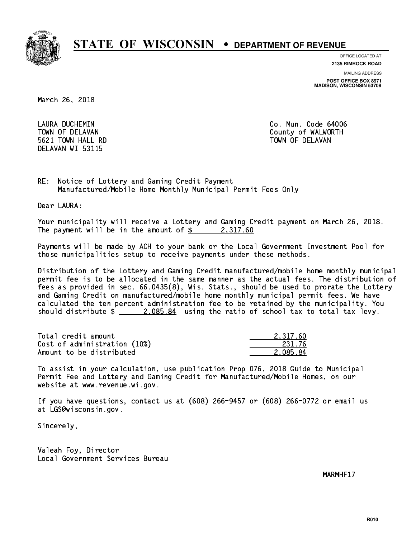

**OFFICE LOCATED AT**

**2135 RIMROCK ROAD**

**MAILING ADDRESS**

**POST OFFICE BOX 8971 MADISON, WISCONSIN 53708**

March 26, 2018

 LAURA DUCHEMIN Co. Mun. Code 64006 5621 TOWN HALL RD TOWN OF DELAVAN DELAVAN WI 53115

TOWN OF DELAVAN County of WALWORTH

RE: Notice of Lottery and Gaming Credit Payment Manufactured/Mobile Home Monthly Municipal Permit Fees Only

Dear LAURA:

 Your municipality will receive a Lottery and Gaming Credit payment on March 26, 2018. The payment will be in the amount of  $\frac{2}{3}$  2,317.60

 Payments will be made by ACH to your bank or the Local Government Investment Pool for those municipalities setup to receive payments under these methods.

 Distribution of the Lottery and Gaming Credit manufactured/mobile home monthly municipal permit fee is to be allocated in the same manner as the actual fees. The distribution of fees as provided in sec. 66.0435(8), Wis. Stats., should be used to prorate the Lottery and Gaming Credit on manufactured/mobile home monthly municipal permit fees. We have calculated the ten percent administration fee to be retained by the municipality. You should distribute  $\frac{2.085.84}{2.085.84}$  using the ratio of school tax to total tax levy.

| Total credit amount          | 2.317.60 |
|------------------------------|----------|
| Cost of administration (10%) | -231.76  |
| Amount to be distributed     | 2.085.84 |

 To assist in your calculation, use publication Prop 076, 2018 Guide to Municipal Permit Fee and Lottery and Gaming Credit for Manufactured/Mobile Homes, on our website at www.revenue.wi.gov.

 If you have questions, contact us at (608) 266-9457 or (608) 266-0772 or email us at LGS@wisconsin.gov.

Sincerely,

 Valeah Foy, Director Local Government Services Bureau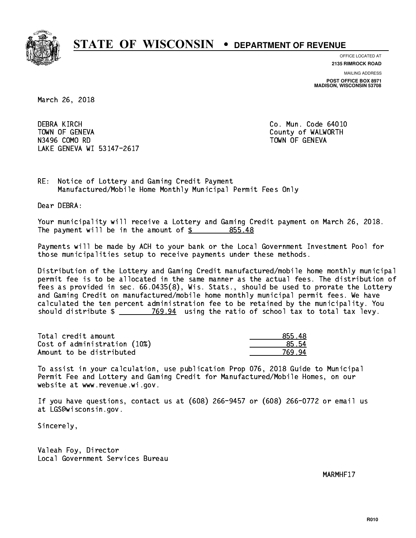

**OFFICE LOCATED AT**

**2135 RIMROCK ROAD**

**MAILING ADDRESS**

**POST OFFICE BOX 8971 MADISON, WISCONSIN 53708**

March 26, 2018

**DEBRA KIRCH**  TOWN OF GENEVA County of WALWORTH N3496 COMO RD TOWN OF GENEVA LAKE GENEVA WI 53147-2617

Co. Mun. Code 64010

RE: Notice of Lottery and Gaming Credit Payment Manufactured/Mobile Home Monthly Municipal Permit Fees Only

Dear DEBRA:

 Your municipality will receive a Lottery and Gaming Credit payment on March 26, 2018. The payment will be in the amount of \$ 855.48 \_\_\_\_\_\_\_\_\_\_\_\_\_\_\_\_

 Payments will be made by ACH to your bank or the Local Government Investment Pool for those municipalities setup to receive payments under these methods.

 Distribution of the Lottery and Gaming Credit manufactured/mobile home monthly municipal permit fee is to be allocated in the same manner as the actual fees. The distribution of fees as provided in sec. 66.0435(8), Wis. Stats., should be used to prorate the Lottery and Gaming Credit on manufactured/mobile home monthly municipal permit fees. We have calculated the ten percent administration fee to be retained by the municipality. You should distribute  $\frac{2}{2}$   $\frac{769.94}{2}$  using the ratio of school tax to total tax levy.

| Total credit amount          | 855.48 |
|------------------------------|--------|
| Cost of administration (10%) | 85.54  |
| Amount to be distributed     | 769 94 |

 To assist in your calculation, use publication Prop 076, 2018 Guide to Municipal Permit Fee and Lottery and Gaming Credit for Manufactured/Mobile Homes, on our website at www.revenue.wi.gov.

 If you have questions, contact us at (608) 266-9457 or (608) 266-0772 or email us at LGS@wisconsin.gov.

Sincerely,

 Valeah Foy, Director Local Government Services Bureau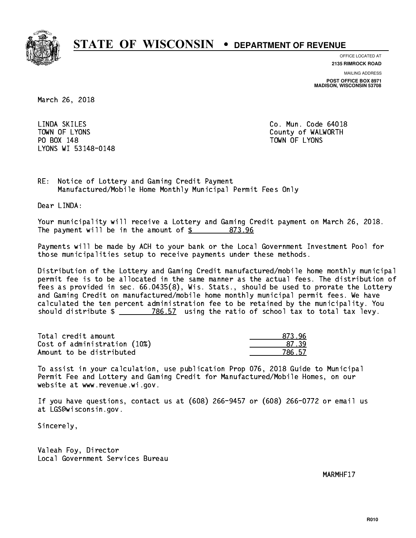

**OFFICE LOCATED AT**

**2135 RIMROCK ROAD**

**MAILING ADDRESS**

**POST OFFICE BOX 8971 MADISON, WISCONSIN 53708**

March 26, 2018

LINDA SKILES PO BOX 148 PO BOX 148 TOWN OF LYONS LYONS WI 53148-0148

Co. Mun. Code 64018 TOWN OF LYONS **County of WALWORTH** 

RE: Notice of Lottery and Gaming Credit Payment Manufactured/Mobile Home Monthly Municipal Permit Fees Only

Dear LINDA:

 Your municipality will receive a Lottery and Gaming Credit payment on March 26, 2018. The payment will be in the amount of  $\frac{2}{3}$  873.96

 Payments will be made by ACH to your bank or the Local Government Investment Pool for those municipalities setup to receive payments under these methods.

 Distribution of the Lottery and Gaming Credit manufactured/mobile home monthly municipal permit fee is to be allocated in the same manner as the actual fees. The distribution of fees as provided in sec. 66.0435(8), Wis. Stats., should be used to prorate the Lottery and Gaming Credit on manufactured/mobile home monthly municipal permit fees. We have calculated the ten percent administration fee to be retained by the municipality. You should distribute  $\frac{2}{2}$   $\frac{786.57}{2}$  using the ratio of school tax to total tax levy.

| Total credit amount          | 873.96 |
|------------------------------|--------|
| Cost of administration (10%) | 87 39  |
| Amount to be distributed     | 786.57 |

| 96<br>४७२ - |
|-------------|
| 1739        |
| $\sim 57$   |

 To assist in your calculation, use publication Prop 076, 2018 Guide to Municipal Permit Fee and Lottery and Gaming Credit for Manufactured/Mobile Homes, on our website at www.revenue.wi.gov.

 If you have questions, contact us at (608) 266-9457 or (608) 266-0772 or email us at LGS@wisconsin.gov.

Sincerely,

 Valeah Foy, Director Local Government Services Bureau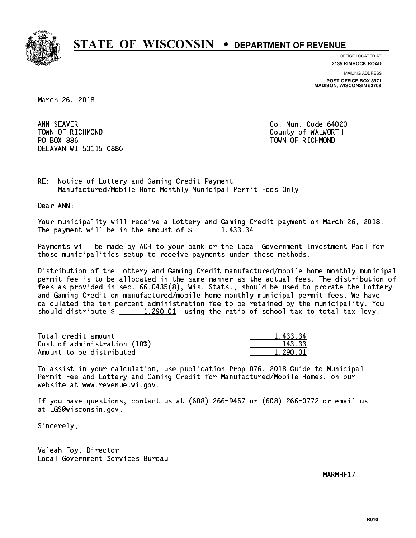

**OFFICE LOCATED AT**

**2135 RIMROCK ROAD**

**MAILING ADDRESS POST OFFICE BOX 8971 MADISON, WISCONSIN 53708**

March 26, 2018

ANN SEAVER TOWN OF RICHMOND County of WALWORTH PO BOX 886 PO BOX 886 TOWN OF RICHMOND DELAVAN WI 53115-0886

Co. Mun. Code 64020

RE: Notice of Lottery and Gaming Credit Payment Manufactured/Mobile Home Monthly Municipal Permit Fees Only

Dear ANN:

 Your municipality will receive a Lottery and Gaming Credit payment on March 26, 2018. The payment will be in the amount of  $\frac{2}{3}$  1,433.34

 Payments will be made by ACH to your bank or the Local Government Investment Pool for those municipalities setup to receive payments under these methods.

 Distribution of the Lottery and Gaming Credit manufactured/mobile home monthly municipal permit fee is to be allocated in the same manner as the actual fees. The distribution of fees as provided in sec. 66.0435(8), Wis. Stats., should be used to prorate the Lottery and Gaming Credit on manufactured/mobile home monthly municipal permit fees. We have calculated the ten percent administration fee to be retained by the municipality. You should distribute  $\frac{1,290.01}{1,290.01}$  using the ratio of school tax to total tax levy.

| Total credit amount          | 1.433.34 |
|------------------------------|----------|
| Cost of administration (10%) | 143.33   |
| Amount to be distributed     | 1.290.01 |

 To assist in your calculation, use publication Prop 076, 2018 Guide to Municipal Permit Fee and Lottery and Gaming Credit for Manufactured/Mobile Homes, on our website at www.revenue.wi.gov.

 If you have questions, contact us at (608) 266-9457 or (608) 266-0772 or email us at LGS@wisconsin.gov.

Sincerely,

 Valeah Foy, Director Local Government Services Bureau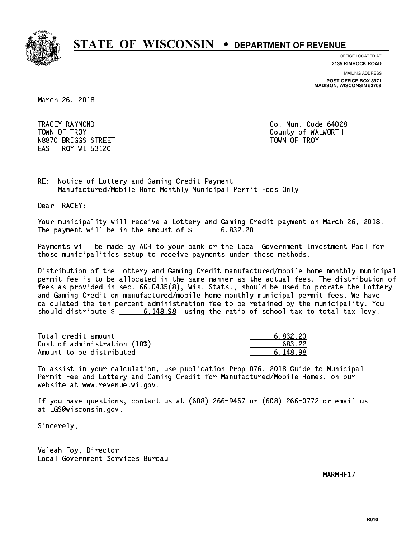

**OFFICE LOCATED AT**

**2135 RIMROCK ROAD**

**MAILING ADDRESS**

**POST OFFICE BOX 8971 MADISON, WISCONSIN 53708**

March 26, 2018

 TRACEY RAYMOND Co. Mun. Code 64028 TOWN OF TROY **COUNTY COUNTY COUNTY OF WALWORTH** N8870 BRIGGS STREET TOWN OF TROY EAST TROY WI 53120

RE: Notice of Lottery and Gaming Credit Payment Manufactured/Mobile Home Monthly Municipal Permit Fees Only

Dear TRACEY:

 Your municipality will receive a Lottery and Gaming Credit payment on March 26, 2018. The payment will be in the amount of  $\frac{2}{3}$  6,832.20

 Payments will be made by ACH to your bank or the Local Government Investment Pool for those municipalities setup to receive payments under these methods.

 Distribution of the Lottery and Gaming Credit manufactured/mobile home monthly municipal permit fee is to be allocated in the same manner as the actual fees. The distribution of fees as provided in sec. 66.0435(8), Wis. Stats., should be used to prorate the Lottery and Gaming Credit on manufactured/mobile home monthly municipal permit fees. We have calculated the ten percent administration fee to be retained by the municipality. You should distribute  $\frac{2}{10}$   $\frac{6,148.98}{2}$  using the ratio of school tax to total tax levy.

| Total credit amount          | 6.832.20 |
|------------------------------|----------|
| Cost of administration (10%) | 683.22   |
| Amount to be distributed     | 6.148.98 |

 To assist in your calculation, use publication Prop 076, 2018 Guide to Municipal Permit Fee and Lottery and Gaming Credit for Manufactured/Mobile Homes, on our website at www.revenue.wi.gov.

 If you have questions, contact us at (608) 266-9457 or (608) 266-0772 or email us at LGS@wisconsin.gov.

Sincerely,

 Valeah Foy, Director Local Government Services Bureau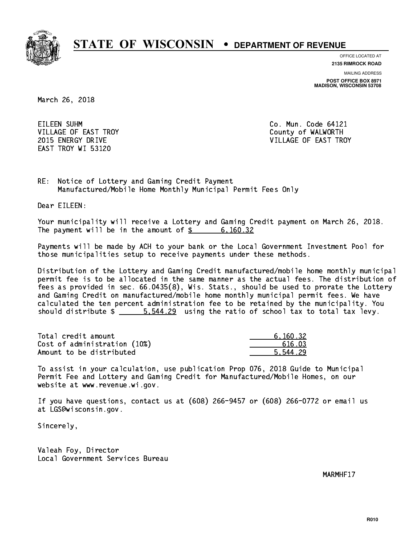

**OFFICE LOCATED AT**

**2135 RIMROCK ROAD**

**MAILING ADDRESS**

**POST OFFICE BOX 8971 MADISON, WISCONSIN 53708**

March 26, 2018

EILEEN SUHM CORPORATION CO. Mun. Code 64121 VILLAGE OF EAST TROY COUNTY OF WALWORTH EAST TROY WI 53120

2015 ENERGY DRIVE VILLAGE OF EAST TROY

RE: Notice of Lottery and Gaming Credit Payment Manufactured/Mobile Home Monthly Municipal Permit Fees Only

Dear EILEEN:

 Your municipality will receive a Lottery and Gaming Credit payment on March 26, 2018. The payment will be in the amount of \$ 6,160.32 \_\_\_\_\_\_\_\_\_\_\_\_\_\_\_\_

 Payments will be made by ACH to your bank or the Local Government Investment Pool for those municipalities setup to receive payments under these methods.

 Distribution of the Lottery and Gaming Credit manufactured/mobile home monthly municipal permit fee is to be allocated in the same manner as the actual fees. The distribution of fees as provided in sec. 66.0435(8), Wis. Stats., should be used to prorate the Lottery and Gaming Credit on manufactured/mobile home monthly municipal permit fees. We have calculated the ten percent administration fee to be retained by the municipality. You should distribute  $\frac{25.544.29}{2}$  using the ratio of school tax to total tax levy.

| Total credit amount          | 6.160.32 |
|------------------------------|----------|
| Cost of administration (10%) | 616.03   |
| Amount to be distributed     | 5.544.29 |

 To assist in your calculation, use publication Prop 076, 2018 Guide to Municipal Permit Fee and Lottery and Gaming Credit for Manufactured/Mobile Homes, on our website at www.revenue.wi.gov.

 If you have questions, contact us at (608) 266-9457 or (608) 266-0772 or email us at LGS@wisconsin.gov.

Sincerely,

 Valeah Foy, Director Local Government Services Bureau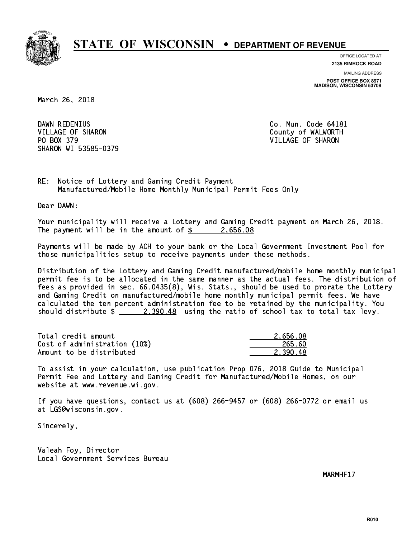

**OFFICE LOCATED AT**

**2135 RIMROCK ROAD**

**MAILING ADDRESS**

**POST OFFICE BOX 8971 MADISON, WISCONSIN 53708**

March 26, 2018

DAWN REDENIUS VILLAGE OF SHARON COUNTY OF WALWORTH PO BOX 379 VILLAGE OF SHARON SHARON WI 53585-0379

Co. Mun. Code 64181

RE: Notice of Lottery and Gaming Credit Payment Manufactured/Mobile Home Monthly Municipal Permit Fees Only

Dear DAWN:

 Your municipality will receive a Lottery and Gaming Credit payment on March 26, 2018. The payment will be in the amount of  $\frac{2.656.08}{2.656.08}$ 

 Payments will be made by ACH to your bank or the Local Government Investment Pool for those municipalities setup to receive payments under these methods.

 Distribution of the Lottery and Gaming Credit manufactured/mobile home monthly municipal permit fee is to be allocated in the same manner as the actual fees. The distribution of fees as provided in sec. 66.0435(8), Wis. Stats., should be used to prorate the Lottery and Gaming Credit on manufactured/mobile home monthly municipal permit fees. We have calculated the ten percent administration fee to be retained by the municipality. You should distribute  $\frac{2,390.48}{2}$  using the ratio of school tax to total tax levy.

| Total credit amount          | 2.656.08 |
|------------------------------|----------|
| Cost of administration (10%) | 265.60   |
| Amount to be distributed     | 2.390.48 |

 To assist in your calculation, use publication Prop 076, 2018 Guide to Municipal Permit Fee and Lottery and Gaming Credit for Manufactured/Mobile Homes, on our website at www.revenue.wi.gov.

 If you have questions, contact us at (608) 266-9457 or (608) 266-0772 or email us at LGS@wisconsin.gov.

Sincerely,

 Valeah Foy, Director Local Government Services Bureau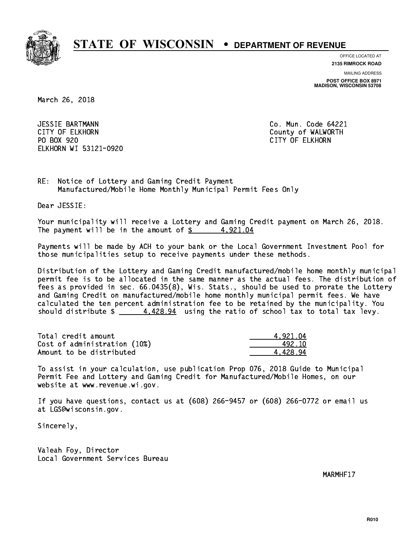

**OFFICE LOCATED AT**

**2135 RIMROCK ROAD**

**MAILING ADDRESS**

**POST OFFICE BOX 8971 MADISON, WISCONSIN 53708**

March 26, 2018

 JESSIE BARTMANN Co. Mun. Code 64221 CITY OF ELKHORN County of WALWORTH PO BOX 920 PO BOX 920 CITY OF ELKHORN ELKHORN WI 53121-0920

RE: Notice of Lottery and Gaming Credit Payment Manufactured/Mobile Home Monthly Municipal Permit Fees Only

Dear JESSIE:

 Your municipality will receive a Lottery and Gaming Credit payment on March 26, 2018. The payment will be in the amount of  $\frac{2}{3}$  4,921.04

 Payments will be made by ACH to your bank or the Local Government Investment Pool for those municipalities setup to receive payments under these methods.

 Distribution of the Lottery and Gaming Credit manufactured/mobile home monthly municipal permit fee is to be allocated in the same manner as the actual fees. The distribution of fees as provided in sec. 66.0435(8), Wis. Stats., should be used to prorate the Lottery and Gaming Credit on manufactured/mobile home monthly municipal permit fees. We have calculated the ten percent administration fee to be retained by the municipality. You should distribute  $\frac{4}{128.94}$  using the ratio of school tax to total tax levy.

| Total credit amount          | 4.921.04 |
|------------------------------|----------|
| Cost of administration (10%) | 492.10   |
| Amount to be distributed     | 4.428.94 |

 To assist in your calculation, use publication Prop 076, 2018 Guide to Municipal Permit Fee and Lottery and Gaming Credit for Manufactured/Mobile Homes, on our website at www.revenue.wi.gov.

 If you have questions, contact us at (608) 266-9457 or (608) 266-0772 or email us at LGS@wisconsin.gov.

Sincerely,

 Valeah Foy, Director Local Government Services Bureau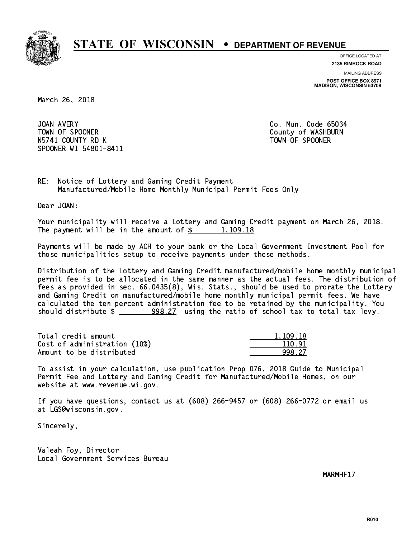

**OFFICE LOCATED AT 2135 RIMROCK ROAD**

**MAILING ADDRESS**

**POST OFFICE BOX 8971 MADISON, WISCONSIN 53708**

March 26, 2018

JOAN AVERY TOWN OF SPOONER County of WASHBURN N5741 COUNTY RD K TOWN OF SPOONER SPOONER WI 54801-8411

Co. Mun. Code 65034

RE: Notice of Lottery and Gaming Credit Payment Manufactured/Mobile Home Monthly Municipal Permit Fees Only

Dear JOAN:

 Your municipality will receive a Lottery and Gaming Credit payment on March 26, 2018. The payment will be in the amount of  $\frac{2}{3}$  1,109.18

 Payments will be made by ACH to your bank or the Local Government Investment Pool for those municipalities setup to receive payments under these methods.

 Distribution of the Lottery and Gaming Credit manufactured/mobile home monthly municipal permit fee is to be allocated in the same manner as the actual fees. The distribution of fees as provided in sec. 66.0435(8), Wis. Stats., should be used to prorate the Lottery and Gaming Credit on manufactured/mobile home monthly municipal permit fees. We have calculated the ten percent administration fee to be retained by the municipality. You should distribute \$ 998.27 using the ratio of school tax to total tax levy. \_\_\_\_\_\_\_\_\_\_\_\_\_\_

| Total credit amount          | 1.109.18 |
|------------------------------|----------|
| Cost of administration (10%) | 110.91   |
| Amount to be distributed     | 998 27   |

 To assist in your calculation, use publication Prop 076, 2018 Guide to Municipal Permit Fee and Lottery and Gaming Credit for Manufactured/Mobile Homes, on our website at www.revenue.wi.gov.

 If you have questions, contact us at (608) 266-9457 or (608) 266-0772 or email us at LGS@wisconsin.gov.

Sincerely,

 Valeah Foy, Director Local Government Services Bureau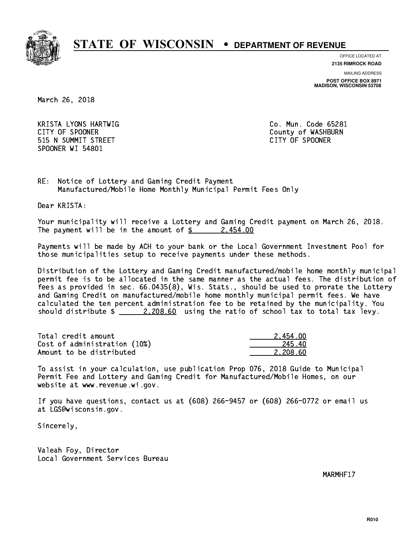

**OFFICE LOCATED AT**

**2135 RIMROCK ROAD**

**MAILING ADDRESS**

**POST OFFICE BOX 8971 MADISON, WISCONSIN 53708**

March 26, 2018

 KRISTA LYONS HARTWIG Co. Mun. Code 65281 CITY OF SPOONER COUNTY OF SPOONER 515 N SUMMIT STREET CITY OF SPOONER SPOONER WI 54801

RE: Notice of Lottery and Gaming Credit Payment Manufactured/Mobile Home Monthly Municipal Permit Fees Only

Dear KRISTA:

 Your municipality will receive a Lottery and Gaming Credit payment on March 26, 2018. The payment will be in the amount of  $\frac{2454.00}{240}$ 

 Payments will be made by ACH to your bank or the Local Government Investment Pool for those municipalities setup to receive payments under these methods.

 Distribution of the Lottery and Gaming Credit manufactured/mobile home monthly municipal permit fee is to be allocated in the same manner as the actual fees. The distribution of fees as provided in sec. 66.0435(8), Wis. Stats., should be used to prorate the Lottery and Gaming Credit on manufactured/mobile home monthly municipal permit fees. We have calculated the ten percent administration fee to be retained by the municipality. You should distribute  $\frac{2,208.60}{2}$  using the ratio of school tax to total tax levy.

| Total credit amount          | 2.454.00 |
|------------------------------|----------|
| Cost of administration (10%) | -245.40  |
| Amount to be distributed     | 2.208.60 |

 To assist in your calculation, use publication Prop 076, 2018 Guide to Municipal Permit Fee and Lottery and Gaming Credit for Manufactured/Mobile Homes, on our website at www.revenue.wi.gov.

 If you have questions, contact us at (608) 266-9457 or (608) 266-0772 or email us at LGS@wisconsin.gov.

Sincerely,

 Valeah Foy, Director Local Government Services Bureau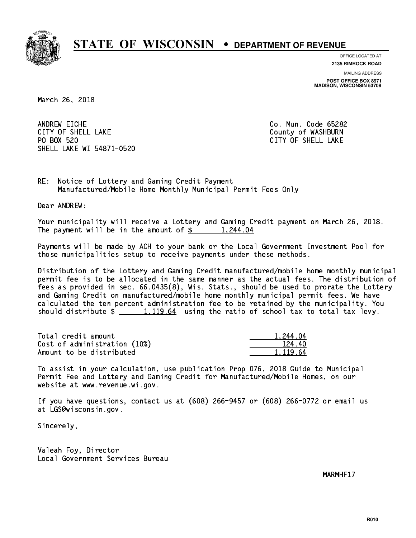

**OFFICE LOCATED AT**

**2135 RIMROCK ROAD**

**MAILING ADDRESS**

**POST OFFICE BOX 8971 MADISON, WISCONSIN 53708**

March 26, 2018

ANDREW EICHE CITY OF SHELL LAKE **COUNTY OF SHELL LAKE** PO BOX 520 SHELL LAKE WI 54871-0520

Co. Mun. Code 65282 CITY OF SHELL LAKE

RE: Notice of Lottery and Gaming Credit Payment Manufactured/Mobile Home Monthly Municipal Permit Fees Only

Dear ANDREW:

 Your municipality will receive a Lottery and Gaming Credit payment on March 26, 2018. The payment will be in the amount of  $\frac{244.04}{1,244.04}$ 

 Payments will be made by ACH to your bank or the Local Government Investment Pool for those municipalities setup to receive payments under these methods.

 Distribution of the Lottery and Gaming Credit manufactured/mobile home monthly municipal permit fee is to be allocated in the same manner as the actual fees. The distribution of fees as provided in sec. 66.0435(8), Wis. Stats., should be used to prorate the Lottery and Gaming Credit on manufactured/mobile home monthly municipal permit fees. We have calculated the ten percent administration fee to be retained by the municipality. You should distribute  $\frac{1,119.64}{1,119.64}$  using the ratio of school tax to total tax levy.

| Total credit amount          | 1.244.04 |
|------------------------------|----------|
| Cost of administration (10%) | 124.40   |
| Amount to be distributed     | 1.119.64 |

 To assist in your calculation, use publication Prop 076, 2018 Guide to Municipal Permit Fee and Lottery and Gaming Credit for Manufactured/Mobile Homes, on our website at www.revenue.wi.gov.

 If you have questions, contact us at (608) 266-9457 or (608) 266-0772 or email us at LGS@wisconsin.gov.

Sincerely,

 Valeah Foy, Director Local Government Services Bureau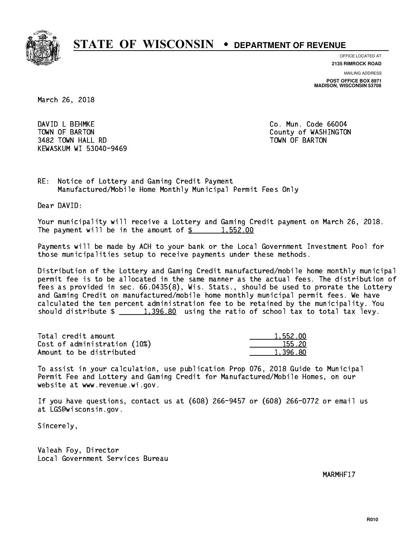

**OFFICE LOCATED AT**

**2135 RIMROCK ROAD**

**MAILING ADDRESS**

**POST OFFICE BOX 8971 MADISON, WISCONSIN 53708**

March 26, 2018

 DAVID L BEHMKE Co. Mun. Code 66004 TOWN OF BARTON COUNTY OF WASHINGTON 3482 TOWN HALL RD TOWN OF BARTON KEWASKUM WI 53040-9469

RE: Notice of Lottery and Gaming Credit Payment Manufactured/Mobile Home Monthly Municipal Permit Fees Only

Dear DAVID:

 Your municipality will receive a Lottery and Gaming Credit payment on March 26, 2018. The payment will be in the amount of  $\frac{2}{3}$  1,552.00

 Payments will be made by ACH to your bank or the Local Government Investment Pool for those municipalities setup to receive payments under these methods.

 Distribution of the Lottery and Gaming Credit manufactured/mobile home monthly municipal permit fee is to be allocated in the same manner as the actual fees. The distribution of fees as provided in sec. 66.0435(8), Wis. Stats., should be used to prorate the Lottery and Gaming Credit on manufactured/mobile home monthly municipal permit fees. We have calculated the ten percent administration fee to be retained by the municipality. You should distribute  $\frac{1,396.80}{1,396.80}$  using the ratio of school tax to total tax levy.

| Total credit amount          | 1.552.00 |
|------------------------------|----------|
| Cost of administration (10%) | 155.20   |
| Amount to be distributed     | 1.396.80 |

 To assist in your calculation, use publication Prop 076, 2018 Guide to Municipal Permit Fee and Lottery and Gaming Credit for Manufactured/Mobile Homes, on our website at www.revenue.wi.gov.

 If you have questions, contact us at (608) 266-9457 or (608) 266-0772 or email us at LGS@wisconsin.gov.

Sincerely,

 Valeah Foy, Director Local Government Services Bureau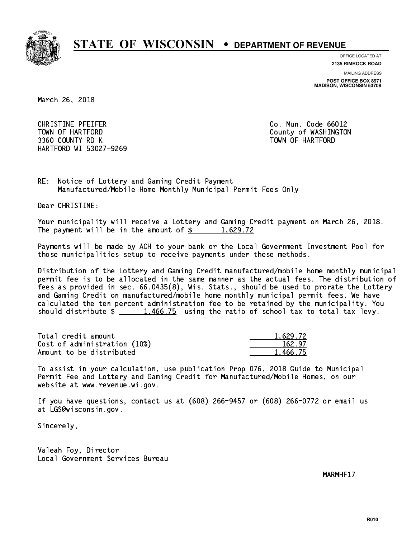

**OFFICE LOCATED AT**

**2135 RIMROCK ROAD**

**MAILING ADDRESS**

**POST OFFICE BOX 8971 MADISON, WISCONSIN 53708**

March 26, 2018

 CHRISTINE PFEIFER Co. Mun. Code 66012 TOWN OF HARTFORD County of WASHINGTON 3360 COUNTY RD K TOWN OF HARTFORD HARTFORD WI 53027-9269

RE: Notice of Lottery and Gaming Credit Payment Manufactured/Mobile Home Monthly Municipal Permit Fees Only

Dear CHRISTINE:

 Your municipality will receive a Lottery and Gaming Credit payment on March 26, 2018. The payment will be in the amount of  $\frac{2}{3}$  1,629.72

 Payments will be made by ACH to your bank or the Local Government Investment Pool for those municipalities setup to receive payments under these methods.

 Distribution of the Lottery and Gaming Credit manufactured/mobile home monthly municipal permit fee is to be allocated in the same manner as the actual fees. The distribution of fees as provided in sec. 66.0435(8), Wis. Stats., should be used to prorate the Lottery and Gaming Credit on manufactured/mobile home monthly municipal permit fees. We have calculated the ten percent administration fee to be retained by the municipality. You should distribute  $\frac{1,466.75}{1,466.75}$  using the ratio of school tax to total tax levy.

| Total credit amount          | 1.629.72 |
|------------------------------|----------|
| Cost of administration (10%) | 162.97   |
| Amount to be distributed     | 1.466.75 |

 To assist in your calculation, use publication Prop 076, 2018 Guide to Municipal Permit Fee and Lottery and Gaming Credit for Manufactured/Mobile Homes, on our website at www.revenue.wi.gov.

 If you have questions, contact us at (608) 266-9457 or (608) 266-0772 or email us at LGS@wisconsin.gov.

Sincerely,

 Valeah Foy, Director Local Government Services Bureau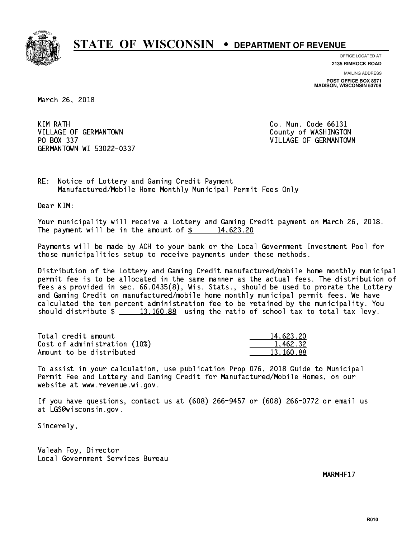

**OFFICE LOCATED AT**

**2135 RIMROCK ROAD**

**MAILING ADDRESS POST OFFICE BOX 8971 MADISON, WISCONSIN 53708**

March 26, 2018

KIM RATH VILLAGE OF GERMANTOWN COUNTY OF WASHINGTON PO BOX 337 VILLAGE OF GERMANTOWN GERMANTOWN WI 53022-0337

Co. Mun. Code 66131

RE: Notice of Lottery and Gaming Credit Payment Manufactured/Mobile Home Monthly Municipal Permit Fees Only

Dear KIM:

 Your municipality will receive a Lottery and Gaming Credit payment on March 26, 2018. The payment will be in the amount of  $\frac{2}{3}$  14,623.20

 Payments will be made by ACH to your bank or the Local Government Investment Pool for those municipalities setup to receive payments under these methods.

 Distribution of the Lottery and Gaming Credit manufactured/mobile home monthly municipal permit fee is to be allocated in the same manner as the actual fees. The distribution of fees as provided in sec. 66.0435(8), Wis. Stats., should be used to prorate the Lottery and Gaming Credit on manufactured/mobile home monthly municipal permit fees. We have calculated the ten percent administration fee to be retained by the municipality. You should distribute  $\frac{2}{13,160.88}$  using the ratio of school tax to total tax levy.

| Total credit amount          | 14,623.20 |
|------------------------------|-----------|
| Cost of administration (10%) | 1,462.32  |
| Amount to be distributed     | 13.160.88 |

 To assist in your calculation, use publication Prop 076, 2018 Guide to Municipal Permit Fee and Lottery and Gaming Credit for Manufactured/Mobile Homes, on our website at www.revenue.wi.gov.

 If you have questions, contact us at (608) 266-9457 or (608) 266-0772 or email us at LGS@wisconsin.gov.

Sincerely,

 Valeah Foy, Director Local Government Services Bureau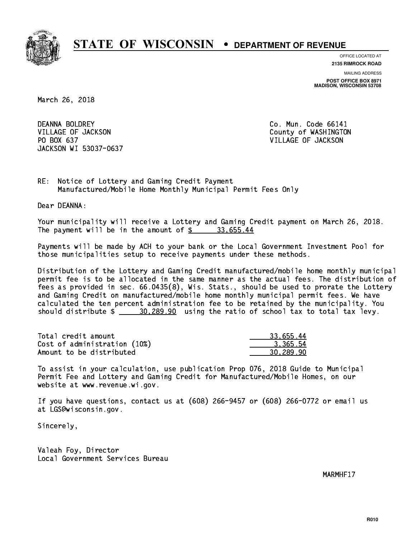

**OFFICE LOCATED AT 2135 RIMROCK ROAD**

**MAILING ADDRESS**

**POST OFFICE BOX 8971 MADISON, WISCONSIN 53708**

March 26, 2018

DEANNA BOLDREY VILLAGE OF JACKSON COUNTY OF WASHINGTON PO BOX 637 VILLAGE OF JACKSON JACKSON WI 53037-0637

Co. Mun. Code 66141

RE: Notice of Lottery and Gaming Credit Payment Manufactured/Mobile Home Monthly Municipal Permit Fees Only

Dear DEANNA:

 Your municipality will receive a Lottery and Gaming Credit payment on March 26, 2018. The payment will be in the amount of  $\frac{2}{3}$  33,655.44

 Payments will be made by ACH to your bank or the Local Government Investment Pool for those municipalities setup to receive payments under these methods.

 Distribution of the Lottery and Gaming Credit manufactured/mobile home monthly municipal permit fee is to be allocated in the same manner as the actual fees. The distribution of fees as provided in sec. 66.0435(8), Wis. Stats., should be used to prorate the Lottery and Gaming Credit on manufactured/mobile home monthly municipal permit fees. We have calculated the ten percent administration fee to be retained by the municipality. You should distribute  $\frac{20,289.90}{20,289.90}$  using the ratio of school tax to total tax levy.

| Total credit amount          | 33.655.44 |
|------------------------------|-----------|
| Cost of administration (10%) | 3.365.54  |
| Amount to be distributed     | 30,289.90 |

 To assist in your calculation, use publication Prop 076, 2018 Guide to Municipal Permit Fee and Lottery and Gaming Credit for Manufactured/Mobile Homes, on our website at www.revenue.wi.gov.

 If you have questions, contact us at (608) 266-9457 or (608) 266-0772 or email us at LGS@wisconsin.gov.

Sincerely,

 Valeah Foy, Director Local Government Services Bureau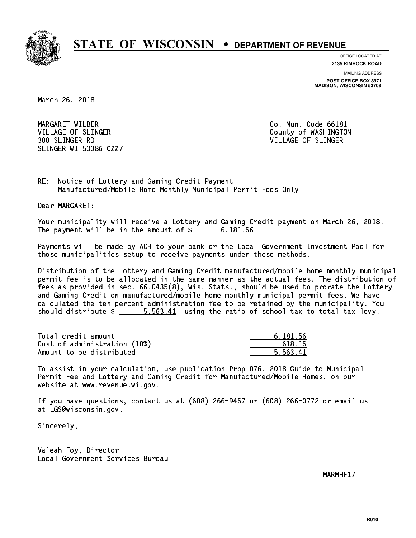

**OFFICE LOCATED AT 2135 RIMROCK ROAD**

**MAILING ADDRESS**

**POST OFFICE BOX 8971 MADISON, WISCONSIN 53708**

March 26, 2018

 MARGARET WILBER Co. Mun. Code 66181 VILLAGE OF SLINGER COUNTY OF WASHINGTON 300 SLINGER RD VILLAGE OF SLINGER SLINGER WI 53086-0227

RE: Notice of Lottery and Gaming Credit Payment Manufactured/Mobile Home Monthly Municipal Permit Fees Only

Dear MARGARET:

 Your municipality will receive a Lottery and Gaming Credit payment on March 26, 2018. The payment will be in the amount of  $\frac{2}{3}$  6,181.56

 Payments will be made by ACH to your bank or the Local Government Investment Pool for those municipalities setup to receive payments under these methods.

 Distribution of the Lottery and Gaming Credit manufactured/mobile home monthly municipal permit fee is to be allocated in the same manner as the actual fees. The distribution of fees as provided in sec. 66.0435(8), Wis. Stats., should be used to prorate the Lottery and Gaming Credit on manufactured/mobile home monthly municipal permit fees. We have calculated the ten percent administration fee to be retained by the municipality. You should distribute  $\frac{2}{1}$   $\frac{5}{1}$   $\frac{563.41}{2}$  using the ratio of school tax to total tax levy.

| Total credit amount          | 6.181.56 |
|------------------------------|----------|
| Cost of administration (10%) | 618.15   |
| Amount to be distributed     | 5.563.41 |

 To assist in your calculation, use publication Prop 076, 2018 Guide to Municipal Permit Fee and Lottery and Gaming Credit for Manufactured/Mobile Homes, on our website at www.revenue.wi.gov.

 If you have questions, contact us at (608) 266-9457 or (608) 266-0772 or email us at LGS@wisconsin.gov.

Sincerely,

 Valeah Foy, Director Local Government Services Bureau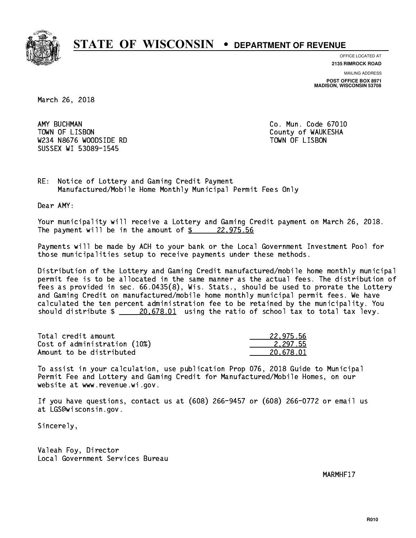

**OFFICE LOCATED AT**

**2135 RIMROCK ROAD**

**MAILING ADDRESS POST OFFICE BOX 8971 MADISON, WISCONSIN 53708**

March 26, 2018

AMY BUCHMAN TOWN OF LISBON County of WAUKESHA W234 N8676 WOODSIDE RD TOWN OF LISBON SUSSEX WI 53089-1545

Co. Mun. Code 67010

RE: Notice of Lottery and Gaming Credit Payment Manufactured/Mobile Home Monthly Municipal Permit Fees Only

Dear AMY:

 Your municipality will receive a Lottery and Gaming Credit payment on March 26, 2018. The payment will be in the amount of  $\frac{22,975.56}{22,975.56}$ 

 Payments will be made by ACH to your bank or the Local Government Investment Pool for those municipalities setup to receive payments under these methods.

 Distribution of the Lottery and Gaming Credit manufactured/mobile home monthly municipal permit fee is to be allocated in the same manner as the actual fees. The distribution of fees as provided in sec. 66.0435(8), Wis. Stats., should be used to prorate the Lottery and Gaming Credit on manufactured/mobile home monthly municipal permit fees. We have calculated the ten percent administration fee to be retained by the municipality. You should distribute  $\frac{20.678.01}{20.678.01}$  using the ratio of school tax to total tax levy.

| Total credit amount          | 22.975.56 |
|------------------------------|-----------|
| Cost of administration (10%) | 2.297.55  |
| Amount to be distributed     | 20.678.01 |

 To assist in your calculation, use publication Prop 076, 2018 Guide to Municipal Permit Fee and Lottery and Gaming Credit for Manufactured/Mobile Homes, on our website at www.revenue.wi.gov.

 If you have questions, contact us at (608) 266-9457 or (608) 266-0772 or email us at LGS@wisconsin.gov.

Sincerely,

 Valeah Foy, Director Local Government Services Bureau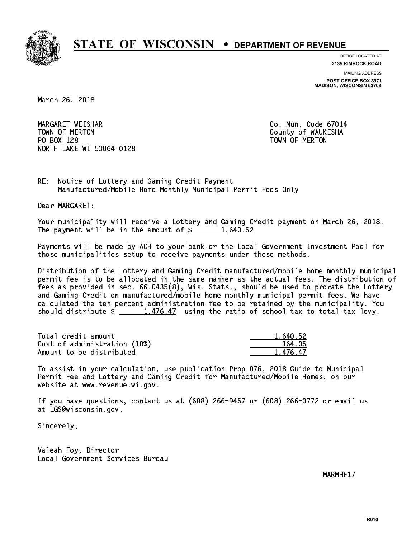

**OFFICE LOCATED AT**

**2135 RIMROCK ROAD**

**MAILING ADDRESS POST OFFICE BOX 8971 MADISON, WISCONSIN 53708**

March 26, 2018

 MARGARET WEISHAR Co. Mun. Code 67014 TOWN OF MERTON County of WAUKESHA PO BOX 128 TOWN OF MERTON NORTH LAKE WI 53064-0128

RE: Notice of Lottery and Gaming Credit Payment Manufactured/Mobile Home Monthly Municipal Permit Fees Only

Dear MARGARET:

 Your municipality will receive a Lottery and Gaming Credit payment on March 26, 2018. The payment will be in the amount of  $\frac{2}{3}$  1,640.52

 Payments will be made by ACH to your bank or the Local Government Investment Pool for those municipalities setup to receive payments under these methods.

 Distribution of the Lottery and Gaming Credit manufactured/mobile home monthly municipal permit fee is to be allocated in the same manner as the actual fees. The distribution of fees as provided in sec. 66.0435(8), Wis. Stats., should be used to prorate the Lottery and Gaming Credit on manufactured/mobile home monthly municipal permit fees. We have calculated the ten percent administration fee to be retained by the municipality. You should distribute  $\frac{1,476.47}{1,476.47}$  using the ratio of school tax to total tax levy.

| Total credit amount          | 1.640.52 |
|------------------------------|----------|
| Cost of administration (10%) | 164.05   |
| Amount to be distributed     | 1.476.47 |

 To assist in your calculation, use publication Prop 076, 2018 Guide to Municipal Permit Fee and Lottery and Gaming Credit for Manufactured/Mobile Homes, on our website at www.revenue.wi.gov.

 If you have questions, contact us at (608) 266-9457 or (608) 266-0772 or email us at LGS@wisconsin.gov.

Sincerely,

 Valeah Foy, Director Local Government Services Bureau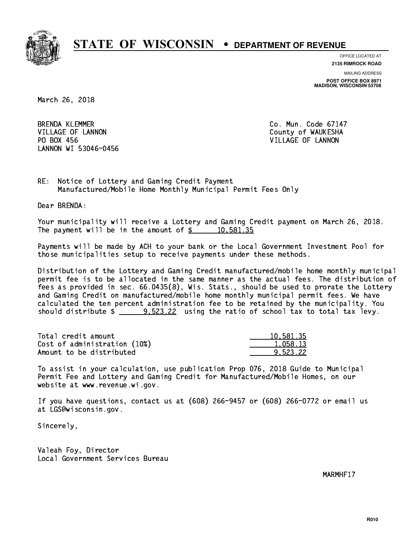

**OFFICE LOCATED AT**

**2135 RIMROCK ROAD**

**MAILING ADDRESS POST OFFICE BOX 8971 MADISON, WISCONSIN 53708**

March 26, 2018

**BRENDA KLEMMER** VILLAGE OF LANNON COUNTY OF WAUKESHA PO BOX 456 LANNON WI 53046-0456

Co. Mun. Code 67147 VILLAGE OF LANNON

RE: Notice of Lottery and Gaming Credit Payment Manufactured/Mobile Home Monthly Municipal Permit Fees Only

Dear BRENDA:

 Your municipality will receive a Lottery and Gaming Credit payment on March 26, 2018. The payment will be in the amount of  $\frac{2}{3}$  10,581.35

 Payments will be made by ACH to your bank or the Local Government Investment Pool for those municipalities setup to receive payments under these methods.

 Distribution of the Lottery and Gaming Credit manufactured/mobile home monthly municipal permit fee is to be allocated in the same manner as the actual fees. The distribution of fees as provided in sec. 66.0435(8), Wis. Stats., should be used to prorate the Lottery and Gaming Credit on manufactured/mobile home monthly municipal permit fees. We have calculated the ten percent administration fee to be retained by the municipality. You should distribute  $\frac{2}{2}$   $\frac{9.523.22}{2}$  using the ratio of school tax to total tax levy.

| Total credit amount          | 10,581.35 |
|------------------------------|-----------|
| Cost of administration (10%) | 1,058.13  |
| Amount to be distributed     | 9.523.22  |

 To assist in your calculation, use publication Prop 076, 2018 Guide to Municipal Permit Fee and Lottery and Gaming Credit for Manufactured/Mobile Homes, on our website at www.revenue.wi.gov.

 If you have questions, contact us at (608) 266-9457 or (608) 266-0772 or email us at LGS@wisconsin.gov.

Sincerely,

 Valeah Foy, Director Local Government Services Bureau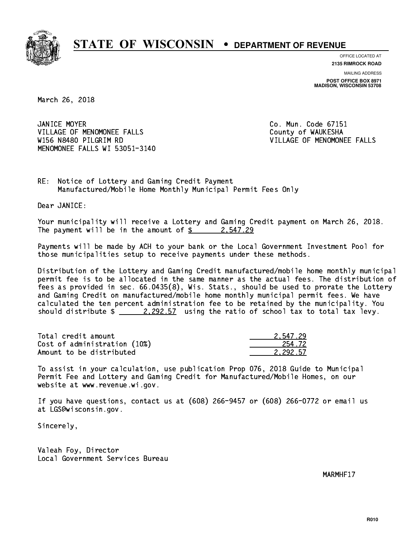

**OFFICE LOCATED AT**

**2135 RIMROCK ROAD**

**MAILING ADDRESS POST OFFICE BOX 8971 MADISON, WISCONSIN 53708**

March 26, 2018

JANICE MOYER VILLAGE OF MENOMONEE FALLS **COUNTY OF WAUKESHA**  W156 N8480 PILGRIM RD VILLAGE OF MENOMONEE FALLS MENOMONEE FALLS WI 53051-3140

Co. Mun. Code 67151

RE: Notice of Lottery and Gaming Credit Payment Manufactured/Mobile Home Monthly Municipal Permit Fees Only

Dear JANICE:

 Your municipality will receive a Lottery and Gaming Credit payment on March 26, 2018. The payment will be in the amount of  $\frac{2}{3}$  2,547.29

 Payments will be made by ACH to your bank or the Local Government Investment Pool for those municipalities setup to receive payments under these methods.

 Distribution of the Lottery and Gaming Credit manufactured/mobile home monthly municipal permit fee is to be allocated in the same manner as the actual fees. The distribution of fees as provided in sec. 66.0435(8), Wis. Stats., should be used to prorate the Lottery and Gaming Credit on manufactured/mobile home monthly municipal permit fees. We have calculated the ten percent administration fee to be retained by the municipality. You should distribute  $\frac{2.292.57}{2.292.57}$  using the ratio of school tax to total tax levy.

| Total credit amount          | 2.547.29 |
|------------------------------|----------|
| Cost of administration (10%) | 254.72   |
| Amount to be distributed     | 2.292.57 |

 To assist in your calculation, use publication Prop 076, 2018 Guide to Municipal Permit Fee and Lottery and Gaming Credit for Manufactured/Mobile Homes, on our website at www.revenue.wi.gov.

 If you have questions, contact us at (608) 266-9457 or (608) 266-0772 or email us at LGS@wisconsin.gov.

Sincerely,

 Valeah Foy, Director Local Government Services Bureau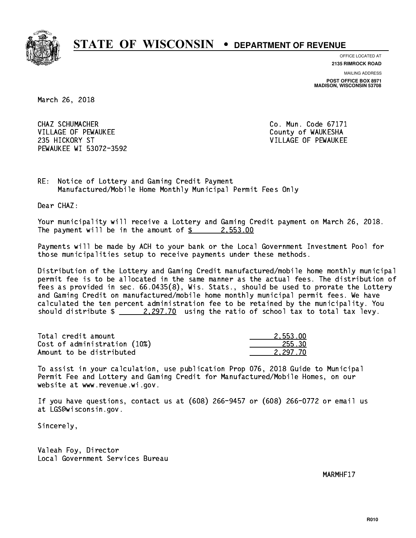

**OFFICE LOCATED AT**

**2135 RIMROCK ROAD**

**MAILING ADDRESS POST OFFICE BOX 8971 MADISON, WISCONSIN 53708**

March 26, 2018

 CHAZ SCHUMACHER Co. Mun. Code 67171 VILLAGE OF PEWAUKEE COUNTY OF WAUKESHA 235 HICKORY ST VILLAGE OF PEWAUKEE PEWAUKEE WI 53072-3592

RE: Notice of Lottery and Gaming Credit Payment Manufactured/Mobile Home Monthly Municipal Permit Fees Only

Dear CHAZ:

 Your municipality will receive a Lottery and Gaming Credit payment on March 26, 2018. The payment will be in the amount of  $\frac{2}{3}$  2,553.00

 Payments will be made by ACH to your bank or the Local Government Investment Pool for those municipalities setup to receive payments under these methods.

 Distribution of the Lottery and Gaming Credit manufactured/mobile home monthly municipal permit fee is to be allocated in the same manner as the actual fees. The distribution of fees as provided in sec. 66.0435(8), Wis. Stats., should be used to prorate the Lottery and Gaming Credit on manufactured/mobile home monthly municipal permit fees. We have calculated the ten percent administration fee to be retained by the municipality. You should distribute  $\frac{2,297.70}{2}$  using the ratio of school tax to total tax levy.

| Total credit amount          | 2.553.00 |
|------------------------------|----------|
| Cost of administration (10%) | 255.30   |
| Amount to be distributed     | 2.297.70 |

 To assist in your calculation, use publication Prop 076, 2018 Guide to Municipal Permit Fee and Lottery and Gaming Credit for Manufactured/Mobile Homes, on our website at www.revenue.wi.gov.

 If you have questions, contact us at (608) 266-9457 or (608) 266-0772 or email us at LGS@wisconsin.gov.

Sincerely,

 Valeah Foy, Director Local Government Services Bureau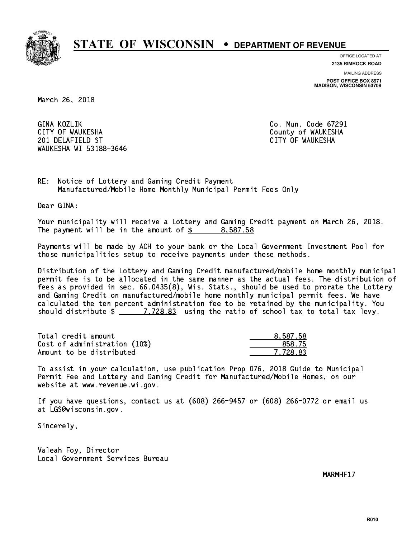

**OFFICE LOCATED AT**

**2135 RIMROCK ROAD**

**MAILING ADDRESS**

**POST OFFICE BOX 8971 MADISON, WISCONSIN 53708**

March 26, 2018

GINA KOZLIK CITY OF WAUKESHA County of WAUKESHA 201 DELAFIELD ST CITY OF WAUKESHA WAUKESHA WI 53188-3646

Co. Mun. Code 67291

RE: Notice of Lottery and Gaming Credit Payment Manufactured/Mobile Home Monthly Municipal Permit Fees Only

Dear GINA:

 Your municipality will receive a Lottery and Gaming Credit payment on March 26, 2018. The payment will be in the amount of \$ 8,587.58 \_\_\_\_\_\_\_\_\_\_\_\_\_\_\_\_

 Payments will be made by ACH to your bank or the Local Government Investment Pool for those municipalities setup to receive payments under these methods.

 Distribution of the Lottery and Gaming Credit manufactured/mobile home monthly municipal permit fee is to be allocated in the same manner as the actual fees. The distribution of fees as provided in sec. 66.0435(8), Wis. Stats., should be used to prorate the Lottery and Gaming Credit on manufactured/mobile home monthly municipal permit fees. We have calculated the ten percent administration fee to be retained by the municipality. You should distribute  $\frac{2}{2}$   $\frac{7,728.83}{2}$  using the ratio of school tax to total tax levy.

| Total credit amount          | 8,587.58 |
|------------------------------|----------|
| Cost of administration (10%) | 858.75   |
| Amount to be distributed     | 7.728.83 |

 To assist in your calculation, use publication Prop 076, 2018 Guide to Municipal Permit Fee and Lottery and Gaming Credit for Manufactured/Mobile Homes, on our website at www.revenue.wi.gov.

 If you have questions, contact us at (608) 266-9457 or (608) 266-0772 or email us at LGS@wisconsin.gov.

Sincerely,

 Valeah Foy, Director Local Government Services Bureau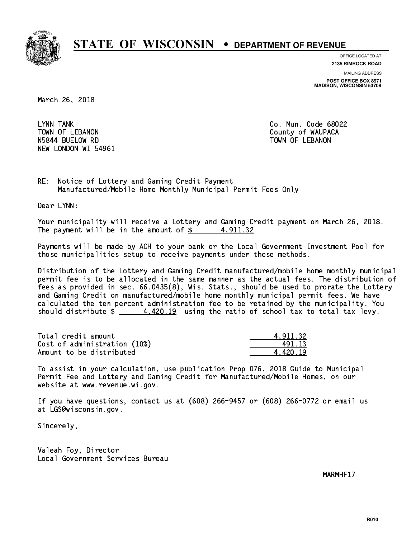

**OFFICE LOCATED AT**

**2135 RIMROCK ROAD**

**MAILING ADDRESS POST OFFICE BOX 8971 MADISON, WISCONSIN 53708**

March 26, 2018

LYNN TANK TOWN OF LEBANON **COUNTY OF SEARCH COULD A** COUNTY OF WAUPACA NSA 44 BUELOW RD TOWN OF LEBANON RD TOWN OF LEBANON RD TOWN OF LEBANON RD TOWN OF LEBANON RD TOWN OF LEBANON R NEW LONDON WI 54961

Co. Mun. Code 68022

RE: Notice of Lottery and Gaming Credit Payment Manufactured/Mobile Home Monthly Municipal Permit Fees Only

Dear LYNN:

 Your municipality will receive a Lottery and Gaming Credit payment on March 26, 2018. The payment will be in the amount of  $\frac{2}{3}$  4,911.32

 Payments will be made by ACH to your bank or the Local Government Investment Pool for those municipalities setup to receive payments under these methods.

 Distribution of the Lottery and Gaming Credit manufactured/mobile home monthly municipal permit fee is to be allocated in the same manner as the actual fees. The distribution of fees as provided in sec. 66.0435(8), Wis. Stats., should be used to prorate the Lottery and Gaming Credit on manufactured/mobile home monthly municipal permit fees. We have calculated the ten percent administration fee to be retained by the municipality. You should distribute  $\frac{4.420.19}{2}$  using the ratio of school tax to total tax levy.

| Total credit amount          | 4.911.32 |
|------------------------------|----------|
| Cost of administration (10%) | 491 13   |
| Amount to be distributed     | 4.420.19 |

 To assist in your calculation, use publication Prop 076, 2018 Guide to Municipal Permit Fee and Lottery and Gaming Credit for Manufactured/Mobile Homes, on our website at www.revenue.wi.gov.

 If you have questions, contact us at (608) 266-9457 or (608) 266-0772 or email us at LGS@wisconsin.gov.

Sincerely,

 Valeah Foy, Director Local Government Services Bureau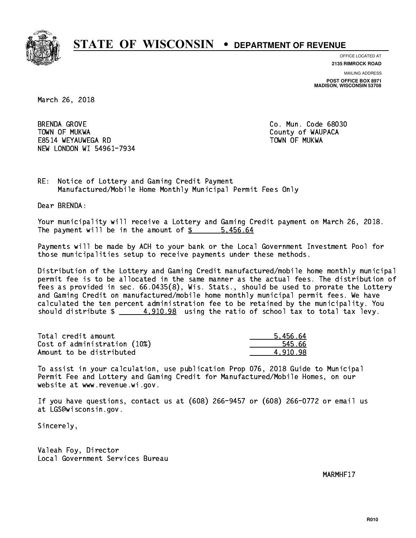

**OFFICE LOCATED AT 2135 RIMROCK ROAD**

**MAILING ADDRESS**

**POST OFFICE BOX 8971 MADISON, WISCONSIN 53708**

March 26, 2018

**BRENDA GROVE**  TOWN OF MUKWA County of WAUPACA E8514 WEYAUWEGA RD TOWN OF MUKWA NEW LONDON WI 54961-7934

Co. Mun. Code 68030

RE: Notice of Lottery and Gaming Credit Payment Manufactured/Mobile Home Monthly Municipal Permit Fees Only

Dear BRENDA:

 Your municipality will receive a Lottery and Gaming Credit payment on March 26, 2018. The payment will be in the amount of \$ 5,456.64 \_\_\_\_\_\_\_\_\_\_\_\_\_\_\_\_

 Payments will be made by ACH to your bank or the Local Government Investment Pool for those municipalities setup to receive payments under these methods.

 Distribution of the Lottery and Gaming Credit manufactured/mobile home monthly municipal permit fee is to be allocated in the same manner as the actual fees. The distribution of fees as provided in sec. 66.0435(8), Wis. Stats., should be used to prorate the Lottery and Gaming Credit on manufactured/mobile home monthly municipal permit fees. We have calculated the ten percent administration fee to be retained by the municipality. You should distribute  $\frac{2}{1}$   $\frac{4,910.98}{2}$  using the ratio of school tax to total tax levy.

| Total credit amount          | 5.456.64 |
|------------------------------|----------|
| Cost of administration (10%) | 545.66   |
| Amount to be distributed     | 4.910.98 |

 To assist in your calculation, use publication Prop 076, 2018 Guide to Municipal Permit Fee and Lottery and Gaming Credit for Manufactured/Mobile Homes, on our website at www.revenue.wi.gov.

 If you have questions, contact us at (608) 266-9457 or (608) 266-0772 or email us at LGS@wisconsin.gov.

Sincerely,

 Valeah Foy, Director Local Government Services Bureau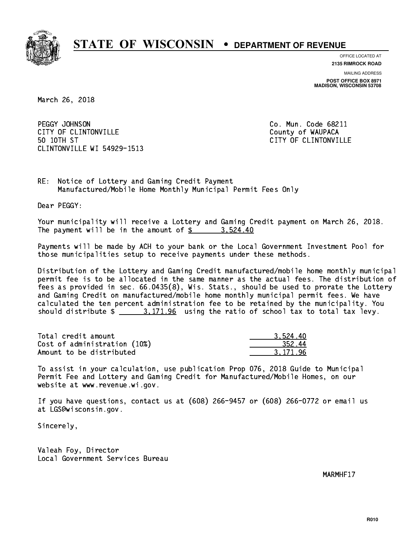

**OFFICE LOCATED AT**

**2135 RIMROCK ROAD**

**MAILING ADDRESS POST OFFICE BOX 8971 MADISON, WISCONSIN 53708**

March 26, 2018

PEGGY JOHNSON CITY OF CLINTONVILLE COUNTY COUNTY OF WAUPACA 50 10TH ST CLINTONVILLE WI 54929-1513

Co. Mun. Code 68211 CITY OF CLINTONVILLE

RE: Notice of Lottery and Gaming Credit Payment Manufactured/Mobile Home Monthly Municipal Permit Fees Only

Dear PEGGY:

 Your municipality will receive a Lottery and Gaming Credit payment on March 26, 2018. The payment will be in the amount of  $\frac{2}{3}$  3,524.40

 Payments will be made by ACH to your bank or the Local Government Investment Pool for those municipalities setup to receive payments under these methods.

 Distribution of the Lottery and Gaming Credit manufactured/mobile home monthly municipal permit fee is to be allocated in the same manner as the actual fees. The distribution of fees as provided in sec. 66.0435(8), Wis. Stats., should be used to prorate the Lottery and Gaming Credit on manufactured/mobile home monthly municipal permit fees. We have calculated the ten percent administration fee to be retained by the municipality. You should distribute  $\frac{2}{1}$   $\frac{3.171.96}{2}$  using the ratio of school tax to total tax levy.

| Total credit amount          | 3.524.40 |
|------------------------------|----------|
| Cost of administration (10%) | 352.44   |
| Amount to be distributed     | 3.171.96 |

 To assist in your calculation, use publication Prop 076, 2018 Guide to Municipal Permit Fee and Lottery and Gaming Credit for Manufactured/Mobile Homes, on our website at www.revenue.wi.gov.

 If you have questions, contact us at (608) 266-9457 or (608) 266-0772 or email us at LGS@wisconsin.gov.

Sincerely,

 Valeah Foy, Director Local Government Services Bureau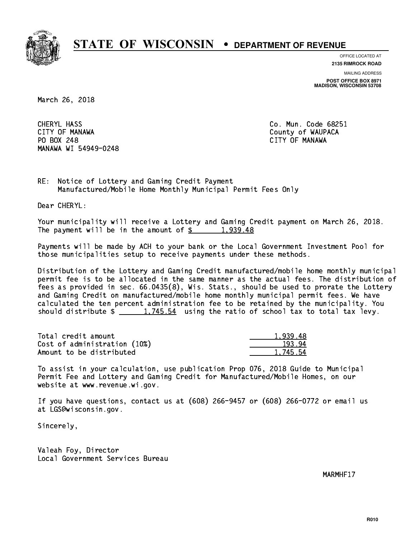

**OFFICE LOCATED AT**

**2135 RIMROCK ROAD**

**MAILING ADDRESS**

**POST OFFICE BOX 8971 MADISON, WISCONSIN 53708**

March 26, 2018

CHERYL HASS CITY OF MANAWA County of WAUPACA PO BOX 248 CITY OF MANAWA MANAWA WI 54949-0248

Co. Mun. Code 68251 CITY OF MANAWA

RE: Notice of Lottery and Gaming Credit Payment Manufactured/Mobile Home Monthly Municipal Permit Fees Only

Dear CHERYL:

 Your municipality will receive a Lottery and Gaming Credit payment on March 26, 2018. The payment will be in the amount of  $\frac{2}{3}$  1,939.48

 Payments will be made by ACH to your bank or the Local Government Investment Pool for those municipalities setup to receive payments under these methods.

 Distribution of the Lottery and Gaming Credit manufactured/mobile home monthly municipal permit fee is to be allocated in the same manner as the actual fees. The distribution of fees as provided in sec. 66.0435(8), Wis. Stats., should be used to prorate the Lottery and Gaming Credit on manufactured/mobile home monthly municipal permit fees. We have calculated the ten percent administration fee to be retained by the municipality. You should distribute  $\frac{1,745.54}{1,745.54}$  using the ratio of school tax to total tax levy.

| Total credit amount          | 1.939.48 |
|------------------------------|----------|
| Cost of administration (10%) | 193.94   |
| Amount to be distributed     | 1.745.54 |

 To assist in your calculation, use publication Prop 076, 2018 Guide to Municipal Permit Fee and Lottery and Gaming Credit for Manufactured/Mobile Homes, on our website at www.revenue.wi.gov.

 If you have questions, contact us at (608) 266-9457 or (608) 266-0772 or email us at LGS@wisconsin.gov.

Sincerely,

 Valeah Foy, Director Local Government Services Bureau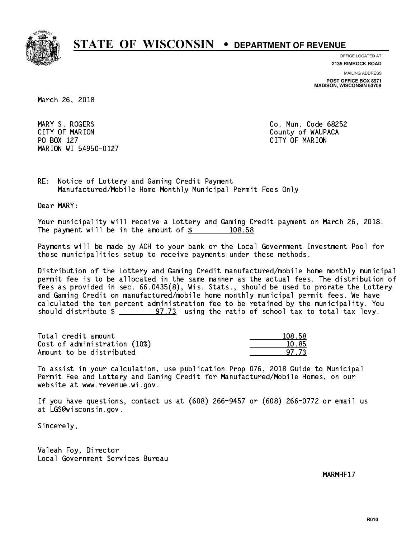

**OFFICE LOCATED AT**

**2135 RIMROCK ROAD**

**MAILING ADDRESS**

**POST OFFICE BOX 8971 MADISON, WISCONSIN 53708**

March 26, 2018

 MARY S. ROGERS Co. Mun. Code 68252 CITY OF MARION COUNTY COUNTY OF MARION PO BOX 127 CITY OF MARION MARION WI 54950-0127

RE: Notice of Lottery and Gaming Credit Payment Manufactured/Mobile Home Monthly Municipal Permit Fees Only

Dear MARY:

 Your municipality will receive a Lottery and Gaming Credit payment on March 26, 2018. The payment will be in the amount of  $\frac{2}{3}$  108.58

 Payments will be made by ACH to your bank or the Local Government Investment Pool for those municipalities setup to receive payments under these methods.

 Distribution of the Lottery and Gaming Credit manufactured/mobile home monthly municipal permit fee is to be allocated in the same manner as the actual fees. The distribution of fees as provided in sec. 66.0435(8), Wis. Stats., should be used to prorate the Lottery and Gaming Credit on manufactured/mobile home monthly municipal permit fees. We have calculated the ten percent administration fee to be retained by the municipality. You should distribute  $\frac{2}{2}$   $\frac{97.73}{2}$  using the ratio of school tax to total tax levy.

Total credit amount Cost of administration (10%) Amount to be distributed

| 9.58 |
|------|
| אל י |
| 173  |

 To assist in your calculation, use publication Prop 076, 2018 Guide to Municipal Permit Fee and Lottery and Gaming Credit for Manufactured/Mobile Homes, on our website at www.revenue.wi.gov.

 If you have questions, contact us at (608) 266-9457 or (608) 266-0772 or email us at LGS@wisconsin.gov.

Sincerely,

 Valeah Foy, Director Local Government Services Bureau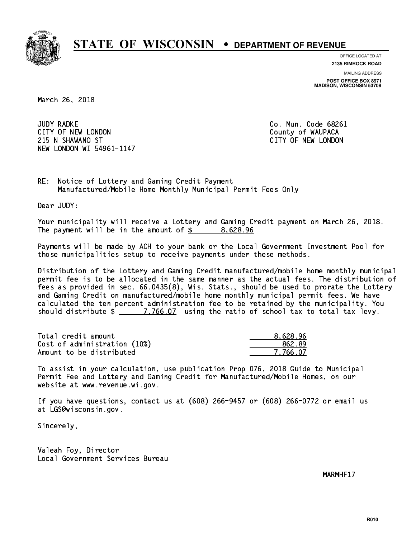

**OFFICE LOCATED AT**

**2135 RIMROCK ROAD**

**MAILING ADDRESS POST OFFICE BOX 8971 MADISON, WISCONSIN 53708**

March 26, 2018

**JUDY RADKE** CITY OF NEW LONDON COUNTY OF WAUPACA 215 N SHAWANO ST CITY OF NEW LONDON NEW LONDON WI 54961-1147

Co. Mun. Code 68261

RE: Notice of Lottery and Gaming Credit Payment Manufactured/Mobile Home Monthly Municipal Permit Fees Only

Dear JUDY:

 Your municipality will receive a Lottery and Gaming Credit payment on March 26, 2018. The payment will be in the amount of  $\frac{2}{3}$  8,628.96

 Payments will be made by ACH to your bank or the Local Government Investment Pool for those municipalities setup to receive payments under these methods.

 Distribution of the Lottery and Gaming Credit manufactured/mobile home monthly municipal permit fee is to be allocated in the same manner as the actual fees. The distribution of fees as provided in sec. 66.0435(8), Wis. Stats., should be used to prorate the Lottery and Gaming Credit on manufactured/mobile home monthly municipal permit fees. We have calculated the ten percent administration fee to be retained by the municipality. You should distribute  $\frac{2}{2}$   $\frac{7,766.07}{2}$  using the ratio of school tax to total tax levy.

| Total credit amount          | 8.628.96 |
|------------------------------|----------|
| Cost of administration (10%) | 862.89   |
| Amount to be distributed     | 7.766.07 |

 To assist in your calculation, use publication Prop 076, 2018 Guide to Municipal Permit Fee and Lottery and Gaming Credit for Manufactured/Mobile Homes, on our website at www.revenue.wi.gov.

 If you have questions, contact us at (608) 266-9457 or (608) 266-0772 or email us at LGS@wisconsin.gov.

Sincerely,

 Valeah Foy, Director Local Government Services Bureau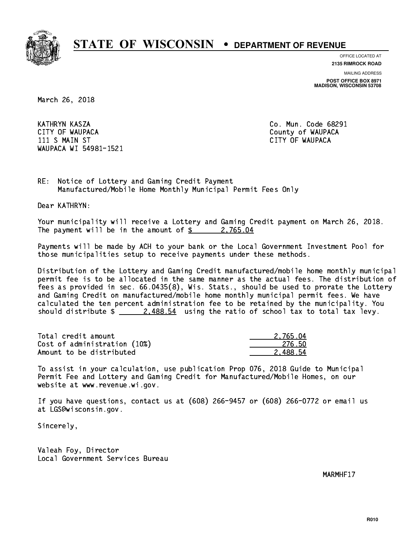

**OFFICE LOCATED AT**

**2135 RIMROCK ROAD**

**MAILING ADDRESS**

**POST OFFICE BOX 8971 MADISON, WISCONSIN 53708**

March 26, 2018

 KATHRYN KASZA Co. Mun. Code 68291 CITY OF WAUPACA **COULD ACCOUNT OF WAUPACA** 11 S MAIN ST CITY OF WAUPACA CHARGE IN STREET IN STREET IN STREET IN STREET IN STREET IN STREET IN STREET IN WAUPACA WI 54981-1521

RE: Notice of Lottery and Gaming Credit Payment Manufactured/Mobile Home Monthly Municipal Permit Fees Only

Dear KATHRYN:

 Your municipality will receive a Lottery and Gaming Credit payment on March 26, 2018. The payment will be in the amount of  $\frac{2}{3}$  2,765.04

 Payments will be made by ACH to your bank or the Local Government Investment Pool for those municipalities setup to receive payments under these methods.

 Distribution of the Lottery and Gaming Credit manufactured/mobile home monthly municipal permit fee is to be allocated in the same manner as the actual fees. The distribution of fees as provided in sec. 66.0435(8), Wis. Stats., should be used to prorate the Lottery and Gaming Credit on manufactured/mobile home monthly municipal permit fees. We have calculated the ten percent administration fee to be retained by the municipality. You should distribute  $\frac{2.488.54}{2.488.54}$  using the ratio of school tax to total tax levy.

| Total credit amount          | 2.765.04 |
|------------------------------|----------|
| Cost of administration (10%) | -276.50  |
| Amount to be distributed     | 2.488.54 |

 To assist in your calculation, use publication Prop 076, 2018 Guide to Municipal Permit Fee and Lottery and Gaming Credit for Manufactured/Mobile Homes, on our website at www.revenue.wi.gov.

 If you have questions, contact us at (608) 266-9457 or (608) 266-0772 or email us at LGS@wisconsin.gov.

Sincerely,

 Valeah Foy, Director Local Government Services Bureau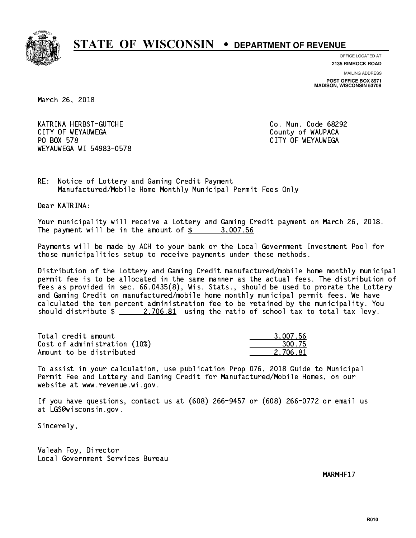

**OFFICE LOCATED AT**

**2135 RIMROCK ROAD**

**MAILING ADDRESS POST OFFICE BOX 8971 MADISON, WISCONSIN 53708**

March 26, 2018

 KATRINA HERBST-GUTCHE Co. Mun. Code 68292 CITY OF WEYAUWEGA **COULD ACCOUNT OF SEXUAL COULD A** COUNTY OF WAUPACA PO BOX 578 WEYAUWEGA WI 54983-0578

CITY OF WEYAUWEGA

RE: Notice of Lottery and Gaming Credit Payment Manufactured/Mobile Home Monthly Municipal Permit Fees Only

Dear KATRINA:

 Your municipality will receive a Lottery and Gaming Credit payment on March 26, 2018. The payment will be in the amount of  $\frac{2}{3}$  3,007.56

 Payments will be made by ACH to your bank or the Local Government Investment Pool for those municipalities setup to receive payments under these methods.

 Distribution of the Lottery and Gaming Credit manufactured/mobile home monthly municipal permit fee is to be allocated in the same manner as the actual fees. The distribution of fees as provided in sec. 66.0435(8), Wis. Stats., should be used to prorate the Lottery and Gaming Credit on manufactured/mobile home monthly municipal permit fees. We have calculated the ten percent administration fee to be retained by the municipality. You should distribute  $\frac{2,706.81}{2}$  using the ratio of school tax to total tax levy.

| Total credit amount          | 3.007.56 |
|------------------------------|----------|
| Cost of administration (10%) | 300.75   |
| Amount to be distributed     | 2.706.81 |

 To assist in your calculation, use publication Prop 076, 2018 Guide to Municipal Permit Fee and Lottery and Gaming Credit for Manufactured/Mobile Homes, on our website at www.revenue.wi.gov.

 If you have questions, contact us at (608) 266-9457 or (608) 266-0772 or email us at LGS@wisconsin.gov.

Sincerely,

 Valeah Foy, Director Local Government Services Bureau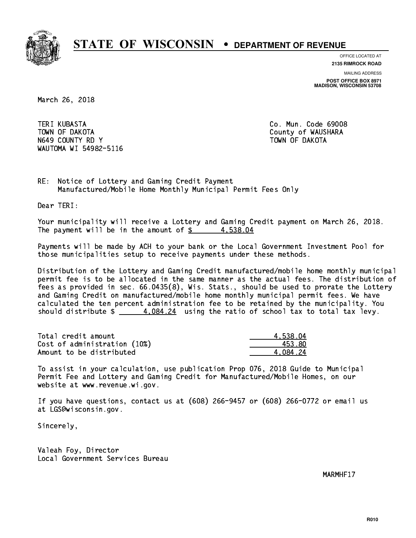

**OFFICE LOCATED AT**

**2135 RIMROCK ROAD**

**MAILING ADDRESS**

**POST OFFICE BOX 8971 MADISON, WISCONSIN 53708**

March 26, 2018

**TERI KUBASTA**  TOWN OF DAKOTA County of WAUSHARA N649 COUNTY RD Y TOWN OF DAKOTA WAUTOMA WI 54982-5116

Co. Mun. Code 69008

RE: Notice of Lottery and Gaming Credit Payment Manufactured/Mobile Home Monthly Municipal Permit Fees Only

Dear TERI:

 Your municipality will receive a Lottery and Gaming Credit payment on March 26, 2018. The payment will be in the amount of  $\frac{2}{3}$  4,538.04

 Payments will be made by ACH to your bank or the Local Government Investment Pool for those municipalities setup to receive payments under these methods.

 Distribution of the Lottery and Gaming Credit manufactured/mobile home monthly municipal permit fee is to be allocated in the same manner as the actual fees. The distribution of fees as provided in sec. 66.0435(8), Wis. Stats., should be used to prorate the Lottery and Gaming Credit on manufactured/mobile home monthly municipal permit fees. We have calculated the ten percent administration fee to be retained by the municipality. You should distribute  $\frac{4.084.24}{2}$  using the ratio of school tax to total tax levy.

| Total credit amount          | 4.538.04 |
|------------------------------|----------|
| Cost of administration (10%) | 453.80   |
| Amount to be distributed     | 4.084.24 |

 To assist in your calculation, use publication Prop 076, 2018 Guide to Municipal Permit Fee and Lottery and Gaming Credit for Manufactured/Mobile Homes, on our website at www.revenue.wi.gov.

 If you have questions, contact us at (608) 266-9457 or (608) 266-0772 or email us at LGS@wisconsin.gov.

Sincerely,

 Valeah Foy, Director Local Government Services Bureau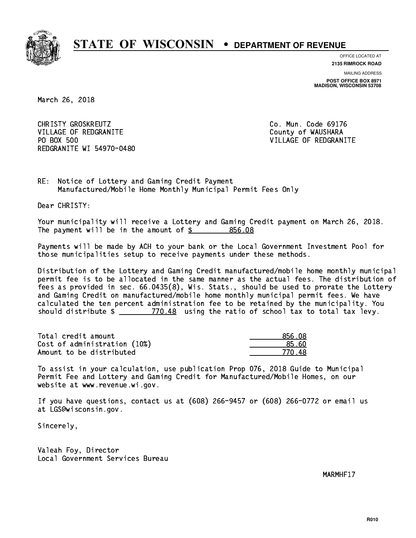

**OFFICE LOCATED AT**

**2135 RIMROCK ROAD**

**MAILING ADDRESS POST OFFICE BOX 8971 MADISON, WISCONSIN 53708**

March 26, 2018

CHRISTY GROSKREUTZ **CHRISTY GROSKREUTZ Co. Mun. Code 69176** VILLAGE OF REDGRANITE COUNTY OF WAUSHARA PO BOX 500 REDGRANITE WI 54970-0480

VILLAGE OF REDGRANITE

RE: Notice of Lottery and Gaming Credit Payment Manufactured/Mobile Home Monthly Municipal Permit Fees Only

Dear CHRISTY:

 Your municipality will receive a Lottery and Gaming Credit payment on March 26, 2018. The payment will be in the amount of  $$ 856.08$ 

 Payments will be made by ACH to your bank or the Local Government Investment Pool for those municipalities setup to receive payments under these methods.

 Distribution of the Lottery and Gaming Credit manufactured/mobile home monthly municipal permit fee is to be allocated in the same manner as the actual fees. The distribution of fees as provided in sec. 66.0435(8), Wis. Stats., should be used to prorate the Lottery and Gaming Credit on manufactured/mobile home monthly municipal permit fees. We have calculated the ten percent administration fee to be retained by the municipality. You should distribute  $\frac{2}{2}$   $\frac{770.48}{2}$  using the ratio of school tax to total tax levy.

Total credit amount Cost of administration (10%) Amount to be distributed

| 856.08               |
|----------------------|
| ≀5 AN                |
| 18<br>$\prime\prime$ |

 To assist in your calculation, use publication Prop 076, 2018 Guide to Municipal Permit Fee and Lottery and Gaming Credit for Manufactured/Mobile Homes, on our website at www.revenue.wi.gov.

 If you have questions, contact us at (608) 266-9457 or (608) 266-0772 or email us at LGS@wisconsin.gov.

Sincerely,

 Valeah Foy, Director Local Government Services Bureau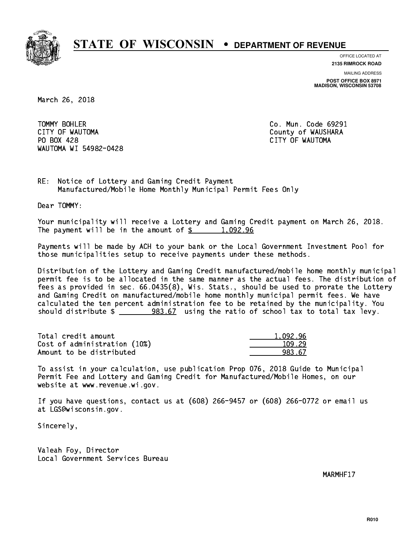

**OFFICE LOCATED AT**

**2135 RIMROCK ROAD**

**MAILING ADDRESS**

**POST OFFICE BOX 8971 MADISON, WISCONSIN 53708**

March 26, 2018

TOMMY BOHLER CITY OF WAUTOMA COUNTY OF WAUSHARA PO BOX 428 CITY OF WAUTOMA WAUTOMA WI 54982-0428

Co. Mun. Code 69291

RE: Notice of Lottery and Gaming Credit Payment Manufactured/Mobile Home Monthly Municipal Permit Fees Only

Dear TOMMY:

 Your municipality will receive a Lottery and Gaming Credit payment on March 26, 2018. The payment will be in the amount of  $\frac{2}{3}$  1,092.96

 Payments will be made by ACH to your bank or the Local Government Investment Pool for those municipalities setup to receive payments under these methods.

 Distribution of the Lottery and Gaming Credit manufactured/mobile home monthly municipal permit fee is to be allocated in the same manner as the actual fees. The distribution of fees as provided in sec. 66.0435(8), Wis. Stats., should be used to prorate the Lottery and Gaming Credit on manufactured/mobile home monthly municipal permit fees. We have calculated the ten percent administration fee to be retained by the municipality. You should distribute  $\frac{283.67}{2}$  using the ratio of school tax to total tax levy.

| Total credit amount          | 1.092.96 |
|------------------------------|----------|
| Cost of administration (10%) | 109.29   |
| Amount to be distributed     | 983.67   |

 To assist in your calculation, use publication Prop 076, 2018 Guide to Municipal Permit Fee and Lottery and Gaming Credit for Manufactured/Mobile Homes, on our website at www.revenue.wi.gov.

 If you have questions, contact us at (608) 266-9457 or (608) 266-0772 or email us at LGS@wisconsin.gov.

Sincerely,

 Valeah Foy, Director Local Government Services Bureau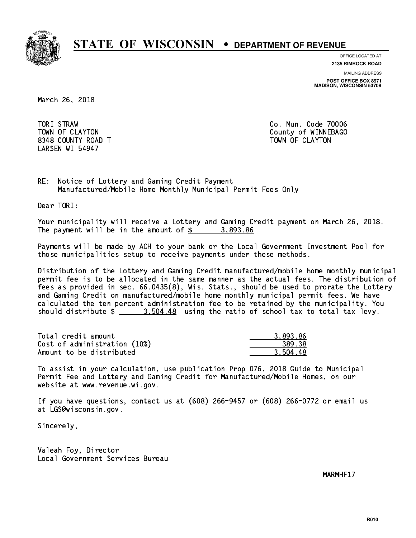

**OFFICE LOCATED AT**

**2135 RIMROCK ROAD**

**MAILING ADDRESS POST OFFICE BOX 8971 MADISON, WISCONSIN 53708**

March 26, 2018

TORI STRAW 8348 COUNTY ROAD TWO COUNTY AND TOWN OF CLAYTON LARSEN WI 54947

Co. Mun. Code 70006 TOWN OF CLAYTON COUNTY OF WINNEBAGO

RE: Notice of Lottery and Gaming Credit Payment Manufactured/Mobile Home Monthly Municipal Permit Fees Only

Dear TORI:

 Your municipality will receive a Lottery and Gaming Credit payment on March 26, 2018. The payment will be in the amount of  $\frac{2}{3}$  3,893.86

 Payments will be made by ACH to your bank or the Local Government Investment Pool for those municipalities setup to receive payments under these methods.

 Distribution of the Lottery and Gaming Credit manufactured/mobile home monthly municipal permit fee is to be allocated in the same manner as the actual fees. The distribution of fees as provided in sec. 66.0435(8), Wis. Stats., should be used to prorate the Lottery and Gaming Credit on manufactured/mobile home monthly municipal permit fees. We have calculated the ten percent administration fee to be retained by the municipality. You should distribute  $\frac{2}{2}$   $\frac{3.504.48}{2}$  using the ratio of school tax to total tax levy.

| Total credit amount          | 3.893.86 |
|------------------------------|----------|
| Cost of administration (10%) | 389.38   |
| Amount to be distributed     | 3.504.48 |

 To assist in your calculation, use publication Prop 076, 2018 Guide to Municipal Permit Fee and Lottery and Gaming Credit for Manufactured/Mobile Homes, on our website at www.revenue.wi.gov.

 If you have questions, contact us at (608) 266-9457 or (608) 266-0772 or email us at LGS@wisconsin.gov.

Sincerely,

 Valeah Foy, Director Local Government Services Bureau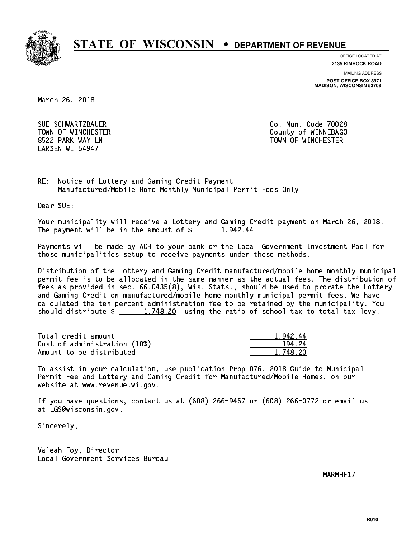

**OFFICE LOCATED AT**

**2135 RIMROCK ROAD**

**MAILING ADDRESS**

**POST OFFICE BOX 8971 MADISON, WISCONSIN 53708**

March 26, 2018

 SUE SCHWARTZBAUER Co. Mun. Code 70028 LARSEN WI 54947

 TOWN OF WINCHESTER County of WINNEBAGO 8522 PARK WAY LN TOWN OF WINCHESTER

RE: Notice of Lottery and Gaming Credit Payment Manufactured/Mobile Home Monthly Municipal Permit Fees Only

Dear SUE:

 Your municipality will receive a Lottery and Gaming Credit payment on March 26, 2018. The payment will be in the amount of  $\frac{2}{3}$  1,942.44

 Payments will be made by ACH to your bank or the Local Government Investment Pool for those municipalities setup to receive payments under these methods.

 Distribution of the Lottery and Gaming Credit manufactured/mobile home monthly municipal permit fee is to be allocated in the same manner as the actual fees. The distribution of fees as provided in sec. 66.0435(8), Wis. Stats., should be used to prorate the Lottery and Gaming Credit on manufactured/mobile home monthly municipal permit fees. We have calculated the ten percent administration fee to be retained by the municipality. You should distribute  $\frac{1,748.20}{1,748.20}$  using the ratio of school tax to total tax levy.

| Total credit amount          | 1.942.44 |
|------------------------------|----------|
| Cost of administration (10%) | 194.24   |
| Amount to be distributed     | 1.748.20 |

 To assist in your calculation, use publication Prop 076, 2018 Guide to Municipal Permit Fee and Lottery and Gaming Credit for Manufactured/Mobile Homes, on our website at www.revenue.wi.gov.

 If you have questions, contact us at (608) 266-9457 or (608) 266-0772 or email us at LGS@wisconsin.gov.

Sincerely,

 Valeah Foy, Director Local Government Services Bureau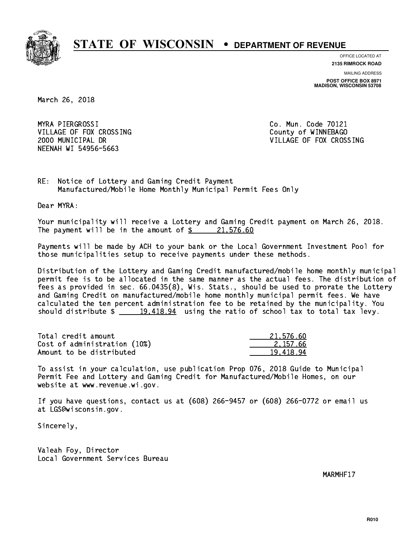

**OFFICE LOCATED AT**

**2135 RIMROCK ROAD**

**MAILING ADDRESS POST OFFICE BOX 8971 MADISON, WISCONSIN 53708**

March 26, 2018

 MYRA PIERGROSSI Co. Mun. Code 70121 VILLAGE OF FOX CROSSING COUNTY OF WINNEBAGO NEENAH WI 54956-5663

2000 MUNICIPAL DR VILLAGE OF FOX CROSSING

RE: Notice of Lottery and Gaming Credit Payment Manufactured/Mobile Home Monthly Municipal Permit Fees Only

Dear MYRA:

 Your municipality will receive a Lottery and Gaming Credit payment on March 26, 2018. The payment will be in the amount of  $\frac{21,576.60}{21,576.60}$ 

 Payments will be made by ACH to your bank or the Local Government Investment Pool for those municipalities setup to receive payments under these methods.

 Distribution of the Lottery and Gaming Credit manufactured/mobile home monthly municipal permit fee is to be allocated in the same manner as the actual fees. The distribution of fees as provided in sec. 66.0435(8), Wis. Stats., should be used to prorate the Lottery and Gaming Credit on manufactured/mobile home monthly municipal permit fees. We have calculated the ten percent administration fee to be retained by the municipality. You should distribute  $\frac{2}{19,418.94}$  using the ratio of school tax to total tax levy.

| Total credit amount          | 21,576.60 |
|------------------------------|-----------|
| Cost of administration (10%) | 2.157.66  |
| Amount to be distributed     | 19.418.94 |

 To assist in your calculation, use publication Prop 076, 2018 Guide to Municipal Permit Fee and Lottery and Gaming Credit for Manufactured/Mobile Homes, on our website at www.revenue.wi.gov.

 If you have questions, contact us at (608) 266-9457 or (608) 266-0772 or email us at LGS@wisconsin.gov.

Sincerely,

 Valeah Foy, Director Local Government Services Bureau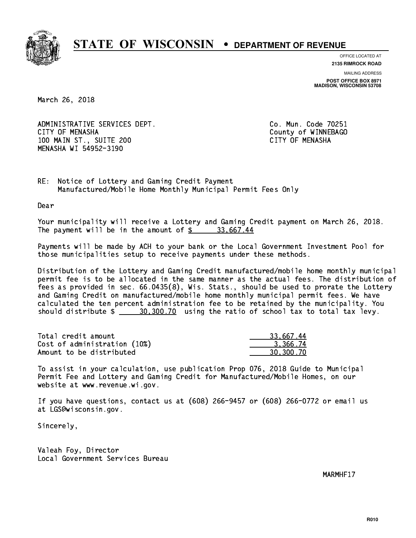

**OFFICE LOCATED AT**

**2135 RIMROCK ROAD**

**MAILING ADDRESS POST OFFICE BOX 8971 MADISON, WISCONSIN 53708**

March 26, 2018

ADMINISTRATIVE SERVICES DEPT. CITY OF MENASHA COUNTY OF MENASHA 100 MAIN ST., SUITE 200 CITY OF MENASHA MENASHA WI 54952-3190

Co. Mun. Code 70251

RE: Notice of Lottery and Gaming Credit Payment Manufactured/Mobile Home Monthly Municipal Permit Fees Only

Dear

 Your municipality will receive a Lottery and Gaming Credit payment on March 26, 2018. The payment will be in the amount of  $\frac{2}{3}$  33,667.44

 Payments will be made by ACH to your bank or the Local Government Investment Pool for those municipalities setup to receive payments under these methods.

 Distribution of the Lottery and Gaming Credit manufactured/mobile home monthly municipal permit fee is to be allocated in the same manner as the actual fees. The distribution of fees as provided in sec. 66.0435(8), Wis. Stats., should be used to prorate the Lottery and Gaming Credit on manufactured/mobile home monthly municipal permit fees. We have calculated the ten percent administration fee to be retained by the municipality. You should distribute  $\frac{20,300.70}{2}$  using the ratio of school tax to total tax levy.

| Total credit amount          | 33,667.44 |
|------------------------------|-----------|
| Cost of administration (10%) | 3.366.74  |
| Amount to be distributed     | 30.300.70 |

 To assist in your calculation, use publication Prop 076, 2018 Guide to Municipal Permit Fee and Lottery and Gaming Credit for Manufactured/Mobile Homes, on our website at www.revenue.wi.gov.

 If you have questions, contact us at (608) 266-9457 or (608) 266-0772 or email us at LGS@wisconsin.gov.

Sincerely,

 Valeah Foy, Director Local Government Services Bureau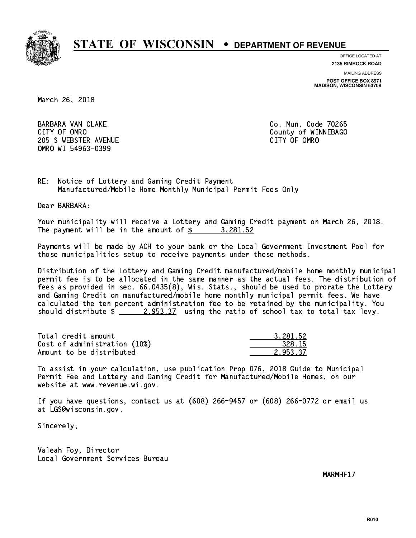

**OFFICE LOCATED AT**

**2135 RIMROCK ROAD**

**MAILING ADDRESS**

**POST OFFICE BOX 8971 MADISON, WISCONSIN 53708**

March 26, 2018

 BARBARA VAN CLAKE Co. Mun. Code 70265 CITY OF OMRO **COUNTY OF OMRO** COUNTY OF WINNEBAGO 205 SWEBSTER AVENUE **CITY OF OMRO** OMRO WI 54963-0399

RE: Notice of Lottery and Gaming Credit Payment Manufactured/Mobile Home Monthly Municipal Permit Fees Only

Dear BARBARA:

 Your municipality will receive a Lottery and Gaming Credit payment on March 26, 2018. The payment will be in the amount of  $\frac{2}{3}$  3,281.52

 Payments will be made by ACH to your bank or the Local Government Investment Pool for those municipalities setup to receive payments under these methods.

 Distribution of the Lottery and Gaming Credit manufactured/mobile home monthly municipal permit fee is to be allocated in the same manner as the actual fees. The distribution of fees as provided in sec. 66.0435(8), Wis. Stats., should be used to prorate the Lottery and Gaming Credit on manufactured/mobile home monthly municipal permit fees. We have calculated the ten percent administration fee to be retained by the municipality. You should distribute  $\frac{2.953.37}{2.953.37}$  using the ratio of school tax to total tax levy.

| Total credit amount          | 3.281.52 |
|------------------------------|----------|
| Cost of administration (10%) | 328.15   |
| Amount to be distributed     | 2.953.37 |

 To assist in your calculation, use publication Prop 076, 2018 Guide to Municipal Permit Fee and Lottery and Gaming Credit for Manufactured/Mobile Homes, on our website at www.revenue.wi.gov.

 If you have questions, contact us at (608) 266-9457 or (608) 266-0772 or email us at LGS@wisconsin.gov.

Sincerely,

 Valeah Foy, Director Local Government Services Bureau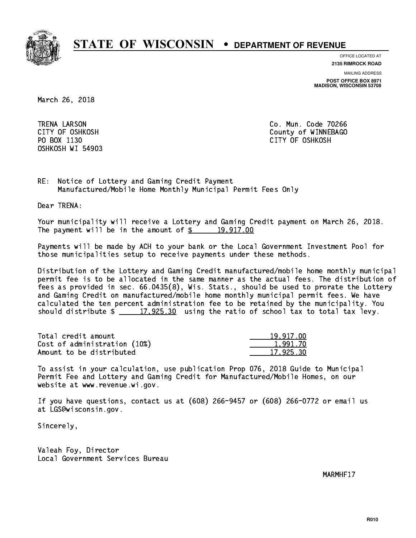

**OFFICE LOCATED AT**

**2135 RIMROCK ROAD**

**MAILING ADDRESS**

**POST OFFICE BOX 8971 MADISON, WISCONSIN 53708**

March 26, 2018

 TRENA LARSON Co. Mun. Code 70266 OSHKOSH WI 54903

 CITY OF OSHKOSH County of WINNEBAGO PO BOX 1130 CITY OF OSHKOSH

RE: Notice of Lottery and Gaming Credit Payment Manufactured/Mobile Home Monthly Municipal Permit Fees Only

Dear TRENA:

 Your municipality will receive a Lottery and Gaming Credit payment on March 26, 2018. The payment will be in the amount of  $\frac{2}{3}$  19,917.00

 Payments will be made by ACH to your bank or the Local Government Investment Pool for those municipalities setup to receive payments under these methods.

 Distribution of the Lottery and Gaming Credit manufactured/mobile home monthly municipal permit fee is to be allocated in the same manner as the actual fees. The distribution of fees as provided in sec. 66.0435(8), Wis. Stats., should be used to prorate the Lottery and Gaming Credit on manufactured/mobile home monthly municipal permit fees. We have calculated the ten percent administration fee to be retained by the municipality. You should distribute  $\frac{2}{2}$   $\frac{17,925.30}{2}$  using the ratio of school tax to total tax levy.

| Total credit amount          | 19.917.00 |
|------------------------------|-----------|
| Cost of administration (10%) | 1.991.70  |
| Amount to be distributed     | 17,925.30 |

 To assist in your calculation, use publication Prop 076, 2018 Guide to Municipal Permit Fee and Lottery and Gaming Credit for Manufactured/Mobile Homes, on our website at www.revenue.wi.gov.

 If you have questions, contact us at (608) 266-9457 or (608) 266-0772 or email us at LGS@wisconsin.gov.

Sincerely,

 Valeah Foy, Director Local Government Services Bureau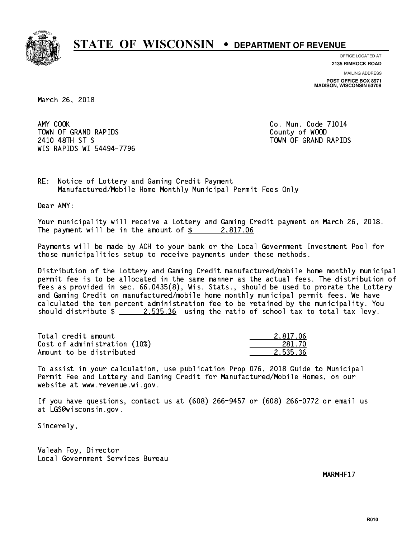

**OFFICE LOCATED AT**

**2135 RIMROCK ROAD**

**MAILING ADDRESS POST OFFICE BOX 8971 MADISON, WISCONSIN 53708**

March 26, 2018

AMY COOK TOWN OF GRAND RAPIDS County of WOOD 2410 48TH ST S TOWN OF GRAND RAPIDS WIS RAPIDS WI 54494-7796

Co. Mun. Code 71014

RE: Notice of Lottery and Gaming Credit Payment Manufactured/Mobile Home Monthly Municipal Permit Fees Only

Dear AMY:

 Your municipality will receive a Lottery and Gaming Credit payment on March 26, 2018. The payment will be in the amount of  $\frac{2.817.06}{2.817.06}$ 

 Payments will be made by ACH to your bank or the Local Government Investment Pool for those municipalities setup to receive payments under these methods.

 Distribution of the Lottery and Gaming Credit manufactured/mobile home monthly municipal permit fee is to be allocated in the same manner as the actual fees. The distribution of fees as provided in sec. 66.0435(8), Wis. Stats., should be used to prorate the Lottery and Gaming Credit on manufactured/mobile home monthly municipal permit fees. We have calculated the ten percent administration fee to be retained by the municipality. You should distribute  $\frac{2.535.36}{2.535.36}$  using the ratio of school tax to total tax levy.

| Total credit amount          | 2.817.06 |
|------------------------------|----------|
| Cost of administration (10%) | 281.70   |
| Amount to be distributed     | 2.535.36 |

 To assist in your calculation, use publication Prop 076, 2018 Guide to Municipal Permit Fee and Lottery and Gaming Credit for Manufactured/Mobile Homes, on our website at www.revenue.wi.gov.

 If you have questions, contact us at (608) 266-9457 or (608) 266-0772 or email us at LGS@wisconsin.gov.

Sincerely,

 Valeah Foy, Director Local Government Services Bureau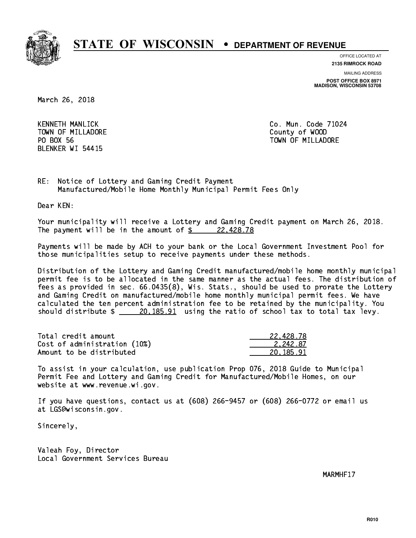

**OFFICE LOCATED AT**

**MAILING ADDRESS 2135 RIMROCK ROAD**

**POST OFFICE BOX 8971 MADISON, WISCONSIN 53708**

March 26, 2018

KENNETH MANLICK TOWN OF MILLADORE County of WOOD PO BOX 56 BLENKER WI 54415

Co. Mun. Code 71024 TOWN OF MILLADORE

RE: Notice of Lottery and Gaming Credit Payment Manufactured/Mobile Home Monthly Municipal Permit Fees Only

Dear KEN:

 Your municipality will receive a Lottery and Gaming Credit payment on March 26, 2018. The payment will be in the amount of  $\frac{224428.78}{222428.78}$ 

 Payments will be made by ACH to your bank or the Local Government Investment Pool for those municipalities setup to receive payments under these methods.

 Distribution of the Lottery and Gaming Credit manufactured/mobile home monthly municipal permit fee is to be allocated in the same manner as the actual fees. The distribution of fees as provided in sec. 66.0435(8), Wis. Stats., should be used to prorate the Lottery and Gaming Credit on manufactured/mobile home monthly municipal permit fees. We have calculated the ten percent administration fee to be retained by the municipality. You should distribute  $\frac{20,185.91}{20,185.91}$  using the ratio of school tax to total tax levy.

| Total credit amount          | 22,428.78 |
|------------------------------|-----------|
| Cost of administration (10%) | 2.242.87  |
| Amount to be distributed     | 20.185.91 |

 To assist in your calculation, use publication Prop 076, 2018 Guide to Municipal Permit Fee and Lottery and Gaming Credit for Manufactured/Mobile Homes, on our website at www.revenue.wi.gov.

 If you have questions, contact us at (608) 266-9457 or (608) 266-0772 or email us at LGS@wisconsin.gov.

Sincerely,

 Valeah Foy, Director Local Government Services Bureau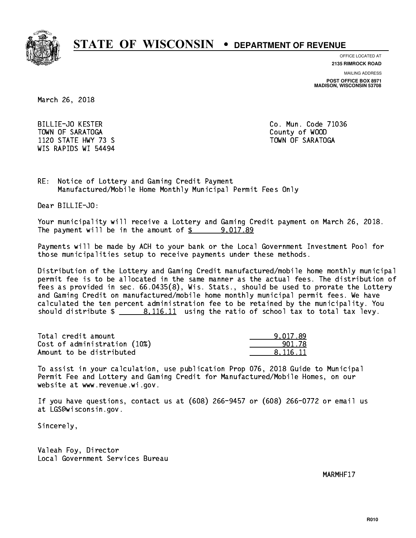

**OFFICE LOCATED AT 2135 RIMROCK ROAD**

**MAILING ADDRESS**

**POST OFFICE BOX 8971 MADISON, WISCONSIN 53708**

March 26, 2018

 BILLIE-JO KESTER Co. Mun. Code 71036 TOWN OF SARATOGA County of WOOD 1120 STATE HWY 73 S TOWN OF SARATOGA WIS RAPIDS WI 54494

RE: Notice of Lottery and Gaming Credit Payment Manufactured/Mobile Home Monthly Municipal Permit Fees Only

Dear BILLIE-JO:

 Your municipality will receive a Lottery and Gaming Credit payment on March 26, 2018. The payment will be in the amount of  $\frac{2}{3}$  9,017.89

 Payments will be made by ACH to your bank or the Local Government Investment Pool for those municipalities setup to receive payments under these methods.

 Distribution of the Lottery and Gaming Credit manufactured/mobile home monthly municipal permit fee is to be allocated in the same manner as the actual fees. The distribution of fees as provided in sec. 66.0435(8), Wis. Stats., should be used to prorate the Lottery and Gaming Credit on manufactured/mobile home monthly municipal permit fees. We have calculated the ten percent administration fee to be retained by the municipality. You should distribute  $\frac{2}{10.116.11}$  using the ratio of school tax to total tax levy.

| Total credit amount          | 9.017.89 |
|------------------------------|----------|
| Cost of administration (10%) | 901.78   |
| Amount to be distributed     | 8.116.11 |

 To assist in your calculation, use publication Prop 076, 2018 Guide to Municipal Permit Fee and Lottery and Gaming Credit for Manufactured/Mobile Homes, on our website at www.revenue.wi.gov.

 If you have questions, contact us at (608) 266-9457 or (608) 266-0772 or email us at LGS@wisconsin.gov.

Sincerely,

 Valeah Foy, Director Local Government Services Bureau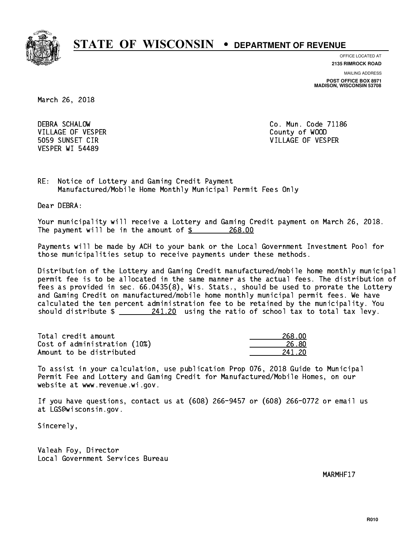

**OFFICE LOCATED AT 2135 RIMROCK ROAD**

**MAILING ADDRESS**

**POST OFFICE BOX 8971 MADISON, WISCONSIN 53708**

March 26, 2018

 DEBRA SCHALOW Co. Mun. Code 71186 VILLAGE OF VESPER COUNTY OF WOOD VESPER WI 54489

5059 SUNSET CIR VILLAGE OF VESPER

RE: Notice of Lottery and Gaming Credit Payment Manufactured/Mobile Home Monthly Municipal Permit Fees Only

Dear DEBRA:

 Your municipality will receive a Lottery and Gaming Credit payment on March 26, 2018. The payment will be in the amount of  $\frac{268.00}{268.00}$ 

 Payments will be made by ACH to your bank or the Local Government Investment Pool for those municipalities setup to receive payments under these methods.

 Distribution of the Lottery and Gaming Credit manufactured/mobile home monthly municipal permit fee is to be allocated in the same manner as the actual fees. The distribution of fees as provided in sec. 66.0435(8), Wis. Stats., should be used to prorate the Lottery and Gaming Credit on manufactured/mobile home monthly municipal permit fees. We have calculated the ten percent administration fee to be retained by the municipality. You should distribute  $\frac{241.20}{241.20}$  using the ratio of school tax to total tax levy.

Total credit amount Cost of administration (10%) Amount to be distributed

| 268 NN     |
|------------|
| 26. RN     |
| 41 2N<br>2 |

 To assist in your calculation, use publication Prop 076, 2018 Guide to Municipal Permit Fee and Lottery and Gaming Credit for Manufactured/Mobile Homes, on our website at www.revenue.wi.gov.

 If you have questions, contact us at (608) 266-9457 or (608) 266-0772 or email us at LGS@wisconsin.gov.

Sincerely,

 Valeah Foy, Director Local Government Services Bureau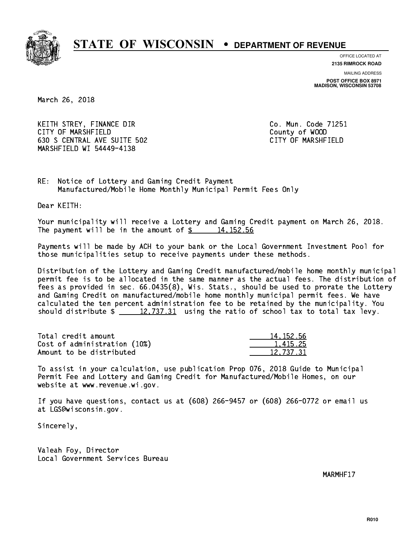

**OFFICE LOCATED AT**

**2135 RIMROCK ROAD**

**MAILING ADDRESS POST OFFICE BOX 8971 MADISON, WISCONSIN 53708**

March 26, 2018

KEITH STREY, FINANCE DIR CO. Mun. Code 71251 CITY OF MARSHFIELD County of WOOD 630 S CENTRAL AVE SUITE 502 CITY OF MARSHFIELD MARSHFIELD WI 54449-4138

RE: Notice of Lottery and Gaming Credit Payment Manufactured/Mobile Home Monthly Municipal Permit Fees Only

Dear KEITH:

 Your municipality will receive a Lottery and Gaming Credit payment on March 26, 2018. The payment will be in the amount of  $\frac{2}{3}$  14,152.56

 Payments will be made by ACH to your bank or the Local Government Investment Pool for those municipalities setup to receive payments under these methods.

 Distribution of the Lottery and Gaming Credit manufactured/mobile home monthly municipal permit fee is to be allocated in the same manner as the actual fees. The distribution of fees as provided in sec. 66.0435(8), Wis. Stats., should be used to prorate the Lottery and Gaming Credit on manufactured/mobile home monthly municipal permit fees. We have calculated the ten percent administration fee to be retained by the municipality. You should distribute  $\frac{2}{2}$   $\frac{12,737.31}{2}$  using the ratio of school tax to total tax levy.

| Total credit amount          | 14, 152, 56 |
|------------------------------|-------------|
| Cost of administration (10%) | 1.415.25    |
| Amount to be distributed     | 12.737.31   |

 To assist in your calculation, use publication Prop 076, 2018 Guide to Municipal Permit Fee and Lottery and Gaming Credit for Manufactured/Mobile Homes, on our website at www.revenue.wi.gov.

 If you have questions, contact us at (608) 266-9457 or (608) 266-0772 or email us at LGS@wisconsin.gov.

Sincerely,

 Valeah Foy, Director Local Government Services Bureau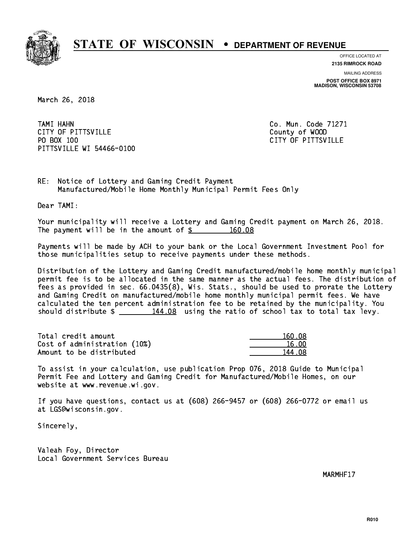

**OFFICE LOCATED AT**

**2135 RIMROCK ROAD**

**MAILING ADDRESS POST OFFICE BOX 8971 MADISON, WISCONSIN 53708**

March 26, 2018

 TAMI HAHN Co. Mun. Code 71271 CITY OF PITTSVILLE **COUNTY COUNTY OF ALCOHOL** PO BOX 100 PITTSVILLE WI 54466-0100

CITY OF PITTSVILLE

RE: Notice of Lottery and Gaming Credit Payment Manufactured/Mobile Home Monthly Municipal Permit Fees Only

Dear TAMI:

 Your municipality will receive a Lottery and Gaming Credit payment on March 26, 2018. The payment will be in the amount of  $\frac{2}{3}$  160.08

 Payments will be made by ACH to your bank or the Local Government Investment Pool for those municipalities setup to receive payments under these methods.

 Distribution of the Lottery and Gaming Credit manufactured/mobile home monthly municipal permit fee is to be allocated in the same manner as the actual fees. The distribution of fees as provided in sec. 66.0435(8), Wis. Stats., should be used to prorate the Lottery and Gaming Credit on manufactured/mobile home monthly municipal permit fees. We have calculated the ten percent administration fee to be retained by the municipality. You should distribute  $\frac{144.08}{2}$  using the ratio of school tax to total tax levy.

Total credit amount Cost of administration (10%) Amount to be distributed

| 160.08     |
|------------|
| 16 NN      |
| 1 NR<br>Ъ, |

 To assist in your calculation, use publication Prop 076, 2018 Guide to Municipal Permit Fee and Lottery and Gaming Credit for Manufactured/Mobile Homes, on our website at www.revenue.wi.gov.

 If you have questions, contact us at (608) 266-9457 or (608) 266-0772 or email us at LGS@wisconsin.gov.

Sincerely,

 Valeah Foy, Director Local Government Services Bureau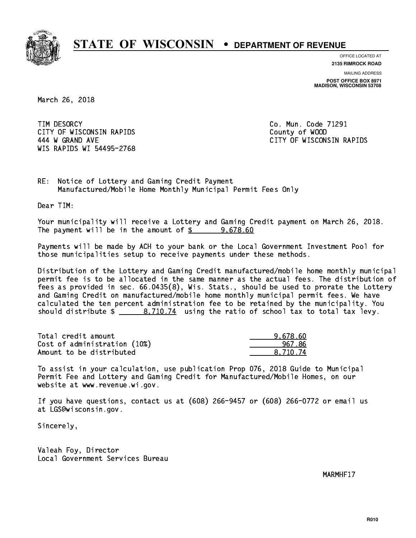

**OFFICE LOCATED AT 2135 RIMROCK ROAD**

**MAILING ADDRESS**

**POST OFFICE BOX 8971 MADISON, WISCONSIN 53708**

March 26, 2018

TIM DESORCY CITY OF WISCONSIN RAPIDS County of WOOD 444 W GRAND AVE CITY OF WISCONSIN RAPIDS WIS RAPIDS WI 54495-2768

Co. Mun. Code 71291

RE: Notice of Lottery and Gaming Credit Payment Manufactured/Mobile Home Monthly Municipal Permit Fees Only

Dear TIM:

 Your municipality will receive a Lottery and Gaming Credit payment on March 26, 2018. The payment will be in the amount of  $\frac{2}{3}$  9,678.60

 Payments will be made by ACH to your bank or the Local Government Investment Pool for those municipalities setup to receive payments under these methods.

 Distribution of the Lottery and Gaming Credit manufactured/mobile home monthly municipal permit fee is to be allocated in the same manner as the actual fees. The distribution of fees as provided in sec. 66.0435(8), Wis. Stats., should be used to prorate the Lottery and Gaming Credit on manufactured/mobile home monthly municipal permit fees. We have calculated the ten percent administration fee to be retained by the municipality. You should distribute  $\frac{2}{10.74}$  using the ratio of school tax to total tax levy.

| Total credit amount          | 9.678.60 |
|------------------------------|----------|
| Cost of administration (10%) | 967.86   |
| Amount to be distributed     | 8.710.74 |

 To assist in your calculation, use publication Prop 076, 2018 Guide to Municipal Permit Fee and Lottery and Gaming Credit for Manufactured/Mobile Homes, on our website at www.revenue.wi.gov.

 If you have questions, contact us at (608) 266-9457 or (608) 266-0772 or email us at LGS@wisconsin.gov.

Sincerely,

 Valeah Foy, Director Local Government Services Bureau